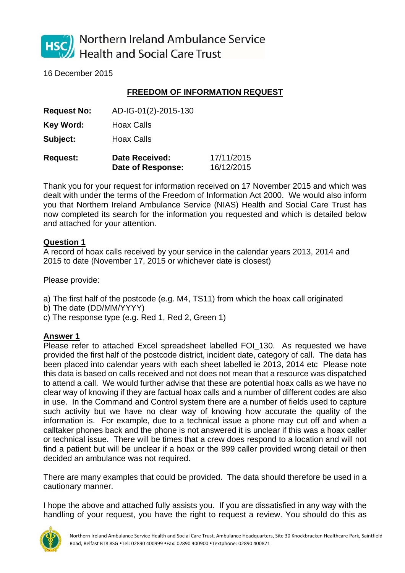

Northern Ireland Ambulance Service **Health and Social Care Trust** 

16 December 2015

## **FREEDOM OF INFORMATION REQUEST**

**Request No:** AD-IG-01(2)-2015-130

**Key Word:** Hoax Calls

**Subject:** Hoax Calls

| <b>Request:</b> | <b>Date Received:</b> | 17/11/2015 |
|-----------------|-----------------------|------------|
|                 | Date of Response:     | 16/12/2015 |

Thank you for your request for information received on 17 November 2015 and which was dealt with under the terms of the Freedom of Information Act 2000. We would also inform you that Northern Ireland Ambulance Service (NIAS) Health and Social Care Trust has now completed its search for the information you requested and which is detailed below and attached for your attention.

## **Question 1**

A record of hoax calls received by your service in the calendar years 2013, 2014 and 2015 to date (November 17, 2015 or whichever date is closest)

Please provide:

- a) The first half of the postcode (e.g. M4, TS11) from which the hoax call originated
- b) The date (DD/MM/YYYY)
- c) The response type (e.g. Red 1, Red 2, Green 1)

## **Answer 1**

Please refer to attached Excel spreadsheet labelled FOI\_130. As requested we have provided the first half of the postcode district, incident date, category of call. The data has been placed into calendar years with each sheet labelled ie 2013, 2014 etc Please note this data is based on calls received and not does not mean that a resource was dispatched to attend a call. We would further advise that these are potential hoax calls as we have no clear way of knowing if they are factual hoax calls and a number of different codes are also in use. In the Command and Control system there are a number of fields used to capture such activity but we have no clear way of knowing how accurate the quality of the information is. For example, due to a technical issue a phone may cut off and when a calltaker phones back and the phone is not answered it is unclear if this was a hoax caller or technical issue. There will be times that a crew does respond to a location and will not find a patient but will be unclear if a hoax or the 999 caller provided wrong detail or then decided an ambulance was not required.

There are many examples that could be provided. The data should therefore be used in a cautionary manner.

I hope the above and attached fully assists you. If you are dissatisfied in any way with the handling of your request, you have the right to request a review. You should do this as

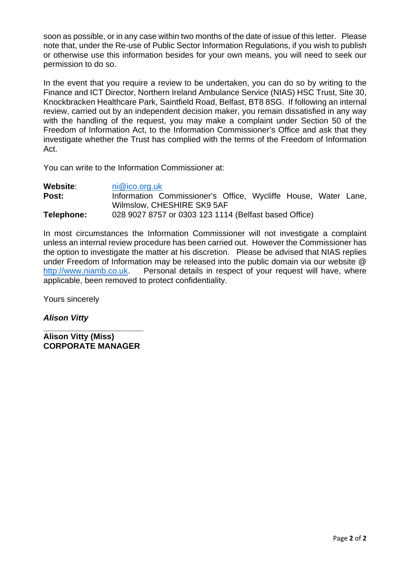soon as possible, or in any case within two months of the date of issue of this letter. Please note that, under the Re-use of Public Sector Information Regulations, if you wish to publish or otherwise use this information besides for your own means, you will need to seek our permission to do so.

In the event that you require a review to be undertaken, you can do so by writing to the Finance and ICT Director, Northern Ireland Ambulance Service (NIAS) HSC Trust, Site 30, Knockbracken Healthcare Park, Saintfield Road, Belfast, BT8 8SG. If following an internal review, carried out by an independent decision maker, you remain dissatisfied in any way with the handling of the request, you may make a complaint under Section 50 of the Freedom of Information Act, to the Information Commissioner's Office and ask that they investigate whether the Trust has complied with the terms of the Freedom of Information Act.

You can write to the Information Commissioner at:

| Website:   | ni@ico.org.uk                                                  |
|------------|----------------------------------------------------------------|
| Post:      | Information Commissioner's Office, Wycliffe House, Water Lane, |
|            | Wilmslow, CHESHIRE SK9 5AF                                     |
| Telephone: | 028 9027 8757 or 0303 123 1114 (Belfast based Office)          |

In most circumstances the Information Commissioner will not investigate a complaint unless an internal review procedure has been carried out. However the Commissioner has the option to investigate the matter at his discretion. Please be advised that NIAS replies under Freedom of Information may be released into the public domain via our website @ http://www.niamb.co.uk. Personal details in respect of your request will have, where applicable, been removed to protect confidentiality.

Yours sincerely

*Alison Vitty* 

**\_\_\_\_\_\_\_\_\_\_\_\_\_\_\_\_\_\_\_\_\_\_ Alison Vitty (Miss) CORPORATE MANAGER**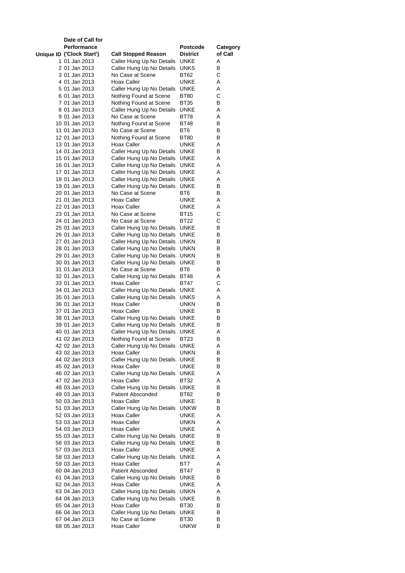| Date of Call for                 |                                                        |                     |          |
|----------------------------------|--------------------------------------------------------|---------------------|----------|
| Performance                      |                                                        | Postcode            | Category |
| Unique ID ('Clock Start')        | <b>Call Stopped Reason</b>                             | <b>District</b>     | of Call  |
| 1 01 Jan 2013                    | Caller Hung Up No Details                              | <b>UNKE</b>         | Α        |
| 2 01 Jan 2013                    | Caller Hung Up No Details                              | UNKS                | в        |
| 3 01 Jan 2013<br>4 01 Jan 2013   | No Case at Scene<br>Hoax Caller                        | BT62<br>UNKE        | С<br>A   |
| 5 01 Jan 2013                    | Caller Hung Up No Details                              | UNKE                | Α        |
| 6 01 Jan 2013                    | Nothing Found at Scene                                 | BT80                | С        |
| 7 01 Jan 2013                    | Nothing Found at Scene                                 | BT35                | в        |
| 8 01 Jan 2013                    | Caller Hung Up No Details                              | UNKE                | Α        |
| 9 01 Jan 2013                    | No Case at Scene                                       | BT78                | Α        |
| 10 01 Jan 2013                   | Nothing Found at Scene                                 | BT48                | в        |
| 11 01 Jan 2013                   | No Case at Scene                                       | BT6                 | В        |
| 12 01 Jan 2013                   | Nothing Found at Scene<br>Hoax Caller                  | BT80<br>UNKE        | в<br>Α   |
| 13 01 Jan 2013<br>14 01 Jan 2013 | Caller Hung Up No Details                              | <b>UNKE</b>         | в        |
| 15 01 Jan 2013                   | Caller Hung Up No Details                              | UNKE                | Α        |
| 16 01 Jan 2013                   | Caller Hung Up No Details                              | UNKE                | Α        |
| 17 01 Jan 2013                   | Caller Hung Up No Details                              | UNKE                | Α        |
| 18 01 Jan 2013                   | Caller Hung Up No Details                              | UNKE                | Α        |
| 19 01 Jan 2013                   | Caller Hung Up No Details                              | UNKE                | в        |
| 20 01 Jan 2013                   | No Case at Scene                                       | BT6                 | в        |
| 21 01 Jan 2013                   | Hoax Caller                                            | UNKE                | A        |
| 22 01 Jan 2013<br>23 01 Jan 2013 | Hoax Caller<br>No Case at Scene                        | UNKE<br>BT15        | Α<br>С   |
| 24 01 Jan 2013                   | No Case at Scene                                       | BT22                | С        |
| 25 01 Jan 2013                   | Caller Hung Up No Details UNKE                         |                     | в        |
| 26 01 Jan 2013                   | Caller Hung Up No Details                              | UNKE                | в        |
| 27 01 Jan 2013                   | Caller Hung Up No Details                              | <b>UNKN</b>         | в        |
| 28 01 Jan 2013                   | Caller Hung Up No Details                              | UNKN                | В        |
| 29 01 Jan 2013                   | Caller Hung Up No Details                              | unkn                | В        |
| 30 01 Jan 2013                   | Caller Hung Up No Details                              | UNKE                | в        |
| 31 01 Jan 2013<br>32 01 Jan 2013 | No Case at Scene<br>Caller Hung Up No Details          | BT6<br>BT48         | В<br>Α   |
| 33 01 Jan 2013                   | Hoax Caller                                            | BT47                | С        |
| 34 01 Jan 2013                   | Caller Hung Up No Details                              | UNKE                | Α        |
| 35 01 Jan 2013                   | Caller Hung Up No Details                              | UNKS                | Α        |
| 36 01 Jan 2013                   | Hoax Caller                                            | UNKN                | в        |
| 37 01 Jan 2013                   | Hoax Caller                                            | UNKE                | В        |
| 38 01 Jan 2013                   | Caller Hung Up No Details UNKE                         |                     | в        |
| 39 01 Jan 2013<br>40 01 Jan 2013 | Caller Hung Up No Details<br>Caller Hung Up No Details | UNKE<br>UNKE        | В<br>Α   |
| 41 02 Jan 2013                   | Nothing Found at Scene                                 | <b>BT23</b>         | В        |
| 42 02 Jan 2013                   | Caller Hung Up No Details UNKE                         |                     | Α        |
| 43 02 Jan 2013                   | Hoax Caller                                            | unkn                | в        |
| 44 02 Jan 2013                   | Caller Hung Up No Details                              | UNKE                | В        |
| 45 02 Jan 2013                   | Hoax Caller                                            | UNKE                | В        |
| 46 02 Jan 2013                   | Caller Hung Up No Details                              | UNKE                | Α        |
| 47 02 Jan 2013                   | Hoax Caller                                            | BT32                | Α        |
| 48 03 Jan 2013<br>49 03 Jan 2013 | Caller Hung Up No Details<br>Patient Absconded         | <b>UNKE</b><br>BT82 | в<br>В   |
| 50 03 Jan 2013                   | Hoax Caller                                            | UNKE                | в        |
| 51 03 Jan 2013                   | Caller Hung Up No Details                              | <b>UNKW</b>         | в        |
| 52 03 Jan 2013                   | Hoax Caller                                            | UNKE                | Α        |
| 53 03 Jan 2013                   | Hoax Caller                                            | <b>UNKN</b>         | Α        |
| 54 03 Jan 2013                   | Hoax Caller                                            | UNKE                | Α        |
| 55 03 Jan 2013                   | Caller Hung Up No Details                              | UNKE                | В        |
| 56 03 Jan 2013                   | Caller Hung Up No Details                              | UNKE                | в        |
| 57 03 Jan 2013<br>58 03 Jan 2013 | Hoax Caller<br>Caller Hung Up No Details               | UNKE<br>UNKE        | Α<br>Α   |
| 59 03 Jan 2013                   | Hoax Caller                                            | BT7                 | Α        |
| 60 04 Jan 2013                   | <b>Patient Absconded</b>                               | BT47                | В        |
| 61 04 Jan 2013                   | Caller Hung Up No Details                              | UNKE                | в        |
| 62 04 Jan 2013                   | Hoax Caller                                            | UNKE                | Α        |
| 63 04 Jan 2013                   | Caller Hung Up No Details                              | UNKN                | Α        |
| 64 04 Jan 2013                   | Caller Hung Up No Details                              | <b>UNKE</b>         | В        |
| 65 04 Jan 2013<br>66 04 Jan 2013 | <b>Hoax Caller</b><br>Caller Hung Up No Details        | BT30<br>UNKE        | в<br>в   |
| 67 04 Jan 2013                   | No Case at Scene                                       | BT30                | В        |
| 68 05 Jan 2013                   | Hoax Caller                                            | unkw                | В        |
|                                  |                                                        |                     |          |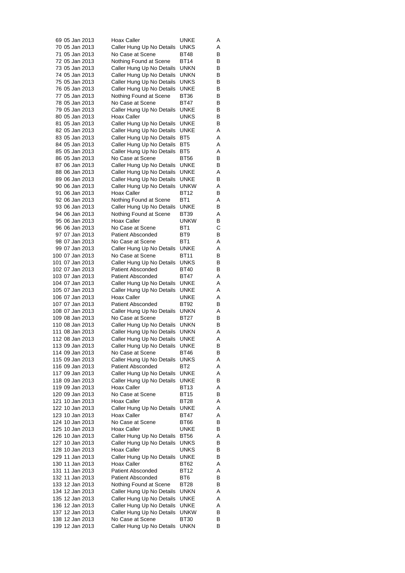| 69 05 Jan 2013  | Hoax Caller                                            | UNKE            | Α |
|-----------------|--------------------------------------------------------|-----------------|---|
| 70 05 Jan 2013  | Caller Hung Up No Details                              | UNKS            | Α |
| 71 05 Jan 2013  | No Case at Scene                                       | BT48            | В |
| 72 05 Jan 2013  | Nothing Found at Scene                                 | <b>BT14</b>     | В |
| 73 05 Jan 2013  | Caller Hung Up No Details                              | UNKN            | В |
| 74 05 Jan 2013  | Caller Hung Up No Details                              | UNKN            | В |
| 75 05 Jan 2013  | Caller Hung Up No Details                              | UNKS            | В |
| 76 05 Jan 2013  | Caller Hung Up No Details                              | UNKE            | В |
| 77 05 Jan 2013  | Nothing Found at Scene                                 | BT36            | В |
| 78 05 Jan 2013  | No Case at Scene                                       | BT47            | В |
| 79 05 Jan 2013  | Caller Hung Up No Details                              | UNKE            | В |
| 80 05 Jan 2013  | Hoax Caller                                            | UNKS            | В |
| 81 05 Jan 2013  |                                                        |                 | в |
|                 | Caller Hung Up No Details                              | UNKE            |   |
| 82 05 Jan 2013  | Caller Hung Up No Details                              | <b>UNKE</b>     | Α |
| 83 05 Jan 2013  | Caller Hung Up No Details                              | BT <sub>5</sub> | Α |
| 84 05 Jan 2013  | Caller Hung Up No Details                              | BT5             | Α |
| 85 05 Jan 2013  | Caller Hung Up No Details                              | BT5             | Α |
| 86 05 Jan 2013  | No Case at Scene                                       | <b>BT56</b>     | В |
| 87 06 Jan 2013  | Caller Hung Up No Details                              | <b>UNKE</b>     | В |
| 88 06 Jan 2013  | Caller Hung Up No Details                              | UNKE            | Α |
| 89 06 Jan 2013  | Caller Hung Up No Details                              | UNKE            | В |
| 90 06 Jan 2013  | Caller Hung Up No Details                              | unkw            | Α |
| 91 06 Jan 2013  | Hoax Caller                                            | <b>BT12</b>     | В |
| 92 06 Jan 2013  | Nothing Found at Scene                                 | BT <sub>1</sub> | Α |
| 93 06 Jan 2013  | Caller Hung Up No Details                              | UNKE            | В |
| 94 06 Jan 2013  | Nothing Found at Scene                                 | BT39            | Α |
| 95 06 Jan 2013  | Hoax Caller                                            | <b>UNKW</b>     | В |
| 96 06 Jan 2013  | No Case at Scene                                       | BT1             | С |
| 97 07 Jan 2013  | <b>Patient Absconded</b>                               | BT9             | В |
| 98 07 Jan 2013  | No Case at Scene                                       | BT1             | Α |
| 99 07 Jan 2013  | Caller Hung Up No Details                              | UNKE            | Α |
| 100 07 Jan 2013 | No Case at Scene                                       | <b>BT11</b>     | В |
| 101 07 Jan 2013 | Caller Hung Up No Details                              | <b>UNKS</b>     | В |
| 102 07 Jan 2013 | <b>Patient Absconded</b>                               | BT40            | В |
| 103 07 Jan 2013 | <b>Patient Absconded</b>                               | BT47            | Α |
| 104 07 Jan 2013 | Caller Hung Up No Details                              | UNKE            | Α |
| 105 07 Jan 2013 | Caller Hung Up No Details                              | UNKE            | Α |
| 106 07 Jan 2013 | Hoax Caller                                            | <b>UNKE</b>     | Α |
| 107 07 Jan 2013 | Patient Absconded                                      | <b>BT92</b>     | В |
| 108 07 Jan 2013 | Caller Hung Up No Details                              | UNKN            | Α |
| 109 08 Jan 2013 | No Case at Scene                                       | BT27            | В |
| 110 08 Jan 2013 | Caller Hung Up No Details                              | UNKN            | В |
| 111 08 Jan 2013 | Caller Hung Up No Details                              | <b>UNKN</b>     | Α |
| 112 08 Jan 2013 |                                                        | UNKE            | Α |
| 113 09 Jan 2013 | Caller Hung Up No Details<br>Caller Hung Up No Details |                 |   |
|                 |                                                        | UNKE            | в |
| 114 09 Jan 2013 | No Case at Scene                                       | BT46            | В |
| 115 09 Jan 2013 | Caller Hung Up No Details                              | UNKS            | Α |
| 116 09 Jan 2013 | <b>Patient Absconded</b>                               | BT2             | Α |
| 117 09 Jan 2013 | Caller Hung Up No Details                              | <b>UNKE</b>     | Α |
| 118 09 Jan 2013 | Caller Hung Up No Details                              | UNKE            | в |
| 119 09 Jan 2013 | Hoax Caller                                            | BT13            | Α |
| 120 09 Jan 2013 | No Case at Scene                                       | BT15            | В |
| 121 10 Jan 2013 | Hoax Caller                                            | BT28            | Α |
| 122 10 Jan 2013 | Caller Hung Up No Details                              | UNKE            | Α |
| 123 10 Jan 2013 | Hoax Caller                                            | BT47            | Α |
| 124 10 Jan 2013 | No Case at Scene                                       | BT66            | В |
| 125 10 Jan 2013 | Hoax Caller                                            | <b>UNKE</b>     | В |
| 126 10 Jan 2013 | Caller Hung Up No Details                              | <b>BT56</b>     | Α |
| 127 10 Jan 2013 | Caller Hung Up No Details                              | UNKS            | В |
| 128 10 Jan 2013 | Hoax Caller                                            | UNKS            | в |
| 129 11 Jan 2013 | Caller Hung Up No Details                              | UNKE            | В |
| 130 11 Jan 2013 | Hoax Caller                                            | BT62            | Α |
| 131 11 Jan 2013 | <b>Patient Absconded</b>                               | <b>BT12</b>     | Α |
| 132 11 Jan 2013 | <b>Patient Absconded</b>                               | BT6             | в |
| 133 12 Jan 2013 | Nothing Found at Scene                                 | BT28            | В |
| 134 12 Jan 2013 | Caller Hung Up No Details                              | UNKN            | Α |
| 135 12 Jan 2013 | Caller Hung Up No Details                              | UNKE            | Α |
| 136 12 Jan 2013 | Caller Hung Up No Details                              | UNKE            | Α |
| 137 12 Jan 2013 | Caller Hung Up No Details                              | <b>UNKW</b>     | В |
| 138 12 Jan 2013 | No Case at Scene                                       | BT30            | В |
| 139 12 Jan 2013 | Caller Hung Up No Details                              | <b>UNKN</b>     | В |
|                 |                                                        |                 |   |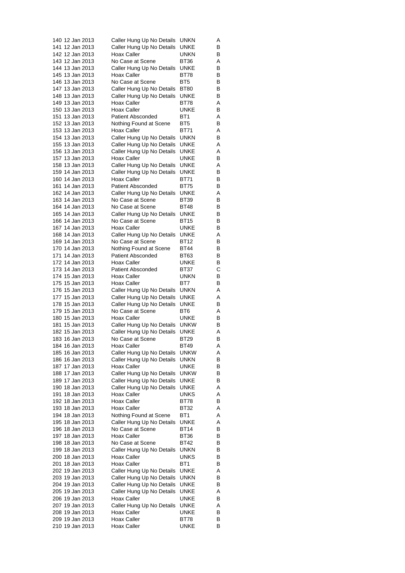| 140 12 Jan 2013 | Caller Hung Up No Details | UNKN            | Α |
|-----------------|---------------------------|-----------------|---|
| 141 12 Jan 2013 | Caller Hung Up No Details | UNKE            | В |
| 142 12 Jan 2013 | Hoax Caller               | UNKN            | В |
| 143 12 Jan 2013 | No Case at Scene          | BT36            | Α |
| 144 13 Jan 2013 | Caller Hung Up No Details | <b>UNKE</b>     | в |
| 145 13 Jan 2013 | <b>Hoax Caller</b>        | BT78            | В |
|                 | No Case at Scene          | BT <sub>5</sub> |   |
| 146 13 Jan 2013 |                           |                 | В |
| 147 13 Jan 2013 | Caller Hung Up No Details | <b>BT80</b>     | В |
| 148 13 Jan 2013 | Caller Hung Up No Details | UNKE            | В |
| 149 13 Jan 2013 | Hoax Caller               | BT78            | Α |
| 150 13 Jan 2013 | Hoax Caller               | UNKE            | В |
| 151 13 Jan 2013 | <b>Patient Absconded</b>  | BT <sub>1</sub> | Α |
| 152 13 Jan 2013 | Nothing Found at Scene    | BT5             | В |
| 153 13 Jan 2013 | Hoax Caller               | BT71            | Α |
| 154 13 Jan 2013 | Caller Hung Up No Details | UNKN            | в |
| 155 13 Jan 2013 | Caller Hung Up No Details | UNKE            | Α |
| 156 13 Jan 2013 | Caller Hung Up No Details | UNKE            | Α |
|                 | Hoax Caller               | UNKE            | В |
| 157 13 Jan 2013 |                           |                 |   |
| 158 13 Jan 2013 | Caller Hung Up No Details | UNKE            | Α |
| 159 14 Jan 2013 | Caller Hung Up No Details | UNKE            | В |
| 160 14 Jan 2013 | Hoax Caller               | BT71            | В |
| 161 14 Jan 2013 | <b>Patient Absconded</b>  | <b>BT75</b>     | в |
| 162 14 Jan 2013 | Caller Hung Up No Details | UNKE            | Α |
| 163 14 Jan 2013 | No Case at Scene          | <b>BT39</b>     | В |
| 164 14 Jan 2013 | No Case at Scene          | BT48            | в |
| 165 14 Jan 2013 | Caller Hung Up No Details | UNKE            | В |
| 166 14 Jan 2013 | No Case at Scene          | BT15            | В |
| 167 14 Jan 2013 | Hoax Caller               | <b>UNKE</b>     | В |
|                 |                           |                 |   |
| 168 14 Jan 2013 | Caller Hung Up No Details | UNKE            | Α |
| 169 14 Jan 2013 | No Case at Scene          | BT12            | В |
| 170 14 Jan 2013 | Nothing Found at Scene    | BT44            | В |
| 171 14 Jan 2013 | <b>Patient Absconded</b>  | BT63            | В |
| 172 14 Jan 2013 | Hoax Caller               | UNKE            | В |
| 173 14 Jan 2013 | <b>Patient Absconded</b>  | BT37            | С |
| 174 15 Jan 2013 | Hoax Caller               | UNKN            | в |
| 175 15 Jan 2013 | Hoax Caller               | BT7             | В |
| 176 15 Jan 2013 | Caller Hung Up No Details | <b>UNKN</b>     | Α |
| 177 15 Jan 2013 | Caller Hung Up No Details | UNKE            | Α |
| 178 15 Jan 2013 | Caller Hung Up No Details | UNKE            | В |
| 179 15 Jan 2013 | No Case at Scene          | BT6             | Α |
|                 |                           |                 |   |
| 180 15 Jan 2013 | Hoax Caller               | UNKE            | В |
| 181 15 Jan 2013 | Caller Hung Up No Details | <b>UNKW</b>     | В |
| 182 15 Jan 2013 | Caller Hung Up No Details | UNKE            | Α |
| 183 16 Jan 2013 | No Case at Scene          | <b>BT29</b>     | В |
| 184 16 Jan 2013 | <b>Hoax Caller</b>        | <b>BT49</b>     | Α |
| 185 16 Jan 2013 | Caller Hung Up No Details | <b>UNKW</b>     | Α |
| 186 16 Jan 2013 | Caller Hung Up No Details | UNKN            | В |
| 187 17 Jan 2013 | Hoax Caller               | UNKE            | В |
| 188 17 Jan 2013 | Caller Hung Up No Details | <b>UNKW</b>     | В |
| 189 17 Jan 2013 | Caller Hung Up No Details | <b>UNKE</b>     | В |
| 190 18 Jan 2013 | Caller Hung Up No Details | UNKE            | Α |
|                 |                           |                 |   |
| 191 18 Jan 2013 | Hoax Caller               | UNKS            | Α |
| 192 18 Jan 2013 | Hoax Caller               | BT78            | В |
| 193 18 Jan 2013 | Hoax Caller               | BT32            | Α |
| 194 18 Jan 2013 | Nothing Found at Scene    | BT1             | Α |
| 195 18 Jan 2013 | Caller Hung Up No Details | UNKE            | Α |
| 196 18 Jan 2013 | No Case at Scene          | <b>BT14</b>     | В |
| 197 18 Jan 2013 | <b>Hoax Caller</b>        | BT36            | В |
| 198 18 Jan 2013 | No Case at Scene          | BT42            | В |
| 199 18 Jan 2013 | Caller Hung Up No Details | UNKN            | В |
| 200 18 Jan 2013 | Hoax Caller               | UNKS            | В |
|                 | Hoax Caller               | BT1             | в |
| 201 18 Jan 2013 |                           |                 |   |
| 202 19 Jan 2013 | Caller Hung Up No Details | UNKE            | Α |
| 203 19 Jan 2013 | Caller Hung Up No Details | <b>UNKN</b>     | В |
| 204 19 Jan 2013 | Caller Hung Up No Details | UNKE            | В |
| 205 19 Jan 2013 | Caller Hung Up No Details | UNKE            | Α |
| 206 19 Jan 2013 | Hoax Caller               | UNKE            | В |
| 207 19 Jan 2013 | Caller Hung Up No Details | UNKE            | Α |
| 208 19 Jan 2013 | Hoax Caller               | UNKE            | В |
| 209 19 Jan 2013 | Hoax Caller               | BT78            | В |
| 210 19 Jan 2013 | Hoax Caller               | <b>UNKE</b>     | В |
|                 |                           |                 |   |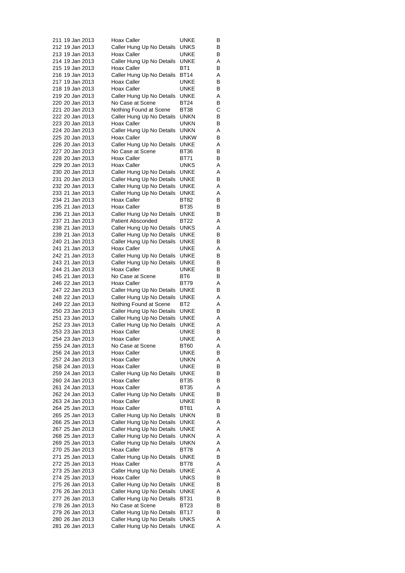| 211 19 Jan 2013                    | Hoax Caller                                   | UNKE            | В      |
|------------------------------------|-----------------------------------------------|-----------------|--------|
| 212 19 Jan 2013                    | Caller Hung Up No Details                     | UNKS            | В      |
| 213 19 Jan 2013                    | Hoax Caller                                   | UNKE            | В      |
| 214 19 Jan 2013                    | Caller Hung Up No Details                     | UNKE            | Α      |
| 215 19 Jan 2013                    | Hoax Caller                                   | BT <sub>1</sub> | в      |
| 216 19 Jan 2013                    | Caller Hung Up No Details                     | <b>BT14</b>     | Α      |
| 217 19 Jan 2013                    | Hoax Caller                                   | UNKE            | В      |
| 218 19 Jan 2013                    | Hoax Caller                                   | UNKE            | В      |
| 219 20 Jan 2013                    | Caller Hung Up No Details                     | UNKE            | Α      |
| 220 20 Jan 2013                    | No Case at Scene                              | BT24            | В      |
| 221 20 Jan 2013                    | Nothing Found at Scene                        | BT38            | С      |
| 222 20 Jan 2013                    | Caller Hung Up No Details                     | unkn            | в      |
| 223 20 Jan 2013                    | Hoax Caller                                   | unkn            | В      |
| 224 20 Jan 2013                    | Caller Hung Up No Details                     | UNKN            | Α      |
| 225 20 Jan 2013                    | Hoax Caller                                   | UNKW            | В      |
| 226 20 Jan 2013                    | Caller Hung Up No Details                     | UNKE            | Α      |
| 227 20 Jan 2013                    | No Case at Scene                              | BT36            | В      |
| 228 20 Jan 2013                    | Hoax Caller                                   | BT71            | В      |
| 229 20 Jan 2013                    | Hoax Caller                                   | UNKS            | Α      |
| 230 20 Jan 2013                    | Caller Hung Up No Details                     | UNKE            | Α      |
| 231 20 Jan 2013                    | Caller Hung Up No Details                     | UNKE            | В      |
| 232 20 Jan 2013                    | Caller Hung Up No Details                     | UNKE            | Α      |
| 233 21 Jan 2013                    | Caller Hung Up No Details                     | UNKE            | Α      |
| 234 21 Jan 2013                    | Hoax Caller                                   | BT82            | В      |
| 235 21 Jan 2013                    | Hoax Caller                                   | <b>BT35</b>     | В      |
| 236 21 Jan 2013                    | Caller Hung Up No Details                     | UNKE            | в      |
| 237 21 Jan 2013                    | <b>Patient Absconded</b>                      | BT22            | Α      |
| 238 21 Jan 2013                    | Caller Hung Up No Details                     | <b>UNKS</b>     | Α      |
|                                    |                                               |                 |        |
| 239 21 Jan 2013                    | Caller Hung Up No Details                     | UNKE            | В      |
| 240 21 Jan 2013                    | Caller Hung Up No Details                     | UNKE            | В      |
| 241 21 Jan 2013                    | Hoax Caller                                   | UNKE            | Α      |
| 242 21 Jan 2013                    | Caller Hung Up No Details                     | UNKE            | В      |
| 243 21 Jan 2013                    | Caller Hung Up No Details                     | UNKE            | В      |
| 244 21 Jan 2013                    | Hoax Caller                                   | UNKE            | В      |
| 245 21 Jan 2013                    | No Case at Scene                              | BT6             | В      |
| 246 22 Jan 2013                    | Hoax Caller                                   | BT79            | Α      |
| 247 22 Jan 2013                    | Caller Hung Up No Details                     | UNKE            | В      |
| 248 22 Jan 2013                    | Caller Hung Up No Details                     | UNKE            | Α      |
| 249 22 Jan 2013                    | Nothing Found at Scene                        | BT2             | Α      |
| 250 23 Jan 2013                    | Caller Hung Up No Details                     | UNKE            | В      |
| 251 23 Jan 2013                    | Caller Hung Up No Details                     | UNKE            | Α      |
| 252 23 Jan 2013                    | Caller Hung Up No Details                     | UNKE            | Α      |
| 253 23 Jan 2013                    | <b>Hoax Caller</b>                            | UNKE            | В      |
| 254 23 Jan 2013                    | Hoax Caller                                   | UNKE            | Α      |
| 255 24 Jan 2013                    | No Case at Scene                              | BT60            | Α      |
| 256 24 Jan 2013                    | Hoax Caller                                   | UNKE            | В      |
| 257 24 Jan 2013                    | Hoax Caller                                   | <b>UNKN</b>     | Α      |
| 258 24 Jan 2013                    | Hoax Caller                                   | UNKE            | В      |
| 259 24 Jan 2013                    | Caller Hung Up No Details                     | UNKE            | В      |
| 260 24 Jan 2013                    | Hoax Caller                                   | BT35            | В      |
| 261 24 Jan 2013                    | Hoax Caller                                   | BT35            | Α      |
| 262 24 Jan 2013                    | Caller Hung Up No Details                     | UNKE            | в      |
| 263 24 Jan 2013                    | Hoax Caller                                   | UNKE            | В      |
| 264 25 Jan 2013                    | Hoax Caller                                   | BT81            | Α      |
| 265 25 Jan 2013                    | Caller Hung Up No Details                     | unkn            | в      |
| 266 25 Jan 2013                    | Caller Hung Up No Details                     | UNKE            | Α      |
| 267 25 Jan 2013                    | Caller Hung Up No Details                     | UNKE            | Α      |
| 268 25 Jan 2013                    | Caller Hung Up No Details                     | UNKN            | Α      |
| 269 25 Jan 2013                    | Caller Hung Up No Details                     | UNKN            | Α      |
| 270 25 Jan 2013                    | Hoax Caller                                   | BT78            | Α      |
| 271 25 Jan 2013                    | Caller Hung Up No Details                     | UNKE            | В      |
| 272 25 Jan 2013                    | Hoax Caller                                   | BT78            | Α      |
| 273 25 Jan 2013                    | Caller Hung Up No Details                     | UNKE            | Α      |
| 274 25 Jan 2013                    | Hoax Caller                                   | UNKS            | В      |
| 275 26 Jan 2013                    | Caller Hung Up No Details                     | UNKE            | в      |
| 276 26 Jan 2013                    | Caller Hung Up No Details                     | UNKE            | Α      |
|                                    |                                               |                 |        |
| 277 26 Jan 2013                    | Caller Hung Up No Details<br>No Case at Scene | BT31            | в      |
| 278 26 Jan 2013                    |                                               | BT23            | в<br>В |
| 279 26 Jan 2013<br>280 26 Jan 2013 | Caller Hung Up No Details                     | BT17            | Α      |
| 281 26 Jan 2013                    | Caller Hung Up No Details                     | <b>UNKS</b>     |        |
|                                    | Caller Hung Up No Details                     | UNKE            | Α      |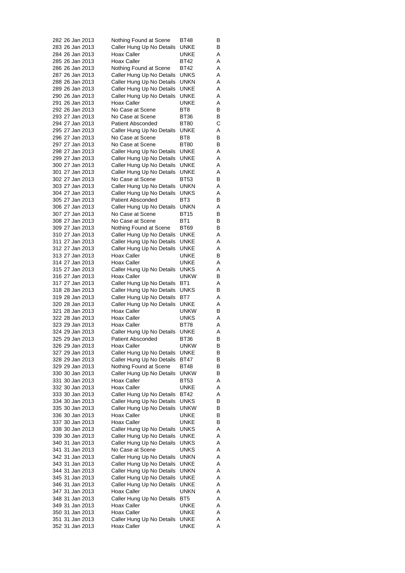| 282 26 Jan 2013                    | Nothing Found at Scene                                 | BT48            | В      |
|------------------------------------|--------------------------------------------------------|-----------------|--------|
| 283 26 Jan 2013                    | Caller Hung Up No Details                              | UNKE            | В      |
| 284 26 Jan 2013                    | Hoax Caller                                            | UNKE            | Α      |
| 285 26 Jan 2013                    | Hoax Caller                                            | BT42            | Α      |
| 286 26 Jan 2013                    | Nothing Found at Scene                                 | <b>BT42</b>     | Α      |
| 287 26 Jan 2013                    | Caller Hung Up No Details                              | UNKS            | Α      |
| 288 26 Jan 2013                    | Caller Hung Up No Details                              | UNKN            | Α      |
| 289 26 Jan 2013                    | Caller Hung Up No Details                              | UNKE            | Α      |
| 290 26 Jan 2013                    | Caller Hung Up No Details                              | UNKE            | Α      |
| 291 26 Jan 2013                    | Hoax Caller                                            | UNKE            | Α      |
| 292 26 Jan 2013                    | No Case at Scene                                       | BT <sub>8</sub> | В      |
| 293 27 Jan 2013<br>294 27 Jan 2013 | No Case at Scene<br>Patient Absconded                  | BT36<br>BT80    | В<br>С |
| 295 27 Jan 2013                    | Caller Hung Up No Details                              | UNKE            | Α      |
| 296 27 Jan 2013                    | No Case at Scene                                       | BT8             | В      |
| 297 27 Jan 2013                    | No Case at Scene                                       | <b>BT80</b>     | В      |
| 298 27 Jan 2013                    | Caller Hung Up No Details                              | UNKE            | Α      |
| 299 27 Jan 2013                    | Caller Hung Up No Details                              | UNKE            | Α      |
| 300 27 Jan 2013                    | Caller Hung Up No Details                              | UNKE            | Α      |
| 301 27 Jan 2013                    | Caller Hung Up No Details                              | UNKE            | Α      |
| 302 27 Jan 2013                    | No Case at Scene                                       | BT53            | В      |
| 303 27 Jan 2013                    | Caller Hung Up No Details                              | UNKN            | Α      |
| 304 27 Jan 2013                    | Caller Hung Up No Details                              | UNKS            | Α      |
| 305 27 Jan 2013                    | <b>Patient Absconded</b>                               | BT <sub>3</sub> | В      |
| 306 27 Jan 2013                    | Caller Hung Up No Details                              | unkn            | Α      |
| 307 27 Jan 2013                    | No Case at Scene                                       | <b>BT15</b>     | В      |
| 308 27 Jan 2013                    | No Case at Scene                                       | BT1             | В      |
| 309 27 Jan 2013                    | Nothing Found at Scene                                 | BT69            | В      |
| 310 27 Jan 2013                    | Caller Hung Up No Details                              | UNKE            | Α      |
| 311 27 Jan 2013                    | Caller Hung Up No Details                              | UNKE            | Α      |
| 312 27 Jan 2013                    | Caller Hung Up No Details                              | UNKE            | Α      |
| 313 27 Jan 2013<br>314 27 Jan 2013 | Hoax Caller<br>Hoax Caller                             | UNKE<br>UNKE    | В<br>Α |
| 315 27 Jan 2013                    | Caller Hung Up No Details                              | UNKS            | Α      |
| 316 27 Jan 2013                    | Hoax Caller                                            | <b>UNKW</b>     | В      |
| 317 27 Jan 2013                    | Caller Hung Up No Details                              | BT1             | Α      |
| 318 28 Jan 2013                    | Caller Hung Up No Details                              | UNKS            | В      |
| 319 28 Jan 2013                    | Caller Hung Up No Details                              | BT7             | Α      |
| 320 28 Jan 2013                    | Caller Hung Up No Details                              | UNKE            | Α      |
| 321 28 Jan 2013                    | Hoax Caller                                            | <b>UNKW</b>     | В      |
| 322 28 Jan 2013                    | Hoax Caller                                            | <b>UNKS</b>     | Α      |
| 323 29 Jan 2013                    | Hoax Caller                                            | BT78            | Α      |
| 324 29 Jan 2013                    | Caller Hung Up No Details                              | UNKE            | Α      |
| 325 29 Jan 2013                    | <b>Patient Absconded</b>                               | BT36            | В      |
| 326 29 Jan 2013                    | <b>Hoax Caller</b>                                     | <b>UNKW</b>     | в      |
| 327 29 Jan 2013                    | Caller Hung Up No Details                              | UNKE            | В      |
| 328 29 Jan 2013<br>329 29 Jan 2013 | Caller Hung Up No Details<br>Nothing Found at Scene    | BT47<br>BT48    | В<br>В |
| 330 30 Jan 2013                    | Caller Hung Up No Details                              | <b>UNKW</b>     | В      |
| 331 30 Jan 2013                    | Hoax Caller                                            | BT53            | Α      |
| 332 30 Jan 2013                    | <b>Hoax Caller</b>                                     | <b>UNKE</b>     | Α      |
| 333 30 Jan 2013                    | Caller Hung Up No Details                              | BT42            | Α      |
| 334 30 Jan 2013                    | Caller Hung Up No Details                              | UNKS            | В      |
| 335 30 Jan 2013                    | Caller Hung Up No Details                              | <b>UNKW</b>     | В      |
| 336 30 Jan 2013                    | Hoax Caller                                            | UNKE            | В      |
| 337 30 Jan 2013                    | Hoax Caller                                            | UNKE            | В      |
| 338 30 Jan 2013                    | Caller Hung Up No Details                              | UNKS            | Α      |
| 339 30 Jan 2013                    | Caller Hung Up No Details                              | UNKE            | Α      |
| 340 31 Jan 2013                    | Caller Hung Up No Details                              | UNKS            | Α      |
| 341 31 Jan 2013                    | No Case at Scene                                       | UNKS            | Α      |
| 342 31 Jan 2013                    | Caller Hung Up No Details                              | UNKN            | Α      |
| 343 31 Jan 2013<br>344 31 Jan 2013 | Caller Hung Up No Details                              | UNKE            | Α      |
| 345 31 Jan 2013                    | Caller Hung Up No Details                              | UNKN            | Α      |
| 346 31 Jan 2013                    | Caller Hung Up No Details<br>Caller Hung Up No Details | UNKE<br>UNKE    | Α<br>Α |
| 347 31 Jan 2013                    | Hoax Caller                                            | UNKN            | Α      |
| 348 31 Jan 2013                    | Caller Hung Up No Details                              | BT5             | Α      |
| 349 31 Jan 2013                    | Hoax Caller                                            | UNKE            | Α      |
| 350 31 Jan 2013                    | Hoax Caller                                            | UNKE            | Α      |
| 351 31 Jan 2013                    | Caller Hung Up No Details                              | UNKE            | Α      |
| 352 31 Jan 2013                    | Hoax Caller                                            | <b>UNKE</b>     | Α      |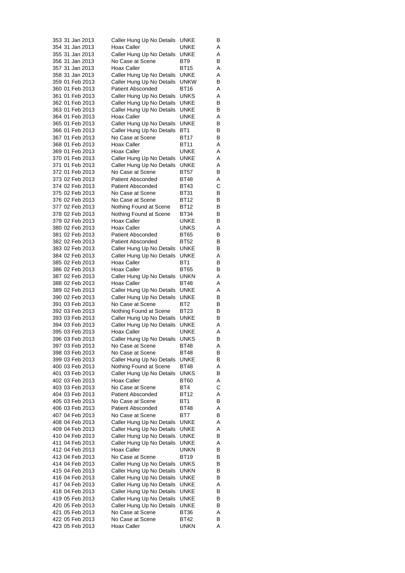| 353 31 Jan 2013                    | Caller Hung Up No Details                     | UNKE                | В      |
|------------------------------------|-----------------------------------------------|---------------------|--------|
| 354 31 Jan 2013                    | Hoax Caller                                   | UNKE                | Α      |
| 355 31 Jan 2013                    | Caller Hung Up No Details                     | UNKE                | Α      |
| 356 31 Jan 2013                    | No Case at Scene                              | BT9                 | В      |
| 357 31 Jan 2013                    | <b>Hoax Caller</b>                            | <b>BT15</b>         | Α      |
| 358 31 Jan 2013                    | Caller Hung Up No Details                     | UNKE                | Α      |
| 359 01 Feb 2013                    | Caller Hung Up No Details                     | <b>UNKW</b>         | В      |
| 360 01 Feb 2013                    | <b>Patient Absconded</b>                      | BT16                | Α      |
| 361 01 Feb 2013                    | Caller Hung Up No Details                     | UNKS                | Α      |
| 362 01 Feb 2013                    | Caller Hung Up No Details                     | UNKE                | В      |
| 363 01 Feb 2013<br>364 01 Feb 2013 | Caller Hung Up No Details<br>Hoax Caller      | UNKE<br>UNKE        | В      |
| 365 01 Feb 2013                    | Caller Hung Up No Details                     | <b>UNKE</b>         | Α<br>В |
| 366 01 Feb 2013                    |                                               | BT <sub>1</sub>     | В      |
| 367 01 Feb 2013                    | Caller Hung Up No Details<br>No Case at Scene | BT17                | В      |
| 368 01 Feb 2013                    | Hoax Caller                                   | BT11                | Α      |
| 369 01 Feb 2013                    | Hoax Caller                                   | UNKE                | Α      |
| 370 01 Feb 2013                    | Caller Hung Up No Details                     | UNKE                | Α      |
| 371 01 Feb 2013                    | Caller Hung Up No Details                     | UNKE                | Α      |
| 372 01 Feb 2013                    | No Case at Scene                              | BT57                | В      |
| 373 02 Feb 2013                    | <b>Patient Absconded</b>                      | BT48                | Α      |
| 374 02 Feb 2013                    | <b>Patient Absconded</b>                      | BT43                | С      |
| 375 02 Feb 2013                    | No Case at Scene                              | BT31                | В      |
| 376 02 Feb 2013                    | No Case at Scene                              | BT12                | В      |
| 377 02 Feb 2013                    | Nothing Found at Scene                        | BT12                | В      |
| 378 02 Feb 2013                    | Nothing Found at Scene                        | BT34                | В      |
| 379 02 Feb 2013                    | Hoax Caller                                   | UNKE                | В      |
| 380 02 Feb 2013                    | Hoax Caller                                   | UNKS                | Α      |
| 381 02 Feb 2013                    | <b>Patient Absconded</b>                      | BT65                | В      |
| 382 02 Feb 2013                    | <b>Patient Absconded</b>                      | BT52                | В      |
| 383 02 Feb 2013                    | Caller Hung Up No Details                     | UNKE                | В      |
| 384 02 Feb 2013                    | Caller Hung Up No Details                     | UNKE                | Α      |
| 385 02 Feb 2013                    | Hoax Caller                                   | BT <sub>1</sub>     | В      |
| 386 02 Feb 2013<br>387 02 Feb 2013 | Hoax Caller                                   | BT65<br><b>UNKN</b> | В      |
| 388 02 Feb 2013                    | Caller Hung Up No Details<br>Hoax Caller      | BT48                | Α<br>Α |
| 389 02 Feb 2013                    | Caller Hung Up No Details                     | UNKE                | Α      |
| 390 02 Feb 2013                    | Caller Hung Up No Details                     | UNKE                | В      |
| 391 03 Feb 2013                    | No Case at Scene                              | BT <sub>2</sub>     | В      |
| 392 03 Feb 2013                    | Nothing Found at Scene                        | BT23                | В      |
| 393 03 Feb 2013                    | Caller Hung Up No Details                     | UNKE                | В      |
| 394 03 Feb 2013                    | Caller Hung Up No Details                     | <b>UNKE</b>         | Α      |
| 395 03 Feb 2013                    | Hoax Caller                                   | UNKE                | Α      |
| 396 03 Feb 2013                    | Caller Hung Up No Details                     | UNKS                | В      |
| 397 03 Feb 2013                    | No Case at Scene                              | <b>BT48</b>         | Α      |
| 398 03 Feb 2013                    | No Case at Scene                              | BT48                | В      |
| 399 03 Feb 2013                    | Caller Hung Up No Details                     | UNKE                | В      |
| 400 03 Feb 2013                    | Nothing Found at Scene                        | BT48                | Α      |
| 401 03 Feb 2013                    | Caller Hung Up No Details                     | UNKS                | В      |
| 402 03 Feb 2013<br>403 03 Feb 2013 | Hoax Caller<br>No Case at Scene               | <b>BT60</b><br>BT4  | Α<br>С |
| 404 03 Feb 2013                    | <b>Patient Absconded</b>                      | BT12                | Α      |
| 405 03 Feb 2013                    | No Case at Scene                              | BT1                 | В      |
| 406 03 Feb 2013                    | <b>Patient Absconded</b>                      | BT48                | Α      |
| 407 04 Feb 2013                    | No Case at Scene                              | BT7                 | В      |
| 408 04 Feb 2013                    | Caller Hung Up No Details                     | <b>UNKE</b>         | Α      |
| 409 04 Feb 2013                    | Caller Hung Up No Details                     | <b>UNKE</b>         | Α      |
| 410 04 Feb 2013                    | Caller Hung Up No Details                     | UNKE                | В      |
| 411 04 Feb 2013                    | Caller Hung Up No Details                     | UNKE                | Α      |
| 412 04 Feb 2013                    | Hoax Caller                                   | UNKN                | В      |
| 413 04 Feb 2013                    | No Case at Scene                              | BT19                | В      |
| 414 04 Feb 2013                    | Caller Hung Up No Details                     | UNKS                | В      |
| 415 04 Feb 2013                    | Caller Hung Up No Details                     | UNKN                | В      |
| 416 04 Feb 2013                    | Caller Hung Up No Details                     | UNKE                | В      |
| 417 04 Feb 2013                    | Caller Hung Up No Details                     | UNKE                | Α      |
| 418 04 Feb 2013                    | Caller Hung Up No Details                     | UNKE                | В      |
| 419 05 Feb 2013                    | Caller Hung Up No Details                     | UNKE                | В      |
| 420 05 Feb 2013                    | Caller Hung Up No Details                     | UNKE                | в      |
| 421 05 Feb 2013                    | No Case at Scene                              | BT36                | Α      |
| 422 05 Feb 2013                    | No Case at Scene                              | BT42                | В      |
| 423 05 Feb 2013                    | Hoax Caller                                   | UNKN                | Α      |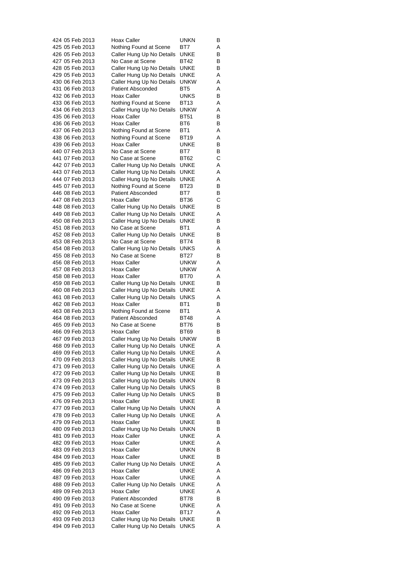| 424 05 Feb 2013                    | <b>Hoax Caller</b>                                     | UNKN                | В      |
|------------------------------------|--------------------------------------------------------|---------------------|--------|
| 425 05 Feb 2013                    | Nothing Found at Scene                                 | BT7                 | Α      |
| 426 05 Feb 2013                    | Caller Hung Up No Details                              | UNKE                | В      |
| 427 05 Feb 2013                    | No Case at Scene                                       | BT42                | В      |
| 428 05 Feb 2013                    | Caller Hung Up No Details                              | <b>UNKE</b>         | В      |
| 429 05 Feb 2013                    | Caller Hung Up No Details                              | UNKE                | Α      |
| 430 06 Feb 2013                    | Caller Hung Up No Details                              | <b>UNKW</b>         | Α      |
| 431 06 Feb 2013<br>432 06 Feb 2013 | <b>Patient Absconded</b>                               | BT5                 | Α      |
| 433 06 Feb 2013                    | Hoax Caller                                            | UNKS<br>BT13        | В<br>Α |
| 434 06 Feb 2013                    | Nothing Found at Scene<br>Caller Hung Up No Details    | <b>UNKW</b>         | Α      |
| 435 06 Feb 2013                    | Hoax Caller                                            | <b>BT51</b>         | В      |
| 436 06 Feb 2013                    | Hoax Caller                                            | BT6                 | В      |
| 437 06 Feb 2013                    | Nothing Found at Scene                                 | BT1                 | Α      |
| 438 06 Feb 2013                    | Nothing Found at Scene                                 | BT19                | Α      |
| 439 06 Feb 2013                    | Hoax Caller                                            | UNKE                | В      |
| 440 07 Feb 2013                    | No Case at Scene                                       | BT7                 | В      |
| 441 07 Feb 2013                    | No Case at Scene                                       | BT62                | С      |
| 442 07 Feb 2013                    | Caller Hung Up No Details                              | <b>UNKE</b>         | Α      |
| 443 07 Feb 2013                    | Caller Hung Up No Details                              | UNKE                | Α      |
| 444 07 Feb 2013                    | Caller Hung Up No Details                              | UNKE                | Α      |
| 445 07 Feb 2013                    | Nothing Found at Scene                                 | <b>BT23</b>         | В      |
| 446 08 Feb 2013                    | <b>Patient Absconded</b>                               | BT7                 | В      |
| 447 08 Feb 2013                    | Hoax Caller                                            | BT36                | С      |
| 448 08 Feb 2013                    | Caller Hung Up No Details                              | UNKE                | В      |
| 449 08 Feb 2013                    | Caller Hung Up No Details                              | UNKE                | Α      |
| 450 08 Feb 2013                    | Caller Hung Up No Details                              | UNKE                | В      |
| 451 08 Feb 2013                    | No Case at Scene                                       | BT <sub>1</sub>     | Α      |
| 452 08 Feb 2013                    | Caller Hung Up No Details                              | <b>UNKE</b>         | В      |
| 453 08 Feb 2013<br>454 08 Feb 2013 | No Case at Scene                                       | BT74                | В      |
| 455 08 Feb 2013                    | Caller Hung Up No Details<br>No Case at Scene          | UNKS<br><b>BT27</b> | Α<br>В |
| 456 08 Feb 2013                    | Hoax Caller                                            | unkw                | Α      |
| 457 08 Feb 2013                    | Hoax Caller                                            | <b>UNKW</b>         | Α      |
| 458 08 Feb 2013                    | Hoax Caller                                            | BT70                | Α      |
| 459 08 Feb 2013                    | Caller Hung Up No Details                              | UNKE                | В      |
| 460 08 Feb 2013                    | Caller Hung Up No Details                              | UNKE                | Α      |
| 461 08 Feb 2013                    | Caller Hung Up No Details                              | <b>UNKS</b>         | Α      |
| 462 08 Feb 2013                    | Hoax Caller                                            | BT1                 | В      |
| 463 08 Feb 2013                    | Nothing Found at Scene                                 | BT1                 | Α      |
| 464 08 Feb 2013                    | <b>Patient Absconded</b>                               | BT48                | A      |
| 465 09 Feb 2013                    | No Case at Scene                                       | BT76                | В      |
| 466 09 Feb 2013                    | Hoax Caller                                            | BT69                | В      |
| 467 09 Feb 2013                    | Caller Hung Up No Details                              | unkw                | В      |
| 468 09 Feb 2013                    | Caller Hung Up No Details                              | UNKE                | Α      |
| 469 09 Feb 2013                    | Caller Hung Up No Details                              | UNKE                | Α      |
| 470 09 Feb 2013                    | Caller Hung Up No Details                              | UNKE                | в      |
| 471 09 Feb 2013                    | Caller Hung Up No Details                              | UNKE                | Α      |
| 472 09 Feb 2013                    | Caller Hung Up No Details                              | <b>UNKE</b>         | В      |
| 473 09 Feb 2013                    | Caller Hung Up No Details                              | UNKN                | В      |
| 474 09 Feb 2013                    | Caller Hung Up No Details                              | UNKS                | В      |
| 475 09 Feb 2013                    | Caller Hung Up No Details                              | UNKS                | В      |
| 476 09 Feb 2013<br>477 09 Feb 2013 | Hoax Caller                                            | UNKE                | В      |
| 478 09 Feb 2013                    | Caller Hung Up No Details<br>Caller Hung Up No Details | UNKN<br>UNKE        | Α<br>Α |
| 479 09 Feb 2013                    | Hoax Caller                                            | UNKE                | В      |
| 480 09 Feb 2013                    | Caller Hung Up No Details                              | UNKN                | В      |
| 481 09 Feb 2013                    | Hoax Caller                                            | UNKE                | Α      |
| 482 09 Feb 2013                    | Hoax Caller                                            | UNKE                | Α      |
| 483 09 Feb 2013                    | Hoax Caller                                            | UNKN                | В      |
| 484 09 Feb 2013                    | Hoax Caller                                            | UNKE                | В      |
| 485 09 Feb 2013                    | Caller Hung Up No Details                              | UNKE                | Α      |
| 486 09 Feb 2013                    | Hoax Caller                                            | UNKE                | Α      |
| 487 09 Feb 2013                    | Hoax Caller                                            | UNKE                | Α      |
| 488 09 Feb 2013                    | Caller Hung Up No Details                              | UNKE                | Α      |
| 489 09 Feb 2013                    | Hoax Caller                                            | UNKE                | Α      |
| 490 09 Feb 2013                    | <b>Patient Absconded</b>                               | BT78                | В      |
| 491 09 Feb 2013                    | No Case at Scene                                       | UNKE                | Α      |
| 492 09 Feb 2013                    | Hoax Caller                                            | BT17                | Α      |
| 493 09 Feb 2013                    | Caller Hung Up No Details                              | UNKE                | В      |
| 494 09 Feb 2013                    | Caller Hung Up No Details                              | UNKS                | Α      |
|                                    |                                                        |                     |        |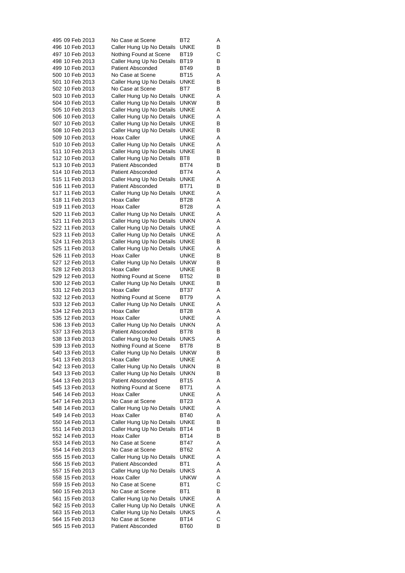| 495 09 Feb 2013                    | No Case at Scene                              | BT2                 | A      |
|------------------------------------|-----------------------------------------------|---------------------|--------|
| 496 10 Feb 2013                    | Caller Hung Up No Details                     | UNKE                | В      |
| 497 10 Feb 2013                    | Nothing Found at Scene                        | BT19                | С      |
| 498 10 Feb 2013                    | Caller Hung Up No Details                     | BT19                | В      |
| 499 10 Feb 2013                    | <b>Patient Absconded</b>                      | BT49                | В      |
| 500 10 Feb 2013                    | No Case at Scene                              | <b>BT15</b>         | Α      |
| 501 10 Feb 2013                    | Caller Hung Up No Details                     | <b>UNKE</b>         | В      |
| 502 10 Feb 2013                    | No Case at Scene                              | BT7                 | В      |
| 503 10 Feb 2013                    | Caller Hung Up No Details                     | UNKE                | Α      |
| 504 10 Feb 2013                    | Caller Hung Up No Details                     | <b>UNKW</b>         | В      |
| 505 10 Feb 2013                    | Caller Hung Up No Details                     | UNKE                | Α      |
| 506 10 Feb 2013                    | Caller Hung Up No Details                     | UNKE                | Α      |
| 507 10 Feb 2013                    | Caller Hung Up No Details                     | UNKE                | В      |
| 508 10 Feb 2013                    | Caller Hung Up No Details                     | UNKE                | В      |
| 509 10 Feb 2013                    | <b>Hoax Caller</b>                            | UNKE                | Α      |
| 510 10 Feb 2013                    | Caller Hung Up No Details                     | UNKE                | Α      |
| 511 10 Feb 2013                    | Caller Hung Up No Details                     | UNKE                | В      |
| 512 10 Feb 2013                    | Caller Hung Up No Details                     | BT8                 | В      |
| 513 10 Feb 2013                    | <b>Patient Absconded</b>                      | BT74                | В      |
| 514 10 Feb 2013                    | <b>Patient Absconded</b>                      | BT74                | Α      |
| 515 11 Feb 2013                    | Caller Hung Up No Details                     | <b>UNKE</b>         | Α      |
| 516 11 Feb 2013                    | <b>Patient Absconded</b>                      | BT71                | В      |
| 517 11 Feb 2013                    | Caller Hung Up No Details                     | <b>UNKE</b>         | Α      |
| 518 11 Feb 2013                    | Hoax Caller                                   | BT28                | Α      |
| 519 11 Feb 2013                    | Hoax Caller                                   | <b>BT28</b>         | Α      |
| 520 11 Feb 2013                    | Caller Hung Up No Details                     | UNKE                | Α      |
| 521 11 Feb 2013                    | Caller Hung Up No Details                     | UNKN                | Α      |
| 522 11 Feb 2013                    | Caller Hung Up No Details                     | UNKE                | Α      |
| 523 11 Feb 2013                    | Caller Hung Up No Details                     | UNKE                | Α      |
| 524 11 Feb 2013                    | Caller Hung Up No Details                     | UNKE                | В      |
| 525 11 Feb 2013                    | Caller Hung Up No Details                     | UNKE                | Α      |
| 526 11 Feb 2013                    | Hoax Caller                                   | UNKE                | В      |
| 527 12 Feb 2013                    | Caller Hung Up No Details                     | <b>UNKW</b>         | В      |
| 528 12 Feb 2013                    | Hoax Caller                                   | UNKE                | В      |
| 529 12 Feb 2013                    | Nothing Found at Scene                        | BT52                | В      |
| 530 12 Feb 2013                    | Caller Hung Up No Details                     | UNKE                | В      |
| 531 12 Feb 2013                    | Hoax Caller                                   | BT37                | Α      |
| 532 12 Feb 2013                    | Nothing Found at Scene                        | BT79                | Α      |
| 533 12 Feb 2013                    | Caller Hung Up No Details                     | UNKE                | Α      |
| 534 12 Feb 2013                    | Hoax Caller                                   | BT28                | Α      |
| 535 12 Feb 2013                    | Hoax Caller                                   | <b>UNKE</b>         | A      |
| 536 13 Feb 2013                    | Caller Hung Up No Details                     | <b>UNKN</b>         | Α      |
| 537 13 Feb 2013                    | Patient Absconded                             | BT78                | В      |
| 538 13 Feb 2013                    | Caller Hung Up No Details                     | UNKS                | Α      |
| 539 13 Feb 2013                    | Nothing Found at Scene                        | BT78                | В      |
| 540 13 Feb 2013                    | Caller Hung Up No Details                     | <b>UNKW</b>         | В      |
| 541 13 Feb 2013                    | Hoax Caller                                   | <b>UNKE</b>         | Α      |
| 542 13 Feb 2013                    | Caller Hung Up No Details                     | UNKN                | В      |
| 543 13 Feb 2013                    | Caller Hung Up No Details                     | UNKN                | В      |
| 544 13 Feb 2013                    | <b>Patient Absconded</b>                      | BT15                | Α      |
| 545 13 Feb 2013                    | Nothing Found at Scene                        | BT71                | Α      |
| 546 14 Feb 2013                    | Hoax Caller                                   | UNKE                | Α      |
| 547 14 Feb 2013                    | No Case at Scene                              | BT23                | Α      |
| 548 14 Feb 2013                    | Caller Hung Up No Details                     | UNKE                | Α      |
| 549 14 Feb 2013                    | Hoax Caller                                   | BT40                | Α      |
| 550 14 Feb 2013                    | Caller Hung Up No Details                     | <b>UNKE</b>         | В      |
| 551 14 Feb 2013                    | Caller Hung Up No Details                     | BT14                | В      |
| 552 14 Feb 2013                    | Hoax Caller                                   | BT14                | В      |
| 553 14 Feb 2013                    | No Case at Scene                              | BT47                | Α      |
| 554 14 Feb 2013                    | No Case at Scene                              | BT62                | Α      |
| 555 15 Feb 2013                    | Caller Hung Up No Details                     | UNKE                | Α      |
| 556 15 Feb 2013                    | <b>Patient Absconded</b>                      | BT1                 | Α      |
| 557 15 Feb 2013                    | Caller Hung Up No Details                     | UNKS                | Α      |
| 558 15 Feb 2013                    | Hoax Caller                                   | <b>UNKW</b>         | Α      |
| 559 15 Feb 2013                    | No Case at Scene                              | BT1                 | С      |
| 560 15 Feb 2013                    | No Case at Scene                              | BT1                 | в      |
| 561 15 Feb 2013                    | Caller Hung Up No Details                     | <b>UNKE</b>         | Α      |
| 562 15 Feb 2013                    | Caller Hung Up No Details                     | <b>UNKE</b>         | Α      |
| 563 15 Feb 2013<br>564 15 Feb 2013 | Caller Hung Up No Details<br>No Case at Scene | UNKS<br><b>BT14</b> | Α<br>С |
|                                    | <b>Patient Absconded</b>                      | <b>BT60</b>         |        |
| 565 15 Feb 2013                    |                                               |                     | В      |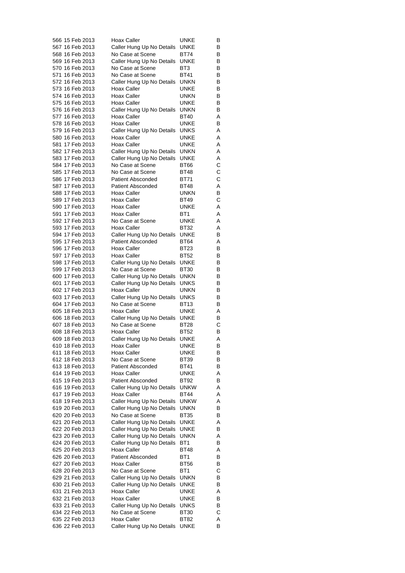| 566 15 Feb 2013 | Hoax Caller                                   | UNKE        | В |
|-----------------|-----------------------------------------------|-------------|---|
| 567 16 Feb 2013 | Caller Hung Up No Details                     | UNKE        | В |
| 568 16 Feb 2013 | No Case at Scene                              | BT74        | В |
| 569 16 Feb 2013 | Caller Hung Up No Details                     | <b>UNKE</b> | В |
| 570 16 Feb 2013 | No Case at Scene                              | BT3         | В |
| 571 16 Feb 2013 | No Case at Scene                              | <b>BT41</b> | В |
| 572 16 Feb 2013 | Caller Hung Up No Details                     | <b>UNKN</b> | В |
| 573 16 Feb 2013 | Hoax Caller                                   | UNKE        | В |
| 574 16 Feb 2013 | Hoax Caller                                   | UNKN        | В |
| 575 16 Feb 2013 | Hoax Caller                                   | UNKE        | В |
| 576 16 Feb 2013 | Caller Hung Up No Details                     | UNKN        | В |
| 577 16 Feb 2013 | Hoax Caller                                   | <b>BT40</b> | Α |
| 578 16 Feb 2013 | Hoax Caller                                   | UNKE        | В |
| 579 16 Feb 2013 | Caller Hung Up No Details                     | <b>UNKS</b> | Α |
| 580 16 Feb 2013 | Hoax Caller                                   | UNKE        | Α |
| 581 17 Feb 2013 | <b>Hoax Caller</b>                            | UNKE        | Α |
| 582 17 Feb 2013 | Caller Hung Up No Details                     | <b>UNKN</b> | Α |
| 583 17 Feb 2013 | Caller Hung Up No Details                     | UNKE        | Α |
| 584 17 Feb 2013 | No Case at Scene                              | BT66        | С |
| 585 17 Feb 2013 | No Case at Scene                              | BT48        | С |
| 586 17 Feb 2013 | <b>Patient Absconded</b>                      | BT71        | С |
| 587 17 Feb 2013 | <b>Patient Absconded</b>                      | BT48        | Α |
| 588 17 Feb 2013 | Hoax Caller                                   | UNKN        | В |
| 589 17 Feb 2013 | <b>Hoax Caller</b>                            | BT49        | С |
| 590 17 Feb 2013 | Hoax Caller                                   | UNKE        | Α |
| 591 17 Feb 2013 | <b>Hoax Caller</b>                            | BT1         | Α |
| 592 17 Feb 2013 | No Case at Scene                              | UNKE        | Α |
| 593 17 Feb 2013 | Hoax Caller                                   | <b>BT32</b> | Α |
| 594 17 Feb 2013 | Caller Hung Up No Details                     | <b>UNKE</b> | В |
| 595 17 Feb 2013 | <b>Patient Absconded</b>                      | BT64        | Α |
| 596 17 Feb 2013 | Hoax Caller                                   | BT23        | В |
| 597 17 Feb 2013 | Hoax Caller                                   | BT52        | В |
| 598 17 Feb 2013 | Caller Hung Up No Details                     | UNKE        | В |
|                 |                                               |             |   |
| 599 17 Feb 2013 | No Case at Scene                              | BT30        | В |
| 600 17 Feb 2013 | Caller Hung Up No Details                     | <b>UNKN</b> | В |
| 601 17 Feb 2013 | Caller Hung Up No Details                     | <b>UNKS</b> | В |
| 602 17 Feb 2013 | Hoax Caller                                   | UNKN        | В |
| 603 17 Feb 2013 | Caller Hung Up No Details                     | UNKS        | В |
| 604 17 Feb 2013 | No Case at Scene                              | BT13        | В |
| 605 18 Feb 2013 | Hoax Caller                                   | UNKE        | Α |
| 606 18 Feb 2013 | Caller Hung Up No Details<br>No Case at Scene | UNKE        | В |
| 607 18 Feb 2013 |                                               | <b>BT28</b> | С |
| 608 18 Feb 2013 | Hoax Caller                                   | <b>BT52</b> | В |
| 609 18 Feb 2013 | Caller Hung Up No Details                     | <b>UNKE</b> | Α |
| 610 18 Feb 2013 | Hoax Caller                                   | UNKE        | в |
| 611 18 Feb 2013 | <b>Hoax Caller</b>                            | UNKE        | В |
| 612 18 Feb 2013 | No Case at Scene                              | BT39        | В |
| 613 18 Feb 2013 | <b>Patient Absconded</b>                      | BT41        | В |
| 614 19 Feb 2013 | Hoax Caller                                   | <b>UNKE</b> | Α |
| 615 19 Feb 2013 | <b>Patient Absconded</b>                      | BT92        | в |
| 616 19 Feb 2013 | Caller Hung Up No Details                     | <b>UNKW</b> | Α |
| 617 19 Feb 2013 | Hoax Caller                                   | BT44        | Α |
| 618 19 Feb 2013 | Caller Hung Up No Details                     | <b>UNKW</b> | Α |
| 619 20 Feb 2013 | Caller Hung Up No Details                     | UNKN        | В |
| 620 20 Feb 2013 | No Case at Scene                              | BT35        | В |
| 621 20 Feb 2013 | Caller Hung Up No Details                     | UNKE        | Α |
| 622 20 Feb 2013 | Caller Hung Up No Details                     | UNKE        | В |
| 623 20 Feb 2013 | Caller Hung Up No Details                     | UNKN        | Α |
| 624 20 Feb 2013 | Caller Hung Up No Details                     | BT1         | В |
| 625 20 Feb 2013 | Hoax Caller                                   | BT48        | Α |
| 626 20 Feb 2013 | <b>Patient Absconded</b>                      | BT1         | В |
| 627 20 Feb 2013 | Hoax Caller                                   | BT56        | в |
| 628 20 Feb 2013 | No Case at Scene                              | BT1         | С |
| 629 21 Feb 2013 | Caller Hung Up No Details                     | <b>UNKN</b> | В |
| 630 21 Feb 2013 | Caller Hung Up No Details                     | UNKE        | В |
| 631 21 Feb 2013 | Hoax Caller                                   | UNKE        | Α |
| 632 21 Feb 2013 | Hoax Caller                                   | UNKE        | В |
| 633 21 Feb 2013 | Caller Hung Up No Details                     | UNKS        | В |
| 634 22 Feb 2013 | No Case at Scene                              | BT30        | С |
| 635 22 Feb 2013 | Hoax Caller                                   | BT82        | Α |
| 636 22 Feb 2013 | Caller Hung Up No Details                     | UNKE        | в |
|                 |                                               |             |   |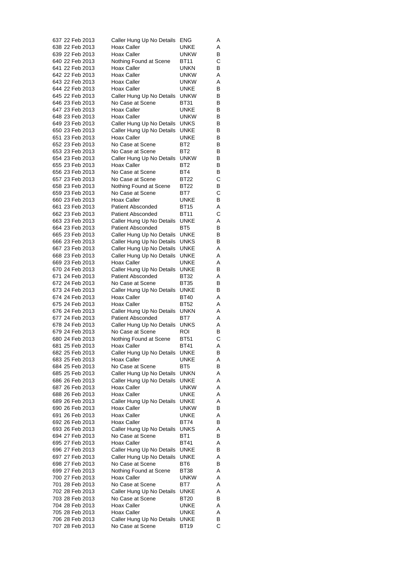| 637 22 Feb 2013                    | Caller Hung Up No Details                              | ENG                 | Α      |
|------------------------------------|--------------------------------------------------------|---------------------|--------|
| 638 22 Feb 2013                    | Hoax Caller                                            | UNKE                | Α      |
| 639 22 Feb 2013                    | Hoax Caller                                            | <b>UNKW</b>         | В      |
| 640 22 Feb 2013                    | Nothing Found at Scene                                 | BT11                | С      |
| 641 22 Feb 2013<br>642 22 Feb 2013 | Hoax Caller<br>Hoax Caller                             | UNKN<br><b>UNKW</b> | В<br>Α |
| 643 22 Feb 2013                    | Hoax Caller                                            | unkw                | Α      |
| 644 22 Feb 2013                    | Hoax Caller                                            | UNKE                | В      |
| 645 22 Feb 2013                    | Caller Hung Up No Details                              | <b>UNKW</b>         | В      |
| 646 23 Feb 2013                    | No Case at Scene                                       | <b>BT31</b>         | В      |
| 647 23 Feb 2013                    | Hoax Caller                                            | <b>UNKE</b>         | В      |
| 648 23 Feb 2013                    | Hoax Caller                                            | <b>UNKW</b>         | В      |
| 649 23 Feb 2013                    | Caller Hung Up No Details                              | <b>UNKS</b>         | В      |
| 650 23 Feb 2013<br>651 23 Feb 2013 | Caller Hung Up No Details<br><b>Hoax Caller</b>        | UNKE<br>UNKE        | В<br>В |
| 652 23 Feb 2013                    | No Case at Scene                                       | BT <sub>2</sub>     | В      |
| 653 23 Feb 2013                    | No Case at Scene                                       | BT <sub>2</sub>     | В      |
| 654 23 Feb 2013                    | Caller Hung Up No Details                              | <b>UNKW</b>         | В      |
| 655 23 Feb 2013                    | Hoax Caller                                            | BT <sub>2</sub>     | В      |
| 656 23 Feb 2013                    | No Case at Scene                                       | BT4                 | В      |
| 657 23 Feb 2013                    | No Case at Scene                                       | BT22                | С      |
| 658 23 Feb 2013<br>659 23 Feb 2013 | Nothing Found at Scene<br>No Case at Scene             | <b>BT22</b><br>BT7  | В<br>С |
| 660 23 Feb 2013                    | Hoax Caller                                            | UNKE                | В      |
| 661 23 Feb 2013                    | <b>Patient Absconded</b>                               | BT15                | Α      |
| 662 23 Feb 2013                    | <b>Patient Absconded</b>                               | BT11                | С      |
| 663 23 Feb 2013                    | Caller Hung Up No Details                              | UNKE                | Α      |
| 664 23 Feb 2013                    | <b>Patient Absconded</b>                               | BT <sub>5</sub>     | В      |
| 665 23 Feb 2013                    | Caller Hung Up No Details                              | <b>UNKE</b>         | В      |
| 666 23 Feb 2013<br>667 23 Feb 2013 | Caller Hung Up No Details<br>Caller Hung Up No Details | UNKS<br>UNKE        | в<br>Α |
| 668 23 Feb 2013                    | Caller Hung Up No Details                              | UNKE                | Α      |
| 669 23 Feb 2013                    | Hoax Caller                                            | UNKE                | Α      |
| 670 24 Feb 2013                    | Caller Hung Up No Details                              | UNKE                | В      |
| 671 24 Feb 2013                    | <b>Patient Absconded</b>                               | BT32                | Α      |
| 672 24 Feb 2013                    | No Case at Scene                                       | BT35                | В      |
| 673 24 Feb 2013                    | Caller Hung Up No Details                              | UNKE                | В      |
| 674 24 Feb 2013<br>675 24 Feb 2013 | Hoax Caller<br>Hoax Caller                             | BT40<br><b>BT52</b> | Α<br>Α |
| 676 24 Feb 2013                    | Caller Hung Up No Details                              | <b>UNKN</b>         | Α      |
| 677 24 Feb 2013                    | Patient Absconded                                      | BT7                 | Α      |
| 678 24 Feb 2013                    | Caller Hung Up No Details                              | <b>UNKS</b>         | Α      |
| 679 24 Feb 2013                    | No Case at Scene                                       | ROI                 | В      |
| 680 24 Feb 2013                    | Nothing Found at Scene                                 | <b>BT51</b>         | С      |
| 681 25 Feb 2013                    | Hoax Caller                                            | BT41                | Α      |
| 682 25 Feb 2013<br>683 25 Feb 2013 | Caller Hung Up No Details<br>Hoax Caller               | UNKE<br><b>UNKE</b> | В      |
| 684 25 Feb 2013                    | No Case at Scene                                       | BT5                 | Α<br>В |
| 685 25 Feb 2013                    | Caller Hung Up No Details                              | <b>UNKN</b>         | Α      |
| 686 26 Feb 2013                    | Caller Hung Up No Details                              | <b>UNKE</b>         | Α      |
| 687 26 Feb 2013                    | Hoax Caller                                            | <b>UNKW</b>         | Α      |
| 688 26 Feb 2013                    | Hoax Caller                                            | UNKE                | Α      |
| 689 26 Feb 2013                    | Caller Hung Up No Details                              | UNKE                | Α      |
| 690 26 Feb 2013<br>691 26 Feb 2013 | Hoax Caller<br>Hoax Caller                             | <b>UNKW</b><br>UNKE | В<br>Α |
| 692 26 Feb 2013                    | Hoax Caller                                            | BT74                | в      |
| 693 26 Feb 2013                    | Caller Hung Up No Details                              | UNKS                | Α      |
| 694 27 Feb 2013                    | No Case at Scene                                       | BT <sub>1</sub>     | В      |
| 695 27 Feb 2013                    | Hoax Caller                                            | <b>BT41</b>         | Α      |
| 696 27 Feb 2013                    | Caller Hung Up No Details                              | UNKE                | в      |
| 697 27 Feb 2013                    | Caller Hung Up No Details                              | UNKE                | Α      |
| 698 27 Feb 2013<br>699 27 Feb 2013 | No Case at Scene                                       | BT6                 | в<br>Α |
| 700 27 Feb 2013                    | Nothing Found at Scene<br>Hoax Caller                  | BT38<br><b>UNKW</b> | Α      |
| 701 28 Feb 2013                    | No Case at Scene                                       | BT7                 | Α      |
| 702 28 Feb 2013                    | Caller Hung Up No Details                              | UNKE                | Α      |
| 703 28 Feb 2013                    | No Case at Scene                                       | BT20                | В      |
| 704 28 Feb 2013                    | Hoax Caller                                            | UNKE                | Α      |
| 705 28 Feb 2013                    | Hoax Caller                                            | UNKE                | Α      |
| 706 28 Feb 2013                    | Caller Hung Up No Details                              | UNKE<br><b>BT19</b> | В<br>С |
| 707 28 Feb 2013                    | No Case at Scene                                       |                     |        |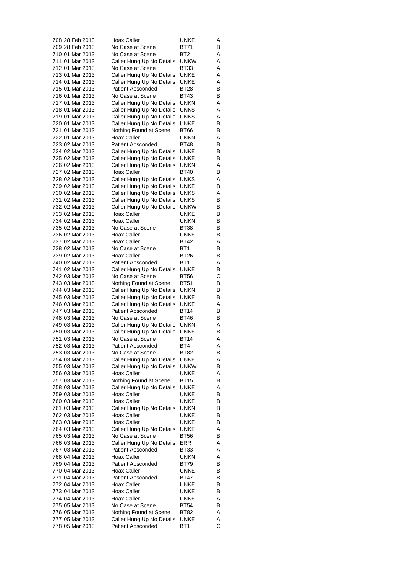|  | 708 28 Feb 2013                    | Hoax Caller                                            | UNKE                | Α      |
|--|------------------------------------|--------------------------------------------------------|---------------------|--------|
|  | 709 28 Feb 2013                    | No Case at Scene                                       | BT71                | В      |
|  | 710 01 Mar 2013                    | No Case at Scene                                       | BT2                 | Α      |
|  | 711 01 Mar 2013                    | Caller Hung Up No Details                              | <b>UNKW</b>         | Α      |
|  | 712 01 Mar 2013                    | No Case at Scene                                       | BT33                | Α      |
|  | 713 01 Mar 2013                    | Caller Hung Up No Details                              | <b>UNKE</b>         | Α      |
|  | 714 01 Mar 2013                    | Caller Hung Up No Details                              | UNKE                | Α      |
|  | 715 01 Mar 2013                    | <b>Patient Absconded</b>                               | BT28                | В      |
|  | 716 01 Mar 2013                    | No Case at Scene                                       | BT43                | В      |
|  | 717 01 Mar 2013                    | Caller Hung Up No Details                              | <b>UNKN</b>         | Α      |
|  | 718 01 Mar 2013                    | Caller Hung Up No Details                              | <b>UNKS</b>         | Α      |
|  | 719 01 Mar 2013<br>720 01 Mar 2013 | Caller Hung Up No Details<br>Caller Hung Up No Details | UNKS<br>UNKE        | Α<br>В |
|  | 721 01 Mar 2013                    | Nothing Found at Scene                                 | BT66                | В      |
|  | 722 01 Mar 2013                    | Hoax Caller                                            | unkn                | Α      |
|  | 723 02 Mar 2013                    | <b>Patient Absconded</b>                               | BT48                | В      |
|  | 724 02 Mar 2013                    | Caller Hung Up No Details                              | UNKE                | В      |
|  | 725 02 Mar 2013                    | Caller Hung Up No Details                              | UNKE                | В      |
|  | 726 02 Mar 2013                    | Caller Hung Up No Details                              | UNKN                | Α      |
|  | 727 02 Mar 2013                    | <b>Hoax Caller</b>                                     | <b>BT40</b>         | В      |
|  | 728 02 Mar 2013                    | Caller Hung Up No Details                              | <b>UNKS</b>         | Α      |
|  | 729 02 Mar 2013                    | Caller Hung Up No Details                              | UNKE                | В      |
|  | 730 02 Mar 2013                    | Caller Hung Up No Details                              | UNKS                | Α      |
|  | 731 02 Mar 2013                    | Caller Hung Up No Details                              | UNKS                | В      |
|  | 732 02 Mar 2013                    | Caller Hung Up No Details                              | unkw                | В      |
|  | 733 02 Mar 2013                    | Hoax Caller                                            | UNKE                | В      |
|  | 734 02 Mar 2013                    | Hoax Caller                                            | UNKN                | В      |
|  | 735 02 Mar 2013                    | No Case at Scene                                       | <b>BT38</b>         | В      |
|  | 736 02 Mar 2013                    | Hoax Caller                                            | UNKE                | В      |
|  | 737 02 Mar 2013<br>738 02 Mar 2013 | Hoax Caller<br>No Case at Scene                        | BT42<br>BT1         | Α<br>В |
|  | 739 02 Mar 2013                    | Hoax Caller                                            | BT26                | в      |
|  | 740 02 Mar 2013                    | Patient Absconded                                      | BT1                 | Α      |
|  | 741 02 Mar 2013                    | Caller Hung Up No Details                              | UNKE                | В      |
|  | 742 03 Mar 2013                    | No Case at Scene                                       | BT56                | С      |
|  | 743 03 Mar 2013                    | Nothing Found at Scene                                 | <b>BT51</b>         | В      |
|  | 744 03 Mar 2013                    | Caller Hung Up No Details                              | UNKN                | В      |
|  | 745 03 Mar 2013                    | Caller Hung Up No Details                              | UNKE                | В      |
|  | 746 03 Mar 2013                    | Caller Hung Up No Details                              | UNKE                | Α      |
|  | 747 03 Mar 2013                    | <b>Patient Absconded</b>                               | <b>BT14</b>         | В      |
|  | 748 03 Mar 2013                    | No Case at Scene                                       | BT46                | В      |
|  | 749 03 Mar 2013                    | Caller Hung Up No Details                              | <b>UNKN</b>         | Α      |
|  | 750 03 Mar 2013<br>751 03 Mar 2013 | Caller Hung Up No Details<br>No Case at Scene          | UNKE<br><b>BT14</b> | В<br>Α |
|  | 752 03 Mar 2013                    | <b>Patient Absconded</b>                               | BT4                 | Α      |
|  | 753 03 Mar 2013                    | No Case at Scene                                       | BT82                | В      |
|  | 754 03 Mar 2013                    | Caller Hung Up No Details                              | <b>UNKE</b>         | Α      |
|  | 755 03 Mar 2013                    | Caller Hung Up No Details                              | <b>UNKW</b>         | В      |
|  | 756 03 Mar 2013                    | Hoax Caller                                            | UNKE                | Α      |
|  | 757 03 Mar 2013                    | Nothing Found at Scene                                 | <b>BT15</b>         | В      |
|  | 758 03 Mar 2013                    | Caller Hung Up No Details                              | <b>UNKE</b>         | Α      |
|  | 759 03 Mar 2013                    | Hoax Caller                                            | UNKE                | В      |
|  | 760 03 Mar 2013                    | <b>Hoax Caller</b>                                     | UNKE                | В      |
|  | 761 03 Mar 2013                    | Caller Hung Up No Details                              | UNKN                | В      |
|  | 762 03 Mar 2013                    | Hoax Caller                                            | <b>UNKE</b>         | в      |
|  | 763 03 Mar 2013                    | Hoax Caller                                            | UNKE                | в      |
|  | 764 03 Mar 2013                    | Caller Hung Up No Details                              | UNKE                | Α      |
|  | 765 03 Mar 2013<br>766 03 Mar 2013 | No Case at Scene<br>Caller Hung Up No Details          | BT56<br>ERR         | В<br>Α |
|  | 767 03 Mar 2013                    | <b>Patient Absconded</b>                               | BT33                | Α      |
|  | 768 04 Mar 2013                    | Hoax Caller                                            | UNKN                | Α      |
|  | 769 04 Mar 2013                    | <b>Patient Absconded</b>                               | BT79                | В      |
|  | 770 04 Mar 2013                    | Hoax Caller                                            | UNKE                | в      |
|  | 771 04 Mar 2013                    | <b>Patient Absconded</b>                               | BT47                | В      |
|  | 772 04 Mar 2013                    | Hoax Caller                                            | UNKE                | в      |
|  | 773 04 Mar 2013                    | Hoax Caller                                            | UNKE                | в      |
|  | 774 04 Mar 2013                    | Hoax Caller                                            | UNKE                | Α      |
|  | 775 05 Mar 2013                    | No Case at Scene                                       | BT54                | В      |
|  | 776 05 Mar 2013                    | Nothing Found at Scene                                 | BT82                | Α      |
|  | 777 05 Mar 2013                    | Caller Hung Up No Details                              | UNKE                | Α      |
|  | 778 05 Mar 2013                    | <b>Patient Absconded</b>                               | BT <sub>1</sub>     | С      |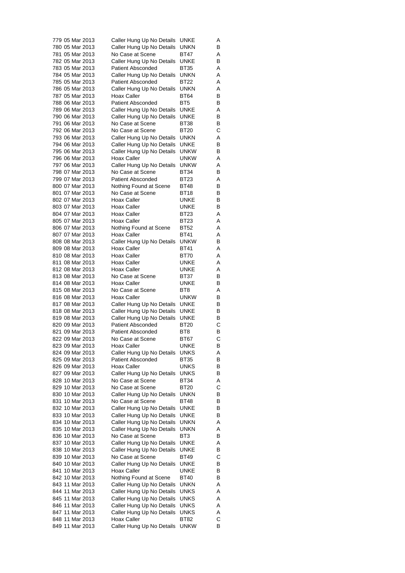| 779 05 Mar 2013 | Caller Hung Up No Details | <b>UNKE</b>     | Α |
|-----------------|---------------------------|-----------------|---|
| 780 05 Mar 2013 | Caller Hung Up No Details | UNKN            | в |
| 781 05 Mar 2013 | No Case at Scene          | BT47            | Α |
| 782 05 Mar 2013 | Caller Hung Up No Details | UNKE            | В |
| 783 05 Mar 2013 | <b>Patient Absconded</b>  | <b>BT35</b>     | Α |
| 784 05 Mar 2013 | Caller Hung Up No Details | <b>UNKN</b>     | Α |
| 785 05 Mar 2013 |                           | <b>BT22</b>     | Α |
|                 | <b>Patient Absconded</b>  |                 |   |
| 786 05 Mar 2013 | Caller Hung Up No Details | <b>UNKN</b>     | Α |
| 787 05 Mar 2013 | Hoax Caller               | BT64            | В |
| 788 06 Mar 2013 | <b>Patient Absconded</b>  | BT <sub>5</sub> | В |
| 789 06 Mar 2013 | Caller Hung Up No Details | <b>UNKE</b>     | Α |
| 790 06 Mar 2013 | Caller Hung Up No Details | <b>UNKE</b>     | в |
| 791 06 Mar 2013 | No Case at Scene          | BT38            | В |
| 792 06 Mar 2013 | No Case at Scene          | <b>BT20</b>     | С |
| 793 06 Mar 2013 | Caller Hung Up No Details | <b>UNKN</b>     | Α |
| 794 06 Mar 2013 | Caller Hung Up No Details | UNKE            | В |
| 795 06 Mar 2013 | Caller Hung Up No Details | <b>UNKW</b>     | В |
| 796 06 Mar 2013 | Hoax Caller               | <b>UNKW</b>     | Α |
| 797 06 Mar 2013 | Caller Hung Up No Details | <b>UNKW</b>     | Α |
| 798 07 Mar 2013 | No Case at Scene          | <b>BT34</b>     | В |
| 799 07 Mar 2013 | <b>Patient Absconded</b>  | BT23            | Α |
| 800 07 Mar 2013 |                           |                 |   |
|                 | Nothing Found at Scene    | BT48            | В |
| 801 07 Mar 2013 | No Case at Scene          | <b>BT18</b>     | В |
| 802 07 Mar 2013 | Hoax Caller               | UNKE            | В |
| 803 07 Mar 2013 | Hoax Caller               | UNKE            | в |
| 804 07 Mar 2013 | Hoax Caller               | <b>BT23</b>     | Α |
| 805 07 Mar 2013 | Hoax Caller               | BT23            | Α |
| 806 07 Mar 2013 | Nothing Found at Scene    | BT52            | Α |
| 807 07 Mar 2013 | Hoax Caller               | <b>BT41</b>     | Α |
| 808 08 Mar 2013 | Caller Hung Up No Details | <b>UNKW</b>     | В |
| 809 08 Mar 2013 | Hoax Caller               | <b>BT41</b>     | Α |
| 810 08 Mar 2013 | Hoax Caller               | BT70            | Α |
| 811 08 Mar 2013 | Hoax Caller               | UNKE            | Α |
| 812 08 Mar 2013 | Hoax Caller               | UNKE            | Α |
| 813 08 Mar 2013 | No Case at Scene          | <b>BT37</b>     | В |
| 814 08 Mar 2013 | Hoax Caller               | <b>UNKE</b>     | В |
|                 |                           |                 |   |
| 815 08 Mar 2013 | No Case at Scene          | BT8             | Α |
| 816 08 Mar 2013 | Hoax Caller               | <b>UNKW</b>     | В |
| 817 08 Mar 2013 | Caller Hung Up No Details | UNKE            | В |
| 818 08 Mar 2013 | Caller Hung Up No Details | <b>UNKE</b>     | В |
| 819 08 Mar 2013 | Caller Hung Up No Details | <b>UNKE</b>     | В |
| 820 09 Mar 2013 | <b>Patient Absconded</b>  | BT20            | С |
| 821 09 Mar 2013 | <b>Patient Absconded</b>  | BT8             | В |
| 822 09 Mar 2013 | No Case at Scene          | BT67            | С |
| 823 09 Mar 2013 | <b>Hoax Caller</b>        | UNKE            | в |
| 824 09 Mar 2013 | Caller Hung Up No Details | <b>UNKS</b>     | Α |
| 825 09 Mar 2013 | <b>Patient Absconded</b>  | BT35            | в |
| 826 09 Mar 2013 | Hoax Caller               | UNKS            | В |
| 827 09 Mar 2013 | Caller Hung Up No Details | UNKS            | В |
| 828 10 Mar 2013 | No Case at Scene          | <b>BT34</b>     | Α |
| 829 10 Mar 2013 | No Case at Scene          | <b>BT20</b>     | С |
|                 |                           |                 |   |
| 830 10 Mar 2013 | Caller Hung Up No Details | unkn            | В |
| 831 10 Mar 2013 | No Case at Scene          | BT48            | В |
| 832 10 Mar 2013 | Caller Hung Up No Details | UNKE            | В |
| 833 10 Mar 2013 | Caller Hung Up No Details | UNKE            | В |
| 834 10 Mar 2013 | Caller Hung Up No Details | UNKN            | Α |
| 835 10 Mar 2013 | Caller Hung Up No Details | UNKN            | Α |
| 836 10 Mar 2013 | No Case at Scene          | BT3             | В |
| 837 10 Mar 2013 | Caller Hung Up No Details | UNKE            | Α |
| 838 10 Mar 2013 | Caller Hung Up No Details | UNKE            | В |
| 839 10 Mar 2013 | No Case at Scene          | BT49            | С |
| 840 10 Mar 2013 | Caller Hung Up No Details | UNKE            | В |
| 841 10 Mar 2013 | Hoax Caller               | UNKE            | В |
| 842 10 Mar 2013 | Nothing Found at Scene    | BT40            | В |
| 843 11 Mar 2013 | Caller Hung Up No Details | UNKN            | Α |
| 844 11 Mar 2013 |                           | <b>UNKS</b>     | Α |
|                 | Caller Hung Up No Details |                 |   |
| 845 11 Mar 2013 | Caller Hung Up No Details | UNKS            | Α |
| 846 11 Mar 2013 | Caller Hung Up No Details | UNKS            | Α |
| 847 11 Mar 2013 | Caller Hung Up No Details | UNKS            | Α |
| 848 11 Mar 2013 | Hoax Caller               | BT82            | С |
| 849 11 Mar 2013 | Caller Hung Up No Details | <b>UNKW</b>     | В |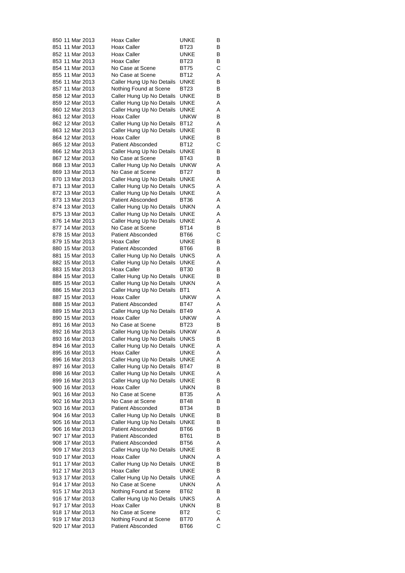| 850 11 Mar 2013                    | Hoax Caller                                            | UNKE                       | В      |
|------------------------------------|--------------------------------------------------------|----------------------------|--------|
| 851 11 Mar 2013                    | Hoax Caller                                            | BT23                       | В      |
| 852 11 Mar 2013                    | Hoax Caller                                            | UNKE                       | В      |
| 853 11 Mar 2013                    | Hoax Caller                                            | BT23                       | В      |
| 854 11 Mar 2013                    | No Case at Scene                                       | BT75                       | С      |
| 855 11 Mar 2013                    | No Case at Scene                                       | <b>BT12</b>                | Α      |
| 856 11 Mar 2013                    | Caller Hung Up No Details                              | <b>UNKE</b>                | В      |
| 857 11 Mar 2013                    | Nothing Found at Scene                                 | BT23                       | В      |
| 858 12 Mar 2013                    | Caller Hung Up No Details                              | UNKE                       | В      |
| 859 12 Mar 2013                    | Caller Hung Up No Details                              | UNKE                       | Α      |
| 860 12 Mar 2013                    | Caller Hung Up No Details                              | UNKE                       | Α      |
| 861 12 Mar 2013<br>862 12 Mar 2013 | Hoax Caller                                            | <b>UNKW</b><br><b>BT12</b> | В<br>Α |
| 863 12 Mar 2013                    | Caller Hung Up No Details<br>Caller Hung Up No Details | <b>UNKE</b>                | В      |
| 864 12 Mar 2013                    | Hoax Caller                                            | <b>UNKE</b>                | В      |
| 865 12 Mar 2013                    | <b>Patient Absconded</b>                               | <b>BT12</b>                | С      |
| 866 12 Mar 2013                    | Caller Hung Up No Details                              | UNKE                       | В      |
| 867 12 Mar 2013                    | No Case at Scene                                       | BT43                       | В      |
| 868 13 Mar 2013                    | Caller Hung Up No Details                              | <b>UNKW</b>                | Α      |
| 869 13 Mar 2013                    | No Case at Scene                                       | <b>BT27</b>                | В      |
| 870 13 Mar 2013                    | Caller Hung Up No Details                              | UNKE                       | Α      |
| 871 13 Mar 2013                    | Caller Hung Up No Details                              | UNKS                       | Α      |
| 872 13 Mar 2013                    | Caller Hung Up No Details                              | UNKE                       | Α      |
| 873 13 Mar 2013                    | <b>Patient Absconded</b>                               | BT36                       | Α      |
| 874 13 Mar 2013                    | Caller Hung Up No Details                              | <b>UNKN</b>                | Α      |
| 875 13 Mar 2013                    | Caller Hung Up No Details                              | UNKE                       | Α      |
| 876 14 Mar 2013                    | Caller Hung Up No Details                              | UNKE                       | Α      |
| 877 14 Mar 2013                    | No Case at Scene                                       | BT14                       | В      |
| 878 15 Mar 2013                    | <b>Patient Absconded</b>                               | BT66                       | C      |
| 879 15 Mar 2013                    | Hoax Caller                                            | UNKE                       | В      |
| 880 15 Mar 2013                    | <b>Patient Absconded</b>                               | BT66                       | В      |
| 881 15 Mar 2013<br>882 15 Mar 2013 | Caller Hung Up No Details<br>Caller Hung Up No Details | UNKS<br>UNKE               | Α<br>Α |
| 883 15 Mar 2013                    | Hoax Caller                                            | BT30                       | В      |
| 884 15 Mar 2013                    | Caller Hung Up No Details                              | <b>UNKE</b>                | В      |
| 885 15 Mar 2013                    | Caller Hung Up No Details                              | UNKN                       | Α      |
| 886 15 Mar 2013                    | Caller Hung Up No Details                              | BT1                        | Α      |
| 887 15 Mar 2013                    | Hoax Caller                                            | <b>UNKW</b>                | Α      |
| 888 15 Mar 2013                    | <b>Patient Absconded</b>                               | BT47                       | Α      |
| 889 15 Mar 2013                    | Caller Hung Up No Details                              | <b>BT49</b>                | Α      |
| 890 15 Mar 2013                    | <b>Hoax Caller</b>                                     | <b>UNKW</b>                | Α      |
| 891 16 Mar 2013                    | No Case at Scene                                       | BT23                       | В      |
| 892 16 Mar 2013                    | Caller Hung Up No Details                              | <b>UNKW</b>                | Α      |
| 893 16 Mar 2013                    | Caller Hung Up No Details                              | <b>UNKS</b>                | В      |
| 894 16 Mar 2013                    | Caller Hung Up No Details                              | UNKE                       | Α      |
| 895 16 Mar 2013                    | Hoax Caller                                            | UNKE                       | Α      |
| 896 16 Mar 2013                    | Caller Hung Up No Details                              | UNKE                       | Α      |
| 897 16 Mar 2013<br>898 16 Mar 2013 | Caller Hung Up No Details<br>Caller Hung Up No Details | BT47<br>UNKE               | В<br>Α |
| 899 16 Mar 2013                    | Caller Hung Up No Details                              | UNKE                       | В      |
| 900 16 Mar 2013                    | <b>Hoax Caller</b>                                     | <b>UNKN</b>                | В      |
| 901 16 Mar 2013                    | No Case at Scene                                       | BT35                       | Α      |
| 902 16 Mar 2013                    | No Case at Scene                                       | <b>BT48</b>                | В      |
| 903 16 Mar 2013                    | <b>Patient Absconded</b>                               | BT34                       | В      |
| 904 16 Mar 2013                    | Caller Hung Up No Details                              | UNKE                       | В      |
| 905 16 Mar 2013                    | Caller Hung Up No Details                              | UNKE                       | В      |
| 906 16 Mar 2013                    | <b>Patient Absconded</b>                               | <b>BT66</b>                | в      |
| 907 17 Mar 2013                    | <b>Patient Absconded</b>                               | BT61                       | В      |
| 908 17 Mar 2013                    | <b>Patient Absconded</b>                               | BT56                       | Α      |
| 909 17 Mar 2013                    | Caller Hung Up No Details                              | UNKE                       | В      |
| 910 17 Mar 2013                    | Hoax Caller                                            | UNKN                       | Α      |
| 911 17 Mar 2013                    | Caller Hung Up No Details                              | UNKE                       | В      |
| 912 17 Mar 2013                    | Hoax Caller                                            | UNKE                       | В      |
| 913 17 Mar 2013                    | Caller Hung Up No Details                              | UNKE                       | Α      |
| 914 17 Mar 2013                    | No Case at Scene                                       | UNKN                       | Α      |
| 915 17 Mar 2013<br>916 17 Mar 2013 | Nothing Found at Scene                                 | BT62                       | В      |
| 917 17 Mar 2013                    | Caller Hung Up No Details<br>Hoax Caller               | UNKS<br>UNKN               | Α<br>В |
| 918 17 Mar 2013                    | No Case at Scene                                       | BT2                        | С      |
| 919 17 Mar 2013                    | Nothing Found at Scene                                 | BT70                       | Α      |
| 920 17 Mar 2013                    | <b>Patient Absconded</b>                               | <b>BT66</b>                | С      |
|                                    |                                                        |                            |        |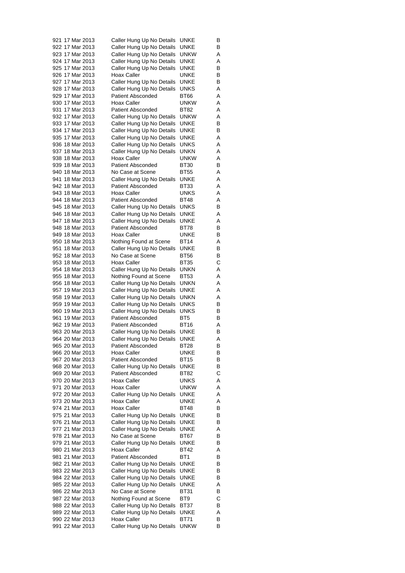| 921 17 Mar 2013 | Caller Hung Up No Details               | UNKE            | В      |
|-----------------|-----------------------------------------|-----------------|--------|
| 922 17 Mar 2013 | Caller Hung Up No Details               | UNKE            | В      |
| 923 17 Mar 2013 | Caller Hung Up No Details               | <b>UNKW</b>     | Α      |
| 924 17 Mar 2013 | Caller Hung Up No Details               | UNKE            | Α      |
| 925 17 Mar 2013 | Caller Hung Up No Details               | UNKE            | В      |
| 926 17 Mar 2013 | Hoax Caller                             | UNKE            | В      |
| 927 17 Mar 2013 | Caller Hung Up No Details               | UNKE            | В      |
| 928 17 Mar 2013 | Caller Hung Up No Details               | UNKS            | Α      |
| 929 17 Mar 2013 | <b>Patient Absconded</b>                | BT66            | Α      |
| 930 17 Mar 2013 | Hoax Caller                             | <b>UNKW</b>     | Α      |
| 931 17 Mar 2013 | <b>Patient Absconded</b>                | BT82            | Α      |
| 932 17 Mar 2013 | Caller Hung Up No Details               | <b>UNKW</b>     | Α      |
| 933 17 Mar 2013 | Caller Hung Up No Details               | <b>UNKE</b>     | В      |
| 934 17 Mar 2013 | Caller Hung Up No Details               | UNKE            | В      |
| 935 17 Mar 2013 |                                         | UNKE            |        |
|                 | Caller Hung Up No Details               |                 | Α      |
| 936 18 Mar 2013 | Caller Hung Up No Details               | UNKS            | Α      |
| 937 18 Mar 2013 | Caller Hung Up No Details               | UNKN            | Α      |
| 938 18 Mar 2013 | Hoax Caller                             | <b>UNKW</b>     | Α      |
| 939 18 Mar 2013 | <b>Patient Absconded</b>                | BT30            | В      |
| 940 18 Mar 2013 | No Case at Scene                        | <b>BT55</b>     | Α      |
| 941 18 Mar 2013 | Caller Hung Up No Details               | UNKE            | Α      |
| 942 18 Mar 2013 | <b>Patient Absconded</b>                | BT33            | Α      |
| 943 18 Mar 2013 | Hoax Caller                             | UNKS            | Α      |
| 944 18 Mar 2013 | <b>Patient Absconded</b>                | BT48            | Α      |
| 945 18 Mar 2013 | Caller Hung Up No Details               | <b>UNKS</b>     | В      |
| 946 18 Mar 2013 | Caller Hung Up No Details               | <b>UNKE</b>     | Α      |
| 947 18 Mar 2013 | Caller Hung Up No Details               | UNKE            | Α      |
| 948 18 Mar 2013 | <b>Patient Absconded</b>                | BT78            | В      |
| 949 18 Mar 2013 | Hoax Caller                             | <b>UNKE</b>     | В      |
| 950 18 Mar 2013 | Nothing Found at Scene                  | BT14            | Α      |
| 951 18 Mar 2013 | Caller Hung Up No Details               | UNKE            | В      |
| 952 18 Mar 2013 | No Case at Scene                        | BT56            | В      |
| 953 18 Mar 2013 | Hoax Caller                             | <b>BT35</b>     | C      |
| 954 18 Mar 2013 | Caller Hung Up No Details               | <b>UNKN</b>     | Α      |
| 955 18 Mar 2013 | Nothing Found at Scene                  | <b>BT53</b>     | Α      |
| 956 18 Mar 2013 | Caller Hung Up No Details               | UNKN            | Α      |
| 957 19 Mar 2013 | Caller Hung Up No Details               | UNKE            | Α      |
| 958 19 Mar 2013 | Caller Hung Up No Details               | UNKN            | Α      |
| 959 19 Mar 2013 | Caller Hung Up No Details               | UNKS            | В      |
| 960 19 Mar 2013 | Caller Hung Up No Details               | UNKS            | В      |
| 961 19 Mar 2013 | <b>Patient Absconded</b>                | BT <sub>5</sub> | В      |
| 962 19 Mar 2013 | <b>Patient Absconded</b>                | BT16            | Α      |
| 963 20 Mar 2013 | Caller Hung Up No Details               | UNKE            | В      |
| 964 20 Mar 2013 | Caller Hung Up No Details               | UNKE            | Α      |
| 965 20 Mar 2013 | <b>Patient Absconded</b>                | <b>BT28</b>     |        |
|                 |                                         |                 | в<br>В |
| 966 20 Mar 2013 | Hoax Caller<br><b>Patient Absconded</b> | UNKE            |        |
| 967 20 Mar 2013 |                                         | BT15            | В      |
| 968 20 Mar 2013 | Caller Hung Up No Details               | UNKE            | В      |
| 969 20 Mar 2013 | <b>Patient Absconded</b>                | BT82            | С      |
| 970 20 Mar 2013 | Hoax Caller                             | UNKS            | Α      |
| 971 20 Mar 2013 | Hoax Caller                             | <b>UNKW</b>     | Α      |
| 972 20 Mar 2013 | Caller Hung Up No Details               | UNKE            | Α      |
| 973 20 Mar 2013 | Hoax Caller                             | UNKE            | Α      |
| 974 21 Mar 2013 | Hoax Caller                             | BT48            | В      |
| 975 21 Mar 2013 | Caller Hung Up No Details               | <b>UNKE</b>     | в      |
| 976 21 Mar 2013 | Caller Hung Up No Details               | UNKE            | в      |
| 977 21 Mar 2013 | Caller Hung Up No Details               | UNKE            | Α      |
| 978 21 Mar 2013 | No Case at Scene                        | BT67            | В      |
| 979 21 Mar 2013 | Caller Hung Up No Details               | UNKE            | В      |
| 980 21 Mar 2013 | Hoax Caller                             | BT42            | Α      |
| 981 21 Mar 2013 | <b>Patient Absconded</b>                | BT1             | В      |
| 982 21 Mar 2013 | Caller Hung Up No Details               | UNKE            | В      |
| 983 22 Mar 2013 | Caller Hung Up No Details               | UNKE            | В      |
| 984 22 Mar 2013 | Caller Hung Up No Details               | UNKE            | В      |
| 985 22 Mar 2013 | Caller Hung Up No Details               | UNKE            | Α      |
| 986 22 Mar 2013 | No Case at Scene                        | BT31            | В      |
| 987 22 Mar 2013 | Nothing Found at Scene                  | BT9             | С      |
| 988 22 Mar 2013 | Caller Hung Up No Details               | BT37            | В      |
| 989 22 Mar 2013 | Caller Hung Up No Details               | UNKE            | Α      |
| 990 22 Mar 2013 | Hoax Caller                             | <b>BT71</b>     | В      |
| 991 22 Mar 2013 | Caller Hung Up No Details               | <b>UNKW</b>     | В      |
|                 |                                         |                 |        |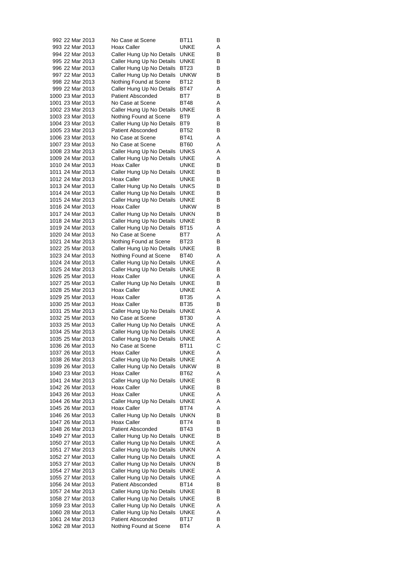|  | 992 22 Mar 2013                      | No Case at Scene                                       | BT11                | В      |
|--|--------------------------------------|--------------------------------------------------------|---------------------|--------|
|  | 993 22 Mar 2013                      | Hoax Caller                                            | UNKE                | Α      |
|  | 994 22 Mar 2013                      | Caller Hung Up No Details                              | UNKE                | В      |
|  | 995 22 Mar 2013                      | Caller Hung Up No Details                              | UNKE                | В      |
|  | 996 22 Mar 2013<br>997 22 Mar 2013   | Caller Hung Up No Details                              | BT23<br>unkw        | в<br>В |
|  | 998 22 Mar 2013                      | Caller Hung Up No Details<br>Nothing Found at Scene    | <b>BT12</b>         | В      |
|  | 999 22 Mar 2013                      | Caller Hung Up No Details                              | BT47                | Α      |
|  | 1000 23 Mar 2013                     | <b>Patient Absconded</b>                               | BT7                 | В      |
|  | 1001 23 Mar 2013                     | No Case at Scene                                       | BT48                | Α      |
|  | 1002 23 Mar 2013                     | Caller Hung Up No Details                              | UNKE                | В      |
|  | 1003 23 Mar 2013                     | Nothing Found at Scene                                 | BT9                 | Α      |
|  | 1004 23 Mar 2013                     | Caller Hung Up No Details                              | BT9                 | В      |
|  | 1005 23 Mar 2013                     | <b>Patient Absconded</b>                               | BT52                | В      |
|  | 1006 23 Mar 2013                     | No Case at Scene                                       | BT41                | Α      |
|  | 1007 23 Mar 2013                     | No Case at Scene                                       | BT60                | Α      |
|  | 1008 23 Mar 2013                     | Caller Hung Up No Details                              | UNKS                | Α      |
|  | 1009 24 Mar 2013                     | Caller Hung Up No Details                              | UNKE                | Α      |
|  | 1010 24 Mar 2013                     | Hoax Caller                                            | UNKE                | В      |
|  | 1011 24 Mar 2013                     | Caller Hung Up No Details                              | UNKE<br><b>UNKE</b> | В      |
|  | 1012 24 Mar 2013<br>1013 24 Mar 2013 | Hoax Caller                                            | UNKS                | В<br>В |
|  | 1014 24 Mar 2013                     | Caller Hung Up No Details<br>Caller Hung Up No Details | UNKE                | В      |
|  | 1015 24 Mar 2013                     | Caller Hung Up No Details                              | UNKE                | В      |
|  | 1016 24 Mar 2013                     | Hoax Caller                                            | UNKW                | в      |
|  | 1017 24 Mar 2013                     | Caller Hung Up No Details                              | UNKN                | В      |
|  | 1018 24 Mar 2013                     | Caller Hung Up No Details                              | UNKE                | В      |
|  | 1019 24 Mar 2013                     | Caller Hung Up No Details                              | BT15                | Α      |
|  | 1020 24 Mar 2013                     | No Case at Scene                                       | BT7                 | Α      |
|  | 1021 24 Mar 2013                     | Nothing Found at Scene                                 | BT23                | В      |
|  | 1022 25 Mar 2013                     | Caller Hung Up No Details                              | UNKE                | В      |
|  | 1023 24 Mar 2013                     | Nothing Found at Scene                                 | BT40                | Α      |
|  | 1024 24 Mar 2013                     | Caller Hung Up No Details                              | UNKE                | Α      |
|  | 1025 24 Mar 2013                     | Caller Hung Up No Details                              | UNKE                | В      |
|  | 1026 25 Mar 2013                     | Hoax Caller                                            | UNKE                | Α      |
|  | 1027 25 Mar 2013                     | Caller Hung Up No Details                              | UNKE                | В      |
|  | 1028 25 Mar 2013<br>1029 25 Mar 2013 | Hoax Caller<br>Hoax Caller                             | UNKE<br><b>BT35</b> | Α<br>Α |
|  | 1030 25 Mar 2013                     | Hoax Caller                                            | BT35                | в      |
|  | 1031 25 Mar 2013                     | Caller Hung Up No Details                              | UNKE                | Α      |
|  | 1032 25 Mar 2013                     | No Case at Scene                                       | BT30                | Α      |
|  | 1033 25 Mar 2013                     | Caller Hung Up No Details                              | UNKE                | Α      |
|  | 1034 25 Mar 2013                     | Caller Hung Up No Details                              | UNKE                | Α      |
|  | 1035 25 Mar 2013                     | Caller Hung Up No Details                              | UNKE                | Α      |
|  | 1036 26 Mar 2013                     | No Case at Scene                                       | BT11                | C      |
|  | 1037 26 Mar 2013                     | Hoax Caller                                            | UNKE                | Α      |
|  | 1038 26 Mar 2013                     | Caller Hung Up No Details                              | UNKE                | Α      |
|  | 1039 26 Mar 2013                     | Caller Hung Up No Details                              | <b>UNKW</b>         | В      |
|  | 1040 23 Mar 2013                     | Hoax Caller                                            | BT62                | Α      |
|  | 1041 24 Mar 2013                     | Caller Hung Up No Details                              | UNKE                | В      |
|  | 1042 26 Mar 2013<br>1043 26 Mar 2013 | Hoax Caller<br>Hoax Caller                             | UNKE                | В<br>Α |
|  | 1044 26 Mar 2013                     | Caller Hung Up No Details                              | <b>UNKE</b><br>UNKE | Α      |
|  | 1045 26 Mar 2013                     | Hoax Caller                                            | BT74                | Α      |
|  | 1046 26 Mar 2013                     | Caller Hung Up No Details                              | unkn                | В      |
|  | 1047 26 Mar 2013                     | Hoax Caller                                            | BT74                | В      |
|  | 1048 26 Mar 2013                     | <b>Patient Absconded</b>                               | BT43                | В      |
|  | 1049 27 Mar 2013                     | Caller Hung Up No Details                              | UNKE                | В      |
|  | 1050 27 Mar 2013                     | Caller Hung Up No Details                              | UNKE                | Α      |
|  | 1051 27 Mar 2013                     | Caller Hung Up No Details                              | unkn                | Α      |
|  | 1052 27 Mar 2013                     | Caller Hung Up No Details                              | UNKE                | Α      |
|  | 1053 27 Mar 2013                     | Caller Hung Up No Details                              | unkn                | в      |
|  | 1054 27 Mar 2013                     | Caller Hung Up No Details                              | UNKE                | Α      |
|  | 1055 27 Mar 2013                     | Caller Hung Up No Details                              | UNKE                | Α      |
|  | 1056 24 Mar 2013                     | <b>Patient Absconded</b>                               | BT14                | В      |
|  | 1057 24 Mar 2013                     | Caller Hung Up No Details                              | UNKE                | В      |
|  | 1058 27 Mar 2013                     | Caller Hung Up No Details                              | UNKE                | В      |
|  | 1059 23 Mar 2013<br>1060 28 Mar 2013 | Caller Hung Up No Details<br>Caller Hung Up No Details | UNKE<br>UNKE        | Α<br>Α |
|  | 1061 24 Mar 2013                     | <b>Patient Absconded</b>                               | BT17                | В      |
|  | 1062 28 Mar 2013                     | Nothing Found at Scene                                 | BT4                 | Α      |
|  |                                      |                                                        |                     |        |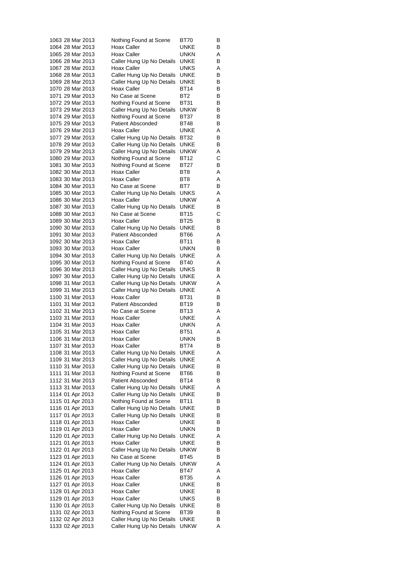|                                      |  | 1063 28 Mar 2013                     | Nothing Found at Scene                                 | BT70         | В      |
|--------------------------------------|--|--------------------------------------|--------------------------------------------------------|--------------|--------|
|                                      |  | 1064 28 Mar 2013                     | Hoax Caller                                            | UNKE         | В      |
|                                      |  | 1065 28 Mar 2013                     | Hoax Caller                                            | unkn         | Α      |
|                                      |  | 1066 28 Mar 2013                     | Caller Hung Up No Details                              | UNKE         | В      |
|                                      |  | 1067 28 Mar 2013                     | Hoax Caller                                            | UNKS         | Α      |
|                                      |  | 1068 28 Mar 2013                     | Caller Hung Up No Details                              | UNKE         | В      |
|                                      |  | 1069 28 Mar 2013                     | Caller Hung Up No Details                              | UNKE         | В      |
|                                      |  | 1070 28 Mar 2013                     | Hoax Caller                                            | <b>BT14</b>  | В      |
|                                      |  | 1071 29 Mar 2013                     | No Case at Scene                                       | BT2          | В      |
|                                      |  | 1072 29 Mar 2013                     | Nothing Found at Scene                                 | BT31         | В      |
|                                      |  | 1073 29 Mar 2013<br>1074 29 Mar 2013 | Caller Hung Up No Details                              | UNKW         | В      |
|                                      |  | 1075 29 Mar 2013                     | Nothing Found at Scene<br><b>Patient Absconded</b>     | BT37<br>BT48 | В<br>в |
|                                      |  | 1076 29 Mar 2013                     | Hoax Caller                                            | <b>UNKE</b>  | Α      |
|                                      |  | 1077 29 Mar 2013                     | Caller Hung Up No Details                              | <b>BT32</b>  | В      |
|                                      |  | 1078 29 Mar 2013                     | Caller Hung Up No Details                              | UNKE         | В      |
|                                      |  | 1079 29 Mar 2013                     | Caller Hung Up No Details                              | unkw         | Α      |
|                                      |  | 1080 29 Mar 2013                     | Nothing Found at Scene                                 | BT12         | С      |
|                                      |  | 1081 30 Mar 2013                     | Nothing Found at Scene                                 | BT27         | в      |
|                                      |  | 1082 30 Mar 2013                     | Hoax Caller                                            | BT8          | Α      |
|                                      |  | 1083 30 Mar 2013                     | <b>Hoax Caller</b>                                     | BT8          | Α      |
|                                      |  | 1084 30 Mar 2013                     | No Case at Scene                                       | BT7          | В      |
|                                      |  | 1085 30 Mar 2013                     | Caller Hung Up No Details                              | UNKS         | Α      |
|                                      |  | 1086 30 Mar 2013                     | Hoax Caller                                            | UNKW         | Α      |
|                                      |  | 1087 30 Mar 2013                     | Caller Hung Up No Details                              | UNKE         | В      |
|                                      |  | 1088 30 Mar 2013                     | No Case at Scene                                       | BT15         | С      |
|                                      |  | 1089 30 Mar 2013                     | Hoax Caller                                            | <b>BT25</b>  | В      |
|                                      |  | 1090 30 Mar 2013                     | Caller Hung Up No Details                              | UNKE         | В      |
|                                      |  | 1091 30 Mar 2013                     | <b>Patient Absconded</b>                               | BT66         | Α      |
|                                      |  | 1092 30 Mar 2013                     | Hoax Caller                                            | BT11         | В      |
|                                      |  | 1093 30 Mar 2013<br>1094 30 Mar 2013 | Hoax Caller                                            | unkn<br>UNKE | В<br>Α |
|                                      |  | 1095 30 Mar 2013                     | Caller Hung Up No Details<br>Nothing Found at Scene    | BT40         | Α      |
|                                      |  | 1096 30 Mar 2013                     | Caller Hung Up No Details                              | UNKS         | В      |
|                                      |  | 1097 30 Mar 2013                     | Caller Hung Up No Details                              | UNKE         | Α      |
|                                      |  | 1098 31 Mar 2013                     | Caller Hung Up No Details                              | unkw         | Α      |
|                                      |  | 1099 31 Mar 2013                     | Caller Hung Up No Details                              | UNKE         | Α      |
|                                      |  | 1100 31 Mar 2013                     | Hoax Caller                                            | BT31         | В      |
|                                      |  | 1101 31 Mar 2013                     | <b>Patient Absconded</b>                               | BT19         | в      |
|                                      |  | 1102 31 Mar 2013                     | No Case at Scene                                       | BT13         | Α      |
|                                      |  | 1103 31 Mar 2013                     | <b>Hoax Caller</b>                                     | UNKE         | Α      |
|                                      |  | 1104 31 Mar 2013                     | Hoax Caller                                            | UNKN         | Α      |
|                                      |  | 1105 31 Mar 2013                     | Hoax Caller                                            | BT51         | Α      |
|                                      |  | 1106 31 Mar 2013                     | Hoax Caller                                            | unkn         | В      |
|                                      |  | 1107 31 Mar 2013<br>1108 31 Mar 2013 | Hoax Caller                                            | BT74         | в      |
|                                      |  | 1109 31 Mar 2013                     | Caller Hung Up No Details<br>Caller Hung Up No Details | UNKE<br>UNKE | Α<br>Α |
|                                      |  | 1110 31 Mar 2013                     | Caller Hung Up No Details                              | UNKE         | В      |
|                                      |  | 1111 31 Mar 2013                     | Nothing Found at Scene                                 | BT66         | В      |
|                                      |  | 1112 31 Mar 2013                     | <b>Patient Absconded</b>                               | BT14         | В      |
|                                      |  | 1113 31 Mar 2013                     | Caller Hung Up No Details                              | UNKE         | Α      |
| 1114 01 Apr 2013                     |  |                                      | Caller Hung Up No Details                              | UNKE         | В      |
| 1115 01 Apr 2013                     |  |                                      | Nothing Found at Scene                                 | BT11         | В      |
| 1116 01 Apr 2013                     |  |                                      | Caller Hung Up No Details                              | UNKE         | В      |
| 1117 01 Apr 2013                     |  |                                      | Caller Hung Up No Details                              | UNKE         | в      |
| 1118 01 Apr 2013                     |  |                                      | Hoax Caller                                            | UNKE         | В      |
| 1119 01 Apr 2013                     |  |                                      | Hoax Caller                                            | UNKN         | В      |
| 1120 01 Apr 2013                     |  |                                      | Caller Hung Up No Details                              | UNKE         | Α      |
| 1121 01 Apr 2013                     |  |                                      | Hoax Caller                                            | <b>UNKE</b>  | в      |
| 1122 01 Apr 2013                     |  |                                      | Caller Hung Up No Details                              | unkw         | В      |
| 1123 01 Apr 2013                     |  |                                      | No Case at Scene                                       | BT45         | В      |
| 1124 01 Apr 2013                     |  |                                      | Caller Hung Up No Details                              | unkw         | Α      |
| 1125 01 Apr 2013                     |  |                                      | Hoax Caller<br>Hoax Caller                             | BT47         | Α      |
| 1126 01 Apr 2013<br>1127 01 Apr 2013 |  |                                      | Hoax Caller                                            | BT35<br>UNKE | Α<br>в |
| 1128 01 Apr 2013                     |  |                                      | Hoax Caller                                            | UNKE         | В      |
| 1129 01 Apr 2013                     |  |                                      | Hoax Caller                                            | UNKS         | в      |
| 1130 01 Apr 2013                     |  |                                      | Caller Hung Up No Details                              | UNKE         | В      |
| 1131 02 Apr 2013                     |  |                                      | Nothing Found at Scene                                 | BT39         | в      |
| 1132 02 Apr 2013                     |  |                                      | Caller Hung Up No Details                              | UNKE         | В      |
| 1133 02 Apr 2013                     |  |                                      | Caller Hung Up No Details                              | <b>UNKW</b>  | Α      |
|                                      |  |                                      |                                                        |              |        |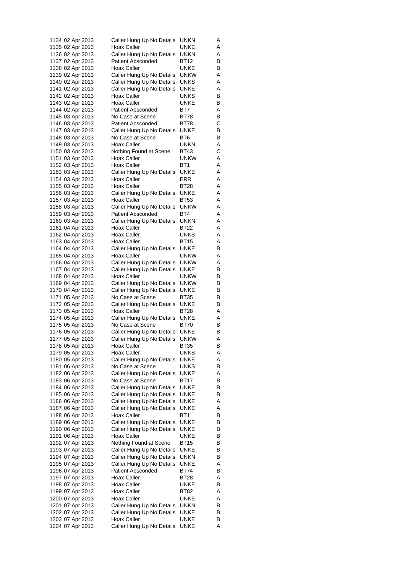| 1134 02 Apr 2013 |  | Caller Hung Up No Details | unkn        | Α      |
|------------------|--|---------------------------|-------------|--------|
| 1135 02 Apr 2013 |  | Hoax Caller               | UNKE        | Α      |
| 1136 02 Apr 2013 |  | Caller Hung Up No Details | UNKN        | Α      |
| 1137 02 Apr 2013 |  | <b>Patient Absconded</b>  | <b>BT12</b> | В      |
| 1138 02 Apr 2013 |  | Hoax Caller               | UNKE        | В      |
| 1139 02 Apr 2013 |  | Caller Hung Up No Details | unkw        | Α      |
| 1140 02 Apr 2013 |  | Caller Hung Up No Details | UNKS        | Α      |
| 1141 02 Apr 2013 |  | Caller Hung Up No Details | UNKE        | Α      |
| 1142 02 Apr 2013 |  | Hoax Caller               | UNKS        | в      |
| 1143 02 Apr 2013 |  | Hoax Caller               | UNKE        | В      |
| 1144 02 Apr 2013 |  | <b>Patient Absconded</b>  | BT7         | Α      |
| 1145 03 Apr 2013 |  | No Case at Scene          | <b>BT78</b> | в      |
|                  |  |                           |             |        |
| 1146 03 Apr 2013 |  | <b>Patient Absconded</b>  | BT78        | С      |
| 1147 03 Apr 2013 |  | Caller Hung Up No Details | UNKE        | В      |
| 1148 03 Apr 2013 |  | No Case at Scene          | BT6         | В      |
| 1149 03 Apr 2013 |  | Hoax Caller               | UNKN        | Α      |
| 1150 03 Apr 2013 |  | Nothing Found at Scene    | BT43        | С      |
| 1151 03 Apr 2013 |  | Hoax Caller               | unkw        | Α      |
| 1152 03 Apr 2013 |  | Hoax Caller               | BT1         | Α      |
| 1153 03 Apr 2013 |  | Caller Hung Up No Details | UNKE        | Α      |
| 1154 03 Apr 2013 |  | Hoax Caller               | ERR         | Α      |
| 1155 03 Apr 2013 |  | Hoax Caller               | <b>BT28</b> | Α      |
| 1156 03 Apr 2013 |  | Caller Hung Up No Details | <b>UNKE</b> | Α      |
| 1157 03 Apr 2013 |  | Hoax Caller               | BT53        | Α      |
| 1158 03 Apr 2013 |  | Caller Hung Up No Details | <b>UNKW</b> | Α      |
| 1159 03 Apr 2013 |  | <b>Patient Absconded</b>  | BT4         | Α      |
| 1160 03 Apr 2013 |  | Caller Hung Up No Details | unkn        | Α      |
| 1161 04 Apr 2013 |  | Hoax Caller               | BT22        | Α      |
| 1162 04 Apr 2013 |  | Hoax Caller               | UNKS        | Α      |
|                  |  |                           |             |        |
| 1163 04 Apr 2013 |  | Hoax Caller               | BT15        | Α      |
| 1164 04 Apr 2013 |  | Caller Hung Up No Details | UNKE        | В      |
| 1165 04 Apr 2013 |  | Hoax Caller               | unkw        | Α      |
| 1166 04 Apr 2013 |  | Caller Hung Up No Details | unkw        | Α      |
| 1167 04 Apr 2013 |  | Caller Hung Up No Details | UNKE        | В      |
| 1168 04 Apr 2013 |  | Hoax Caller               | unkw        | В      |
| 1169 04 Apr 2013 |  | Caller Hung Up No Details | UNKW        | В      |
| 1170 04 Apr 2013 |  | Caller Hung Up No Details | UNKE        | В      |
| 1171 05 Apr 2013 |  | No Case at Scene          | BT35        | В      |
| 1172 05 Apr 2013 |  | Caller Hung Up No Details | UNKE        | В      |
| 1173 05 Apr 2013 |  | Hoax Caller               | BT28        | Α      |
| 1174 05 Apr 2013 |  | Caller Hung Up No Details | UNKE        | Α      |
| 1175 05 Apr 2013 |  | No Case at Scene          | BT70        | В      |
| 1176 05 Apr 2013 |  | Caller Hung Up No Details | UNKE        | В      |
| 1177 05 Apr 2013 |  | Caller Hung Up No Details | <b>UNKW</b> | Α      |
| 1178 05 Apr 2013 |  | Hoax Caller               | BT35        | В      |
| 1179 05 Apr 2013 |  | Hoax Caller               | <b>UNKS</b> | Α      |
| 1180 05 Apr 2013 |  | Caller Hung Up No Details | UNKE        | Α      |
| 1181 06 Apr 2013 |  | No Case at Scene          | UNKS        | В      |
| 1182 06 Apr 2013 |  | Caller Hung Up No Details | <b>UNKE</b> |        |
|                  |  |                           |             | Α<br>В |
| 1183 06 Apr 2013 |  | No Case at Scene          | BT17        |        |
| 1184 06 Apr 2013 |  | Caller Hung Up No Details | UNKE        | В      |
| 1185 06 Apr 2013 |  | Caller Hung Up No Details | UNKE        | в      |
| 1186 06 Apr 2013 |  | Caller Hung Up No Details | UNKE        | Α      |
| 1187 06 Apr 2013 |  | Caller Hung Up No Details | UNKE        | Α      |
| 1188 06 Apr 2013 |  | Hoax Caller               | BT1         | В      |
| 1189 06 Apr 2013 |  | Caller Hung Up No Details | UNKE        | В      |
| 1190 06 Apr 2013 |  | Caller Hung Up No Details | UNKE        | В      |
| 1191 06 Apr 2013 |  | Hoax Caller               | UNKE        | В      |
| 1192 07 Apr 2013 |  | Nothing Found at Scene    | BT15        | В      |
| 1193 07 Apr 2013 |  | Caller Hung Up No Details | UNKE        | В      |
| 1194 07 Apr 2013 |  | Caller Hung Up No Details | <b>UNKN</b> | В      |
| 1195 07 Apr 2013 |  | Caller Hung Up No Details | UNKE        | Α      |
| 1196 07 Apr 2013 |  | <b>Patient Absconded</b>  | BT74        | в      |
| 1197 07 Apr 2013 |  | Hoax Caller               | BT28        | Α      |
| 1198 07 Apr 2013 |  | Hoax Caller               | UNKE        | В      |
| 1199 07 Apr 2013 |  | Hoax Caller               | BT82        | Α      |
|                  |  |                           |             |        |
| 1200 07 Apr 2013 |  | Hoax Caller               | UNKE        | Α      |
| 1201 07 Apr 2013 |  | Caller Hung Up No Details | <b>UNKN</b> | В      |
| 1202 07 Apr 2013 |  | Caller Hung Up No Details | UNKE        | В      |
| 1203 07 Apr 2013 |  | Hoax Caller               | UNKE        | в      |
| 1204 07 Apr 2013 |  | Caller Hung Up No Details | UNKE        | Α      |
|                  |  |                           |             |        |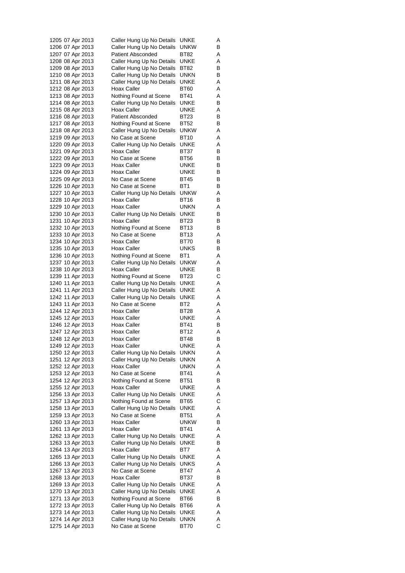|  | 1205 07 Apr 2013 | Caller Hung Up No Details | UNKE                | Α |
|--|------------------|---------------------------|---------------------|---|
|  | 1206 07 Apr 2013 | Caller Hung Up No Details | unkw                | В |
|  | 1207 07 Apr 2013 | <b>Patient Absconded</b>  | BT82                | Α |
|  | 1208 08 Apr 2013 | Caller Hung Up No Details | UNKE                | Α |
|  | 1209 08 Apr 2013 | Caller Hung Up No Details | BT82                | в |
|  | 1210 08 Apr 2013 | Caller Hung Up No Details | unkn                | в |
|  | 1211 08 Apr 2013 | Caller Hung Up No Details | UNKE                | Α |
|  | 1212 08 Apr 2013 | Hoax Caller               | BT60                | Α |
|  | 1213 08 Apr 2013 | Nothing Found at Scene    | BT41                | Α |
|  | 1214 08 Apr 2013 | Caller Hung Up No Details | UNKE                | В |
|  | 1215 08 Apr 2013 | Hoax Caller               | UNKE                | Α |
|  | 1216 08 Apr 2013 | <b>Patient Absconded</b>  | <b>BT23</b>         | в |
|  | 1217 08 Apr 2013 | Nothing Found at Scene    | BT52                | В |
|  | 1218 08 Apr 2013 | Caller Hung Up No Details | unkw                | Α |
|  | 1219 09 Apr 2013 | No Case at Scene          | BT10                | Α |
|  | 1220 09 Apr 2013 | Caller Hung Up No Details | UNKE                | Α |
|  | 1221 09 Apr 2013 | Hoax Caller               | BT37                | в |
|  | 1222 09 Apr 2013 | No Case at Scene          | BT56                | в |
|  | 1223 09 Apr 2013 | Hoax Caller               | UNKE                | В |
|  | 1224 09 Apr 2013 | Hoax Caller               | UNKE                | В |
|  | 1225 09 Apr 2013 | No Case at Scene          | BT45                | В |
|  | 1226 10 Apr 2013 | No Case at Scene          | BT1                 | В |
|  | 1227 10 Apr 2013 | Caller Hung Up No Details | <b>UNKW</b>         | Α |
|  | 1228 10 Apr 2013 | Hoax Caller               | BT16                | В |
|  | 1229 10 Apr 2013 | Hoax Caller               | UNKN                | Α |
|  | 1230 10 Apr 2013 | Caller Hung Up No Details | UNKE                | В |
|  |                  | Hoax Caller               | <b>BT23</b>         | В |
|  | 1231 10 Apr 2013 |                           |                     |   |
|  | 1232 10 Apr 2013 | Nothing Found at Scene    | BT13                | в |
|  | 1233 10 Apr 2013 | No Case at Scene          | BT13                | Α |
|  | 1234 10 Apr 2013 | Hoax Caller               | BT70                | в |
|  | 1235 10 Apr 2013 | Hoax Caller               | UNKS                | В |
|  | 1236 10 Apr 2013 | Nothing Found at Scene    | BT1                 | Α |
|  | 1237 10 Apr 2013 | Caller Hung Up No Details | unkw                | Α |
|  | 1238 10 Apr 2013 | Hoax Caller               | UNKE                | В |
|  | 1239 11 Apr 2013 | Nothing Found at Scene    | <b>BT23</b>         | С |
|  | 1240 11 Apr 2013 | Caller Hung Up No Details | UNKE                | Α |
|  | 1241 11 Apr 2013 | Caller Hung Up No Details | UNKE                | Α |
|  | 1242 11 Apr 2013 | Caller Hung Up No Details | UNKE                | Α |
|  | 1243 11 Apr 2013 | No Case at Scene          | BT2                 | Α |
|  | 1244 12 Apr 2013 | Hoax Caller               | BT28                | Α |
|  | 1245 12 Apr 2013 | Hoax Caller               | UNKE                | Α |
|  | 1246 12 Apr 2013 | Hoax Caller               | BT41                | в |
|  | 1247 12 Apr 2013 | Hoax Caller               | BT12                | Α |
|  | 1248 12 Apr 2013 | Hoax Caller               | BT48                | В |
|  | 1249 12 Apr 2013 | Hoax Caller               | UNKE                | Α |
|  | 1250 12 Apr 2013 | Caller Hung Up No Details | UNKN                | Α |
|  | 1251 12 Apr 2013 | Caller Hung Up No Details | <b>UNKN</b>         | Α |
|  | 1252 12 Apr 2013 | Hoax Caller               | <b>UNKN</b>         | Α |
|  | 1253 12 Apr 2013 | No Case at Scene          | BT41                | Α |
|  | 1254 12 Apr 2013 | Nothing Found at Scene    | BT51                | В |
|  | 1255 12 Apr 2013 | Hoax Caller               | UNKE                | Α |
|  | 1256 13 Apr 2013 | Caller Hung Up No Details | UNKE                | Α |
|  | 1257 13 Apr 2013 | Nothing Found at Scene    | <b>BT65</b>         | С |
|  | 1258 13 Apr 2013 | Caller Hung Up No Details | UNKE                | Α |
|  | 1259 13 Apr 2013 | No Case at Scene          | <b>BT51</b>         | Α |
|  | 1260 13 Apr 2013 | Hoax Caller               | <b>UNKW</b>         | В |
|  | 1261 13 Apr 2013 | Hoax Caller               | BT41                | Α |
|  | 1262 13 Apr 2013 | Caller Hung Up No Details | UNKE                | Α |
|  | 1263 13 Apr 2013 | Caller Hung Up No Details | UNKE                | В |
|  | 1264 13 Apr 2013 | Hoax Caller               | BT7                 | Α |
|  | 1265 13 Apr 2013 | Caller Hung Up No Details | UNKE                | Α |
|  | 1266 13 Apr 2013 | Caller Hung Up No Details | <b>UNKS</b>         | Α |
|  | 1267 13 Apr 2013 | No Case at Scene          | BT47                | Α |
|  | 1268 13 Apr 2013 | Hoax Caller               | BT37                | В |
|  | 1269 13 Apr 2013 | Caller Hung Up No Details | UNKE                | Α |
|  | 1270 13 Apr 2013 | Caller Hung Up No Details | UNKE                | Α |
|  | 1271 13 Apr 2013 | Nothing Found at Scene    | BT66                | В |
|  | 1272 13 Apr 2013 |                           | BT66                | Α |
|  | 1273 14 Apr 2013 | Caller Hung Up No Details | UNKE                | Α |
|  |                  | Caller Hung Up No Details |                     |   |
|  | 1274 14 Apr 2013 | Caller Hung Up No Details | unkn<br><b>BT70</b> | Α |
|  | 1275 14 Apr 2013 | No Case at Scene          |                     | С |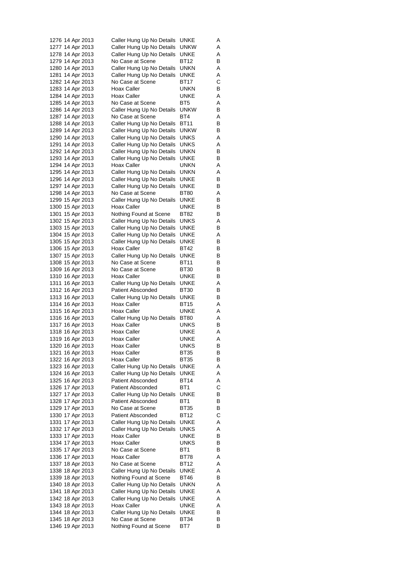| 1276 14 Apr 2013 |  | Caller Hung Up No Details | UNKE        | A |
|------------------|--|---------------------------|-------------|---|
| 1277 14 Apr 2013 |  | Caller Hung Up No Details | unkw        | Α |
| 1278 14 Apr 2013 |  | Caller Hung Up No Details | UNKE        | Α |
| 1279 14 Apr 2013 |  | No Case at Scene          | BT12        | В |
| 1280 14 Apr 2013 |  | Caller Hung Up No Details | unkn        | Α |
| 1281 14 Apr 2013 |  | Caller Hung Up No Details | UNKE        | Α |
|                  |  |                           |             |   |
| 1282 14 Apr 2013 |  | No Case at Scene          | BT17        | С |
| 1283 14 Apr 2013 |  | Hoax Caller               | UNKN        | в |
| 1284 14 Apr 2013 |  | Hoax Caller               | UNKE        | Α |
| 1285 14 Apr 2013 |  | No Case at Scene          | BT5         | Α |
| 1286 14 Apr 2013 |  | Caller Hung Up No Details | unkw        | В |
| 1287 14 Apr 2013 |  | No Case at Scene          | BT4         | Α |
| 1288 14 Apr 2013 |  | Caller Hung Up No Details | BT11        | В |
|                  |  |                           |             |   |
| 1289 14 Apr 2013 |  | Caller Hung Up No Details | unkw        | В |
| 1290 14 Apr 2013 |  | Caller Hung Up No Details | UNKS        | Α |
| 1291 14 Apr 2013 |  | Caller Hung Up No Details | UNKS        | Α |
| 1292 14 Apr 2013 |  | Caller Hung Up No Details | unkn        | В |
| 1293 14 Apr 2013 |  | Caller Hung Up No Details | UNKE        | в |
| 1294 14 Apr 2013 |  | Hoax Caller               | UNKN        | Α |
| 1295 14 Apr 2013 |  | Caller Hung Up No Details | UNKN        | Α |
|                  |  |                           |             |   |
| 1296 14 Apr 2013 |  | Caller Hung Up No Details | UNKE        | В |
| 1297 14 Apr 2013 |  | Caller Hung Up No Details | UNKE        | в |
| 1298 14 Apr 2013 |  | No Case at Scene          | BT80        | Α |
| 1299 15 Apr 2013 |  | Caller Hung Up No Details | UNKE        | В |
| 1300 15 Apr 2013 |  | Hoax Caller               | UNKE        | в |
| 1301 15 Apr 2013 |  | Nothing Found at Scene    | <b>BT82</b> | В |
| 1302 15 Apr 2013 |  | Caller Hung Up No Details | UNKS        | Α |
| 1303 15 Apr 2013 |  |                           | UNKE        | В |
|                  |  | Caller Hung Up No Details |             |   |
| 1304 15 Apr 2013 |  | Caller Hung Up No Details | UNKE        | Α |
| 1305 15 Apr 2013 |  | Caller Hung Up No Details | UNKE        | в |
| 1306 15 Apr 2013 |  | Hoax Caller               | BT42        | В |
| 1307 15 Apr 2013 |  | Caller Hung Up No Details | UNKE        | в |
| 1308 15 Apr 2013 |  | No Case at Scene          | BT11        | В |
| 1309 16 Apr 2013 |  | No Case at Scene          | BT30        | В |
| 1310 16 Apr 2013 |  | Hoax Caller               | UNKE        | в |
|                  |  |                           |             |   |
| 1311 16 Apr 2013 |  | Caller Hung Up No Details | UNKE        | Α |
| 1312 16 Apr 2013 |  | <b>Patient Absconded</b>  | BT30        | В |
| 1313 16 Apr 2013 |  | Caller Hung Up No Details | UNKE        | в |
| 1314 16 Apr 2013 |  | Hoax Caller               | BT15        | Α |
| 1315 16 Apr 2013 |  | Hoax Caller               | UNKE        | Α |
| 1316 16 Apr 2013 |  | Caller Hung Up No Details | <b>BT80</b> | Α |
| 1317 16 Apr 2013 |  | Hoax Caller               | <b>UNKS</b> | в |
| 1318 16 Apr 2013 |  | Hoax Caller               | UNKE        | Α |
|                  |  |                           |             |   |
| 1319 16 Apr 2013 |  | Hoax Caller               | UNKE        | Α |
| 1320 16 Apr 2013 |  | <b>Hoax Caller</b>        | UNKS        | в |
| 1321 16 Apr 2013 |  | Hoax Caller               | <b>BT35</b> | В |
| 1322 16 Apr 2013 |  | Hoax Caller               | BT35        | В |
| 1323 16 Apr 2013 |  | Caller Hung Up No Details | UNKE        | Α |
| 1324 16 Apr 2013 |  | Caller Hung Up No Details | UNKE        | Α |
| 1325 16 Apr 2013 |  | <b>Patient Absconded</b>  | BT14        | Α |
|                  |  |                           |             |   |
| 1326 17 Apr 2013 |  | <b>Patient Absconded</b>  | BT1         | С |
| 1327 17 Apr 2013 |  | Caller Hung Up No Details | UNKE        | в |
| 1328 17 Apr 2013 |  | <b>Patient Absconded</b>  | BT1         | В |
| 1329 17 Apr 2013 |  | No Case at Scene          | BT35        | В |
| 1330 17 Apr 2013 |  | <b>Patient Absconded</b>  | BT12        | С |
| 1331 17 Apr 2013 |  | Caller Hung Up No Details | UNKE        | Α |
| 1332 17 Apr 2013 |  | Caller Hung Up No Details | UNKS        | Α |
|                  |  |                           |             |   |
| 1333 17 Apr 2013 |  | Hoax Caller               | UNKE        | В |
| 1334 17 Apr 2013 |  | Hoax Caller               | UNKS        | В |
| 1335 17 Apr 2013 |  | No Case at Scene          | BT1         | в |
| 1336 17 Apr 2013 |  | Hoax Caller               | BT78        | Α |
| 1337 18 Apr 2013 |  | No Case at Scene          | BT12        | Α |
| 1338 18 Apr 2013 |  | Caller Hung Up No Details | UNKE        | Α |
| 1339 18 Apr 2013 |  | Nothing Found at Scene    | BT46        | В |
|                  |  |                           |             |   |
| 1340 18 Apr 2013 |  | Caller Hung Up No Details | unkn        | Α |
| 1341 18 Apr 2013 |  | Caller Hung Up No Details | UNKE        | Α |
| 1342 18 Apr 2013 |  | Caller Hung Up No Details | UNKE        | Α |
| 1343 18 Apr 2013 |  | Hoax Caller               | UNKE        | Α |
| 1344 18 Apr 2013 |  | Caller Hung Up No Details | UNKE        | в |
| 1345 18 Apr 2013 |  | No Case at Scene          | BT34        | в |
| 1346 19 Apr 2013 |  | Nothing Found at Scene    | BT7         | В |
|                  |  |                           |             |   |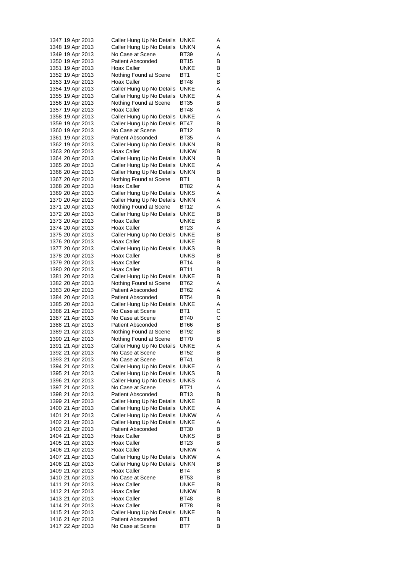|  | 1347 19 Apr 2013 | Caller Hung Up No Details | UNKE        | A |
|--|------------------|---------------------------|-------------|---|
|  | 1348 19 Apr 2013 | Caller Hung Up No Details | unkn        | Α |
|  | 1349 19 Apr 2013 | No Case at Scene          | BT39        | Α |
|  | 1350 19 Apr 2013 | <b>Patient Absconded</b>  | BT15        | В |
|  | 1351 19 Apr 2013 | Hoax Caller               | UNKE        | в |
|  | 1352 19 Apr 2013 | Nothing Found at Scene    | BT1         | С |
|  |                  |                           | <b>BT48</b> |   |
|  | 1353 19 Apr 2013 | Hoax Caller               |             | В |
|  | 1354 19 Apr 2013 | Caller Hung Up No Details | UNKE        | Α |
|  | 1355 19 Apr 2013 | Caller Hung Up No Details | UNKE        | Α |
|  | 1356 19 Apr 2013 | Nothing Found at Scene    | BT35        | В |
|  | 1357 19 Apr 2013 | Hoax Caller               | BT48        | Α |
|  | 1358 19 Apr 2013 | Caller Hung Up No Details | UNKE        | Α |
|  | 1359 19 Apr 2013 | Caller Hung Up No Details | BT47        | В |
|  | 1360 19 Apr 2013 | No Case at Scene          | BT12        | В |
|  | 1361 19 Apr 2013 | <b>Patient Absconded</b>  | <b>BT35</b> | Α |
|  |                  |                           |             | В |
|  | 1362 19 Apr 2013 | Caller Hung Up No Details | unkn        |   |
|  | 1363 20 Apr 2013 | Hoax Caller               | unkw        | В |
|  | 1364 20 Apr 2013 | Caller Hung Up No Details | unkn        | в |
|  | 1365 20 Apr 2013 | Caller Hung Up No Details | UNKE        | Α |
|  | 1366 20 Apr 2013 | Caller Hung Up No Details | unkn        | В |
|  | 1367 20 Apr 2013 | Nothing Found at Scene    | BT1         | В |
|  | 1368 20 Apr 2013 | Hoax Caller               | BT82        | Α |
|  | 1369 20 Apr 2013 | Caller Hung Up No Details | UNKS        | Α |
|  | 1370 20 Apr 2013 | Caller Hung Up No Details | unkn        | Α |
|  | 1371 20 Apr 2013 | Nothing Found at Scene    | <b>BT12</b> | Α |
|  |                  |                           |             |   |
|  | 1372 20 Apr 2013 | Caller Hung Up No Details | UNKE        | В |
|  | 1373 20 Apr 2013 | Hoax Caller               | UNKE        | В |
|  | 1374 20 Apr 2013 | Hoax Caller               | BT23        | Α |
|  | 1375 20 Apr 2013 | Caller Hung Up No Details | UNKE        | В |
|  | 1376 20 Apr 2013 | Hoax Caller               | UNKE        | в |
|  | 1377 20 Apr 2013 | Caller Hung Up No Details | UNKS        | В |
|  | 1378 20 Apr 2013 | Hoax Caller               | UNKS        | В |
|  | 1379 20 Apr 2013 | Hoax Caller               | BT14        | В |
|  | 1380 20 Apr 2013 | Hoax Caller               | BT11        | В |
|  | 1381 20 Apr 2013 | Caller Hung Up No Details | UNKE        | в |
|  |                  |                           |             |   |
|  | 1382 20 Apr 2013 | Nothing Found at Scene    | BT62        | Α |
|  | 1383 20 Apr 2013 | <b>Patient Absconded</b>  | BT62        | Α |
|  | 1384 20 Apr 2013 | <b>Patient Absconded</b>  | BT54        | в |
|  | 1385 20 Apr 2013 | Caller Hung Up No Details | UNKE        | Α |
|  | 1386 21 Apr 2013 | No Case at Scene          | BT1         | С |
|  | 1387 21 Apr 2013 | No Case at Scene          | BT40        | С |
|  | 1388 21 Apr 2013 | <b>Patient Absconded</b>  | BT66        | В |
|  | 1389 21 Apr 2013 | Nothing Found at Scene    | BT92        | в |
|  | 1390 21 Apr 2013 | Nothing Found at Scene    | BT70        | В |
|  | 1391 21 Apr 2013 | Caller Hung Up No Details | <b>UNKE</b> | Α |
|  |                  | No Case at Scene          |             | В |
|  | 1392 21 Apr 2013 |                           | BT52        |   |
|  | 1393 21 Apr 2013 | No Case at Scene          | BT41        | В |
|  | 1394 21 Apr 2013 | Caller Hung Up No Details | UNKE        | Α |
|  | 1395 21 Apr 2013 | Caller Hung Up No Details | <b>UNKS</b> | В |
|  | 1396 21 Apr 2013 | Caller Hung Up No Details | UNKS        | Α |
|  | 1397 21 Apr 2013 | No Case at Scene          | BT71        | Α |
|  | 1398 21 Apr 2013 | <b>Patient Absconded</b>  | BT13        | В |
|  | 1399 21 Apr 2013 | Caller Hung Up No Details | <b>UNKE</b> | В |
|  | 1400 21 Apr 2013 | Caller Hung Up No Details | UNKE        | Α |
|  | 1401 21 Apr 2013 | Caller Hung Up No Details | <b>UNKW</b> | Α |
|  |                  |                           |             |   |
|  | 1402 21 Apr 2013 | Caller Hung Up No Details | <b>UNKE</b> | Α |
|  | 1403 21 Apr 2013 | <b>Patient Absconded</b>  | BT30        | В |
|  | 1404 21 Apr 2013 | Hoax Caller               | UNKS        | В |
|  | 1405 21 Apr 2013 | Hoax Caller               | BT23        | В |
|  | 1406 21 Apr 2013 | Hoax Caller               | unkw        | Α |
|  | 1407 21 Apr 2013 | Caller Hung Up No Details | <b>UNKW</b> | Α |
|  | 1408 21 Apr 2013 | Caller Hung Up No Details | unkn        | В |
|  | 1409 21 Apr 2013 | Hoax Caller               | BT4         | В |
|  |                  |                           |             |   |
|  | 1410 21 Apr 2013 | No Case at Scene          | BT53        | В |
|  | 1411 21 Apr 2013 | Hoax Caller               | UNKE        | в |
|  | 1412 21 Apr 2013 | Hoax Caller               | unkw        | В |
|  | 1413 21 Apr 2013 | <b>Hoax Caller</b>        | BT48        | В |
|  | 1414 21 Apr 2013 | Hoax Caller               | BT78        | в |
|  | 1415 21 Apr 2013 | Caller Hung Up No Details | UNKE        | В |
|  | 1416 21 Apr 2013 | <b>Patient Absconded</b>  | BT1         | в |
|  | 1417 22 Apr 2013 | No Case at Scene          | BT7         | В |
|  |                  |                           |             |   |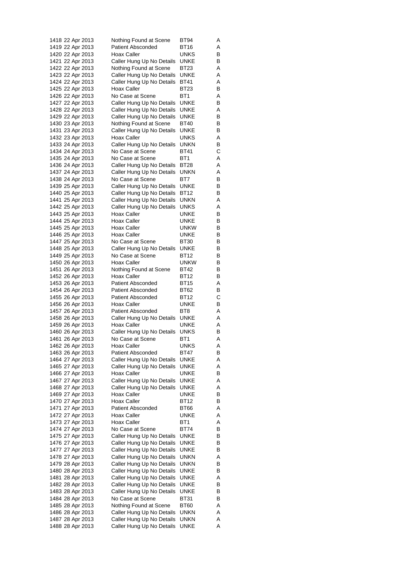| 1418 22 Apr 2013                     |  |                                      | Nothing Found at Scene                                 | BT94                | Α      |
|--------------------------------------|--|--------------------------------------|--------------------------------------------------------|---------------------|--------|
| 1419 22 Apr 2013                     |  |                                      | <b>Patient Absconded</b>                               | BT16                | Α      |
|                                      |  | 1420 22 Apr 2013                     | Hoax Caller                                            | UNKS                | В      |
|                                      |  | 1421 22 Apr 2013                     | Caller Hung Up No Details                              | UNKE                | В      |
|                                      |  | 1422 22 Apr 2013                     | Nothing Found at Scene                                 | BT23                | Α      |
| 1424 22 Apr 2013                     |  | 1423 22 Apr 2013                     | Caller Hung Up No Details<br>Caller Hung Up No Details | UNKE<br>BT41        | Α<br>Α |
| 1425 22 Apr 2013                     |  |                                      | Hoax Caller                                            | BT23                | В      |
| 1426 22 Apr 2013                     |  |                                      | No Case at Scene                                       | BT1                 | Α      |
| 1427 22 Apr 2013                     |  |                                      | Caller Hung Up No Details                              | UNKE                | В      |
|                                      |  | 1428 22 Apr 2013                     | Caller Hung Up No Details                              | UNKE                | Α      |
|                                      |  | 1429 22 Apr 2013                     | Caller Hung Up No Details                              | UNKE                | в      |
|                                      |  | 1430 23 Apr 2013                     | Nothing Found at Scene                                 | BT40                | В      |
| 1431 23 Apr 2013                     |  |                                      | Caller Hung Up No Details                              | UNKE                | В      |
| 1432 23 Apr 2013                     |  |                                      | Hoax Caller                                            | UNKS                | Α      |
|                                      |  | 1433 24 Apr 2013                     | Caller Hung Up No Details                              | unkn                | В      |
|                                      |  | 1434 24 Apr 2013                     | No Case at Scene                                       | BT41                | С      |
|                                      |  | 1435 24 Apr 2013<br>1436 24 Apr 2013 | No Case at Scene<br>Caller Hung Up No Details          | BT1<br>BT28         | Α      |
| 1437 24 Apr 2013                     |  |                                      | Caller Hung Up No Details                              | UNKN                | Α<br>Α |
| 1438 24 Apr 2013                     |  |                                      | No Case at Scene                                       | BT7                 | В      |
| 1439 25 Apr 2013                     |  |                                      | Caller Hung Up No Details                              | UNKE                | в      |
|                                      |  | 1440 25 Apr 2013                     | Caller Hung Up No Details                              | BT12                | В      |
|                                      |  | 1441 25 Apr 2013                     | Caller Hung Up No Details                              | unkn                | Α      |
| 1442 25 Apr 2013                     |  |                                      | Caller Hung Up No Details                              | UNKS                | Α      |
|                                      |  | 1443 25 Apr 2013                     | Hoax Caller                                            | UNKE                | в      |
| 1444 25 Apr 2013                     |  |                                      | Hoax Caller                                            | UNKE                | В      |
| 1445 25 Apr 2013                     |  |                                      | Hoax Caller                                            | unkw                | В      |
|                                      |  | 1446 25 Apr 2013                     | Hoax Caller                                            | UNKE                | В      |
| 1447 25 Apr 2013                     |  |                                      | No Case at Scene                                       | BT30<br>UNKE        | В      |
| 1448 25 Apr 2013                     |  | 1449 25 Apr 2013                     | Caller Hung Up No Details<br>No Case at Scene          | BT12                | В<br>в |
|                                      |  | 1450 26 Apr 2013                     | Hoax Caller                                            | unkw                | В      |
| 1451 26 Apr 2013                     |  |                                      | Nothing Found at Scene                                 | BT42                | В      |
| 1452 26 Apr 2013                     |  |                                      | Hoax Caller                                            | BT12                | в      |
| 1453 26 Apr 2013                     |  |                                      | <b>Patient Absconded</b>                               | BT15                | Α      |
|                                      |  | 1454 26 Apr 2013                     | <b>Patient Absconded</b>                               | BT62                | В      |
|                                      |  | 1455 26 Apr 2013                     | <b>Patient Absconded</b>                               | BT12                | С      |
|                                      |  | 1456 26 Apr 2013                     | Hoax Caller                                            | UNKE                | В      |
| 1457 26 Apr 2013                     |  |                                      | <b>Patient Absconded</b>                               | BT8                 | Α      |
| 1458 26 Apr 2013                     |  |                                      | Caller Hung Up No Details                              | UNKE                | Α      |
| 1459 26 Apr 2013                     |  |                                      | <b>Hoax Caller</b>                                     | UNKE<br><b>UNKS</b> | Α<br>В |
| 1460 26 Apr 2013<br>1461 26 Apr 2013 |  |                                      | Caller Hung Up No Details<br>No Case at Scene          | BT1                 | Α      |
| 1462 26 Apr 2013                     |  |                                      | <b>Hoax Caller</b>                                     | UNKS                | Α      |
|                                      |  | 1463 26 Apr 2013                     | <b>Patient Absconded</b>                               | BT47                | В      |
|                                      |  | 1464 27 Apr 2013                     | Caller Hung Up No Details                              | UNKE                | Α      |
|                                      |  | 1465 27 Apr 2013                     | Caller Hung Up No Details                              | UNKE                | Α      |
|                                      |  | 1466 27 Apr 2013                     | Hoax Caller                                            | UNKE                | В      |
|                                      |  | 1467 27 Apr 2013                     | Caller Hung Up No Details                              | <b>UNKE</b>         | Α      |
|                                      |  | 1468 27 Apr 2013                     | Caller Hung Up No Details                              | UNKE                | Α      |
|                                      |  | 1469 27 Apr 2013                     | Hoax Caller                                            | UNKE                | в      |
|                                      |  | 1470 27 Apr 2013                     | Hoax Caller                                            | BT12                | В      |
|                                      |  | 1471 27 Apr 2013<br>1472 27 Apr 2013 | <b>Patient Absconded</b><br>Hoax Caller                | BT66<br>UNKE        | Α<br>Α |
|                                      |  | 1473 27 Apr 2013                     | Hoax Caller                                            | BT1                 | Α      |
|                                      |  | 1474 27 Apr 2013                     | No Case at Scene                                       | BT74                | В      |
|                                      |  | 1475 27 Apr 2013                     | Caller Hung Up No Details                              | UNKE                | В      |
|                                      |  | 1476 27 Apr 2013                     | Caller Hung Up No Details                              | UNKE                | В      |
|                                      |  | 1477 27 Apr 2013                     | Caller Hung Up No Details                              | UNKE                | В      |
|                                      |  | 1478 27 Apr 2013                     | Caller Hung Up No Details                              | <b>UNKN</b>         | Α      |
|                                      |  | 1479 28 Apr 2013                     | Caller Hung Up No Details                              | <b>UNKN</b>         | в      |
|                                      |  | 1480 28 Apr 2013                     | Caller Hung Up No Details                              | UNKE                | В      |
|                                      |  | 1481 28 Apr 2013                     | Caller Hung Up No Details                              | UNKE                | Α      |
|                                      |  | 1482 28 Apr 2013                     | Caller Hung Up No Details                              | UNKE<br>UNKE        | В<br>В |
|                                      |  | 1483 28 Apr 2013<br>1484 28 Apr 2013 | Caller Hung Up No Details<br>No Case at Scene          | BT31                | В      |
|                                      |  | 1485 28 Apr 2013                     | Nothing Found at Scene                                 | BT60                | Α      |
|                                      |  | 1486 28 Apr 2013                     | Caller Hung Up No Details                              | <b>UNKN</b>         | Α      |
|                                      |  | 1487 28 Apr 2013                     | Caller Hung Up No Details                              | <b>UNKN</b>         | Α      |
|                                      |  | 1488 28 Apr 2013                     | Caller Hung Up No Details                              | <b>UNKE</b>         | Α      |
|                                      |  |                                      |                                                        |                     |        |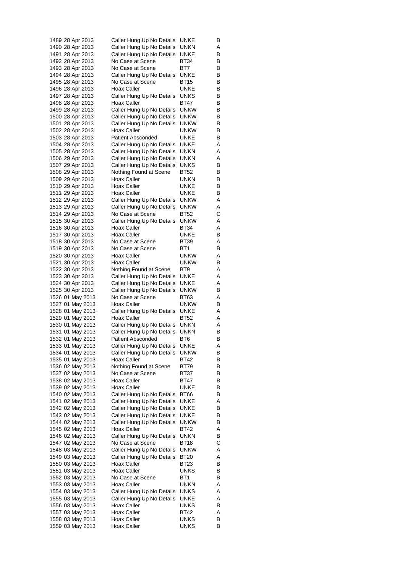| 1489 28 Apr 2013 | Caller Hung Up No Details | UNKE        | в |
|------------------|---------------------------|-------------|---|
| 1490 28 Apr 2013 | Caller Hung Up No Details | unkn        | Α |
|                  |                           |             |   |
| 1491 28 Apr 2013 | Caller Hung Up No Details | UNKE        | в |
| 1492 28 Apr 2013 | No Case at Scene          | BT34        | в |
| 1493 28 Apr 2013 | No Case at Scene          | BT7         | в |
| 1494 28 Apr 2013 | Caller Hung Up No Details | UNKE        | В |
| 1495 28 Apr 2013 | No Case at Scene          | BT15        | в |
| 1496 28 Apr 2013 | Hoax Caller               | UNKE        | В |
|                  |                           |             |   |
| 1497 28 Apr 2013 | Caller Hung Up No Details | <b>UNKS</b> | в |
| 1498 28 Apr 2013 | Hoax Caller               | BT47        | в |
| 1499 28 Apr 2013 | Caller Hung Up No Details | unkw        | в |
| 1500 28 Apr 2013 | Caller Hung Up No Details | unkw        | в |
| 1501 28 Apr 2013 | Caller Hung Up No Details | unkw        | в |
| 1502 28 Apr 2013 | Hoax Caller               | UNKW        | в |
|                  | <b>Patient Absconded</b>  |             | в |
| 1503 28 Apr 2013 |                           | UNKE        |   |
| 1504 28 Apr 2013 | Caller Hung Up No Details | UNKE        | A |
| 1505 28 Apr 2013 | Caller Hung Up No Details | unkn        | A |
| 1506 29 Apr 2013 | Caller Hung Up No Details | unkn        | Α |
| 1507 29 Apr 2013 | Caller Hung Up No Details | UNKS        | В |
| 1508 29 Apr 2013 | Nothing Found at Scene    | BT52        | в |
| 1509 29 Apr 2013 | Hoax Caller               | UNKN        | в |
|                  |                           |             |   |
| 1510 29 Apr 2013 | Hoax Caller               | UNKE        | в |
| 1511 29 Apr 2013 | Hoax Caller               | UNKE        | в |
| 1512 29 Apr 2013 | Caller Hung Up No Details | unkw        | A |
| 1513 29 Apr 2013 | Caller Hung Up No Details | unkw        | Α |
| 1514 29 Apr 2013 | No Case at Scene          | BT52        | С |
| 1515 30 Apr 2013 |                           | <b>UNKW</b> | Α |
|                  | Caller Hung Up No Details |             |   |
| 1516 30 Apr 2013 | Hoax Caller               | BT34        | Α |
| 1517 30 Apr 2013 | Hoax Caller               | UNKE        | в |
| 1518 30 Apr 2013 | No Case at Scene          | BT39        | A |
| 1519 30 Apr 2013 | No Case at Scene          | BT1         | в |
| 1520 30 Apr 2013 | Hoax Caller               | unkw        | Α |
| 1521 30 Apr 2013 | Hoax Caller               | unkw        | в |
| 1522 30 Apr 2013 | Nothing Found at Scene    | BT9         | A |
|                  |                           |             |   |
| 1523 30 Apr 2013 | Caller Hung Up No Details | UNKE        | Α |
| 1524 30 Apr 2013 | Caller Hung Up No Details | UNKE        | Α |
| 1525 30 Apr 2013 | Caller Hung Up No Details | unkw        | в |
| 1526 01 May 2013 | No Case at Scene          | BT63        | Α |
| 1527 01 May 2013 | Hoax Caller               | unkw        | в |
| 1528 01 May 2013 | Caller Hung Up No Details | <b>UNKE</b> | A |
| 1529 01 May 2013 | <b>Hoax Caller</b>        | <b>BT52</b> | A |
|                  |                           |             |   |
| 1530 01 May 2013 | Caller Hung Up No Details | UNKN        | Α |
| 1531 01 May 2013 | Caller Hung Up No Details | <b>UNKN</b> | в |
| 1532 01 May 2013 | Patient Absconded         | BT6         | В |
| 1533 01 May 2013 | Caller Hung Up No Details | UNKE        | A |
| 1534 01 May 2013 | Caller Hung Up No Details | unkw        | В |
| 1535 01 May 2013 | Hoax Caller               | <b>BT42</b> | В |
| 1536 02 May 2013 | Nothing Found at Scene    | BT79        | в |
|                  |                           |             |   |
| 1537 02 May 2013 | No Case at Scene          | BT37        | в |
| 1538 02 May 2013 | Hoax Caller               | BT47        | в |
| 1539 02 May 2013 | Hoax Caller               | <b>UNKE</b> | В |
| 1540 02 May 2013 | Caller Hung Up No Details | BT66        | В |
| 1541 02 May 2013 | Caller Hung Up No Details | UNKE        | Α |
| 1542 02 May 2013 | Caller Hung Up No Details | UNKE        | в |
| 1543 02 May 2013 | Caller Hung Up No Details | <b>UNKE</b> | В |
|                  |                           |             |   |
| 1544 02 May 2013 | Caller Hung Up No Details | unkw        | В |
| 1545 02 May 2013 | Hoax Caller               | BT42        | Α |
| 1546 02 May 2013 | Caller Hung Up No Details | UNKN        | в |
| 1547 02 May 2013 | No Case at Scene          | BT18        | С |
| 1548 03 May 2013 | Caller Hung Up No Details | <b>UNKW</b> | Α |
| 1549 03 May 2013 | Caller Hung Up No Details | BT20        | Α |
| 1550 03 May 2013 | Hoax Caller               | BT23        | В |
|                  |                           |             |   |
| 1551 03 May 2013 | Hoax Caller               | UNKS        | В |
| 1552 03 May 2013 | No Case at Scene          | BT1         | в |
| 1553 03 May 2013 | Hoax Caller               | UNKN        | Α |
| 1554 03 May 2013 | Caller Hung Up No Details | <b>UNKS</b> | Α |
| 1555 03 May 2013 | Caller Hung Up No Details | UNKE        | Α |
| 1556 03 May 2013 | Hoax Caller               | UNKS        | в |
|                  | Hoax Caller               | BT42        | Α |
| 1557 03 May 2013 |                           |             |   |
| 1558 03 May 2013 | Hoax Caller               | UNKS        | в |
| 1559 03 May 2013 | Hoax Caller               | UNKS        | В |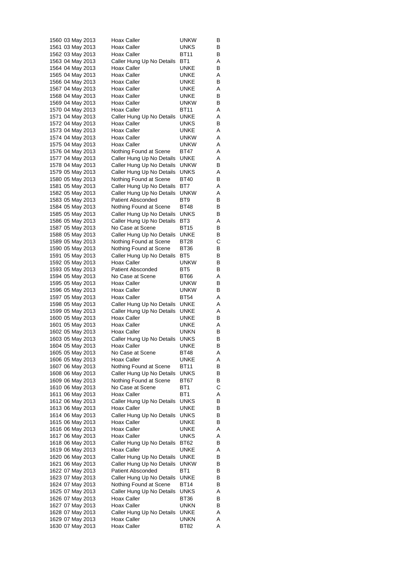| 1560 03 May 2013 |  | Hoax Caller               | unkw            | В |
|------------------|--|---------------------------|-----------------|---|
| 1561 03 May 2013 |  | Hoax Caller               | UNKS            | В |
| 1562 03 May 2013 |  | Hoax Caller               | BT11            | В |
| 1563 04 May 2013 |  | Caller Hung Up No Details | BT1             | Α |
| 1564 04 May 2013 |  | Hoax Caller               | UNKE            | в |
| 1565 04 May 2013 |  | Hoax Caller               | UNKE            | Α |
| 1566 04 May 2013 |  | Hoax Caller               | UNKE            | в |
|                  |  | Hoax Caller               |                 |   |
| 1567 04 May 2013 |  |                           | UNKE            | Α |
| 1568 04 May 2013 |  | Hoax Caller               | UNKE            | В |
| 1569 04 May 2013 |  | Hoax Caller               | unkw            | В |
| 1570 04 May 2013 |  | Hoax Caller               | BT11            | Α |
| 1571 04 May 2013 |  | Caller Hung Up No Details | UNKE            | Α |
| 1572 04 May 2013 |  | Hoax Caller               | UNKS            | В |
| 1573 04 May 2013 |  | Hoax Caller               | UNKE            | Α |
| 1574 04 May 2013 |  | Hoax Caller               | unkw            | Α |
| 1575 04 May 2013 |  | Hoax Caller               | unkw            | Α |
| 1576 04 May 2013 |  | Nothing Found at Scene    | BT47            | Α |
| 1577 04 May 2013 |  | Caller Hung Up No Details | UNKE            | Α |
| 1578 04 May 2013 |  | Caller Hung Up No Details | unkw            | В |
| 1579 05 May 2013 |  | Caller Hung Up No Details | UNKS            | Α |
| 1580 05 May 2013 |  | Nothing Found at Scene    | BT40            | В |
| 1581 05 May 2013 |  | Caller Hung Up No Details | BT7             | Α |
|                  |  |                           |                 |   |
| 1582 05 May 2013 |  | Caller Hung Up No Details | unkw            | Α |
| 1583 05 May 2013 |  | <b>Patient Absconded</b>  | BT9             | В |
| 1584 05 May 2013 |  | Nothing Found at Scene    | BT48            | в |
| 1585 05 May 2013 |  | Caller Hung Up No Details | UNKS            | в |
| 1586 05 May 2013 |  | Caller Hung Up No Details | BT <sub>3</sub> | Α |
| 1587 05 May 2013 |  | No Case at Scene          | BT15            | в |
| 1588 05 May 2013 |  | Caller Hung Up No Details | UNKE            | В |
| 1589 05 May 2013 |  | Nothing Found at Scene    | BT28            | С |
| 1590 05 May 2013 |  | Nothing Found at Scene    | BT36            | В |
| 1591 05 May 2013 |  | Caller Hung Up No Details | BT5             | в |
| 1592 05 May 2013 |  | Hoax Caller               | unkw            | в |
| 1593 05 May 2013 |  | <b>Patient Absconded</b>  | BT5             | В |
| 1594 05 May 2013 |  | No Case at Scene          | BT66            | Α |
| 1595 05 May 2013 |  | Hoax Caller               | UNKW            | В |
| 1596 05 May 2013 |  | Hoax Caller               | unkw            | в |
|                  |  | Hoax Caller               | <b>BT54</b>     |   |
| 1597 05 May 2013 |  |                           |                 | Α |
| 1598 05 May 2013 |  | Caller Hung Up No Details | UNKE            | Α |
| 1599 05 May 2013 |  | Caller Hung Up No Details | UNKE            | Α |
| 1600 05 May 2013 |  | Hoax Caller               | UNKE            | В |
| 1601 05 May 2013 |  | Hoax Caller               | <b>UNKE</b>     | Α |
| 1602 05 May 2013 |  | Hoax Caller               | unkn            | в |
| 1603 05 May 2013 |  | Caller Hung Up No Details | UNKS            | В |
| 1604 05 May 2013 |  | <b>Hoax Caller</b>        | <b>UNKE</b>     | в |
| 1605 05 May 2013 |  | No Case at Scene          | BT48            | Α |
| 1606 05 May 2013 |  | Hoax Caller               | UNKE            | Α |
| 1607 06 May 2013 |  | Nothing Found at Scene    | <b>BT11</b>     | В |
| 1608 06 May 2013 |  | Caller Hung Up No Details | UNKS            | В |
| 1609 06 May 2013 |  | Nothing Found at Scene    | BT67            | в |
| 1610 06 May 2013 |  | No Case at Scene          | BT1             | С |
| 1611 06 May 2013 |  | Hoax Caller               | BT1             | Α |
| 1612 06 May 2013 |  | Caller Hung Up No Details | UNKS            | В |
| 1613 06 May 2013 |  | Hoax Caller               | UNKE            | В |
|                  |  |                           |                 |   |
| 1614 06 May 2013 |  | Caller Hung Up No Details | <b>UNKS</b>     | в |
| 1615 06 May 2013 |  | Hoax Caller               | <b>UNKE</b>     | В |
| 1616 06 May 2013 |  | <b>Hoax Caller</b>        | UNKE            | Α |
| 1617 06 May 2013 |  | Hoax Caller               | <b>UNKS</b>     | Α |
| 1618 06 May 2013 |  | Caller Hung Up No Details | BT62            | В |
| 1619 06 May 2013 |  | Hoax Caller               | UNKE            | Α |
| 1620 06 May 2013 |  | Caller Hung Up No Details | UNKE            | В |
| 1621 06 May 2013 |  | Caller Hung Up No Details | unkw            | В |
| 1622 07 May 2013 |  | <b>Patient Absconded</b>  | BT1             | В |
| 1623 07 May 2013 |  | Caller Hung Up No Details | UNKE            | В |
| 1624 07 May 2013 |  | Nothing Found at Scene    | BT14            | в |
| 1625 07 May 2013 |  | Caller Hung Up No Details | <b>UNKS</b>     | Α |
| 1626 07 May 2013 |  | Hoax Caller               | BT36            | В |
| 1627 07 May 2013 |  | Hoax Caller               | <b>UNKN</b>     | в |
| 1628 07 May 2013 |  | Caller Hung Up No Details | UNKE            | Α |
| 1629 07 May 2013 |  | Hoax Caller               | UNKN            | Α |
| 1630 07 May 2013 |  | Hoax Caller               | BT82            | Α |
|                  |  |                           |                 |   |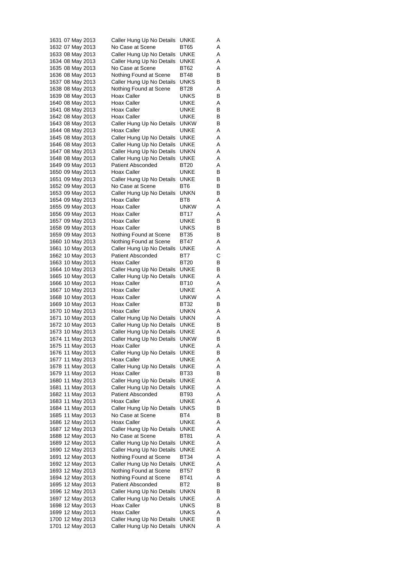| No Case at Scene<br>Α<br>BT65<br>Caller Hung Up No Details<br>UNKE<br>Α<br>Caller Hung Up No Details<br>UNKE<br>Α<br>No Case at Scene<br>BT62<br>Α<br>Nothing Found at Scene<br>BT48<br>в<br>UNKS<br>В<br>Caller Hung Up No Details<br>BT28<br>Α<br>Nothing Found at Scene<br>Hoax Caller<br>UNKS<br>в<br>Hoax Caller<br>UNKE<br>Α<br>Hoax Caller<br>UNKE<br>В<br>Hoax Caller<br>UNKE<br>в<br><b>UNKW</b><br>В<br>Caller Hung Up No Details<br>Hoax Caller<br>UNKE<br>Α<br>Caller Hung Up No Details<br>UNKE<br>Α<br>Caller Hung Up No Details<br>Α<br>UNKE<br>unkn<br>Caller Hung Up No Details<br>Α<br>Caller Hung Up No Details<br>UNKE<br>Α<br><b>Patient Absconded</b><br>BT20<br>Α<br>Hoax Caller<br>UNKE<br>В<br>Caller Hung Up No Details<br>UNKE<br>В<br>No Case at Scene<br>BT6<br>В<br>UNKN<br>В<br>Caller Hung Up No Details<br>Hoax Caller<br>BT8<br>Α |
|---------------------------------------------------------------------------------------------------------------------------------------------------------------------------------------------------------------------------------------------------------------------------------------------------------------------------------------------------------------------------------------------------------------------------------------------------------------------------------------------------------------------------------------------------------------------------------------------------------------------------------------------------------------------------------------------------------------------------------------------------------------------------------------------------------------------------------------------------------------------|
|                                                                                                                                                                                                                                                                                                                                                                                                                                                                                                                                                                                                                                                                                                                                                                                                                                                                     |
|                                                                                                                                                                                                                                                                                                                                                                                                                                                                                                                                                                                                                                                                                                                                                                                                                                                                     |
|                                                                                                                                                                                                                                                                                                                                                                                                                                                                                                                                                                                                                                                                                                                                                                                                                                                                     |
|                                                                                                                                                                                                                                                                                                                                                                                                                                                                                                                                                                                                                                                                                                                                                                                                                                                                     |
|                                                                                                                                                                                                                                                                                                                                                                                                                                                                                                                                                                                                                                                                                                                                                                                                                                                                     |
|                                                                                                                                                                                                                                                                                                                                                                                                                                                                                                                                                                                                                                                                                                                                                                                                                                                                     |
|                                                                                                                                                                                                                                                                                                                                                                                                                                                                                                                                                                                                                                                                                                                                                                                                                                                                     |
|                                                                                                                                                                                                                                                                                                                                                                                                                                                                                                                                                                                                                                                                                                                                                                                                                                                                     |
|                                                                                                                                                                                                                                                                                                                                                                                                                                                                                                                                                                                                                                                                                                                                                                                                                                                                     |
|                                                                                                                                                                                                                                                                                                                                                                                                                                                                                                                                                                                                                                                                                                                                                                                                                                                                     |
|                                                                                                                                                                                                                                                                                                                                                                                                                                                                                                                                                                                                                                                                                                                                                                                                                                                                     |
|                                                                                                                                                                                                                                                                                                                                                                                                                                                                                                                                                                                                                                                                                                                                                                                                                                                                     |
|                                                                                                                                                                                                                                                                                                                                                                                                                                                                                                                                                                                                                                                                                                                                                                                                                                                                     |
|                                                                                                                                                                                                                                                                                                                                                                                                                                                                                                                                                                                                                                                                                                                                                                                                                                                                     |
|                                                                                                                                                                                                                                                                                                                                                                                                                                                                                                                                                                                                                                                                                                                                                                                                                                                                     |
|                                                                                                                                                                                                                                                                                                                                                                                                                                                                                                                                                                                                                                                                                                                                                                                                                                                                     |
|                                                                                                                                                                                                                                                                                                                                                                                                                                                                                                                                                                                                                                                                                                                                                                                                                                                                     |
|                                                                                                                                                                                                                                                                                                                                                                                                                                                                                                                                                                                                                                                                                                                                                                                                                                                                     |
|                                                                                                                                                                                                                                                                                                                                                                                                                                                                                                                                                                                                                                                                                                                                                                                                                                                                     |
|                                                                                                                                                                                                                                                                                                                                                                                                                                                                                                                                                                                                                                                                                                                                                                                                                                                                     |
|                                                                                                                                                                                                                                                                                                                                                                                                                                                                                                                                                                                                                                                                                                                                                                                                                                                                     |
|                                                                                                                                                                                                                                                                                                                                                                                                                                                                                                                                                                                                                                                                                                                                                                                                                                                                     |
| Hoax Caller<br>unkw<br>Α                                                                                                                                                                                                                                                                                                                                                                                                                                                                                                                                                                                                                                                                                                                                                                                                                                            |
| Hoax Caller<br>Α<br>BT17                                                                                                                                                                                                                                                                                                                                                                                                                                                                                                                                                                                                                                                                                                                                                                                                                                            |
| Hoax Caller<br>UNKE<br>в                                                                                                                                                                                                                                                                                                                                                                                                                                                                                                                                                                                                                                                                                                                                                                                                                                            |
| Hoax Caller<br>UNKS<br>В                                                                                                                                                                                                                                                                                                                                                                                                                                                                                                                                                                                                                                                                                                                                                                                                                                            |
| Nothing Found at Scene<br>BT35<br>В                                                                                                                                                                                                                                                                                                                                                                                                                                                                                                                                                                                                                                                                                                                                                                                                                                 |
| Nothing Found at Scene<br>Α<br>BT47<br>UNKE<br>Α                                                                                                                                                                                                                                                                                                                                                                                                                                                                                                                                                                                                                                                                                                                                                                                                                    |
| Caller Hung Up No Details<br><b>Patient Absconded</b><br>BT7<br>С                                                                                                                                                                                                                                                                                                                                                                                                                                                                                                                                                                                                                                                                                                                                                                                                   |
| Hoax Caller<br><b>BT20</b><br>В                                                                                                                                                                                                                                                                                                                                                                                                                                                                                                                                                                                                                                                                                                                                                                                                                                     |
| Caller Hung Up No Details<br>UNKE<br>В                                                                                                                                                                                                                                                                                                                                                                                                                                                                                                                                                                                                                                                                                                                                                                                                                              |
| UNKE<br>Α<br>Caller Hung Up No Details                                                                                                                                                                                                                                                                                                                                                                                                                                                                                                                                                                                                                                                                                                                                                                                                                              |
| Hoax Caller<br>BT10<br>Α                                                                                                                                                                                                                                                                                                                                                                                                                                                                                                                                                                                                                                                                                                                                                                                                                                            |
| Hoax Caller<br>UNKE<br>Α                                                                                                                                                                                                                                                                                                                                                                                                                                                                                                                                                                                                                                                                                                                                                                                                                                            |
| Hoax Caller<br>unkw<br>Α                                                                                                                                                                                                                                                                                                                                                                                                                                                                                                                                                                                                                                                                                                                                                                                                                                            |
| Hoax Caller<br>BT32<br>в                                                                                                                                                                                                                                                                                                                                                                                                                                                                                                                                                                                                                                                                                                                                                                                                                                            |
| Hoax Caller<br>UNKN<br>Α                                                                                                                                                                                                                                                                                                                                                                                                                                                                                                                                                                                                                                                                                                                                                                                                                                            |
| Caller Hung Up No Details<br>UNKN<br>Α                                                                                                                                                                                                                                                                                                                                                                                                                                                                                                                                                                                                                                                                                                                                                                                                                              |
| UNKE<br>Caller Hung Up No Details<br>В                                                                                                                                                                                                                                                                                                                                                                                                                                                                                                                                                                                                                                                                                                                                                                                                                              |
| Caller Hung Up No Details<br>UNKE<br>Α                                                                                                                                                                                                                                                                                                                                                                                                                                                                                                                                                                                                                                                                                                                                                                                                                              |
| <b>UNKW</b><br>Caller Hung Up No Details<br>В                                                                                                                                                                                                                                                                                                                                                                                                                                                                                                                                                                                                                                                                                                                                                                                                                       |
| Hoax Caller<br>UNKE<br>A                                                                                                                                                                                                                                                                                                                                                                                                                                                                                                                                                                                                                                                                                                                                                                                                                                            |
| В<br>Caller Hung Up No Details<br>UNKE                                                                                                                                                                                                                                                                                                                                                                                                                                                                                                                                                                                                                                                                                                                                                                                                                              |
| Hoax Caller<br>UNKE<br>Α                                                                                                                                                                                                                                                                                                                                                                                                                                                                                                                                                                                                                                                                                                                                                                                                                                            |
| Caller Hung Up No Details<br>UNKE<br>Α                                                                                                                                                                                                                                                                                                                                                                                                                                                                                                                                                                                                                                                                                                                                                                                                                              |
| Hoax Caller<br>BT33<br>в<br><b>UNKE</b><br>Α                                                                                                                                                                                                                                                                                                                                                                                                                                                                                                                                                                                                                                                                                                                                                                                                                        |
| Caller Hung Up No Details<br>UNKE<br>Α                                                                                                                                                                                                                                                                                                                                                                                                                                                                                                                                                                                                                                                                                                                                                                                                                              |
| Caller Hung Up No Details                                                                                                                                                                                                                                                                                                                                                                                                                                                                                                                                                                                                                                                                                                                                                                                                                                           |
|                                                                                                                                                                                                                                                                                                                                                                                                                                                                                                                                                                                                                                                                                                                                                                                                                                                                     |
| <b>Patient Absconded</b><br>BT93<br>Α                                                                                                                                                                                                                                                                                                                                                                                                                                                                                                                                                                                                                                                                                                                                                                                                                               |
| <b>UNKE</b><br>Α<br>Hoax Caller                                                                                                                                                                                                                                                                                                                                                                                                                                                                                                                                                                                                                                                                                                                                                                                                                                     |
| Caller Hung Up No Details<br><b>UNKS</b><br>В                                                                                                                                                                                                                                                                                                                                                                                                                                                                                                                                                                                                                                                                                                                                                                                                                       |
| No Case at Scene<br>BT4<br>в                                                                                                                                                                                                                                                                                                                                                                                                                                                                                                                                                                                                                                                                                                                                                                                                                                        |
| Hoax Caller<br>UNKE<br>Α                                                                                                                                                                                                                                                                                                                                                                                                                                                                                                                                                                                                                                                                                                                                                                                                                                            |
| UNKE<br>Α<br>Caller Hung Up No Details                                                                                                                                                                                                                                                                                                                                                                                                                                                                                                                                                                                                                                                                                                                                                                                                                              |
| No Case at Scene<br>BT81<br>Α<br>Α                                                                                                                                                                                                                                                                                                                                                                                                                                                                                                                                                                                                                                                                                                                                                                                                                                  |
| Caller Hung Up No Details<br>UNKE<br>Α<br>UNKE                                                                                                                                                                                                                                                                                                                                                                                                                                                                                                                                                                                                                                                                                                                                                                                                                      |
| Caller Hung Up No Details<br>Α<br>Nothing Found at Scene<br>BT34                                                                                                                                                                                                                                                                                                                                                                                                                                                                                                                                                                                                                                                                                                                                                                                                    |
| Caller Hung Up No Details<br>UNKE<br>Α                                                                                                                                                                                                                                                                                                                                                                                                                                                                                                                                                                                                                                                                                                                                                                                                                              |
| Nothing Found at Scene<br>В<br>BT57                                                                                                                                                                                                                                                                                                                                                                                                                                                                                                                                                                                                                                                                                                                                                                                                                                 |
| Nothing Found at Scene<br>BT41<br>Α                                                                                                                                                                                                                                                                                                                                                                                                                                                                                                                                                                                                                                                                                                                                                                                                                                 |
| <b>Patient Absconded</b><br>BT <sub>2</sub><br>в                                                                                                                                                                                                                                                                                                                                                                                                                                                                                                                                                                                                                                                                                                                                                                                                                    |
| В<br>Caller Hung Up No Details<br>UNKN                                                                                                                                                                                                                                                                                                                                                                                                                                                                                                                                                                                                                                                                                                                                                                                                                              |
| Caller Hung Up No Details<br>Α<br>UNKE                                                                                                                                                                                                                                                                                                                                                                                                                                                                                                                                                                                                                                                                                                                                                                                                                              |
| Hoax Caller<br><b>UNKS</b><br>В                                                                                                                                                                                                                                                                                                                                                                                                                                                                                                                                                                                                                                                                                                                                                                                                                                     |
| Hoax Caller<br><b>UNKS</b><br>Α                                                                                                                                                                                                                                                                                                                                                                                                                                                                                                                                                                                                                                                                                                                                                                                                                                     |
| Caller Hung Up No Details<br>UNKE<br>в<br>Caller Hung Up No Details<br>unkn<br>Α                                                                                                                                                                                                                                                                                                                                                                                                                                                                                                                                                                                                                                                                                                                                                                                    |
|                                                                                                                                                                                                                                                                                                                                                                                                                                                                                                                                                                                                                                                                                                                                                                                                                                                                     |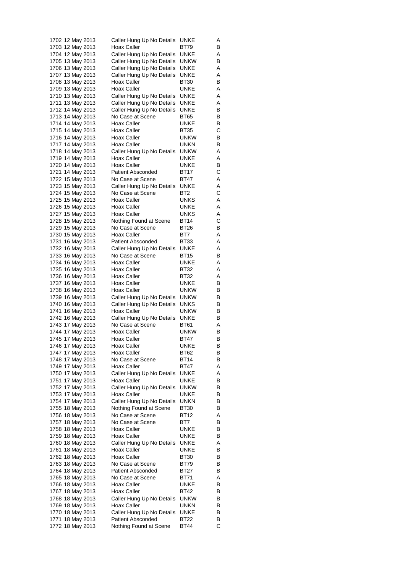| 1702 12 May 2013 | Caller Hung Up No Details | UNKE        | Α |
|------------------|---------------------------|-------------|---|
| 1703 12 May 2013 | Hoax Caller               | BT79        | в |
| 1704 12 May 2013 | Caller Hung Up No Details | UNKE        | Α |
| 1705 13 May 2013 | Caller Hung Up No Details | <b>UNKW</b> | В |
| 1706 13 May 2013 | Caller Hung Up No Details | UNKE        | Α |
| 1707 13 May 2013 | Caller Hung Up No Details | UNKE        | Α |
| 1708 13 May 2013 | Hoax Caller               | BT30        | В |
| 1709 13 May 2013 | Hoax Caller               | UNKE        | Α |
| 1710 13 May 2013 | Caller Hung Up No Details | UNKE        | Α |
| 1711 13 May 2013 | Caller Hung Up No Details | UNKE        | Α |
| 1712 14 May 2013 | Caller Hung Up No Details | UNKE        | В |
| 1713 14 May 2013 | No Case at Scene          | <b>BT65</b> | В |
| 1714 14 May 2013 | Hoax Caller               | UNKE        | В |
| 1715 14 May 2013 | Hoax Caller               | <b>BT35</b> | С |
|                  | Hoax Caller               |             | В |
| 1716 14 May 2013 |                           | unkw        |   |
| 1717 14 May 2013 | Hoax Caller               | UNKN        | в |
| 1718 14 May 2013 | Caller Hung Up No Details | <b>UNKW</b> | Α |
| 1719 14 May 2013 | Hoax Caller               | UNKE        | Α |
| 1720 14 May 2013 | Hoax Caller               | UNKE        | В |
| 1721 14 May 2013 | <b>Patient Absconded</b>  | BT17        | С |
| 1722 15 May 2013 | No Case at Scene          | <b>BT47</b> | Α |
| 1723 15 May 2013 | Caller Hung Up No Details | UNKE        | Α |
| 1724 15 May 2013 | No Case at Scene          | BT2         | С |
| 1725 15 May 2013 | Hoax Caller               | UNKS        | Α |
| 1726 15 May 2013 | Hoax Caller               | UNKE        | Α |
| 1727 15 May 2013 | Hoax Caller               | UNKS        | Α |
| 1728 15 May 2013 | Nothing Found at Scene    | BT14        | С |
| 1729 15 May 2013 | No Case at Scene          | BT26        | В |
| 1730 15 May 2013 | Hoax Caller               | BT7         | Α |
| 1731 16 May 2013 | <b>Patient Absconded</b>  | BT33        | Α |
| 1732 16 May 2013 | Caller Hung Up No Details | UNKE        | Α |
| 1733 16 May 2013 | No Case at Scene          | BT15        | в |
| 1734 16 May 2013 | Hoax Caller               | UNKE        | Α |
| 1735 16 May 2013 | Hoax Caller               | BT32        | Α |
| 1736 16 May 2013 | Hoax Caller               | BT32        | Α |
| 1737 16 May 2013 | Hoax Caller               | UNKE        | В |
|                  | Hoax Caller               | unkw        | В |
| 1738 16 May 2013 |                           |             |   |
| 1739 16 May 2013 | Caller Hung Up No Details | <b>UNKW</b> | В |
| 1740 16 May 2013 | Caller Hung Up No Details | UNKS        | В |
| 1741 16 May 2013 | Hoax Caller               | UNKW        | В |
| 1742 16 May 2013 | Caller Hung Up No Details | <b>UNKE</b> | В |
| 1743 17 May 2013 | No Case at Scene          | BT61        | Α |
| 1744 17 May 2013 | Hoax Caller               | unkw        | В |
| 1745 17 May 2013 | Hoax Caller               | BT47        | В |
| 1746 17 May 2013 | <b>Hoax Caller</b>        | <b>UNKE</b> | в |
| 1747 17 May 2013 | Hoax Caller               | BT62        | В |
| 1748 17 May 2013 | No Case at Scene          | BT14        | В |
| 1749 17 May 2013 | Hoax Caller               | BT47        | Α |
| 1750 17 May 2013 | Caller Hung Up No Details | UNKE        | Α |
| 1751 17 May 2013 | Hoax Caller               | <b>UNKE</b> | В |
| 1752 17 May 2013 | Caller Hung Up No Details | <b>UNKW</b> | В |
| 1753 17 May 2013 | Hoax Caller               | <b>UNKE</b> | В |
| 1754 17 May 2013 | Caller Hung Up No Details | UNKN        | В |
| 1755 18 May 2013 | Nothing Found at Scene    | BT30        | в |
| 1756 18 May 2013 | No Case at Scene          | BT12        | Α |
| 1757 18 May 2013 | No Case at Scene          | BT7         | В |
| 1758 18 May 2013 | Hoax Caller               | UNKE        | В |
| 1759 18 May 2013 | Hoax Caller               | UNKE        | В |
| 1760 18 May 2013 | Caller Hung Up No Details | UNKE        | Α |
| 1761 18 May 2013 | Hoax Caller               | UNKE        | в |
| 1762 18 May 2013 | Hoax Caller               | BT30        | В |
| 1763 18 May 2013 | No Case at Scene          | BT79        | в |
| 1764 18 May 2013 | Patient Absconded         | BT27        | В |
| 1765 18 May 2013 | No Case at Scene          | BT71        | Α |
| 1766 18 May 2013 | Hoax Caller               | <b>UNKE</b> | в |
| 1767 18 May 2013 | Hoax Caller               | BT42        | В |
| 1768 18 May 2013 |                           | <b>UNKW</b> | в |
|                  | Caller Hung Up No Details |             |   |
| 1769 18 May 2013 | Hoax Caller               | <b>UNKN</b> | В |
| 1770 18 May 2013 | Caller Hung Up No Details | UNKE        | В |
| 1771 18 May 2013 | <b>Patient Absconded</b>  | BT22        | в |
| 1772 18 May 2013 | Nothing Found at Scene    | BT44        | С |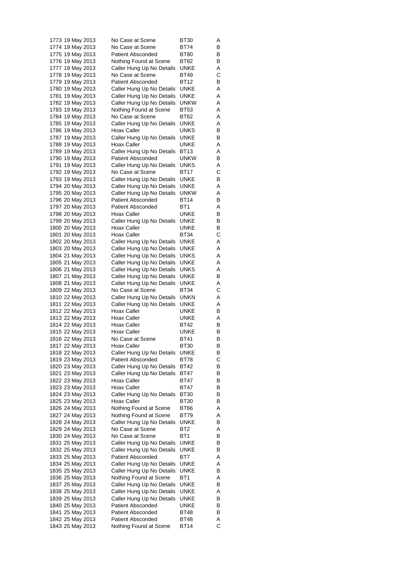| 1773 19 May 2013                     |  |                  | No Case at Scene                                      | BT30                       | Α      |
|--------------------------------------|--|------------------|-------------------------------------------------------|----------------------------|--------|
| 1774 19 May 2013                     |  |                  | No Case at Scene                                      | BT74                       | В      |
| 1775 19 May 2013                     |  |                  | <b>Patient Absconded</b>                              | BT80                       | В      |
| 1776 19 May 2013                     |  |                  | Nothing Found at Scene                                | BT82                       | В      |
| 1777 19 May 2013                     |  |                  | Caller Hung Up No Details                             | UNKE                       | Α      |
| 1778 19 May 2013                     |  |                  | No Case at Scene                                      | BT49                       | С      |
| 1779 19 May 2013                     |  |                  | <b>Patient Absconded</b>                              | BT12                       | В      |
| 1780 19 May 2013                     |  |                  | Caller Hung Up No Details                             | UNKE                       | Α      |
| 1781 19 May 2013                     |  |                  | Caller Hung Up No Details                             | UNKE                       | Α      |
| 1782 19 May 2013                     |  |                  | Caller Hung Up No Details                             | <b>UNKW</b>                | Α      |
| 1783 19 May 2013                     |  |                  | Nothing Found at Scene                                | BT53                       | Α      |
| 1784 19 May 2013                     |  |                  | No Case at Scene                                      | <b>BT62</b>                | Α      |
| 1785 19 May 2013                     |  |                  | Caller Hung Up No Details                             | UNKE                       | Α      |
| 1786 19 May 2013                     |  |                  | Hoax Caller                                           | UNKS                       | В      |
| 1787 19 May 2013                     |  |                  | Caller Hung Up No Details                             | UNKE                       | в      |
| 1788 19 May 2013                     |  |                  | Hoax Caller                                           | UNKE                       | Α      |
| 1789 19 May 2013                     |  |                  | Caller Hung Up No Details                             | BT13                       | Α      |
| 1790 19 May 2013                     |  |                  | <b>Patient Absconded</b>                              | unkw                       | в      |
| 1791 19 May 2013                     |  |                  | Caller Hung Up No Details                             | UNKS                       | Α      |
| 1792 19 May 2013                     |  |                  | No Case at Scene                                      | BT17                       | С      |
| 1793 19 May 2013                     |  |                  | Caller Hung Up No Details                             | UNKE                       | В      |
| 1794 20 May 2013                     |  |                  | Caller Hung Up No Details                             | UNKE                       | Α<br>Α |
| 1795 20 May 2013                     |  |                  | Caller Hung Up No Details<br><b>Patient Absconded</b> | <b>UNKW</b><br><b>BT14</b> |        |
| 1796 20 May 2013<br>1797 20 May 2013 |  |                  | <b>Patient Absconded</b>                              | BT <sub>1</sub>            | В      |
| 1798 20 May 2013                     |  |                  | Hoax Caller                                           | UNKE                       | Α<br>В |
| 1799 20 May 2013                     |  |                  | Caller Hung Up No Details                             | UNKE                       | В      |
| 1800 20 May 2013                     |  |                  | Hoax Caller                                           | UNKE                       | В      |
| 1801 20 May 2013                     |  |                  | Hoax Caller                                           | BT34                       | С      |
| 1802 20 May 2013                     |  |                  | Caller Hung Up No Details                             | UNKE                       | Α      |
| 1803 20 May 2013                     |  |                  | Caller Hung Up No Details                             | UNKE                       | Α      |
| 1804 21 May 2013                     |  |                  | Caller Hung Up No Details                             | UNKS                       | Α      |
| 1805 21 May 2013                     |  |                  | Caller Hung Up No Details                             | UNKE                       | Α      |
| 1806 21 May 2013                     |  |                  | Caller Hung Up No Details                             | UNKS                       | Α      |
| 1807 21 May 2013                     |  |                  | Caller Hung Up No Details                             | UNKE                       | в      |
| 1808 21 May 2013                     |  |                  | Caller Hung Up No Details                             | UNKE                       | Α      |
| 1809 22 May 2013                     |  |                  | No Case at Scene                                      | BT34                       | С      |
| 1810 22 May 2013                     |  |                  | Caller Hung Up No Details                             | UNKN                       | Α      |
| 1811 22 May 2013                     |  |                  | Caller Hung Up No Details                             | UNKE                       | Α      |
| 1812 22 May 2013                     |  |                  | Hoax Caller                                           | UNKE                       | в      |
| 1813 22 May 2013                     |  |                  | Hoax Caller                                           | UNKE                       | Α      |
| 1814 22 May 2013                     |  |                  | Hoax Caller                                           | BT42                       | В      |
| 1815 22 May 2013                     |  |                  | Hoax Caller                                           | UNKE                       | В      |
| 1816 22 May 2013                     |  |                  | No Case at Scene                                      | BT41                       | В      |
| 1817 22 May 2013                     |  |                  | <b>Hoax Caller</b>                                    | <b>BT30</b>                | в      |
| 1818 22 May 2013                     |  |                  | Caller Hung Up No Details                             | <b>UNKE</b>                | В      |
| 1819 23 May 2013                     |  |                  | Patient Absconded                                     | BT78                       | С      |
| 1820 23 May 2013                     |  |                  | Caller Hung Up No Details                             | BT42                       | в      |
| 1821 23 May 2013                     |  |                  | Caller Hung Up No Details                             | BT47                       | В      |
|                                      |  | 1822 23 May 2013 | Hoax Caller                                           | BT47                       | в      |
| 1823 23 May 2013                     |  |                  | Hoax Caller                                           | BT47                       | В      |
| 1824 23 May 2013                     |  |                  | Caller Hung Up No Details                             | BT30                       | В      |
| 1825 23 May 2013                     |  |                  | Hoax Caller                                           | <b>BT30</b>                | В      |
| 1826 24 May 2013                     |  |                  | Nothing Found at Scene                                | BT66                       | Α      |
| 1827 24 May 2013                     |  |                  | Nothing Found at Scene                                | BT79                       | Α      |
| 1828 24 May 2013                     |  |                  | Caller Hung Up No Details                             | UNKE                       | В      |
| 1829 24 May 2013                     |  |                  | No Case at Scene                                      | BT2                        | Α      |
| 1830 24 May 2013                     |  |                  | No Case at Scene                                      | BT <sub>1</sub>            | В      |
| 1831 25 May 2013                     |  |                  | Caller Hung Up No Details                             | UNKE                       | В      |
|                                      |  | 1832 25 May 2013 | Caller Hung Up No Details                             | UNKE                       | в      |
| 1833 25 May 2013                     |  |                  | <b>Patient Absconded</b>                              | BT7                        | Α      |
| 1834 25 May 2013                     |  |                  | Caller Hung Up No Details                             | UNKE                       | Α      |
| 1835 25 May 2013                     |  |                  | Caller Hung Up No Details                             | UNKE                       | В      |
| 1836 25 May 2013<br>1837 25 May 2013 |  |                  | Nothing Found at Scene                                | BT1<br>UNKE                | Α<br>в |
| 1838 25 May 2013                     |  |                  | Caller Hung Up No Details                             | UNKE                       | Α      |
| 1839 25 May 2013                     |  |                  | Caller Hung Up No Details                             | UNKE                       | В      |
| 1840 25 May 2013                     |  |                  | Caller Hung Up No Details<br><b>Patient Absconded</b> | UNKE                       | В      |
| 1841 25 May 2013                     |  |                  | <b>Patient Absconded</b>                              | BT48                       | в      |
|                                      |  | 1842 25 May 2013 | <b>Patient Absconded</b>                              | BT48                       | Α      |
| 1843 25 May 2013                     |  |                  | Nothing Found at Scene                                | BT14                       | С      |
|                                      |  |                  |                                                       |                            |        |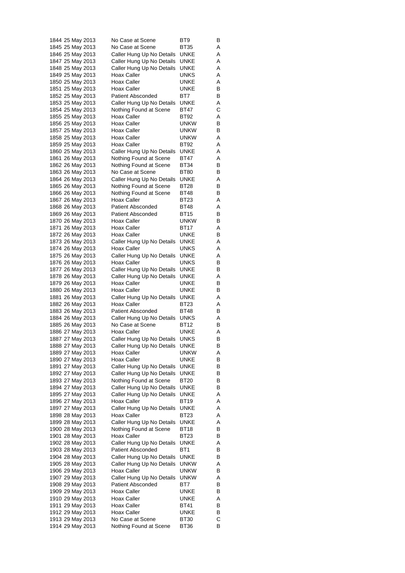| 1844 25 May 2013                     |  | No Case at Scene                        | BT9                 | В      |
|--------------------------------------|--|-----------------------------------------|---------------------|--------|
| 1845 25 May 2013                     |  | No Case at Scene                        | BT35                | Α      |
| 1846 25 May 2013                     |  | Caller Hung Up No Details               | <b>UNKE</b>         | Α      |
| 1847 25 May 2013                     |  | Caller Hung Up No Details               | UNKE                | Α      |
| 1848 25 May 2013                     |  | Caller Hung Up No Details               | UNKE                | Α<br>Α |
| 1849 25 May 2013<br>1850 25 May 2013 |  | Hoax Caller<br>Hoax Caller              | UNKS<br>UNKE        | Α      |
| 1851 25 May 2013                     |  | Hoax Caller                             | UNKE                | В      |
| 1852 25 May 2013                     |  | <b>Patient Absconded</b>                | BT7                 | В      |
| 1853 25 May 2013                     |  | Caller Hung Up No Details               | UNKE                | Α      |
| 1854 25 May 2013                     |  | Nothing Found at Scene                  | BT47                | С      |
| 1855 25 May 2013                     |  | Hoax Caller                             | BT92                | Α      |
| 1856 25 May 2013                     |  | Hoax Caller                             | unkw                | В      |
| 1857 25 May 2013                     |  | Hoax Caller                             | unkw                | В      |
| 1858 25 May 2013                     |  | Hoax Caller                             | unkw                | Α      |
| 1859 25 May 2013                     |  | Hoax Caller                             | BT92                | Α      |
| 1860 25 May 2013                     |  | Caller Hung Up No Details               | UNKE                | Α      |
| 1861 26 May 2013                     |  | Nothing Found at Scene                  | BT47                | Α      |
| 1862 26 May 2013                     |  | Nothing Found at Scene                  | BT34                | в      |
| 1863 26 May 2013                     |  | No Case at Scene                        | BT80                | В      |
| 1864 26 May 2013                     |  | Caller Hung Up No Details               | UNKE                | Α      |
| 1865 26 May 2013                     |  | Nothing Found at Scene                  | BT28                | В      |
| 1866 26 May 2013                     |  | Nothing Found at Scene                  | BT48                | В      |
| 1867 26 May 2013                     |  | Hoax Caller                             | BT23                | Α      |
| 1868 26 May 2013                     |  | <b>Patient Absconded</b>                | BT48                | Α      |
| 1869 26 May 2013<br>1870 26 May 2013 |  | <b>Patient Absconded</b><br>Hoax Caller | BT15<br>unkw        | В<br>В |
| 1871 26 May 2013                     |  | Hoax Caller                             | BT17                | Α      |
| 1872 26 May 2013                     |  | Hoax Caller                             | UNKE                | В      |
| 1873 26 May 2013                     |  | Caller Hung Up No Details               | UNKE                | Α      |
| 1874 26 May 2013                     |  | Hoax Caller                             | UNKS                | Α      |
| 1875 26 May 2013                     |  | Caller Hung Up No Details               | UNKE                | Α      |
| 1876 26 May 2013                     |  | Hoax Caller                             | UNKS                | В      |
| 1877 26 May 2013                     |  | Caller Hung Up No Details               | UNKE                | В      |
| 1878 26 May 2013                     |  | Caller Hung Up No Details               | UNKE                | Α      |
| 1879 26 May 2013                     |  | Hoax Caller                             | UNKE                | В      |
| 1880 26 May 2013                     |  | Hoax Caller                             | UNKE                | В      |
| 1881 26 May 2013                     |  | Caller Hung Up No Details               | UNKE                | Α      |
| 1882 26 May 2013                     |  | Hoax Caller                             | BT23                | Α      |
| 1883 26 May 2013                     |  | <b>Patient Absconded</b>                | BT48                | в      |
| 1884 26 May 2013                     |  | Caller Hung Up No Details               | UNKS                | Α      |
| 1885 26 May 2013                     |  | No Case at Scene                        | BT12                | В      |
| 1886 27 May 2013                     |  | Hoax Caller                             | UNKE                | Α      |
| 1887 27 May 2013                     |  | Caller Hung Up No Details               | UNKS                | В      |
| 1888 27 May 2013                     |  | Caller Hung Up No Details               | UNKE                | в      |
| 1889 27 May 2013                     |  | Hoax Caller<br>Hoax Caller              | UNKW<br><b>UNKE</b> | Α<br>В |
| 1890 27 May 2013<br>1891 27 May 2013 |  | Caller Hung Up No Details               | UNKE                | В      |
| 1892 27 May 2013                     |  | Caller Hung Up No Details               | UNKE                | в      |
| 1893 27 May 2013                     |  | Nothing Found at Scene                  | BT20                | В      |
| 1894 27 May 2013                     |  | Caller Hung Up No Details               | UNKE                | В      |
| 1895 27 May 2013                     |  | Caller Hung Up No Details               | UNKE                | Α      |
| 1896 27 May 2013                     |  | Hoax Caller                             | BT19                | Α      |
| 1897 27 May 2013                     |  | Caller Hung Up No Details               | UNKE                | Α      |
| 1898 28 May 2013                     |  | Hoax Caller                             | BT <sub>23</sub>    | Α      |
| 1899 28 May 2013                     |  | Caller Hung Up No Details               | UNKE                | Α      |
| 1900 28 May 2013                     |  | Nothing Found at Scene                  | BT18                | в      |
| 1901 28 May 2013                     |  | Hoax Caller                             | BT <sub>23</sub>    | В      |
| 1902 28 May 2013                     |  | Caller Hung Up No Details               | UNKE                | Α      |
| 1903 28 May 2013                     |  | Patient Absconded                       | BT1                 | в      |
| 1904 28 May 2013                     |  | Caller Hung Up No Details               | UNKE                | В      |
| 1905 28 May 2013                     |  | Caller Hung Up No Details               | <b>UNKW</b>         | Α      |
| 1906 29 May 2013                     |  | Hoax Caller                             | <b>UNKW</b>         | В      |
| 1907 29 May 2013                     |  | Caller Hung Up No Details               | <b>UNKW</b>         | Α      |
| 1908 29 May 2013                     |  | Patient Absconded                       | BT7                 | в      |
| 1909 29 May 2013                     |  | Hoax Caller                             | <b>UNKE</b>         | В      |
| 1910 29 May 2013                     |  | Hoax Caller                             | UNKE                | Α      |
| 1911 29 May 2013                     |  | Hoax Caller<br>Hoax Caller              | BT41<br><b>UNKE</b> | В<br>в |
| 1912 29 May 2013<br>1913 29 May 2013 |  | No Case at Scene                        | BT30                | С      |
| 1914 29 May 2013                     |  | Nothing Found at Scene                  | BT36                | В      |
|                                      |  |                                         |                     |        |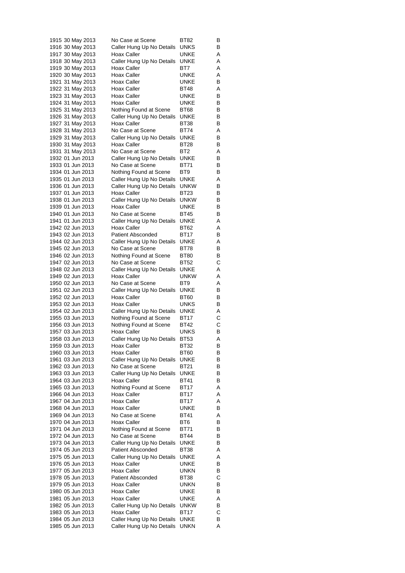|                  |  | 1915 30 May 2013 | No Case at Scene          | BT82        | В |
|------------------|--|------------------|---------------------------|-------------|---|
|                  |  | 1916 30 May 2013 | Caller Hung Up No Details | UNKS        | В |
|                  |  | 1917 30 May 2013 | Hoax Caller               | UNKE        | Α |
|                  |  | 1918 30 May 2013 | Caller Hung Up No Details | UNKE        | Α |
|                  |  | 1919 30 May 2013 | Hoax Caller               | BT7         | Α |
|                  |  | 1920 30 May 2013 | Hoax Caller               | UNKE        | Α |
|                  |  | 1921 31 May 2013 | Hoax Caller               | UNKE        | В |
|                  |  | 1922 31 May 2013 | Hoax Caller               | BT48        | Α |
|                  |  | 1923 31 May 2013 | Hoax Caller               | UNKE        | в |
|                  |  | 1924 31 May 2013 | Hoax Caller               | UNKE        | В |
|                  |  | 1925 31 May 2013 | Nothing Found at Scene    | BT68        | В |
|                  |  | 1926 31 May 2013 | Caller Hung Up No Details | UNKE        | В |
|                  |  | 1927 31 May 2013 | Hoax Caller               | BT38        | В |
|                  |  | 1928 31 May 2013 | No Case at Scene          | BT74        | Α |
|                  |  | 1929 31 May 2013 | Caller Hung Up No Details | UNKE        | В |
|                  |  | 1930 31 May 2013 | Hoax Caller               | BT28        | в |
|                  |  | 1931 31 May 2013 | No Case at Scene          | BT2         | Α |
| 1932 01 Jun 2013 |  |                  | Caller Hung Up No Details | UNKE        | В |
| 1933 01 Jun 2013 |  |                  | No Case at Scene          | BT71        | В |
| 1934 01 Jun 2013 |  |                  | Nothing Found at Scene    | BT9         | В |
| 1935 01 Jun 2013 |  |                  | Caller Hung Up No Details | UNKE        | Α |
| 1936 01 Jun 2013 |  |                  | Caller Hung Up No Details | unkw        | В |
| 1937 01 Jun 2013 |  |                  | Hoax Caller               | <b>BT23</b> | В |
| 1938 01 Jun 2013 |  |                  | Caller Hung Up No Details | unkw        | В |
| 1939 01 Jun 2013 |  |                  | Hoax Caller               | UNKE        | в |
| 1940 01 Jun 2013 |  |                  | No Case at Scene          | <b>BT45</b> | в |
| 1941 01 Jun 2013 |  |                  | Caller Hung Up No Details | UNKE        | Α |
| 1942 02 Jun 2013 |  |                  | <b>Hoax Caller</b>        | BT62        | Α |
| 1943 02 Jun 2013 |  |                  | Patient Absconded         | BT17        | В |
| 1944 02 Jun 2013 |  |                  | Caller Hung Up No Details | UNKE        | Α |
| 1945 02 Jun 2013 |  |                  | No Case at Scene          | BT78        | В |
| 1946 02 Jun 2013 |  |                  | Nothing Found at Scene    | BT80        | В |
| 1947 02 Jun 2013 |  |                  | No Case at Scene          | BT52        | С |
| 1948 02 Jun 2013 |  |                  | Caller Hung Up No Details | UNKE        | Α |
| 1949 02 Jun 2013 |  |                  | <b>Hoax Caller</b>        | unkw        | Α |
| 1950 02 Jun 2013 |  |                  | No Case at Scene          | BT9         | Α |
| 1951 02 Jun 2013 |  |                  | Caller Hung Up No Details | UNKE        | в |
| 1952 02 Jun 2013 |  |                  | Hoax Caller               | BT60        | В |
| 1953 02 Jun 2013 |  |                  | Hoax Caller               | UNKS        | в |
| 1954 02 Jun 2013 |  |                  | Caller Hung Up No Details | UNKE        | Α |
| 1955 03 Jun 2013 |  |                  | Nothing Found at Scene    | BT17        | С |
| 1956 03 Jun 2013 |  |                  | Nothing Found at Scene    | BT42        | С |
| 1957 03 Jun 2013 |  |                  | Hoax Caller               | UNKS        | В |
| 1958 03 Jun 2013 |  |                  | Caller Hung Up No Details | BT53        | Α |
| 1959 03 Jun 2013 |  |                  | <b>Hoax Caller</b>        | <b>BT32</b> | в |
| 1960 03 Jun 2013 |  |                  | Hoax Caller               | BT60        | В |
| 1961 03 Jun 2013 |  |                  | Caller Hung Up No Details | <b>UNKE</b> | В |
| 1962 03 Jun 2013 |  |                  | No Case at Scene          | BT21        | В |
| 1963 03 Jun 2013 |  |                  | Caller Hung Up No Details | UNKE        | В |
| 1964 03 Jun 2013 |  |                  | Hoax Caller               | BT41        | В |
| 1965 03 Jun 2013 |  |                  | Nothing Found at Scene    | BT17        | Α |
| 1966 04 Jun 2013 |  |                  | Hoax Caller               | BT17        | Α |
| 1967 04 Jun 2013 |  |                  | Hoax Caller               | BT17        | Α |
| 1968 04 Jun 2013 |  |                  | Hoax Caller               | UNKE        | В |
| 1969 04 Jun 2013 |  |                  | No Case at Scene          | <b>BT41</b> | Α |
| 1970 04 Jun 2013 |  |                  | Hoax Caller               | BT6         | в |
| 1971 04 Jun 2013 |  |                  | Nothing Found at Scene    | BT71        | В |
| 1972 04 Jun 2013 |  |                  | No Case at Scene          | BT44        | В |
| 1973 04 Jun 2013 |  |                  | Caller Hung Up No Details | UNKE        | В |
| 1974 05 Jun 2013 |  |                  | Patient Absconded         | BT38        | Α |
| 1975 05 Jun 2013 |  |                  | Caller Hung Up No Details | UNKE        | Α |
| 1976 05 Jun 2013 |  |                  | Hoax Caller               | UNKE        | В |
| 1977 05 Jun 2013 |  |                  | Hoax Caller               | UNKN        | В |
| 1978 05 Jun 2013 |  |                  | <b>Patient Absconded</b>  | BT38        | С |
| 1979 05 Jun 2013 |  |                  | Hoax Caller               | UNKN        | В |
| 1980 05 Jun 2013 |  |                  | Hoax Caller               | UNKE        | в |
| 1981 05 Jun 2013 |  |                  | Hoax Caller               | UNKE        | Α |
| 1982 05 Jun 2013 |  |                  | Caller Hung Up No Details | <b>UNKW</b> | В |
| 1983 05 Jun 2013 |  |                  | Hoax Caller               | BT17        | С |
| 1984 05 Jun 2013 |  |                  | Caller Hung Up No Details | UNKE        | В |
| 1985 05 Jun 2013 |  |                  | Caller Hung Up No Details | <b>UNKN</b> | Α |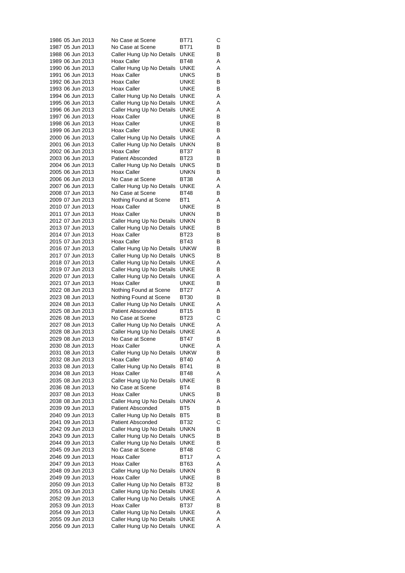| 1986 05 Jun 2013                     | No Case at Scene                                      | BT71                   | С      |
|--------------------------------------|-------------------------------------------------------|------------------------|--------|
| 1987 05 Jun 2013                     | No Case at Scene                                      | BT71                   | В      |
| 1988 06 Jun 2013                     | Caller Hung Up No Details                             | UNKE                   | В      |
| 1989 06 Jun 2013                     | Hoax Caller                                           | BT48                   | Α      |
| 1990 06 Jun 2013<br>1991 06 Jun 2013 | Caller Hung Up No Details<br>Hoax Caller              | UNKE<br>UNKS           | Α<br>в |
| 1992 06 Jun 2013                     | Hoax Caller                                           | UNKE                   | В      |
| 1993 06 Jun 2013                     | Hoax Caller                                           | UNKE                   | В      |
| 1994 06 Jun 2013                     | Caller Hung Up No Details                             | UNKE                   | Α      |
| 1995 06 Jun 2013                     | Caller Hung Up No Details                             | UNKE                   | Α      |
| 1996 06 Jun 2013                     | Caller Hung Up No Details                             | UNKE                   | Α      |
| 1997 06 Jun 2013                     | Hoax Caller                                           | UNKE                   | в      |
| 1998 06 Jun 2013                     | Hoax Caller                                           | UNKE                   | В      |
| 1999 06 Jun 2013                     | Hoax Caller                                           | UNKE                   | В      |
| 2000 06 Jun 2013                     | Caller Hung Up No Details                             | UNKE                   | Α      |
| 2001 06 Jun 2013                     | Caller Hung Up No Details<br>Hoax Caller              | unkn<br>BT37           | В<br>В |
| 2002 06 Jun 2013<br>2003 06 Jun 2013 | <b>Patient Absconded</b>                              | BT23                   | В      |
| 2004 06 Jun 2013                     | Caller Hung Up No Details                             | UNKS                   | В      |
| 2005 06 Jun 2013                     | Hoax Caller                                           | unkn                   | В      |
| 2006 06 Jun 2013                     | No Case at Scene                                      | BT38                   | Α      |
| 2007 06 Jun 2013                     | Caller Hung Up No Details                             | UNKE                   | Α      |
| 2008 07 Jun 2013                     | No Case at Scene                                      | <b>BT48</b>            | В      |
| 2009 07 Jun 2013                     | Nothing Found at Scene                                | BT1                    | Α      |
| 2010 07 Jun 2013                     | Hoax Caller                                           | UNKE                   | В      |
| 2011 07 Jun 2013<br>2012 07 Jun 2013 | Hoax Caller<br>Caller Hung Up No Details              | unkn<br>unkn           | В<br>В |
| 2013 07 Jun 2013                     | Caller Hung Up No Details                             | UNKE                   | В      |
| 2014 07 Jun 2013                     | <b>Hoax Caller</b>                                    | <b>BT23</b>            | В      |
| 2015 07 Jun 2013                     | Hoax Caller                                           | BT43                   | В      |
| 2016 07 Jun 2013                     | Caller Hung Up No Details                             | <b>UNKW</b>            | В      |
| 2017 07 Jun 2013                     | Caller Hung Up No Details                             | UNKS                   | в      |
| 2018 07 Jun 2013                     | Caller Hung Up No Details                             | UNKE                   | Α      |
| 2019 07 Jun 2013                     | Caller Hung Up No Details                             | UNKE                   | В      |
| 2020 07 Jun 2013                     | Caller Hung Up No Details                             | UNKE                   | Α      |
| 2021 07 Jun 2013<br>2022 08 Jun 2013 | Hoax Caller<br>Nothing Found at Scene                 | UNKE<br>BT27           | в<br>Α |
| 2023 08 Jun 2013                     | Nothing Found at Scene                                | BT30                   | В      |
| 2024 08 Jun 2013                     | Caller Hung Up No Details                             | UNKE                   | Α      |
| 2025 08 Jun 2013                     | <b>Patient Absconded</b>                              | BT15                   | В      |
| 2026 08 Jun 2013                     | No Case at Scene                                      | BT23                   | С      |
| 2027 08 Jun 2013                     | Caller Hung Up No Details                             | UNKE                   | Α      |
| 2028 08 Jun 2013                     | Caller Hung Up No Details                             | UNKE                   | Α      |
| 2029 08 Jun 2013                     | No Case at Scene                                      | BT47                   | В      |
| 2030 08 Jun 2013<br>2031 08 Jun 2013 | Hoax Caller<br>Caller Hung Up No Details              | UNKE<br><b>UNKW</b>    | Α<br>в |
| 2032 08 Jun 2013                     | Hoax Caller                                           | <b>BT40</b>            | Α      |
| 2033 08 Jun 2013                     | Caller Hung Up No Details                             | BT41                   | В      |
| 2034 08 Jun 2013                     | Hoax Caller                                           | BT48                   | Α      |
| 2035 08 Jun 2013                     | Caller Hung Up No Details                             | UNKE                   | В      |
| 2036 08 Jun 2013                     | No Case at Scene                                      | BT4                    | В      |
| 2037 08 Jun 2013                     | Hoax Caller                                           | UNKS                   | В      |
| 2038 08 Jun 2013                     | Caller Hung Up No Details                             | unkn                   | Α      |
| 2039 09 Jun 2013                     | <b>Patient Absconded</b>                              | BT5<br>BT <sub>5</sub> | в      |
| 2040 09 Jun 2013<br>2041 09 Jun 2013 | Caller Hung Up No Details<br><b>Patient Absconded</b> | BT32                   | В<br>С |
| 2042 09 Jun 2013                     | Caller Hung Up No Details                             | UNKN                   | В      |
| 2043 09 Jun 2013                     | Caller Hung Up No Details                             | UNKS                   | В      |
| 2044 09 Jun 2013                     | Caller Hung Up No Details                             | UNKE                   | в      |
| 2045 09 Jun 2013                     | No Case at Scene                                      | BT48                   | С      |
| 2046 09 Jun 2013                     | Hoax Caller                                           | BT17                   | Α      |
| 2047 09 Jun 2013                     | Hoax Caller                                           | BT63                   | Α      |
| 2048 09 Jun 2013                     | Caller Hung Up No Details                             | unkn                   | В      |
| 2049 09 Jun 2013<br>2050 09 Jun 2013 | Hoax Caller<br>Caller Hung Up No Details              | <b>UNKE</b><br>BT32    | в<br>В |
| 2051 09 Jun 2013                     | Caller Hung Up No Details                             | UNKE                   | Α      |
| 2052 09 Jun 2013                     | Caller Hung Up No Details                             | UNKE                   | Α      |
| 2053 09 Jun 2013                     | Hoax Caller                                           | BT37                   | В      |
| 2054 09 Jun 2013                     | Caller Hung Up No Details                             | UNKE                   | Α      |
| 2055 09 Jun 2013                     | Caller Hung Up No Details                             | UNKE                   | Α      |
| 2056 09 Jun 2013                     | Caller Hung Up No Details                             | UNKE                   | Α      |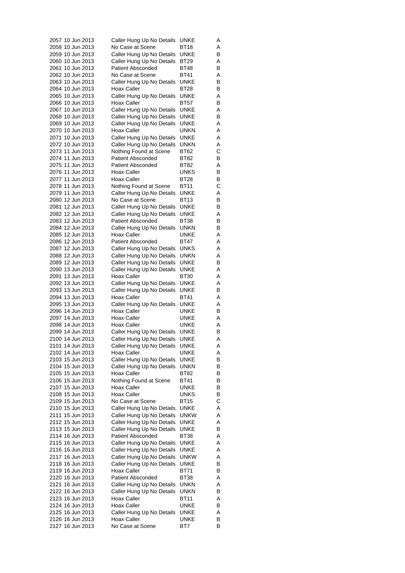| 2057 10 Jun 2013 | Caller Hung Up No Details | UNKE        | Α |
|------------------|---------------------------|-------------|---|
| 2058 10 Jun 2013 | No Case at Scene          | BT18        | Α |
| 2059 10 Jun 2013 | Caller Hung Up No Details | UNKE        | В |
| 2060 10 Jun 2013 | Caller Hung Up No Details | BT29        | Α |
| 2061 10 Jun 2013 | <b>Patient Absconded</b>  | BT48        | В |
| 2062 10 Jun 2013 | No Case at Scene          | BT41        | Α |
| 2063 10 Jun 2013 | Caller Hung Up No Details | UNKE        | В |
| 2064 10 Jun 2013 | Hoax Caller               | BT28        | В |
| 2065 10 Jun 2013 | Caller Hung Up No Details | UNKE        | Α |
| 2066 10 Jun 2013 | Hoax Caller               | BT57        | В |
| 2067 10 Jun 2013 | Caller Hung Up No Details | UNKE        | Α |
| 2068 10 Jun 2013 | Caller Hung Up No Details | UNKE        | В |
| 2069 10 Jun 2013 | Caller Hung Up No Details | UNKE        | Α |
| 2070 10 Jun 2013 | Hoax Caller               | UNKN        | Α |
| 2071 10 Jun 2013 | Caller Hung Up No Details | UNKE        | Α |
| 2072 10 Jun 2013 | Caller Hung Up No Details | unkn        | Α |
| 2073 11 Jun 2013 | Nothing Found at Scene    | BT62        | С |
| 2074 11 Jun 2013 | <b>Patient Absconded</b>  | BT82        | В |
| 2075 11 Jun 2013 | <b>Patient Absconded</b>  | BT82        | Α |
| 2076 11 Jun 2013 | Hoax Caller               | UNKS        | В |
| 2077 11 Jun 2013 | Hoax Caller               | BT28        | В |
| 2078 11 Jun 2013 | Nothing Found at Scene    | BT11        | С |
|                  |                           | UNKE        |   |
| 2079 11 Jun 2013 | Caller Hung Up No Details |             | Α |
| 2080 12 Jun 2013 | No Case at Scene          | BT13        | В |
| 2081 12 Jun 2013 | Caller Hung Up No Details | UNKE        | В |
| 2082 12 Jun 2013 | Caller Hung Up No Details | UNKE        | Α |
| 2083 12 Jun 2013 | Patient Absconded         | BT38        | В |
| 2084 12 Jun 2013 | Caller Hung Up No Details | unkn        | В |
| 2085 12 Jun 2013 | Hoax Caller               | UNKE        | Α |
| 2086 12 Jun 2013 | <b>Patient Absconded</b>  | BT47        | Α |
| 2087 12 Jun 2013 | Caller Hung Up No Details | UNKS        | Α |
| 2088 12 Jun 2013 | Caller Hung Up No Details | unkn        | Α |
| 2089 12 Jun 2013 | Caller Hung Up No Details | UNKE        | В |
| 2090 13 Jun 2013 | Caller Hung Up No Details | UNKE        | Α |
| 2091 13 Jun 2013 | Hoax Caller               | BT30        | Α |
| 2092 13 Jun 2013 | Caller Hung Up No Details | UNKE        | Α |
| 2093 13 Jun 2013 | Caller Hung Up No Details | UNKE        | В |
| 2094 13 Jun 2013 | Hoax Caller               | BT41        | Α |
| 2095 13 Jun 2013 | Caller Hung Up No Details | UNKE        | Α |
| 2096 14 Jun 2013 | Hoax Caller               | UNKE        | В |
| 2097 14 Jun 2013 | Hoax Caller               | UNKE        | Α |
| 2098 14 Jun 2013 | Hoax Caller               | UNKE        | Α |
| 2099 14 Jun 2013 | Caller Hung Up No Details | UNKE        | В |
| 2100 14 Jun 2013 | Caller Hung Up No Details | UNKE        | Α |
| 2101 14 Jun 2013 | Caller Hung Up No Details | UNKE        | Α |
| 2102 14 Jun 2013 | Hoax Caller               | UNKE        | Α |
| 2103 15 Jun 2013 | Caller Hung Up No Details | UNKE        | В |
| 2104 15 Jun 2013 | Caller Hung Up No Details | UNKN        | В |
| 2105 15 Jun 2013 | Hoax Caller               | BT82        | В |
| 2106 15 Jun 2013 | Nothing Found at Scene    | BT41        | В |
| 2107 15 Jun 2013 | Hoax Caller               | UNKE        | В |
| 2108 15 Jun 2013 | Hoax Caller               | UNKS        | В |
| 2109 15 Jun 2013 | No Case at Scene          | BT15        | С |
| 2110 15 Jun 2013 | Caller Hung Up No Details | <b>UNKE</b> | Α |
| 2111 15 Jun 2013 | Caller Hung Up No Details | <b>UNKW</b> | Α |
| 2112 15 Jun 2013 | Caller Hung Up No Details | UNKE        | Α |
| 2113 15 Jun 2013 | Caller Hung Up No Details | UNKE        | В |
| 2114 16 Jun 2013 | <b>Patient Absconded</b>  | BT38        | Α |
| 2115 16 Jun 2013 | Caller Hung Up No Details | UNKE        | Α |
| 2116 16 Jun 2013 |                           | UNKE        | Α |
| 2117 16 Jun 2013 | Caller Hung Up No Details | <b>UNKW</b> | Α |
|                  | Caller Hung Up No Details |             |   |
| 2118 16 Jun 2013 | Caller Hung Up No Details | UNKE        | в |
| 2119 16 Jun 2013 | Hoax Caller               | BT71        | В |
| 2120 16 Jun 2013 | <b>Patient Absconded</b>  | BT38        | Α |
| 2121 16 Jun 2013 | Caller Hung Up No Details | UNKN        | Α |
| 2122 16 Jun 2013 | Caller Hung Up No Details | unkn        | В |
| 2123 16 Jun 2013 | Hoax Caller               | BT11        | Α |
| 2124 16 Jun 2013 | Hoax Caller               | UNKE        | В |
| 2125 16 Jun 2013 | Caller Hung Up No Details | UNKE        | Α |
| 2126 16 Jun 2013 | Hoax Caller               | UNKE        | В |
| 2127 16 Jun 2013 | No Case at Scene          | BT7         | В |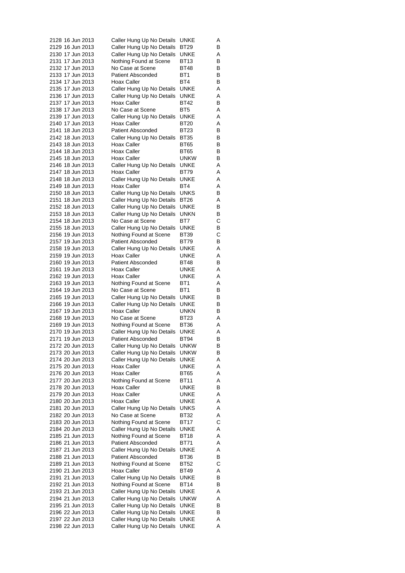| 2128 16 Jun 2013 | Caller Hung Up No Details | UNKE        | Α |
|------------------|---------------------------|-------------|---|
| 2129 16 Jun 2013 | Caller Hung Up No Details | BT29        | В |
| 2130 17 Jun 2013 | Caller Hung Up No Details | UNKE        | Α |
| 2131 17 Jun 2013 | Nothing Found at Scene    | BT13        | В |
| 2132 17 Jun 2013 | No Case at Scene          | BT48        | В |
| 2133 17 Jun 2013 | <b>Patient Absconded</b>  | BT1         | В |
| 2134 17 Jun 2013 |                           |             |   |
|                  | Hoax Caller               | BT4         | В |
| 2135 17 Jun 2013 | Caller Hung Up No Details | UNKE        | Α |
| 2136 17 Jun 2013 | Caller Hung Up No Details | UNKE        | Α |
| 2137 17 Jun 2013 | Hoax Caller               | BT42        | В |
| 2138 17 Jun 2013 | No Case at Scene          | BT5         | Α |
| 2139 17 Jun 2013 | Caller Hung Up No Details | UNKE        | Α |
| 2140 17 Jun 2013 | Hoax Caller               | BT20        | Α |
| 2141 18 Jun 2013 | <b>Patient Absconded</b>  | BT23        | В |
| 2142 18 Jun 2013 | Caller Hung Up No Details | <b>BT35</b> | В |
| 2143 18 Jun 2013 | Hoax Caller               | <b>BT65</b> | В |
| 2144 18 Jun 2013 | Hoax Caller               | BT65        | В |
| 2145 18 Jun 2013 | Hoax Caller               | unkw        | В |
| 2146 18 Jun 2013 | Caller Hung Up No Details | UNKE        | Α |
| 2147 18 Jun 2013 | Hoax Caller               | BT79        | Α |
|                  |                           |             |   |
| 2148 18 Jun 2013 | Caller Hung Up No Details | UNKE        | Α |
| 2149 18 Jun 2013 | Hoax Caller               | BT4         | Α |
| 2150 18 Jun 2013 | Caller Hung Up No Details | UNKS        | В |
| 2151 18 Jun 2013 | Caller Hung Up No Details | <b>BT26</b> | Α |
| 2152 18 Jun 2013 | Caller Hung Up No Details | UNKE        | В |
| 2153 18 Jun 2013 | Caller Hung Up No Details | UNKN        | В |
| 2154 18 Jun 2013 | No Case at Scene          | BT7         | С |
| 2155 18 Jun 2013 | Caller Hung Up No Details | UNKE        | В |
| 2156 19 Jun 2013 | Nothing Found at Scene    | <b>BT39</b> | C |
| 2157 19 Jun 2013 | <b>Patient Absconded</b>  | BT79        | В |
| 2158 19 Jun 2013 | Caller Hung Up No Details | UNKE        | Α |
| 2159 19 Jun 2013 | Hoax Caller               | UNKE        | Α |
| 2160 19 Jun 2013 | <b>Patient Absconded</b>  | BT48        | В |
|                  |                           |             |   |
| 2161 19 Jun 2013 | Hoax Caller               | UNKE        | Α |
| 2162 19 Jun 2013 | Hoax Caller               | UNKE        | Α |
| 2163 19 Jun 2013 | Nothing Found at Scene    | BT1         | Α |
| 2164 19 Jun 2013 | No Case at Scene          | BT1         | В |
| 2165 19 Jun 2013 | Caller Hung Up No Details | UNKE        | В |
| 2166 19 Jun 2013 | Caller Hung Up No Details | UNKE        | В |
| 2167 19 Jun 2013 | Hoax Caller               | UNKN        | В |
| 2168 19 Jun 2013 | No Case at Scene          | BT23        | Α |
| 2169 19 Jun 2013 | Nothing Found at Scene    | BT36        | Α |
| 2170 19 Jun 2013 | Caller Hung Up No Details | UNKE        | Α |
| 2171 19 Jun 2013 | Patient Absconded         | BT94        | В |
| 2172 20 Jun 2013 | Caller Hung Up No Details | <b>UNKW</b> | В |
| 2173 20 Jun 2013 | Caller Hung Up No Details | unkw        | В |
| 2174 20 Jun 2013 | Caller Hung Up No Details | UNKE        | Α |
|                  |                           |             |   |
| 2175 20 Jun 2013 | Hoax Caller               | UNKE        | Α |
| 2176 20 Jun 2013 | Hoax Caller               | BT65        | Α |
| 2177 20 Jun 2013 | Nothing Found at Scene    | BT11        | Α |
| 2178 20 Jun 2013 | Hoax Caller               | UNKE        | В |
| 2179 20 Jun 2013 | Hoax Caller               | UNKE        | Α |
| 2180 20 Jun 2013 | Hoax Caller               | UNKE        | Α |
| 2181 20 Jun 2013 | Caller Hung Up No Details | UNKS        | Α |
| 2182 20 Jun 2013 | No Case at Scene          | BT32        | Α |
| 2183 20 Jun 2013 | Nothing Found at Scene    | BT17        | С |
| 2184 20 Jun 2013 | Caller Hung Up No Details | UNKE        | Α |
| 2185 21 Jun 2013 | Nothing Found at Scene    | BT18        | Α |
| 2186 21 Jun 2013 | <b>Patient Absconded</b>  | BT71        | Α |
| 2187 21 Jun 2013 | Caller Hung Up No Details | UNKE        | Α |
|                  |                           |             |   |
| 2188 21 Jun 2013 | Patient Absconded         | BT36        | В |
| 2189 21 Jun 2013 | Nothing Found at Scene    | <b>BT52</b> | С |
| 2190 21 Jun 2013 | Hoax Caller               | BT49        | Α |
| 2191 21 Jun 2013 | Caller Hung Up No Details | UNKE        | В |
| 2192 21 Jun 2013 | Nothing Found at Scene    | BT14        | в |
| 2193 21 Jun 2013 | Caller Hung Up No Details | UNKE        | Α |
| 2194 21 Jun 2013 | Caller Hung Up No Details | unkw        | Α |
| 2195 21 Jun 2013 | Caller Hung Up No Details | UNKE        | В |
| 2196 22 Jun 2013 | Caller Hung Up No Details | UNKE        | В |
| 2197 22 Jun 2013 | Caller Hung Up No Details | <b>UNKE</b> | Α |
| 2198 22 Jun 2013 | Caller Hung Up No Details | <b>UNKE</b> | Α |
|                  |                           |             |   |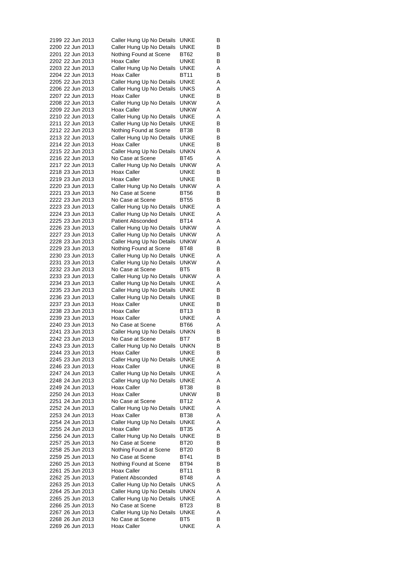|  | 2199 22 Jun 2013 | Caller Hung Up No Details | UNKE            | B |
|--|------------------|---------------------------|-----------------|---|
|  | 2200 22 Jun 2013 | Caller Hung Up No Details | UNKE            | в |
|  | 2201 22 Jun 2013 | Nothing Found at Scene    | BT62            | в |
|  | 2202 22 Jun 2013 | <b>Hoax Caller</b>        | UNKE            | в |
|  | 2203 22 Jun 2013 | Caller Hung Up No Details | UNKE            | Α |
|  | 2204 22 Jun 2013 | Hoax Caller               | <b>BT11</b>     | В |
|  | 2205 22 Jun 2013 | Caller Hung Up No Details | UNKE            | Α |
|  |                  |                           | UNKS            |   |
|  | 2206 22 Jun 2013 | Caller Hung Up No Details |                 | Α |
|  | 2207 22 Jun 2013 | <b>Hoax Caller</b>        | UNKE            | В |
|  | 2208 22 Jun 2013 | Caller Hung Up No Details | unkw            | Α |
|  | 2209 22 Jun 2013 | Hoax Caller               | unkw            | Α |
|  | 2210 22 Jun 2013 | Caller Hung Up No Details | UNKE            | Α |
|  | 2211 22 Jun 2013 | Caller Hung Up No Details | UNKE            | в |
|  | 2212 22 Jun 2013 | Nothing Found at Scene    | BT38            | в |
|  | 2213 22 Jun 2013 | Caller Hung Up No Details | UNKE            | в |
|  | 2214 22 Jun 2013 | Hoax Caller               | UNKE            | В |
|  | 2215 22 Jun 2013 | Caller Hung Up No Details | UNKN            | Α |
|  | 2216 22 Jun 2013 | No Case at Scene          | BT45            | Α |
|  | 2217 22 Jun 2013 | Caller Hung Up No Details | unkw            | Α |
|  | 2218 23 Jun 2013 | Hoax Caller               | UNKE            | в |
|  | 2219 23 Jun 2013 | <b>Hoax Caller</b>        | UNKE            | в |
|  | 2220 23 Jun 2013 | Caller Hung Up No Details | UNKW            | Α |
|  |                  |                           |                 |   |
|  | 2221 23 Jun 2013 | No Case at Scene          | BT56            | в |
|  | 2222 23 Jun 2013 | No Case at Scene          | <b>BT55</b>     | в |
|  | 2223 23 Jun 2013 | Caller Hung Up No Details | UNKE            | Α |
|  | 2224 23 Jun 2013 | Caller Hung Up No Details | UNKE            | Α |
|  | 2225 23 Jun 2013 | <b>Patient Absconded</b>  | BT14            | Α |
|  | 2226 23 Jun 2013 | Caller Hung Up No Details | unkw            | A |
|  | 2227 23 Jun 2013 | Caller Hung Up No Details | unkw            | Α |
|  | 2228 23 Jun 2013 | Caller Hung Up No Details | unkw            | Α |
|  | 2229 23 Jun 2013 | Nothing Found at Scene    | BT48            | в |
|  | 2230 23 Jun 2013 | Caller Hung Up No Details | UNKE            | Α |
|  | 2231 23 Jun 2013 | Caller Hung Up No Details | unkw            | Α |
|  | 2232 23 Jun 2013 | No Case at Scene          | BT5             | в |
|  | 2233 23 Jun 2013 | Caller Hung Up No Details | unkw            | A |
|  | 2234 23 Jun 2013 | Caller Hung Up No Details | UNKE            | Α |
|  | 2235 23 Jun 2013 | Caller Hung Up No Details | UNKE            | в |
|  | 2236 23 Jun 2013 | Caller Hung Up No Details | UNKE            | в |
|  | 2237 23 Jun 2013 | Hoax Caller               | UNKE            | в |
|  | 2238 23 Jun 2013 | <b>Hoax Caller</b>        | BT13            |   |
|  |                  | <b>Hoax Caller</b>        |                 | в |
|  | 2239 23 Jun 2013 |                           | UNKE            | A |
|  | 2240 23 Jun 2013 | No Case at Scene          | BT66            | Α |
|  | 2241 23 Jun 2013 | Caller Hung Up No Details | UNKN            | В |
|  | 2242 23 Jun 2013 | No Case at Scene          | BT7             | в |
|  | 2243 23 Jun 2013 | Caller Hung Up No Details | <b>UNKN</b>     | В |
|  | 2244 23 Jun 2013 | Hoax Caller               | UNKE            | В |
|  | 2245 23 Jun 2013 | Caller Hung Up No Details | UNKE            | Α |
|  | 2246 23 Jun 2013 | Hoax Caller               | UNKE            | В |
|  | 2247 24 Jun 2013 | Caller Hung Up No Details | <b>UNKE</b>     | Α |
|  | 2248 24 Jun 2013 | Caller Hung Up No Details | UNKE            | Α |
|  | 2249 24 Jun 2013 | Hoax Caller               | BT38            | В |
|  | 2250 24 Jun 2013 | Hoax Caller               | unkw            | В |
|  | 2251 24 Jun 2013 | No Case at Scene          | BT12            | Α |
|  | 2252 24 Jun 2013 | Caller Hung Up No Details | UNKE            | Α |
|  | 2253 24 Jun 2013 | Hoax Caller               | BT38            | Α |
|  | 2254 24 Jun 2013 | Caller Hung Up No Details | UNKE            | Α |
|  | 2255 24 Jun 2013 | Hoax Caller               |                 |   |
|  |                  |                           | BT35            | Α |
|  | 2256 24 Jun 2013 | Caller Hung Up No Details | UNKE            | В |
|  | 2257 25 Jun 2013 | No Case at Scene          | BT20            | В |
|  | 2258 25 Jun 2013 | Nothing Found at Scene    | BT20            | В |
|  | 2259 25 Jun 2013 | No Case at Scene          | BT41            | в |
|  | 2260 25 Jun 2013 | Nothing Found at Scene    | BT94            | В |
|  | 2261 25 Jun 2013 | Hoax Caller               | BT11            | В |
|  | 2262 25 Jun 2013 | <b>Patient Absconded</b>  | BT48            | Α |
|  | 2263 25 Jun 2013 | Caller Hung Up No Details | UNKS            | Α |
|  | 2264 25 Jun 2013 | Caller Hung Up No Details | UNKN            | Α |
|  | 2265 25 Jun 2013 | Caller Hung Up No Details | UNKE            | Α |
|  | 2266 25 Jun 2013 | No Case at Scene          | BT23            | В |
|  | 2267 26 Jun 2013 | Caller Hung Up No Details | UNKE            | Α |
|  | 2268 26 Jun 2013 | No Case at Scene          | BT <sub>5</sub> | В |
|  | 2269 26 Jun 2013 | <b>Hoax Caller</b>        | <b>UNKE</b>     | Α |
|  |                  |                           |                 |   |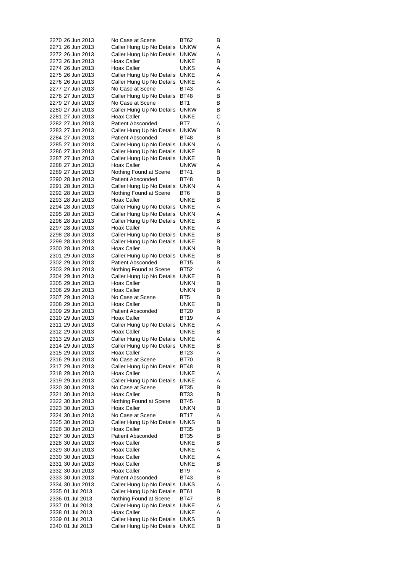| 2270 26 Jun 2013                     |  | No Case at Scene                                   | BT62         | В      |
|--------------------------------------|--|----------------------------------------------------|--------------|--------|
| 2271 26 Jun 2013                     |  | Caller Hung Up No Details                          | <b>UNKW</b>  | Α      |
| 2272 26 Jun 2013                     |  | Caller Hung Up No Details                          | UNKW         | Α      |
| 2273 26 Jun 2013                     |  | Hoax Caller                                        | UNKE         | В      |
| 2274 26 Jun 2013                     |  | Hoax Caller                                        | UNKS         | Α      |
| 2275 26 Jun 2013                     |  | Caller Hung Up No Details                          | <b>UNKE</b>  | Α      |
| 2276 26 Jun 2013                     |  | Caller Hung Up No Details                          | UNKE         | Α      |
| 2277 27 Jun 2013<br>2278 27 Jun 2013 |  | No Case at Scene<br>Caller Hung Up No Details      | BT43<br>BT48 | Α<br>В |
| 2279 27 Jun 2013                     |  | No Case at Scene                                   | BT1          | В      |
| 2280 27 Jun 2013                     |  | Caller Hung Up No Details                          | unkw         | В      |
| 2281 27 Jun 2013                     |  | Hoax Caller                                        | UNKE         | С      |
| 2282 27 Jun 2013                     |  | <b>Patient Absconded</b>                           | BT7          | Α      |
| 2283 27 Jun 2013                     |  | Caller Hung Up No Details                          | unkw         | В      |
| 2284 27 Jun 2013                     |  | <b>Patient Absconded</b>                           | BT48         | В      |
| 2285 27 Jun 2013                     |  | Caller Hung Up No Details                          | unkn         | Α      |
| 2286 27 Jun 2013                     |  | Caller Hung Up No Details                          | UNKE         | В      |
| 2287 27 Jun 2013                     |  | Caller Hung Up No Details                          | UNKE         | в      |
| 2288 27 Jun 2013                     |  | Hoax Caller                                        | unkw         | Α      |
| 2289 27 Jun 2013                     |  | Nothing Found at Scene                             | BT41         | В      |
| 2290 28 Jun 2013                     |  | <b>Patient Absconded</b>                           | BT48         | В      |
| 2291 28 Jun 2013                     |  | Caller Hung Up No Details                          | unkn         | Α      |
| 2292 28 Jun 2013                     |  | Nothing Found at Scene                             | BT6          | В      |
| 2293 28 Jun 2013                     |  | Hoax Caller                                        | UNKE         | В      |
| 2294 28 Jun 2013                     |  | Caller Hung Up No Details                          | UNKE         | Α      |
| 2295 28 Jun 2013                     |  | Caller Hung Up No Details                          | unkn         | Α      |
| 2296 28 Jun 2013                     |  | Caller Hung Up No Details                          | UNKE         | В      |
| 2297 28 Jun 2013                     |  | <b>Hoax Caller</b>                                 | UNKE         | Α      |
| 2298 28 Jun 2013                     |  | Caller Hung Up No Details                          | UNKE         | В      |
| 2299 28 Jun 2013                     |  | Caller Hung Up No Details                          | UNKE         | В      |
| 2300 28 Jun 2013                     |  | Hoax Caller                                        | unkn         | В      |
| 2301 29 Jun 2013                     |  | Caller Hung Up No Details                          | UNKE         | В      |
| 2302 29 Jun 2013<br>2303 29 Jun 2013 |  | <b>Patient Absconded</b><br>Nothing Found at Scene | BT15<br>BT52 | В<br>Α |
| 2304 29 Jun 2013                     |  | Caller Hung Up No Details                          | UNKE         | В      |
| 2305 29 Jun 2013                     |  | Hoax Caller                                        | unkn         | В      |
| 2306 29 Jun 2013                     |  | Hoax Caller                                        | unkn         | В      |
| 2307 29 Jun 2013                     |  | No Case at Scene                                   | BT5          | В      |
| 2308 29 Jun 2013                     |  | Hoax Caller                                        | UNKE         | В      |
| 2309 29 Jun 2013                     |  | <b>Patient Absconded</b>                           | <b>BT20</b>  | В      |
| 2310 29 Jun 2013                     |  | Hoax Caller                                        | BT19         | Α      |
| 2311 29 Jun 2013                     |  | Caller Hung Up No Details                          | UNKE         | Α      |
| 2312 29 Jun 2013                     |  | <b>Hoax Caller</b>                                 | UNKE         | В      |
| 2313 29 Jun 2013                     |  | Caller Hung Up No Details                          | UNKE         | Α      |
| 2314 29 Jun 2013                     |  | Caller Hung Up No Details                          | <b>UNKE</b>  | в      |
| 2315 29 Jun 2013                     |  | Hoax Caller                                        | BT23         | Α      |
| 2316 29 Jun 2013                     |  | No Case at Scene                                   | <b>BT70</b>  | В      |
| 2317 29 Jun 2013                     |  | Caller Hung Up No Details                          | BT48         | В      |
| 2318 29 Jun 2013                     |  | Hoax Caller                                        | UNKE         | Α      |
| 2319 29 Jun 2013                     |  | Caller Hung Up No Details                          | UNKE         | Α      |
| 2320 30 Jun 2013                     |  | No Case at Scene                                   | <b>BT35</b>  | В      |
| 2321 30 Jun 2013                     |  | Hoax Caller                                        | BT33         | В      |
| 2322 30 Jun 2013<br>2323 30 Jun 2013 |  | Nothing Found at Scene<br>Hoax Caller              | BT45<br>UNKN | В<br>В |
| 2324 30 Jun 2013                     |  | No Case at Scene                                   | BT17         | Α      |
| 2325 30 Jun 2013                     |  | Caller Hung Up No Details                          | <b>UNKS</b>  | В      |
| 2326 30 Jun 2013                     |  | Hoax Caller                                        | <b>BT35</b>  | В      |
| 2327 30 Jun 2013                     |  | <b>Patient Absconded</b>                           | BT35         | В      |
| 2328 30 Jun 2013                     |  | Hoax Caller                                        | UNKE         | В      |
| 2329 30 Jun 2013                     |  | Hoax Caller                                        | UNKE         | Α      |
| 2330 30 Jun 2013                     |  | Hoax Caller                                        | UNKE         | Α      |
| 2331 30 Jun 2013                     |  | Hoax Caller                                        | UNKE         | В      |
| 2332 30 Jun 2013                     |  | Hoax Caller                                        | BT9          | Α      |
| 2333 30 Jun 2013                     |  | Patient Absconded                                  | BT43         | В      |
| 2334 30 Jun 2013                     |  | Caller Hung Up No Details                          | UNKS         | Α      |
| 2335 01 Jul 2013                     |  | Caller Hung Up No Details                          | BT61         | В      |
| 2336 01 Jul 2013                     |  | Nothing Found at Scene                             | BT47         | В      |
| 2337 01 Jul 2013                     |  | Caller Hung Up No Details                          | UNKE         | Α      |
| 2338 01 Jul 2013                     |  | Hoax Caller                                        | UNKE         | Α      |
| 2339 01 Jul 2013                     |  | Caller Hung Up No Details                          | <b>UNKS</b>  | в      |
| 2340 01 Jul 2013                     |  | Caller Hung Up No Details                          | UNKE         | В      |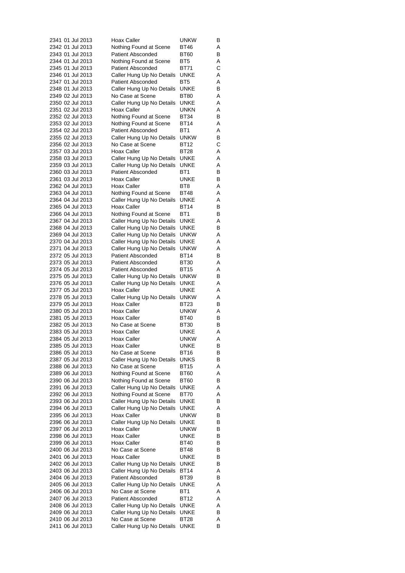|                  |  | 2341 01 Jul 2013 | <b>Hoax Caller</b>        | unkw            | В |
|------------------|--|------------------|---------------------------|-----------------|---|
| 2342 01 Jul 2013 |  |                  | Nothing Found at Scene    | BT46            | Α |
| 2343 01 Jul 2013 |  |                  | <b>Patient Absconded</b>  | BT60            | В |
| 2344 01 Jul 2013 |  |                  | Nothing Found at Scene    | BT5             | Α |
| 2345 01 Jul 2013 |  |                  | <b>Patient Absconded</b>  | BT71            | С |
| 2346 01 Jul 2013 |  |                  | Caller Hung Up No Details | UNKE            | Α |
| 2347 01 Jul 2013 |  |                  | <b>Patient Absconded</b>  | BT5             | Α |
| 2348 01 Jul 2013 |  |                  | Caller Hung Up No Details | UNKE            | В |
| 2349 02 Jul 2013 |  |                  | No Case at Scene          | <b>BT80</b>     | Α |
| 2350 02 Jul 2013 |  |                  | Caller Hung Up No Details | UNKE            | Α |
| 2351 02 Jul 2013 |  |                  | Hoax Caller               | unkn            | Α |
| 2352 02 Jul 2013 |  |                  | Nothing Found at Scene    | BT34            | В |
| 2353 02 Jul 2013 |  |                  | Nothing Found at Scene    | BT14            | Α |
| 2354 02 Jul 2013 |  |                  | <b>Patient Absconded</b>  | BT <sub>1</sub> | Α |
| 2355 02 Jul 2013 |  |                  | Caller Hung Up No Details | <b>UNKW</b>     | В |
| 2356 02 Jul 2013 |  |                  | No Case at Scene          | BT12            | С |
| 2357 03 Jul 2013 |  |                  | Hoax Caller               | BT28            | Α |
| 2358 03 Jul 2013 |  |                  | Caller Hung Up No Details | UNKE            | Α |
| 2359 03 Jul 2013 |  |                  | Caller Hung Up No Details | UNKE            | Α |
| 2360 03 Jul 2013 |  |                  | <b>Patient Absconded</b>  | BT1             | В |
| 2361 03 Jul 2013 |  |                  | Hoax Caller               | <b>UNKE</b>     | В |
| 2362 04 Jul 2013 |  |                  | Hoax Caller               | BT8             | Α |
| 2363 04 Jul 2013 |  |                  | Nothing Found at Scene    | BT48            | Α |
| 2364 04 Jul 2013 |  |                  | Caller Hung Up No Details | UNKE            | Α |
| 2365 04 Jul 2013 |  |                  | Hoax Caller               | <b>BT14</b>     | В |
| 2366 04 Jul 2013 |  |                  | Nothing Found at Scene    | BT <sub>1</sub> | В |
| 2367 04 Jul 2013 |  |                  | Caller Hung Up No Details | UNKE            | Α |
|                  |  |                  | Caller Hung Up No Details | UNKE            | В |
| 2368 04 Jul 2013 |  |                  |                           |                 |   |
| 2369 04 Jul 2013 |  |                  | Caller Hung Up No Details | unkw            | Α |
| 2370 04 Jul 2013 |  |                  | Caller Hung Up No Details | UNKE            | Α |
| 2371 04 Jul 2013 |  |                  | Caller Hung Up No Details | unkw            | Α |
| 2372 05 Jul 2013 |  |                  | <b>Patient Absconded</b>  | BT14            | В |
| 2373 05 Jul 2013 |  |                  | Patient Absconded         | BT30            | Α |
| 2374 05 Jul 2013 |  |                  | <b>Patient Absconded</b>  | <b>BT15</b>     | Α |
| 2375 05 Jul 2013 |  |                  | Caller Hung Up No Details | unkw            | В |
| 2376 05 Jul 2013 |  |                  | Caller Hung Up No Details | UNKE            | Α |
| 2377 05 Jul 2013 |  |                  | Hoax Caller               | UNKE            | Α |
| 2378 05 Jul 2013 |  |                  | Caller Hung Up No Details | <b>UNKW</b>     | Α |
| 2379 05 Jul 2013 |  |                  | Hoax Caller               | BT23            | В |
| 2380 05 Jul 2013 |  |                  | Hoax Caller               | unkw            | Α |
| 2381 05 Jul 2013 |  |                  | Hoax Caller               | BT40            | В |
| 2382 05 Jul 2013 |  |                  | No Case at Scene          | BT30            | В |
| 2383 05 Jul 2013 |  |                  | <b>Hoax Caller</b>        | UNKE            | Α |
| 2384 05 Jul 2013 |  |                  | <b>Hoax Caller</b>        | unkw            | Α |
| 2385 05 Jul 2013 |  |                  | <b>Hoax Caller</b>        | <b>UNKE</b>     | в |
| 2386 05 Jul 2013 |  |                  | No Case at Scene          | BT16            | В |
| 2387 05 Jul 2013 |  |                  | Caller Hung Up No Details | UNKS            | В |
| 2388 06 Jul 2013 |  |                  | No Case at Scene          | BT15            | Α |
| 2389 06 Jul 2013 |  |                  | Nothing Found at Scene    | BT60            | Α |
| 2390 06 Jul 2013 |  |                  | Nothing Found at Scene    | BT60            | В |
| 2391 06 Jul 2013 |  |                  | Caller Hung Up No Details | UNKE            | Α |
| 2392 06 Jul 2013 |  |                  | Nothing Found at Scene    | BT70            | Α |
| 2393 06 Jul 2013 |  |                  | Caller Hung Up No Details | UNKE            | В |
| 2394 06 Jul 2013 |  |                  | Caller Hung Up No Details | UNKE            | Α |
| 2395 06 Jul 2013 |  |                  | Hoax Caller               | unkw            | в |
| 2396 06 Jul 2013 |  |                  | Caller Hung Up No Details | UNKE            | В |
| 2397 06 Jul 2013 |  |                  | Hoax Caller               | unkw            | В |
| 2398 06 Jul 2013 |  |                  | Hoax Caller               | UNKE            | В |
| 2399 06 Jul 2013 |  |                  | Hoax Caller               | BT40            | В |
| 2400 06 Jul 2013 |  |                  | No Case at Scene          | BT48            | в |
| 2401 06 Jul 2013 |  |                  | Hoax Caller               | UNKE            | В |
| 2402 06 Jul 2013 |  |                  | Caller Hung Up No Details | UNKE            | В |
| 2403 06 Jul 2013 |  |                  |                           |                 | Α |
|                  |  |                  | Caller Hung Up No Details | BT14            |   |
| 2404 06 Jul 2013 |  |                  | <b>Patient Absconded</b>  | BT39            | В |
| 2405 06 Jul 2013 |  |                  | Caller Hung Up No Details | UNKE            | Α |
| 2406 06 Jul 2013 |  |                  | No Case at Scene          | BT1             | Α |
| 2407 06 Jul 2013 |  |                  | <b>Patient Absconded</b>  | BT12            | Α |
| 2408 06 Jul 2013 |  |                  | Caller Hung Up No Details | UNKE            | Α |
| 2409 06 Jul 2013 |  |                  | Caller Hung Up No Details | UNKE            | В |
| 2410 06 Jul 2013 |  |                  | No Case at Scene          | <b>BT28</b>     | Α |
| 2411 06 Jul 2013 |  |                  | Caller Hung Up No Details | UNKE            | В |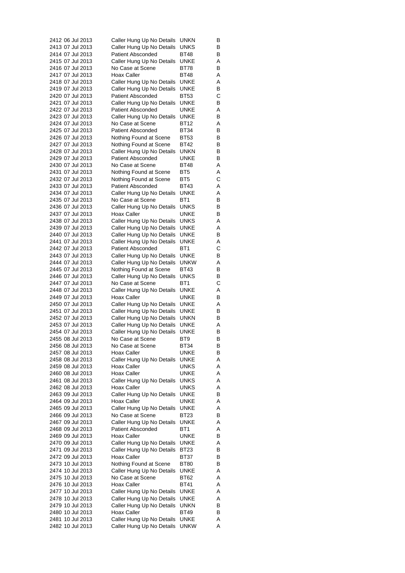| 2412 06 Jul 2013 |  | Caller Hung Up No Details                     | unkn        | В |
|------------------|--|-----------------------------------------------|-------------|---|
| 2413 07 Jul 2013 |  | Caller Hung Up No Details                     | UNKS        | В |
| 2414 07 Jul 2013 |  | <b>Patient Absconded</b>                      | BT48        | В |
| 2415 07 Jul 2013 |  | Caller Hung Up No Details                     | UNKE        | Α |
| 2416 07 Jul 2013 |  | No Case at Scene                              | BT78        | В |
| 2417 07 Jul 2013 |  | Hoax Caller                                   | BT48        | Α |
| 2418 07 Jul 2013 |  | Caller Hung Up No Details                     | UNKE        | Α |
| 2419 07 Jul 2013 |  | Caller Hung Up No Details                     | UNKE        | В |
| 2420 07 Jul 2013 |  | <b>Patient Absconded</b>                      | BT53        | С |
| 2421 07 Jul 2013 |  | Caller Hung Up No Details                     | UNKE        | В |
| 2422 07 Jul 2013 |  | <b>Patient Absconded</b>                      | UNKE        | Α |
| 2423 07 Jul 2013 |  | Caller Hung Up No Details                     | UNKE        | в |
| 2424 07 Jul 2013 |  | No Case at Scene                              | BT12        | Α |
| 2425 07 Jul 2013 |  | <b>Patient Absconded</b>                      | BT34        | в |
| 2426 07 Jul 2013 |  | Nothing Found at Scene                        | BT53        | В |
|                  |  |                                               | BT42        |   |
| 2427 07 Jul 2013 |  | Nothing Found at Scene                        |             | В |
| 2428 07 Jul 2013 |  | Caller Hung Up No Details                     | unkn        | В |
| 2429 07 Jul 2013 |  | <b>Patient Absconded</b>                      | UNKE        | В |
| 2430 07 Jul 2013 |  | No Case at Scene                              | BT48        | Α |
| 2431 07 Jul 2013 |  | Nothing Found at Scene                        | BT5         | Α |
| 2432 07 Jul 2013 |  | Nothing Found at Scene                        | BT5         | С |
| 2433 07 Jul 2013 |  | <b>Patient Absconded</b>                      | BT43        | Α |
| 2434 07 Jul 2013 |  | Caller Hung Up No Details                     | UNKE        | Α |
| 2435 07 Jul 2013 |  | No Case at Scene                              | BT1         | в |
| 2436 07 Jul 2013 |  | Caller Hung Up No Details                     | UNKS        | В |
| 2437 07 Jul 2013 |  | Hoax Caller                                   | UNKE        | В |
| 2438 07 Jul 2013 |  | Caller Hung Up No Details                     | <b>UNKS</b> | Α |
| 2439 07 Jul 2013 |  | Caller Hung Up No Details                     | UNKE        | Α |
| 2440 07 Jul 2013 |  | Caller Hung Up No Details                     | UNKE        | В |
| 2441 07 Jul 2013 |  | Caller Hung Up No Details                     | UNKE        | Α |
| 2442 07 Jul 2013 |  | <b>Patient Absconded</b>                      | BT1         | С |
| 2443 07 Jul 2013 |  | Caller Hung Up No Details                     | UNKE        | В |
| 2444 07 Jul 2013 |  | Caller Hung Up No Details                     | unkw        | Α |
| 2445 07 Jul 2013 |  | Nothing Found at Scene                        | BT43        | В |
| 2446 07 Jul 2013 |  | Caller Hung Up No Details                     | UNKS        | В |
| 2447 07 Jul 2013 |  | No Case at Scene                              | BT1         | С |
| 2448 07 Jul 2013 |  | Caller Hung Up No Details                     | UNKE        | Α |
| 2449 07 Jul 2013 |  | Hoax Caller                                   | UNKE        | В |
| 2450 07 Jul 2013 |  | Caller Hung Up No Details                     | UNKE        | Α |
| 2451 07 Jul 2013 |  | Caller Hung Up No Details                     | UNKE        | В |
| 2452 07 Jul 2013 |  | Caller Hung Up No Details                     | unkn        | В |
| 2453 07 Jul 2013 |  | Caller Hung Up No Details                     | UNKE        | Α |
| 2454 07 Jul 2013 |  |                                               | <b>UNKE</b> | В |
| 2455 08 Jul 2013 |  | Caller Hung Up No Details<br>No Case at Scene | BT9         | В |
|                  |  |                                               |             |   |
| 2456 08 Jul 2013 |  | No Case at Scene                              | <b>BT34</b> | В |
| 2457 08 Jul 2013 |  | Hoax Caller                                   | UNKE        | В |
| 2458 08 Jul 2013 |  | Caller Hung Up No Details                     | UNKE        | Α |
| 2459 08 Jul 2013 |  | Hoax Caller                                   | UNKS        | Α |
| 2460 08 Jul 2013 |  | Hoax Caller                                   | UNKE        | Α |
| 2461 08 Jul 2013 |  | Caller Hung Up No Details                     | UNKS        | Α |
| 2462 08 Jul 2013 |  | Hoax Caller                                   | UNKS        | Α |
| 2463 09 Jul 2013 |  | Caller Hung Up No Details                     | UNKE        | В |
| 2464 09 Jul 2013 |  | Hoax Caller                                   | UNKE        | Α |
| 2465 09 Jul 2013 |  | Caller Hung Up No Details                     | UNKE        | Α |
| 2466 09 Jul 2013 |  | No Case at Scene                              | <b>BT23</b> | в |
| 2467 09 Jul 2013 |  | Caller Hung Up No Details                     | UNKE        | Α |
| 2468 09 Jul 2013 |  | Patient Absconded                             | BT1         | Α |
| 2469 09 Jul 2013 |  | Hoax Caller                                   | UNKE        | В |
| 2470 09 Jul 2013 |  | Caller Hung Up No Details                     | UNKE        | Α |
| 2471 09 Jul 2013 |  | Caller Hung Up No Details                     | BT23        | в |
| 2472 09 Jul 2013 |  | Hoax Caller                                   | BT37        | В |
| 2473 10 Jul 2013 |  | Nothing Found at Scene                        | BT80        | В |
| 2474 10 Jul 2013 |  | Caller Hung Up No Details                     | UNKE        | Α |
| 2475 10 Jul 2013 |  | No Case at Scene                              | BT62        | Α |
| 2476 10 Jul 2013 |  | Hoax Caller                                   | BT41        | Α |
| 2477 10 Jul 2013 |  | Caller Hung Up No Details                     | UNKE        | Α |
| 2478 10 Jul 2013 |  | Caller Hung Up No Details                     | UNKE        | Α |
| 2479 10 Jul 2013 |  | Caller Hung Up No Details                     | unkn        | В |
| 2480 10 Jul 2013 |  | Hoax Caller                                   | BT49        | В |
| 2481 10 Jul 2013 |  | Caller Hung Up No Details                     | <b>UNKE</b> | Α |
| 2482 10 Jul 2013 |  | Caller Hung Up No Details                     | unkw        | Α |
|                  |  |                                               |             |   |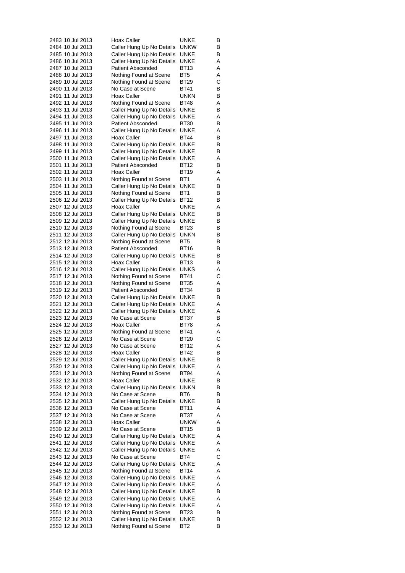| 2483 10 Jul 2013                     | Hoax Caller                                            | UNKE                | В      |
|--------------------------------------|--------------------------------------------------------|---------------------|--------|
| 2484 10 Jul 2013                     | Caller Hung Up No Details                              | <b>UNKW</b>         | В      |
| 2485 10 Jul 2013                     | Caller Hung Up No Details                              | UNKE                | В      |
| 2486 10 Jul 2013                     | Caller Hung Up No Details                              | UNKE                | Α      |
| 2487 10 Jul 2013                     | <b>Patient Absconded</b>                               | BT13                | Α      |
| 2488 10 Jul 2013                     | Nothing Found at Scene                                 | BT <sub>5</sub>     | Α      |
| 2489 10 Jul 2013<br>2490 11 Jul 2013 | Nothing Found at Scene                                 | BT29<br>BT41        | С<br>В |
| 2491 11 Jul 2013                     | No Case at Scene<br>Hoax Caller                        | unkn                | В      |
| 2492 11 Jul 2013                     | Nothing Found at Scene                                 | BT48                | Α      |
| 2493 11 Jul 2013                     | Caller Hung Up No Details                              | <b>UNKE</b>         | В      |
| 2494 11 Jul 2013                     | Caller Hung Up No Details                              | UNKE                | Α      |
| 2495 11 Jul 2013                     | <b>Patient Absconded</b>                               | BT30                | В      |
| 2496 11 Jul 2013                     | Caller Hung Up No Details                              | <b>UNKE</b>         | Α      |
| 2497 11 Jul 2013                     | <b>Hoax Caller</b>                                     | <b>BT44</b>         | В      |
| 2498 11 Jul 2013                     | Caller Hung Up No Details                              | UNKE                | В      |
| 2499 11 Jul 2013                     | Caller Hung Up No Details                              | UNKE                | В      |
| 2500 11 Jul 2013                     | Caller Hung Up No Details                              | UNKE                | Α      |
| 2501 11 Jul 2013                     | <b>Patient Absconded</b>                               | BT12                | В      |
| 2502 11 Jul 2013                     | Hoax Caller                                            | <b>BT19</b>         | Α      |
| 2503 11 Jul 2013                     | Nothing Found at Scene                                 | BT1                 | Α      |
| 2504 11 Jul 2013                     | Caller Hung Up No Details                              | UNKE                | В      |
| 2505 11 Jul 2013                     | Nothing Found at Scene                                 | BT1                 | В      |
| 2506 12 Jul 2013<br>2507 12 Jul 2013 | Caller Hung Up No Details                              | BT12                | В      |
| 2508 12 Jul 2013                     | Hoax Caller<br>Caller Hung Up No Details               | UNKE<br><b>UNKE</b> | Α<br>В |
| 2509 12 Jul 2013                     | Caller Hung Up No Details                              | <b>UNKE</b>         | В      |
| 2510 12 Jul 2013                     | Nothing Found at Scene                                 | BT23                | В      |
| 2511 12 Jul 2013                     | Caller Hung Up No Details                              | unkn                | В      |
| 2512 12 Jul 2013                     | Nothing Found at Scene                                 | BT5                 | В      |
| 2513 12 Jul 2013                     | <b>Patient Absconded</b>                               | BT16                | В      |
| 2514 12 Jul 2013                     | Caller Hung Up No Details                              | UNKE                | В      |
| 2515 12 Jul 2013                     | Hoax Caller                                            | BT13                | В      |
| 2516 12 Jul 2013                     | Caller Hung Up No Details                              | <b>UNKS</b>         | Α      |
| 2517 12 Jul 2013                     | Nothing Found at Scene                                 | BT41                | С      |
| 2518 12 Jul 2013                     | Nothing Found at Scene                                 | <b>BT35</b>         | Α      |
| 2519 12 Jul 2013                     | <b>Patient Absconded</b>                               | BT34                | В      |
| 2520 12 Jul 2013                     | Caller Hung Up No Details                              | UNKE                | В      |
| 2521 12 Jul 2013                     | Caller Hung Up No Details                              | <b>UNKE</b>         | Α      |
| 2522 12 Jul 2013<br>2523 12 Jul 2013 | Caller Hung Up No Details<br>No Case at Scene          | UNKE                | Α<br>В |
| 2524 12 Jul 2013                     | Hoax Caller                                            | BT37<br>BT78        | Α      |
| 2525 12 Jul 2013                     | Nothing Found at Scene                                 | BT41                | Α      |
| 2526 12 Jul 2013                     | No Case at Scene                                       | BT20                | С      |
| 2527 12 Jul 2013                     | No Case at Scene                                       | <b>BT12</b>         | Α      |
| 2528 12 Jul 2013                     | Hoax Caller                                            | <b>BT42</b>         | В      |
| 2529 12 Jul 2013                     | Caller Hung Up No Details                              | UNKE                | В      |
| 2530 12 Jul 2013                     | Caller Hung Up No Details                              | <b>UNKE</b>         | Α      |
| 2531 12 Jul 2013                     | Nothing Found at Scene                                 | BT94                | Α      |
| 2532 12 Jul 2013                     | Hoax Caller                                            | UNKE                | В      |
| 2533 12 Jul 2013                     | Caller Hung Up No Details                              | <b>UNKN</b>         | В      |
| 2534 12 Jul 2013                     | No Case at Scene                                       | BT6                 | В      |
| 2535 12 Jul 2013                     | Caller Hung Up No Details                              | UNKE                | В      |
| 2536 12 Jul 2013                     | No Case at Scene                                       | BT11                | Α      |
| 2537 12 Jul 2013                     | No Case at Scene                                       | BT37                | Α      |
| 2538 12 Jul 2013                     | Hoax Caller<br>No Case at Scene                        | unkw                | Α      |
| 2539 12 Jul 2013                     |                                                        | <b>BT15</b>         | В<br>Α |
| 2540 12 Jul 2013<br>2541 12 Jul 2013 | Caller Hung Up No Details<br>Caller Hung Up No Details | UNKE<br>UNKE        | Α      |
| 2542 12 Jul 2013                     | Caller Hung Up No Details                              | UNKE                | Α      |
| 2543 12 Jul 2013                     | No Case at Scene                                       | BT4                 | С      |
| 2544 12 Jul 2013                     | Caller Hung Up No Details                              | UNKE                | Α      |
| 2545 12 Jul 2013                     | Nothing Found at Scene                                 | <b>BT14</b>         | Α      |
| 2546 12 Jul 2013                     | Caller Hung Up No Details                              | UNKE                | Α      |
| 2547 12 Jul 2013                     | Caller Hung Up No Details                              | UNKE                | Α      |
| 2548 12 Jul 2013                     | Caller Hung Up No Details                              | UNKE                | В      |
| 2549 12 Jul 2013                     | Caller Hung Up No Details                              | UNKE                | Α      |
| 2550 12 Jul 2013                     | Caller Hung Up No Details                              | UNKE                | Α      |
| 2551 12 Jul 2013                     | Nothing Found at Scene                                 | BT23                | В      |
| 2552 12 Jul 2013                     | Caller Hung Up No Details                              | UNKE                | В      |
| 2553 12 Jul 2013                     | Nothing Found at Scene                                 | BT <sub>2</sub>     | В      |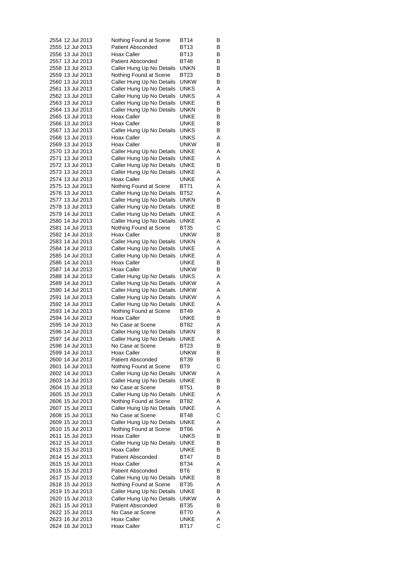| 2554 12 Jul 2013                     | Nothing Found at Scene                                 | BT14         | В      |
|--------------------------------------|--------------------------------------------------------|--------------|--------|
| 2555 12 Jul 2013                     | <b>Patient Absconded</b>                               | BT13         | В      |
| 2556 13 Jul 2013                     | Hoax Caller                                            | BT13         | В      |
| 2557 13 Jul 2013                     | <b>Patient Absconded</b>                               | BT48         | в      |
| 2558 13 Jul 2013                     | Caller Hung Up No Details                              | <b>UNKN</b>  | В      |
| 2559 13 Jul 2013                     | Nothing Found at Scene                                 | <b>BT23</b>  | В      |
| 2560 13 Jul 2013                     | Caller Hung Up No Details                              | <b>UNKW</b>  | В      |
| 2561 13 Jul 2013                     | Caller Hung Up No Details                              | UNKS         | Α      |
| 2562 13 Jul 2013<br>2563 13 Jul 2013 | Caller Hung Up No Details                              | UNKS<br>UNKE | Α      |
| 2564 13 Jul 2013                     | Caller Hung Up No Details<br>Caller Hung Up No Details | UNKN         | В<br>В |
| 2565 13 Jul 2013                     | Hoax Caller                                            | UNKE         | В      |
| 2566 13 Jul 2013                     | Hoax Caller                                            | UNKE         | В      |
| 2567 13 Jul 2013                     | Caller Hung Up No Details                              | UNKS         | В      |
| 2568 13 Jul 2013                     | Hoax Caller                                            | UNKS         | Α      |
| 2569 13 Jul 2013                     | Hoax Caller                                            | unkw         | В      |
| 2570 13 Jul 2013                     | Caller Hung Up No Details                              | UNKE         | Α      |
| 2571 13 Jul 2013                     | Caller Hung Up No Details                              | UNKE         | Α      |
| 2572 13 Jul 2013                     | Caller Hung Up No Details                              | UNKE         | В      |
| 2573 13 Jul 2013                     | Caller Hung Up No Details                              | UNKE         | Α      |
| 2574 13 Jul 2013                     | Hoax Caller                                            | UNKE         | Α      |
| 2575 13 Jul 2013                     | Nothing Found at Scene                                 | BT71         | Α      |
| 2576 13 Jul 2013                     | Caller Hung Up No Details                              | BT52         | Α      |
| 2577 13 Jul 2013                     | Caller Hung Up No Details                              | unkn         | В      |
| 2578 13 Jul 2013                     | Caller Hung Up No Details                              | UNKE         | В      |
| 2579 14 Jul 2013                     | Caller Hung Up No Details                              | UNKE         | Α      |
| 2580 14 Jul 2013                     | Caller Hung Up No Details                              | UNKE         | Α      |
| 2581 14 Jul 2013                     | Nothing Found at Scene                                 | BT35         | С      |
| 2582 14 Jul 2013                     | Hoax Caller                                            | unkw         | В      |
| 2583 14 Jul 2013                     | Caller Hung Up No Details                              | unkn         | Α      |
| 2584 14 Jul 2013                     | Caller Hung Up No Details                              | UNKE         | Α      |
| 2585 14 Jul 2013<br>2586 14 Jul 2013 | Caller Hung Up No Details<br>Hoax Caller               | UNKE<br>UNKE | Α<br>В |
| 2587 14 Jul 2013                     | Hoax Caller                                            | UNKW         | В      |
| 2588 14 Jul 2013                     | Caller Hung Up No Details                              | <b>UNKS</b>  | Α      |
| 2589 14 Jul 2013                     | Caller Hung Up No Details                              | unkw         | Α      |
| 2590 14 Jul 2013                     | Caller Hung Up No Details                              | unkw         | Α      |
| 2591 14 Jul 2013                     | Caller Hung Up No Details                              | unkw         | Α      |
| 2592 14 Jul 2013                     | Caller Hung Up No Details                              | UNKE         | Α      |
| 2593 14 Jul 2013                     | Nothing Found at Scene                                 | BT49         | Α      |
| 2594 14 Jul 2013                     | Hoax Caller                                            | UNKE         | В      |
| 2595 14 Jul 2013                     | No Case at Scene                                       | BT82         | Α      |
| 2596 14 Jul 2013                     | Caller Hung Up No Details                              | unkn         | В      |
| 2597 14 Jul 2013                     | Caller Hung Up No Details                              | <b>UNKE</b>  | Α      |
| 2598 14 Jul 2013                     | No Case at Scene                                       | BT23         | В      |
| 2599 14 Jul 2013                     | Hoax Caller                                            | unkw         | В      |
| 2600 14 Jul 2013                     | <b>Patient Absconded</b>                               | BT39         | В      |
| 2601 14 Jul 2013                     | Nothing Found at Scene                                 | BT9          | С      |
| 2602 14 Jul 2013                     | Caller Hung Up No Details                              | unkw         | Α      |
| 2603 14 Jul 2013                     | Caller Hung Up No Details                              | UNKE         | В      |
| 2604 15 Jul 2013                     | No Case at Scene                                       | <b>BT51</b>  | В      |
| 2605 15 Jul 2013                     | Caller Hung Up No Details                              | UNKE         | Α      |
| 2606 15 Jul 2013                     | Nothing Found at Scene                                 | BT82         | Α      |
| 2607 15 Jul 2013                     | Caller Hung Up No Details                              | UNKE         | Α      |
| 2608 15 Jul 2013                     | No Case at Scene                                       | BT48         | С<br>Α |
| 2609 15 Jul 2013<br>2610 15 Jul 2013 | Caller Hung Up No Details                              | UNKE         | Α      |
| 2611 15 Jul 2013                     | Nothing Found at Scene<br><b>Hoax Caller</b>           | BT66<br>UNKS | В      |
| 2612 15 Jul 2013                     | Caller Hung Up No Details                              | UNKE         | В      |
| 2613 15 Jul 2013                     | Hoax Caller                                            | UNKE         | В      |
| 2614 15 Jul 2013                     | <b>Patient Absconded</b>                               | BT47         | В      |
| 2615 15 Jul 2013                     | Hoax Caller                                            | <b>BT34</b>  | Α      |
| 2616 15 Jul 2013                     | <b>Patient Absconded</b>                               | BT6          | В      |
| 2617 15 Jul 2013                     | Caller Hung Up No Details                              | UNKE         | В      |
| 2618 15 Jul 2013                     | Nothing Found at Scene                                 | BT35         | Α      |
| 2619 15 Jul 2013                     | Caller Hung Up No Details                              | UNKE         | В      |
| 2620 15 Jul 2013                     | Caller Hung Up No Details                              | <b>UNKW</b>  | Α      |
| 2621 15 Jul 2013                     | <b>Patient Absconded</b>                               | BT35         | В      |
| 2622 15 Jul 2013                     | No Case at Scene                                       | BT70         | Α      |
| 2623 16 Jul 2013                     | Hoax Caller                                            | UNKE         | Α      |
| 2624 16 Jul 2013                     | Hoax Caller                                            | <b>BT17</b>  | С      |
|                                      |                                                        |              |        |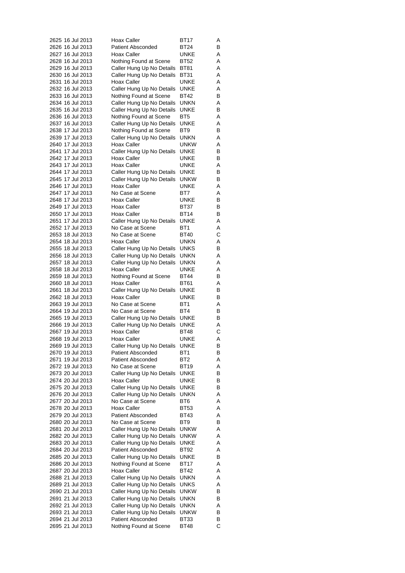| 2625 16 Jul 2013 |  |                                      | <b>Hoax Caller</b>                                     | BT17                | Α      |
|------------------|--|--------------------------------------|--------------------------------------------------------|---------------------|--------|
|                  |  | 2626 16 Jul 2013                     | <b>Patient Absconded</b>                               | BT24                | В      |
|                  |  | 2627 16 Jul 2013                     | Hoax Caller                                            | UNKE                | Α      |
|                  |  | 2628 16 Jul 2013                     | Nothing Found at Scene                                 | BT52                | Α      |
|                  |  | 2629 16 Jul 2013                     | Caller Hung Up No Details                              | BT81                | Α      |
|                  |  | 2630 16 Jul 2013                     | Caller Hung Up No Details                              | BT31                | Α      |
|                  |  | 2631 16 Jul 2013                     | Hoax Caller                                            | UNKE                | Α      |
|                  |  | 2632 16 Jul 2013                     | Caller Hung Up No Details                              | UNKE                | Α      |
|                  |  | 2633 16 Jul 2013                     | Nothing Found at Scene                                 | BT42                | В      |
|                  |  | 2634 16 Jul 2013                     | Caller Hung Up No Details                              | unkn                | Α      |
|                  |  | 2635 16 Jul 2013                     | Caller Hung Up No Details<br>Nothing Found at Scene    | UNKE                | В      |
|                  |  | 2636 16 Jul 2013<br>2637 16 Jul 2013 | Caller Hung Up No Details                              | BT5<br>UNKE         | Α<br>Α |
|                  |  | 2638 17 Jul 2013                     | Nothing Found at Scene                                 | BT9                 | В      |
|                  |  | 2639 17 Jul 2013                     | Caller Hung Up No Details                              | unkn                | Α      |
|                  |  | 2640 17 Jul 2013                     | Hoax Caller                                            | UNKW                | Α      |
|                  |  | 2641 17 Jul 2013                     | Caller Hung Up No Details                              | UNKE                | В      |
|                  |  | 2642 17 Jul 2013                     | Hoax Caller                                            | UNKE                | в      |
|                  |  | 2643 17 Jul 2013                     | Hoax Caller                                            | UNKE                | Α      |
|                  |  | 2644 17 Jul 2013                     | Caller Hung Up No Details                              | <b>UNKE</b>         | В      |
|                  |  | 2645 17 Jul 2013                     | Caller Hung Up No Details                              | UNKW                | В      |
|                  |  | 2646 17 Jul 2013                     | Hoax Caller                                            | UNKE                | Α      |
|                  |  | 2647 17 Jul 2013                     | No Case at Scene                                       | BT7                 | Α      |
|                  |  | 2648 17 Jul 2013                     | Hoax Caller                                            | UNKE                | В      |
|                  |  | 2649 17 Jul 2013                     | Hoax Caller                                            | <b>BT37</b>         | В      |
|                  |  | 2650 17 Jul 2013                     | Hoax Caller                                            | <b>BT14</b>         | В      |
|                  |  | 2651 17 Jul 2013                     | Caller Hung Up No Details                              | UNKE                | Α      |
|                  |  | 2652 17 Jul 2013                     | No Case at Scene                                       | BT1                 | Α      |
|                  |  | 2653 18 Jul 2013                     | No Case at Scene                                       | BT40                | С      |
|                  |  | 2654 18 Jul 2013                     | Hoax Caller                                            | unkn                | Α      |
|                  |  | 2655 18 Jul 2013                     | Caller Hung Up No Details                              | UNKS                | В      |
|                  |  | 2656 18 Jul 2013                     | Caller Hung Up No Details                              | unkn                | Α      |
|                  |  | 2657 18 Jul 2013<br>2658 18 Jul 2013 | Caller Hung Up No Details<br>Hoax Caller               | unkn<br>UNKE        | Α<br>Α |
| 2659 18 Jul 2013 |  |                                      | Nothing Found at Scene                                 | BT44                | в      |
|                  |  | 2660 18 Jul 2013                     | Hoax Caller                                            | BT61                | Α      |
|                  |  | 2661 18 Jul 2013                     | Caller Hung Up No Details                              | UNKE                | В      |
|                  |  | 2662 18 Jul 2013                     | Hoax Caller                                            | UNKE                | В      |
|                  |  | 2663 19 Jul 2013                     | No Case at Scene                                       | BT1                 | Α      |
|                  |  | 2664 19 Jul 2013                     | No Case at Scene                                       | BT4                 | В      |
|                  |  | 2665 19 Jul 2013                     | Caller Hung Up No Details                              | <b>UNKE</b>         | В      |
|                  |  | 2666 19 Jul 2013                     | Caller Hung Up No Details                              | UNKE                | Α      |
|                  |  | 2667 19 Jul 2013                     | <b>Hoax Caller</b>                                     | BT48                | С      |
| 2668 19 Jul 2013 |  |                                      | <b>Hoax Caller</b>                                     | UNKE                | Α      |
| 2669 19 Jul 2013 |  |                                      | Caller Hung Up No Details                              | <b>UNKE</b>         | В      |
|                  |  | 2670 19 Jul 2013                     | <b>Patient Absconded</b>                               | BT1                 | В      |
|                  |  | 2671 19 Jul 2013                     | <b>Patient Absconded</b>                               | BT2                 | Α      |
|                  |  | 2672 19 Jul 2013                     | No Case at Scene                                       | BT19                | Α      |
|                  |  | 2673 20 Jul 2013<br>2674 20 Jul 2013 | Caller Hung Up No Details                              | UNKE<br><b>UNKE</b> | В<br>В |
|                  |  | 2675 20 Jul 2013                     | Hoax Caller<br>Caller Hung Up No Details               | UNKE                | В      |
|                  |  | 2676 20 Jul 2013                     | Caller Hung Up No Details                              | unkn                | Α      |
|                  |  | 2677 20 Jul 2013                     | No Case at Scene                                       | BT6                 | Α      |
|                  |  | 2678 20 Jul 2013                     | Hoax Caller                                            | BT53                | Α      |
|                  |  | 2679 20 Jul 2013                     | <b>Patient Absconded</b>                               | BT43                | Α      |
|                  |  | 2680 20 Jul 2013                     | No Case at Scene                                       | BT9                 | В      |
|                  |  | 2681 20 Jul 2013                     | Caller Hung Up No Details                              | <b>UNKW</b>         | Α      |
|                  |  | 2682 20 Jul 2013                     | Caller Hung Up No Details                              | <b>UNKW</b>         | Α      |
|                  |  | 2683 20 Jul 2013                     | Caller Hung Up No Details                              | UNKE                | Α      |
|                  |  | 2684 20 Jul 2013                     | <b>Patient Absconded</b>                               | BT92                | Α      |
|                  |  | 2685 20 Jul 2013                     | Caller Hung Up No Details                              | UNKE                | В      |
|                  |  | 2686 20 Jul 2013                     | Nothing Found at Scene                                 | BT17                | Α      |
|                  |  | 2687 20 Jul 2013                     | Hoax Caller                                            | BT42                | Α      |
|                  |  | 2688 21 Jul 2013                     | Caller Hung Up No Details                              | <b>UNKN</b>         | Α      |
|                  |  | 2689 21 Jul 2013                     | Caller Hung Up No Details                              | UNKS                | Α      |
|                  |  | 2690 21 Jul 2013                     | Caller Hung Up No Details                              | unkw                | В      |
|                  |  | 2691 21 Jul 2013<br>2692 21 Jul 2013 | Caller Hung Up No Details<br>Caller Hung Up No Details | unkn<br>unkn        | В<br>Α |
|                  |  | 2693 21 Jul 2013                     | Caller Hung Up No Details                              | unkw                | В      |
|                  |  | 2694 21 Jul 2013                     | <b>Patient Absconded</b>                               | <b>BT33</b>         | В      |
|                  |  | 2695 21 Jul 2013                     | Nothing Found at Scene                                 | BT48                | С      |
|                  |  |                                      |                                                        |                     |        |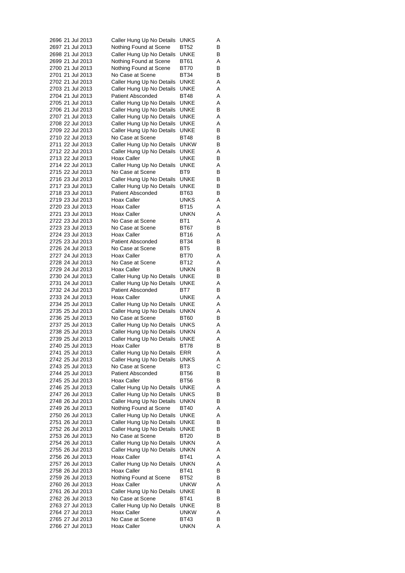| 2696 21 Jul 2013 |  |                  | Caller Hung Up No Details | UNKS        | A |
|------------------|--|------------------|---------------------------|-------------|---|
|                  |  | 2697 21 Jul 2013 | Nothing Found at Scene    | BT52        | В |
|                  |  | 2698 21 Jul 2013 | Caller Hung Up No Details | UNKE        | В |
|                  |  | 2699 21 Jul 2013 | Nothing Found at Scene    | BT61        | Α |
|                  |  | 2700 21 Jul 2013 | Nothing Found at Scene    | BT70        | В |
|                  |  | 2701 21 Jul 2013 | No Case at Scene          | BT34        | В |
|                  |  | 2702 21 Jul 2013 | Caller Hung Up No Details | <b>UNKE</b> | Α |
|                  |  | 2703 21 Jul 2013 | Caller Hung Up No Details | UNKE        | Α |
|                  |  | 2704 21 Jul 2013 | <b>Patient Absconded</b>  | BT48        | Α |
|                  |  | 2705 21 Jul 2013 | Caller Hung Up No Details | UNKE        | Α |
|                  |  | 2706 21 Jul 2013 | Caller Hung Up No Details | UNKE        | В |
|                  |  | 2707 21 Jul 2013 | Caller Hung Up No Details | UNKE        | Α |
|                  |  | 2708 22 Jul 2013 | Caller Hung Up No Details | UNKE        | Α |
|                  |  | 2709 22 Jul 2013 | Caller Hung Up No Details | UNKE        | В |
|                  |  | 2710 22 Jul 2013 | No Case at Scene          | BT48        | В |
|                  |  | 2711 22 Jul 2013 |                           |             |   |
|                  |  |                  | Caller Hung Up No Details | unkw        | В |
|                  |  | 2712 22 Jul 2013 | Caller Hung Up No Details | UNKE        | Α |
|                  |  | 2713 22 Jul 2013 | Hoax Caller               | UNKE        | В |
|                  |  | 2714 22 Jul 2013 | Caller Hung Up No Details | UNKE        | Α |
|                  |  | 2715 22 Jul 2013 | No Case at Scene          | BT9         | В |
|                  |  | 2716 23 Jul 2013 | Caller Hung Up No Details | UNKE        | В |
|                  |  | 2717 23 Jul 2013 | Caller Hung Up No Details | UNKE        | В |
|                  |  | 2718 23 Jul 2013 | <b>Patient Absconded</b>  | BT63        | В |
|                  |  | 2719 23 Jul 2013 | Hoax Caller               | UNKS        | Α |
|                  |  | 2720 23 Jul 2013 | Hoax Caller               | BT15        | Α |
|                  |  | 2721 23 Jul 2013 | Hoax Caller               | unkn        | Α |
|                  |  | 2722 23 Jul 2013 | No Case at Scene          | BT1         | Α |
|                  |  | 2723 23 Jul 2013 | No Case at Scene          | <b>BT67</b> | В |
|                  |  | 2724 23 Jul 2013 | Hoax Caller               | <b>BT16</b> | Α |
|                  |  | 2725 23 Jul 2013 | <b>Patient Absconded</b>  | BT34        | В |
|                  |  | 2726 24 Jul 2013 | No Case at Scene          | BT5         | В |
|                  |  | 2727 24 Jul 2013 | Hoax Caller               | BT70        | Α |
|                  |  | 2728 24 Jul 2013 | No Case at Scene          | BT12        | Α |
|                  |  | 2729 24 Jul 2013 | <b>Hoax Caller</b>        | unkn        | В |
|                  |  | 2730 24 Jul 2013 | Caller Hung Up No Details | UNKE        | В |
|                  |  | 2731 24 Jul 2013 | Caller Hung Up No Details | UNKE        | Α |
|                  |  | 2732 24 Jul 2013 | <b>Patient Absconded</b>  | BT7         | В |
|                  |  | 2733 24 Jul 2013 | Hoax Caller               | UNKE        | Α |
|                  |  | 2734 25 Jul 2013 |                           | UNKE        | Α |
|                  |  | 2735 25 Jul 2013 | Caller Hung Up No Details |             |   |
|                  |  | 2736 25 Jul 2013 | Caller Hung Up No Details | unkn        | Α |
|                  |  |                  | No Case at Scene          | BT60        | В |
|                  |  | 2737 25 Jul 2013 | Caller Hung Up No Details | UNKS        | Α |
|                  |  | 2738 25 Jul 2013 | Caller Hung Up No Details | unkn        | Α |
| 2739 25 Jul 2013 |  |                  | Caller Hung Up No Details | UNKE        | Α |
| 2740 25 Jul 2013 |  |                  | Hoax Caller               | BT78        | В |
|                  |  | 2741 25 Jul 2013 | Caller Hung Up No Details | ERR         | Α |
|                  |  | 2742 25 Jul 2013 | Caller Hung Up No Details | UNKS        | Α |
|                  |  | 2743 25 Jul 2013 | No Case at Scene          | BT3         | С |
|                  |  | 2744 25 Jul 2013 | <b>Patient Absconded</b>  | BT56        | В |
|                  |  | 2745 25 Jul 2013 | Hoax Caller               | BT56        | В |
|                  |  | 2746 25 Jul 2013 | Caller Hung Up No Details | <b>UNKE</b> | Α |
|                  |  | 2747 26 Jul 2013 | Caller Hung Up No Details | <b>UNKS</b> | В |
|                  |  | 2748 26 Jul 2013 | Caller Hung Up No Details | UNKN        | В |
|                  |  | 2749 26 Jul 2013 | Nothing Found at Scene    | BT40        | Α |
|                  |  | 2750 26 Jul 2013 | Caller Hung Up No Details | UNKE        | Α |
|                  |  | 2751 26 Jul 2013 | Caller Hung Up No Details | UNKE        | В |
|                  |  | 2752 26 Jul 2013 | Caller Hung Up No Details | UNKE        | В |
|                  |  | 2753 26 Jul 2013 | No Case at Scene          | BT20        | В |
|                  |  | 2754 26 Jul 2013 | Caller Hung Up No Details | unkn        | Α |
|                  |  | 2755 26 Jul 2013 | Caller Hung Up No Details | unkn        | Α |
|                  |  | 2756 26 Jul 2013 | Hoax Caller               | BT41        | Α |
|                  |  | 2757 26 Jul 2013 | Caller Hung Up No Details | unkn        | Α |
|                  |  | 2758 26 Jul 2013 | Hoax Caller               | BT41        | В |
|                  |  | 2759 26 Jul 2013 | Nothing Found at Scene    | BT52        | В |
|                  |  | 2760 26 Jul 2013 | Hoax Caller               | unkw        | Α |
|                  |  | 2761 26 Jul 2013 | Caller Hung Up No Details | UNKE        | В |
|                  |  | 2762 26 Jul 2013 | No Case at Scene          | BT41        | В |
|                  |  | 2763 27 Jul 2013 | Caller Hung Up No Details | UNKE        | в |
|                  |  | 2764 27 Jul 2013 | Hoax Caller               | unkw        | Α |
|                  |  | 2765 27 Jul 2013 | No Case at Scene          | BT43        | В |
|                  |  |                  | Hoax Caller               | <b>UNKN</b> |   |
|                  |  | 2766 27 Jul 2013 |                           |             | Α |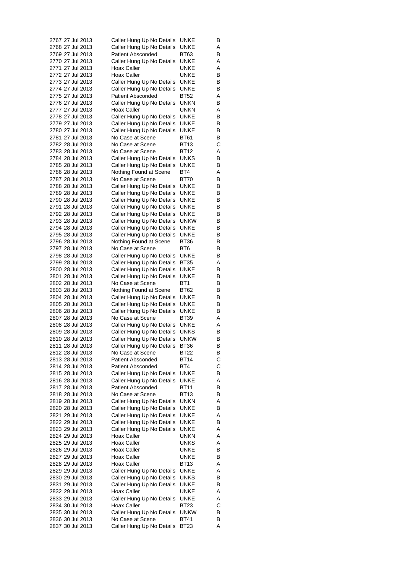| 2767 27 Jul 2013 |  | Caller Hung Up No Details | UNKE            | B |
|------------------|--|---------------------------|-----------------|---|
| 2768 27 Jul 2013 |  | Caller Hung Up No Details | UNKE            | Α |
| 2769 27 Jul 2013 |  | <b>Patient Absconded</b>  | BT63            | В |
| 2770 27 Jul 2013 |  | Caller Hung Up No Details | UNKE            | Α |
| 2771 27 Jul 2013 |  | Hoax Caller               | UNKE            | Α |
| 2772 27 Jul 2013 |  | Hoax Caller               | UNKE            | В |
| 2773 27 Jul 2013 |  | Caller Hung Up No Details | UNKE            | В |
| 2774 27 Jul 2013 |  | Caller Hung Up No Details | UNKE            | В |
| 2775 27 Jul 2013 |  | <b>Patient Absconded</b>  | BT52            | Α |
| 2776 27 Jul 2013 |  | Caller Hung Up No Details | unkn            | В |
| 2777 27 Jul 2013 |  | Hoax Caller               | UNKN            | Α |
| 2778 27 Jul 2013 |  | Caller Hung Up No Details | UNKE            | В |
| 2779 27 Jul 2013 |  | Caller Hung Up No Details | UNKE            | В |
| 2780 27 Jul 2013 |  | Caller Hung Up No Details | UNKE            | В |
| 2781 27 Jul 2013 |  | No Case at Scene          | BT61            | В |
| 2782 28 Jul 2013 |  | No Case at Scene          | BT13            | С |
| 2783 28 Jul 2013 |  | No Case at Scene          | BT12            | Α |
| 2784 28 Jul 2013 |  | Caller Hung Up No Details | UNKS            | В |
|                  |  |                           |                 |   |
| 2785 28 Jul 2013 |  | Caller Hung Up No Details | UNKE            | В |
| 2786 28 Jul 2013 |  | Nothing Found at Scene    | BT4             | Α |
| 2787 28 Jul 2013 |  | No Case at Scene          | BT70            | В |
| 2788 28 Jul 2013 |  | Caller Hung Up No Details | UNKE            | В |
| 2789 28 Jul 2013 |  | Caller Hung Up No Details | UNKE            | В |
| 2790 28 Jul 2013 |  | Caller Hung Up No Details | UNKE            | в |
| 2791 28 Jul 2013 |  | Caller Hung Up No Details | <b>UNKE</b>     | В |
| 2792 28 Jul 2013 |  | Caller Hung Up No Details | UNKE            | В |
| 2793 28 Jul 2013 |  | Caller Hung Up No Details | unkw            | В |
| 2794 28 Jul 2013 |  | Caller Hung Up No Details | UNKE            | В |
| 2795 28 Jul 2013 |  | Caller Hung Up No Details | UNKE            | В |
| 2796 28 Jul 2013 |  | Nothing Found at Scene    | BT36            | В |
| 2797 28 Jul 2013 |  | No Case at Scene          | BT6             | В |
| 2798 28 Jul 2013 |  | Caller Hung Up No Details | UNKE            | В |
| 2799 28 Jul 2013 |  | Caller Hung Up No Details | BT35            | Α |
| 2800 28 Jul 2013 |  | Caller Hung Up No Details | UNKE            | в |
| 2801 28 Jul 2013 |  | Caller Hung Up No Details | UNKE            | В |
| 2802 28 Jul 2013 |  | No Case at Scene          | BT <sub>1</sub> | В |
| 2803 28 Jul 2013 |  | Nothing Found at Scene    | BT62            | в |
| 2804 28 Jul 2013 |  | Caller Hung Up No Details | UNKE            | В |
| 2805 28 Jul 2013 |  | Caller Hung Up No Details | UNKE            | В |
| 2806 28 Jul 2013 |  | Caller Hung Up No Details | <b>UNKE</b>     | В |
| 2807 28 Jul 2013 |  | No Case at Scene          | BT39            | Α |
| 2808 28 Jul 2013 |  | Caller Hung Up No Details | UNKE            | Α |
| 2809 28 Jul 2013 |  | Caller Hung Up No Details | UNKS            | В |
| 2810 28 Jul 2013 |  | Caller Hung Up No Details | <b>UNKW</b>     | В |
| 2811 28 Jul 2013 |  | Caller Hung Up No Details | BT36            | В |
| 2812 28 Jul 2013 |  | No Case at Scene          | BT22            | В |
| 2813 28 Jul 2013 |  | <b>Patient Absconded</b>  | BT14            | С |
| 2814 28 Jul 2013 |  | <b>Patient Absconded</b>  | BT4             | С |
| 2815 28 Jul 2013 |  | Caller Hung Up No Details | UNKE            | В |
| 2816 28 Jul 2013 |  | Caller Hung Up No Details | UNKE            | Α |
| 2817 28 Jul 2013 |  | <b>Patient Absconded</b>  | BT11            | В |
| 2818 28 Jul 2013 |  | No Case at Scene          | BT13            | В |
| 2819 28 Jul 2013 |  | Caller Hung Up No Details | UNKN            | Α |
| 2820 28 Jul 2013 |  | Caller Hung Up No Details | UNKE            | В |
| 2821 29 Jul 2013 |  | Caller Hung Up No Details | UNKE            | Α |
| 2822 29 Jul 2013 |  | Caller Hung Up No Details | UNKE            | В |
| 2823 29 Jul 2013 |  | Caller Hung Up No Details | UNKE            | Α |
| 2824 29 Jul 2013 |  | Hoax Caller               | UNKN            | Α |
| 2825 29 Jul 2013 |  | Hoax Caller               | UNKS            | Α |
| 2826 29 Jul 2013 |  | Hoax Caller               | UNKE            | в |
| 2827 29 Jul 2013 |  | Hoax Caller               | UNKE            | В |
| 2828 29 Jul 2013 |  | Hoax Caller               | <b>BT13</b>     | Α |
| 2829 29 Jul 2013 |  | Caller Hung Up No Details | UNKE            | Α |
| 2830 29 Jul 2013 |  | Caller Hung Up No Details | UNKS            | В |
| 2831 29 Jul 2013 |  | Caller Hung Up No Details | UNKE            | в |
| 2832 29 Jul 2013 |  | Hoax Caller               | UNKE            | Α |
| 2833 29 Jul 2013 |  | Caller Hung Up No Details | <b>UNKE</b>     | Α |
| 2834 30 Jul 2013 |  | Hoax Caller               | BT23            | С |
| 2835 30 Jul 2013 |  | Caller Hung Up No Details | unkw            | В |
| 2836 30 Jul 2013 |  | No Case at Scene          | <b>BT41</b>     | В |
| 2837 30 Jul 2013 |  | Caller Hung Up No Details | BT23            | Α |
|                  |  |                           |                 |   |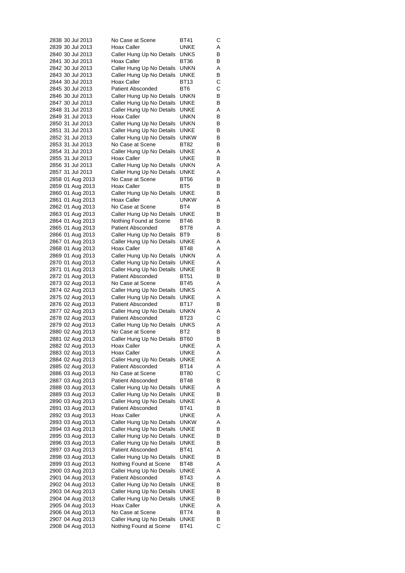|  | 2838 30 Jul 2013                     | No Case at Scene                                      | BT41                | С      |
|--|--------------------------------------|-------------------------------------------------------|---------------------|--------|
|  | 2839 30 Jul 2013                     | Hoax Caller                                           | UNKE                | Α      |
|  | 2840 30 Jul 2013                     | Caller Hung Up No Details                             | UNKS                | В      |
|  | 2841 30 Jul 2013                     | Hoax Caller                                           | BT36                | В      |
|  | 2842 30 Jul 2013                     | Caller Hung Up No Details                             | unkn                | Α      |
|  | 2843 30 Jul 2013<br>2844 30 Jul 2013 | Caller Hung Up No Details<br><b>Hoax Caller</b>       | UNKE<br>BT13        | В<br>C |
|  | 2845 30 Jul 2013                     | <b>Patient Absconded</b>                              | BT6                 | С      |
|  | 2846 30 Jul 2013                     | Caller Hung Up No Details                             | unkn                | В      |
|  | 2847 30 Jul 2013                     | Caller Hung Up No Details                             | UNKE                | В      |
|  | 2848 31 Jul 2013                     | Caller Hung Up No Details                             | UNKE                | Α      |
|  | 2849 31 Jul 2013                     | Hoax Caller                                           | unkn                | В      |
|  | 2850 31 Jul 2013                     | Caller Hung Up No Details                             | unkn                | В      |
|  | 2851 31 Jul 2013                     | Caller Hung Up No Details                             | UNKE                | В      |
|  | 2852 31 Jul 2013                     | Caller Hung Up No Details                             | unkw                | В      |
|  | 2853 31 Jul 2013                     | No Case at Scene                                      | BT82                | В      |
|  | 2854 31 Jul 2013                     | Caller Hung Up No Details                             | UNKE                | Α      |
|  | 2855 31 Jul 2013                     | Hoax Caller                                           | UNKE                | В      |
|  | 2856 31 Jul 2013                     | Caller Hung Up No Details                             | unkn                | Α      |
|  | 2857 31 Jul 2013                     | Caller Hung Up No Details                             | UNKE                | Α      |
|  | 2858 01 Aug 2013                     | No Case at Scene                                      | BT56                | В      |
|  | 2859 01 Aug 2013                     | Hoax Caller                                           | BT5                 | В      |
|  | 2860 01 Aug 2013                     | Caller Hung Up No Details                             | UNKE                | В      |
|  | 2861 01 Aug 2013                     | Hoax Caller                                           | unkw                | Α      |
|  | 2862 01 Aug 2013                     | No Case at Scene                                      | BT4                 | В      |
|  | 2863 01 Aug 2013                     | Caller Hung Up No Details                             | UNKE<br><b>BT46</b> | В      |
|  | 2864 01 Aug 2013                     | Nothing Found at Scene<br><b>Patient Absconded</b>    | BT78                | В<br>Α |
|  | 2865 01 Aug 2013<br>2866 01 Aug 2013 | Caller Hung Up No Details                             | BT9                 | В      |
|  | 2867 01 Aug 2013                     | Caller Hung Up No Details                             | UNKE                | Α      |
|  | 2868 01 Aug 2013                     | Hoax Caller                                           | BT48                | Α      |
|  | 2869 01 Aug 2013                     | Caller Hung Up No Details                             | unkn                | Α      |
|  | 2870 01 Aug 2013                     | Caller Hung Up No Details                             | UNKE                | Α      |
|  | 2871 01 Aug 2013                     | Caller Hung Up No Details                             | UNKE                | В      |
|  | 2872 01 Aug 2013                     | <b>Patient Absconded</b>                              | BT51                | В      |
|  | 2873 02 Aug 2013                     | No Case at Scene                                      | BT45                | Α      |
|  | 2874 02 Aug 2013                     | Caller Hung Up No Details                             | UNKS                | Α      |
|  | 2875 02 Aug 2013                     | Caller Hung Up No Details                             | UNKE                | Α      |
|  | 2876 02 Aug 2013                     | <b>Patient Absconded</b>                              | BT17                | В      |
|  | 2877 02 Aug 2013                     | Caller Hung Up No Details                             | UNKN                | Α      |
|  | 2878 02 Aug 2013                     | Patient Absconded                                     | BT23                | С      |
|  | 2879 02 Aug 2013                     | Caller Hung Up No Details                             | UNKS                | Α      |
|  | 2880 02 Aug 2013                     | No Case at Scene                                      | BT2                 | В      |
|  | 2881 02 Aug 2013                     | Caller Hung Up No Details                             | BT60                | В      |
|  | 2882 02 Aug 2013                     | Hoax Caller                                           | UNKE                | Α      |
|  | 2883 02 Aug 2013                     | Hoax Caller                                           | UNKE                | Α      |
|  | 2884 02 Aug 2013                     | Caller Hung Up No Details                             | UNKE                | Α      |
|  | 2885 02 Aug 2013                     | <b>Patient Absconded</b>                              | <b>BT14</b>         | Α      |
|  | 2886 03 Aug 2013                     | No Case at Scene                                      | <b>BT80</b>         | С      |
|  | 2887 03 Aug 2013<br>2888 03 Aug 2013 | <b>Patient Absconded</b><br>Caller Hung Up No Details | BT48<br>UNKE        | В<br>Α |
|  | 2889 03 Aug 2013                     | Caller Hung Up No Details                             | UNKE                | В      |
|  | 2890 03 Aug 2013                     | Caller Hung Up No Details                             | UNKE                | Α      |
|  | 2891 03 Aug 2013                     | <b>Patient Absconded</b>                              | BT41                | В      |
|  | 2892 03 Aug 2013                     | Hoax Caller                                           | <b>UNKE</b>         | Α      |
|  | 2893 03 Aug 2013                     | Caller Hung Up No Details                             | <b>UNKW</b>         | Α      |
|  | 2894 03 Aug 2013                     | Caller Hung Up No Details                             | UNKE                | в      |
|  | 2895 03 Aug 2013                     | Caller Hung Up No Details                             | UNKE                | В      |
|  | 2896 03 Aug 2013                     | Caller Hung Up No Details                             | UNKE                | В      |
|  | 2897 03 Aug 2013                     | Patient Absconded                                     | BT41                | Α      |
|  | 2898 03 Aug 2013                     | Caller Hung Up No Details                             | UNKE                | В      |
|  | 2899 03 Aug 2013                     | Nothing Found at Scene                                | BT48                | Α      |
|  | 2900 03 Aug 2013                     | Caller Hung Up No Details                             | UNKE                | Α      |
|  | 2901 04 Aug 2013                     | <b>Patient Absconded</b>                              | BT43                | Α      |
|  | 2902 04 Aug 2013                     | Caller Hung Up No Details                             | UNKE                | В      |
|  | 2903 04 Aug 2013                     | Caller Hung Up No Details                             | UNKE                | В      |
|  | 2904 04 Aug 2013                     | Caller Hung Up No Details                             | UNKE                | в      |
|  | 2905 04 Aug 2013                     | Hoax Caller                                           | <b>UNKE</b>         | Α      |
|  | 2906 04 Aug 2013                     | No Case at Scene                                      | BT74                | В      |
|  | 2907 04 Aug 2013                     | Caller Hung Up No Details                             | UNKE                | в      |
|  | 2908 04 Aug 2013                     | Nothing Found at Scene                                | BT41                | С      |
|  |                                      |                                                       |                     |        |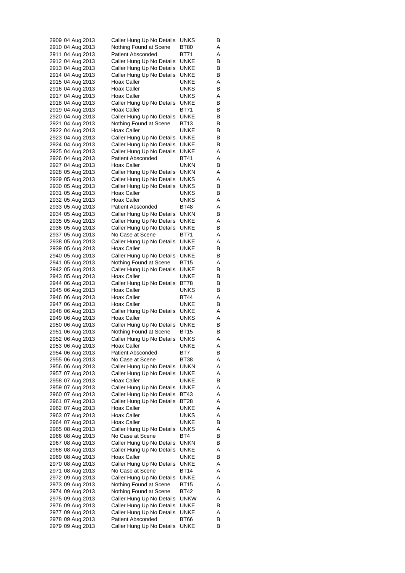|                                      |  | 2909 04 Aug 2013 | Caller Hung Up No Details                              | UNKS         | B      |
|--------------------------------------|--|------------------|--------------------------------------------------------|--------------|--------|
| 2910 04 Aug 2013                     |  |                  | Nothing Found at Scene                                 | BT80         | Α      |
| 2911 04 Aug 2013                     |  |                  | <b>Patient Absconded</b>                               | BT71         | Α      |
| 2912 04 Aug 2013                     |  |                  | Caller Hung Up No Details                              | UNKE         | в      |
| 2913 04 Aug 2013                     |  |                  | Caller Hung Up No Details                              | UNKE         | в      |
| 2914 04 Aug 2013                     |  |                  | Caller Hung Up No Details                              | UNKE         | В      |
| 2915 04 Aug 2013                     |  |                  | Hoax Caller                                            | UNKE         | Α      |
| 2916 04 Aug 2013                     |  |                  | Hoax Caller                                            | UNKS         | в      |
| 2917 04 Aug 2013                     |  |                  | Hoax Caller                                            | UNKS         | Α      |
| 2918 04 Aug 2013<br>2919 04 Aug 2013 |  |                  | Caller Hung Up No Details<br>Hoax Caller               | UNKE<br>BT71 | в<br>в |
| 2920 04 Aug 2013                     |  |                  | Caller Hung Up No Details                              | UNKE         | В      |
| 2921 04 Aug 2013                     |  |                  | Nothing Found at Scene                                 | BT13         | в      |
| 2922 04 Aug 2013                     |  |                  | Hoax Caller                                            | UNKE         | в      |
| 2923 04 Aug 2013                     |  |                  | Caller Hung Up No Details                              | UNKE         | в      |
| 2924 04 Aug 2013                     |  |                  | Caller Hung Up No Details                              | UNKE         | В      |
| 2925 04 Aug 2013                     |  |                  | Caller Hung Up No Details                              | UNKE         | Α      |
| 2926 04 Aug 2013                     |  |                  | <b>Patient Absconded</b>                               | BT41         | A      |
| 2927 04 Aug 2013                     |  |                  | Hoax Caller                                            | UNKN         | в      |
| 2928 05 Aug 2013                     |  |                  | Caller Hung Up No Details                              | unkn         | Α      |
| 2929 05 Aug 2013                     |  |                  | Caller Hung Up No Details                              | UNKS         | Α      |
| 2930 05 Aug 2013                     |  |                  | Caller Hung Up No Details                              | UNKS         | в      |
| 2931 05 Aug 2013                     |  |                  | Hoax Caller                                            | UNKS         | в      |
| 2932 05 Aug 2013                     |  |                  | <b>Hoax Caller</b>                                     | UNKS         | A      |
| 2933 05 Aug 2013                     |  |                  | <b>Patient Absconded</b>                               | BT48         | Α      |
| 2934 05 Aug 2013                     |  |                  | Caller Hung Up No Details                              | UNKN         | В      |
| 2935 05 Aug 2013                     |  |                  | Caller Hung Up No Details                              | UNKE         | Α      |
| 2936 05 Aug 2013                     |  |                  | Caller Hung Up No Details                              | UNKE         | в      |
| 2937 05 Aug 2013                     |  |                  | No Case at Scene                                       | BT71         | Α      |
| 2938 05 Aug 2013                     |  |                  | Caller Hung Up No Details                              | UNKE         | Α      |
| 2939 05 Aug 2013<br>2940 05 Aug 2013 |  |                  | Hoax Caller<br>Caller Hung Up No Details               | UNKE<br>UNKE | в<br>В |
| 2941 05 Aug 2013                     |  |                  | Nothing Found at Scene                                 | BT15         | Α      |
| 2942 05 Aug 2013                     |  |                  | Caller Hung Up No Details                              | UNKE         | B      |
| 2943 05 Aug 2013                     |  |                  | Hoax Caller                                            | UNKE         | в      |
| 2944 06 Aug 2013                     |  |                  | Caller Hung Up No Details                              | BT78         | в      |
| 2945 06 Aug 2013                     |  |                  | Hoax Caller                                            | UNKS         | в      |
| 2946 06 Aug 2013                     |  |                  | Hoax Caller                                            | BT44         | A      |
| 2947 06 Aug 2013                     |  |                  | Hoax Caller                                            | UNKE         | в      |
| 2948 06 Aug 2013                     |  |                  | Caller Hung Up No Details                              | UNKE         | A      |
| 2949 06 Aug 2013                     |  |                  | Hoax Caller                                            | UNKS         | Α      |
| 2950 06 Aug 2013                     |  |                  | Caller Hung Up No Details                              | UNKE         | в      |
| 2951 06 Aug 2013                     |  |                  | Nothing Found at Scene                                 | BT15         | В      |
| 2952 06 Aug 2013                     |  |                  | Caller Hung Up No Details                              | UNKS         | Α      |
| 2953 06 Aug 2013                     |  |                  | <b>Hoax Caller</b>                                     | <b>UNKE</b>  | Α      |
| 2954 06 Aug 2013                     |  |                  | <b>Patient Absconded</b>                               | BT7          | В      |
| 2955 06 Aug 2013                     |  |                  | No Case at Scene                                       | BT38         | Α      |
| 2956 06 Aug 2013                     |  |                  | Caller Hung Up No Details                              | <b>UNKN</b>  | Α      |
| 2957 07 Aug 2013                     |  |                  | Caller Hung Up No Details                              | UNKE         | Α      |
| 2958 07 Aug 2013                     |  |                  | <b>Hoax Caller</b>                                     | UNKE         | В      |
| 2959 07 Aug 2013                     |  |                  | Caller Hung Up No Details                              | UNKE<br>BT43 | A<br>Α |
| 2960 07 Aug 2013<br>2961 07 Aug 2013 |  |                  | Caller Hung Up No Details<br>Caller Hung Up No Details | BT28         | Α      |
| 2962 07 Aug 2013                     |  |                  | Hoax Caller                                            | UNKE         | Α      |
| 2963 07 Aug 2013                     |  |                  | Hoax Caller                                            | <b>UNKS</b>  | Α      |
| 2964 07 Aug 2013                     |  |                  | Hoax Caller                                            | UNKE         | В      |
| 2965 08 Aug 2013                     |  |                  | Caller Hung Up No Details                              | <b>UNKS</b>  | Α      |
| 2966 08 Aug 2013                     |  |                  | No Case at Scene                                       | BT4          | В      |
| 2967 08 Aug 2013                     |  |                  | Caller Hung Up No Details                              | unkn         | В      |
| 2968 08 Aug 2013                     |  |                  | Caller Hung Up No Details                              | UNKE         | Α      |
| 2969 08 Aug 2013                     |  |                  | Hoax Caller                                            | <b>UNKE</b>  | в      |
| 2970 08 Aug 2013                     |  |                  | Caller Hung Up No Details                              | UNKE         | Α      |
| 2971 08 Aug 2013                     |  |                  | No Case at Scene                                       | BT14         | Α      |
| 2972 09 Aug 2013                     |  |                  | Caller Hung Up No Details                              | UNKE         | Α      |
| 2973 09 Aug 2013                     |  |                  | Nothing Found at Scene                                 | BT15         | Α      |
| 2974 09 Aug 2013                     |  |                  | Nothing Found at Scene                                 | BT42         | В      |
| 2975 09 Aug 2013                     |  |                  | Caller Hung Up No Details                              | <b>UNKW</b>  | A      |
| 2976 09 Aug 2013                     |  |                  | Caller Hung Up No Details                              | UNKE         | В      |
| 2977 09 Aug 2013                     |  |                  | Caller Hung Up No Details                              | UNKE         | Α      |
| 2978 09 Aug 2013                     |  |                  | <b>Patient Absconded</b>                               | BT66         | В      |
| 2979 09 Aug 2013                     |  |                  | Caller Hung Up No Details                              | <b>UNKE</b>  | в      |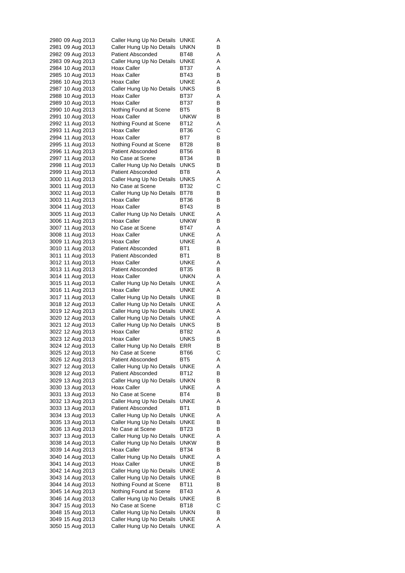| 2980 09 Aug 2013 |  |                  | Caller Hung Up No Details | UNKE        | A |
|------------------|--|------------------|---------------------------|-------------|---|
| 2981 09 Aug 2013 |  |                  | Caller Hung Up No Details | UNKN        | В |
| 2982 09 Aug 2013 |  |                  | <b>Patient Absconded</b>  | BT48        | Α |
| 2983 09 Aug 2013 |  |                  | Caller Hung Up No Details | UNKE        | Α |
| 2984 10 Aug 2013 |  |                  | Hoax Caller               | BT37        | Α |
| 2985 10 Aug 2013 |  |                  | Hoax Caller               | BT43        | В |
| 2986 10 Aug 2013 |  |                  | Hoax Caller               | UNKE        | Α |
| 2987 10 Aug 2013 |  |                  |                           | UNKS        | В |
|                  |  |                  | Caller Hung Up No Details |             |   |
| 2988 10 Aug 2013 |  |                  | Hoax Caller               | BT37        | Α |
| 2989 10 Aug 2013 |  |                  | Hoax Caller               | BT37        | В |
| 2990 10 Aug 2013 |  |                  | Nothing Found at Scene    | BT5         | В |
| 2991 10 Aug 2013 |  |                  | Hoax Caller               | unkw        | В |
| 2992 11 Aug 2013 |  |                  | Nothing Found at Scene    | BT12        | Α |
| 2993 11 Aug 2013 |  |                  | Hoax Caller               | BT36        | С |
| 2994 11 Aug 2013 |  |                  | Hoax Caller               | BT7         | В |
| 2995 11 Aug 2013 |  |                  | Nothing Found at Scene    | BT28        | В |
| 2996 11 Aug 2013 |  |                  | <b>Patient Absconded</b>  | BT56        | В |
| 2997 11 Aug 2013 |  |                  | No Case at Scene          | BT34        | В |
| 2998 11 Aug 2013 |  |                  | Caller Hung Up No Details | UNKS        | В |
| 2999 11 Aug 2013 |  |                  | <b>Patient Absconded</b>  | BT8         | Α |
| 3000 11 Aug 2013 |  |                  | Caller Hung Up No Details | UNKS        | Α |
| 3001 11 Aug 2013 |  |                  | No Case at Scene          | BT32        | С |
| 3002 11 Aug 2013 |  |                  |                           | BT78        | В |
|                  |  |                  | Caller Hung Up No Details |             |   |
| 3003 11 Aug 2013 |  |                  | Hoax Caller               | BT36        | В |
| 3004 11 Aug 2013 |  |                  | Hoax Caller               | BT43        | в |
| 3005 11 Aug 2013 |  |                  | Caller Hung Up No Details | <b>UNKE</b> | Α |
| 3006 11 Aug 2013 |  |                  | Hoax Caller               | unkw        | В |
| 3007 11 Aug 2013 |  |                  | No Case at Scene          | <b>BT47</b> | Α |
| 3008 11 Aug 2013 |  |                  | Hoax Caller               | UNKE        | Α |
| 3009 11 Aug 2013 |  |                  | Hoax Caller               | UNKE        | Α |
| 3010 11 Aug 2013 |  |                  | <b>Patient Absconded</b>  | BT1         | В |
| 3011 11 Aug 2013 |  |                  | <b>Patient Absconded</b>  | BT1         | В |
| 3012 11 Aug 2013 |  |                  | Hoax Caller               | UNKE        | Α |
| 3013 11 Aug 2013 |  |                  | Patient Absconded         | BT35        | В |
| 3014 11 Aug 2013 |  |                  | Hoax Caller               | UNKN        | Α |
|                  |  | 3015 11 Aug 2013 | Caller Hung Up No Details | UNKE        | Α |
| 3016 11 Aug 2013 |  |                  | Hoax Caller               | UNKE        | Α |
| 3017 11 Aug 2013 |  |                  | Caller Hung Up No Details | UNKE        | В |
| 3018 12 Aug 2013 |  |                  |                           | UNKE        | Α |
|                  |  |                  | Caller Hung Up No Details |             |   |
| 3019 12 Aug 2013 |  |                  | Caller Hung Up No Details | UNKE        | Α |
| 3020 12 Aug 2013 |  |                  | Caller Hung Up No Details | UNKE        | Α |
| 3021 12 Aug 2013 |  |                  | Caller Hung Up No Details | <b>UNKS</b> | в |
|                  |  | 3022 12 Aug 2013 | Hoax Caller               | BT82        | Α |
| 3023 12 Aug 2013 |  |                  | Hoax Caller               | UNKS        | В |
| 3024 12 Aug 2013 |  |                  | Caller Hung Up No Details | ERR         | в |
| 3025 12 Aug 2013 |  |                  | No Case at Scene          | BT66        | С |
| 3026 12 Aug 2013 |  |                  | Patient Absconded         | BT5         | Α |
| 3027 12 Aug 2013 |  |                  | Caller Hung Up No Details | UNKE        | Α |
| 3028 12 Aug 2013 |  |                  | Patient Absconded         | <b>BT12</b> | В |
| 3029 13 Aug 2013 |  |                  | Caller Hung Up No Details | unkn        | В |
| 3030 13 Aug 2013 |  |                  | Hoax Caller               | UNKE        | Α |
| 3031 13 Aug 2013 |  |                  | No Case at Scene          | BT4         | в |
| 3032 13 Aug 2013 |  |                  | Caller Hung Up No Details | UNKE        | Α |
| 3033 13 Aug 2013 |  |                  | Patient Absconded         | BT1         | В |
| 3034 13 Aug 2013 |  |                  | Caller Hung Up No Details | UNKE        | Α |
| 3035 13 Aug 2013 |  |                  | Caller Hung Up No Details | UNKE        | В |
| 3036 13 Aug 2013 |  |                  | No Case at Scene          | BT23        | В |
|                  |  |                  |                           |             |   |
| 3037 13 Aug 2013 |  |                  | Caller Hung Up No Details | UNKE        | Α |
| 3038 14 Aug 2013 |  |                  | Caller Hung Up No Details | UNKW        | В |
| 3039 14 Aug 2013 |  |                  | Hoax Caller               | BT34        | В |
| 3040 14 Aug 2013 |  |                  | Caller Hung Up No Details | UNKE        | A |
| 3041 14 Aug 2013 |  |                  | Hoax Caller               | UNKE        | В |
| 3042 14 Aug 2013 |  |                  | Caller Hung Up No Details | UNKE        | Α |
| 3043 14 Aug 2013 |  |                  | Caller Hung Up No Details | UNKE        | В |
| 3044 14 Aug 2013 |  |                  | Nothing Found at Scene    | BT11        | В |
| 3045 14 Aug 2013 |  |                  | Nothing Found at Scene    | BT43        | Α |
| 3046 14 Aug 2013 |  |                  | Caller Hung Up No Details | UNKE        | В |
| 3047 15 Aug 2013 |  |                  | No Case at Scene          | <b>BT18</b> | С |
| 3048 15 Aug 2013 |  |                  | Caller Hung Up No Details | UNKN        | в |
| 3049 15 Aug 2013 |  |                  | Caller Hung Up No Details | UNKE        | Α |
| 3050 15 Aug 2013 |  |                  | Caller Hung Up No Details | UNKE        | Α |
|                  |  |                  |                           |             |   |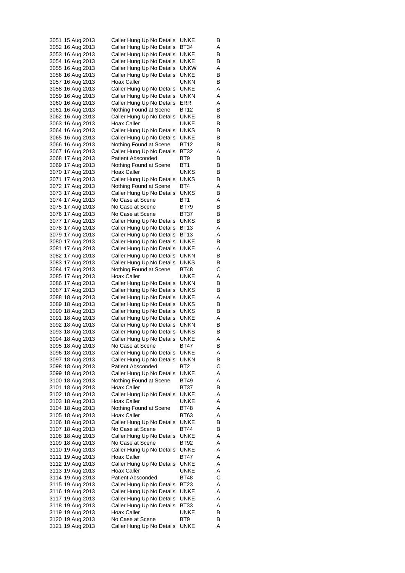| 3051 15 Aug 2013 | Caller Hung Up No Details | UNKE        | B |
|------------------|---------------------------|-------------|---|
| 3052 16 Aug 2013 | Caller Hung Up No Details | BT34        | Α |
| 3053 16 Aug 2013 | Caller Hung Up No Details | UNKE        | В |
| 3054 16 Aug 2013 | Caller Hung Up No Details | UNKE        | В |
| 3055 16 Aug 2013 | Caller Hung Up No Details | unkw        | Α |
| 3056 16 Aug 2013 | Caller Hung Up No Details | UNKE        | В |
| 3057 16 Aug 2013 | Hoax Caller               | UNKN        | В |
| 3058 16 Aug 2013 | Caller Hung Up No Details | UNKE        | Α |
| 3059 16 Aug 2013 | Caller Hung Up No Details | unkn        | Α |
|                  |                           | ERR         | Α |
| 3060 16 Aug 2013 | Caller Hung Up No Details | BT12        |   |
| 3061 16 Aug 2013 | Nothing Found at Scene    |             | в |
| 3062 16 Aug 2013 | Caller Hung Up No Details | UNKE        | В |
| 3063 16 Aug 2013 | Hoax Caller               | UNKE        | В |
| 3064 16 Aug 2013 | Caller Hung Up No Details | UNKS        | в |
| 3065 16 Aug 2013 | Caller Hung Up No Details | UNKE        | В |
| 3066 16 Aug 2013 | Nothing Found at Scene    | BT12        | В |
| 3067 16 Aug 2013 | Caller Hung Up No Details | BT32        | Α |
| 3068 17 Aug 2013 | Patient Absconded         | BT9         | В |
| 3069 17 Aug 2013 | Nothing Found at Scene    | BT1         | В |
| 3070 17 Aug 2013 | Hoax Caller               | UNKS        | В |
| 3071 17 Aug 2013 | Caller Hung Up No Details | UNKS        | в |
| 3072 17 Aug 2013 | Nothing Found at Scene    | BT4         | Α |
| 3073 17 Aug 2013 | Caller Hung Up No Details | UNKS        | В |
| 3074 17 Aug 2013 | No Case at Scene          | BT1         | Α |
| 3075 17 Aug 2013 | No Case at Scene          | BT79        | В |
|                  |                           |             |   |
| 3076 17 Aug 2013 | No Case at Scene          | BT37        | В |
| 3077 17 Aug 2013 | Caller Hung Up No Details | UNKS        | В |
| 3078 17 Aug 2013 | Caller Hung Up No Details | BT13        | A |
| 3079 17 Aug 2013 | Caller Hung Up No Details | BT13        | Α |
| 3080 17 Aug 2013 | Caller Hung Up No Details | UNKE        | В |
| 3081 17 Aug 2013 | Caller Hung Up No Details | UNKE        | A |
| 3082 17 Aug 2013 | Caller Hung Up No Details | unkn        | В |
| 3083 17 Aug 2013 | Caller Hung Up No Details | UNKS        | В |
| 3084 17 Aug 2013 | Nothing Found at Scene    | BT48        | С |
| 3085 17 Aug 2013 | Hoax Caller               | UNKE        | Α |
| 3086 17 Aug 2013 | Caller Hung Up No Details | unkn        | В |
| 3087 17 Aug 2013 | Caller Hung Up No Details | <b>UNKS</b> | B |
| 3088 18 Aug 2013 | Caller Hung Up No Details | UNKE        | A |
| 3089 18 Aug 2013 | Caller Hung Up No Details | UNKS        | В |
| 3090 18 Aug 2013 | Caller Hung Up No Details | UNKS        | В |
| 3091 18 Aug 2013 | Caller Hung Up No Details | UNKE        | Α |
| 3092 18 Aug 2013 | Caller Hung Up No Details | unkn        | В |
|                  |                           |             |   |
| 3093 18 Aug 2013 | Caller Hung Up No Details | UNKS        | В |
| 3094 18 Aug 2013 | Caller Hung Up No Details | UNKE        | Α |
| 3095 18 Aug 2013 | No Case at Scene          | <b>BT47</b> | в |
| 3096 18 Aug 2013 | Caller Hung Up No Details | <b>UNKE</b> | Α |
| 3097 18 Aug 2013 | Caller Hung Up No Details | UNKN        | В |
| 3098 18 Aug 2013 | <b>Patient Absconded</b>  | BT2         | С |
| 3099 18 Aug 2013 | Caller Hung Up No Details | UNKE        | Α |
| 3100 18 Aug 2013 | Nothing Found at Scene    | BT49        | Α |
| 3101 18 Aug 2013 | Hoax Caller               | BT37        | В |
| 3102 18 Aug 2013 | Caller Hung Up No Details | UNKE        | Α |
| 3103 18 Aug 2013 | Hoax Caller               | UNKE        | Α |
| 3104 18 Aug 2013 | Nothing Found at Scene    | BT48        | Α |
| 3105 18 Aug 2013 | Hoax Caller               | BT63        | Α |
| 3106 18 Aug 2013 | Caller Hung Up No Details | UNKE        | В |
| 3107 18 Aug 2013 | No Case at Scene          | BT44        | В |
| 3108 18 Aug 2013 | Caller Hung Up No Details | UNKE        | Α |
| 3109 18 Aug 2013 | No Case at Scene          | BT92        | Α |
|                  |                           |             |   |
| 3110 19 Aug 2013 | Caller Hung Up No Details | UNKE        | Α |
| 3111 19 Aug 2013 | Hoax Caller               | BT47        | Α |
| 3112 19 Aug 2013 | Caller Hung Up No Details | UNKE        | Α |
| 3113 19 Aug 2013 | Hoax Caller               | UNKE        | Α |
| 3114 19 Aug 2013 | <b>Patient Absconded</b>  | BT48        | С |
| 3115 19 Aug 2013 | Caller Hung Up No Details | BT23        | Α |
| 3116 19 Aug 2013 | Caller Hung Up No Details | UNKE        | Α |
| 3117 19 Aug 2013 | Caller Hung Up No Details | UNKE        | Α |
| 3118 19 Aug 2013 | Caller Hung Up No Details | BT33        | Α |
| 3119 19 Aug 2013 | Hoax Caller               | UNKE        | В |
| 3120 19 Aug 2013 | No Case at Scene          | BT9         | в |
| 3121 19 Aug 2013 | Caller Hung Up No Details | UNKE        | Α |
|                  |                           |             |   |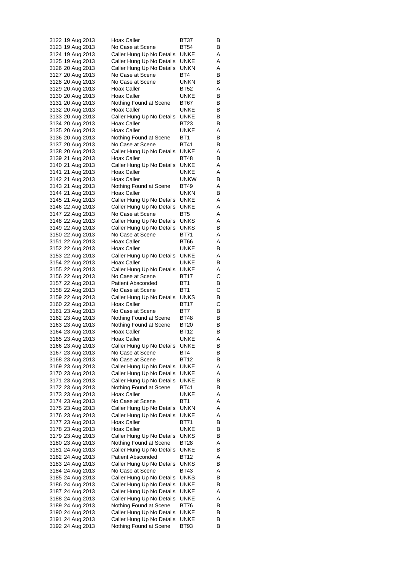| 3122 19 Aug 2013                     |  |                  | Hoax Caller                                            | BT37         | В      |
|--------------------------------------|--|------------------|--------------------------------------------------------|--------------|--------|
| 3123 19 Aug 2013                     |  |                  | No Case at Scene                                       | BT54         | В      |
| 3124 19 Aug 2013                     |  |                  | Caller Hung Up No Details                              | UNKE         | Α      |
| 3125 19 Aug 2013                     |  |                  | Caller Hung Up No Details                              | <b>UNKE</b>  | Α      |
| 3126 20 Aug 2013                     |  |                  | Caller Hung Up No Details                              | UNKN         | Α      |
| 3127 20 Aug 2013<br>3128 20 Aug 2013 |  |                  | No Case at Scene<br>No Case at Scene                   | BT4<br>unkn  | В<br>В |
| 3129 20 Aug 2013                     |  |                  | Hoax Caller                                            | BT52         | Α      |
| 3130 20 Aug 2013                     |  |                  | Hoax Caller                                            | UNKE         | В      |
| 3131 20 Aug 2013                     |  |                  | Nothing Found at Scene                                 | BT67         | В      |
| 3132 20 Aug 2013                     |  |                  | Hoax Caller                                            | UNKE         | В      |
| 3133 20 Aug 2013                     |  |                  | Caller Hung Up No Details                              | UNKE         | в      |
| 3134 20 Aug 2013                     |  |                  | Hoax Caller                                            | <b>BT23</b>  | В      |
| 3135 20 Aug 2013                     |  |                  | Hoax Caller                                            | UNKE         | Α      |
| 3136 20 Aug 2013                     |  |                  | Nothing Found at Scene                                 | BT1          | В      |
| 3137 20 Aug 2013                     |  |                  | No Case at Scene                                       | BT41         | В      |
|                                      |  | 3138 20 Aug 2013 | Caller Hung Up No Details                              | UNKE         | Α      |
| 3139 21 Aug 2013                     |  |                  | Hoax Caller                                            | BT48         | В      |
| 3140 21 Aug 2013<br>3141 21 Aug 2013 |  |                  | Caller Hung Up No Details<br>Hoax Caller               | UNKE         | Α      |
| 3142 21 Aug 2013                     |  |                  | Hoax Caller                                            | UNKE<br>unkw | Α<br>В |
| 3143 21 Aug 2013                     |  |                  | Nothing Found at Scene                                 | BT49         | Α      |
|                                      |  | 3144 21 Aug 2013 | Hoax Caller                                            | UNKN         | В      |
| 3145 21 Aug 2013                     |  |                  | Caller Hung Up No Details                              | <b>UNKE</b>  | Α      |
| 3146 22 Aug 2013                     |  |                  | Caller Hung Up No Details                              | UNKE         | Α      |
| 3147 22 Aug 2013                     |  |                  | No Case at Scene                                       | BT5          | Α      |
| 3148 22 Aug 2013                     |  |                  | Caller Hung Up No Details                              | UNKS         | Α      |
| 3149 22 Aug 2013                     |  |                  | Caller Hung Up No Details                              | <b>UNKS</b>  | В      |
| 3150 22 Aug 2013                     |  |                  | No Case at Scene                                       | BT71         | Α      |
| 3151 22 Aug 2013                     |  |                  | Hoax Caller                                            | BT66         | Α      |
| 3152 22 Aug 2013                     |  |                  | Hoax Caller                                            | UNKE         | В      |
| 3153 22 Aug 2013<br>3154 22 Aug 2013 |  |                  | Caller Hung Up No Details<br>Hoax Caller               | UNKE<br>UNKE | Α<br>В |
| 3155 22 Aug 2013                     |  |                  | Caller Hung Up No Details                              | UNKE         | Α      |
| 3156 22 Aug 2013                     |  |                  | No Case at Scene                                       | BT17         | С      |
| 3157 22 Aug 2013                     |  |                  | <b>Patient Absconded</b>                               | BT1          | В      |
|                                      |  | 3158 22 Aug 2013 | No Case at Scene                                       | BT1          | C      |
|                                      |  | 3159 22 Aug 2013 | Caller Hung Up No Details                              | UNKS         | В      |
| 3160 22 Aug 2013                     |  |                  | Hoax Caller                                            | BT17         | С      |
| 3161 23 Aug 2013                     |  |                  | No Case at Scene                                       | BT7          | В      |
| 3162 23 Aug 2013                     |  |                  | Nothing Found at Scene                                 | <b>BT48</b>  | B      |
| 3163 23 Aug 2013                     |  |                  | Nothing Found at Scene                                 | BT20         | В      |
| 3165 23 Aug 2013                     |  | 3164 23 Aug 2013 | Hoax Caller<br>Hoax Caller                             | BT12<br>UNKE | В<br>Α |
| 3166 23 Aug 2013                     |  |                  | Caller Hung Up No Details                              | UNKE         | В      |
| 3167 23 Aug 2013                     |  |                  | No Case at Scene                                       | BT4          | В      |
| 3168 23 Aug 2013                     |  |                  | No Case at Scene                                       | BT12         | В      |
| 3169 23 Aug 2013                     |  |                  | Caller Hung Up No Details                              | UNKE         | Α      |
| 3170 23 Aug 2013                     |  |                  | Caller Hung Up No Details                              | UNKE         | Α      |
| 3171 23 Aug 2013                     |  |                  | Caller Hung Up No Details                              | UNKE         | В      |
| 3172 23 Aug 2013                     |  |                  | Nothing Found at Scene                                 | BT41         | В      |
| 3173 23 Aug 2013                     |  |                  | Hoax Caller                                            | UNKE         | Α      |
| 3174 23 Aug 2013                     |  |                  | No Case at Scene                                       | BT1          | Α      |
| 3175 23 Aug 2013                     |  |                  | Caller Hung Up No Details                              | UNKN         | Α      |
| 3176 23 Aug 2013                     |  |                  | Caller Hung Up No Details                              | UNKE         | Α<br>В |
| 3177 23 Aug 2013<br>3178 23 Aug 2013 |  |                  | Hoax Caller<br>Hoax Caller                             | BT71<br>UNKE | В      |
| 3179 23 Aug 2013                     |  |                  | Caller Hung Up No Details                              | UNKS         | В      |
| 3180 23 Aug 2013                     |  |                  | Nothing Found at Scene                                 | BT28         | Α      |
| 3181 24 Aug 2013                     |  |                  | Caller Hung Up No Details                              | UNKE         | В      |
| 3182 24 Aug 2013                     |  |                  | Patient Absconded                                      | BT12         | Α      |
| 3183 24 Aug 2013                     |  |                  | Caller Hung Up No Details                              | <b>UNKS</b>  | в      |
| 3184 24 Aug 2013                     |  |                  | No Case at Scene                                       | BT43         | Α      |
| 3185 24 Aug 2013                     |  |                  | Caller Hung Up No Details                              | <b>UNKS</b>  | В      |
| 3186 24 Aug 2013                     |  |                  | Caller Hung Up No Details                              | UNKE         | В      |
| 3187 24 Aug 2013                     |  |                  | Caller Hung Up No Details                              | UNKE         | Α      |
| 3188 24 Aug 2013                     |  |                  | Caller Hung Up No Details                              | UNKE         | Α      |
| 3189 24 Aug 2013                     |  |                  | Nothing Found at Scene                                 | BT76         | В      |
| 3190 24 Aug 2013<br>3191 24 Aug 2013 |  |                  | Caller Hung Up No Details<br>Caller Hung Up No Details | UNKE<br>UNKE | В<br>в |
| 3192 24 Aug 2013                     |  |                  | Nothing Found at Scene                                 | BT93         | в      |
|                                      |  |                  |                                                        |              |        |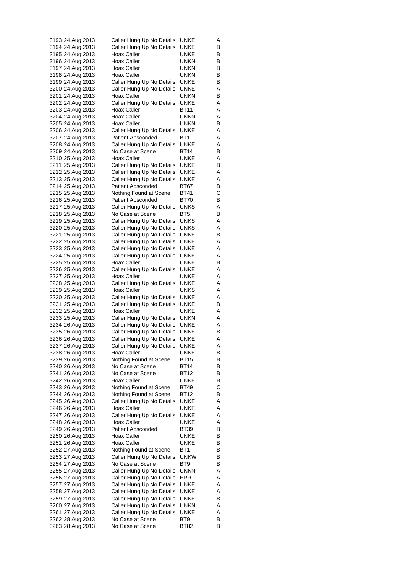| 3193 24 Aug 2013 |  |                  | Caller Hung Up No Details | UNKE            | A |
|------------------|--|------------------|---------------------------|-----------------|---|
| 3194 24 Aug 2013 |  |                  | Caller Hung Up No Details | UNKE            | В |
| 3195 24 Aug 2013 |  |                  | Hoax Caller               | UNKE            | В |
| 3196 24 Aug 2013 |  |                  | Hoax Caller               | UNKN            | В |
| 3197 24 Aug 2013 |  |                  | Hoax Caller               | UNKN            | В |
| 3198 24 Aug 2013 |  |                  | Hoax Caller               | UNKN            | В |
| 3199 24 Aug 2013 |  |                  | Caller Hung Up No Details | UNKE            | В |
| 3200 24 Aug 2013 |  |                  |                           | UNKE            |   |
|                  |  |                  | Caller Hung Up No Details |                 | Α |
| 3201 24 Aug 2013 |  |                  | Hoax Caller               | UNKN            | В |
| 3202 24 Aug 2013 |  |                  | Caller Hung Up No Details | UNKE            | Α |
| 3203 24 Aug 2013 |  |                  | Hoax Caller               | BT11            | Α |
| 3204 24 Aug 2013 |  |                  | Hoax Caller               | UNKN            | Α |
| 3205 24 Aug 2013 |  |                  | Hoax Caller               | UNKN            | В |
| 3206 24 Aug 2013 |  |                  | Caller Hung Up No Details | <b>UNKE</b>     | Α |
| 3207 24 Aug 2013 |  |                  | <b>Patient Absconded</b>  | BT <sub>1</sub> | Α |
| 3208 24 Aug 2013 |  |                  | Caller Hung Up No Details | UNKE            | Α |
| 3209 24 Aug 2013 |  |                  | No Case at Scene          | BT14            | В |
| 3210 25 Aug 2013 |  |                  | Hoax Caller               | UNKE            | Α |
| 3211 25 Aug 2013 |  |                  | Caller Hung Up No Details | UNKE            | В |
| 3212 25 Aug 2013 |  |                  | Caller Hung Up No Details | UNKE            | Α |
| 3213 25 Aug 2013 |  |                  | Caller Hung Up No Details | UNKE            | Α |
| 3214 25 Aug 2013 |  |                  | <b>Patient Absconded</b>  | BT67            | В |
| 3215 25 Aug 2013 |  |                  | Nothing Found at Scene    | BT41            | С |
|                  |  |                  |                           |                 |   |
| 3216 25 Aug 2013 |  |                  | <b>Patient Absconded</b>  | BT70            | В |
| 3217 25 Aug 2013 |  |                  | Caller Hung Up No Details | UNKS            | Α |
| 3218 25 Aug 2013 |  |                  | No Case at Scene          | BT5             | В |
| 3219 25 Aug 2013 |  |                  | Caller Hung Up No Details | UNKS            | Α |
| 3220 25 Aug 2013 |  |                  | Caller Hung Up No Details | UNKS            | Α |
| 3221 25 Aug 2013 |  |                  | Caller Hung Up No Details | UNKE            | В |
| 3222 25 Aug 2013 |  |                  | Caller Hung Up No Details | UNKE            | Α |
| 3223 25 Aug 2013 |  |                  | Caller Hung Up No Details | UNKE            | Α |
| 3224 25 Aug 2013 |  |                  | Caller Hung Up No Details | UNKE            | Α |
| 3225 25 Aug 2013 |  |                  | Hoax Caller               | UNKE            | В |
| 3226 25 Aug 2013 |  |                  | Caller Hung Up No Details | UNKE            | Α |
| 3227 25 Aug 2013 |  |                  | Hoax Caller               | UNKE            | Α |
| 3228 25 Aug 2013 |  |                  | Caller Hung Up No Details | UNKE            | Α |
| 3229 25 Aug 2013 |  |                  | Hoax Caller               | UNKS            | Α |
| 3230 25 Aug 2013 |  |                  | Caller Hung Up No Details | UNKE            | Α |
| 3231 25 Aug 2013 |  |                  | Caller Hung Up No Details | UNKE            | В |
|                  |  |                  | Hoax Caller               |                 |   |
| 3232 25 Aug 2013 |  |                  |                           | UNKE            | Α |
| 3233 25 Aug 2013 |  |                  | Caller Hung Up No Details | UNKN            | Α |
| 3234 26 Aug 2013 |  |                  | Caller Hung Up No Details | UNKE            | Α |
| 3235 26 Aug 2013 |  |                  | Caller Hung Up No Details | UNKE            | В |
| 3236 26 Aug 2013 |  |                  | Caller Hung Up No Details | UNKE            | Α |
| 3237 26 Aug 2013 |  |                  | Caller Hung Up No Details | <b>UNKE</b>     | Α |
| 3238 26 Aug 2013 |  |                  | Hoax Caller               | UNKE            | В |
| 3239 26 Aug 2013 |  |                  | Nothing Found at Scene    | BT15            | В |
| 3240 26 Aug 2013 |  |                  | No Case at Scene          | BT14            | В |
| 3241 26 Aug 2013 |  |                  | No Case at Scene          | BT12            | В |
| 3242 26 Aug 2013 |  |                  | Hoax Caller               | UNKE            | в |
| 3243 26 Aug 2013 |  |                  | Nothing Found at Scene    | <b>BT49</b>     | С |
| 3244 26 Aug 2013 |  |                  | Nothing Found at Scene    | BT12            | в |
| 3245 26 Aug 2013 |  |                  | Caller Hung Up No Details | UNKE            | Α |
| 3246 26 Aug 2013 |  |                  | Hoax Caller               | UNKE            | Α |
| 3247 26 Aug 2013 |  |                  | Caller Hung Up No Details | UNKE            | Α |
| 3248 26 Aug 2013 |  |                  | Hoax Caller               | UNKE            | Α |
| 3249 26 Aug 2013 |  |                  | <b>Patient Absconded</b>  | BT39            | В |
|                  |  |                  |                           |                 |   |
| 3250 26 Aug 2013 |  |                  | Hoax Caller               | UNKE            | В |
| 3251 26 Aug 2013 |  |                  | Hoax Caller               | UNKE            | В |
|                  |  | 3252 27 Aug 2013 | Nothing Found at Scene    | BT1             | В |
| 3253 27 Aug 2013 |  |                  | Caller Hung Up No Details | <b>UNKW</b>     | В |
| 3254 27 Aug 2013 |  |                  | No Case at Scene          | BT9             | В |
| 3255 27 Aug 2013 |  |                  | Caller Hung Up No Details | UNKN            | Α |
| 3256 27 Aug 2013 |  |                  | Caller Hung Up No Details | ERR             | Α |
| 3257 27 Aug 2013 |  |                  | Caller Hung Up No Details | UNKE            | Α |
| 3258 27 Aug 2013 |  |                  | Caller Hung Up No Details | UNKE            | Α |
| 3259 27 Aug 2013 |  |                  | Caller Hung Up No Details | UNKE            | В |
| 3260 27 Aug 2013 |  |                  | Caller Hung Up No Details | <b>UNKN</b>     | Α |
| 3261 27 Aug 2013 |  |                  | Caller Hung Up No Details | UNKE            | Α |
|                  |  | 3262 28 Aug 2013 | No Case at Scene          | BT9             | В |
| 3263 28 Aug 2013 |  |                  | No Case at Scene          | BT82            | В |
|                  |  |                  |                           |                 |   |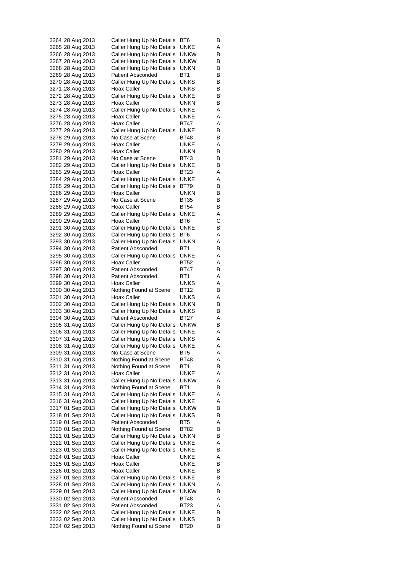| 3264 28 Aug 2013 |  | Caller Hung Up No Details | BT6             | B |
|------------------|--|---------------------------|-----------------|---|
| 3265 28 Aug 2013 |  | Caller Hung Up No Details | UNKE            | Α |
| 3266 28 Aug 2013 |  | Caller Hung Up No Details | UNKW            | В |
| 3267 28 Aug 2013 |  | Caller Hung Up No Details | unkw            | В |
| 3268 28 Aug 2013 |  | Caller Hung Up No Details | unkn            | В |
| 3269 28 Aug 2013 |  | <b>Patient Absconded</b>  | BT <sub>1</sub> | В |
| 3270 28 Aug 2013 |  | Caller Hung Up No Details | UNKS            | В |
| 3271 28 Aug 2013 |  | Hoax Caller               | UNKS            | В |
| 3272 28 Aug 2013 |  | Caller Hung Up No Details | UNKE            | В |
| 3273 28 Aug 2013 |  | Hoax Caller               | UNKN            | В |
| 3274 28 Aug 2013 |  | Caller Hung Up No Details | UNKE            | Α |
| 3275 28 Aug 2013 |  | Hoax Caller               | UNKE            | Α |
| 3276 28 Aug 2013 |  | Hoax Caller               | BT47            | Α |
| 3277 29 Aug 2013 |  | Caller Hung Up No Details | UNKE            | В |
| 3278 29 Aug 2013 |  | No Case at Scene          | BT48            | В |
| 3279 29 Aug 2013 |  | Hoax Caller               | UNKE            | Α |
| 3280 29 Aug 2013 |  | Hoax Caller               | unkn            | В |
| 3281 29 Aug 2013 |  | No Case at Scene          | BT43            | В |
| 3282 29 Aug 2013 |  | Caller Hung Up No Details | UNKE            | В |
| 3283 29 Aug 2013 |  | Hoax Caller               | <b>BT23</b>     | Α |
| 3284 29 Aug 2013 |  | Caller Hung Up No Details | UNKE            | Α |
| 3285 29 Aug 2013 |  | Caller Hung Up No Details | BT79            | В |
| 3286 29 Aug 2013 |  | <b>Hoax Caller</b>        | UNKN            | В |
| 3287 29 Aug 2013 |  | No Case at Scene          | BT35            | В |
| 3288 29 Aug 2013 |  | Hoax Caller               | BT54            | в |
| 3289 29 Aug 2013 |  | Caller Hung Up No Details | UNKE            | Α |
| 3290 29 Aug 2013 |  | Hoax Caller               | BT6             | С |
| 3291 30 Aug 2013 |  | Caller Hung Up No Details | UNKE            | В |
| 3292 30 Aug 2013 |  | Caller Hung Up No Details | BT6             | Α |
| 3293 30 Aug 2013 |  | Caller Hung Up No Details | unkn            | Α |
| 3294 30 Aug 2013 |  | <b>Patient Absconded</b>  | BT1             | В |
| 3295 30 Aug 2013 |  | Caller Hung Up No Details | UNKE            | Α |
| 3296 30 Aug 2013 |  | Hoax Caller               | BT52            | Α |
| 3297 30 Aug 2013 |  | <b>Patient Absconded</b>  | BT47            | В |
| 3298 30 Aug 2013 |  | <b>Patient Absconded</b>  | BT1             | Α |
| 3299 30 Aug 2013 |  | Hoax Caller               | UNKS            | Α |
| 3300 30 Aug 2013 |  | Nothing Found at Scene    | BT12            | В |
| 3301 30 Aug 2013 |  | Hoax Caller               | UNKS            | A |
| 3302 30 Aug 2013 |  | Caller Hung Up No Details | UNKN            | В |
| 3303 30 Aug 2013 |  | Caller Hung Up No Details | UNKS            | В |
| 3304 30 Aug 2013 |  | Patient Absconded         | BT27            | Α |
| 3305 31 Aug 2013 |  | Caller Hung Up No Details | unkw            | В |
| 3306 31 Aug 2013 |  | Caller Hung Up No Details | UNKE            | Α |
| 3307 31 Aug 2013 |  | Caller Hung Up No Details | UNKS            | Α |
| 3308 31 Aug 2013 |  | Caller Hung Up No Details | <b>UNKE</b>     | Α |
| 3309 31 Aug 2013 |  | No Case at Scene          | BT5             | Α |
| 3310 31 Aug 2013 |  | Nothing Found at Scene    | BT48            | Α |
| 3311 31 Aug 2013 |  | Nothing Found at Scene    | BT1             | В |
| 3312 31 Aug 2013 |  | Hoax Caller               | UNKE            | Α |
| 3313 31 Aug 2013 |  | Caller Hung Up No Details | <b>UNKW</b>     | Α |
| 3314 31 Aug 2013 |  | Nothing Found at Scene    | BT1             | В |
| 3315 31 Aug 2013 |  | Caller Hung Up No Details | UNKE            | Α |
| 3316 31 Aug 2013 |  | Caller Hung Up No Details | UNKE            | Α |
| 3317 01 Sep 2013 |  | Caller Hung Up No Details | <b>UNKW</b>     | В |
| 3318 01 Sep 2013 |  | Caller Hung Up No Details | UNKS            | в |
|                  |  | <b>Patient Absconded</b>  | BT5             | Α |
| 3320 01 Sep 2013 |  | Nothing Found at Scene    | BT82            | В |
| 3321 01 Sep 2013 |  | Caller Hung Up No Details | <b>UNKN</b>     | В |
| 3322 01 Sep 2013 |  | Caller Hung Up No Details | UNKE            | Α |
| 3323 01 Sep 2013 |  | Caller Hung Up No Details | UNKE            | В |
| 3324 01 Sep 2013 |  | Hoax Caller               | <b>UNKE</b>     | Α |
| 3325 01 Sep 2013 |  | Hoax Caller               | UNKE            | В |
| 3326 01 Sep 2013 |  | Hoax Caller               | UNKE            | В |
| 3327 01 Sep 2013 |  | Caller Hung Up No Details | UNKE            | В |
| 3328 01 Sep 2013 |  | Caller Hung Up No Details | <b>UNKN</b>     | Α |
| 3329 01 Sep 2013 |  | Caller Hung Up No Details | <b>UNKW</b>     | В |
| 3330 02 Sep 2013 |  | <b>Patient Absconded</b>  | BT48            | Α |
| 3331 02 Sep 2013 |  | <b>Patient Absconded</b>  | BT23            | Α |
| 3332 02 Sep 2013 |  | Caller Hung Up No Details | UNKE            | В |
| 3333 02 Sep 2013 |  | Caller Hung Up No Details | UNKS            | В |
| 3334 02 Sep 2013 |  | Nothing Found at Scene    | BT20            | в |
|                  |  |                           |                 |   |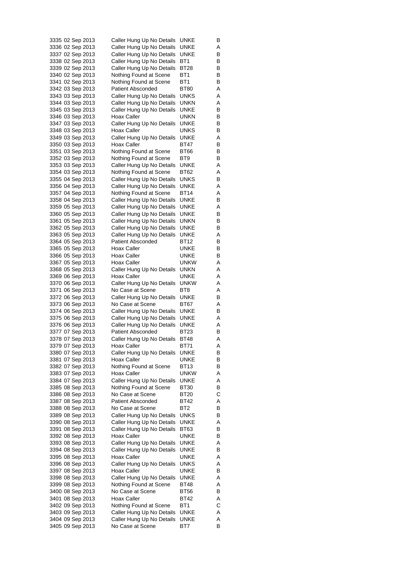| 3335 02 Sep 2013                     | Caller Hung Up No Details                              | UNKE                | B      |
|--------------------------------------|--------------------------------------------------------|---------------------|--------|
| 3336 02 Sep 2013                     | Caller Hung Up No Details                              | UNKE                | Α      |
| 3337 02 Sep 2013                     | Caller Hung Up No Details                              | UNKE                | В      |
| 3338 02 Sep 2013                     | Caller Hung Up No Details                              | BT1                 | В      |
| 3339 02 Sep 2013                     | Caller Hung Up No Details                              | BT28                | в      |
| 3340 02 Sep 2013                     | Nothing Found at Scene                                 | BT1                 | В      |
| 3341 02 Sep 2013                     | Nothing Found at Scene<br><b>Patient Absconded</b>     | BT1<br>BT80         | В      |
| 3342 03 Sep 2013<br>3343 03 Sep 2013 | Caller Hung Up No Details                              | UNKS                | Α<br>Α |
| 3344 03 Sep 2013                     | Caller Hung Up No Details                              | unkn                | Α      |
| 3345 03 Sep 2013                     | Caller Hung Up No Details                              | UNKE                | В      |
| 3346 03 Sep 2013                     | Hoax Caller                                            | UNKN                | В      |
| 3347 03 Sep 2013                     | Caller Hung Up No Details                              | UNKE                | В      |
| 3348 03 Sep 2013                     | Hoax Caller                                            | UNKS                | В      |
| 3349 03 Sep 2013                     | Caller Hung Up No Details                              | UNKE                | Α      |
| 3350 03 Sep 2013                     | Hoax Caller                                            | BT47                | В      |
| 3351 03 Sep 2013                     | Nothing Found at Scene                                 | BT66                | В      |
| 3352 03 Sep 2013                     | Nothing Found at Scene                                 | BT9                 | В      |
| 3353 03 Sep 2013                     | Caller Hung Up No Details                              | UNKE                | Α      |
| 3354 03 Sep 2013                     | Nothing Found at Scene                                 | BT62                | Α      |
| 3355 04 Sep 2013                     | Caller Hung Up No Details                              | UNKS                | В      |
| 3356 04 Sep 2013                     | Caller Hung Up No Details                              | UNKE                | Α      |
| 3357 04 Sep 2013                     | Nothing Found at Scene                                 | BT14                | Α      |
| 3358 04 Sep 2013                     | Caller Hung Up No Details                              | UNKE                | В      |
| 3359 05 Sep 2013<br>3360 05 Sep 2013 | Caller Hung Up No Details<br>Caller Hung Up No Details | UNKE<br>UNKE        | Α<br>В |
| 3361 05 Sep 2013                     | Caller Hung Up No Details                              | unkn                | В      |
| 3362 05 Sep 2013                     | Caller Hung Up No Details                              | UNKE                | В      |
| 3363 05 Sep 2013                     | Caller Hung Up No Details                              | UNKE                | Α      |
| 3364 05 Sep 2013                     | <b>Patient Absconded</b>                               | BT12                | В      |
| 3365 05 Sep 2013                     | Hoax Caller                                            | UNKE                | В      |
| 3366 05 Sep 2013                     | Hoax Caller                                            | UNKE                | В      |
| 3367 05 Sep 2013                     | Hoax Caller                                            | unkw                | Α      |
| 3368 05 Sep 2013                     | Caller Hung Up No Details                              | unkn                | Α      |
| 3369 06 Sep 2013                     | Hoax Caller                                            | UNKE                | Α      |
| 3370 06 Sep 2013                     | Caller Hung Up No Details                              | unkw                | Α      |
| 3371 06 Sep 2013                     | No Case at Scene                                       | BT8                 | A      |
| 3372 06 Sep 2013                     | Caller Hung Up No Details                              | UNKE                | В      |
| 3373 06 Sep 2013<br>3374 06 Sep 2013 | No Case at Scene<br>Caller Hung Up No Details          | BT67<br>UNKE        | Α      |
| 3375 06 Sep 2013                     | Caller Hung Up No Details                              | UNKE                | В<br>Α |
| 3376 06 Sep 2013                     | Caller Hung Up No Details                              | UNKE                | Α      |
| 3377 07 Sep 2013                     | <b>Patient Absconded</b>                               | BT23                | в      |
| 3378 07 Sep 2013                     | Caller Hung Up No Details                              | <b>BT48</b>         | Α      |
| 3379 07 Sep 2013                     | Hoax Caller                                            | <b>BT71</b>         | Α      |
| 3380 07 Sep 2013                     | Caller Hung Up No Details                              | UNKE                | В      |
| 3381 07 Sep 2013                     | Hoax Caller                                            | <b>UNKE</b>         | В      |
| 3382 07 Sep 2013                     | Nothing Found at Scene                                 | BT13                | В      |
| 3383 07 Sep 2013                     | Hoax Caller                                            | unkw                | Α      |
| 3384 07 Sep 2013                     | Caller Hung Up No Details                              | UNKE                | Α      |
| 3385 08 Sep 2013                     | Nothing Found at Scene                                 | <b>BT30</b>         | В      |
| 3386 08 Sep 2013                     | No Case at Scene                                       | BT20                | С      |
| 3387 08 Sep 2013                     | <b>Patient Absconded</b>                               | BT42                | Α      |
| 3388 08 Sep 2013                     | No Case at Scene                                       | BT2                 | В      |
| 3389 08 Sep 2013<br>3390 08 Sep 2013 | Caller Hung Up No Details<br>Caller Hung Up No Details | <b>UNKS</b><br>UNKE | в<br>Α |
| 3391 08 Sep 2013                     | Caller Hung Up No Details                              | BT63                | В      |
| 3392 08 Sep 2013                     | Hoax Caller                                            | UNKE                | В      |
| 3393 08 Sep 2013                     | Caller Hung Up No Details                              | UNKE                | Α      |
| 3394 08 Sep 2013                     | Caller Hung Up No Details                              | UNKE                | в      |
| 3395 08 Sep 2013                     | Hoax Caller                                            | UNKE                | Α      |
| 3396 08 Sep 2013                     | Caller Hung Up No Details                              | <b>UNKS</b>         | Α      |
| 3397 08 Sep 2013                     | Hoax Caller                                            | UNKE                | В      |
| 3398 08 Sep 2013                     | Caller Hung Up No Details                              | UNKE                | Α      |
| 3399 08 Sep 2013                     | Nothing Found at Scene                                 | BT48                | Α      |
| 3400 08 Sep 2013                     | No Case at Scene                                       | <b>BT56</b>         | В      |
| 3401 08 Sep 2013                     | Hoax Caller                                            | BT42                | Α      |
| 3402 09 Sep 2013                     | Nothing Found at Scene                                 | BT1                 | С      |
| 3403 09 Sep 2013                     | Caller Hung Up No Details                              | UNKE                | Α      |
| 3404 09 Sep 2013                     | Caller Hung Up No Details                              | UNKE                | Α      |
| 3405 09 Sep 2013                     | No Case at Scene                                       | BT7                 | В      |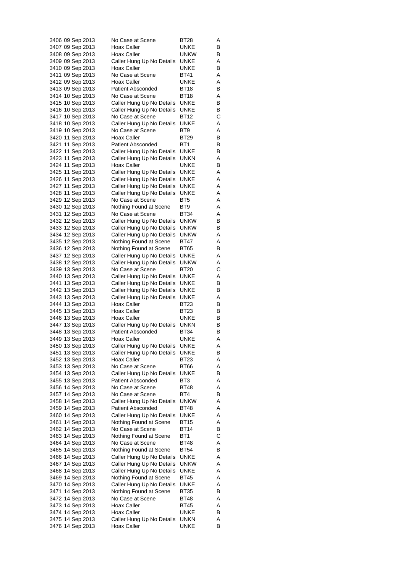| 3406 09 Sep 2013                     | No Case at Scene                                    | BT28         | Α      |
|--------------------------------------|-----------------------------------------------------|--------------|--------|
| 3407 09 Sep 2013                     | Hoax Caller                                         | UNKE         | В      |
| 3408 09 Sep 2013                     | Hoax Caller                                         | unkw         | В      |
| 3409 09 Sep 2013                     | Caller Hung Up No Details                           | UNKE         | Α      |
| 3410 09 Sep 2013                     | Hoax Caller                                         | UNKE         | в      |
| 3411 09 Sep 2013                     | No Case at Scene                                    | BT41         | Α      |
| 3412 09 Sep 2013                     | Hoax Caller                                         | UNKE         | Α      |
| 3413 09 Sep 2013                     | <b>Patient Absconded</b>                            | BT18         | В      |
| 3414 10 Sep 2013                     | No Case at Scene                                    | BT18         | Α      |
| 3415 10 Sep 2013                     | Caller Hung Up No Details                           | UNKE         | В      |
| 3416 10 Sep 2013                     | Caller Hung Up No Details                           | UNKE         | В      |
| 3417 10 Sep 2013                     | No Case at Scene                                    | <b>BT12</b>  | С      |
| 3418 10 Sep 2013                     | Caller Hung Up No Details                           | UNKE<br>BT9  | Α      |
| 3419 10 Sep 2013<br>3420 11 Sep 2013 | No Case at Scene<br>Hoax Caller                     | BT29         | Α<br>в |
| 3421 11 Sep 2013                     | <b>Patient Absconded</b>                            | BT1          | В      |
| 3422 11 Sep 2013                     | Caller Hung Up No Details                           | UNKE         | В      |
| 3423 11 Sep 2013                     | Caller Hung Up No Details                           | unkn         | Α      |
| 3424 11 Sep 2013                     | Hoax Caller                                         | UNKE         | в      |
| 3425 11 Sep 2013                     | Caller Hung Up No Details                           | UNKE         | Α      |
| 3426 11 Sep 2013                     | Caller Hung Up No Details                           | UNKE         | Α      |
| 3427 11 Sep 2013                     | Caller Hung Up No Details                           | UNKE         | Α      |
| 3428 11 Sep 2013                     | Caller Hung Up No Details                           | UNKE         | Α      |
| 3429 12 Sep 2013                     | No Case at Scene                                    | BT5          | Α      |
| 3430 12 Sep 2013                     | Nothing Found at Scene                              | BT9          | Α      |
| 3431 12 Sep 2013                     | No Case at Scene                                    | BT34         | Α      |
| 3432 12 Sep 2013                     | Caller Hung Up No Details                           | <b>UNKW</b>  | В      |
| 3433 12 Sep 2013                     | Caller Hung Up No Details                           | unkw         | В      |
| 3434 12 Sep 2013                     | Caller Hung Up No Details<br>Nothing Found at Scene | unkw<br>BT47 | Α<br>Α |
| 3435 12 Sep 2013<br>3436 12 Sep 2013 | Nothing Found at Scene                              | BT65         | В      |
| 3437 12 Sep 2013                     | Caller Hung Up No Details                           | UNKE         | Α      |
| 3438 12 Sep 2013                     | Caller Hung Up No Details                           | UNKW         | Α      |
| 3439 13 Sep 2013                     | No Case at Scene                                    | BT20         | С      |
| 3440 13 Sep 2013                     | Caller Hung Up No Details                           | UNKE         | Α      |
| 3441 13 Sep 2013                     | Caller Hung Up No Details                           | UNKE         | В      |
| 3442 13 Sep 2013                     | Caller Hung Up No Details                           | UNKE         | В      |
| 3443 13 Sep 2013                     | Caller Hung Up No Details                           | UNKE         | Α      |
| 3444 13 Sep 2013                     | Hoax Caller                                         | BT23         | В      |
| 3445 13 Sep 2013                     | Hoax Caller                                         | BT23         | В      |
| 3446 13 Sep 2013                     | Hoax Caller                                         | UNKE         | В      |
| 3447 13 Sep 2013                     | Caller Hung Up No Details                           | unkn         | В      |
| 3448 13 Sep 2013                     | <b>Patient Absconded</b>                            | BT34         | В      |
| 3449 13 Sep 2013                     | Hoax Caller<br>Caller Hung Up No Details            | UNKE         | Α      |
| 3450 13 Sep 2013<br>3451 13 Sep 2013 | Caller Hung Up No Details                           | UNKE         | Α<br>В |
| 3452 13 Sep 2013                     | Hoax Caller                                         | UNKE<br>BT23 | Α      |
| 3453 13 Sep 2013                     | No Case at Scene                                    | BT66         | Α      |
| 3454 13 Sep 2013                     | Caller Hung Up No Details                           | UNKE         | в      |
| 3455 13 Sep 2013                     | Patient Absconded                                   | BT3          | Α      |
| 3456 14 Sep 2013                     | No Case at Scene                                    | BT48         | Α      |
| 3457 14 Sep 2013                     | No Case at Scene                                    | BT4          | В      |
| 3458 14 Sep 2013                     | Caller Hung Up No Details                           | <b>UNKW</b>  | Α      |
| 3459 14 Sep 2013                     | <b>Patient Absconded</b>                            | BT48         | Α      |
| 3460 14 Sep 2013                     | Caller Hung Up No Details                           | UNKE         | Α      |
| 3461 14 Sep 2013                     | Nothing Found at Scene                              | BT15         | Α      |
| 3462 14 Sep 2013                     | No Case at Scene                                    | BT14         | в      |
| 3463 14 Sep 2013                     | Nothing Found at Scene                              | BT1          | С      |
| 3464 14 Sep 2013                     | No Case at Scene                                    | BT48         | Α      |
| 3465 14 Sep 2013                     | Nothing Found at Scene                              | BT54         | В      |
| 3466 14 Sep 2013                     | Caller Hung Up No Details                           | UNKE         | Α      |
| 3467 14 Sep 2013                     | Caller Hung Up No Details                           | UNKW         | Α      |
| 3468 14 Sep 2013                     | Caller Hung Up No Details                           | UNKE         | Α      |
| 3469 14 Sep 2013<br>3470 14 Sep 2013 | Nothing Found at Scene<br>Caller Hung Up No Details | BT45<br>UNKE | Α<br>Α |
| 3471 14 Sep 2013                     | Nothing Found at Scene                              | BT35         | В      |
| 3472 14 Sep 2013                     | No Case at Scene                                    | BT48         | Α      |
| 3473 14 Sep 2013                     | Hoax Caller                                         | BT45         | Α      |
| 3474 14 Sep 2013                     | Hoax Caller                                         | <b>UNKE</b>  | в      |
| 3475 14 Sep 2013                     | Caller Hung Up No Details                           | UNKN         | Α      |
| 3476 14 Sep 2013                     | Hoax Caller                                         | UNKE         | В      |
|                                      |                                                     |              |        |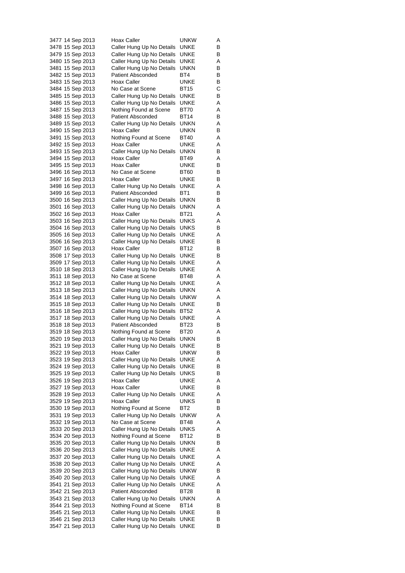| 3477 14 Sep 2013 | Hoax Caller               | unkw        | Α |
|------------------|---------------------------|-------------|---|
| 3478 15 Sep 2013 | Caller Hung Up No Details | UNKE        | В |
| 3479 15 Sep 2013 | Caller Hung Up No Details | UNKE        | В |
| 3480 15 Sep 2013 | Caller Hung Up No Details | UNKE        | Α |
| 3481 15 Sep 2013 | Caller Hung Up No Details | unkn        | в |
| 3482 15 Sep 2013 | Patient Absconded         | BT4         | В |
| 3483 15 Sep 2013 | <b>Hoax Caller</b>        | UNKE        | В |
| 3484 15 Sep 2013 | No Case at Scene          | BT15        | С |
| 3485 15 Sep 2013 | Caller Hung Up No Details | UNKE        | В |
| 3486 15 Sep 2013 | Caller Hung Up No Details | UNKE        | Α |
| 3487 15 Sep 2013 | Nothing Found at Scene    | BT70        | Α |
| 3488 15 Sep 2013 | Patient Absconded         | BT14        | В |
| 3489 15 Sep 2013 | Caller Hung Up No Details | UNKN        | Α |
|                  | <b>Hoax Caller</b>        | unkn        | В |
| 3490 15 Sep 2013 |                           |             |   |
| 3491 15 Sep 2013 | Nothing Found at Scene    | BT40        | Α |
| 3492 15 Sep 2013 | Hoax Caller               | UNKE        | Α |
| 3493 15 Sep 2013 | Caller Hung Up No Details | unkn        | В |
| 3494 15 Sep 2013 | Hoax Caller               | BT49        | Α |
| 3495 15 Sep 2013 | Hoax Caller               | UNKE        | в |
| 3496 16 Sep 2013 | No Case at Scene          | BT60        | в |
| 3497 16 Sep 2013 | Hoax Caller               | UNKE        | В |
| 3498 16 Sep 2013 | Caller Hung Up No Details | UNKE        | Α |
| 3499 16 Sep 2013 | Patient Absconded         | BT1         | В |
| 3500 16 Sep 2013 | Caller Hung Up No Details | unkn        | В |
| 3501 16 Sep 2013 | Caller Hung Up No Details | unkn        | Α |
| 3502 16 Sep 2013 | Hoax Caller               | BT21        | Α |
| 3503 16 Sep 2013 | Caller Hung Up No Details | UNKS        | Α |
| 3504 16 Sep 2013 | Caller Hung Up No Details | UNKS        | В |
| 3505 16 Sep 2013 | Caller Hung Up No Details | UNKE        | Α |
| 3506 16 Sep 2013 | Caller Hung Up No Details | UNKE        | в |
| 3507 16 Sep 2013 | Hoax Caller               | BT12        | В |
| 3508 17 Sep 2013 | Caller Hung Up No Details | UNKE        | В |
|                  |                           | UNKE        | Α |
| 3509 17 Sep 2013 | Caller Hung Up No Details |             |   |
| 3510 18 Sep 2013 | Caller Hung Up No Details | UNKE        | Α |
| 3511 18 Sep 2013 | No Case at Scene          | BT48        | Α |
| 3512 18 Sep 2013 | Caller Hung Up No Details | UNKE        | Α |
| 3513 18 Sep 2013 | Caller Hung Up No Details | unkn        | Α |
| 3514 18 Sep 2013 | Caller Hung Up No Details | unkw        | Α |
| 3515 18 Sep 2013 | Caller Hung Up No Details | UNKE        | в |
| 3516 18 Sep 2013 | Caller Hung Up No Details | BT52        | Α |
| 3517 18 Sep 2013 | Caller Hung Up No Details | UNKE        | Α |
| 3518 18 Sep 2013 | <b>Patient Absconded</b>  | BT23        | В |
| 3519 18 Sep 2013 | Nothing Found at Scene    | BT20        | Α |
| 3520 19 Sep 2013 | Caller Hung Up No Details | unkn        | В |
| 3521 19 Sep 2013 | Caller Hung Up No Details | <b>UNKE</b> | В |
| 3522 19 Sep 2013 | Hoax Caller               | unkw        | В |
| 3523 19 Sep 2013 | Caller Hung Up No Details | UNKE        | Α |
| 3524 19 Sep 2013 | Caller Hung Up No Details | <b>UNKE</b> | В |
| 3525 19 Sep 2013 | Caller Hung Up No Details | UNKS        | в |
| 3526 19 Sep 2013 | Hoax Caller               | UNKE        | Α |
| 3527 19 Sep 2013 | Hoax Caller               | UNKE        | В |
| 3528 19 Sep 2013 | Caller Hung Up No Details | UNKE        | Α |
| 3529 19 Sep 2013 | Hoax Caller               | UNKS        | В |
| 3530 19 Sep 2013 | Nothing Found at Scene    | BT2         | В |
|                  | Caller Hung Up No Details | <b>UNKW</b> |   |
| 3531 19 Sep 2013 |                           |             | Α |
| 3532 19 Sep 2013 | No Case at Scene          | BT48        | Α |
| 3533 20 Sep 2013 | Caller Hung Up No Details | UNKS        | Α |
| 3534 20 Sep 2013 | Nothing Found at Scene    | BT12        | В |
| 3535 20 Sep 2013 | Caller Hung Up No Details | <b>UNKN</b> | В |
| 3536 20 Sep 2013 | Caller Hung Up No Details | UNKE        | Α |
| 3537 20 Sep 2013 | Caller Hung Up No Details | UNKE        | Α |
| 3538 20 Sep 2013 | Caller Hung Up No Details | UNKE        | Α |
| 3539 20 Sep 2013 | Caller Hung Up No Details | <b>UNKW</b> | В |
| 3540 20 Sep 2013 | Caller Hung Up No Details | UNKE        | Α |
| 3541 21 Sep 2013 | Caller Hung Up No Details | UNKE        | Α |
| 3542 21 Sep 2013 | Patient Absconded         | BT28        | В |
| 3543 21 Sep 2013 | Caller Hung Up No Details | unkn        | Α |
| 3544 21 Sep 2013 | Nothing Found at Scene    | BT14        | В |
| 3545 21 Sep 2013 | Caller Hung Up No Details | UNKE        | В |
| 3546 21 Sep 2013 | Caller Hung Up No Details | UNKE        | в |
| 3547 21 Sep 2013 | Caller Hung Up No Details | <b>UNKE</b> | В |
|                  |                           |             |   |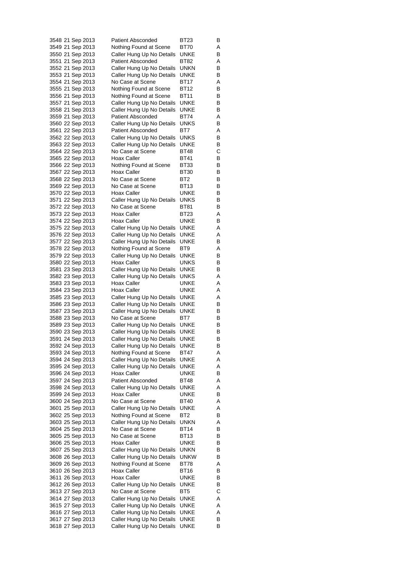| 3548 21 Sep 2013                     |  | <b>Patient Absconded</b>                               | BT23         | B      |
|--------------------------------------|--|--------------------------------------------------------|--------------|--------|
| 3549 21 Sep 2013                     |  | Nothing Found at Scene                                 | BT70         | Α      |
| 3550 21 Sep 2013                     |  | Caller Hung Up No Details                              | UNKE         | В      |
| 3551 21 Sep 2013                     |  | <b>Patient Absconded</b>                               | BT82         | Α      |
| 3552 21 Sep 2013<br>3553 21 Sep 2013 |  | Caller Hung Up No Details<br>Caller Hung Up No Details | unkn<br>UNKE | в<br>В |
| 3554 21 Sep 2013                     |  | No Case at Scene                                       | BT17         | Α      |
| 3555 21 Sep 2013                     |  | Nothing Found at Scene                                 | BT12         | В      |
| 3556 21 Sep 2013                     |  | Nothing Found at Scene                                 | BT11         | В      |
| 3557 21 Sep 2013                     |  | Caller Hung Up No Details                              | UNKE         | В      |
| 3558 21 Sep 2013                     |  | Caller Hung Up No Details                              | UNKE         | В      |
| 3559 21 Sep 2013                     |  | <b>Patient Absconded</b>                               | BT74         | Α      |
| 3560 22 Sep 2013                     |  | Caller Hung Up No Details                              | UNKS         | В      |
| 3561 22 Sep 2013                     |  | Patient Absconded                                      | BT7          | Α      |
| 3562 22 Sep 2013                     |  | Caller Hung Up No Details                              | UNKS         | в      |
| 3563 22 Sep 2013                     |  | Caller Hung Up No Details                              | UNKE         | В      |
| 3564 22 Sep 2013                     |  | No Case at Scene                                       | BT48         | С      |
| 3565 22 Sep 2013                     |  | Hoax Caller                                            | BT41         | В      |
| 3566 22 Sep 2013<br>3567 22 Sep 2013 |  | Nothing Found at Scene<br>Hoax Caller                  | BT33<br>BT30 | В<br>В |
| 3568 22 Sep 2013                     |  | No Case at Scene                                       | BT2          | В      |
| 3569 22 Sep 2013                     |  | No Case at Scene                                       | BT13         | В      |
| 3570 22 Sep 2013                     |  | Hoax Caller                                            | UNKE         | В      |
| 3571 22 Sep 2013                     |  | Caller Hung Up No Details                              | UNKS         | В      |
| 3572 22 Sep 2013                     |  | No Case at Scene                                       | BT81         | в      |
| 3573 22 Sep 2013                     |  | Hoax Caller                                            | BT23         | Α      |
| 3574 22 Sep 2013                     |  | Hoax Caller                                            | UNKE         | В      |
| 3575 22 Sep 2013                     |  | Caller Hung Up No Details                              | UNKE         | Α      |
| 3576 22 Sep 2013                     |  | Caller Hung Up No Details                              | UNKE         | Α      |
| 3577 22 Sep 2013                     |  | Caller Hung Up No Details                              | UNKE         | В      |
| 3578 22 Sep 2013                     |  | Nothing Found at Scene                                 | BT9          | Α      |
| 3579 22 Sep 2013<br>3580 22 Sep 2013 |  | Caller Hung Up No Details<br>Hoax Caller               | UNKE<br>UNKS | в<br>В |
| 3581 23 Sep 2013                     |  | Caller Hung Up No Details                              | UNKE         | В      |
| 3582 23 Sep 2013                     |  | Caller Hung Up No Details                              | UNKS         | Α      |
| 3583 23 Sep 2013                     |  | Hoax Caller                                            | UNKE         | Α      |
| 3584 23 Sep 2013                     |  | Hoax Caller                                            | UNKE         | A      |
| 3585 23 Sep 2013                     |  | Caller Hung Up No Details                              | UNKE         | A      |
| 3586 23 Sep 2013                     |  | Caller Hung Up No Details                              | UNKE         | В      |
| 3587 23 Sep 2013                     |  | Caller Hung Up No Details                              | UNKE         | В      |
| 3588 23 Sep 2013                     |  | No Case at Scene                                       | BT7          | в      |
| 3589 23 Sep 2013                     |  | Caller Hung Up No Details                              | UNKE         | В      |
| 3590 23 Sep 2013                     |  | Caller Hung Up No Details                              | UNKE         | В      |
| 3591 24 Sep 2013<br>3592 24 Sep 2013 |  | Caller Hung Up No Details<br>Caller Hung Up No Details | UNKE<br>UNKE | В<br>В |
| 3593 24 Sep 2013                     |  | Nothing Found at Scene                                 | BT47         | Α      |
| 3594 24 Sep 2013                     |  | Caller Hung Up No Details                              | UNKE         | Α      |
| 3595 24 Sep 2013                     |  | Caller Hung Up No Details                              | UNKE         | Α      |
| 3596 24 Sep 2013                     |  | Hoax Caller                                            | UNKE         | В      |
| 3597 24 Sep 2013                     |  | <b>Patient Absconded</b>                               | <b>BT48</b>  | Α      |
| 3598 24 Sep 2013                     |  | Caller Hung Up No Details                              | UNKE         | Α      |
| 3599 24 Sep 2013                     |  | Hoax Caller                                            | UNKE         | в      |
| 3600 24 Sep 2013                     |  | No Case at Scene                                       | <b>BT40</b>  | Α      |
| 3601 25 Sep 2013                     |  | Caller Hung Up No Details                              | UNKE         | Α      |
| 3602 25 Sep 2013                     |  | Nothing Found at Scene                                 | BT2          | в      |
| 3603 25 Sep 2013                     |  | Caller Hung Up No Details                              | <b>UNKN</b>  | Α      |
| 3604 25 Sep 2013<br>3605 25 Sep 2013 |  | No Case at Scene<br>No Case at Scene                   | BT14<br>BT13 | В<br>В |
| 3606 25 Sep 2013                     |  | Hoax Caller                                            | UNKE         | В      |
| 3607 25 Sep 2013                     |  | Caller Hung Up No Details                              | UNKN         | В      |
| 3608 26 Sep 2013                     |  | Caller Hung Up No Details                              | <b>UNKW</b>  | В      |
| 3609 26 Sep 2013                     |  | Nothing Found at Scene                                 | BT78         | Α      |
| 3610 26 Sep 2013                     |  | Hoax Caller                                            | BT16         | В      |
| 3611 26 Sep 2013                     |  | Hoax Caller                                            | UNKE         | В      |
| 3612 26 Sep 2013                     |  | Caller Hung Up No Details                              | UNKE         | в      |
| 3613 27 Sep 2013                     |  | No Case at Scene                                       | BT5          | С      |
| 3614 27 Sep 2013                     |  | Caller Hung Up No Details                              | UNKE         | Α      |
| 3615 27 Sep 2013                     |  | Caller Hung Up No Details                              | UNKE         | Α      |
| 3616 27 Sep 2013                     |  | Caller Hung Up No Details                              | UNKE         | Α      |
| 3617 27 Sep 2013<br>3618 27 Sep 2013 |  | Caller Hung Up No Details<br>Caller Hung Up No Details | UNKE<br>UNKE | В<br>в |
|                                      |  |                                                        |              |        |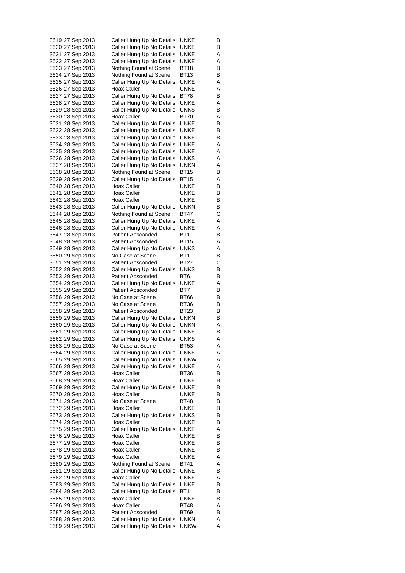| 3619 27 Sep 2013 |  | Caller Hung Up No Details | UNKE        | B |
|------------------|--|---------------------------|-------------|---|
| 3620 27 Sep 2013 |  | Caller Hung Up No Details | UNKE        | В |
| 3621 27 Sep 2013 |  | Caller Hung Up No Details | UNKE        | Α |
| 3622 27 Sep 2013 |  | Caller Hung Up No Details | UNKE        | Α |
| 3623 27 Sep 2013 |  | Nothing Found at Scene    | BT18        | в |
| 3624 27 Sep 2013 |  | Nothing Found at Scene    | BT13        | В |
| 3625 27 Sep 2013 |  | Caller Hung Up No Details | UNKE        | Α |
| 3626 27 Sep 2013 |  | Hoax Caller               | UNKE        | Α |
| 3627 27 Sep 2013 |  | Caller Hung Up No Details | BT78        | В |
| 3628 27 Sep 2013 |  | Caller Hung Up No Details | UNKE        | Α |
| 3629 28 Sep 2013 |  | Caller Hung Up No Details | UNKS        | В |
| 3630 28 Sep 2013 |  | Hoax Caller               | BT70        | Α |
| 3631 28 Sep 2013 |  | Caller Hung Up No Details | UNKE        | В |
| 3632 28 Sep 2013 |  | Caller Hung Up No Details | UNKE        | В |
| 3633 28 Sep 2013 |  | Caller Hung Up No Details | UNKE        | В |
| 3634 28 Sep 2013 |  | Caller Hung Up No Details | UNKE        | Α |
| 3635 28 Sep 2013 |  | Caller Hung Up No Details | UNKE        | Α |
| 3636 28 Sep 2013 |  | Caller Hung Up No Details | <b>UNKS</b> | Α |
| 3637 28 Sep 2013 |  | Caller Hung Up No Details | <b>UNKN</b> | Α |
| 3638 28 Sep 2013 |  | Nothing Found at Scene    | <b>BT15</b> | В |
| 3639 28 Sep 2013 |  | Caller Hung Up No Details | BT15        | Α |
| 3640 28 Sep 2013 |  | Hoax Caller               | UNKE        | В |
| 3641 28 Sep 2013 |  | Hoax Caller               | UNKE        | В |
| 3642 28 Sep 2013 |  | Hoax Caller               | UNKE        | в |
| 3643 28 Sep 2013 |  | Caller Hung Up No Details | unkn        | в |
| 3644 28 Sep 2013 |  | Nothing Found at Scene    | BT47        | С |
| 3645 28 Sep 2013 |  | Caller Hung Up No Details | UNKE        | Α |
| 3646 28 Sep 2013 |  | Caller Hung Up No Details | UNKE        | Α |
| 3647 28 Sep 2013 |  | <b>Patient Absconded</b>  | BT1         | В |
| 3648 28 Sep 2013 |  | <b>Patient Absconded</b>  | BT15        | Α |
| 3649 28 Sep 2013 |  | Caller Hung Up No Details | UNKS        | Α |
| 3650 29 Sep 2013 |  | No Case at Scene          | BT1         | в |
| 3651 29 Sep 2013 |  | <b>Patient Absconded</b>  | BT27        | C |
| 3652 29 Sep 2013 |  | Caller Hung Up No Details | UNKS        | в |
| 3653 29 Sep 2013 |  | <b>Patient Absconded</b>  | BT6         | В |
| 3654 29 Sep 2013 |  | Caller Hung Up No Details | UNKE        | Α |
| 3655 29 Sep 2013 |  | <b>Patient Absconded</b>  | BT7         | B |
| 3656 29 Sep 2013 |  | No Case at Scene          | BT66        | В |
| 3657 29 Sep 2013 |  | No Case at Scene          | BT36        | В |
| 3658 29 Sep 2013 |  | <b>Patient Absconded</b>  | BT23        | В |
| 3659 29 Sep 2013 |  | Caller Hung Up No Details | <b>UNKN</b> | в |
| 3660 29 Sep 2013 |  | Caller Hung Up No Details | UNKN        | Α |
| 3661 29 Sep 2013 |  | Caller Hung Up No Details | UNKE        | В |
| 3662 29 Sep 2013 |  | Caller Hung Up No Details | UNKS        | Α |
| 3663 29 Sep 2013 |  | No Case at Scene          | <b>BT53</b> | Α |
| 3664 29 Sep 2013 |  | Caller Hung Up No Details | UNKE        | Α |
| 3665 29 Sep 2013 |  | Caller Hung Up No Details | <b>UNKW</b> | Α |
| 3666 29 Sep 2013 |  | Caller Hung Up No Details | UNKE        | Α |
| 3667 29 Sep 2013 |  | Hoax Caller               | BT36        | В |
| 3668 29 Sep 2013 |  | Hoax Caller               | UNKE        | в |
| 3669 29 Sep 2013 |  | Caller Hung Up No Details | UNKE        | В |
| 3670 29 Sep 2013 |  | Hoax Caller               | UNKE        | В |
| 3671 29 Sep 2013 |  | No Case at Scene          | BT48        | В |
| 3672 29 Sep 2013 |  | Hoax Caller               | UNKE        | В |
| 3673 29 Sep 2013 |  | Caller Hung Up No Details | UNKS        | в |
| 3674 29 Sep 2013 |  | Hoax Caller               | <b>UNKE</b> | В |
| 3675 29 Sep 2013 |  | Caller Hung Up No Details | <b>UNKE</b> | Α |
| 3676 29 Sep 2013 |  | Hoax Caller               | UNKE        | В |
| 3677 29 Sep 2013 |  | Hoax Caller               | UNKE        | В |
| 3678 29 Sep 2013 |  | Hoax Caller               | UNKE        | в |
| 3679 29 Sep 2013 |  | Hoax Caller               | <b>UNKE</b> | Α |
| 3680 29 Sep 2013 |  | Nothing Found at Scene    | BT41        | Α |
| 3681 29 Sep 2013 |  | Caller Hung Up No Details | UNKE        | В |
| 3682 29 Sep 2013 |  | Hoax Caller               | UNKE        | Α |
| 3683 29 Sep 2013 |  | Caller Hung Up No Details | UNKE        | в |
| 3684 29 Sep 2013 |  | Caller Hung Up No Details | BT1         | В |
| 3685 29 Sep 2013 |  | Hoax Caller               | UNKE        | В |
| 3686 29 Sep 2013 |  | Hoax Caller               | BT48        | Α |
| 3687 29 Sep 2013 |  | <b>Patient Absconded</b>  | BT69        | в |
| 3688 29 Sep 2013 |  | Caller Hung Up No Details | UNKN        | Α |
| 3689 29 Sep 2013 |  | Caller Hung Up No Details | <b>UNKW</b> | Α |
|                  |  |                           |             |   |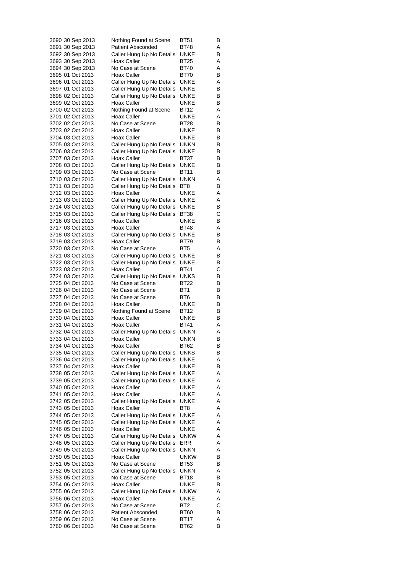| 3690 30 Sep 2013                     | Nothing Found at Scene                                 | BT51                | В      |
|--------------------------------------|--------------------------------------------------------|---------------------|--------|
| 3691 30 Sep 2013                     | <b>Patient Absconded</b>                               | BT48                | Α      |
| 3692 30 Sep 2013                     | Caller Hung Up No Details                              | UNKE                | В      |
| 3693 30 Sep 2013                     | Hoax Caller                                            | <b>BT25</b>         | Α      |
| 3694 30 Sep 2013<br>3695 01 Oct 2013 | No Case at Scene<br>Hoax Caller                        | BT40<br>BT70        | Α<br>В |
| 3696 01 Oct 2013                     | Caller Hung Up No Details                              | UNKE                | Α      |
| 3697 01 Oct 2013                     | Caller Hung Up No Details                              | UNKE                | В      |
| 3698 02 Oct 2013                     | Caller Hung Up No Details                              | UNKE                | В      |
| 3699 02 Oct 2013                     | Hoax Caller                                            | UNKE                | В      |
| 3700 02 Oct 2013                     | Nothing Found at Scene                                 | BT12                | Α      |
| 3701 02 Oct 2013                     | Hoax Caller                                            | UNKE                | Α      |
| 3702 02 Oct 2013                     | No Case at Scene                                       | BT28                | В      |
| 3703 02 Oct 2013                     | Hoax Caller                                            | UNKE                | В      |
| 3704 03 Oct 2013                     | Hoax Caller                                            | UNKE<br>unkn        | В      |
| 3705 03 Oct 2013<br>3706 03 Oct 2013 | Caller Hung Up No Details<br>Caller Hung Up No Details | UNKE                | В<br>В |
| 3707 03 Oct 2013                     | Hoax Caller                                            | BT37                | В      |
| 3708 03 Oct 2013                     | Caller Hung Up No Details                              | UNKE                | В      |
| 3709 03 Oct 2013                     | No Case at Scene                                       | BT11                | В      |
| 3710 03 Oct 2013                     | Caller Hung Up No Details                              | UNKN                | Α      |
| 3711 03 Oct 2013                     | Caller Hung Up No Details                              | BT8                 | В      |
| 3712 03 Oct 2013                     | Hoax Caller                                            | UNKE                | Α      |
| 3713 03 Oct 2013                     | Caller Hung Up No Details                              | UNKE                | Α      |
| 3714 03 Oct 2013                     | Caller Hung Up No Details                              | UNKE                | В      |
| 3715 03 Oct 2013<br>3716 03 Oct 2013 | Caller Hung Up No Details<br>Hoax Caller               | BT38<br>UNKE        | С<br>В |
| 3717 03 Oct 2013                     | Hoax Caller                                            | BT48                | Α      |
| 3718 03 Oct 2013                     | Caller Hung Up No Details                              | UNKE                | В      |
| 3719 03 Oct 2013                     | <b>Hoax Caller</b>                                     | BT79                | В      |
| 3720 03 Oct 2013                     | No Case at Scene                                       | BT5                 | Α      |
| 3721 03 Oct 2013                     | Caller Hung Up No Details                              | UNKE                | В      |
| 3722 03 Oct 2013                     | Caller Hung Up No Details                              | UNKE                | В      |
| 3723 03 Oct 2013                     | Hoax Caller                                            | <b>BT41</b>         | С      |
| 3724 03 Oct 2013                     | Caller Hung Up No Details                              | UNKS<br>BT22        | В      |
| 3725 04 Oct 2013<br>3726 04 Oct 2013 | No Case at Scene<br>No Case at Scene                   | BT1                 | В<br>В |
| 3727 04 Oct 2013                     | No Case at Scene                                       | BT6                 | В      |
| 3728 04 Oct 2013                     | Hoax Caller                                            | UNKE                | В      |
| 3729 04 Oct 2013                     | Nothing Found at Scene                                 | BT12                | В      |
| 3730 04 Oct 2013                     | Hoax Caller                                            | UNKE                | В      |
| 3731 04 Oct 2013                     | Hoax Caller                                            | BT41                | Α      |
| 3732 04 Oct 2013                     | Caller Hung Up No Details                              | unkn                | Α      |
| 3733 04 Oct 2013<br>3734 04 Oct 2013 | <b>Hoax Caller</b><br>Hoax Caller                      | unkn                | В      |
| 3735 04 Oct 2013                     | Caller Hung Up No Details                              | BT62<br><b>UNKS</b> | В<br>В |
| 3736 04 Oct 2013                     | Caller Hung Up No Details                              | UNKE                | Α      |
| 3737 04 Oct 2013                     | Hoax Caller                                            | UNKE                | В      |
| 3738 05 Oct 2013                     | Caller Hung Up No Details                              | UNKE                | Α      |
| 3739 05 Oct 2013                     | Caller Hung Up No Details                              | UNKE                | Α      |
| 3740 05 Oct 2013                     | Hoax Caller                                            | UNKE                | Α      |
| 3741 05 Oct 2013                     | Hoax Caller                                            | UNKE                | Α      |
| 3742 05 Oct 2013                     | Caller Hung Up No Details                              | UNKE                | Α      |
| 3743 05 Oct 2013<br>3744 05 Oct 2013 | Hoax Caller                                            | BT8                 | Α      |
| 3745 05 Oct 2013                     | Caller Hung Up No Details<br>Caller Hung Up No Details | UNKE<br>UNKE        | Α<br>Α |
| 3746 05 Oct 2013                     | Hoax Caller                                            | UNKE                | Α      |
| 3747 05 Oct 2013                     | Caller Hung Up No Details                              | <b>UNKW</b>         | Α      |
| 3748 05 Oct 2013                     | Caller Hung Up No Details                              | ERR                 | Α      |
| 3749 05 Oct 2013                     | Caller Hung Up No Details                              | UNKN                | Α      |
| 3750 05 Oct 2013                     | Hoax Caller                                            | unkw                | В      |
| 3751 05 Oct 2013                     | No Case at Scene                                       | BT53                | В      |
| 3752 05 Oct 2013                     | Caller Hung Up No Details                              | unkn                | Α      |
| 3753 05 Oct 2013                     | No Case at Scene                                       | BT18                | В      |
| 3754 06 Oct 2013<br>3755 06 Oct 2013 | <b>Hoax Caller</b><br>Caller Hung Up No Details        | UNKE<br><b>UNKW</b> | В<br>Α |
| 3756 06 Oct 2013                     | Hoax Caller                                            | UNKE                | Α      |
| 3757 06 Oct 2013                     | No Case at Scene                                       | BT2                 | С      |
| 3758 06 Oct 2013                     | <b>Patient Absconded</b>                               | BT60                | в      |
| 3759 06 Oct 2013                     | No Case at Scene                                       | BT17                | Α      |
| 3760 06 Oct 2013                     | No Case at Scene                                       | BT62                | В      |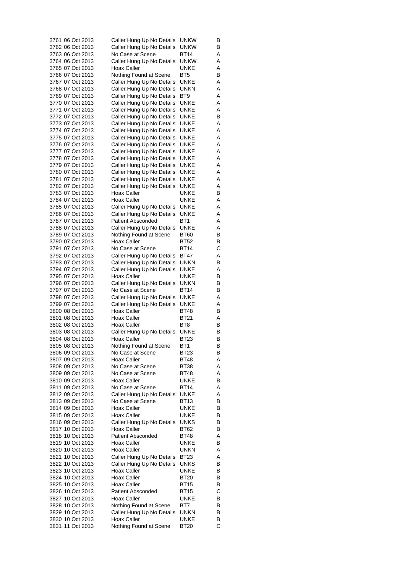| 3761 06 Oct 2013 | Caller Hung Up No Details | UNKW            | в |
|------------------|---------------------------|-----------------|---|
| 3762 06 Oct 2013 | Caller Hung Up No Details | unkw            | В |
| 3763 06 Oct 2013 | No Case at Scene          | BT14            | Α |
| 3764 06 Oct 2013 | Caller Hung Up No Details | unkw            | Α |
| 3765 07 Oct 2013 | Hoax Caller               | UNKE            | Α |
| 3766 07 Oct 2013 | Nothing Found at Scene    | BT <sub>5</sub> | В |
| 3767 07 Oct 2013 | Caller Hung Up No Details | UNKE            | Α |
| 3768 07 Oct 2013 | Caller Hung Up No Details | unkn            | Α |
| 3769 07 Oct 2013 | Caller Hung Up No Details | BT9             | Α |
| 3770 07 Oct 2013 | Caller Hung Up No Details | UNKE            | Α |
| 3771 07 Oct 2013 | Caller Hung Up No Details | UNKE            | Α |
| 3772 07 Oct 2013 | Caller Hung Up No Details | UNKE            | В |
| 3773 07 Oct 2013 | Caller Hung Up No Details | UNKE            | Α |
| 3774 07 Oct 2013 | Caller Hung Up No Details | UNKE            | Α |
| 3775 07 Oct 2013 |                           | UNKE            |   |
|                  | Caller Hung Up No Details |                 | Α |
| 3776 07 Oct 2013 | Caller Hung Up No Details | UNKE            | Α |
| 3777 07 Oct 2013 | Caller Hung Up No Details | UNKE            | Α |
| 3778 07 Oct 2013 | Caller Hung Up No Details | UNKE            | Α |
| 3779 07 Oct 2013 | Caller Hung Up No Details | UNKE            | Α |
| 3780 07 Oct 2013 | Caller Hung Up No Details | UNKE            | Α |
| 3781 07 Oct 2013 | Caller Hung Up No Details | UNKE            | Α |
| 3782 07 Oct 2013 | Caller Hung Up No Details | UNKE            | Α |
| 3783 07 Oct 2013 | Hoax Caller               | UNKE            | В |
| 3784 07 Oct 2013 | Hoax Caller               | UNKE            | Α |
| 3785 07 Oct 2013 | Caller Hung Up No Details | UNKE            | Α |
| 3786 07 Oct 2013 | Caller Hung Up No Details | UNKE            | Α |
| 3787 07 Oct 2013 | <b>Patient Absconded</b>  | BT1             | Α |
| 3788 07 Oct 2013 | Caller Hung Up No Details | UNKE            | Α |
| 3789 07 Oct 2013 | Nothing Found at Scene    | BT60            | В |
| 3790 07 Oct 2013 | Hoax Caller               | BT52            | В |
| 3791 07 Oct 2013 | No Case at Scene          | <b>BT14</b>     | С |
| 3792 07 Oct 2013 | Caller Hung Up No Details | BT47            | Α |
| 3793 07 Oct 2013 | Caller Hung Up No Details | unkn            | В |
| 3794 07 Oct 2013 | Caller Hung Up No Details | UNKE            | Α |
| 3795 07 Oct 2013 | Hoax Caller               | UNKE            | В |
| 3796 07 Oct 2013 | Caller Hung Up No Details | unkn            | В |
| 3797 07 Oct 2013 | No Case at Scene          | BT14            | В |
| 3798 07 Oct 2013 | Caller Hung Up No Details | UNKE            | Α |
| 3799 07 Oct 2013 | Caller Hung Up No Details | UNKE            | Α |
| 3800 08 Oct 2013 | Hoax Caller               | BT48            | В |
| 3801 08 Oct 2013 | Hoax Caller               | <b>BT21</b>     | Α |
| 3802 08 Oct 2013 | Hoax Caller               | BT8             | В |
| 3803 08 Oct 2013 | Caller Hung Up No Details | UNKE            | В |
| 3804 08 Oct 2013 | Hoax Caller               | BT23            | В |
|                  |                           | BT <sub>1</sub> |   |
| 3805 08 Oct 2013 | Nothing Found at Scene    | <b>BT23</b>     | В |
| 3806 09 Oct 2013 | No Case at Scene          |                 | В |
| 3807 09 Oct 2013 | Hoax Caller               | BT48            | Α |
| 3808 09 Oct 2013 | No Case at Scene          | BT38            | Α |
| 3809 09 Oct 2013 | No Case at Scene          | BT48            | Α |
| 3810 09 Oct 2013 | Hoax Caller               | UNKE            | В |
| 3811 09 Oct 2013 | No Case at Scene          | BT14            | Α |
| 3812 09 Oct 2013 | Caller Hung Up No Details | <b>UNKE</b>     | Α |
| 3813 09 Oct 2013 | No Case at Scene          | BT13            | В |
| 3814 09 Oct 2013 | <b>Hoax Caller</b>        | UNKE            | В |
| 3815 09 Oct 2013 | Hoax Caller               | UNKE            | в |
| 3816 09 Oct 2013 | Caller Hung Up No Details | <b>UNKS</b>     | В |
| 3817 10 Oct 2013 | Hoax Caller               | BT62            | В |
| 3818 10 Oct 2013 | <b>Patient Absconded</b>  | BT48            | Α |
| 3819 10 Oct 2013 | Hoax Caller               | UNKE            | В |
| 3820 10 Oct 2013 | Hoax Caller               | UNKN            | Α |
| 3821 10 Oct 2013 | Caller Hung Up No Details | BT23            | Α |
| 3822 10 Oct 2013 | Caller Hung Up No Details | UNKS            | В |
| 3823 10 Oct 2013 | Hoax Caller               | UNKE            | В |
| 3824 10 Oct 2013 | Hoax Caller               | BT20            | В |
| 3825 10 Oct 2013 | Hoax Caller               | BT15            | В |
| 3826 10 Oct 2013 | <b>Patient Absconded</b>  | BT15            | С |
| 3827 10 Oct 2013 | <b>Hoax Caller</b>        | UNKE            | В |
| 3828 10 Oct 2013 | Nothing Found at Scene    | BT7             | В |
| 3829 10 Oct 2013 | Caller Hung Up No Details | unkn            | В |
| 3830 10 Oct 2013 | Hoax Caller               | <b>UNKE</b>     | в |
| 3831 11 Oct 2013 | Nothing Found at Scene    | <b>BT20</b>     | С |
|                  |                           |                 |   |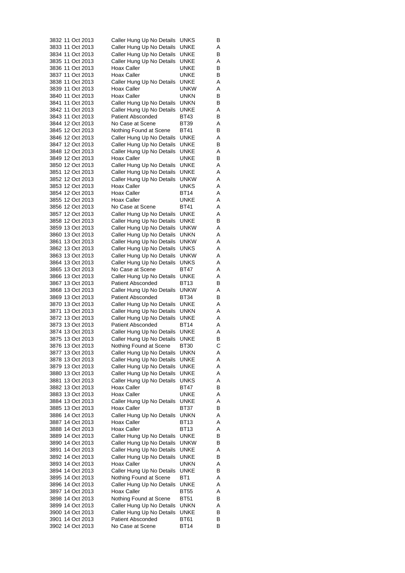|  | 3832 11 Oct 2013 | Caller Hung Up No Details | UNKS        | в |
|--|------------------|---------------------------|-------------|---|
|  | 3833 11 Oct 2013 | Caller Hung Up No Details | UNKE        | Α |
|  | 3834 11 Oct 2013 | Caller Hung Up No Details | UNKE        | В |
|  | 3835 11 Oct 2013 | Caller Hung Up No Details | UNKE        | Α |
|  | 3836 11 Oct 2013 | Hoax Caller               | UNKE        | В |
|  | 3837 11 Oct 2013 | Hoax Caller               | UNKE        | В |
|  | 3838 11 Oct 2013 | Caller Hung Up No Details | UNKE        | Α |
|  | 3839 11 Oct 2013 | Hoax Caller               | unkw        | Α |
|  | 3840 11 Oct 2013 | Hoax Caller               | UNKN        | В |
|  | 3841 11 Oct 2013 | Caller Hung Up No Details | unkn        | В |
|  | 3842 11 Oct 2013 | Caller Hung Up No Details | UNKE        | Α |
|  | 3843 11 Oct 2013 | <b>Patient Absconded</b>  | BT43        | В |
|  | 3844 12 Oct 2013 | No Case at Scene          | <b>BT39</b> | Α |
|  | 3845 12 Oct 2013 | Nothing Found at Scene    | BT41        | В |
|  | 3846 12 Oct 2013 | Caller Hung Up No Details | <b>UNKE</b> | Α |
|  | 3847 12 Oct 2013 | Caller Hung Up No Details | UNKE        | В |
|  | 3848 12 Oct 2013 | Caller Hung Up No Details | UNKE        | Α |
|  | 3849 12 Oct 2013 | Hoax Caller               | UNKE        | В |
|  | 3850 12 Oct 2013 | Caller Hung Up No Details | UNKE        | Α |
|  | 3851 12 Oct 2013 | Caller Hung Up No Details | UNKE        | Α |
|  | 3852 12 Oct 2013 | Caller Hung Up No Details | unkw        | A |
|  | 3853 12 Oct 2013 | Hoax Caller               | UNKS        | Α |
|  | 3854 12 Oct 2013 | Hoax Caller               | BT14        | Α |
|  | 3855 12 Oct 2013 | Hoax Caller               | UNKE        | Α |
|  | 3856 12 Oct 2013 | No Case at Scene          | <b>BT41</b> | Α |
|  | 3857 12 Oct 2013 | Caller Hung Up No Details | UNKE        | Α |
|  | 3858 12 Oct 2013 |                           | UNKE        |   |
|  |                  | Caller Hung Up No Details |             | В |
|  | 3859 13 Oct 2013 | Caller Hung Up No Details | unkw        | Α |
|  | 3860 13 Oct 2013 | Caller Hung Up No Details | UNKN        | Α |
|  | 3861 13 Oct 2013 | Caller Hung Up No Details | unkw        | Α |
|  | 3862 13 Oct 2013 | Caller Hung Up No Details | UNKS        | Α |
|  | 3863 13 Oct 2013 | Caller Hung Up No Details | unkw        | Α |
|  | 3864 13 Oct 2013 | Caller Hung Up No Details | UNKS        | Α |
|  | 3865 13 Oct 2013 | No Case at Scene          | BT47        | A |
|  | 3866 13 Oct 2013 | Caller Hung Up No Details | UNKE        | Α |
|  | 3867 13 Oct 2013 | <b>Patient Absconded</b>  | BT13        | В |
|  | 3868 13 Oct 2013 | Caller Hung Up No Details | unkw        | Α |
|  | 3869 13 Oct 2013 | <b>Patient Absconded</b>  | BT34        | В |
|  | 3870 13 Oct 2013 | Caller Hung Up No Details | UNKE        | Α |
|  | 3871 13 Oct 2013 | Caller Hung Up No Details | unkn        | Α |
|  | 3872 13 Oct 2013 | Caller Hung Up No Details | UNKE        | A |
|  | 3873 13 Oct 2013 | <b>Patient Absconded</b>  | BT14        | Α |
|  | 3874 13 Oct 2013 | Caller Hung Up No Details | UNKE        | Α |
|  | 3875 13 Oct 2013 | Caller Hung Up No Details | <b>UNKE</b> | В |
|  | 3876 13 Oct 2013 | Nothing Found at Scene    | <b>BT30</b> | С |
|  | 3877 13 Oct 2013 | Caller Hung Up No Details | unkn        | Α |
|  | 3878 13 Oct 2013 | Caller Hung Up No Details | UNKE        | Α |
|  | 3879 13 Oct 2013 | Caller Hung Up No Details | UNKE        | Α |
|  | 3880 13 Oct 2013 | Caller Hung Up No Details | UNKE        | Α |
|  | 3881 13 Oct 2013 | Caller Hung Up No Details | UNKS        | Α |
|  | 3882 13 Oct 2013 | Hoax Caller               | BT47        | В |
|  | 3883 13 Oct 2013 | Hoax Caller               | UNKE        | Α |
|  | 3884 13 Oct 2013 | Caller Hung Up No Details | UNKE        | Α |
|  | 3885 13 Oct 2013 | Hoax Caller               | BT37        | В |
|  | 3886 14 Oct 2013 | Caller Hung Up No Details | unkn        | Α |
|  | 3887 14 Oct 2013 | Hoax Caller               | <b>BT13</b> | Α |
|  | 3888 14 Oct 2013 | Hoax Caller               | <b>BT13</b> | Α |
|  | 3889 14 Oct 2013 | Caller Hung Up No Details | UNKE        | В |
|  | 3890 14 Oct 2013 | Caller Hung Up No Details | unkw        | В |
|  | 3891 14 Oct 2013 | Caller Hung Up No Details | UNKE        | Α |
|  | 3892 14 Oct 2013 | Caller Hung Up No Details | UNKE        | В |
|  |                  |                           |             |   |
|  | 3893 14 Oct 2013 | Hoax Caller               | UNKN        | Α |
|  | 3894 14 Oct 2013 | Caller Hung Up No Details | UNKE        | В |
|  | 3895 14 Oct 2013 | Nothing Found at Scene    | BT1         | Α |
|  | 3896 14 Oct 2013 | Caller Hung Up No Details | UNKE        | Α |
|  | 3897 14 Oct 2013 | Hoax Caller               | <b>BT55</b> | Α |
|  | 3898 14 Oct 2013 | Nothing Found at Scene    | BT51        | В |
|  | 3899 14 Oct 2013 | Caller Hung Up No Details | unkn        | Α |
|  | 3900 14 Oct 2013 | Caller Hung Up No Details | UNKE        | В |
|  | 3901 14 Oct 2013 | <b>Patient Absconded</b>  | <b>BT61</b> | в |
|  | 3902 14 Oct 2013 | No Case at Scene          | <b>BT14</b> | В |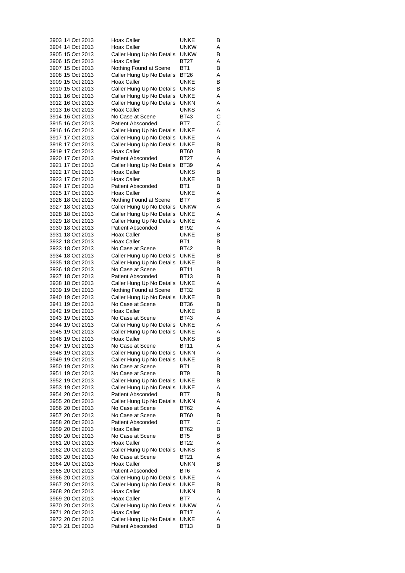| 3903 14 Oct 2013                     | Hoax Caller                                   | UNKE            | В      |
|--------------------------------------|-----------------------------------------------|-----------------|--------|
| 3904 14 Oct 2013                     | Hoax Caller                                   | unkw            | Α      |
| 3905 15 Oct 2013                     | Caller Hung Up No Details                     | <b>UNKW</b>     | В      |
| 3906 15 Oct 2013                     | Hoax Caller                                   | BT27            | Α      |
| 3907 15 Oct 2013                     | Nothing Found at Scene                        | BT <sub>1</sub> | В      |
| 3908 15 Oct 2013                     | Caller Hung Up No Details                     | BT26            | Α      |
| 3909 15 Oct 2013                     | Hoax Caller                                   | UNKE            | В      |
| 3910 15 Oct 2013                     | Caller Hung Up No Details                     | <b>UNKS</b>     | В      |
| 3911 16 Oct 2013                     | Caller Hung Up No Details                     | UNKE            | Α      |
| 3912 16 Oct 2013                     | Caller Hung Up No Details                     | unkn            | Α      |
| 3913 16 Oct 2013                     | Hoax Caller                                   | UNKS            | Α      |
| 3914 16 Oct 2013                     | No Case at Scene                              | BT43            | С      |
| 3915 16 Oct 2013                     | <b>Patient Absconded</b>                      | BT7             | С      |
| 3916 16 Oct 2013<br>3917 17 Oct 2013 | Caller Hung Up No Details                     | UNKE            | Α      |
| 3918 17 Oct 2013                     | Caller Hung Up No Details                     | UNKE<br>UNKE    | Α<br>В |
| 3919 17 Oct 2013                     | Caller Hung Up No Details<br>Hoax Caller      | BT60            | В      |
| 3920 17 Oct 2013                     | <b>Patient Absconded</b>                      | BT27            | Α      |
| 3921 17 Oct 2013                     | Caller Hung Up No Details                     | BT39            | Α      |
| 3922 17 Oct 2013                     | Hoax Caller                                   | UNKS            | В      |
| 3923 17 Oct 2013                     | <b>Hoax Caller</b>                            | UNKE            | В      |
| 3924 17 Oct 2013                     | <b>Patient Absconded</b>                      | BT <sub>1</sub> | В      |
| 3925 17 Oct 2013                     | Hoax Caller                                   | UNKE            | Α      |
| 3926 18 Oct 2013                     | Nothing Found at Scene                        | BT7             | В      |
| 3927 18 Oct 2013                     | Caller Hung Up No Details                     | unkw            | Α      |
| 3928 18 Oct 2013                     | Caller Hung Up No Details                     | UNKE            | Α      |
| 3929 18 Oct 2013                     | Caller Hung Up No Details                     | UNKE            | Α      |
| 3930 18 Oct 2013                     | <b>Patient Absconded</b>                      | BT92            | Α      |
| 3931 18 Oct 2013                     | Hoax Caller                                   | UNKE            | В      |
| 3932 18 Oct 2013                     | Hoax Caller                                   | BT1             | В      |
| 3933 18 Oct 2013                     | No Case at Scene                              | BT42            | В      |
| 3934 18 Oct 2013                     | Caller Hung Up No Details                     | UNKE            | В      |
| 3935 18 Oct 2013                     | Caller Hung Up No Details                     | UNKE            | В      |
| 3936 18 Oct 2013                     | No Case at Scene                              | BT11            | В      |
| 3937 18 Oct 2013                     | <b>Patient Absconded</b>                      | BT13            | В      |
| 3938 18 Oct 2013                     | Caller Hung Up No Details                     | UNKE            | Α      |
| 3939 19 Oct 2013                     | Nothing Found at Scene                        | BT32            | В      |
| 3940 19 Oct 2013                     | Caller Hung Up No Details                     | UNKE            | В      |
| 3941 19 Oct 2013                     | No Case at Scene                              | BT36            | В      |
| 3942 19 Oct 2013                     | Hoax Caller                                   | UNKE            | В      |
| 3943 19 Oct 2013                     | No Case at Scene                              | BT43            | Α      |
| 3944 19 Oct 2013                     | Caller Hung Up No Details                     | UNKE            | Α      |
| 3945 19 Oct 2013                     | Caller Hung Up No Details                     | <b>UNKE</b>     | Α      |
| 3946 19 Oct 2013                     | Hoax Caller                                   | UNKS            | В      |
| 3947 19 Oct 2013                     | No Case at Scene                              | BT11            | Α      |
| 3948 19 Oct 2013                     | Caller Hung Up No Details                     | <b>UNKN</b>     | Α      |
| 3949 19 Oct 2013                     | Caller Hung Up No Details                     | UNKE            | В      |
| 3950 19 Oct 2013                     | No Case at Scene                              | BT1             | В      |
| 3951 19 Oct 2013<br>3952 19 Oct 2013 | No Case at Scene<br>Caller Hung Up No Details | BT9<br>UNKE     | В<br>В |
| 3953 19 Oct 2013                     | Caller Hung Up No Details                     | <b>UNKE</b>     | Α      |
| 3954 20 Oct 2013                     | <b>Patient Absconded</b>                      | BT7             | В      |
| 3955 20 Oct 2013                     | Caller Hung Up No Details                     | <b>UNKN</b>     | Α      |
| 3956 20 Oct 2013                     | No Case at Scene                              | BT62            | Α      |
| 3957 20 Oct 2013                     | No Case at Scene                              | BT60            | в      |
| 3958 20 Oct 2013                     | <b>Patient Absconded</b>                      | BT7             | С      |
| 3959 20 Oct 2013                     | Hoax Caller                                   | BT62            | В      |
| 3960 20 Oct 2013                     | No Case at Scene                              | BT5             | В      |
| 3961 20 Oct 2013                     | Hoax Caller                                   | BT22            | Α      |
| 3962 20 Oct 2013                     | Caller Hung Up No Details                     | UNKS            | в      |
| 3963 20 Oct 2013                     | No Case at Scene                              | BT21            | Α      |
| 3964 20 Oct 2013                     | Hoax Caller                                   | UNKN            | в      |
| 3965 20 Oct 2013                     | <b>Patient Absconded</b>                      | BT6             | Α      |
| 3966 20 Oct 2013                     | Caller Hung Up No Details                     | <b>UNKE</b>     | Α      |
| 3967 20 Oct 2013                     | Caller Hung Up No Details                     | UNKE            | В      |
| 3968 20 Oct 2013                     | Hoax Caller                                   | UNKN            | В      |
| 3969 20 Oct 2013                     | Hoax Caller                                   | BT7             | Α      |
| 3970 20 Oct 2013                     | Caller Hung Up No Details                     | <b>UNKW</b>     | Α      |
| 3971 20 Oct 2013                     | Hoax Caller                                   | BT17            | Α      |
| 3972 20 Oct 2013                     | Caller Hung Up No Details                     | UNKE            | Α      |
| 3973 21 Oct 2013                     | <b>Patient Absconded</b>                      | BT13            | В      |
|                                      |                                               |                 |        |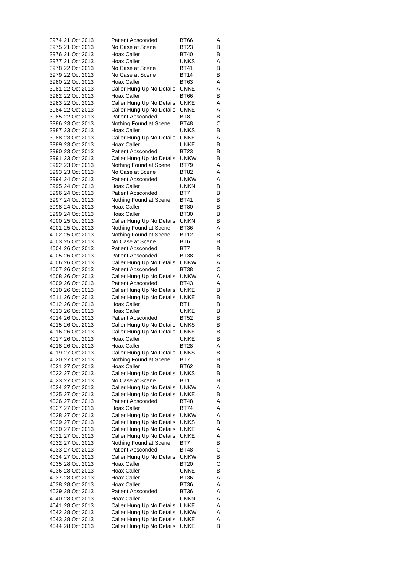| 3974 21 Oct 2013                     |  | <b>Patient Absconded</b>                 | BT66         | Α      |
|--------------------------------------|--|------------------------------------------|--------------|--------|
| 3975 21 Oct 2013                     |  | No Case at Scene                         | BT23         | В      |
| 3976 21 Oct 2013                     |  | Hoax Caller                              | BT40         | В      |
| 3977 21 Oct 2013                     |  | Hoax Caller                              | <b>UNKS</b>  | Α      |
| 3978 22 Oct 2013                     |  | No Case at Scene                         | BT41         | В      |
| 3979 22 Oct 2013                     |  | No Case at Scene                         | BT14         | В      |
| 3980 22 Oct 2013                     |  | Hoax Caller                              | BT63         | Α      |
| 3981 22 Oct 2013                     |  | Caller Hung Up No Details                | UNKE         | Α      |
| 3982 22 Oct 2013                     |  | Hoax Caller                              | BT66         | В      |
| 3983 22 Oct 2013                     |  | Caller Hung Up No Details                | UNKE         | Α      |
| 3984 22 Oct 2013                     |  | Caller Hung Up No Details                | UNKE<br>BT8  | Α      |
| 3985 22 Oct 2013<br>3986 23 Oct 2013 |  | <b>Patient Absconded</b>                 | BT48         | В<br>С |
| 3987 23 Oct 2013                     |  | Nothing Found at Scene                   | UNKS         | В      |
| 3988 23 Oct 2013                     |  | Hoax Caller<br>Caller Hung Up No Details | UNKE         | Α      |
| 3989 23 Oct 2013                     |  | Hoax Caller                              | UNKE         | В      |
| 3990 23 Oct 2013                     |  | <b>Patient Absconded</b>                 | BT23         | В      |
| 3991 23 Oct 2013                     |  | Caller Hung Up No Details                | unkw         | В      |
| 3992 23 Oct 2013                     |  | Nothing Found at Scene                   | BT79         | Α      |
| 3993 23 Oct 2013                     |  | No Case at Scene                         | BT82         | Α      |
| 3994 24 Oct 2013                     |  | <b>Patient Absconded</b>                 | UNKW         | Α      |
| 3995 24 Oct 2013                     |  | Hoax Caller                              | unkn         | В      |
| 3996 24 Oct 2013                     |  | Patient Absconded                        | BT7          | В      |
| 3997 24 Oct 2013                     |  | Nothing Found at Scene                   | BT41         | В      |
| 3998 24 Oct 2013                     |  | Hoax Caller                              | BT80         | В      |
| 3999 24 Oct 2013                     |  | Hoax Caller                              | <b>BT30</b>  | В      |
| 4000 25 Oct 2013                     |  | Caller Hung Up No Details                | UNKN         | В      |
| 4001 25 Oct 2013                     |  | Nothing Found at Scene                   | BT36         | Α      |
| 4002 25 Oct 2013                     |  | Nothing Found at Scene                   | <b>BT12</b>  | В      |
| 4003 25 Oct 2013                     |  | No Case at Scene                         | BT6          | В      |
| 4004 26 Oct 2013                     |  | <b>Patient Absconded</b>                 | BT7          | В      |
| 4005 26 Oct 2013                     |  | <b>Patient Absconded</b>                 | BT38         | В      |
| 4006 26 Oct 2013                     |  | Caller Hung Up No Details                | unkw         | Α      |
| 4007 26 Oct 2013                     |  | <b>Patient Absconded</b>                 | BT38         | С      |
| 4008 26 Oct 2013                     |  | Caller Hung Up No Details                | unkw         | Α      |
| 4009 26 Oct 2013                     |  | <b>Patient Absconded</b>                 | BT43         | Α      |
| 4010 26 Oct 2013                     |  | Caller Hung Up No Details                | UNKE         | В      |
| 4011 26 Oct 2013<br>4012 26 Oct 2013 |  | Caller Hung Up No Details                | UNKE<br>BT1  | В      |
| 4013 26 Oct 2013                     |  | Hoax Caller<br>Hoax Caller               | UNKE         | В<br>В |
| 4014 26 Oct 2013                     |  | <b>Patient Absconded</b>                 | <b>BT52</b>  | В      |
| 4015 26 Oct 2013                     |  | Caller Hung Up No Details                | <b>UNKS</b>  | В      |
| 4016 26 Oct 2013                     |  | Caller Hung Up No Details                | <b>UNKE</b>  | В      |
| 4017 26 Oct 2013                     |  | <b>Hoax Caller</b>                       | UNKE         | В      |
| 4018 26 Oct 2013                     |  | <b>Hoax Caller</b>                       | <b>BT28</b>  | Α      |
| 4019 27 Oct 2013                     |  | Caller Hung Up No Details                | UNKS         | В      |
| 4020 27 Oct 2013                     |  | Nothing Found at Scene                   | BT7          | В      |
| 4021 27 Oct 2013                     |  | Hoax Caller                              | BT62         | В      |
| 4022 27 Oct 2013                     |  | Caller Hung Up No Details                | UNKS         | В      |
| 4023 27 Oct 2013                     |  | No Case at Scene                         | BT1          | В      |
| 4024 27 Oct 2013                     |  | Caller Hung Up No Details                | <b>UNKW</b>  | Α      |
| 4025 27 Oct 2013                     |  | Caller Hung Up No Details                | UNKE         | В      |
| 4026 27 Oct 2013                     |  | <b>Patient Absconded</b>                 | BT48         | Α      |
| 4027 27 Oct 2013                     |  | Hoax Caller                              | BT74         | Α      |
| 4028 27 Oct 2013                     |  | Caller Hung Up No Details                | unkw         | Α      |
| 4029 27 Oct 2013                     |  | Caller Hung Up No Details                | UNKS         | В      |
| 4030 27 Oct 2013                     |  | Caller Hung Up No Details                | <b>UNKE</b>  | Α      |
| 4031 27 Oct 2013                     |  | Caller Hung Up No Details                | UNKE         | Α      |
| 4032 27 Oct 2013                     |  | Nothing Found at Scene                   | BT7          | В      |
| 4033 27 Oct 2013                     |  | <b>Patient Absconded</b>                 | BT48         | С      |
| 4034 27 Oct 2013                     |  | Caller Hung Up No Details                | <b>UNKW</b>  | В      |
| 4035 28 Oct 2013                     |  | Hoax Caller                              | BT20         | С      |
| 4036 28 Oct 2013                     |  | Hoax Caller                              | UNKE         | В      |
| 4037 28 Oct 2013<br>4038 28 Oct 2013 |  | Hoax Caller<br>Hoax Caller               | BT36<br>BT36 | Α<br>Α |
| 4039 28 Oct 2013                     |  | <b>Patient Absconded</b>                 | BT36         | Α      |
| 4040 28 Oct 2013                     |  | Hoax Caller                              | UNKN         | Α      |
| 4041 28 Oct 2013                     |  | Caller Hung Up No Details                | UNKE         | Α      |
| 4042 28 Oct 2013                     |  | Caller Hung Up No Details                | unkw         | Α      |
| 4043 28 Oct 2013                     |  | Caller Hung Up No Details                | <b>UNKE</b>  | Α      |
| 4044 28 Oct 2013                     |  | Caller Hung Up No Details                | <b>UNKE</b>  | В      |
|                                      |  |                                          |              |        |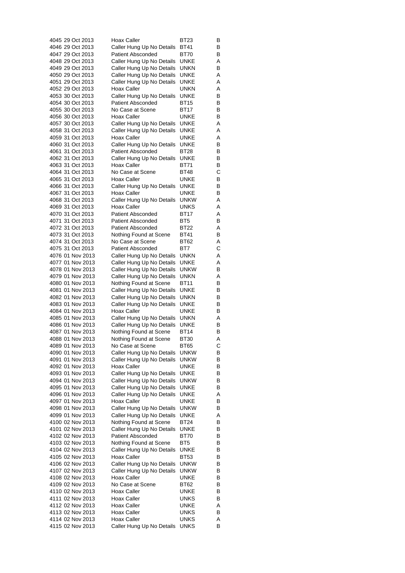|                  |  | 4045 29 Oct 2013                     | Hoax Caller                                            | BT23                       | В      |
|------------------|--|--------------------------------------|--------------------------------------------------------|----------------------------|--------|
| 4046 29 Oct 2013 |  |                                      | Caller Hung Up No Details                              | BT41                       | В      |
| 4047 29 Oct 2013 |  |                                      | <b>Patient Absconded</b>                               | BT70                       | В      |
|                  |  | 4048 29 Oct 2013                     | Caller Hung Up No Details                              | UNKE                       | Α      |
|                  |  | 4049 29 Oct 2013                     | Caller Hung Up No Details                              | unkn                       | В      |
|                  |  | 4050 29 Oct 2013                     | Caller Hung Up No Details                              | UNKE                       | Α      |
| 4051 29 Oct 2013 |  |                                      | Caller Hung Up No Details                              | UNKE                       | Α      |
| 4052 29 Oct 2013 |  |                                      | Hoax Caller                                            | unkn                       | Α      |
|                  |  | 4053 30 Oct 2013                     | Caller Hung Up No Details                              | UNKE                       | В      |
| 4054 30 Oct 2013 |  |                                      | <b>Patient Absconded</b>                               | BT15                       | В      |
|                  |  | 4055 30 Oct 2013                     | No Case at Scene<br>Hoax Caller                        | BT17<br>UNKE               | В<br>В |
| 4057 30 Oct 2013 |  | 4056 30 Oct 2013                     | Caller Hung Up No Details                              | UNKE                       | Α      |
|                  |  | 4058 31 Oct 2013                     | Caller Hung Up No Details                              | UNKE                       | Α      |
| 4059 31 Oct 2013 |  |                                      | <b>Hoax Caller</b>                                     | UNKE                       | Α      |
|                  |  | 4060 31 Oct 2013                     | Caller Hung Up No Details                              | UNKE                       | В      |
|                  |  | 4061 31 Oct 2013                     | <b>Patient Absconded</b>                               | BT28                       | В      |
|                  |  | 4062 31 Oct 2013                     | Caller Hung Up No Details                              | UNKE                       | В      |
|                  |  | 4063 31 Oct 2013                     | Hoax Caller                                            | BT71                       | В      |
| 4064 31 Oct 2013 |  |                                      | No Case at Scene                                       | BT48                       | С      |
| 4065 31 Oct 2013 |  |                                      | Hoax Caller                                            | UNKE                       | В      |
| 4066 31 Oct 2013 |  |                                      | Caller Hung Up No Details                              | UNKE                       | В      |
| 4067 31 Oct 2013 |  |                                      | Hoax Caller                                            | UNKE                       | В      |
|                  |  | 4068 31 Oct 2013                     | Caller Hung Up No Details                              | unkw                       | Α      |
|                  |  | 4069 31 Oct 2013                     | Hoax Caller                                            | UNKS                       | Α      |
|                  |  | 4070 31 Oct 2013                     | <b>Patient Absconded</b>                               | BT17                       | Α      |
| 4071 31 Oct 2013 |  |                                      | <b>Patient Absconded</b>                               | BT5                        | В      |
|                  |  | 4072 31 Oct 2013                     | <b>Patient Absconded</b>                               | BT22                       | Α      |
|                  |  | 4073 31 Oct 2013                     | Nothing Found at Scene                                 | BT41                       | В      |
|                  |  | 4074 31 Oct 2013                     | No Case at Scene                                       | BT62                       | Α      |
|                  |  | 4075 31 Oct 2013                     | <b>Patient Absconded</b>                               | BT7                        | С      |
|                  |  | 4076 01 Nov 2013<br>4077 01 Nov 2013 | Caller Hung Up No Details                              | unkn<br>UNKE               | Α<br>Α |
|                  |  | 4078 01 Nov 2013                     | Caller Hung Up No Details<br>Caller Hung Up No Details | unkw                       | В      |
|                  |  | 4079 01 Nov 2013                     | Caller Hung Up No Details                              | unkn                       | Α      |
|                  |  | 4080 01 Nov 2013                     | Nothing Found at Scene                                 | BT11                       | В      |
|                  |  | 4081 01 Nov 2013                     | Caller Hung Up No Details                              | UNKE                       | В      |
|                  |  | 4082 01 Nov 2013                     | Caller Hung Up No Details                              | unkn                       | В      |
|                  |  | 4083 01 Nov 2013                     | Caller Hung Up No Details                              | UNKE                       | В      |
|                  |  | 4084 01 Nov 2013                     | Hoax Caller                                            | UNKE                       | В      |
|                  |  | 4085 01 Nov 2013                     | Caller Hung Up No Details                              | unkn                       | Α      |
|                  |  | 4086 01 Nov 2013                     | Caller Hung Up No Details                              | UNKE                       | В      |
|                  |  | 4087 01 Nov 2013                     | Nothing Found at Scene                                 | BT14                       | В      |
|                  |  | 4088 01 Nov 2013                     | Nothing Found at Scene                                 | BT30                       | Α      |
|                  |  | 4089 01 Nov 2013<br>4090 01 Nov 2013 | No Case at Scene<br>Caller Hung Up No Details          | <b>BT65</b><br><b>UNKW</b> | С<br>В |
|                  |  | 4091 01 Nov 2013                     | Caller Hung Up No Details                              | <b>UNKW</b>                | В      |
|                  |  | 4092 01 Nov 2013                     | Hoax Caller                                            | UNKE                       | В      |
|                  |  | 4093 01 Nov 2013                     | Caller Hung Up No Details                              | UNKE                       | В      |
|                  |  | 4094 01 Nov 2013                     | Caller Hung Up No Details                              | unkw                       | В      |
|                  |  | 4095 01 Nov 2013                     | Caller Hung Up No Details                              | UNKE                       | В      |
|                  |  | 4096 01 Nov 2013                     | Caller Hung Up No Details                              | UNKE                       | Α      |
|                  |  | 4097 01 Nov 2013                     | Hoax Caller                                            | UNKE                       | В      |
|                  |  | 4098 01 Nov 2013                     | Caller Hung Up No Details                              | <b>UNKW</b>                | В      |
|                  |  | 4099 01 Nov 2013                     | Caller Hung Up No Details                              | UNKE                       | Α      |
|                  |  | 4100 02 Nov 2013                     | Nothing Found at Scene                                 | BT24                       | В      |
|                  |  | 4101 02 Nov 2013                     | Caller Hung Up No Details                              | UNKE                       | В      |
|                  |  | 4102 02 Nov 2013                     | <b>Patient Absconded</b>                               | <b>BT70</b>                | В      |
|                  |  | 4103 02 Nov 2013                     | Nothing Found at Scene                                 | BT5                        | В      |
|                  |  | 4104 02 Nov 2013                     | Caller Hung Up No Details                              | UNKE                       | в      |
|                  |  | 4105 02 Nov 2013                     | Hoax Caller                                            | <b>BT53</b>                | В      |
|                  |  | 4106 02 Nov 2013                     | Caller Hung Up No Details                              | <b>UNKW</b>                | В      |
|                  |  | 4107 02 Nov 2013<br>4108 02 Nov 2013 | Caller Hung Up No Details<br>Hoax Caller               | unkw<br>UNKE               | В<br>В |
|                  |  | 4109 02 Nov 2013                     | No Case at Scene                                       | BT62                       | В      |
|                  |  | 4110 02 Nov 2013                     | Hoax Caller                                            | UNKE                       | В      |
|                  |  | 4111 02 Nov 2013                     | Hoax Caller                                            | UNKS                       | В      |
|                  |  | 4112 02 Nov 2013                     | Hoax Caller                                            | UNKE                       | Α      |
|                  |  | 4113 02 Nov 2013                     | Hoax Caller                                            | UNKS                       | В      |
|                  |  | 4114 02 Nov 2013                     | Hoax Caller                                            | <b>UNKS</b>                | Α      |
|                  |  | 4115 02 Nov 2013                     | Caller Hung Up No Details                              | <b>UNKS</b>                | В      |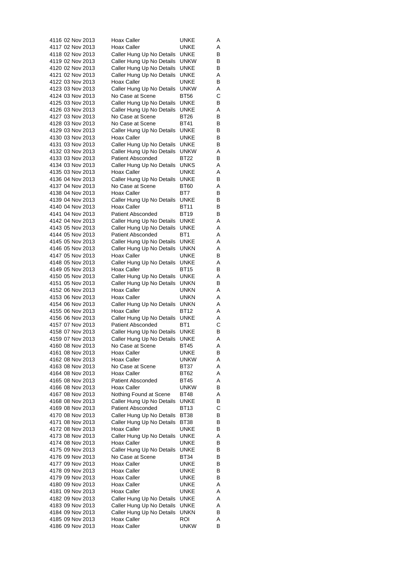| 4116 02 Nov 2013                     | <b>Hoax Caller</b>                                     | <b>UNKE</b>     | A      |
|--------------------------------------|--------------------------------------------------------|-----------------|--------|
| 4117 02 Nov 2013                     | Hoax Caller                                            | UNKE            | Α      |
| 4118 02 Nov 2013                     | Caller Hung Up No Details                              | UNKE            | В      |
| 4119 02 Nov 2013                     | Caller Hung Up No Details                              | unkw            | В      |
| 4120 02 Nov 2013                     | Caller Hung Up No Details                              | UNKE            | В      |
| 4121 02 Nov 2013                     | Caller Hung Up No Details                              | UNKE            | Α      |
| 4122 03 Nov 2013                     | <b>Hoax Caller</b>                                     | UNKE            | В      |
| 4123 03 Nov 2013<br>4124 03 Nov 2013 | Caller Hung Up No Details                              | UNKW<br>BT56    | Α<br>С |
| 4125 03 Nov 2013                     | No Case at Scene                                       | <b>UNKE</b>     |        |
| 4126 03 Nov 2013                     | Caller Hung Up No Details<br>Caller Hung Up No Details | UNKE            | В<br>Α |
| 4127 03 Nov 2013                     | No Case at Scene                                       | BT26            | В      |
| 4128 03 Nov 2013                     | No Case at Scene                                       | BT41            | В      |
| 4129 03 Nov 2013                     | Caller Hung Up No Details                              | <b>UNKE</b>     | В      |
| 4130 03 Nov 2013                     | <b>Hoax Caller</b>                                     | UNKE            | В      |
| 4131 03 Nov 2013                     | Caller Hung Up No Details                              | UNKE            | В      |
| 4132 03 Nov 2013                     | Caller Hung Up No Details                              | <b>UNKW</b>     | Α      |
| 4133 03 Nov 2013                     | <b>Patient Absconded</b>                               | BT22            | В      |
| 4134 03 Nov 2013                     | Caller Hung Up No Details                              | <b>UNKS</b>     | Α      |
| 4135 03 Nov 2013                     | Hoax Caller                                            | UNKE            | Α      |
| 4136 04 Nov 2013                     | Caller Hung Up No Details                              | UNKE            | В      |
| 4137 04 Nov 2013                     | No Case at Scene                                       | BT60            | Α      |
| 4138 04 Nov 2013                     | Hoax Caller                                            | BT7             | В      |
| 4139 04 Nov 2013                     | Caller Hung Up No Details                              | UNKE            | В      |
| 4140 04 Nov 2013                     | <b>Hoax Caller</b>                                     | BT11            | В      |
| 4141 04 Nov 2013                     | <b>Patient Absconded</b>                               | <b>BT19</b>     | В      |
| 4142 04 Nov 2013                     | Caller Hung Up No Details                              | <b>UNKE</b>     | Α      |
| 4143 05 Nov 2013                     | Caller Hung Up No Details                              | UNKE            | Α      |
| 4144 05 Nov 2013                     | <b>Patient Absconded</b>                               | BT1             | Α      |
| 4145 05 Nov 2013                     | Caller Hung Up No Details                              | UNKE            | Α      |
| 4146 05 Nov 2013                     | Caller Hung Up No Details                              | unkn            | Α      |
| 4147 05 Nov 2013<br>4148 05 Nov 2013 | Hoax Caller<br>Caller Hung Up No Details               | UNKE<br>UNKE    | В<br>Α |
| 4149 05 Nov 2013                     | Hoax Caller                                            | <b>BT15</b>     | В      |
| 4150 05 Nov 2013                     | Caller Hung Up No Details                              | UNKE            | Α      |
| 4151 05 Nov 2013                     | Caller Hung Up No Details                              | unkn            | В      |
| 4152 06 Nov 2013                     | Hoax Caller                                            | UNKN            | Α      |
| 4153 06 Nov 2013                     | Hoax Caller                                            | UNKN            | Α      |
| 4154 06 Nov 2013                     | Caller Hung Up No Details                              | UNKN            | Α      |
| 4155 06 Nov 2013                     | Hoax Caller                                            | BT12            | Α      |
| 4156 06 Nov 2013                     | Caller Hung Up No Details                              | <b>UNKE</b>     | Α      |
| 4157 07 Nov 2013                     | <b>Patient Absconded</b>                               | BT <sub>1</sub> | С      |
| 4158 07 Nov 2013                     | Caller Hung Up No Details                              | UNKE            | В      |
| 4159 07 Nov 2013                     | Caller Hung Up No Details                              | UNKE            | Α      |
| 4160 08 Nov 2013                     | No Case at Scene                                       | <b>BT45</b>     | Α      |
| 4161 08 Nov 2013                     | Hoax Caller                                            | UNKE            | В      |
| 4162 08 Nov 2013<br>4163 08 Nov 2013 | Hoax Caller<br>No Case at Scene                        | unkw            | Α      |
| 4164 08 Nov 2013                     | <b>Hoax Caller</b>                                     | BT37<br>BT62    | Α<br>Α |
| 4165 08 Nov 2013                     | <b>Patient Absconded</b>                               | <b>BT45</b>     | Α      |
| 4166 08 Nov 2013                     | <b>Hoax Caller</b>                                     | <b>UNKW</b>     | В      |
| 4167 08 Nov 2013                     | Nothing Found at Scene                                 | <b>BT48</b>     | Α      |
| 4168 08 Nov 2013                     | Caller Hung Up No Details                              | UNKE            | В      |
| 4169 08 Nov 2013                     | <b>Patient Absconded</b>                               | <b>BT13</b>     | С      |
| 4170 08 Nov 2013                     | Caller Hung Up No Details                              | <b>BT38</b>     | в      |
| 4171 08 Nov 2013                     | Caller Hung Up No Details                              | <b>BT38</b>     | В      |
| 4172 08 Nov 2013                     | <b>Hoax Caller</b>                                     | UNKE            | В      |
| 4173 08 Nov 2013                     | Caller Hung Up No Details                              | UNKE            | Α      |
| 4174 08 Nov 2013                     | Hoax Caller                                            | UNKE            | В      |
| 4175 09 Nov 2013                     | Caller Hung Up No Details                              | <b>UNKE</b>     | В      |
| 4176 09 Nov 2013                     | No Case at Scene                                       | BT34            | В      |
| 4177 09 Nov 2013                     | <b>Hoax Caller</b>                                     | UNKE            | В      |
| 4178 09 Nov 2013                     | Hoax Caller                                            | UNKE            | в      |
| 4179 09 Nov 2013                     | <b>Hoax Caller</b>                                     | UNKE            | В      |
| 4180 09 Nov 2013                     | <b>Hoax Caller</b>                                     | UNKE            | Α      |
| 4181 09 Nov 2013                     | <b>Hoax Caller</b>                                     | UNKE            | Α      |
| 4182 09 Nov 2013                     | Caller Hung Up No Details                              | UNKE            | Α      |
| 4183 09 Nov 2013                     | Caller Hung Up No Details                              | UNKE            | Α      |
| 4184 09 Nov 2013                     | Caller Hung Up No Details                              | UNKN            | В      |
| 4185 09 Nov 2013                     | Hoax Caller                                            | roi             | Α      |
| 4186 09 Nov 2013                     | <b>Hoax Caller</b>                                     | unkw            | В      |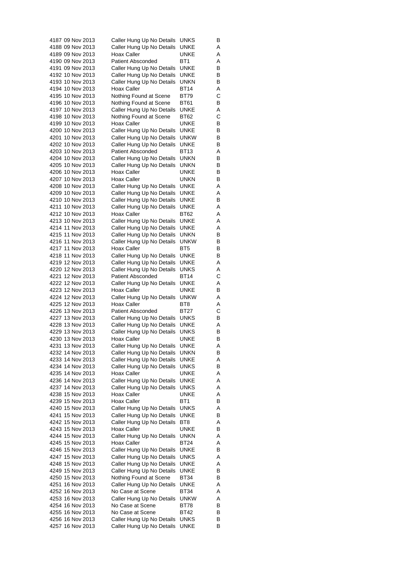| 4187 09 Nov 2013 | Caller Hung Up No Details | <b>UNKS</b>     | В |
|------------------|---------------------------|-----------------|---|
| 4188 09 Nov 2013 | Caller Hung Up No Details | UNKE            | Α |
| 4189 09 Nov 2013 | Hoax Caller               | UNKE            | Α |
| 4190 09 Nov 2013 | <b>Patient Absconded</b>  | BT1             | Α |
| 4191 09 Nov 2013 | Caller Hung Up No Details | UNKE            | В |
| 4192 10 Nov 2013 | Caller Hung Up No Details | UNKE            | В |
| 4193 10 Nov 2013 | Caller Hung Up No Details | unkn            | В |
| 4194 10 Nov 2013 | Hoax Caller               | BT14            | Α |
| 4195 10 Nov 2013 | Nothing Found at Scene    | BT79            | С |
| 4196 10 Nov 2013 | Nothing Found at Scene    | BT61            | В |
| 4197 10 Nov 2013 | Caller Hung Up No Details | UNKE            | Α |
| 4198 10 Nov 2013 | Nothing Found at Scene    | BT62            | С |
| 4199 10 Nov 2013 | Hoax Caller               | UNKE            | В |
| 4200 10 Nov 2013 | Caller Hung Up No Details | UNKE            | в |
| 4201 10 Nov 2013 | Caller Hung Up No Details | unkw            | В |
| 4202 10 Nov 2013 | Caller Hung Up No Details | UNKE            | В |
| 4203 10 Nov 2013 | <b>Patient Absconded</b>  | BT13            | Α |
| 4204 10 Nov 2013 | Caller Hung Up No Details | unkn            | В |
| 4205 10 Nov 2013 | Caller Hung Up No Details | unkn            | B |
| 4206 10 Nov 2013 | Hoax Caller               | UNKE            | В |
| 4207 10 Nov 2013 | Hoax Caller               | <b>UNKN</b>     | В |
| 4208 10 Nov 2013 | Caller Hung Up No Details | UNKE            | Α |
| 4209 10 Nov 2013 | Caller Hung Up No Details | UNKE            | Α |
| 4210 10 Nov 2013 | Caller Hung Up No Details | UNKE            | В |
| 4211 10 Nov 2013 | Caller Hung Up No Details | UNKE            | Α |
| 4212 10 Nov 2013 | Hoax Caller               | BT62            | Α |
| 4213 10 Nov 2013 | Caller Hung Up No Details | UNKE            | Α |
| 4214 11 Nov 2013 | Caller Hung Up No Details | UNKE            | Α |
| 4215 11 Nov 2013 | Caller Hung Up No Details | unkn            | B |
| 4216 11 Nov 2013 | Caller Hung Up No Details | unkw            | В |
| 4217 11 Nov 2013 | Hoax Caller               | BT <sub>5</sub> | В |
| 4218 11 Nov 2013 | Caller Hung Up No Details | UNKE            | В |
| 4219 12 Nov 2013 | Caller Hung Up No Details | UNKE            | Α |
| 4220 12 Nov 2013 | Caller Hung Up No Details | UNKS            | Α |
| 4221 12 Nov 2013 | <b>Patient Absconded</b>  | BT14            | С |
| 4222 12 Nov 2013 | Caller Hung Up No Details | UNKE            | Α |
| 4223 12 Nov 2013 | Hoax Caller               | UNKE            | В |
| 4224 12 Nov 2013 | Caller Hung Up No Details | unkw            | Α |
| 4225 12 Nov 2013 | Hoax Caller               | BT8             | Α |
| 4226 13 Nov 2013 | <b>Patient Absconded</b>  | BT27            | C |
| 4227 13 Nov 2013 | Caller Hung Up No Details | UNKS            | В |
| 4228 13 Nov 2013 | Caller Hung Up No Details | UNKE            | Α |
| 4229 13 Nov 2013 | Caller Hung Up No Details | <b>UNKS</b>     | В |
| 4230 13 Nov 2013 | Hoax Caller               | <b>UNKE</b>     | В |
| 4231 13 Nov 2013 | Caller Hung Up No Details | <b>UNKE</b>     | Α |
| 4232 14 Nov 2013 | Caller Hung Up No Details | unkn            | В |
| 4233 14 Nov 2013 | Caller Hung Up No Details | <b>UNKE</b>     | Α |
| 4234 14 Nov 2013 | Caller Hung Up No Details | UNKS            | В |
| 4235 14 Nov 2013 | Hoax Caller               | UNKE            | Α |
| 4236 14 Nov 2013 | Caller Hung Up No Details | UNKE            | Α |
| 4237 14 Nov 2013 | Caller Hung Up No Details | UNKS            | Α |
| 4238 15 Nov 2013 | Hoax Caller               | UNKE            | Α |
| 4239 15 Nov 2013 | Hoax Caller               | BT <sub>1</sub> | В |
| 4240 15 Nov 2013 | Caller Hung Up No Details | UNKS            | Α |
| 4241 15 Nov 2013 | Caller Hung Up No Details | UNKE            | в |
| 4242 15 Nov 2013 | Caller Hung Up No Details | BT8             | Α |
| 4243 15 Nov 2013 | <b>Hoax Caller</b>        | <b>UNKE</b>     | В |
| 4244 15 Nov 2013 | Caller Hung Up No Details | unkn            | Α |
| 4245 15 Nov 2013 | Hoax Caller               | BT24            | Α |
| 4246 15 Nov 2013 | Caller Hung Up No Details | UNKE            | В |
| 4247 15 Nov 2013 | Caller Hung Up No Details | <b>UNKS</b>     | Α |
| 4248 15 Nov 2013 | Caller Hung Up No Details | UNKE            | Α |
| 4249 15 Nov 2013 | Caller Hung Up No Details | UNKE            | В |
| 4250 15 Nov 2013 | Nothing Found at Scene    | BT34            | В |
| 4251 16 Nov 2013 | Caller Hung Up No Details | UNKE            | Α |
| 4252 16 Nov 2013 | No Case at Scene          | BT34            | Α |
| 4253 16 Nov 2013 | Caller Hung Up No Details | unkw            | Α |
| 4254 16 Nov 2013 | No Case at Scene          | BT78            | В |
| 4255 16 Nov 2013 | No Case at Scene          | BT42            | В |
| 4256 16 Nov 2013 | Caller Hung Up No Details | <b>UNKS</b>     | в |
| 4257 16 Nov 2013 | Caller Hung Up No Details | <b>UNKE</b>     | В |
|                  |                           |                 |   |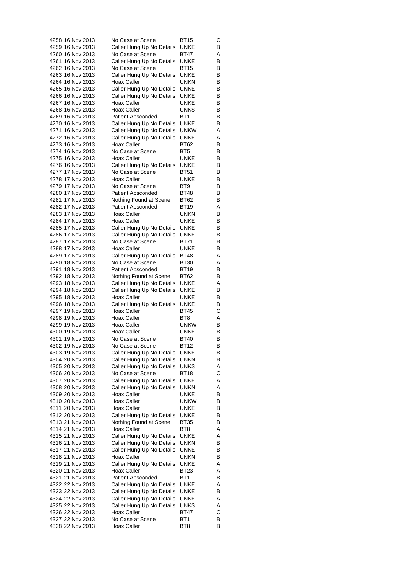| 4258 16 Nov 2013 |  | No Case at Scene          | BT15            | С |
|------------------|--|---------------------------|-----------------|---|
| 4259 16 Nov 2013 |  | Caller Hung Up No Details | UNKE            | В |
| 4260 16 Nov 2013 |  | No Case at Scene          | BT47            | Α |
| 4261 16 Nov 2013 |  | Caller Hung Up No Details | UNKE            | В |
| 4262 16 Nov 2013 |  | No Case at Scene          | BT15            | В |
| 4263 16 Nov 2013 |  | Caller Hung Up No Details | <b>UNKE</b>     | В |
| 4264 16 Nov 2013 |  | Hoax Caller               | unkn            | В |
| 4265 16 Nov 2013 |  | Caller Hung Up No Details | UNKE            | В |
| 4266 16 Nov 2013 |  | Caller Hung Up No Details | UNKE            | В |
| 4267 16 Nov 2013 |  | Hoax Caller               | UNKE            | В |
| 4268 16 Nov 2013 |  | Hoax Caller               | UNKS            | В |
| 4269 16 Nov 2013 |  | <b>Patient Absconded</b>  | BT1             | В |
| 4270 16 Nov 2013 |  | Caller Hung Up No Details | <b>UNKE</b>     | В |
| 4271 16 Nov 2013 |  | Caller Hung Up No Details | <b>UNKW</b>     | Α |
| 4272 16 Nov 2013 |  |                           | UNKE            |   |
|                  |  | Caller Hung Up No Details |                 | Α |
| 4273 16 Nov 2013 |  | Hoax Caller               | BT62            | В |
| 4274 16 Nov 2013 |  | No Case at Scene          | BT5             | В |
| 4275 16 Nov 2013 |  | Hoax Caller               | <b>UNKE</b>     | В |
| 4276 16 Nov 2013 |  | Caller Hung Up No Details | UNKE            | В |
| 4277 17 Nov 2013 |  | No Case at Scene          | <b>BT51</b>     | В |
| 4278 17 Nov 2013 |  | <b>Hoax Caller</b>        | UNKE            | В |
| 4279 17 Nov 2013 |  | No Case at Scene          | BT9             | В |
| 4280 17 Nov 2013 |  | Patient Absconded         | BT48            | В |
| 4281 17 Nov 2013 |  | Nothing Found at Scene    | <b>BT62</b>     | B |
| 4282 17 Nov 2013 |  | <b>Patient Absconded</b>  | <b>BT19</b>     | Α |
| 4283 17 Nov 2013 |  | Hoax Caller               | unkn            | В |
| 4284 17 Nov 2013 |  | Hoax Caller               | UNKE            | В |
| 4285 17 Nov 2013 |  | Caller Hung Up No Details | UNKE            | В |
| 4286 17 Nov 2013 |  | Caller Hung Up No Details | UNKE            | В |
| 4287 17 Nov 2013 |  | No Case at Scene          | <b>BT71</b>     | В |
| 4288 17 Nov 2013 |  | Hoax Caller               | UNKE            | В |
| 4289 17 Nov 2013 |  | Caller Hung Up No Details | BT48            | Α |
| 4290 18 Nov 2013 |  | No Case at Scene          | BT30            | Α |
| 4291 18 Nov 2013 |  | <b>Patient Absconded</b>  | BT19            | В |
| 4292 18 Nov 2013 |  | Nothing Found at Scene    | BT62            | В |
| 4293 18 Nov 2013 |  | Caller Hung Up No Details | UNKE            | Α |
| 4294 18 Nov 2013 |  | Caller Hung Up No Details | UNKE            | В |
| 4295 18 Nov 2013 |  | Hoax Caller               | UNKE            |   |
| 4296 18 Nov 2013 |  |                           |                 | В |
|                  |  | Caller Hung Up No Details | UNKE            | В |
| 4297 19 Nov 2013 |  | Hoax Caller               | BT45            | С |
| 4298 19 Nov 2013 |  | <b>Hoax Caller</b>        | BT8             | Α |
| 4299 19 Nov 2013 |  | Hoax Caller               | unkw            | В |
| 4300 19 Nov 2013 |  | Hoax Caller               | UNKE            | В |
| 4301 19 Nov 2013 |  | No Case at Scene          | <b>BT40</b>     | В |
| 4302 19 Nov 2013 |  | No Case at Scene          | <b>BT12</b>     | В |
| 4303 19 Nov 2013 |  | Caller Hung Up No Details | UNKE            | В |
| 4304 20 Nov 2013 |  | Caller Hung Up No Details | UNKN            | В |
| 4305 20 Nov 2013 |  | Caller Hung Up No Details | UNKS            | Α |
| 4306 20 Nov 2013 |  | No Case at Scene          | BT18            | С |
| 4307 20 Nov 2013 |  | Caller Hung Up No Details | UNKE            | Α |
| 4308 20 Nov 2013 |  | Caller Hung Up No Details | unkn            | Α |
| 4309 20 Nov 2013 |  | Hoax Caller               | UNKE            | В |
| 4310 20 Nov 2013 |  | Hoax Caller               | unkw            | В |
| 4311 20 Nov 2013 |  | Hoax Caller               | UNKE            | В |
| 4312 20 Nov 2013 |  | Caller Hung Up No Details | UNKE            | в |
| 4313 21 Nov 2013 |  | Nothing Found at Scene    | <b>BT35</b>     | В |
| 4314 21 Nov 2013 |  | Hoax Caller               | BT8             | Α |
| 4315 21 Nov 2013 |  | Caller Hung Up No Details | UNKE            | Α |
| 4316 21 Nov 2013 |  | Caller Hung Up No Details | unkn            | В |
| 4317 21 Nov 2013 |  | Caller Hung Up No Details | UNKE            | в |
|                  |  | Hoax Caller               | UNKN            | В |
| 4319 21 Nov 2013 |  | Caller Hung Up No Details | UNKE            | Α |
| 4320 21 Nov 2013 |  | Hoax Caller               | BT23            | Α |
| 4321 21 Nov 2013 |  | <b>Patient Absconded</b>  | BT1             | В |
| 4322 22 Nov 2013 |  | Caller Hung Up No Details | UNKE            | Α |
| 4323 22 Nov 2013 |  |                           | UNKE            | В |
|                  |  | Caller Hung Up No Details |                 |   |
| 4324 22 Nov 2013 |  | Caller Hung Up No Details | UNKE            | Α |
| 4325 22 Nov 2013 |  | Caller Hung Up No Details | UNKS            | Α |
| 4326 22 Nov 2013 |  | Hoax Caller               | BT47            | С |
| 4327 22 Nov 2013 |  | No Case at Scene          | BT <sub>1</sub> | в |
| 4328 22 Nov 2013 |  | Hoax Caller               | BT <sub>8</sub> | В |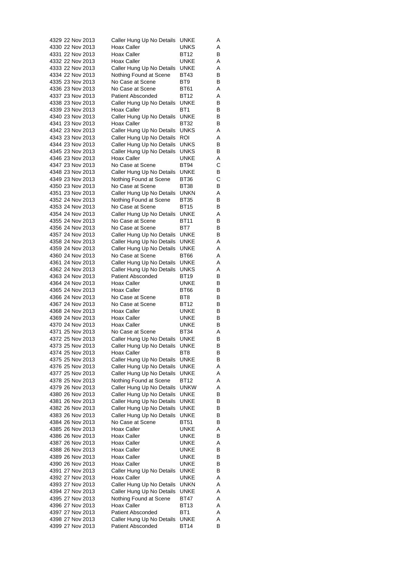| 4329 22 Nov 2013                     |  |                  | Caller Hung Up No Details                              | UNKE                | Α      |
|--------------------------------------|--|------------------|--------------------------------------------------------|---------------------|--------|
| 4330 22 Nov 2013                     |  |                  | Hoax Caller                                            | UNKS                | Α      |
| 4331 22 Nov 2013                     |  |                  | Hoax Caller                                            | <b>BT12</b>         | В      |
| 4332 22 Nov 2013                     |  |                  | Hoax Caller                                            | UNKE                | Α      |
| 4333 22 Nov 2013                     |  |                  | Caller Hung Up No Details                              | UNKE                | Α      |
| 4334 22 Nov 2013                     |  |                  | Nothing Found at Scene                                 | BT43                | В      |
| 4335 23 Nov 2013                     |  |                  | No Case at Scene                                       | BT9                 | В      |
| 4336 23 Nov 2013                     |  |                  | No Case at Scene                                       | <b>BT61</b>         | Α      |
| 4337 23 Nov 2013                     |  |                  | Patient Absconded                                      | BT12                | Α      |
| 4338 23 Nov 2013<br>4339 23 Nov 2013 |  |                  | Caller Hung Up No Details<br>Hoax Caller               | <b>UNKE</b><br>BT1  | В<br>В |
| 4340 23 Nov 2013                     |  |                  | Caller Hung Up No Details                              | UNKE                | В      |
| 4341 23 Nov 2013                     |  |                  | Hoax Caller                                            | BT32                | В      |
| 4342 23 Nov 2013                     |  |                  | Caller Hung Up No Details                              | <b>UNKS</b>         | Α      |
| 4343 23 Nov 2013                     |  |                  | Caller Hung Up No Details                              | ROI                 | Α      |
| 4344 23 Nov 2013                     |  |                  | Caller Hung Up No Details                              | UNKS                | В      |
| 4345 23 Nov 2013                     |  |                  | Caller Hung Up No Details                              | UNKS                | В      |
| 4346 23 Nov 2013                     |  |                  | Hoax Caller                                            | UNKE                | Α      |
| 4347 23 Nov 2013                     |  |                  | No Case at Scene                                       | BT94                | С      |
| 4348 23 Nov 2013                     |  |                  | Caller Hung Up No Details                              | UNKE                | В      |
| 4349 23 Nov 2013                     |  |                  | Nothing Found at Scene                                 | BT36                | С      |
| 4350 23 Nov 2013                     |  |                  | No Case at Scene                                       | <b>BT38</b>         | В      |
|                                      |  | 4351 23 Nov 2013 | Caller Hung Up No Details                              | unkn                | Α      |
|                                      |  | 4352 24 Nov 2013 | Nothing Found at Scene                                 | <b>BT35</b>         | В      |
| 4353 24 Nov 2013                     |  |                  | No Case at Scene                                       | BT15                | В      |
| 4354 24 Nov 2013                     |  |                  | Caller Hung Up No Details                              | UNKE                | Α      |
| 4355 24 Nov 2013<br>4356 24 Nov 2013 |  |                  | No Case at Scene<br>No Case at Scene                   | BT11<br>BT7         | В      |
| 4357 24 Nov 2013                     |  |                  | Caller Hung Up No Details                              | UNKE                | В<br>В |
| 4358 24 Nov 2013                     |  |                  | Caller Hung Up No Details                              | UNKE                | Α      |
| 4359 24 Nov 2013                     |  |                  | Caller Hung Up No Details                              | UNKE                | Α      |
| 4360 24 Nov 2013                     |  |                  | No Case at Scene                                       | BT66                | Α      |
| 4361 24 Nov 2013                     |  |                  | Caller Hung Up No Details                              | UNKE                | Α      |
| 4362 24 Nov 2013                     |  |                  | Caller Hung Up No Details                              | <b>UNKS</b>         | Α      |
| 4363 24 Nov 2013                     |  |                  | <b>Patient Absconded</b>                               | BT19                | В      |
| 4364 24 Nov 2013                     |  |                  | Hoax Caller                                            | UNKE                | В      |
|                                      |  | 4365 24 Nov 2013 | Hoax Caller                                            | BT66                | В      |
| 4366 24 Nov 2013                     |  |                  | No Case at Scene                                       | BT8                 | В      |
| 4367 24 Nov 2013                     |  |                  | No Case at Scene                                       | BT12                | В      |
| 4368 24 Nov 2013                     |  |                  | Hoax Caller                                            | UNKE                | В      |
| 4369 24 Nov 2013                     |  |                  | <b>Hoax Caller</b>                                     | UNKE                | В      |
| 4370 24 Nov 2013                     |  |                  | Hoax Caller                                            | <b>UNKE</b>         | В      |
| 4371 25 Nov 2013<br>4372 25 Nov 2013 |  |                  | No Case at Scene                                       | BT34                | Α      |
| 4373 25 Nov 2013                     |  |                  | Caller Hung Up No Details<br>Caller Hung Up No Details | UNKE                | В<br>в |
| 4374 25 Nov 2013                     |  |                  | Hoax Caller                                            | UNKE<br>BT8         | В      |
| 4375 25 Nov 2013                     |  |                  | Caller Hung Up No Details                              | UNKE                | В      |
| 4376 25 Nov 2013                     |  |                  | Caller Hung Up No Details                              | UNKE                | Α      |
| 4377 25 Nov 2013                     |  |                  | Caller Hung Up No Details                              | <b>UNKE</b>         | Α      |
| 4378 25 Nov 2013                     |  |                  | Nothing Found at Scene                                 | BT12                | Α      |
| 4379 26 Nov 2013                     |  |                  | Caller Hung Up No Details                              | <b>UNKW</b>         | Α      |
| 4380 26 Nov 2013                     |  |                  | Caller Hung Up No Details                              | UNKE                | В      |
| 4381 26 Nov 2013                     |  |                  | Caller Hung Up No Details                              | UNKE                | В      |
| 4382 26 Nov 2013                     |  |                  | Caller Hung Up No Details                              | <b>UNKE</b>         | В      |
| 4383 26 Nov 2013                     |  |                  | Caller Hung Up No Details                              | UNKE                | В      |
| 4384 26 Nov 2013                     |  |                  | No Case at Scene                                       | BT51                | В      |
| 4385 26 Nov 2013                     |  |                  | Hoax Caller                                            | UNKE                | Α      |
| 4386 26 Nov 2013                     |  |                  | Hoax Caller                                            | UNKE                | В      |
| 4387 26 Nov 2013                     |  |                  | Hoax Caller                                            | UNKE                | Α      |
| 4388 26 Nov 2013                     |  |                  | Hoax Caller                                            | UNKE                | В      |
| 4389 26 Nov 2013                     |  |                  | Hoax Caller                                            | UNKE                | В      |
| 4390 26 Nov 2013<br>4391 27 Nov 2013 |  |                  | Hoax Caller                                            | UNKE                | в<br>в |
| 4392 27 Nov 2013                     |  |                  | Caller Hung Up No Details<br>Hoax Caller               | UNKE<br><b>UNKE</b> |        |
| 4393 27 Nov 2013                     |  |                  | Caller Hung Up No Details                              | UNKN                | Α<br>Α |
| 4394 27 Nov 2013                     |  |                  | Caller Hung Up No Details                              | UNKE                | Α      |
| 4395 27 Nov 2013                     |  |                  | Nothing Found at Scene                                 | BT47                | Α      |
| 4396 27 Nov 2013                     |  |                  | <b>Hoax Caller</b>                                     | <b>BT13</b>         | Α      |
| 4397 27 Nov 2013                     |  |                  | <b>Patient Absconded</b>                               | BT1                 | Α      |
| 4398 27 Nov 2013                     |  |                  | Caller Hung Up No Details                              | UNKE                | Α      |
| 4399 27 Nov 2013                     |  |                  | <b>Patient Absconded</b>                               | BT14                | В      |
|                                      |  |                  |                                                        |                     |        |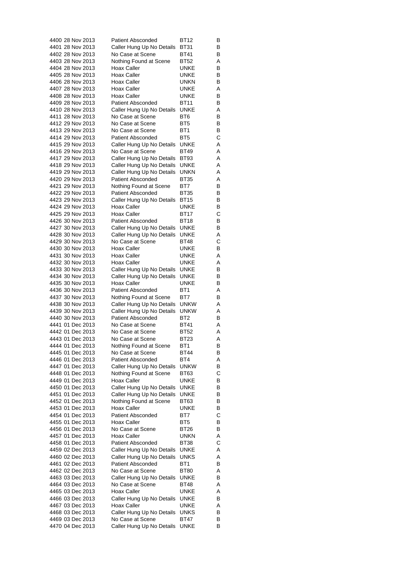| 4400 28 Nov 2013 |  | <b>Patient Absconded</b>  | BT12            | В |
|------------------|--|---------------------------|-----------------|---|
| 4401 28 Nov 2013 |  | Caller Hung Up No Details | BT31            | В |
| 4402 28 Nov 2013 |  | No Case at Scene          | BT41            | В |
| 4403 28 Nov 2013 |  | Nothing Found at Scene    | BT52            | Α |
| 4404 28 Nov 2013 |  | Hoax Caller               | <b>UNKE</b>     | В |
| 4405 28 Nov 2013 |  | Hoax Caller               | UNKE            | В |
| 4406 28 Nov 2013 |  | Hoax Caller               | unkn            | В |
| 4407 28 Nov 2013 |  | Hoax Caller               | UNKE            | Α |
| 4408 28 Nov 2013 |  | Hoax Caller               | UNKE            | В |
| 4409 28 Nov 2013 |  | <b>Patient Absconded</b>  | <b>BT11</b>     | В |
| 4410 28 Nov 2013 |  | Caller Hung Up No Details | <b>UNKE</b>     | Α |
| 4411 28 Nov 2013 |  | No Case at Scene          | BT6             | В |
| 4412 29 Nov 2013 |  | No Case at Scene          | BT5             | В |
| 4413 29 Nov 2013 |  | No Case at Scene          | BT1             | В |
| 4414 29 Nov 2013 |  | <b>Patient Absconded</b>  | BT <sub>5</sub> | С |
| 4415 29 Nov 2013 |  | Caller Hung Up No Details | UNKE            | Α |
| 4416 29 Nov 2013 |  | No Case at Scene          | BT49            | Α |
| 4417 29 Nov 2013 |  | Caller Hung Up No Details | BT93            | Α |
| 4418 29 Nov 2013 |  | Caller Hung Up No Details | UNKE            | Α |
| 4419 29 Nov 2013 |  | Caller Hung Up No Details | unkn            | Α |
| 4420 29 Nov 2013 |  | <b>Patient Absconded</b>  | BT35            | Α |
| 4421 29 Nov 2013 |  | Nothing Found at Scene    | BT7             | В |
| 4422 29 Nov 2013 |  | <b>Patient Absconded</b>  | <b>BT35</b>     | В |
| 4423 29 Nov 2013 |  | Caller Hung Up No Details | <b>BT15</b>     | В |
| 4424 29 Nov 2013 |  | Hoax Caller               | UNKE            | В |
| 4425 29 Nov 2013 |  | Hoax Caller               | <b>BT17</b>     | С |
| 4426 30 Nov 2013 |  | <b>Patient Absconded</b>  | <b>BT18</b>     | В |
| 4427 30 Nov 2013 |  | Caller Hung Up No Details | UNKE            | В |
| 4428 30 Nov 2013 |  | Caller Hung Up No Details | <b>UNKE</b>     | Α |
| 4429 30 Nov 2013 |  | No Case at Scene          | BT48            | C |
| 4430 30 Nov 2013 |  | Hoax Caller               | UNKE            | В |
| 4431 30 Nov 2013 |  | Hoax Caller               | UNKE            | Α |
| 4432 30 Nov 2013 |  | Hoax Caller               | UNKE            | Α |
| 4433 30 Nov 2013 |  | Caller Hung Up No Details | <b>UNKE</b>     | В |
| 4434 30 Nov 2013 |  | Caller Hung Up No Details | UNKE            | В |
| 4435 30 Nov 2013 |  | Hoax Caller               | UNKE            | В |
| 4436 30 Nov 2013 |  | <b>Patient Absconded</b>  | BT1             | Α |
| 4437 30 Nov 2013 |  | Nothing Found at Scene    | BT7             | В |
| 4438 30 Nov 2013 |  | Caller Hung Up No Details | <b>UNKW</b>     | Α |
| 4439 30 Nov 2013 |  | Caller Hung Up No Details | <b>UNKW</b>     | Α |
| 4440 30 Nov 2013 |  | <b>Patient Absconded</b>  | BT <sub>2</sub> | B |
| 4441 01 Dec 2013 |  | No Case at Scene          | <b>BT41</b>     | Α |
| 4442 01 Dec 2013 |  | No Case at Scene          | BT52            | Α |
| 4443 01 Dec 2013 |  | No Case at Scene          | BT23            | Α |
| 4444 01 Dec 2013 |  | Nothing Found at Scene    | BT1             | В |
| 4445 01 Dec 2013 |  | No Case at Scene          | BT44            | В |
| 4446 01 Dec 2013 |  | <b>Patient Absconded</b>  | BT4             | Α |
| 4447 01 Dec 2013 |  | Caller Hung Up No Details | unkw            | В |
| 4448 01 Dec 2013 |  | Nothing Found at Scene    | BT63            | С |
| 4449 01 Dec 2013 |  | Hoax Caller               | UNKE            | В |
| 4450 01 Dec 2013 |  | Caller Hung Up No Details | UNKE            | В |
| 4451 01 Dec 2013 |  | Caller Hung Up No Details | UNKE            | В |
| 4452 01 Dec 2013 |  | Nothing Found at Scene    | BT63            | В |
| 4453 01 Dec 2013 |  | Hoax Caller               | UNKE            | В |
| 4454 01 Dec 2013 |  | <b>Patient Absconded</b>  | BT7             | С |
| 4455 01 Dec 2013 |  | Hoax Caller               | BT5             | В |
| 4456 01 Dec 2013 |  | No Case at Scene          | BT26            | В |
| 4457 01 Dec 2013 |  | Hoax Caller               | UNKN            | Α |
| 4458 01 Dec 2013 |  | <b>Patient Absconded</b>  | BT38            | С |
| 4459 02 Dec 2013 |  | Caller Hung Up No Details | UNKE            | Α |
| 4460 02 Dec 2013 |  | Caller Hung Up No Details | UNKS            | Α |
| 4461 02 Dec 2013 |  | <b>Patient Absconded</b>  | BT <sub>1</sub> | в |
| 4462 02 Dec 2013 |  | No Case at Scene          | <b>BT80</b>     | Α |
| 4463 03 Dec 2013 |  | Caller Hung Up No Details | UNKE            | В |
| 4464 03 Dec 2013 |  | No Case at Scene          | BT48            | Α |
| 4465 03 Dec 2013 |  | Hoax Caller               | UNKE            | Α |
| 4466 03 Dec 2013 |  | Caller Hung Up No Details | UNKE            | в |
| 4467 03 Dec 2013 |  | Hoax Caller               | UNKE            | Α |
| 4468 03 Dec 2013 |  | Caller Hung Up No Details | UNKS            | в |
| 4469 03 Dec 2013 |  | No Case at Scene          | BT47            | в |
| 4470 04 Dec 2013 |  | Caller Hung Up No Details | <b>UNKE</b>     | В |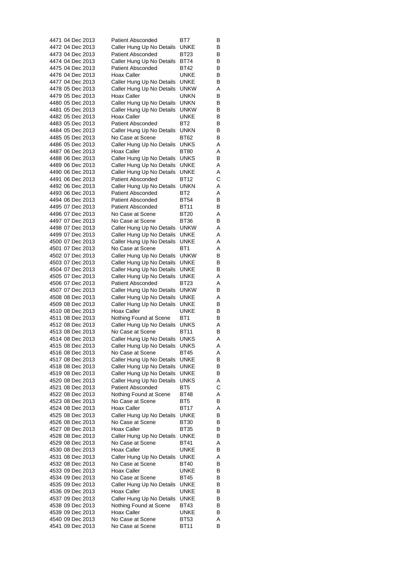| 4471 04 Dec 2013 | <b>Patient Absconded</b>  | BT7         | В |
|------------------|---------------------------|-------------|---|
| 4472 04 Dec 2013 | Caller Hung Up No Details | UNKE        | B |
| 4473 04 Dec 2013 | <b>Patient Absconded</b>  | BT23        | В |
| 4474 04 Dec 2013 | Caller Hung Up No Details | BT74        | в |
| 4475 04 Dec 2013 | <b>Patient Absconded</b>  | BT42        | В |
| 4476 04 Dec 2013 | Hoax Caller               | UNKE        | В |
| 4477 04 Dec 2013 | Caller Hung Up No Details | UNKE        | В |
| 4478 05 Dec 2013 | Caller Hung Up No Details | unkw        | Α |
| 4479 05 Dec 2013 | Hoax Caller               | UNKN        | В |
| 4480 05 Dec 2013 | Caller Hung Up No Details | unkn        | В |
| 4481 05 Dec 2013 | Caller Hung Up No Details | unkw        | В |
| 4482 05 Dec 2013 | Hoax Caller               | UNKE        | В |
| 4483 05 Dec 2013 | <b>Patient Absconded</b>  | BT2         | В |
| 4484 05 Dec 2013 | Caller Hung Up No Details | unkn        | В |
| 4485 05 Dec 2013 |                           | BT62        |   |
|                  | No Case at Scene          |             | В |
| 4486 05 Dec 2013 | Caller Hung Up No Details | UNKS        | Α |
| 4487 06 Dec 2013 | Hoax Caller               | BT80        | Α |
| 4488 06 Dec 2013 | Caller Hung Up No Details | UNKS        | В |
| 4489 06 Dec 2013 | Caller Hung Up No Details | UNKE        | Α |
| 4490 06 Dec 2013 | Caller Hung Up No Details | UNKE        | Α |
| 4491 06 Dec 2013 | <b>Patient Absconded</b>  | BT12        | C |
| 4492 06 Dec 2013 | Caller Hung Up No Details | unkn        | Α |
| 4493 06 Dec 2013 | <b>Patient Absconded</b>  | BT2         | Α |
| 4494 06 Dec 2013 | <b>Patient Absconded</b>  | BT54        | В |
| 4495 07 Dec 2013 | <b>Patient Absconded</b>  | BT11        | В |
| 4496 07 Dec 2013 | No Case at Scene          | BT20        | Α |
| 4497 07 Dec 2013 | No Case at Scene          | BT36        | В |
| 4498 07 Dec 2013 | Caller Hung Up No Details | unkw        | Α |
| 4499 07 Dec 2013 | Caller Hung Up No Details | UNKE        | Α |
| 4500 07 Dec 2013 | Caller Hung Up No Details | UNKE        | Α |
| 4501 07 Dec 2013 | No Case at Scene          | BT1         | Α |
| 4502 07 Dec 2013 | Caller Hung Up No Details | unkw        | В |
| 4503 07 Dec 2013 | Caller Hung Up No Details | UNKE        | В |
| 4504 07 Dec 2013 | Caller Hung Up No Details | UNKE        | В |
| 4505 07 Dec 2013 | Caller Hung Up No Details | <b>UNKE</b> | Α |
| 4506 07 Dec 2013 | <b>Patient Absconded</b>  | BT23        | Α |
| 4507 07 Dec 2013 | Caller Hung Up No Details | unkw        | В |
| 4508 08 Dec 2013 | Caller Hung Up No Details | UNKE        | Α |
| 4509 08 Dec 2013 | Caller Hung Up No Details | UNKE        | В |
| 4510 08 Dec 2013 | Hoax Caller               | UNKE        | В |
| 4511 08 Dec 2013 | Nothing Found at Scene    | BT1         | В |
| 4512 08 Dec 2013 | Caller Hung Up No Details | UNKS        | Α |
| 4513 08 Dec 2013 | No Case at Scene          | BT11        | В |
| 4514 08 Dec 2013 | Caller Hung Up No Details | <b>UNKS</b> | Α |
| 4515 08 Dec 2013 | Caller Hung Up No Details | UNKS        | Α |
| 4516 08 Dec 2013 | No Case at Scene          | BT45        | Α |
| 4517 08 Dec 2013 | Caller Hung Up No Details | UNKE        | В |
| 4518 08 Dec 2013 | Caller Hung Up No Details | UNKE        | В |
| 4519 08 Dec 2013 | Caller Hung Up No Details | UNKE        | В |
| 4520 08 Dec 2013 | Caller Hung Up No Details | UNKS        | Α |
| 4521 08 Dec 2013 | <b>Patient Absconded</b>  | BT5         | С |
| 4522 08 Dec 2013 | Nothing Found at Scene    | BT48        | Α |
|                  |                           |             |   |
| 4523 08 Dec 2013 | No Case at Scene          | BT5         | В |
| 4524 08 Dec 2013 | Hoax Caller               | BT17        | Α |
| 4525 08 Dec 2013 | Caller Hung Up No Details | UNKE        | в |
| 4526 08 Dec 2013 | No Case at Scene          | <b>BT30</b> | В |
| 4527 08 Dec 2013 | Hoax Caller               | <b>BT35</b> | В |
| 4528 08 Dec 2013 | Caller Hung Up No Details | UNKE        | В |
| 4529 08 Dec 2013 | No Case at Scene          | BT41        | Α |
| 4530 08 Dec 2013 | Hoax Caller               | UNKE        | в |
| 4531 08 Dec 2013 | Caller Hung Up No Details | UNKE        | Α |
| 4532 08 Dec 2013 | No Case at Scene          | BT40        | в |
| 4533 09 Dec 2013 | Hoax Caller               | UNKE        | В |
| 4534 09 Dec 2013 | No Case at Scene          | BT45        | В |
| 4535 09 Dec 2013 | Caller Hung Up No Details | UNKE        | в |
| 4536 09 Dec 2013 | Hoax Caller               | UNKE        | В |
| 4537 09 Dec 2013 | Caller Hung Up No Details | UNKE        | в |
| 4538 09 Dec 2013 | Nothing Found at Scene    | BT43        | В |
| 4539 09 Dec 2013 | Hoax Caller               | UNKE        | в |
| 4540 09 Dec 2013 | No Case at Scene          | <b>BT53</b> | Α |
| 4541 09 Dec 2013 | No Case at Scene          | BT11        | В |
|                  |                           |             |   |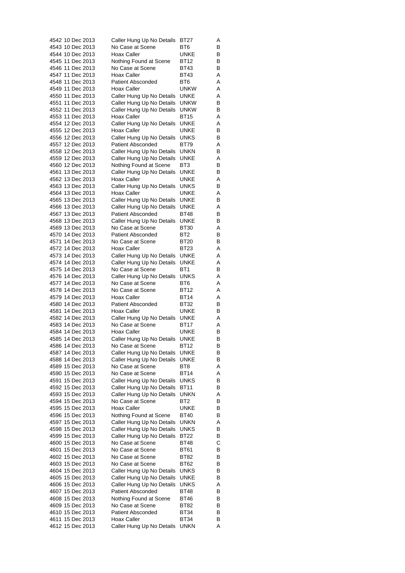| 4542 10 Dec 2013                     | Caller Hung Up No Details                             | BT27                | Α      |
|--------------------------------------|-------------------------------------------------------|---------------------|--------|
| 4543 10 Dec 2013                     | No Case at Scene                                      | BT6                 | В      |
| 4544 10 Dec 2013                     | Hoax Caller                                           | UNKE                | В      |
| 4545 11 Dec 2013                     | Nothing Found at Scene                                | BT12                | В      |
| 4546 11 Dec 2013                     | No Case at Scene<br>Hoax Caller                       | BT43                | В      |
| 4547 11 Dec 2013<br>4548 11 Dec 2013 | <b>Patient Absconded</b>                              | BT43<br>BT6         | Α<br>Α |
| 4549 11 Dec 2013                     | Hoax Caller                                           | <b>UNKW</b>         | Α      |
| 4550 11 Dec 2013                     | Caller Hung Up No Details                             | UNKE                | Α      |
| 4551 11 Dec 2013                     | Caller Hung Up No Details                             | <b>UNKW</b>         | В      |
| 4552 11 Dec 2013                     | Caller Hung Up No Details                             | <b>UNKW</b>         | В      |
| 4553 11 Dec 2013                     | Hoax Caller                                           | BT15                | Α      |
| 4554 12 Dec 2013                     | Caller Hung Up No Details                             | <b>UNKE</b>         | Α      |
| 4555 12 Dec 2013                     | Hoax Caller                                           | UNKE                | В      |
| 4556 12 Dec 2013                     | Caller Hung Up No Details                             | UNKS                | В      |
| 4557 12 Dec 2013                     | <b>Patient Absconded</b>                              | BT79                | Α      |
| 4558 12 Dec 2013                     | Caller Hung Up No Details                             | unkn                | В      |
| 4559 12 Dec 2013                     | Caller Hung Up No Details                             | UNKE                | Α      |
| 4560 12 Dec 2013                     | Nothing Found at Scene                                | BT3                 | B      |
| 4561 13 Dec 2013                     | Caller Hung Up No Details                             | UNKE                | В      |
| 4562 13 Dec 2013                     | <b>Hoax Caller</b>                                    | UNKE                | Α      |
| 4563 13 Dec 2013                     | Caller Hung Up No Details                             | <b>UNKS</b>         | В      |
| 4564 13 Dec 2013                     | <b>Hoax Caller</b>                                    | UNKE                | Α      |
| 4565 13 Dec 2013                     | Caller Hung Up No Details                             | UNKE                | В      |
| 4566 13 Dec 2013                     | Caller Hung Up No Details                             | UNKE                | Α      |
| 4567 13 Dec 2013<br>4568 13 Dec 2013 | <b>Patient Absconded</b><br>Caller Hung Up No Details | BT48<br>UNKE        | В<br>В |
| 4569 13 Dec 2013                     | No Case at Scene                                      | BT30                | Α      |
| 4570 14 Dec 2013                     | <b>Patient Absconded</b>                              | BT2                 | B      |
| 4571 14 Dec 2013                     | No Case at Scene                                      | BT20                | В      |
| 4572 14 Dec 2013                     | Hoax Caller                                           | BT23                | Α      |
| 4573 14 Dec 2013                     | Caller Hung Up No Details                             | UNKE                | Α      |
| 4574 14 Dec 2013                     | Caller Hung Up No Details                             | <b>UNKE</b>         | Α      |
| 4575 14 Dec 2013                     | No Case at Scene                                      | BT1                 | B      |
| 4576 14 Dec 2013                     | Caller Hung Up No Details                             | <b>UNKS</b>         | Α      |
| 4577 14 Dec 2013                     | No Case at Scene                                      | BT6                 | Α      |
| 4578 14 Dec 2013                     | No Case at Scene                                      | BT12                | Α      |
| 4579 14 Dec 2013                     | Hoax Caller                                           | <b>BT14</b>         | Α      |
| 4580 14 Dec 2013                     | <b>Patient Absconded</b>                              | BT32                | В      |
| 4581 14 Dec 2013                     | Hoax Caller                                           | UNKE                | В      |
| 4582 14 Dec 2013                     | Caller Hung Up No Details                             | UNKE                | Α      |
| 4583 14 Dec 2013                     | No Case at Scene                                      | <b>BT17</b>         | Α      |
| 4584 14 Dec 2013<br>4585 14 Dec 2013 | Hoax Caller                                           | UNKE                | В      |
|                                      | Caller Hung Up No Details<br>No Case at Scene         | UNKE                | В      |
| 4586 14 Dec 2013<br>4587 14 Dec 2013 | Caller Hung Up No Details                             | BT12<br><b>UNKE</b> | В<br>В |
| 4588 14 Dec 2013                     | Caller Hung Up No Details                             | UNKE                | В      |
| 4589 15 Dec 2013                     | No Case at Scene                                      | BT8                 | Α      |
| 4590 15 Dec 2013                     | No Case at Scene                                      | <b>BT14</b>         | Α      |
| 4591 15 Dec 2013                     | Caller Hung Up No Details                             | UNKS                | В      |
| 4592 15 Dec 2013                     | Caller Hung Up No Details                             | BT11                | В      |
| 4593 15 Dec 2013                     | Caller Hung Up No Details                             | unkn                | Α      |
| 4594 15 Dec 2013                     | No Case at Scene                                      | BT <sub>2</sub>     | В      |
| 4595 15 Dec 2013                     | Hoax Caller                                           | UNKE                | В      |
| 4596 15 Dec 2013                     | Nothing Found at Scene                                | <b>BT40</b>         | в      |
| 4597 15 Dec 2013                     | Caller Hung Up No Details                             | unkn                | Α      |
| 4598 15 Dec 2013                     | Caller Hung Up No Details                             | UNKS                | в      |
| 4599 15 Dec 2013                     | Caller Hung Up No Details                             | BT22                | В      |
| 4600 15 Dec 2013                     | No Case at Scene                                      | BT48                | С      |
| 4601 15 Dec 2013                     | No Case at Scene                                      | BT61                | В      |
| 4602 15 Dec 2013                     | No Case at Scene                                      | BT82                | В      |
| 4603 15 Dec 2013                     | No Case at Scene                                      | BT62                | В      |
| 4604 15 Dec 2013                     | Caller Hung Up No Details                             | UNKS                | В      |
| 4605 15 Dec 2013                     | Caller Hung Up No Details                             | UNKE                | В      |
| 4606 15 Dec 2013<br>4607 15 Dec 2013 | Caller Hung Up No Details<br><b>Patient Absconded</b> | UNKS<br>BT48        | Α<br>В |
| 4608 15 Dec 2013                     | Nothing Found at Scene                                | BT46                | в      |
| 4609 15 Dec 2013                     | No Case at Scene                                      | BT82                | В      |
| 4610 15 Dec 2013                     | <b>Patient Absconded</b>                              | BT34                | В      |
| 4611 15 Dec 2013                     | Hoax Caller                                           | BT34                | В      |
| 4612 15 Dec 2013                     | Caller Hung Up No Details                             | <b>UNKN</b>         | Α      |
|                                      |                                                       |                     |        |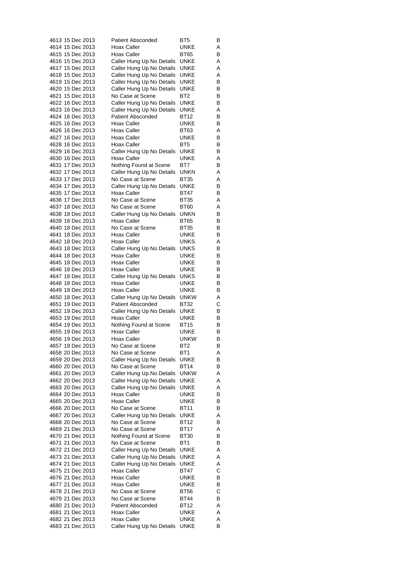| 4613 15 Dec 2013                     |  | <b>Patient Absconded</b>                               | BT5                 | В      |
|--------------------------------------|--|--------------------------------------------------------|---------------------|--------|
| 4614 15 Dec 2013                     |  | Hoax Caller                                            | UNKE                | Α      |
| 4615 15 Dec 2013                     |  | Hoax Caller                                            | BT65                | В      |
| 4616 15 Dec 2013                     |  | Caller Hung Up No Details                              | <b>UNKE</b>         | Α      |
| 4617 15 Dec 2013<br>4618 15 Dec 2013 |  | Caller Hung Up No Details<br>Caller Hung Up No Details | UNKE<br>UNKE        | Α<br>Α |
| 4619 15 Dec 2013                     |  | Caller Hung Up No Details                              | UNKE                | В      |
| 4620 15 Dec 2013                     |  | Caller Hung Up No Details                              | UNKE                | В      |
| 4621 15 Dec 2013                     |  | No Case at Scene                                       | BT2                 | В      |
| 4622 16 Dec 2013                     |  | Caller Hung Up No Details                              | <b>UNKE</b>         | В      |
| 4623 16 Dec 2013                     |  | Caller Hung Up No Details                              | UNKE                | Α      |
| 4624 16 Dec 2013                     |  | <b>Patient Absconded</b>                               | <b>BT12</b>         | В      |
| 4625 16 Dec 2013                     |  | Hoax Caller                                            | <b>UNKE</b>         | В      |
| 4626 16 Dec 2013                     |  | Hoax Caller                                            | BT63                | Α      |
| 4627 16 Dec 2013                     |  | Hoax Caller<br>Hoax Caller                             | UNKE                | В<br>В |
| 4628 16 Dec 2013<br>4629 16 Dec 2013 |  | Caller Hung Up No Details                              | BT5<br>UNKE         | В      |
| 4630 16 Dec 2013                     |  | Hoax Caller                                            | UNKE                | Α      |
| 4631 17 Dec 2013                     |  | Nothing Found at Scene                                 | BT7                 | В      |
| 4632 17 Dec 2013                     |  | Caller Hung Up No Details                              | UNKN                | Α      |
| 4633 17 Dec 2013                     |  | No Case at Scene                                       | <b>BT35</b>         | Α      |
| 4634 17 Dec 2013                     |  | Caller Hung Up No Details                              | UNKE                | В      |
| 4635 17 Dec 2013                     |  | Hoax Caller                                            | <b>BT47</b>         | В      |
| 4636 17 Dec 2013                     |  | No Case at Scene                                       | <b>BT35</b>         | Α      |
| 4637 18 Dec 2013<br>4638 18 Dec 2013 |  | No Case at Scene<br>Caller Hung Up No Details          | BT60                | Α      |
| 4639 18 Dec 2013                     |  | Hoax Caller                                            | UNKN<br><b>BT65</b> | В<br>В |
| 4640 18 Dec 2013                     |  | No Case at Scene                                       | <b>BT35</b>         | В      |
| 4641 18 Dec 2013                     |  | Hoax Caller                                            | UNKE                | В      |
| 4642 18 Dec 2013                     |  | Hoax Caller                                            | UNKS                | Α      |
| 4643 18 Dec 2013                     |  | Caller Hung Up No Details                              | UNKS                | В      |
| 4644 18 Dec 2013                     |  | Hoax Caller                                            | UNKE                | В      |
| 4645 18 Dec 2013                     |  | Hoax Caller                                            | UNKE                | В      |
| 4646 18 Dec 2013                     |  | Hoax Caller                                            | UNKE                | B      |
| 4647 18 Dec 2013<br>4648 18 Dec 2013 |  | Caller Hung Up No Details<br>Hoax Caller               | <b>UNKS</b><br>UNKE | В<br>В |
| 4649 18 Dec 2013                     |  | Hoax Caller                                            | UNKE                | В      |
| 4650 18 Dec 2013                     |  | Caller Hung Up No Details                              | <b>UNKW</b>         | Α      |
| 4651 19 Dec 2013                     |  | <b>Patient Absconded</b>                               | <b>BT32</b>         | С      |
| 4652 19 Dec 2013                     |  | Caller Hung Up No Details                              | UNKE                | В      |
| 4653 19 Dec 2013                     |  | <b>Hoax Caller</b>                                     | UNKE                | В      |
| 4654 19 Dec 2013                     |  | Nothing Found at Scene                                 | <b>BT15</b>         | В      |
| 4655 19 Dec 2013<br>4656 19 Dec 2013 |  | Hoax Caller<br>Hoax Caller                             | UNKE<br>unkw        | В<br>B |
| 4657 19 Dec 2013                     |  | No Case at Scene                                       | BT2                 | в      |
| 4658 20 Dec 2013                     |  | No Case at Scene                                       | BT1                 | Α      |
| 4659 20 Dec 2013                     |  | Caller Hung Up No Details                              | UNKE                | В      |
| 4660 20 Dec 2013                     |  | No Case at Scene                                       | <b>BT14</b>         | В      |
| 4661 20 Dec 2013                     |  | Caller Hung Up No Details                              | <b>UNKW</b>         | Α      |
| 4662 20 Dec 2013                     |  | Caller Hung Up No Details                              | UNKE                | Α      |
| 4663 20 Dec 2013                     |  | Caller Hung Up No Details                              | UNKE                | Α      |
| 4664 20 Dec 2013                     |  | Hoax Caller                                            | UNKE                | В      |
| 4665 20 Dec 2013<br>4666 20 Dec 2013 |  | Hoax Caller<br>No Case at Scene                        | UNKE<br>BT11        | В<br>В |
| 4667 20 Dec 2013                     |  | Caller Hung Up No Details                              | UNKE                | Α      |
| 4668 20 Dec 2013                     |  | No Case at Scene                                       | BT12                | В      |
| 4669 21 Dec 2013                     |  | No Case at Scene                                       | <b>BT17</b>         | Α      |
| 4670 21 Dec 2013                     |  | Nothing Found at Scene                                 | <b>BT30</b>         | В      |
| 4671 21 Dec 2013                     |  | No Case at Scene                                       | BT1                 | В      |
| 4672 21 Dec 2013                     |  | Caller Hung Up No Details                              | UNKE                | Α      |
| 4673 21 Dec 2013                     |  | Caller Hung Up No Details                              | UNKE                | Α      |
| 4674 21 Dec 2013                     |  | Caller Hung Up No Details                              | UNKE                | Α      |
| 4675 21 Dec 2013<br>4676 21 Dec 2013 |  | Hoax Caller<br>Hoax Caller                             | BT47<br>UNKE        | С<br>В |
| 4677 21 Dec 2013                     |  | Hoax Caller                                            | UNKE                | В      |
| 4678 21 Dec 2013                     |  | No Case at Scene                                       | <b>BT56</b>         | С      |
| 4679 21 Dec 2013                     |  | No Case at Scene                                       | BT44                | В      |
| 4680 21 Dec 2013                     |  | <b>Patient Absconded</b>                               | BT12                | Α      |
| 4681 21 Dec 2013                     |  | Hoax Caller                                            | UNKE                | Α      |
| 4682 21 Dec 2013                     |  | Hoax Caller                                            | UNKE                | Α      |
| 4683 21 Dec 2013                     |  | Caller Hung Up No Details                              | <b>UNKE</b>         | В      |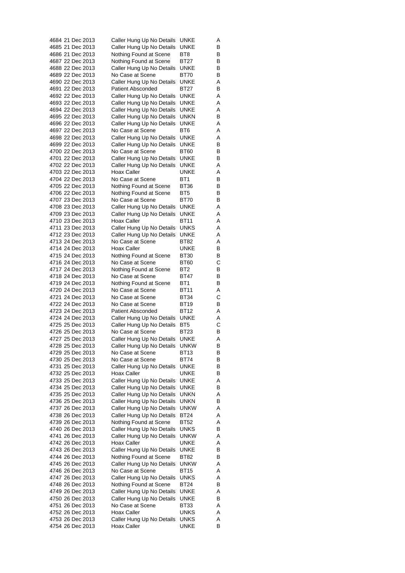|  | 4684 21 Dec 2013 | Caller Hung Up No Details | UNKE        | A |
|--|------------------|---------------------------|-------------|---|
|  | 4685 21 Dec 2013 | Caller Hung Up No Details | UNKE        | В |
|  | 4686 21 Dec 2013 | Nothing Found at Scene    | BT8         | В |
|  | 4687 22 Dec 2013 | Nothing Found at Scene    | BT27        | В |
|  | 4688 22 Dec 2013 | Caller Hung Up No Details | UNKE        | В |
|  | 4689 22 Dec 2013 | No Case at Scene          | BT70        | В |
|  | 4690 22 Dec 2013 | Caller Hung Up No Details | <b>UNKE</b> | Α |
|  | 4691 22 Dec 2013 | Patient Absconded         | BT27        | В |
|  | 4692 22 Dec 2013 | Caller Hung Up No Details | UNKE        | Α |
|  | 4693 22 Dec 2013 | Caller Hung Up No Details | UNKE        | Α |
|  | 4694 22 Dec 2013 | Caller Hung Up No Details | UNKE        | A |
|  | 4695 22 Dec 2013 | Caller Hung Up No Details | unkn        | В |
|  | 4696 22 Dec 2013 | Caller Hung Up No Details | UNKE        | Α |
|  | 4697 22 Dec 2013 | No Case at Scene          | BT6         | A |
|  | 4698 22 Dec 2013 | Caller Hung Up No Details | <b>UNKE</b> | Α |
|  | 4699 22 Dec 2013 | Caller Hung Up No Details | UNKE        | В |
|  | 4700 22 Dec 2013 | No Case at Scene          | BT60        | В |
|  | 4701 22 Dec 2013 | Caller Hung Up No Details | <b>UNKE</b> | В |
|  | 4702 22 Dec 2013 | Caller Hung Up No Details | UNKE        | Α |
|  | 4703 22 Dec 2013 | Hoax Caller               | UNKE        | Α |
|  | 4704 22 Dec 2013 | No Case at Scene          | BT1         | В |
|  | 4705 22 Dec 2013 | Nothing Found at Scene    | BT36        | В |
|  | 4706 22 Dec 2013 | Nothing Found at Scene    | BT5         | В |
|  | 4707 23 Dec 2013 | No Case at Scene          | BT70        | В |
|  | 4708 23 Dec 2013 | Caller Hung Up No Details | <b>UNKE</b> | Α |
|  | 4709 23 Dec 2013 | Caller Hung Up No Details | UNKE        | Α |
|  | 4710 23 Dec 2013 | Hoax Caller               | BT11        | Α |
|  | 4711 23 Dec 2013 | Caller Hung Up No Details | UNKS        | Α |
|  | 4712 23 Dec 2013 | Caller Hung Up No Details | UNKE        | Α |
|  | 4713 24 Dec 2013 | No Case at Scene          | BT82        | Α |
|  | 4714 24 Dec 2013 | Hoax Caller               | UNKE        | В |
|  | 4715 24 Dec 2013 | Nothing Found at Scene    | BT30        | В |
|  | 4716 24 Dec 2013 | No Case at Scene          | BT60        | C |
|  | 4717 24 Dec 2013 | Nothing Found at Scene    | BT2         | В |
|  | 4718 24 Dec 2013 | No Case at Scene          | BT47        | В |
|  | 4719 24 Dec 2013 | Nothing Found at Scene    | BT1         | В |
|  | 4720 24 Dec 2013 | No Case at Scene          | BT11        | Α |
|  | 4721 24 Dec 2013 | No Case at Scene          | BT34        | С |
|  | 4722 24 Dec 2013 | No Case at Scene          | BT19        | В |
|  | 4723 24 Dec 2013 | <b>Patient Absconded</b>  | BT12        | Α |
|  | 4724 24 Dec 2013 | Caller Hung Up No Details | UNKE        | A |
|  | 4725 25 Dec 2013 | Caller Hung Up No Details | BT5         | C |
|  | 4726 25 Dec 2013 | No Case at Scene          | BT23        | В |
|  | 4727 25 Dec 2013 | Caller Hung Up No Details | <b>UNKE</b> | Α |
|  | 4728 25 Dec 2013 | Caller Hung Up No Details | <b>UNKW</b> | В |
|  | 4729 25 Dec 2013 | No Case at Scene          | BT13        | В |
|  | 4730 25 Dec 2013 | No Case at Scene          | BT74        | В |
|  | 4731 25 Dec 2013 | Caller Hung Up No Details | UNKE        | В |
|  | 4732 25 Dec 2013 | Hoax Caller               | UNKE        | В |
|  | 4733 25 Dec 2013 | Caller Hung Up No Details | UNKE        | Α |
|  | 4734 25 Dec 2013 | Caller Hung Up No Details | UNKE        | В |
|  | 4735 25 Dec 2013 | Caller Hung Up No Details | unkn        | Α |
|  | 4736 25 Dec 2013 | Caller Hung Up No Details | UNKN        | В |
|  | 4737 26 Dec 2013 | Caller Hung Up No Details | unkw        | Α |
|  | 4738 26 Dec 2013 | Caller Hung Up No Details | BT24        | Α |
|  | 4739 26 Dec 2013 | Nothing Found at Scene    | BT52        | Α |
|  | 4740 26 Dec 2013 | Caller Hung Up No Details | UNKS        | В |
|  | 4741 26 Dec 2013 | Caller Hung Up No Details | unkw        | Α |
|  | 4742 26 Dec 2013 | Hoax Caller               | UNKE        | Α |
|  | 4743 26 Dec 2013 | Caller Hung Up No Details | UNKE        | в |
|  | 4744 26 Dec 2013 | Nothing Found at Scene    | BT82        | В |
|  | 4745 26 Dec 2013 | Caller Hung Up No Details | <b>UNKW</b> | Α |
|  | 4746 26 Dec 2013 | No Case at Scene          | BT15        | Α |
|  | 4747 26 Dec 2013 | Caller Hung Up No Details | UNKS        | Α |
|  | 4748 26 Dec 2013 | Nothing Found at Scene    | BT24        | в |
|  | 4749 26 Dec 2013 | Caller Hung Up No Details | UNKE        | Α |
|  | 4750 26 Dec 2013 | Caller Hung Up No Details | UNKE        | В |
|  | 4751 26 Dec 2013 | No Case at Scene          | BT33        | Α |
|  | 4752 26 Dec 2013 | Hoax Caller               | UNKS        | Α |
|  | 4753 26 Dec 2013 | Caller Hung Up No Details | <b>UNKS</b> | Α |
|  | 4754 26 Dec 2013 | Hoax Caller               | UNKE        | В |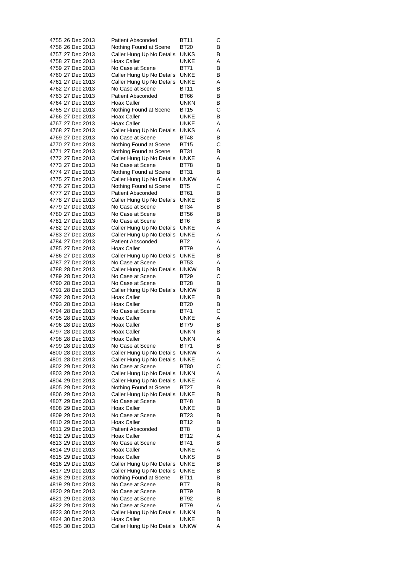| 4755 26 Dec 2013                     |  |                  | <b>Patient Absconded</b>                               | BT11                       | С      |
|--------------------------------------|--|------------------|--------------------------------------------------------|----------------------------|--------|
| 4756 26 Dec 2013                     |  |                  | Nothing Found at Scene                                 | BT20                       | В      |
| 4757 27 Dec 2013                     |  |                  | Caller Hung Up No Details                              | UNKS                       | В      |
| 4758 27 Dec 2013                     |  |                  | Hoax Caller                                            | UNKE                       | Α      |
| 4759 27 Dec 2013<br>4760 27 Dec 2013 |  |                  | No Case at Scene<br>Caller Hung Up No Details          | <b>BT71</b><br><b>UNKE</b> | В<br>В |
| 4761 27 Dec 2013                     |  |                  | Caller Hung Up No Details                              | UNKE                       | Α      |
| 4762 27 Dec 2013                     |  |                  | No Case at Scene                                       | <b>BT11</b>                | В      |
| 4763 27 Dec 2013                     |  |                  | <b>Patient Absconded</b>                               | BT66                       | В      |
| 4764 27 Dec 2013                     |  |                  | Hoax Caller                                            | <b>UNKN</b>                | В      |
| 4765 27 Dec 2013                     |  |                  | Nothing Found at Scene                                 | BT15                       | С      |
| 4766 27 Dec 2013                     |  |                  | Hoax Caller                                            | UNKE                       | В      |
| 4767 27 Dec 2013                     |  |                  | Hoax Caller                                            | UNKE                       | Α      |
| 4768 27 Dec 2013                     |  |                  | Caller Hung Up No Details                              | UNKS                       | Α      |
| 4769 27 Dec 2013                     |  |                  | No Case at Scene                                       | <b>BT48</b>                | В      |
| 4770 27 Dec 2013                     |  |                  | Nothing Found at Scene                                 | BT15                       | С      |
| 4771 27 Dec 2013                     |  |                  | Nothing Found at Scene                                 | BT31                       | В      |
| 4772 27 Dec 2013                     |  |                  | Caller Hung Up No Details                              | UNKE                       | Α      |
| 4773 27 Dec 2013<br>4774 27 Dec 2013 |  |                  | No Case at Scene<br>Nothing Found at Scene             | BT78<br><b>BT31</b>        | В      |
| 4775 27 Dec 2013                     |  |                  | Caller Hung Up No Details                              | unkw                       | В<br>Α |
| 4776 27 Dec 2013                     |  |                  | Nothing Found at Scene                                 | BT5                        | С      |
| 4777 27 Dec 2013                     |  |                  | <b>Patient Absconded</b>                               | BT61                       | В      |
| 4778 27 Dec 2013                     |  |                  | Caller Hung Up No Details                              | <b>UNKE</b>                | В      |
| 4779 27 Dec 2013                     |  |                  | No Case at Scene                                       | <b>BT34</b>                | В      |
| 4780 27 Dec 2013                     |  |                  | No Case at Scene                                       | <b>BT56</b>                | В      |
| 4781 27 Dec 2013                     |  |                  | No Case at Scene                                       | BT <sub>6</sub>            | В      |
| 4782 27 Dec 2013                     |  |                  | Caller Hung Up No Details                              | UNKE                       | Α      |
| 4783 27 Dec 2013                     |  |                  | Caller Hung Up No Details                              | UNKE                       | Α      |
| 4784 27 Dec 2013                     |  |                  | <b>Patient Absconded</b>                               | BT <sub>2</sub>            | Α      |
| 4785 27 Dec 2013                     |  |                  | Hoax Caller                                            | <b>BT79</b>                | Α      |
| 4786 27 Dec 2013                     |  |                  | Caller Hung Up No Details                              | UNKE                       | В      |
| 4787 27 Dec 2013<br>4788 28 Dec 2013 |  |                  | No Case at Scene                                       | BT53<br><b>UNKW</b>        | Α      |
| 4789 28 Dec 2013                     |  |                  | Caller Hung Up No Details<br>No Case at Scene          | <b>BT29</b>                | В<br>С |
| 4790 28 Dec 2013                     |  |                  | No Case at Scene                                       | BT28                       | В      |
|                                      |  | 4791 28 Dec 2013 | Caller Hung Up No Details                              | <b>UNKW</b>                | В      |
| 4792 28 Dec 2013                     |  |                  | Hoax Caller                                            | UNKE                       | В      |
| 4793 28 Dec 2013                     |  |                  | Hoax Caller                                            | BT20                       | В      |
| 4794 28 Dec 2013                     |  |                  | No Case at Scene                                       | <b>BT41</b>                | С      |
| 4795 28 Dec 2013                     |  |                  | <b>Hoax Caller</b>                                     | UNKE                       | Α      |
| 4796 28 Dec 2013                     |  |                  | Hoax Caller                                            | BT79                       | В      |
| 4797 28 Dec 2013                     |  |                  | Hoax Caller                                            | unkn                       | В      |
| 4798 28 Dec 2013                     |  |                  | Hoax Caller                                            | <b>UNKN</b>                | Α      |
| 4799 28 Dec 2013                     |  |                  | No Case at Scene                                       | <b>BT71</b>                | в      |
| 4800 28 Dec 2013                     |  |                  | Caller Hung Up No Details                              | <b>UNKW</b>                | Α      |
| 4801 28 Dec 2013                     |  |                  | Caller Hung Up No Details                              | UNKE                       | Α      |
| 4802 29 Dec 2013<br>4803 29 Dec 2013 |  |                  | No Case at Scene<br>Caller Hung Up No Details          | <b>BT80</b><br>unkn        | С<br>Α |
| 4804 29 Dec 2013                     |  |                  | Caller Hung Up No Details                              | UNKE                       | Α      |
| 4805 29 Dec 2013                     |  |                  | Nothing Found at Scene                                 | BT27                       | В      |
| 4806 29 Dec 2013                     |  |                  | Caller Hung Up No Details                              | UNKE                       | В      |
| 4807 29 Dec 2013                     |  |                  | No Case at Scene                                       | BT48                       | В      |
| 4808 29 Dec 2013                     |  |                  | Hoax Caller                                            | UNKE                       | В      |
| 4809 29 Dec 2013                     |  |                  | No Case at Scene                                       | BT23                       | в      |
| 4810 29 Dec 2013                     |  |                  | Hoax Caller                                            | <b>BT12</b>                | В      |
| 4811 29 Dec 2013                     |  |                  | <b>Patient Absconded</b>                               | BT8                        | В      |
| 4812 29 Dec 2013                     |  |                  | Hoax Caller                                            | BT12                       | Α      |
| 4813 29 Dec 2013                     |  |                  | No Case at Scene                                       | BT41                       | В      |
| 4814 29 Dec 2013                     |  |                  | Hoax Caller                                            | UNKE                       | Α      |
| 4815 29 Dec 2013                     |  |                  | Hoax Caller                                            | UNKS                       | В      |
| 4816 29 Dec 2013<br>4817 29 Dec 2013 |  |                  | Caller Hung Up No Details<br>Caller Hung Up No Details | UNKE<br>UNKE               | В<br>В |
| 4818 29 Dec 2013                     |  |                  | Nothing Found at Scene                                 | BT11                       | В      |
| 4819 29 Dec 2013                     |  |                  | No Case at Scene                                       | BT7                        | В      |
| 4820 29 Dec 2013                     |  |                  | No Case at Scene                                       | BT79                       | В      |
| 4821 29 Dec 2013                     |  |                  | No Case at Scene                                       | BT92                       | В      |
| 4822 29 Dec 2013                     |  |                  | No Case at Scene                                       | BT79                       | Α      |
| 4823 30 Dec 2013                     |  |                  | Caller Hung Up No Details                              | unkn                       | В      |
| 4824 30 Dec 2013                     |  |                  | Hoax Caller                                            | <b>UNKE</b>                | в      |
| 4825 30 Dec 2013                     |  |                  | Caller Hung Up No Details                              | unkw                       | Α      |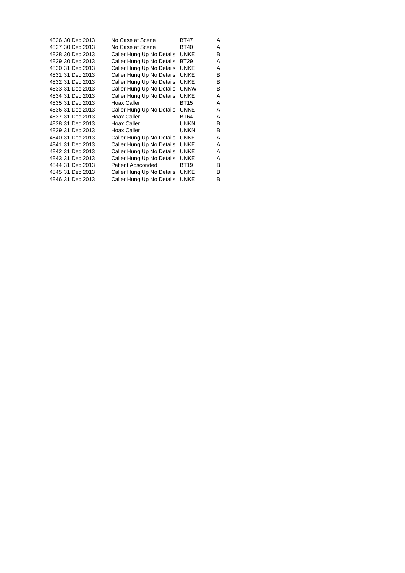| 4826 30 Dec 2013 | No Case at Scene          | <b>BT47</b> | A |
|------------------|---------------------------|-------------|---|
| 4827 30 Dec 2013 | No Case at Scene          | <b>BT40</b> | A |
| 4828 30 Dec 2013 | Caller Hung Up No Details | <b>UNKE</b> | B |
| 4829 30 Dec 2013 | Caller Hung Up No Details | <b>BT29</b> | A |
| 4830 31 Dec 2013 | Caller Hung Up No Details | <b>UNKE</b> | Α |
| 4831 31 Dec 2013 | Caller Hung Up No Details | <b>UNKE</b> | В |
| 4832 31 Dec 2013 | Caller Hung Up No Details | <b>UNKE</b> | B |
| 4833 31 Dec 2013 | Caller Hung Up No Details | <b>UNKW</b> | B |
| 4834 31 Dec 2013 | Caller Hung Up No Details | <b>UNKE</b> | Α |
| 4835 31 Dec 2013 | Hoax Caller               | <b>BT15</b> | A |
| 4836 31 Dec 2013 | Caller Hung Up No Details | <b>UNKE</b> | Α |
| 4837 31 Dec 2013 | Hoax Caller               | <b>BT64</b> | Α |
| 4838 31 Dec 2013 | Hoax Caller               | <b>UNKN</b> | B |
| 4839 31 Dec 2013 | Hoax Caller               | <b>UNKN</b> | B |
| 4840 31 Dec 2013 | Caller Hung Up No Details | <b>UNKE</b> | A |
| 4841 31 Dec 2013 | Caller Hung Up No Details | <b>UNKE</b> | A |
| 4842 31 Dec 2013 | Caller Hung Up No Details | <b>UNKE</b> | A |
| 4843 31 Dec 2013 | Caller Hung Up No Details | <b>UNKE</b> | Α |
| 4844 31 Dec 2013 | Patient Absconded         | <b>BT19</b> | В |
| 4845 31 Dec 2013 | Caller Hung Up No Details | <b>UNKE</b> | B |
| 4846 31 Dec 2013 | Caller Hung Up No Details | <b>UNKE</b> | B |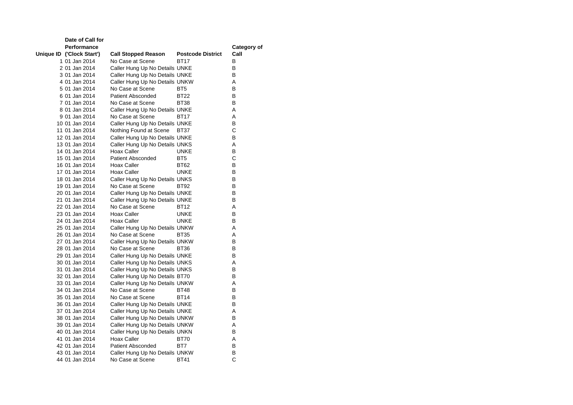| Date of Call for          |                                |                          |             |
|---------------------------|--------------------------------|--------------------------|-------------|
| <b>Performance</b>        |                                |                          | Category of |
| Unique ID ('Clock Start') | <b>Call Stopped Reason</b>     | <b>Postcode District</b> | Call        |
| 1 01 Jan 2014             | No Case at Scene               | BT17                     | В           |
| 2 01 Jan 2014             | Caller Hung Up No Details UNKE |                          | В           |
| 3 01 Jan 2014             | Caller Hung Up No Details UNKE |                          | В           |
| 4 01 Jan 2014             | Caller Hung Up No Details UNKW |                          | Α           |
| 5 01 Jan 2014             | No Case at Scene               | BT <sub>5</sub>          | в           |
| 6 01 Jan 2014             | <b>Patient Absconded</b>       | <b>BT22</b>              | в           |
| 7 01 Jan 2014             | No Case at Scene               | BT38                     | В           |
| 8 01 Jan 2014             | Caller Hung Up No Details UNKE |                          | A           |
| 9 01 Jan 2014             | No Case at Scene               | BT17                     | A           |
| 10 01 Jan 2014            | Caller Hung Up No Details UNKE |                          | В           |
| 11 01 Jan 2014            | Nothing Found at Scene         | BT37                     | С           |
| 12 01 Jan 2014            | Caller Hung Up No Details UNKE |                          | В           |
| 13 01 Jan 2014            | Caller Hung Up No Details UNKS |                          | A           |
| 14 01 Jan 2014            | Hoax Caller                    | <b>UNKE</b>              | В           |
| 15 01 Jan 2014            | <b>Patient Absconded</b>       | BT5                      | C           |
| 16 01 Jan 2014            | Hoax Caller                    | <b>BT62</b>              | В           |
| 17 01 Jan 2014            | Hoax Caller                    | UNKE                     | В           |
| 18 01 Jan 2014            | Caller Hung Up No Details UNKS |                          | В           |
| 19 01 Jan 2014            | No Case at Scene               | BT92                     | В           |
| 20 01 Jan 2014            | Caller Hung Up No Details UNKE |                          | В           |
| 21 01 Jan 2014            | Caller Hung Up No Details UNKE |                          | В           |
| 22 01 Jan 2014            | No Case at Scene               | <b>BT12</b>              | Α           |
| 23 01 Jan 2014            | Hoax Caller                    | <b>UNKE</b>              | В           |
| 24 01 Jan 2014            | Hoax Caller                    | UNKE                     | B           |
| 25 01 Jan 2014            | Caller Hung Up No Details UNKW |                          | A           |
| 26 01 Jan 2014            | No Case at Scene               | <b>BT35</b>              | A           |
| 27 01 Jan 2014            | Caller Hung Up No Details UNKW |                          | В           |
| 28 01 Jan 2014            | No Case at Scene               | BT36                     | В           |
| 29 01 Jan 2014            | Caller Hung Up No Details UNKE |                          | В           |
| 30 01 Jan 2014            | Caller Hung Up No Details UNKS |                          | A           |
| 31 01 Jan 2014            | Caller Hung Up No Details UNKS |                          | В           |
| 32 01 Jan 2014            | Caller Hung Up No Details BT70 |                          | B           |
| 33 01 Jan 2014            | Caller Hung Up No Details UNKW |                          | Α           |
| 34 01 Jan 2014            | No Case at Scene               | BT48                     | В           |
| 35 01 Jan 2014            | No Case at Scene               | <b>BT14</b>              | В           |
| 36 01 Jan 2014            | Caller Hung Up No Details UNKE |                          | В           |
| 37 01 Jan 2014            | Caller Hung Up No Details UNKE |                          | Α           |
| 38 01 Jan 2014            | Caller Hung Up No Details UNKW |                          | в           |
| 39 01 Jan 2014            | Caller Hung Up No Details UNKW |                          | A           |
| 40 01 Jan 2014            | Caller Hung Up No Details UNKN |                          | в           |
| 41 01 Jan 2014            | Hoax Caller                    | <b>BT70</b>              | Α           |
| 42 01 Jan 2014            | <b>Patient Absconded</b>       | BT7                      | В           |
| 43 01 Jan 2014            | Caller Hung Up No Details UNKW |                          | B           |
| 44 01 Jan 2014            | No Case at Scene               | <b>BT41</b>              | Ċ           |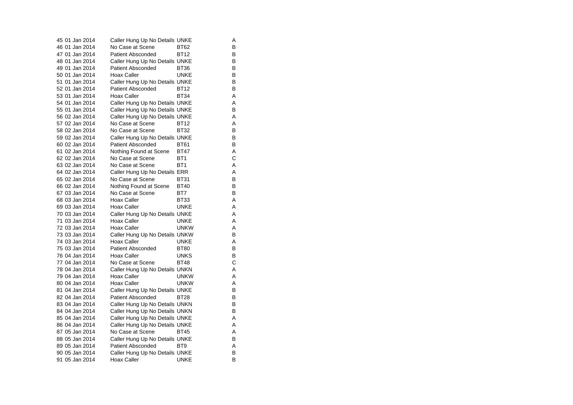| 45 01 Jan 2014 | Caller Hung Up No Details UNKE |                 | Α |
|----------------|--------------------------------|-----------------|---|
| 46 01 Jan 2014 | No Case at Scene               | BT62            | в |
| 47 01 Jan 2014 | <b>Patient Absconded</b>       | <b>BT12</b>     | в |
| 48 01 Jan 2014 | Caller Hung Up No Details UNKE |                 | в |
| 49 01 Jan 2014 | <b>Patient Absconded</b>       | BT36            | В |
| 50 01 Jan 2014 | Hoax Caller                    | <b>UNKE</b>     | B |
| 51 01 Jan 2014 | Caller Hung Up No Details UNKE |                 | в |
| 52 01 Jan 2014 | <b>Patient Absconded</b>       | BT12            | В |
| 53 01 Jan 2014 | <b>Hoax Caller</b>             | <b>BT34</b>     | A |
| 54 01 Jan 2014 | Caller Hung Up No Details UNKE |                 | A |
| 55 01 Jan 2014 | Caller Hung Up No Details UNKE |                 | B |
| 56 02 Jan 2014 | Caller Hung Up No Details UNKE |                 | Α |
| 57 02 Jan 2014 | No Case at Scene               | <b>BT12</b>     | A |
| 58 02 Jan 2014 | No Case at Scene               | <b>BT32</b>     | B |
| 59 02 Jan 2014 | Caller Hung Up No Details UNKE |                 | в |
| 60 02 Jan 2014 | <b>Patient Absconded</b>       | <b>BT61</b>     | B |
| 61 02 Jan 2014 | Nothing Found at Scene         | BT47            | Α |
| 62 02 Jan 2014 | No Case at Scene               | BT <sub>1</sub> | С |
| 63 02 Jan 2014 | No Case at Scene               | BT1             | Α |
| 64 02 Jan 2014 | Caller Hung Up No Details ERR  |                 | Α |
| 65 02 Jan 2014 | No Case at Scene               | BT31            | B |
| 66 02 Jan 2014 | Nothing Found at Scene         | BT40            | в |
| 67 03 Jan 2014 | No Case at Scene               | BT7             | B |
| 68 03 Jan 2014 | Hoax Caller                    | BT33            | Α |
| 69 03 Jan 2014 | Hoax Caller                    | UNKE            | Α |
| 70 03 Jan 2014 | Caller Hung Up No Details UNKE |                 | A |
| 71 03 Jan 2014 | <b>Hoax Caller</b>             | UNKE            | A |
| 72 03 Jan 2014 | Hoax Caller                    | <b>UNKW</b>     | Α |
| 73 03 Jan 2014 | Caller Hung Up No Details UNKW |                 | В |
| 74 03 Jan 2014 | <b>Hoax Caller</b>             | <b>UNKE</b>     | A |
| 75 03 Jan 2014 | <b>Patient Absconded</b>       | <b>BT80</b>     | в |
| 76 04 Jan 2014 | Hoax Caller                    | UNKS            | в |
| 77 04 Jan 2014 | No Case at Scene               | <b>BT48</b>     | C |
| 78 04 Jan 2014 | Caller Hung Up No Details UNKN |                 | Α |
| 79 04 Jan 2014 | Hoax Caller                    | <b>UNKW</b>     | A |
| 80 04 Jan 2014 | Hoax Caller                    | <b>UNKW</b>     | A |
| 81 04 Jan 2014 | Caller Hung Up No Details UNKE |                 | B |
| 82 04 Jan 2014 | <b>Patient Absconded</b>       | <b>BT28</b>     | В |
| 83 04 Jan 2014 | Caller Hung Up No Details UNKN |                 | B |
| 84 04 Jan 2014 | Caller Hung Up No Details UNKN |                 | B |
| 85 04 Jan 2014 | Caller Hung Up No Details UNKE |                 | Α |
| 86 04 Jan 2014 | Caller Hung Up No Details UNKE |                 | Α |
| 87 05 Jan 2014 | No Case at Scene               | <b>BT45</b>     | A |
| 88 05 Jan 2014 | Caller Hung Up No Details UNKE |                 | в |
| 89 05 Jan 2014 | <b>Patient Absconded</b>       | BT9             | A |
| 90 05 Jan 2014 | Caller Hung Up No Details UNKE |                 | B |
| 91 05 Jan 2014 | <b>Hoax Caller</b>             | UNKE            | В |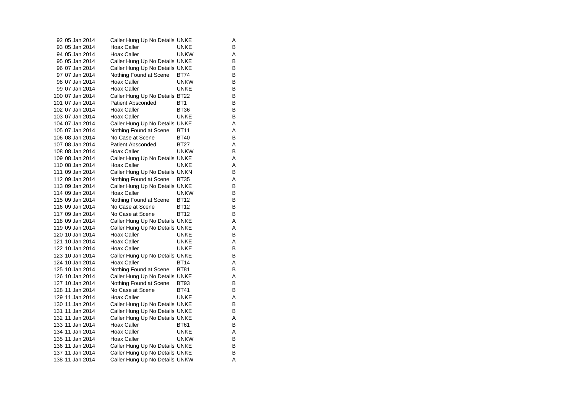| 92 05 Jan 2014  | Caller Hung Up No Details UNKE |                 | Α |
|-----------------|--------------------------------|-----------------|---|
| 93 05 Jan 2014  | Hoax Caller                    | UNKE            | в |
| 94 05 Jan 2014  | Hoax Caller                    | unkw            | A |
| 95 05 Jan 2014  | Caller Hung Up No Details UNKE |                 | В |
| 96 07 Jan 2014  | Caller Hung Up No Details UNKE |                 | в |
| 97 07 Jan 2014  | Nothing Found at Scene         | <b>BT74</b>     | В |
| 98 07 Jan 2014  | Hoax Caller                    | <b>UNKW</b>     | В |
| 99 07 Jan 2014  | Hoax Caller                    | <b>UNKE</b>     | в |
| 100 07 Jan 2014 | Caller Hung Up No Details BT22 |                 | B |
| 101 07 Jan 2014 | <b>Patient Absconded</b>       | BT <sub>1</sub> | В |
| 102 07 Jan 2014 | Hoax Caller                    | <b>BT36</b>     | В |
| 103 07 Jan 2014 | Hoax Caller                    | <b>UNKE</b>     | в |
| 104 07 Jan 2014 | Caller Hung Up No Details UNKE |                 | A |
| 105 07 Jan 2014 | Nothing Found at Scene         | <b>BT11</b>     | Α |
| 106 08 Jan 2014 | No Case at Scene               | <b>BT40</b>     | В |
| 107 08 Jan 2014 | <b>Patient Absconded</b>       | <b>BT27</b>     | A |
| 108 08 Jan 2014 | Hoax Caller                    | <b>UNKW</b>     | В |
| 109 08 Jan 2014 | Caller Hung Up No Details UNKE |                 | A |
| 110 08 Jan 2014 | Hoax Caller                    | UNKE            | Α |
| 111 09 Jan 2014 | Caller Hung Up No Details UNKN |                 | В |
| 112 09 Jan 2014 | Nothing Found at Scene         | <b>BT35</b>     | Α |
| 113 09 Jan 2014 | Caller Hung Up No Details UNKE |                 | в |
| 114 09 Jan 2014 | Hoax Caller                    | UNKW            | В |
| 115 09 Jan 2014 | Nothing Found at Scene         | <b>BT12</b>     | В |
| 116 09 Jan 2014 | No Case at Scene               | <b>BT12</b>     | в |
| 117 09 Jan 2014 | No Case at Scene               | <b>BT12</b>     | В |
| 118 09 Jan 2014 | Caller Hung Up No Details UNKE |                 | A |
| 119 09 Jan 2014 | Caller Hung Up No Details UNKE |                 | Α |
| 120 10 Jan 2014 | Hoax Caller                    | UNKE            | в |
| 121 10 Jan 2014 | Hoax Caller                    | UNKE            | Α |
| 122 10 Jan 2014 | Hoax Caller                    | <b>UNKE</b>     | В |
| 123 10 Jan 2014 | Caller Hung Up No Details UNKE |                 | в |
| 124 10 Jan 2014 | Hoax Caller                    | <b>BT14</b>     | A |
| 125 10 Jan 2014 | Nothing Found at Scene         | <b>BT81</b>     | В |
| 126 10 Jan 2014 | Caller Hung Up No Details UNKE |                 | Α |
| 127 10 Jan 2014 | Nothing Found at Scene         | <b>BT93</b>     | В |
| 128 11 Jan 2014 | No Case at Scene               | <b>BT41</b>     | В |
| 129 11 Jan 2014 | <b>Hoax Caller</b>             | <b>UNKE</b>     | Α |
| 130 11 Jan 2014 | Caller Hung Up No Details UNKE |                 | в |
| 131 11 Jan 2014 | Caller Hung Up No Details UNKE |                 | В |
| 132 11 Jan 2014 | Caller Hung Up No Details UNKE |                 | Α |
| 133 11 Jan 2014 | Hoax Caller                    | BT61            | в |
| 134 11 Jan 2014 | Hoax Caller                    | <b>UNKE</b>     | A |
| 135 11 Jan 2014 | Hoax Caller                    | <b>UNKW</b>     | в |
| 136 11 Jan 2014 | Caller Hung Up No Details UNKE |                 | в |
| 137 11 Jan 2014 | Caller Hung Up No Details UNKE |                 | В |
| 138 11 Jan 2014 | Caller Hung Up No Details UNKW |                 | A |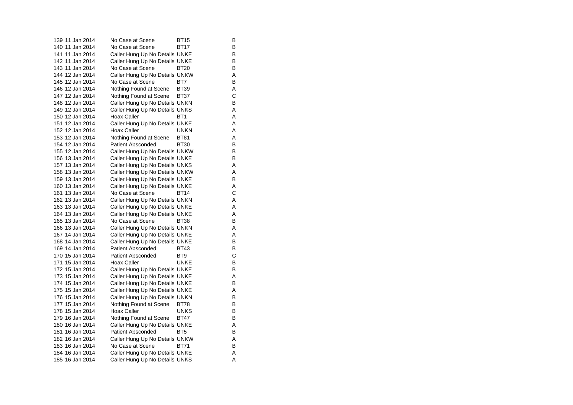139 11 Jan 2014 No Case at Scene BT15 B 140 11 Jan 2014 No Case at Scene BT17 141 11 Jan 2014 Caller Hung Up No Details UNKE 142 11 Jan 2014 Caller Hung Up No Details UNKE<br>143 11 Jan 2014 No Case at Scene BT20 B 143 11 Jan 2014 No Case at Scene BT20 144 12 Jan 2014 Caller Hung Up No Details UNKW A 145 12 Jan 2014 No Case at Scene BT7 146 12 Jan 2014 Nothing Found at Scene BT39 A<br>147 12 Jan 2014 Nothing Found at Scene BT37 C 147 12 Jan 2014 Nothing Found at Scene BT37 C 148 12 Jan 2014 Caller Hung Up No Details UNKN 149 12 Jan 2014 Caller Hung Up No Details UNKS A 150 12 Jan 2014 Hoax Caller BT1 151 12 Jan 2014 Caller Hung Up No Details UNKE 152 12 Jan 2014 Hoax Caller **UNKN** A 153 12 Jan 2014 Nothing Found at Scene BT81 A 154 12 Jan 2014 Patient Absconded BT30 B 155 12 Jan 2014 Caller Hung Up No Details UNKW B<br>156 13 Jan 2014 Caller Hung Up No Details UNKE 156 13 Jan 2014 Caller Hung Up No Details UNKE 157 13 Jan 2014 Caller Hung Up No Details UNKS A 158 13 Jan 2014 Caller Hung Up No Details UNKW A 159 13 Jan 2014 Caller Hung Up No Details UNKE B 160 13 Jan 2014 Caller Hung Up No Details UNKE<br>161 13 Jan 2014 No Case at Scene BT14 C 161 13 Jan 2014 No Case at Scene BT14 162 13 Jan 2014 Caller Hung Up No Details UNKN A 163 13 Jan 2014 Caller Hung Up No Details UNKE A 164 13 Jan 2014 Caller Hung Up No Details UNKE A 165 13 Jan 2014 No Case at Scene BT38 166 13 Jan 2014 Caller Hung Up No Details UNKN A 167 14 Jan 2014 Caller Hung Up No Details UNKE 168 14 Jan 2014 Caller Hung Up No Details UNKE<br>169 14 Jan 2014 Patient Absconded BT43 B 169 14 Jan 2014 Patient Absconded BT43 170 15 Jan 2014 Patient Absconded BT9 171 15 Jan 2014 Hoax Caller **UNKE** 172 15 Jan 2014 Caller Hung Up No Details UNKE 173 15 Jan 2014 Caller Hung Up No Details UNKE<br>174 15 Jan 2014 Caller Hung Up No Details UNKE 174 15 Jan 2014 Caller Hung Up No Details UNKE 175 15 Jan 2014 Caller Hung Up No Details UNKE 176 15 Jan 2014 Caller Hung Up No Details UNKN B 177 15 Jan 2014 Nothing Found at Scene BT78 B 178 15 Jan 2014 Hoax Caller **Hoax UNKS** B 179 16 Jan 2014 Nothing Found at Scene BT47 B 180 16 Jan 2014 Caller Hung Up No Details UNKE 181 16 Jan 2014 Patient Absconded BT5 B 182 16 Jan 2014 Caller Hung Up No Details UNKW A 183 16 Jan 2014 No Case at Scene BT71 B 184 16 Jan 2014 Caller Hung Up No Details UNKE A 185 16 Jan 2014 Caller Hung Up No Details UNKS A

 $\mathsf{B}$ 

 $\sf B$ 

 $\mathsf{A}$ 

 $\sf B$ 

 $\mathbf C$ 

 $\sf B$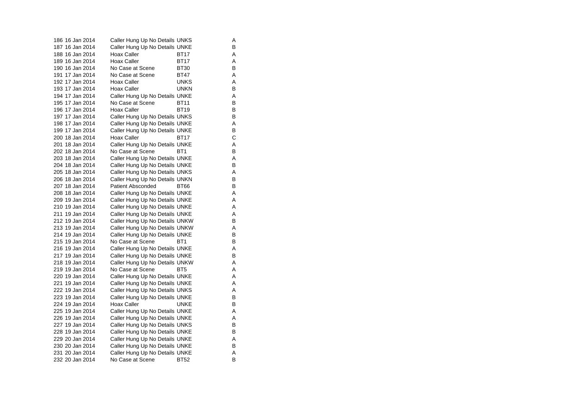| 186 16 Jan 2014 | Caller Hung Up No Details UNKS |                 | Α |
|-----------------|--------------------------------|-----------------|---|
| 187 16 Jan 2014 | Caller Hung Up No Details UNKE |                 | в |
| 188 16 Jan 2014 | Hoax Caller                    | BT17            | Α |
| 189 16 Jan 2014 | Hoax Caller                    | BT17            | Α |
| 190 16 Jan 2014 | No Case at Scene               | <b>BT30</b>     | в |
| 191 17 Jan 2014 | No Case at Scene               | BT47            | Α |
| 192 17 Jan 2014 | <b>Hoax Caller</b>             | <b>UNKS</b>     | Α |
| 193 17 Jan 2014 | Hoax Caller                    | UNKN            | В |
| 194 17 Jan 2014 | Caller Hung Up No Details UNKE |                 | Α |
| 195 17 Jan 2014 | No Case at Scene               | <b>BT11</b>     | в |
| 196 17 Jan 2014 | <b>Hoax Caller</b>             | <b>BT19</b>     | В |
| 197 17 Jan 2014 | Caller Hung Up No Details UNKS |                 | в |
| 198 17 Jan 2014 | Caller Hung Up No Details UNKE |                 | Α |
| 199 17 Jan 2014 | Caller Hung Up No Details UNKE |                 | в |
| 200 18 Jan 2014 | Hoax Caller                    | BT17            | C |
| 201 18 Jan 2014 | Caller Hung Up No Details UNKE |                 | Α |
| 202 18 Jan 2014 | No Case at Scene               | BT <sub>1</sub> | в |
| 203 18 Jan 2014 | Caller Hung Up No Details UNKE |                 | Α |
| 204 18 Jan 2014 | Caller Hung Up No Details UNKE |                 | В |
| 205 18 Jan 2014 | Caller Hung Up No Details UNKS |                 | Α |
| 206 18 Jan 2014 | Caller Hung Up No Details UNKN |                 | В |
| 207 18 Jan 2014 | <b>Patient Absconded</b>       | <b>BT66</b>     | в |
| 208 18 Jan 2014 | Caller Hung Up No Details UNKE |                 | Α |
| 209 19 Jan 2014 | Caller Hung Up No Details UNKE |                 | Α |
| 210 19 Jan 2014 | Caller Hung Up No Details UNKE |                 | Α |
| 211 19 Jan 2014 | Caller Hung Up No Details UNKE |                 | Α |
| 212 19 Jan 2014 | Caller Hung Up No Details UNKW |                 | в |
| 213 19 Jan 2014 | Caller Hung Up No Details UNKW |                 | Α |
| 214 19 Jan 2014 | Caller Hung Up No Details UNKE |                 | В |
| 215 19 Jan 2014 | No Case at Scene               | BT <sub>1</sub> | В |
| 216 19 Jan 2014 | Caller Hung Up No Details UNKE |                 | Α |
| 217 19 Jan 2014 | Caller Hung Up No Details UNKE |                 | в |
| 218 19 Jan 2014 | Caller Hung Up No Details UNKW |                 | Α |
| 219 19 Jan 2014 | No Case at Scene               | BT5             | Α |
| 220 19 Jan 2014 | Caller Hung Up No Details UNKE |                 | Α |
| 221 19 Jan 2014 | Caller Hung Up No Details UNKE |                 | Α |
| 222 19 Jan 2014 | Caller Hung Up No Details UNKS |                 | Α |
| 223 19 Jan 2014 | Caller Hung Up No Details UNKE |                 | в |
| 224 19 Jan 2014 | Hoax Caller                    | UNKE            | В |
| 225 19 Jan 2014 | Caller Hung Up No Details UNKE |                 | Α |
| 226 19 Jan 2014 | Caller Hung Up No Details UNKE |                 | Α |
| 227 19 Jan 2014 | Caller Hung Up No Details UNKS |                 | в |
| 228 19 Jan 2014 | Caller Hung Up No Details UNKE |                 | В |
| 229 20 Jan 2014 | Caller Hung Up No Details UNKE |                 | Α |
| 230 20 Jan 2014 | Caller Hung Up No Details UNKE |                 | в |
| 231 20 Jan 2014 | Caller Hung Up No Details UNKE |                 | Α |
| 232 20 Jan 2014 | No Case at Scene               | <b>BT52</b>     | В |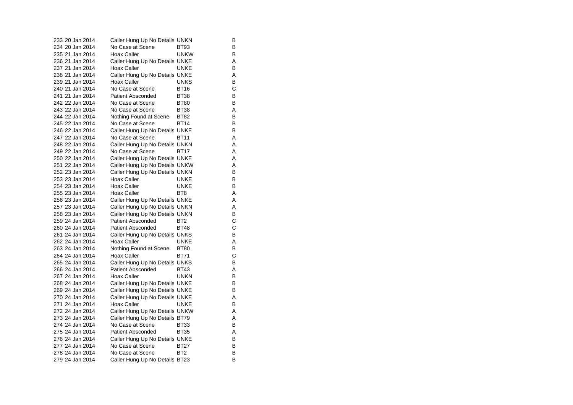| 233 20 Jan 2014 | Caller Hung Up No Details UNKN |                 | в |
|-----------------|--------------------------------|-----------------|---|
| 234 20 Jan 2014 | No Case at Scene               | BT93            | В |
| 235 21 Jan 2014 | <b>Hoax Caller</b>             | <b>UNKW</b>     | В |
| 236 21 Jan 2014 | Caller Hung Up No Details UNKE |                 | Α |
| 237 21 Jan 2014 | Hoax Caller                    | UNKE            | В |
| 238 21 Jan 2014 | Caller Hung Up No Details UNKE |                 | Α |
| 239 21 Jan 2014 | <b>Hoax Caller</b>             | UNKS            | В |
| 240 21 Jan 2014 | No Case at Scene               | BT16            | C |
| 241 21 Jan 2014 | <b>Patient Absconded</b>       | <b>BT38</b>     | B |
| 242 22 Jan 2014 | No Case at Scene               | <b>BT80</b>     | в |
| 243 22 Jan 2014 | No Case at Scene               | <b>BT38</b>     | Α |
| 244 22 Jan 2014 | Nothing Found at Scene         | <b>BT82</b>     | В |
| 245 22 Jan 2014 | No Case at Scene               | BT14            | в |
| 246 22 Jan 2014 | Caller Hung Up No Details UNKE |                 | B |
| 247 22 Jan 2014 | No Case at Scene               | <b>BT11</b>     | A |
| 248 22 Jan 2014 | Caller Hung Up No Details UNKN |                 | Α |
| 249 22 Jan 2014 | No Case at Scene               | <b>BT17</b>     | A |
| 250 22 Jan 2014 | Caller Hung Up No Details UNKE |                 | A |
| 251 22 Jan 2014 | Caller Hung Up No Details UNKW |                 | Α |
| 252 23 Jan 2014 | Caller Hung Up No Details UNKN |                 | B |
| 253 23 Jan 2014 | <b>Hoax Caller</b>             | UNKE            | B |
| 254 23 Jan 2014 | <b>Hoax Caller</b>             | UNKE            | в |
| 255 23 Jan 2014 | Hoax Caller                    | BT <sub>8</sub> | A |
| 256 23 Jan 2014 | Caller Hung Up No Details UNKE |                 | Α |
| 257 23 Jan 2014 | Caller Hung Up No Details UNKN |                 | Α |
| 258 23 Jan 2014 | Caller Hung Up No Details UNKN |                 | B |
| 259 24 Jan 2014 | <b>Patient Absconded</b>       | BT <sub>2</sub> | C |
| 260 24 Jan 2014 | Patient Absconded              | <b>BT48</b>     | С |
| 261 24 Jan 2014 | Caller Hung Up No Details UNKS |                 | B |
| 262 24 Jan 2014 | <b>Hoax Caller</b>             | UNKE            | Α |
| 263 24 Jan 2014 | Nothing Found at Scene         | <b>BT80</b>     | B |
| 264 24 Jan 2014 | <b>Hoax Caller</b>             | <b>BT71</b>     | C |
| 265 24 Jan 2014 | Caller Hung Up No Details UNKS |                 | В |
| 266 24 Jan 2014 | <b>Patient Absconded</b>       | BT43            | Α |
| 267 24 Jan 2014 | Hoax Caller                    | <b>UNKN</b>     | B |
| 268 24 Jan 2014 | Caller Hung Up No Details UNKE |                 | В |
| 269 24 Jan 2014 | Caller Hung Up No Details UNKE |                 | в |
| 270 24 Jan 2014 | Caller Hung Up No Details UNKE |                 | A |
| 271 24 Jan 2014 | <b>Hoax Caller</b>             | UNKE            | B |
| 272 24 Jan 2014 | Caller Hung Up No Details UNKW |                 | Α |
| 273 24 Jan 2014 | Caller Hung Up No Details BT79 |                 | A |
| 274 24 Jan 2014 | No Case at Scene               | BT33            | в |
| 275 24 Jan 2014 | <b>Patient Absconded</b>       | <b>BT35</b>     | Α |
| 276 24 Jan 2014 | Caller Hung Up No Details UNKE |                 | в |
| 277 24 Jan 2014 | No Case at Scene               | BT27            | в |
| 278 24 Jan 2014 | No Case at Scene               | BT2             | в |
| 279 24 Jan 2014 | Caller Hung Up No Details BT23 |                 | B |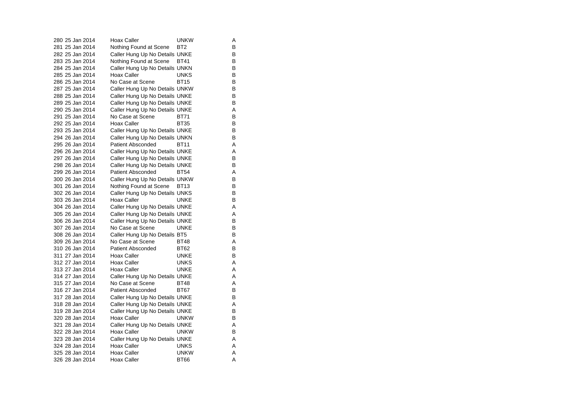280 25 Jan 2014 Hoax Caller Carries UNKW  $\overline{A}$ 281 25 Jan 2014 Nothing Found at Scene BT2 B 282 25 Jan 2014 Caller Hung Up No Details UNKE 283 25 Jan 2014 Nothing Found at Scene BT41 B<br>284 25 Jan 2014 Caller Hung Up No Details UNKN B 284 25 Jan 2014 Caller Hung Up No Details UNKN 285 25 Jan 2014 Hoax Caller **Hoax Caller** UNKS B 286 25 Jan 2014 No Case at Scene BT15  $\sf B$ 287 25 Jan 2014 Caller Hung Up No Details UNKW B<br>288 25 Jan 2014 Caller Hung Up No Details UNKE 288 25 Jan 2014 Caller Hung Up No Details UNKE<br>289 25 Jan 2014 Caller Hung Up No Details UNKE 289 25 Jan 2014 Caller Hung Up No Details UNKE 290 25 Jan 2014 Caller Hung Up No Details UNKE A 291 25 Jan 2014 No Case at Scene BT71  $\sf B$ 292 25 Jan 2014 Hoax Caller BT35 B 293 25 Jan 2014 Caller Hung Up No Details UNKE 294 26 Jan 2014 Caller Hung Up No Details UNKN B 295 26 Jan 2014 Patient Absconded BT11 BT11 296 26 Jan 2014 Caller Hung Up No Details UNKE<br>297 26 Jan 2014 Caller Hung Up No Details UNKE 297 26 Jan 2014 Caller Hung Up No Details UNKE 298 26 Jan 2014 Caller Hung Up No Details UNKE 299 26 Jan 2014 Patient Absconded BT54 A 300 26 Jan 2014 Caller Hung Up No Details UNKW B 301 26 Jan 2014 Nothing Found at Scene BT13 B<br>302 26 Jan 2014 Caller Hung Up No Details UNKS B Caller Hung Up No Details UNKS 303 26 Jan 2014 Hoax Caller **UNKE** B 304 26 Jan 2014 Caller Hung Up No Details UNKE A 305 26 Jan 2014 Caller Hung Up No Details UNKE A 306 26 Jan 2014 Caller Hung Up No Details UNKE<br>307 26 Jan 2014 No Case at Scene UNKE 307 26 Jan 2014 No Case at Scene UNKE 308 26 Jan 2014 Caller Hung Up No Details BT5 B 309 26 Jan 2014 No Case at Scene BT48 A310 26 Jan 2014 Patient Absconded BT62 B 311 27 Jan 2014 Hoax Caller **UNKE** 312 27 Jan 2014 Hoax Caller UNKS 313 27 Jan 2014 Hoax Caller **UNKE** A 314 27 Jan 2014 Caller Hung Up No Details UNKE<br>315 27 Jan 2014 No Case at Scene BT48 A 315 27 Jan 2014 No Case at Scene 316 27 Jan 2014 Patient Absconded BT67 B 317 28 Jan 2014 Caller Hung Up No Details UNKE B 318 28 Jan 2014 Caller Hung Up No Details UNKE A 319 28 Jan 2014 Caller Hung Up No Details UNKE<br>320 28 Jan 2014 Hoax Caller UNKW B 320 28 Jan 2014 321 28 Jan 2014 Caller Hung Up No Details UNKE 322 28 Jan 2014 Hoax Caller **UNKW** B 323 28 Jan 2014 Caller Hung Up No Details UNKE A 324 28 Jan 2014 Hoax Caller **UNKS** A 325 28 Jan 2014 Hoax Caller **UNKW** A 326 28 Jan 2014 Hoax Caller BT66 A

A

B

A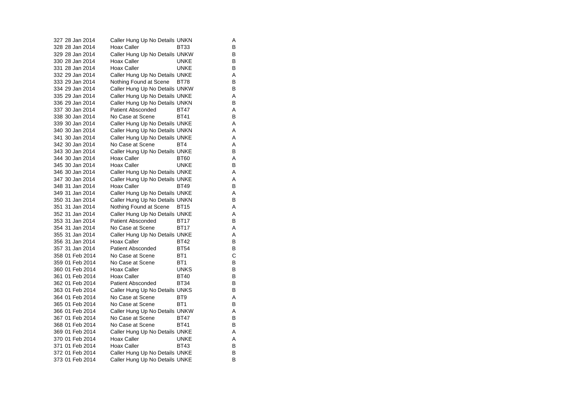| 327 28 Jan 2014 | Caller Hung Up No Details UNKN |                 | Α |
|-----------------|--------------------------------|-----------------|---|
| 328 28 Jan 2014 | Hoax Caller                    | BT33            | В |
| 329 28 Jan 2014 | Caller Hung Up No Details UNKW |                 | B |
| 330 28 Jan 2014 | Hoax Caller                    | <b>UNKE</b>     | В |
| 331 28 Jan 2014 | <b>Hoax Caller</b>             | <b>UNKE</b>     | в |
| 332 29 Jan 2014 | Caller Hung Up No Details UNKE |                 | Α |
| 333 29 Jan 2014 | Nothing Found at Scene         | <b>BT78</b>     | B |
| 334 29 Jan 2014 | Caller Hung Up No Details UNKW |                 | B |
| 335 29 Jan 2014 | Caller Hung Up No Details UNKE |                 | Α |
| 336 29 Jan 2014 | Caller Hung Up No Details UNKN |                 | B |
| 337 30 Jan 2014 | Patient Absconded              | BT47            | Α |
| 338 30 Jan 2014 | No Case at Scene               | <b>BT41</b>     | B |
| 339 30 Jan 2014 | Caller Hung Up No Details UNKE |                 | Α |
| 340 30 Jan 2014 | Caller Hung Up No Details UNKN |                 | Α |
| 341 30 Jan 2014 | Caller Hung Up No Details UNKE |                 | A |
| 342 30 Jan 2014 | No Case at Scene               | BT4             | Α |
| 343 30 Jan 2014 | Caller Hung Up No Details UNKE |                 | B |
| 344 30 Jan 2014 | <b>Hoax Caller</b>             | <b>BT60</b>     | Α |
| 345 30 Jan 2014 | <b>Hoax Caller</b>             | <b>UNKE</b>     | В |
| 346 30 Jan 2014 | Caller Hung Up No Details UNKE |                 | A |
| 347 30 Jan 2014 | Caller Hung Up No Details UNKE |                 | Α |
| 348 31 Jan 2014 | <b>Hoax Caller</b>             | <b>BT49</b>     | В |
| 349 31 Jan 2014 | Caller Hung Up No Details UNKE |                 | Α |
| 350 31 Jan 2014 | Caller Hung Up No Details UNKN |                 | B |
| 351 31 Jan 2014 | Nothing Found at Scene         | <b>BT15</b>     | Α |
| 352 31 Jan 2014 | Caller Hung Up No Details UNKE |                 | Α |
| 353 31 Jan 2014 | <b>Patient Absconded</b>       | <b>BT17</b>     | B |
| 354 31 Jan 2014 | No Case at Scene               | <b>BT17</b>     | Α |
| 355 31 Jan 2014 | Caller Hung Up No Details UNKE |                 | Α |
| 356 31 Jan 2014 | Hoax Caller                    | <b>BT42</b>     | B |
| 357 31 Jan 2014 | <b>Patient Absconded</b>       | <b>BT54</b>     | В |
| 358 01 Feb 2014 | No Case at Scene               | BT <sub>1</sub> | Ċ |
| 359 01 Feb 2014 | No Case at Scene               | BT <sub>1</sub> | В |
| 360 01 Feb 2014 | Hoax Caller                    | <b>UNKS</b>     | В |
| 361 01 Feb 2014 | Hoax Caller                    | <b>BT40</b>     | B |
| 362 01 Feb 2014 | <b>Patient Absconded</b>       | <b>BT34</b>     | В |
| 363 01 Feb 2014 | Caller Hung Up No Details UNKS |                 | В |
| 364 01 Feb 2014 | No Case at Scene               | BT <sub>9</sub> | Α |
| 365 01 Feb 2014 | No Case at Scene               | BT <sub>1</sub> | B |
| 366 01 Feb 2014 | Caller Hung Up No Details UNKW |                 | Α |
| 367 01 Feb 2014 | No Case at Scene               | <b>BT47</b>     | B |
| 368 01 Feb 2014 | No Case at Scene               | BT41            | B |
| 369 01 Feb 2014 | Caller Hung Up No Details UNKE |                 | Α |
| 370 01 Feb 2014 | <b>Hoax Caller</b>             | <b>UNKE</b>     | Α |
| 371 01 Feb 2014 | Hoax Caller                    | <b>BT43</b>     | B |
| 372 01 Feb 2014 | Caller Hung Up No Details UNKE |                 | В |
| 373 01 Feb 2014 | Caller Hung Up No Details UNKE |                 | B |

 $A$ 

A<br>A<br>B<br>A

B<br>A<br>A<br>B

 $\boldsymbol{\mathsf{A}}$ 

 $\mathsf{A}$ <br> $\mathsf{A}$ 

 $\overline{B}$ <br> $\overline{B}$ <br> $\overline{B}$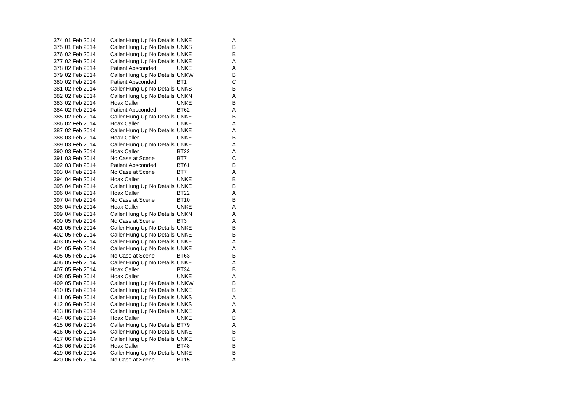| 374 01 Feb 2014 | Caller Hung Up No Details UNKE |                 | A |
|-----------------|--------------------------------|-----------------|---|
| 375 01 Feb 2014 | Caller Hung Up No Details UNKS |                 | В |
| 376 02 Feb 2014 | Caller Hung Up No Details UNKE |                 | в |
| 377 02 Feb 2014 | Caller Hung Up No Details UNKE |                 | Α |
| 378 02 Feb 2014 | <b>Patient Absconded</b>       | <b>UNKE</b>     | Α |
| 379 02 Feb 2014 | Caller Hung Up No Details UNKW |                 | В |
| 380 02 Feb 2014 | <b>Patient Absconded</b>       | BT <sub>1</sub> | C |
| 381 02 Feb 2014 | Caller Hung Up No Details UNKS |                 | В |
| 382 02 Feb 2014 | Caller Hung Up No Details UNKN |                 | Α |
| 383 02 Feb 2014 | Hoax Caller                    | <b>UNKE</b>     | B |
| 384 02 Feb 2014 | <b>Patient Absconded</b>       | BT62            | A |
| 385 02 Feb 2014 | Caller Hung Up No Details UNKE |                 | В |
| 386 02 Feb 2014 | Hoax Caller                    | UNKE            | A |
| 387 02 Feb 2014 | Caller Hung Up No Details UNKE |                 | Α |
| 388 03 Feb 2014 | Hoax Caller                    | <b>UNKE</b>     | B |
| 389 03 Feb 2014 | Caller Hung Up No Details UNKE |                 | Α |
| 390 03 Feb 2014 | <b>Hoax Caller</b>             | <b>BT22</b>     | A |
| 391 03 Feb 2014 | No Case at Scene               | BT7             | С |
| 392 03 Feb 2014 | <b>Patient Absconded</b>       | BT61            | в |
| 393 04 Feb 2014 | No Case at Scene               | BT7             | Α |
| 394 04 Feb 2014 | Hoax Caller                    | UNKE            | B |
| 395 04 Feb 2014 | Caller Hung Up No Details UNKE |                 | B |
| 396 04 Feb 2014 | <b>Hoax Caller</b>             | <b>BT22</b>     | A |
| 397 04 Feb 2014 | No Case at Scene               | <b>BT10</b>     | в |
| 398 04 Feb 2014 | Hoax Caller                    | <b>UNKE</b>     | A |
| 399 04 Feb 2014 | Caller Hung Up No Details UNKN |                 | Α |
| 400 05 Feb 2014 | No Case at Scene               | BT3             | A |
| 401 05 Feb 2014 | Caller Hung Up No Details UNKE |                 | в |
| 402 05 Feb 2014 | Caller Hung Up No Details UNKE |                 | в |
| 403 05 Feb 2014 | Caller Hung Up No Details UNKE |                 | A |
| 404 05 Feb 2014 | Caller Hung Up No Details UNKE |                 | A |
| 405 05 Feb 2014 | No Case at Scene               | BT63            | B |
| 406 05 Feb 2014 | Caller Hung Up No Details UNKE |                 | A |
| 407 05 Feb 2014 | Hoax Caller                    | BT34            | в |
| 408 05 Feb 2014 | <b>Hoax Caller</b>             | <b>UNKE</b>     | Α |
| 409 05 Feb 2014 | Caller Hung Up No Details UNKW |                 | B |
| 410 05 Feb 2014 | Caller Hung Up No Details UNKE |                 | В |
| 411 06 Feb 2014 | Caller Hung Up No Details UNKS |                 | A |
| 412 06 Feb 2014 | Caller Hung Up No Details UNKS |                 | Α |
| 413 06 Feb 2014 | Caller Hung Up No Details UNKE |                 | Α |
| 414 06 Feb 2014 | <b>Hoax Caller</b>             | <b>UNKE</b>     | B |
| 415 06 Feb 2014 | Caller Hung Up No Details BT79 |                 | Α |
| 416 06 Feb 2014 | Caller Hung Up No Details UNKE |                 | В |
| 417 06 Feb 2014 | Caller Hung Up No Details UNKE |                 | в |
| 418 06 Feb 2014 | Hoax Caller                    | <b>BT48</b>     | В |
| 419 06 Feb 2014 | Caller Hung Up No Details UNKE |                 | B |
| 420 06 Feb 2014 | No Case at Scene               | <b>BT15</b>     | A |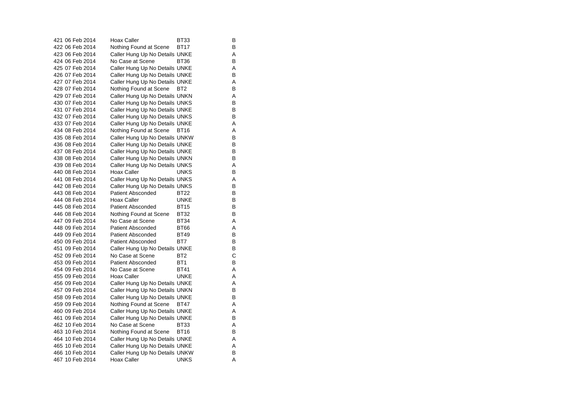| 421 06 Feb 2014 | <b>Hoax Caller</b>             | BT33            | В |
|-----------------|--------------------------------|-----------------|---|
| 422 06 Feb 2014 | Nothing Found at Scene         | <b>BT17</b>     | В |
| 423 06 Feb 2014 | Caller Hung Up No Details UNKE |                 | A |
| 424 06 Feb 2014 | No Case at Scene               | BT36            | B |
| 425 07 Feb 2014 | Caller Hung Up No Details UNKE |                 | Α |
| 426 07 Feb 2014 | Caller Hung Up No Details UNKE |                 | B |
| 427 07 Feb 2014 | Caller Hung Up No Details UNKE |                 | Α |
| 428 07 Feb 2014 | Nothing Found at Scene         | BT <sub>2</sub> | В |
| 429 07 Feb 2014 | Caller Hung Up No Details UNKN |                 | A |
| 430 07 Feb 2014 | Caller Hung Up No Details UNKS |                 | B |
| 431 07 Feb 2014 | Caller Hung Up No Details UNKE |                 | B |
| 432 07 Feb 2014 | Caller Hung Up No Details UNKS |                 | В |
| 433 07 Feb 2014 | Caller Hung Up No Details UNKE |                 | A |
| 434 08 Feb 2014 | Nothing Found at Scene         | BT16            | A |
| 435 08 Feb 2014 | Caller Hung Up No Details UNKW |                 | B |
| 436 08 Feb 2014 | Caller Hung Up No Details UNKE |                 | B |
| 437 08 Feb 2014 | Caller Hung Up No Details UNKE |                 | В |
| 438 08 Feb 2014 | Caller Hung Up No Details UNKN |                 | в |
| 439 08 Feb 2014 | Caller Hung Up No Details UNKS |                 | Α |
| 440 08 Feb 2014 | <b>Hoax Caller</b>             | <b>UNKS</b>     | B |
| 441 08 Feb 2014 | Caller Hung Up No Details UNKS |                 | A |
| 442 08 Feb 2014 | Caller Hung Up No Details UNKS |                 | в |
| 443 08 Feb 2014 | Patient Absconded              | BT22            | B |
| 444 08 Feb 2014 | Hoax Caller                    | <b>UNKE</b>     | в |
| 445 08 Feb 2014 | <b>Patient Absconded</b>       | <b>BT15</b>     | в |
| 446 08 Feb 2014 | Nothing Found at Scene         | <b>BT32</b>     | B |
| 447 09 Feb 2014 | No Case at Scene               | <b>BT34</b>     | Α |
| 448 09 Feb 2014 | Patient Absconded              | <b>BT66</b>     | A |
| 449 09 Feb 2014 | <b>Patient Absconded</b>       | <b>BT49</b>     | B |
| 450 09 Feb 2014 | <b>Patient Absconded</b>       | BT7             | в |
| 451 09 Feb 2014 | Caller Hung Up No Details UNKE |                 | B |
| 452 09 Feb 2014 | No Case at Scene               | BT <sub>2</sub> | С |
| 453 09 Feb 2014 | Patient Absconded              | BT <sub>1</sub> | B |
| 454 09 Feb 2014 | No Case at Scene               | <b>BT41</b>     | Α |
| 455 09 Feb 2014 | Hoax Caller                    | UNKE            | A |
| 456 09 Feb 2014 | Caller Hung Up No Details UNKE |                 | Α |
| 457 09 Feb 2014 | Caller Hung Up No Details UNKN |                 | в |
| 458 09 Feb 2014 | Caller Hung Up No Details UNKE |                 | В |
| 459 09 Feb 2014 | Nothing Found at Scene         | BT47            | Α |
| 460 09 Feb 2014 | Caller Hung Up No Details UNKE |                 | A |
| 461 09 Feb 2014 | Caller Hung Up No Details UNKE |                 | B |
| 462 10 Feb 2014 | No Case at Scene               | BT33            | A |
| 463 10 Feb 2014 | Nothing Found at Scene         | BT16            | В |
| 464 10 Feb 2014 | Caller Hung Up No Details UNKE |                 | Α |
| 465 10 Feb 2014 | Caller Hung Up No Details UNKE |                 | A |
| 466 10 Feb 2014 | Caller Hung Up No Details UNKW |                 | B |
| 467 10 Feb 2014 | Hoax Caller                    | <b>UNKS</b>     | Α |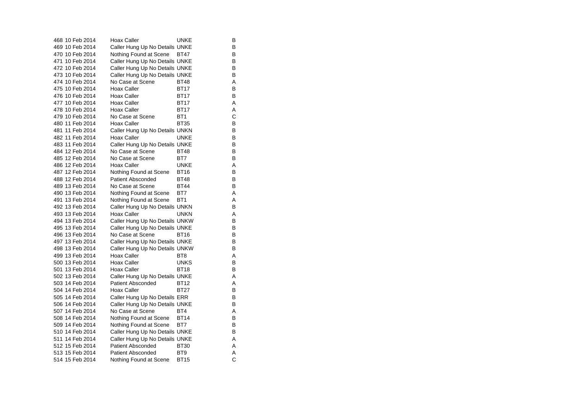|  | 468 10 Feb 2014 | <b>Hoax Caller</b>             | UNKE            | В |
|--|-----------------|--------------------------------|-----------------|---|
|  | 469 10 Feb 2014 | Caller Hung Up No Details UNKE |                 | B |
|  | 470 10 Feb 2014 | Nothing Found at Scene         | BT47            | B |
|  | 471 10 Feb 2014 | Caller Hung Up No Details UNKE |                 | В |
|  | 472 10 Feb 2014 | Caller Hung Up No Details UNKE |                 | B |
|  | 473 10 Feb 2014 | Caller Hung Up No Details UNKE |                 | В |
|  | 474 10 Feb 2014 | No Case at Scene               | <b>BT48</b>     | Α |
|  | 475 10 Feb 2014 | Hoax Caller                    | <b>BT17</b>     | B |
|  | 476 10 Feb 2014 | Hoax Caller                    | <b>BT17</b>     | B |
|  | 477 10 Feb 2014 | Hoax Caller                    | <b>BT17</b>     | Α |
|  | 478 10 Feb 2014 | Hoax Caller                    | <b>BT17</b>     | A |
|  | 479 10 Feb 2014 | No Case at Scene               | BT <sub>1</sub> | С |
|  | 480 11 Feb 2014 | Hoax Caller                    | <b>BT35</b>     | B |
|  | 481 11 Feb 2014 | Caller Hung Up No Details UNKN |                 | В |
|  | 482 11 Feb 2014 | Hoax Caller                    | <b>UNKE</b>     | В |
|  | 483 11 Feb 2014 | Caller Hung Up No Details UNKE |                 | B |
|  | 484 12 Feb 2014 | No Case at Scene               | <b>BT48</b>     | B |
|  | 485 12 Feb 2014 | No Case at Scene               | BT7             | В |
|  | 486 12 Feb 2014 | Hoax Caller                    | <b>UNKE</b>     | Α |
|  | 487 12 Feb 2014 | Nothing Found at Scene         | <b>BT16</b>     | B |
|  | 488 12 Feb 2014 | <b>Patient Absconded</b>       | <b>BT48</b>     | В |
|  | 489 13 Feb 2014 | No Case at Scene               | <b>BT44</b>     | B |
|  | 490 13 Feb 2014 | Nothing Found at Scene         | BT7             | Α |
|  | 491 13 Feb 2014 | Nothing Found at Scene         | BT <sub>1</sub> | Α |
|  | 492 13 Feb 2014 | Caller Hung Up No Details UNKN |                 | B |
|  | 493 13 Feb 2014 | Hoax Caller                    | <b>UNKN</b>     | Α |
|  | 494 13 Feb 2014 | Caller Hung Up No Details UNKW |                 | B |
|  | 495 13 Feb 2014 | Caller Hung Up No Details UNKE |                 | В |
|  | 496 13 Feb 2014 | No Case at Scene               | BT16            | В |
|  | 497 13 Feb 2014 | Caller Hung Up No Details UNKE |                 | B |
|  | 498 13 Feb 2014 | Caller Hung Up No Details UNKW |                 | B |
|  | 499 13 Feb 2014 | Hoax Caller                    | BT <sub>8</sub> | Α |
|  | 500 13 Feb 2014 | Hoax Caller                    | <b>UNKS</b>     | В |
|  | 501 13 Feb 2014 | Hoax Caller                    | <b>BT18</b>     | B |
|  | 502 13 Feb 2014 | Caller Hung Up No Details UNKE |                 | Α |
|  | 503 14 Feb 2014 | <b>Patient Absconded</b>       | <b>BT12</b>     | Α |
|  | 504 14 Feb 2014 | Hoax Caller                    | <b>BT27</b>     | B |
|  | 505 14 Feb 2014 | Caller Hung Up No Details ERR  |                 | B |
|  | 506 14 Feb 2014 | Caller Hung Up No Details UNKE |                 | B |
|  | 507 14 Feb 2014 | No Case at Scene               | BT4             | Α |
|  | 508 14 Feb 2014 | Nothing Found at Scene         | <b>BT14</b>     | B |
|  | 509 14 Feb 2014 | Nothing Found at Scene         | BT7             | B |
|  | 510 14 Feb 2014 | Caller Hung Up No Details UNKE |                 | B |
|  | 511 14 Feb 2014 | Caller Hung Up No Details UNKE |                 | A |
|  | 512 15 Feb 2014 | <b>Patient Absconded</b>       | <b>BT30</b>     | Α |
|  | 513 15 Feb 2014 | <b>Patient Absconded</b>       | BT <sub>9</sub> | Α |
|  | 514 15 Feb 2014 | Nothing Found at Scene         | <b>BT15</b>     | Ć |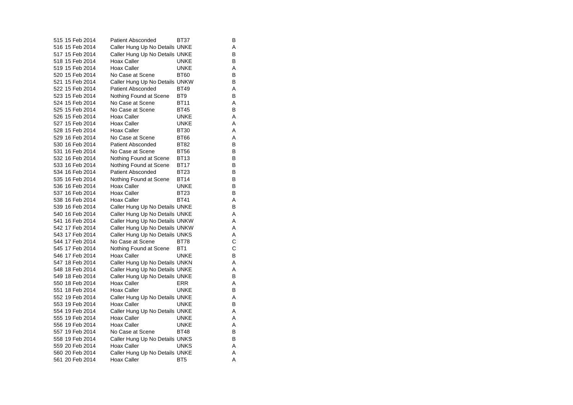| 515 15 Feb 2014 | <b>Patient Absconded</b>       | BT37            | В |
|-----------------|--------------------------------|-----------------|---|
| 516 15 Feb 2014 | Caller Hung Up No Details UNKE |                 | Α |
| 517 15 Feb 2014 | Caller Hung Up No Details UNKE |                 | В |
| 518 15 Feb 2014 | Hoax Caller                    | UNKE            | в |
| 519 15 Feb 2014 | Hoax Caller                    | <b>UNKE</b>     | A |
| 520 15 Feb 2014 | No Case at Scene               | <b>BT60</b>     | B |
| 521 15 Feb 2014 | Caller Hung Up No Details UNKW |                 | В |
| 522 15 Feb 2014 | <b>Patient Absconded</b>       | <b>BT49</b>     | A |
| 523 15 Feb 2014 | Nothing Found at Scene         | BT <sub>9</sub> | B |
| 524 15 Feb 2014 | No Case at Scene               | <b>BT11</b>     | A |
| 525 15 Feb 2014 | No Case at Scene               | <b>BT45</b>     | B |
| 526 15 Feb 2014 | <b>Hoax Caller</b>             | <b>UNKE</b>     | Α |
| 527 15 Feb 2014 | <b>Hoax Caller</b>             | UNKE            | A |
| 528 15 Feb 2014 | <b>Hoax Caller</b>             | <b>BT30</b>     | A |
| 529 16 Feb 2014 | No Case at Scene               | <b>BT66</b>     | A |
| 530 16 Feb 2014 | <b>Patient Absconded</b>       | <b>BT82</b>     | B |
| 531 16 Feb 2014 | No Case at Scene               | <b>BT56</b>     | B |
| 532 16 Feb 2014 | Nothing Found at Scene         | <b>BT13</b>     | B |
| 533 16 Feb 2014 | Nothing Found at Scene         | <b>BT17</b>     | в |
| 534 16 Feb 2014 | <b>Patient Absconded</b>       | BT23            | В |
| 535 16 Feb 2014 | Nothing Found at Scene         | <b>BT14</b>     | B |
| 536 16 Feb 2014 | Hoax Caller                    | <b>UNKE</b>     | в |
| 537 16 Feb 2014 | <b>Hoax Caller</b>             | BT23            | В |
| 538 16 Feb 2014 | <b>Hoax Caller</b>             | <b>BT41</b>     | A |
| 539 16 Feb 2014 | Caller Hung Up No Details UNKE |                 | B |
| 540 16 Feb 2014 | Caller Hung Up No Details UNKE |                 | Α |
| 541 16 Feb 2014 | Caller Hung Up No Details UNKW |                 | A |
| 542 17 Feb 2014 | Caller Hung Up No Details UNKW |                 | A |
| 543 17 Feb 2014 | Caller Hung Up No Details UNKS |                 | Α |
| 544 17 Feb 2014 | No Case at Scene               | BT78            | C |
| 545 17 Feb 2014 | Nothing Found at Scene         | BT <sub>1</sub> | C |
| 546 17 Feb 2014 | <b>Hoax Caller</b>             | <b>UNKE</b>     | B |
| 547 18 Feb 2014 | Caller Hung Up No Details UNKN |                 | A |
| 548 18 Feb 2014 | Caller Hung Up No Details UNKE |                 | Α |
| 549 18 Feb 2014 | Caller Hung Up No Details UNKE |                 | B |
| 550 18 Feb 2014 | <b>Hoax Caller</b>             | ERR             | Α |
| 551 18 Feb 2014 | Hoax Caller                    | <b>UNKE</b>     | В |
| 552 19 Feb 2014 | Caller Hung Up No Details UNKE |                 | Α |
| 553 19 Feb 2014 | <b>Hoax Caller</b>             | <b>UNKE</b>     | В |
| 554 19 Feb 2014 | Caller Hung Up No Details UNKE |                 | A |
| 555 19 Feb 2014 | Hoax Caller                    | UNKE            | Α |
| 556 19 Feb 2014 | <b>Hoax Caller</b>             | <b>UNKE</b>     | A |
| 557 19 Feb 2014 | No Case at Scene               | <b>BT48</b>     | B |
| 558 19 Feb 2014 | Caller Hung Up No Details UNKS |                 | В |
| 559 20 Feb 2014 | Hoax Caller                    | UNKS            | A |
| 560 20 Feb 2014 | Caller Hung Up No Details UNKE |                 | A |
| 561 20 Feb 2014 | <b>Hoax Caller</b>             | BT5             | A |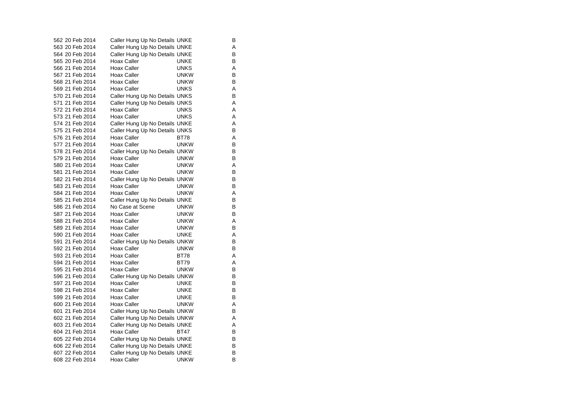| 562 20 Feb 2014 | Caller Hung Up No Details UNKE |             | В |
|-----------------|--------------------------------|-------------|---|
| 563 20 Feb 2014 | Caller Hung Up No Details UNKE |             | A |
| 564 20 Feb 2014 | Caller Hung Up No Details UNKE |             | В |
| 565 20 Feb 2014 | Hoax Caller                    | UNKE        | В |
| 566 21 Feb 2014 | <b>Hoax Caller</b>             | <b>UNKS</b> | A |
| 567 21 Feb 2014 | Hoax Caller                    | <b>UNKW</b> | в |
| 568 21 Feb 2014 | Hoax Caller                    | unkw        | В |
| 569 21 Feb 2014 | <b>Hoax Caller</b>             | UNKS        | A |
| 570 21 Feb 2014 | Caller Hung Up No Details UNKS |             | в |
| 571 21 Feb 2014 | Caller Hung Up No Details UNKS |             | A |
| 572 21 Feb 2014 | <b>Hoax Caller</b>             | <b>UNKS</b> | A |
| 573 21 Feb 2014 | Hoax Caller                    | UNKS        | A |
| 574 21 Feb 2014 | Caller Hung Up No Details UNKE |             | A |
| 575 21 Feb 2014 | Caller Hung Up No Details UNKS |             | в |
| 576 21 Feb 2014 | Hoax Caller                    | BT78        | A |
| 577 21 Feb 2014 | Hoax Caller                    | <b>UNKW</b> | в |
| 578 21 Feb 2014 | Caller Hung Up No Details UNKW |             | В |
| 579 21 Feb 2014 | <b>Hoax Caller</b>             | UNKW        | В |
| 580 21 Feb 2014 | <b>Hoax Caller</b>             | <b>UNKW</b> | A |
| 581 21 Feb 2014 | Hoax Caller                    | <b>UNKW</b> | В |
| 582 21 Feb 2014 | Caller Hung Up No Details UNKW |             | в |
| 583 21 Feb 2014 | <b>Hoax Caller</b>             | <b>UNKW</b> | В |
| 584 21 Feb 2014 | <b>Hoax Caller</b>             | UNKW        | A |
| 585 21 Feb 2014 | Caller Hung Up No Details UNKE |             | в |
| 586 21 Feb 2014 | No Case at Scene               | <b>UNKW</b> | В |
| 587 21 Feb 2014 | Hoax Caller                    | <b>UNKW</b> | B |
| 588 21 Feb 2014 | Hoax Caller                    | <b>UNKW</b> | Α |
| 589 21 Feb 2014 | <b>Hoax Caller</b>             | <b>UNKW</b> | В |
| 590 21 Feb 2014 | Hoax Caller                    | <b>UNKE</b> | A |
| 591 21 Feb 2014 | Caller Hung Up No Details UNKW |             | В |
| 592 21 Feb 2014 | <b>Hoax Caller</b>             | <b>UNKW</b> | B |
| 593 21 Feb 2014 | Hoax Caller                    | <b>BT78</b> | A |
| 594 21 Feb 2014 | <b>Hoax Caller</b>             | BT79        | A |
| 595 21 Feb 2014 | Hoax Caller                    | <b>UNKW</b> | B |
| 596 21 Feb 2014 | Caller Hung Up No Details UNKW |             | В |
| 597 21 Feb 2014 | Hoax Caller                    | UNKE        | в |
| 598 21 Feb 2014 | Hoax Caller                    | <b>UNKE</b> | В |
| 599 21 Feb 2014 | Hoax Caller                    | UNKE        | в |
| 600 21 Feb 2014 | Hoax Caller                    | <b>UNKW</b> | A |
| 601 21 Feb 2014 | Caller Hung Up No Details UNKW |             | B |
| 602 21 Feb 2014 | Caller Hung Up No Details UNKW |             | Α |
| 603 21 Feb 2014 | Caller Hung Up No Details UNKE |             | A |
| 604 21 Feb 2014 | <b>Hoax Caller</b>             | BT47        | в |
| 605 22 Feb 2014 | Caller Hung Up No Details UNKE |             | В |
| 606 22 Feb 2014 | Caller Hung Up No Details UNKE |             | В |
| 607 22 Feb 2014 | Caller Hung Up No Details UNKE |             | в |
| 608 22 Feb 2014 | Hoax Caller                    | <b>UNKW</b> | B |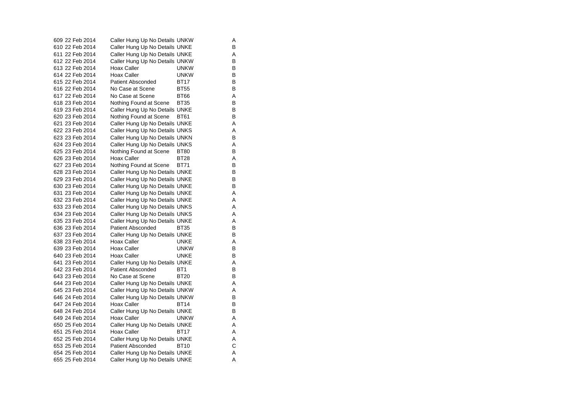| 609 22 Feb 2014 | Caller Hung Up No Details UNKW |                 | Α |
|-----------------|--------------------------------|-----------------|---|
| 610 22 Feb 2014 | Caller Hung Up No Details UNKE |                 | В |
| 611 22 Feb 2014 | Caller Hung Up No Details UNKE |                 | A |
| 612 22 Feb 2014 | Caller Hung Up No Details UNKW |                 | B |
| 613 22 Feb 2014 | Hoax Caller                    | <b>UNKW</b>     | В |
| 614 22 Feb 2014 | Hoax Caller                    | <b>UNKW</b>     | B |
| 615 22 Feb 2014 | <b>Patient Absconded</b>       | <b>BT17</b>     | в |
| 616 22 Feb 2014 | No Case at Scene               | <b>BT55</b>     | В |
| 617 22 Feb 2014 | No Case at Scene               | <b>BT66</b>     | A |
| 618 23 Feb 2014 | Nothing Found at Scene         | <b>BT35</b>     | B |
| 619 23 Feb 2014 | Caller Hung Up No Details UNKE |                 | B |
| 620 23 Feb 2014 | Nothing Found at Scene         | <b>BT61</b>     | в |
| 621 23 Feb 2014 | Caller Hung Up No Details UNKE |                 | A |
| 622 23 Feb 2014 | Caller Hung Up No Details UNKS |                 | Α |
| 623 23 Feb 2014 | Caller Hung Up No Details UNKN |                 | в |
| 624 23 Feb 2014 | Caller Hung Up No Details UNKS |                 | A |
| 625 23 Feb 2014 | Nothing Found at Scene         | <b>BT80</b>     | B |
| 626 23 Feb 2014 | Hoax Caller                    | BT28            | Α |
| 627 23 Feb 2014 | Nothing Found at Scene         | <b>BT71</b>     | B |
| 628 23 Feb 2014 | Caller Hung Up No Details UNKE |                 | в |
| 629 23 Feb 2014 | Caller Hung Up No Details UNKE |                 | B |
| 630 23 Feb 2014 | Caller Hung Up No Details UNKE |                 | В |
| 631 23 Feb 2014 | Caller Hung Up No Details UNKE |                 | Α |
| 632 23 Feb 2014 | Caller Hung Up No Details UNKE |                 | Α |
| 633 23 Feb 2014 | Caller Hung Up No Details UNKS |                 | Α |
| 634 23 Feb 2014 | Caller Hung Up No Details UNKS |                 | A |
| 635 23 Feb 2014 | Caller Hung Up No Details UNKE |                 | A |
| 636 23 Feb 2014 | <b>Patient Absconded</b>       | BT35            | В |
| 637 23 Feb 2014 | Caller Hung Up No Details UNKE |                 | В |
| 638 23 Feb 2014 | <b>Hoax Caller</b>             | UNKE            | A |
| 639 23 Feb 2014 | <b>Hoax Caller</b>             | <b>UNKW</b>     | в |
| 640 23 Feb 2014 | <b>Hoax Caller</b>             | UNKE            | в |
| 641 23 Feb 2014 | Caller Hung Up No Details UNKE |                 | A |
| 642 23 Feb 2014 | <b>Patient Absconded</b>       | BT <sub>1</sub> | В |
| 643 23 Feb 2014 | No Case at Scene               | BT20            | в |
| 644 23 Feb 2014 | Caller Hung Up No Details UNKE |                 | Α |
| 645 23 Feb 2014 | Caller Hung Up No Details UNKW |                 | Α |
| 646 24 Feb 2014 | Caller Hung Up No Details UNKW |                 | B |
| 647 24 Feb 2014 | Hoax Caller                    | BT14            | В |
| 648 24 Feb 2014 | Caller Hung Up No Details UNKE |                 | В |
| 649 24 Feb 2014 | <b>Hoax Caller</b>             | <b>UNKW</b>     | Α |
| 650 25 Feb 2014 | Caller Hung Up No Details UNKE |                 | Α |
| 651 25 Feb 2014 | Hoax Caller                    | <b>BT17</b>     | Α |
| 652 25 Feb 2014 | Caller Hung Up No Details UNKE |                 | Α |
| 653 25 Feb 2014 | Patient Absconded              | <b>BT10</b>     | С |
| 654 25 Feb 2014 | Caller Hung Up No Details UNKE |                 | A |
| 655 25 Feb 2014 | Caller Hung Up No Details UNKE |                 | A |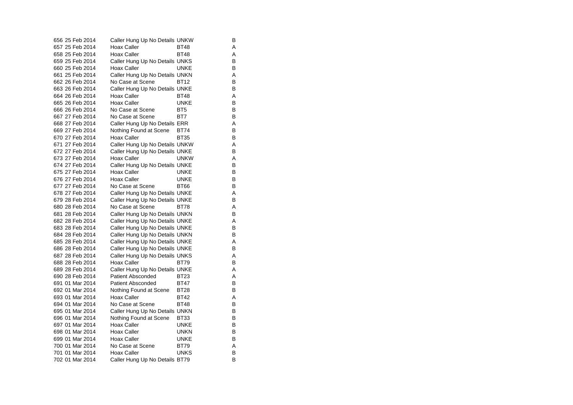| 656 25 Feb 2014 | Caller Hung Up No Details UNKW |             | В |
|-----------------|--------------------------------|-------------|---|
| 657 25 Feb 2014 | Hoax Caller                    | <b>BT48</b> | Α |
| 658 25 Feb 2014 | Hoax Caller                    | <b>BT48</b> | A |
| 659 25 Feb 2014 | Caller Hung Up No Details UNKS |             | в |
| 660 25 Feb 2014 | Hoax Caller                    | UNKE        | В |
| 661 25 Feb 2014 | Caller Hung Up No Details UNKN |             | A |
| 662 26 Feb 2014 | No Case at Scene               | BT12        | В |
| 663 26 Feb 2014 | Caller Hung Up No Details UNKE |             | в |
| 664 26 Feb 2014 | Hoax Caller                    | <b>BT48</b> | Α |
| 665 26 Feb 2014 | <b>Hoax Caller</b>             | <b>UNKE</b> | В |
| 666 26 Feb 2014 | No Case at Scene               | BT5         | В |
| 667 27 Feb 2014 | No Case at Scene               | BT7         | B |
| 668 27 Feb 2014 | Caller Hung Up No Details ERR  |             | Α |
| 669 27 Feb 2014 | Nothing Found at Scene         | BT74        | в |
| 670 27 Feb 2014 | Hoax Caller                    | <b>BT35</b> | B |
| 671 27 Feb 2014 | Caller Hung Up No Details UNKW |             | Α |
| 672 27 Feb 2014 | Caller Hung Up No Details UNKE |             | В |
| 673 27 Feb 2014 | Hoax Caller                    | <b>UNKW</b> | A |
| 674 27 Feb 2014 | Caller Hung Up No Details UNKE |             | в |
| 675 27 Feb 2014 | Hoax Caller                    | UNKE        | В |
| 676 27 Feb 2014 | Hoax Caller                    | UNKE        | B |
| 677 27 Feb 2014 | No Case at Scene               | <b>BT66</b> | В |
| 678 27 Feb 2014 | Caller Hung Up No Details UNKE |             | A |
| 679 28 Feb 2014 | Caller Hung Up No Details UNKE |             | в |
| 680 28 Feb 2014 | No Case at Scene               | BT78        | A |
| 681 28 Feb 2014 | Caller Hung Up No Details UNKN |             | B |
| 682 28 Feb 2014 | Caller Hung Up No Details UNKE |             | Α |
| 683 28 Feb 2014 | Caller Hung Up No Details UNKE |             | в |
| 684 28 Feb 2014 | Caller Hung Up No Details UNKN |             | в |
| 685 28 Feb 2014 | Caller Hung Up No Details UNKE |             | Α |
| 686 28 Feb 2014 | Caller Hung Up No Details UNKE |             | B |
| 687 28 Feb 2014 | Caller Hung Up No Details UNKS |             | Α |
| 688 28 Feb 2014 | Hoax Caller                    | BT79        | в |
| 689 28 Feb 2014 | Caller Hung Up No Details UNKE |             | A |
| 690 28 Feb 2014 | <b>Patient Absconded</b>       | BT23        | Α |
| 691 01 Mar 2014 | <b>Patient Absconded</b>       | <b>BT47</b> | в |
| 692 01 Mar 2014 | Nothing Found at Scene         | <b>BT28</b> | B |
| 693 01 Mar 2014 | <b>Hoax Caller</b>             | <b>BT42</b> | Α |
| 694 01 Mar 2014 | No Case at Scene               | <b>BT48</b> | в |
| 695 01 Mar 2014 | Caller Hung Up No Details UNKN |             | в |
| 696 01 Mar 2014 | Nothing Found at Scene         | BT33        | в |
| 697 01 Mar 2014 | <b>Hoax Caller</b>             | UNKE        | В |
| 698 01 Mar 2014 | Hoax Caller                    | <b>UNKN</b> | в |
| 699 01 Mar 2014 | Hoax Caller                    | <b>UNKE</b> | В |
| 700 01 Mar 2014 | No Case at Scene               | BT79        | Α |
| 701 01 Mar 2014 | Hoax Caller                    | UNKS        | B |
| 702 01 Mar 2014 | Caller Hung Up No Details BT79 |             | в |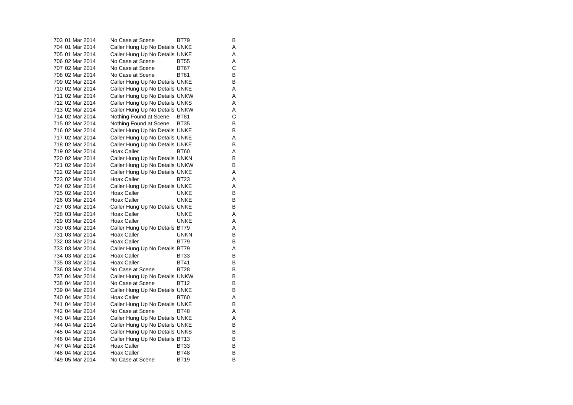| 703 01 Mar 2014 | No Case at Scene               | BT79        | В |
|-----------------|--------------------------------|-------------|---|
| 704 01 Mar 2014 | Caller Hung Up No Details UNKE |             | Α |
| 705 01 Mar 2014 | Caller Hung Up No Details UNKE |             | Α |
| 706 02 Mar 2014 | No Case at Scene               | <b>BT55</b> | Α |
| 707 02 Mar 2014 | No Case at Scene               | <b>BT67</b> | С |
| 708 02 Mar 2014 | No Case at Scene               | <b>BT61</b> | B |
| 709 02 Mar 2014 | Caller Hung Up No Details UNKE |             | B |
| 710 02 Mar 2014 | Caller Hung Up No Details UNKE |             | Α |
| 711 02 Mar 2014 | Caller Hung Up No Details UNKW |             | Α |
| 712 02 Mar 2014 | Caller Hung Up No Details UNKS |             | A |
| 713 02 Mar 2014 | Caller Hung Up No Details UNKW |             | Α |
| 714 02 Mar 2014 | Nothing Found at Scene         | BT81        | C |
| 715 02 Mar 2014 | Nothing Found at Scene         | <b>BT35</b> | В |
| 716 02 Mar 2014 | Caller Hung Up No Details UNKE |             | В |
| 717 02 Mar 2014 | Caller Hung Up No Details UNKE |             | Α |
| 718 02 Mar 2014 | Caller Hung Up No Details UNKE |             | В |
| 719 02 Mar 2014 | Hoax Caller                    | <b>BT60</b> | Α |
| 720 02 Mar 2014 | Caller Hung Up No Details UNKN |             | В |
| 721 02 Mar 2014 | Caller Hung Up No Details UNKW |             | B |
| 722 02 Mar 2014 | Caller Hung Up No Details UNKE |             | Α |
| 723 02 Mar 2014 | Hoax Caller                    | <b>BT23</b> | A |
| 724 02 Mar 2014 | Caller Hung Up No Details UNKE |             | Α |
| 725 02 Mar 2014 | Hoax Caller                    | UNKE        | В |
| 726 03 Mar 2014 | Hoax Caller                    | <b>UNKE</b> | В |
| 727 03 Mar 2014 | Caller Hung Up No Details UNKE |             | В |
| 728 03 Mar 2014 | <b>Hoax Caller</b>             | <b>UNKE</b> | Α |
| 729 03 Mar 2014 | <b>Hoax Caller</b>             | UNKE        | Α |
| 730 03 Mar 2014 | Caller Hung Up No Details BT79 |             | Α |
| 731 03 Mar 2014 | Hoax Caller                    | <b>UNKN</b> | В |
| 732 03 Mar 2014 | Hoax Caller                    | <b>BT79</b> | B |
| 733 03 Mar 2014 | Caller Hung Up No Details BT79 |             | Α |
| 734 03 Mar 2014 | <b>Hoax Caller</b>             | <b>BT33</b> | B |
| 735 03 Mar 2014 | Hoax Caller                    | <b>BT41</b> | В |
| 736 03 Mar 2014 | No Case at Scene               | <b>BT28</b> | в |
| 737 04 Mar 2014 | Caller Hung Up No Details UNKW |             | B |
| 738 04 Mar 2014 | No Case at Scene               | BT12        | В |
| 739 04 Mar 2014 | Caller Hung Up No Details UNKE |             | В |
| 740 04 Mar 2014 | Hoax Caller                    | BT60        | Α |
| 741 04 Mar 2014 | Caller Hung Up No Details UNKE |             | В |
| 742 04 Mar 2014 | No Case at Scene               | BT48        | Α |
| 743 04 Mar 2014 | Caller Hung Up No Details UNKE |             | Α |
| 744 04 Mar 2014 | Caller Hung Up No Details UNKE |             | В |
| 745 04 Mar 2014 | Caller Hung Up No Details UNKS |             | В |
| 746 04 Mar 2014 | Caller Hung Up No Details BT13 |             | В |
| 747 04 Mar 2014 | Hoax Caller                    | <b>BT33</b> | B |
| 748 04 Mar 2014 | Hoax Caller                    | <b>BT48</b> | В |
| 749 05 Mar 2014 | No Case at Scene               | <b>BT19</b> | B |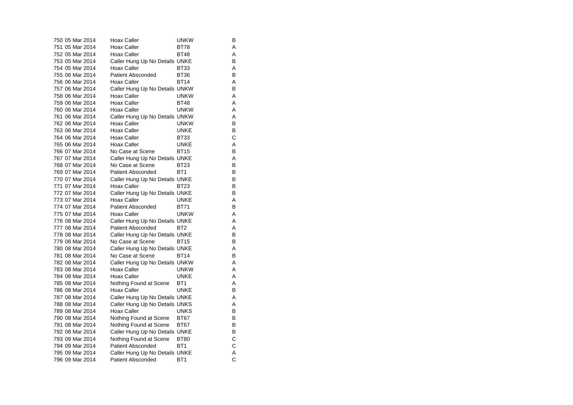| 750 05 Mar 2014 | Hoax Caller                    | <b>UNKW</b>     | В |
|-----------------|--------------------------------|-----------------|---|
| 751 05 Mar 2014 | Hoax Caller                    | <b>BT78</b>     | Α |
| 752 05 Mar 2014 | Hoax Caller                    | <b>BT48</b>     | Α |
| 753 05 Mar 2014 | Caller Hung Up No Details UNKE |                 | B |
| 754 05 Mar 2014 | Hoax Caller                    | <b>BT33</b>     | A |
| 755 06 Mar 2014 | <b>Patient Absconded</b>       | <b>BT36</b>     | В |
| 756 06 Mar 2014 | Hoax Caller                    | <b>BT14</b>     | Α |
| 757 06 Mar 2014 | Caller Hung Up No Details UNKW |                 | В |
| 758 06 Mar 2014 | Hoax Caller                    | <b>UNKW</b>     | Α |
| 759 06 Mar 2014 | Hoax Caller                    | <b>BT48</b>     | A |
| 760 06 Mar 2014 | Hoax Caller                    | <b>UNKW</b>     | Α |
| 761 06 Mar 2014 | Caller Hung Up No Details UNKW |                 | Α |
| 762 06 Mar 2014 | Hoax Caller                    | <b>UNKW</b>     | В |
| 763 06 Mar 2014 | Hoax Caller                    | <b>UNKE</b>     | B |
| 764 06 Mar 2014 | Hoax Caller                    | <b>BT33</b>     | C |
| 765 06 Mar 2014 | <b>Hoax Caller</b>             | <b>UNKE</b>     | Α |
| 766 07 Mar 2014 | No Case at Scene               | <b>BT15</b>     | В |
| 767 07 Mar 2014 | Caller Hung Up No Details UNKE |                 | Α |
| 768 07 Mar 2014 | No Case at Scene               | <b>BT23</b>     | B |
| 769 07 Mar 2014 | <b>Patient Absconded</b>       | BT <sub>1</sub> | B |
| 770 07 Mar 2014 | Caller Hung Up No Details UNKE |                 | B |
| 771 07 Mar 2014 | Hoax Caller                    | <b>BT23</b>     | В |
| 772 07 Mar 2014 | Caller Hung Up No Details UNKE |                 | B |
| 773 07 Mar 2014 | Hoax Caller                    | <b>UNKE</b>     | Α |
| 774 07 Mar 2014 | <b>Patient Absconded</b>       | <b>BT71</b>     | B |
| 775 07 Mar 2014 | Hoax Caller                    | <b>UNKW</b>     | Α |
| 776 08 Mar 2014 | Caller Hung Up No Details UNKE |                 | Α |
| 777 08 Mar 2014 | <b>Patient Absconded</b>       | BT <sub>2</sub> | Α |
| 778 08 Mar 2014 | Caller Hung Up No Details UNKE |                 | В |
| 779 08 Mar 2014 | No Case at Scene               | BT15            | в |
| 780 08 Mar 2014 | Caller Hung Up No Details UNKE |                 | Α |
| 781 08 Mar 2014 | No Case at Scene               | <b>BT14</b>     | В |
| 782 08 Mar 2014 | Caller Hung Up No Details UNKW |                 | Α |
| 783 08 Mar 2014 | Hoax Caller                    | <b>UNKW</b>     | Α |
| 784 08 Mar 2014 | Hoax Caller                    | <b>UNKE</b>     | A |
| 785 08 Mar 2014 | Nothing Found at Scene         | BT <sub>1</sub> | Α |
| 786 08 Mar 2014 | Hoax Caller                    | <b>UNKE</b>     | В |
| 787 08 Mar 2014 | Caller Hung Up No Details UNKE |                 | Α |
| 788 08 Mar 2014 | Caller Hung Up No Details UNKS |                 | Α |
| 789 08 Mar 2014 | Hoax Caller                    | <b>UNKS</b>     | B |
| 790 08 Mar 2014 | Nothing Found at Scene         | <b>BT67</b>     | В |
| 791 08 Mar 2014 | Nothing Found at Scene         | BT67            | B |
| 792 08 Mar 2014 | Caller Hung Up No Details UNKE |                 | В |
| 793 09 Mar 2014 | Nothing Found at Scene         | <b>BT80</b>     | С |
| 794 09 Mar 2014 | <b>Patient Absconded</b>       | BT <sub>1</sub> | С |
| 795 09 Mar 2014 | Caller Hung Up No Details UNKE |                 | Α |
| 796 09 Mar 2014 | <b>Patient Absconded</b>       | BT <sub>1</sub> | C |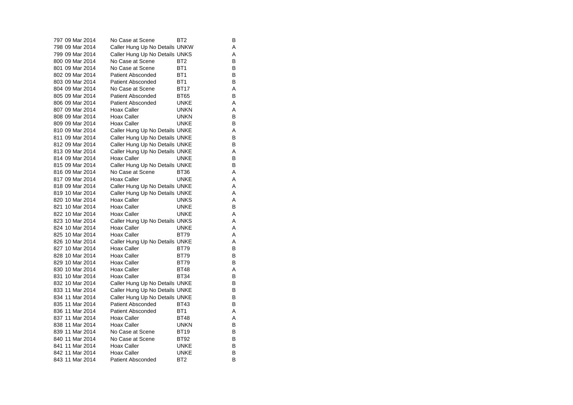| 797 09 Mar 2014 | No Case at Scene               | BT2             | в |
|-----------------|--------------------------------|-----------------|---|
| 798 09 Mar 2014 | Caller Hung Up No Details UNKW |                 | A |
| 799 09 Mar 2014 | Caller Hung Up No Details UNKS |                 | A |
| 800 09 Mar 2014 | No Case at Scene               | BT2             | В |
| 801 09 Mar 2014 | No Case at Scene               | BT <sub>1</sub> | В |
| 802 09 Mar 2014 | <b>Patient Absconded</b>       | BT <sub>1</sub> | B |
| 803 09 Mar 2014 | <b>Patient Absconded</b>       | BT <sub>1</sub> | B |
| 804 09 Mar 2014 | No Case at Scene               | <b>BT17</b>     | A |
| 805 09 Mar 2014 | <b>Patient Absconded</b>       | BT65            | В |
| 806 09 Mar 2014 | <b>Patient Absconded</b>       | <b>UNKE</b>     | A |
| 807 09 Mar 2014 | Hoax Caller                    | <b>UNKN</b>     | A |
| 808 09 Mar 2014 | Hoax Caller                    | <b>UNKN</b>     | B |
| 809 09 Mar 2014 | Hoax Caller                    | <b>UNKE</b>     | B |
| 810 09 Mar 2014 | Caller Hung Up No Details UNKE |                 | A |
| 811 09 Mar 2014 | Caller Hung Up No Details UNKE |                 | B |
| 812 09 Mar 2014 | Caller Hung Up No Details UNKE |                 | B |
| 813 09 Mar 2014 | Caller Hung Up No Details UNKE |                 | A |
| 814 09 Mar 2014 | Hoax Caller                    | <b>UNKE</b>     | B |
| 815 09 Mar 2014 | Caller Hung Up No Details UNKE |                 | B |
| 816 09 Mar 2014 | No Case at Scene               | BT36            | A |
| 817 09 Mar 2014 | <b>Hoax Caller</b>             | <b>UNKE</b>     | A |
| 818 09 Mar 2014 | Caller Hung Up No Details UNKE |                 | A |
| 819 10 Mar 2014 | Caller Hung Up No Details UNKE |                 | A |
| 820 10 Mar 2014 | <b>Hoax Caller</b>             | <b>UNKS</b>     | A |
| 821 10 Mar 2014 | <b>Hoax Caller</b>             | UNKE            | В |
| 822 10 Mar 2014 | <b>Hoax Caller</b>             | UNKE            | A |
| 823 10 Mar 2014 | Caller Hung Up No Details UNKS |                 | A |
| 824 10 Mar 2014 | Hoax Caller                    | <b>UNKE</b>     | A |
| 825 10 Mar 2014 | <b>Hoax Caller</b>             | <b>BT79</b>     | A |
| 826 10 Mar 2014 | Caller Hung Up No Details UNKE |                 | A |
| 827 10 Mar 2014 | <b>Hoax Caller</b>             | <b>BT79</b>     | B |
| 828 10 Mar 2014 | <b>Hoax Caller</b>             | <b>BT79</b>     | В |
| 829 10 Mar 2014 | Hoax Caller                    | BT79            | B |
| 830 10 Mar 2014 | <b>Hoax Caller</b>             | <b>BT48</b>     | A |
| 831 10 Mar 2014 | <b>Hoax Caller</b>             | <b>BT34</b>     | В |
| 832 10 Mar 2014 | Caller Hung Up No Details UNKE |                 | B |
| 833 11 Mar 2014 | Caller Hung Up No Details UNKE |                 | В |
| 834 11 Mar 2014 | Caller Hung Up No Details UNKE |                 | В |
| 835 11 Mar 2014 | <b>Patient Absconded</b>       | <b>BT43</b>     | B |
| 836 11 Mar 2014 | <b>Patient Absconded</b>       | BT <sub>1</sub> | A |
| 837 11 Mar 2014 | <b>Hoax Caller</b>             | <b>BT48</b>     | A |
| 838 11 Mar 2014 | <b>Hoax Caller</b>             | <b>UNKN</b>     | В |
| 839 11 Mar 2014 | No Case at Scene               | BT19            | В |
| 840 11 Mar 2014 | No Case at Scene               | <b>BT92</b>     | в |
| 841 11 Mar 2014 | <b>Hoax Caller</b>             | UNKE            | В |
| 842 11 Mar 2014 | <b>Hoax Caller</b>             | <b>UNKE</b>     | В |
| 843 11 Mar 2014 | <b>Patient Absconded</b>       | BT <sub>2</sub> | B |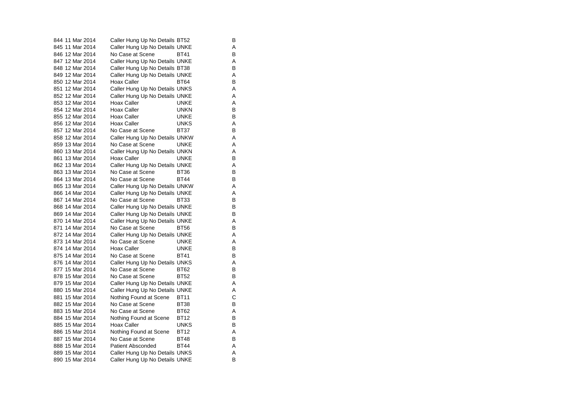| 844 11 Mar 2014 | Caller Hung Up No Details BT52 |             | в |
|-----------------|--------------------------------|-------------|---|
| 845 11 Mar 2014 | Caller Hung Up No Details UNKE |             | Α |
| 846 12 Mar 2014 | No Case at Scene               | <b>BT41</b> | в |
| 847 12 Mar 2014 | Caller Hung Up No Details UNKE |             | Α |
| 848 12 Mar 2014 | Caller Hung Up No Details BT38 |             | в |
| 849 12 Mar 2014 | Caller Hung Up No Details UNKE |             | Α |
| 850 12 Mar 2014 | Hoax Caller                    | <b>BT64</b> | В |
| 851 12 Mar 2014 | Caller Hung Up No Details UNKS |             | A |
| 852 12 Mar 2014 | Caller Hung Up No Details UNKE |             | Α |
| 853 12 Mar 2014 | Hoax Caller                    | <b>UNKE</b> | A |
| 854 12 Mar 2014 | <b>Hoax Caller</b>             | <b>UNKN</b> | B |
| 855 12 Mar 2014 | <b>Hoax Caller</b>             | UNKE        | В |
| 856 12 Mar 2014 | <b>Hoax Caller</b>             | UNKS        | A |
| 857 12 Mar 2014 | No Case at Scene               | <b>BT37</b> | B |
| 858 12 Mar 2014 | Caller Hung Up No Details UNKW |             | A |
| 859 13 Mar 2014 | No Case at Scene               | UNKE        | A |
| 860 13 Mar 2014 | Caller Hung Up No Details UNKN |             | A |
| 861 13 Mar 2014 | Hoax Caller                    | UNKE        | B |
| 862 13 Mar 2014 | Caller Hung Up No Details UNKE |             | A |
| 863 13 Mar 2014 | No Case at Scene               | BT36        | в |
| 864 13 Mar 2014 | No Case at Scene               | <b>BT44</b> | B |
| 865 13 Mar 2014 | Caller Hung Up No Details UNKW |             | A |
| 866 14 Mar 2014 | Caller Hung Up No Details UNKE |             | Α |
| 867 14 Mar 2014 | No Case at Scene               | BT33        | B |
| 868 14 Mar 2014 | Caller Hung Up No Details UNKE |             | В |
| 869 14 Mar 2014 | Caller Hung Up No Details UNKE |             | B |
| 870 14 Mar 2014 | Caller Hung Up No Details UNKE |             | A |
| 871 14 Mar 2014 | No Case at Scene               | <b>BT56</b> | B |
| 872 14 Mar 2014 | Caller Hung Up No Details UNKE |             | A |
| 873 14 Mar 2014 | No Case at Scene               | UNKE        | Α |
| 874 14 Mar 2014 | <b>Hoax Caller</b>             | UNKE        | B |
| 875 14 Mar 2014 | No Case at Scene               | <b>BT41</b> | в |
| 876 14 Mar 2014 | Caller Hung Up No Details UNKS |             | Α |
| 877 15 Mar 2014 | No Case at Scene               | BT62        | в |
| 878 15 Mar 2014 | No Case at Scene               | <b>BT52</b> | B |
| 879 15 Mar 2014 | Caller Hung Up No Details UNKE |             | Α |
| 880 15 Mar 2014 | Caller Hung Up No Details UNKE |             | Α |
| 881 15 Mar 2014 | Nothing Found at Scene         | BT11        | C |
| 882 15 Mar 2014 | No Case at Scene               | <b>BT38</b> | В |
| 883 15 Mar 2014 | No Case at Scene               | BT62        | A |
| 884 15 Mar 2014 | Nothing Found at Scene         | <b>BT12</b> | В |
| 885 15 Mar 2014 | Hoax Caller                    | <b>UNKS</b> | B |
| 886 15 Mar 2014 | Nothing Found at Scene         | <b>BT12</b> | A |
| 887 15 Mar 2014 | No Case at Scene               | <b>BT48</b> | в |
| 888 15 Mar 2014 | Patient Absconded              | <b>BT44</b> | A |
| 889 15 Mar 2014 | Caller Hung Up No Details UNKS |             | A |
| 890 15 Mar 2014 | Caller Hung Up No Details UNKE |             | В |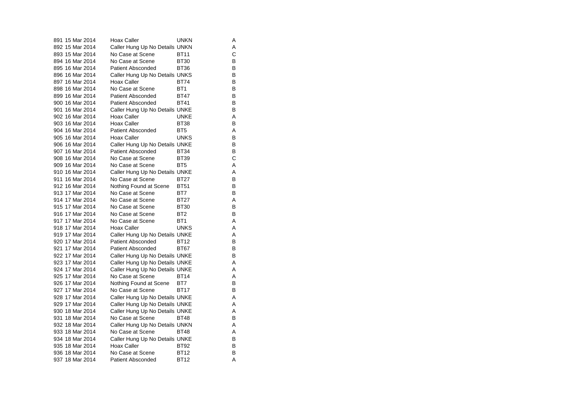| 891 15 Mar 2014 | <b>Hoax Caller</b>             | UNKN            | Α |
|-----------------|--------------------------------|-----------------|---|
| 892 15 Mar 2014 | Caller Hung Up No Details UNKN |                 | A |
| 893 15 Mar 2014 | No Case at Scene               | <b>BT11</b>     | С |
| 894 16 Mar 2014 | No Case at Scene               | <b>BT30</b>     | в |
| 895 16 Mar 2014 | <b>Patient Absconded</b>       | <b>BT36</b>     | B |
| 896 16 Mar 2014 | Caller Hung Up No Details UNKS |                 | B |
| 897 16 Mar 2014 | Hoax Caller                    | BT74            | B |
| 898 16 Mar 2014 | No Case at Scene               | BT <sub>1</sub> | B |
| 899 16 Mar 2014 | <b>Patient Absconded</b>       | <b>BT47</b>     | В |
| 900 16 Mar 2014 | Patient Absconded              | <b>BT41</b>     | B |
| 901 16 Mar 2014 | Caller Hung Up No Details UNKE |                 | B |
| 902 16 Mar 2014 | Hoax Caller                    | UNKE            | Α |
| 903 16 Mar 2014 | Hoax Caller                    | <b>BT38</b>     | B |
| 904 16 Mar 2014 | <b>Patient Absconded</b>       | BT <sub>5</sub> | A |
| 905 16 Mar 2014 | Hoax Caller                    | <b>UNKS</b>     | B |
| 906 16 Mar 2014 | Caller Hung Up No Details UNKE |                 | B |
| 907 16 Mar 2014 | <b>Patient Absconded</b>       | <b>BT34</b>     | В |
| 908 16 Mar 2014 | No Case at Scene               | <b>BT39</b>     | C |
| 909 16 Mar 2014 | No Case at Scene               | BT <sub>5</sub> | Α |
| 910 16 Mar 2014 | Caller Hung Up No Details UNKE |                 | Α |
| 911 16 Mar 2014 | No Case at Scene               | <b>BT27</b>     | B |
| 912 16 Mar 2014 | Nothing Found at Scene         | <b>BT51</b>     | В |
| 913 17 Mar 2014 | No Case at Scene               | BT7             | B |
| 914 17 Mar 2014 | No Case at Scene               | <b>BT27</b>     | A |
| 915 17 Mar 2014 | No Case at Scene               | <b>BT30</b>     | в |
| 916 17 Mar 2014 | No Case at Scene               | BT <sub>2</sub> | B |
| 917 17 Mar 2014 | No Case at Scene               | BT1             | A |
| 918 17 Mar 2014 | Hoax Caller                    | <b>UNKS</b>     | A |
| 919 17 Mar 2014 | Caller Hung Up No Details UNKE |                 | A |
| 920 17 Mar 2014 | <b>Patient Absconded</b>       | <b>BT12</b>     | в |
| 921 17 Mar 2014 | <b>Patient Absconded</b>       | <b>BT67</b>     | B |
| 922 17 Mar 2014 | Caller Hung Up No Details UNKE |                 | В |
| 923 17 Mar 2014 | Caller Hung Up No Details UNKE |                 | Α |
| 924 17 Mar 2014 | Caller Hung Up No Details UNKE |                 | A |
| 925 17 Mar 2014 | No Case at Scene               | <b>BT14</b>     | Α |
| 926 17 Mar 2014 | Nothing Found at Scene         | BT7             | B |
| 927 17 Mar 2014 | No Case at Scene               | <b>BT17</b>     | В |
| 928 17 Mar 2014 | Caller Hung Up No Details UNKE |                 | Α |
| 929 17 Mar 2014 | Caller Hung Up No Details UNKE |                 | A |
| 930 18 Mar 2014 | Caller Hung Up No Details UNKE |                 | Α |
| 931 18 Mar 2014 | No Case at Scene               | BT48            | B |
| 932 18 Mar 2014 | Caller Hung Up No Details UNKN |                 | A |
| 933 18 Mar 2014 | No Case at Scene               | <b>BT48</b>     | Α |
| 934 18 Mar 2014 | Caller Hung Up No Details UNKE |                 | B |
| 935 18 Mar 2014 | Hoax Caller                    | <b>BT92</b>     | в |
| 936 18 Mar 2014 | No Case at Scene               | <b>BT12</b>     | B |
| 937 18 Mar 2014 | <b>Patient Absconded</b>       | <b>BT12</b>     | A |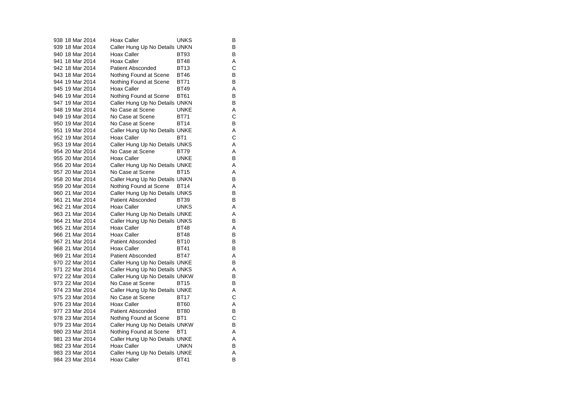|  | 938 18 Mar 2014 | <b>Hoax Caller</b>             | UNKS            | В |
|--|-----------------|--------------------------------|-----------------|---|
|  | 939 18 Mar 2014 | Caller Hung Up No Details UNKN |                 | В |
|  | 940 18 Mar 2014 | Hoax Caller                    | <b>BT93</b>     | В |
|  | 941 18 Mar 2014 | <b>Hoax Caller</b>             | <b>BT48</b>     | Α |
|  | 942 18 Mar 2014 | <b>Patient Absconded</b>       | <b>BT13</b>     | Ċ |
|  | 943 18 Mar 2014 | Nothing Found at Scene         | <b>BT46</b>     | В |
|  | 944 19 Mar 2014 | Nothing Found at Scene         | <b>BT71</b>     | B |
|  | 945 19 Mar 2014 | <b>Hoax Caller</b>             | <b>BT49</b>     | Α |
|  | 946 19 Mar 2014 | Nothing Found at Scene         | <b>BT61</b>     | В |
|  | 947 19 Mar 2014 | Caller Hung Up No Details UNKN |                 | B |
|  | 948 19 Mar 2014 | No Case at Scene               | <b>UNKE</b>     | Α |
|  | 949 19 Mar 2014 | No Case at Scene               | <b>BT71</b>     | C |
|  | 950 19 Mar 2014 | No Case at Scene               | <b>BT14</b>     | В |
|  | 951 19 Mar 2014 | Caller Hung Up No Details UNKE |                 | Α |
|  | 952 19 Mar 2014 | Hoax Caller                    | BT <sub>1</sub> | Ċ |
|  | 953 19 Mar 2014 | Caller Hung Up No Details UNKS |                 | Α |
|  | 954 20 Mar 2014 | No Case at Scene               | <b>BT79</b>     | Α |
|  | 955 20 Mar 2014 | Hoax Caller                    | <b>UNKE</b>     | B |
|  | 956 20 Mar 2014 | Caller Hung Up No Details UNKE |                 | Α |
|  | 957 20 Mar 2014 | No Case at Scene               | <b>BT15</b>     | A |
|  | 958 20 Mar 2014 | Caller Hung Up No Details UNKN |                 | В |
|  | 959 20 Mar 2014 | Nothing Found at Scene         | <b>BT14</b>     | Α |
|  | 960 21 Mar 2014 | Caller Hung Up No Details UNKS |                 | В |
|  | 961 21 Mar 2014 | <b>Patient Absconded</b>       | BT39            | В |
|  | 962 21 Mar 2014 | Hoax Caller                    | <b>UNKS</b>     | A |
|  | 963 21 Mar 2014 | Caller Hung Up No Details UNKE |                 | Α |
|  | 964 21 Mar 2014 | Caller Hung Up No Details UNKS |                 | B |
|  | 965 21 Mar 2014 | Hoax Caller                    | <b>BT48</b>     | Α |
|  | 966 21 Mar 2014 | <b>Hoax Caller</b>             | <b>BT48</b>     | В |
|  | 967 21 Mar 2014 | <b>Patient Absconded</b>       | <b>BT10</b>     | B |
|  | 968 21 Mar 2014 | <b>Hoax Caller</b>             | <b>BT41</b>     | В |
|  | 969 21 Mar 2014 | <b>Patient Absconded</b>       | <b>BT47</b>     | Α |
|  | 970 22 Mar 2014 | Caller Hung Up No Details UNKE |                 | В |
|  | 971 22 Mar 2014 | Caller Hung Up No Details UNKS |                 | Α |
|  | 972 22 Mar 2014 | Caller Hung Up No Details UNKW |                 | B |
|  | 973 22 Mar 2014 | No Case at Scene               | <b>BT15</b>     | В |
|  | 974 23 Mar 2014 | Caller Hung Up No Details UNKE |                 | Α |
|  | 975 23 Mar 2014 | No Case at Scene               | <b>BT17</b>     | С |
|  | 976 23 Mar 2014 | <b>Hoax Caller</b>             | <b>BT60</b>     | Α |
|  | 977 23 Mar 2014 | <b>Patient Absconded</b>       | <b>BT80</b>     | B |
|  | 978 23 Mar 2014 | Nothing Found at Scene         | BT <sub>1</sub> | С |
|  | 979 23 Mar 2014 | Caller Hung Up No Details UNKW |                 | B |
|  | 980 23 Mar 2014 | Nothing Found at Scene         | BT1             | Α |
|  | 981 23 Mar 2014 | Caller Hung Up No Details UNKE |                 | Α |
|  | 982 23 Mar 2014 | <b>Hoax Caller</b>             | <b>UNKN</b>     | B |
|  | 983 23 Mar 2014 | Caller Hung Up No Details UNKE |                 | Α |
|  | 984 23 Mar 2014 | <b>Hoax Caller</b>             | <b>BT41</b>     | В |

 $\begin{array}{c}\nA \\
C \\
A\n\end{array}$ 

 $\mathsf{A}$ <br> $\mathsf{B}$ 

 $\overline{B}$ <br> $\overline{A}$ <br> $\overline{B}$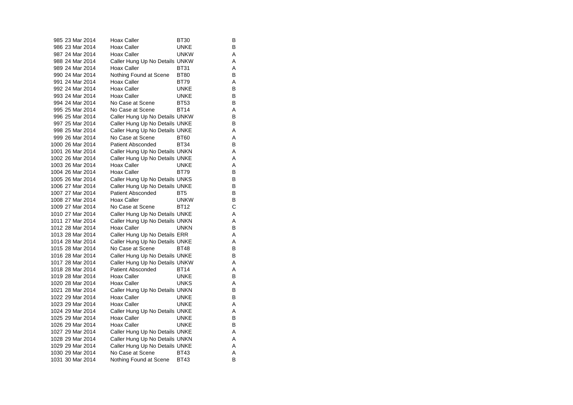| 985 23 Mar 2014  | Hoax Caller                    | BT30            | в |
|------------------|--------------------------------|-----------------|---|
| 986 23 Mar 2014  | <b>Hoax Caller</b>             | <b>UNKE</b>     | В |
| 987 24 Mar 2014  | <b>Hoax Caller</b>             | <b>UNKW</b>     | A |
| 988 24 Mar 2014  | Caller Hung Up No Details UNKW |                 | Α |
| 989 24 Mar 2014  | Hoax Caller                    | <b>BT31</b>     | Α |
| 990 24 Mar 2014  | Nothing Found at Scene         | <b>BT80</b>     | В |
| 991 24 Mar 2014  | Hoax Caller                    | <b>BT79</b>     | Α |
| 992 24 Mar 2014  | Hoax Caller                    | UNKE            | В |
| 993 24 Mar 2014  | Hoax Caller                    | <b>UNKE</b>     | В |
| 994 24 Mar 2014  | No Case at Scene               | <b>BT53</b>     | в |
| 995 25 Mar 2014  | No Case at Scene               | <b>BT14</b>     | Α |
| 996 25 Mar 2014  | Caller Hung Up No Details UNKW |                 | В |
| 997 25 Mar 2014  | Caller Hung Up No Details UNKE |                 | в |
| 998 25 Mar 2014  | Caller Hung Up No Details UNKE |                 | Α |
| 999 26 Mar 2014  | No Case at Scene               | <b>BT60</b>     | Α |
| 1000 26 Mar 2014 | <b>Patient Absconded</b>       | <b>BT34</b>     | В |
| 1001 26 Mar 2014 | Caller Hung Up No Details UNKN |                 | Α |
| 1002 26 Mar 2014 | Caller Hung Up No Details UNKE |                 | Α |
| 1003 26 Mar 2014 | Hoax Caller                    | <b>UNKE</b>     | Α |
| 1004 26 Mar 2014 | Hoax Caller                    | <b>BT79</b>     | в |
| 1005 26 Mar 2014 | Caller Hung Up No Details UNKS |                 | B |
| 1006 27 Mar 2014 | Caller Hung Up No Details UNKE |                 | в |
| 1007 27 Mar 2014 | <b>Patient Absconded</b>       | BT <sub>5</sub> | в |
| 1008 27 Mar 2014 | <b>Hoax Caller</b>             | <b>UNKW</b>     | В |
| 1009 27 Mar 2014 | No Case at Scene               | <b>BT12</b>     | C |
| 1010 27 Mar 2014 | Caller Hung Up No Details UNKE |                 | А |
| 1011 27 Mar 2014 | Caller Hung Up No Details UNKN |                 | A |
| 1012 28 Mar 2014 | Hoax Caller                    | <b>UNKN</b>     | В |
| 1013 28 Mar 2014 | Caller Hung Up No Details ERR  |                 | Α |
| 1014 28 Mar 2014 | Caller Hung Up No Details UNKE |                 | Α |
| 1015 28 Mar 2014 | No Case at Scene               | <b>BT48</b>     | В |
| 1016 28 Mar 2014 | Caller Hung Up No Details UNKE |                 | в |
| 1017 28 Mar 2014 | Caller Hung Up No Details UNKW |                 | Α |
| 1018 28 Mar 2014 | <b>Patient Absconded</b>       | <b>BT14</b>     | Α |
| 1019 28 Mar 2014 | Hoax Caller                    | <b>UNKE</b>     | В |
| 1020 28 Mar 2014 | Hoax Caller                    | UNKS            | Α |
| 1021 28 Mar 2014 | Caller Hung Up No Details UNKN |                 | в |
| 1022 29 Mar 2014 | <b>Hoax Caller</b>             | <b>UNKE</b>     | В |
| 1023 29 Mar 2014 | Hoax Caller                    | <b>UNKE</b>     | Α |
| 1024 29 Mar 2014 | Caller Hung Up No Details UNKE |                 | A |
| 1025 29 Mar 2014 | <b>Hoax Caller</b>             | <b>UNKE</b>     | в |
| 1026 29 Mar 2014 | <b>Hoax Caller</b>             | UNKE            | В |
| 1027 29 Mar 2014 | Caller Hung Up No Details UNKE |                 | Α |
| 1028 29 Mar 2014 | Caller Hung Up No Details UNKN |                 | Α |
| 1029 29 Mar 2014 | Caller Hung Up No Details UNKE |                 | A |
| 1030 29 Mar 2014 | No Case at Scene               | <b>BT43</b>     | A |
| 1031 30 Mar 2014 | Nothing Found at Scene         | <b>BT43</b>     | B |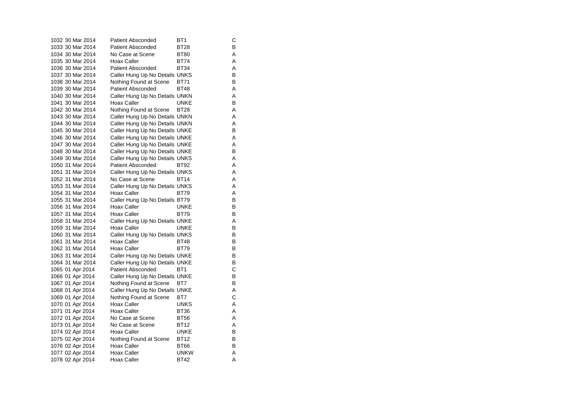| 1032 30 Mar 2014 | <b>Patient Absconded</b>       | BT <sub>1</sub> | С |
|------------------|--------------------------------|-----------------|---|
| 1033 30 Mar 2014 | <b>Patient Absconded</b>       | BT28            | В |
| 1034 30 Mar 2014 | No Case at Scene               | <b>BT80</b>     | A |
| 1035 30 Mar 2014 | <b>Hoax Caller</b>             | <b>BT74</b>     | Α |
| 1036 30 Mar 2014 | <b>Patient Absconded</b>       | <b>BT34</b>     | Α |
| 1037 30 Mar 2014 | Caller Hung Up No Details UNKS |                 | в |
| 1038 30 Mar 2014 | Nothing Found at Scene         | <b>BT71</b>     | В |
| 1039 30 Mar 2014 | <b>Patient Absconded</b>       | <b>BT48</b>     | Α |
| 1040 30 Mar 2014 | Caller Hung Up No Details UNKN |                 | Α |
| 1041 30 Mar 2014 | Hoax Caller                    | <b>UNKE</b>     | В |
| 1042 30 Mar 2014 | Nothing Found at Scene         | <b>BT28</b>     | Α |
| 1043 30 Mar 2014 | Caller Hung Up No Details UNKN |                 | Α |
| 1044 30 Mar 2014 | Caller Hung Up No Details UNKN |                 | Α |
| 1045 30 Mar 2014 | Caller Hung Up No Details UNKE |                 | в |
| 1046 30 Mar 2014 | Caller Hung Up No Details UNKE |                 | Α |
| 1047 30 Mar 2014 | Caller Hung Up No Details UNKE |                 | Α |
| 1048 30 Mar 2014 | Caller Hung Up No Details UNKE |                 | В |
| 1049 30 Mar 2014 | Caller Hung Up No Details UNKS |                 | Α |
| 1050 31 Mar 2014 | <b>Patient Absconded</b>       | BT92            | Α |
| 1051 31 Mar 2014 | Caller Hung Up No Details UNKS |                 | A |
| 1052 31 Mar 2014 | No Case at Scene               | <b>BT14</b>     | Α |
| 1053 31 Mar 2014 | Caller Hung Up No Details UNKS |                 | Α |
| 1054 31 Mar 2014 | Hoax Caller                    | <b>BT79</b>     | A |
| 1055 31 Mar 2014 | Caller Hung Up No Details BT79 |                 | в |
| 1056 31 Mar 2014 | Hoax Caller                    | <b>UNKE</b>     | в |
| 1057 31 Mar 2014 | Hoax Caller                    | BT79            | в |
| 1058 31 Mar 2014 | Caller Hung Up No Details UNKE |                 | Α |
| 1059 31 Mar 2014 | <b>Hoax Caller</b>             | <b>UNKE</b>     | в |
| 1060 31 Mar 2014 | Caller Hung Up No Details UNKS |                 | В |
| 1061 31 Mar 2014 | Hoax Caller                    | <b>BT48</b>     | в |
| 1062 31 Mar 2014 | Hoax Caller                    | <b>BT79</b>     | В |
| 1063 31 Mar 2014 | Caller Hung Up No Details UNKE |                 | В |
| 1064 31 Mar 2014 | Caller Hung Up No Details UNKE |                 | В |
| 1065 01 Apr 2014 | <b>Patient Absconded</b>       | BT <sub>1</sub> | C |
| 1066 01 Apr 2014 | Caller Hung Up No Details UNKE |                 | в |
| 1067 01 Apr 2014 | Nothing Found at Scene         | BT7             | B |
| 1068 01 Apr 2014 | Caller Hung Up No Details UNKE |                 | Α |
| 1069 01 Apr 2014 | Nothing Found at Scene         | BT7             | C |
| 1070 01 Apr 2014 | Hoax Caller                    | <b>UNKS</b>     | А |
| 1071 01 Apr 2014 | Hoax Caller                    | <b>BT36</b>     | Α |
| 1072 01 Apr 2014 | No Case at Scene               | <b>BT56</b>     | Α |
| 1073 01 Apr 2014 | No Case at Scene               | BT12            | Α |
| 1074 02 Apr 2014 | Hoax Caller                    | <b>UNKE</b>     | В |
| 1075 02 Apr 2014 | Nothing Found at Scene         | <b>BT12</b>     | в |
| 1076 02 Apr 2014 | Hoax Caller                    | <b>BT66</b>     | В |
| 1077 02 Apr 2014 | <b>Hoax Caller</b>             | <b>UNKW</b>     | Α |
| 1078 02 Apr 2014 | <b>Hoax Caller</b>             | BT42            | A |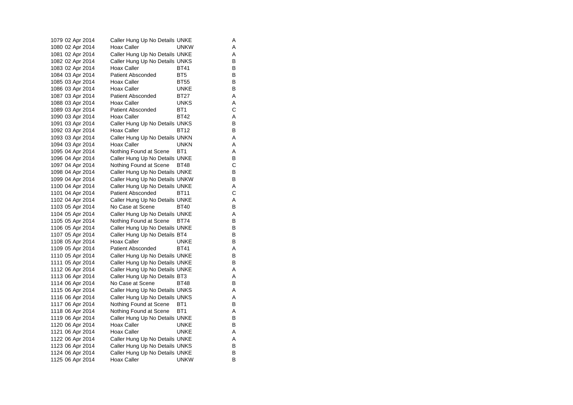| 1079 02 Apr 2014 | Caller Hung Up No Details UNKE |                 |   | Α |
|------------------|--------------------------------|-----------------|---|---|
| 1080 02 Apr 2014 | Hoax Caller                    | UNKW            |   | Α |
| 1081 02 Apr 2014 | Caller Hung Up No Details UNKE |                 |   | Α |
| 1082 02 Apr 2014 | Caller Hung Up No Details UNKS |                 |   | В |
| 1083 02 Apr 2014 | Hoax Caller                    | BT41            |   | B |
| 1084 03 Apr 2014 | <b>Patient Absconded</b>       | BT5             |   | B |
| 1085 03 Apr 2014 | Hoax Caller                    | BT55            |   | В |
| 1086 03 Apr 2014 | Hoax Caller                    | UNKE            |   | В |
| 1087 03 Apr 2014 | Patient Absconded              | BT27            |   | Α |
| 1088 03 Apr 2014 | Hoax Caller                    | UNKS            |   | Α |
| 1089 03 Apr 2014 | <b>Patient Absconded</b>       | BT1             |   | С |
| 1090 03 Apr 2014 | Hoax Caller                    | <b>BT42</b>     |   | Α |
| 1091 03 Apr 2014 | Caller Hung Up No Details UNKS |                 |   | В |
| 1092 03 Apr 2014 | Hoax Caller                    | BT12            |   | B |
| 1093 03 Apr 2014 | Caller Hung Up No Details UNKN |                 |   | Α |
| 1094 03 Apr 2014 | Hoax Caller                    | <b>UNKN</b>     |   | Α |
| 1095 04 Apr 2014 | Nothing Found at Scene         | BT <sub>1</sub> |   | Α |
| 1096 04 Apr 2014 | Caller Hung Up No Details UNKE |                 |   | В |
| 1097 04 Apr 2014 | Nothing Found at Scene         | BT48            |   | С |
| 1098 04 Apr 2014 | Caller Hung Up No Details UNKE |                 |   | B |
| 1099 04 Apr 2014 | Caller Hung Up No Details UNKW |                 |   | В |
| 1100 04 Apr 2014 | Caller Hung Up No Details UNKE |                 |   | Α |
| 1101 04 Apr 2014 | <b>Patient Absconded</b>       | BT11            |   | C |
| 1102 04 Apr 2014 | Caller Hung Up No Details UNKE |                 |   | Α |
| 1103 05 Apr 2014 | No Case at Scene               | BT40            |   | В |
| 1104 05 Apr 2014 | Caller Hung Up No Details UNKE |                 |   | Α |
| 1105 05 Apr 2014 | Nothing Found at Scene         | BT74            |   | В |
| 1106 05 Apr 2014 | Caller Hung Up No Details UNKE |                 |   | В |
| 1107 05 Apr 2014 | Caller Hung Up No Details BT4  |                 |   | B |
| 1108 05 Apr 2014 | Hoax Caller                    | UNKE            |   | B |
| 1109 05 Apr 2014 | <b>Patient Absconded</b>       | <b>BT41</b>     |   | Α |
| 1110 05 Apr 2014 | Caller Hung Up No Details UNKE |                 |   | B |
| 1111 05 Apr 2014 | Caller Hung Up No Details UNKE |                 |   | В |
| 1112 06 Apr 2014 | Caller Hung Up No Details UNKE |                 |   | Α |
| 1113 06 Apr 2014 | Caller Hung Up No Details BT3  |                 |   | Α |
| 1114 06 Apr 2014 | No Case at Scene               | <b>BT48</b>     |   | В |
| 1115 06 Apr 2014 | Caller Hung Up No Details UNKS |                 |   | Α |
| 1116 06 Apr 2014 | Caller Hung Up No Details UNKS |                 | Α |   |
| 1117 06 Apr 2014 | Nothing Found at Scene         | BT <sub>1</sub> |   | В |
| 1118 06 Apr 2014 | Nothing Found at Scene         | BT1             |   | Α |
| 1119 06 Apr 2014 | Caller Hung Up No Details UNKE |                 |   | В |
| 1120 06 Apr 2014 | Hoax Caller                    | UNKE            |   | В |
| 1121 06 Apr 2014 | Hoax Caller                    | UNKE            |   | Α |
| 1122 06 Apr 2014 | Caller Hung Up No Details UNKE |                 |   | Α |
| 1123 06 Apr 2014 | Caller Hung Up No Details UNKS |                 |   | В |
| 1124 06 Apr 2014 | Caller Hung Up No Details UNKE |                 |   | В |
| 1125 06 Apr 2014 | Hoax Caller                    | unkw            |   | B |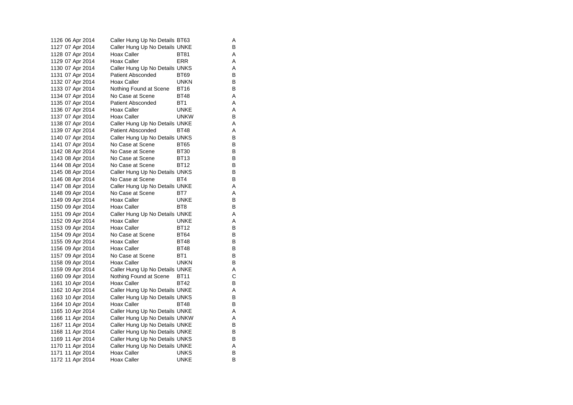| 1126 06 Apr 2014 | Caller Hung Up No Details BT63 |                 | Α |
|------------------|--------------------------------|-----------------|---|
| 1127 07 Apr 2014 | Caller Hung Up No Details UNKE |                 | В |
| 1128 07 Apr 2014 | Hoax Caller                    | BT81            | Α |
| 1129 07 Apr 2014 | Hoax Caller                    | ERR             | Α |
| 1130 07 Apr 2014 | Caller Hung Up No Details UNKS |                 | Α |
| 1131 07 Apr 2014 | <b>Patient Absconded</b>       | <b>BT69</b>     | В |
| 1132 07 Apr 2014 | Hoax Caller                    | unkn            | В |
| 1133 07 Apr 2014 | Nothing Found at Scene         | BT16            | B |
| 1134 07 Apr 2014 | No Case at Scene               | <b>BT48</b>     | Α |
| 1135 07 Apr 2014 | <b>Patient Absconded</b>       | BT1             | Α |
| 1136 07 Apr 2014 | Hoax Caller                    | UNKE            | Α |
| 1137 07 Apr 2014 | Hoax Caller                    | <b>UNKW</b>     | В |
| 1138 07 Apr 2014 | Caller Hung Up No Details UNKE |                 | Α |
| 1139 07 Apr 2014 | <b>Patient Absconded</b>       | <b>BT48</b>     | Α |
| 1140 07 Apr 2014 | Caller Hung Up No Details UNKS |                 | B |
| 1141 07 Apr 2014 | No Case at Scene               | <b>BT65</b>     | В |
| 1142 08 Apr 2014 | No Case at Scene               | <b>BT30</b>     | B |
| 1143 08 Apr 2014 | No Case at Scene               | <b>BT13</b>     | В |
| 1144 08 Apr 2014 | No Case at Scene               | BT12            | В |
| 1145 08 Apr 2014 | Caller Hung Up No Details UNKS |                 | B |
| 1146 08 Apr 2014 | No Case at Scene               | BT4             | В |
| 1147 08 Apr 2014 | Caller Hung Up No Details UNKE |                 | Α |
| 1148 09 Apr 2014 | No Case at Scene               | BT7             | Α |
| 1149 09 Apr 2014 | Hoax Caller                    | UNKE            | В |
| 1150 09 Apr 2014 | Hoax Caller                    | BT <sub>8</sub> | B |
| 1151 09 Apr 2014 | Caller Hung Up No Details UNKE |                 | Α |
| 1152 09 Apr 2014 | Hoax Caller                    | <b>UNKE</b>     | Α |
| 1153 09 Apr 2014 | Hoax Caller                    | <b>BT12</b>     | В |
| 1154 09 Apr 2014 | No Case at Scene               | <b>BT64</b>     | B |
| 1155 09 Apr 2014 | Hoax Caller                    | <b>BT48</b>     | B |
| 1156 09 Apr 2014 | Hoax Caller                    | <b>BT48</b>     | В |
| 1157 09 Apr 2014 | No Case at Scene               | BT1             | B |
| 1158 09 Apr 2014 | Hoax Caller                    | <b>UNKN</b>     | В |
| 1159 09 Apr 2014 | Caller Hung Up No Details UNKE |                 | Α |
| 1160 09 Apr 2014 | Nothing Found at Scene         | <b>BT11</b>     | С |
| 1161 10 Apr 2014 | Hoax Caller                    | <b>BT42</b>     | В |
| 1162 10 Apr 2014 | Caller Hung Up No Details UNKE |                 | Α |
| 1163 10 Apr 2014 | Caller Hung Up No Details UNKS |                 | В |
| 1164 10 Apr 2014 | Hoax Caller                    | BT48            | В |
| 1165 10 Apr 2014 | Caller Hung Up No Details UNKE |                 | Α |
| 1166 11 Apr 2014 | Caller Hung Up No Details UNKW |                 | A |
| 1167 11 Apr 2014 | Caller Hung Up No Details UNKE |                 | В |
| 1168 11 Apr 2014 | Caller Hung Up No Details UNKE |                 | В |
| 1169 11 Apr 2014 | Caller Hung Up No Details UNKS |                 | B |
| 1170 11 Apr 2014 | Caller Hung Up No Details UNKE |                 | Α |
| 1171 11 Apr 2014 | Hoax Caller                    | UNKS            | В |
| 1172 11 Apr 2014 | Hoax Caller                    | UNKE            | B |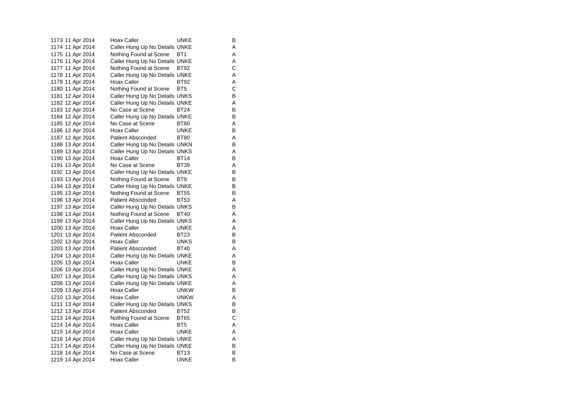1173 11 Apr 2014 Hoax Caller **UNKE** B 1174 11 Apr 2014 Caller Hung Up No Details UNKE A 1175 11 Apr 2014 Nothing Found at Scene BT1 A 1176 11 Apr 2014 Caller Hung Up No Details UNKE<br>1177 11 Apr 2014 Nothing Found at Scene BT92 C 1177 11 Apr 2014 Nothing Found at Scene BT92 1178 11 Apr 2014 Caller Hung Up No Details UNKE 1179 11 Apr 2014 Hoax Caller BT92 A 1180 11 Apr 2014 Nothing Found at Scene BT5 C<br>1181 12 Apr 2014 Caller Hung Up No Details UNKS B 1181 12 Apr 2014 Caller Hung Up No Details UNKS<br>1182 12 Apr 2014 Caller Hung Up No Details UNKE Caller Hung Up No Details UNKE A 1183 12 Apr 2014 No Case at Scene BT24 B 1184 12 Apr 2014 Caller Hung Up No Details UNKE<br>1185 12 Apr 2014 No Case at Scene BT80 A 1185 12 Apr 2014 No Case at Scene BT80 A 1186 12 Apr 2014 Hoax Caller **UNKE** B 1187 12 Apr 2014 Patient Absconded BT80 A 1188 13 Apr 2014 Caller Hung Up No Details UNKN B 1189 13 Apr 2014 Caller Hung Up No Details UNKS A 1190 13 Apr 2014 Hoax Caller BT14 B 1191 13 Apr 2014 No Case at Scene BT39 A 1192 13 Apr 2014 Caller Hung Up No Details UNKE B 1193 13 Apr 2014 Nothing Found at Scene BT9 1194 13 Apr 2014 Caller Hung Up No Details UNKE<br>1195 13 Apr 2014 Nothing Found at Scene BT55 B 1195 13 Apr 2014 Nothing Found at Scene BT55 1196 13 Apr 2014 Patient Absconded BT53 A 1197 13 Apr 2014 Caller Hung Up No Details UNKS B 1198 13 Apr 2014 Nothing Found at Scene BT40 A 1199 13 Apr 2014 Caller Hung Up No Details UNKS A 1200 13 Apr 2014 Hoax Caller **UNKE** A 1201 13 Apr 2014 Patient Absconded BT23 B 1202 13 Apr 2014 Hoax Caller **UNKS** B 1203 13 Apr 2014 Patient Absconded BT40 A 1204 13 Apr 2014 Caller Hung Up No Details UNKE A 1205 13 Apr 2014 Hoax Caller **UNKE** B 1206 13 Apr 2014 Caller Hung Up No Details UNKE A 1207 13 Apr 2014 Caller Hung Up No Details UNKS<br>1208 13 Apr 2014 Caller Hung Up No Details UNKE 1208 13 Apr 2014 Caller Hung Up No Details UNKE 1209 13 Apr 2014 Hoax Caller **UNKW** B 1210 13 Apr 2014 Hoax Caller **UNKW** A 1211 13 Apr 2014 Caller Hung Up No Details UNKS B 1212 13 Apr 2014 Patient Absconded BT52 B<br>1213 14 Apr 2014 Nothing Found at Scene BT65 C Nothing Found at Scene 1214 14 Apr 2014 Hoax Caller BT5 A 1215 14 Apr 2014 Hoax Caller **UNKE** A 1216 14 Apr 2014 Caller Hung Up No Details UNKE 1217 14 Apr 2014 Caller Hung Up No Details UNKE<br>1218 14 Apr 2014 No Case at Scene BT13 B 1218 14 Apr 2014 No Case at Scene BT13 1219 14 Apr 2014 Hoax Caller **UNKE** B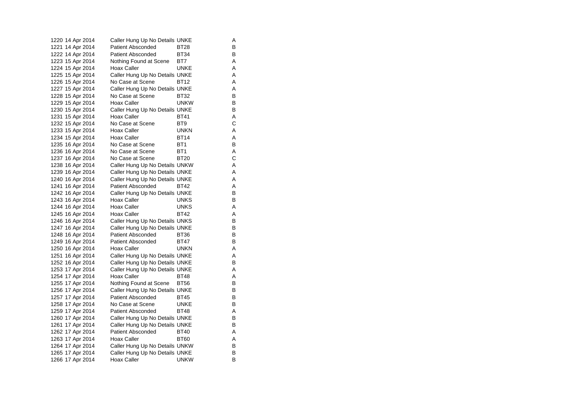| 1220 14 Apr 2014 | Caller Hung Up No Details UNKE |                 | Α |
|------------------|--------------------------------|-----------------|---|
| 1221 14 Apr 2014 | Patient Absconded              | BT28            | В |
| 1222 14 Apr 2014 | <b>Patient Absconded</b>       | <b>BT34</b>     | В |
| 1223 15 Apr 2014 | Nothing Found at Scene         | BT7             | A |
| 1224 15 Apr 2014 | Hoax Caller                    | <b>UNKE</b>     | A |
| 1225 15 Apr 2014 | Caller Hung Up No Details UNKE |                 | A |
| 1226 15 Apr 2014 | No Case at Scene               | BT12            | A |
| 1227 15 Apr 2014 | Caller Hung Up No Details UNKE |                 | A |
| 1228 15 Apr 2014 | No Case at Scene               | BT32            | В |
| 1229 15 Apr 2014 | Hoax Caller                    | <b>UNKW</b>     | в |
| 1230 15 Apr 2014 | Caller Hung Up No Details UNKE |                 | В |
| 1231 15 Apr 2014 | Hoax Caller                    | <b>BT41</b>     | Α |
| 1232 15 Apr 2014 | No Case at Scene               | BT <sub>9</sub> | C |
| 1233 15 Apr 2014 | Hoax Caller                    | <b>UNKN</b>     | A |
| 1234 15 Apr 2014 | Hoax Caller                    | <b>BT14</b>     | A |
| 1235 16 Apr 2014 | No Case at Scene               | BT1             | B |
| 1236 16 Apr 2014 | No Case at Scene               | BT1             | Α |
| 1237 16 Apr 2014 | No Case at Scene               | <b>BT20</b>     | C |
| 1238 16 Apr 2014 | Caller Hung Up No Details UNKW |                 | A |
| 1239 16 Apr 2014 | Caller Hung Up No Details UNKE |                 | A |
| 1240 16 Apr 2014 | Caller Hung Up No Details UNKE |                 | A |
| 1241 16 Apr 2014 | Patient Absconded              | BT42            | A |
| 1242 16 Apr 2014 | Caller Hung Up No Details UNKE |                 | B |
| 1243 16 Apr 2014 | Hoax Caller                    | <b>UNKS</b>     | В |
| 1244 16 Apr 2014 | Hoax Caller                    | <b>UNKS</b>     | A |
| 1245 16 Apr 2014 | <b>Hoax Caller</b>             | BT42            | A |
| 1246 16 Apr 2014 | Caller Hung Up No Details UNKS |                 | В |
| 1247 16 Apr 2014 | Caller Hung Up No Details UNKE |                 | в |
| 1248 16 Apr 2014 | <b>Patient Absconded</b>       | BT36            | В |
| 1249 16 Apr 2014 | <b>Patient Absconded</b>       | <b>BT47</b>     | В |
| 1250 16 Apr 2014 | Hoax Caller                    | UNKN            | Α |
| 1251 16 Apr 2014 | Caller Hung Up No Details UNKE |                 | A |
| 1252 16 Apr 2014 | Caller Hung Up No Details UNKE |                 | В |
| 1253 17 Apr 2014 | Caller Hung Up No Details UNKE |                 | A |
| 1254 17 Apr 2014 | Hoax Caller                    | <b>BT48</b>     | A |
| 1255 17 Apr 2014 | Nothing Found at Scene         | <b>BT56</b>     | в |
| 1256 17 Apr 2014 | Caller Hung Up No Details UNKE |                 | в |
| 1257 17 Apr 2014 | <b>Patient Absconded</b>       | <b>BT45</b>     | В |
| 1258 17 Apr 2014 | No Case at Scene               | <b>UNKE</b>     | в |
| 1259 17 Apr 2014 | <b>Patient Absconded</b>       | <b>BT48</b>     | A |
| 1260 17 Apr 2014 | Caller Hung Up No Details UNKE |                 | в |
| 1261 17 Apr 2014 | Caller Hung Up No Details UNKE |                 | в |
| 1262 17 Apr 2014 | <b>Patient Absconded</b>       | <b>BT40</b>     | A |
| 1263 17 Apr 2014 | Hoax Caller                    | <b>BT60</b>     | A |
| 1264 17 Apr 2014 | Caller Hung Up No Details UNKW |                 | в |
| 1265 17 Apr 2014 | Caller Hung Up No Details UNKE |                 | в |
| 1266 17 Apr 2014 | <b>Hoax Caller</b>             | <b>UNKW</b>     | B |
|                  |                                |                 |   |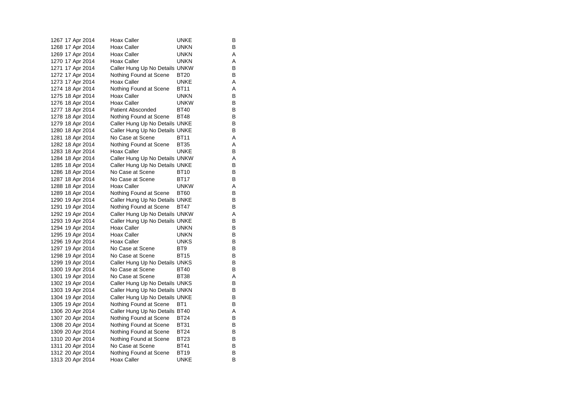| 1267 17 Apr 2014 | Hoax Caller                    | UNKE            | В |
|------------------|--------------------------------|-----------------|---|
| 1268 17 Apr 2014 | <b>Hoax Caller</b>             | <b>UNKN</b>     | B |
| 1269 17 Apr 2014 | Hoax Caller                    | <b>UNKN</b>     | Α |
| 1270 17 Apr 2014 | Hoax Caller                    | UNKN            | Α |
| 1271 17 Apr 2014 | Caller Hung Up No Details UNKW |                 | B |
| 1272 17 Apr 2014 | Nothing Found at Scene         | BT20            | В |
| 1273 17 Apr 2014 | Hoax Caller                    | UNKE            | Α |
| 1274 18 Apr 2014 | Nothing Found at Scene         | <b>BT11</b>     | Α |
| 1275 18 Apr 2014 | Hoax Caller                    | UNKN            | B |
| 1276 18 Apr 2014 | Hoax Caller                    | <b>UNKW</b>     | B |
| 1277 18 Apr 2014 | <b>Patient Absconded</b>       | <b>BT40</b>     | В |
| 1278 18 Apr 2014 | Nothing Found at Scene         | BT48            | В |
| 1279 18 Apr 2014 | Caller Hung Up No Details UNKE |                 | В |
| 1280 18 Apr 2014 | Caller Hung Up No Details UNKE |                 | B |
| 1281 18 Apr 2014 | No Case at Scene               | <b>BT11</b>     | A |
| 1282 18 Apr 2014 | Nothing Found at Scene         | <b>BT35</b>     | Α |
| 1283 18 Apr 2014 | Hoax Caller                    | UNKE            | В |
| 1284 18 Apr 2014 | Caller Hung Up No Details UNKW |                 | Α |
| 1285 18 Apr 2014 | Caller Hung Up No Details UNKE |                 | В |
| 1286 18 Apr 2014 | No Case at Scene               | BT10            | B |
| 1287 18 Apr 2014 | No Case at Scene               | <b>BT17</b>     | В |
| 1288 18 Apr 2014 | Hoax Caller                    | <b>UNKW</b>     | Α |
| 1289 18 Apr 2014 | Nothing Found at Scene         | <b>BT60</b>     | B |
| 1290 19 Apr 2014 | Caller Hung Up No Details UNKE |                 | B |
| 1291 19 Apr 2014 | Nothing Found at Scene         | BT47            | B |
| 1292 19 Apr 2014 | Caller Hung Up No Details UNKW |                 | Α |
| 1293 19 Apr 2014 | Caller Hung Up No Details UNKE |                 | B |
| 1294 19 Apr 2014 | Hoax Caller                    | <b>UNKN</b>     | В |
| 1295 19 Apr 2014 | Hoax Caller                    | <b>UNKN</b>     | B |
| 1296 19 Apr 2014 | Hoax Caller                    | <b>UNKS</b>     | B |
| 1297 19 Apr 2014 | No Case at Scene               | BT <sub>9</sub> | B |
| 1298 19 Apr 2014 | No Case at Scene               | <b>BT15</b>     | B |
| 1299 19 Apr 2014 | Caller Hung Up No Details UNKS |                 | В |
| 1300 19 Apr 2014 | No Case at Scene               | <b>BT40</b>     | B |
| 1301 19 Apr 2014 | No Case at Scene               | <b>BT38</b>     | Α |
| 1302 19 Apr 2014 | Caller Hung Up No Details UNKS |                 | B |
| 1303 19 Apr 2014 | Caller Hung Up No Details UNKN |                 | B |
| 1304 19 Apr 2014 | Caller Hung Up No Details UNKE |                 | В |
| 1305 19 Apr 2014 | Nothing Found at Scene         | BT <sub>1</sub> | B |
| 1306 20 Apr 2014 | Caller Hung Up No Details BT40 |                 | Α |
| 1307 20 Apr 2014 | Nothing Found at Scene         | BT24            | В |
| 1308 20 Apr 2014 | Nothing Found at Scene         | BT31            | B |
| 1309 20 Apr 2014 | Nothing Found at Scene         | BT24            | В |
| 1310 20 Apr 2014 | Nothing Found at Scene         | <b>BT23</b>     | B |
| 1311 20 Apr 2014 | No Case at Scene               | <b>BT41</b>     | B |
| 1312 20 Apr 2014 | Nothing Found at Scene         | <b>BT19</b>     | В |
| 1313 20 Apr 2014 | Hoax Caller                    | unke            | B |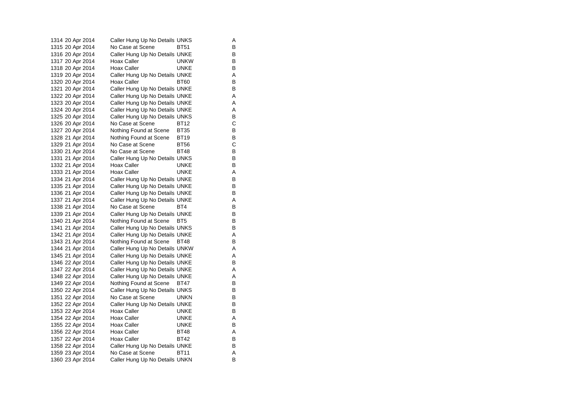| 1314 20 Apr 2014  | Caller Hung Up No Details UNKS |             | Α |
|-------------------|--------------------------------|-------------|---|
| 1315 20 Apr 2014  | No Case at Scene               | BT51        | В |
| 1316 20 Apr 2014  | Caller Hung Up No Details UNKE |             | В |
| 1317 20 Apr 2014  | Hoax Caller                    | <b>UNKW</b> | В |
| 1318 20 Apr 2014  | Hoax Caller                    | UNKE        | В |
| 1319 20 Apr 2014  | Caller Hung Up No Details UNKE |             | Α |
| 1320 20 Apr 2014  | Hoax Caller                    | <b>BT60</b> | В |
| 1321 20 Apr 2014  | Caller Hung Up No Details UNKE |             | В |
| 1322 20 Apr 2014  | Caller Hung Up No Details UNKE |             | Α |
| 1323 20 Apr 2014  | Caller Hung Up No Details UNKE |             | Α |
| 1324 20 Apr 2014  | Caller Hung Up No Details UNKE |             | Α |
| 1325 20 Apr 2014  | Caller Hung Up No Details UNKS |             | B |
| 1326 20 Apr 2014  | No Case at Scene               | BT12        | C |
| 1327  20 Apr 2014 | Nothing Found at Scene         | <b>BT35</b> | В |
| 1328 21 Apr 2014  | Nothing Found at Scene         | <b>BT19</b> | B |
| 1329 21 Apr 2014  | No Case at Scene               | <b>BT56</b> | C |
| 1330 21 Apr 2014  | No Case at Scene               | <b>BT48</b> | В |
| 1331 21 Apr 2014  | Caller Hung Up No Details UNKS |             | В |
| 1332 21 Apr 2014  | Hoax Caller                    | <b>UNKE</b> | В |
| 1333 21 Apr 2014  | Hoax Caller                    | <b>UNKE</b> | Α |
| 1334 21 Apr 2014  | Caller Hung Up No Details UNKE |             | В |
| 1335 21 Apr 2014  | Caller Hung Up No Details UNKE |             | В |
| 1336 21 Apr 2014  | Caller Hung Up No Details UNKE |             | В |
| 1337 21 Apr 2014  | Caller Hung Up No Details UNKE |             | Α |
| 1338 21 Apr 2014  | No Case at Scene               | BT4         | B |
| 1339 21 Apr 2014  | Caller Hung Up No Details UNKE |             | В |
| 1340 21 Apr 2014  | Nothing Found at Scene         | BT5         | В |
| 1341 21 Apr 2014  | Caller Hung Up No Details UNKS |             | В |
| 1342 21 Apr 2014  | Caller Hung Up No Details UNKE |             | Α |
| 1343 21 Apr 2014  | Nothing Found at Scene         | BT48        | В |
| 1344 21 Apr 2014  | Caller Hung Up No Details UNKW |             | Α |
| 1345 21 Apr 2014  | Caller Hung Up No Details UNKE |             | Α |
| 1346 22 Apr 2014  | Caller Hung Up No Details UNKE |             | В |
| 1347 22 Apr 2014  | Caller Hung Up No Details UNKE |             | Α |
| 1348 22 Apr 2014  | Caller Hung Up No Details UNKE |             | Α |
| 1349 22 Apr 2014  | Nothing Found at Scene         | BT47        | В |
| 1350 22 Apr 2014  | Caller Hung Up No Details UNKS |             | B |
| 1351 22 Apr 2014  | No Case at Scene               | <b>UNKN</b> | В |
| 1352 22 Apr 2014  | Caller Hung Up No Details UNKE |             | В |
| 1353 22 Apr 2014  | Hoax Caller                    | <b>UNKE</b> | B |
| 1354 22 Apr 2014  | Hoax Caller                    | <b>UNKE</b> | Α |
| 1355 22 Apr 2014  | Hoax Caller                    | UNKE        | В |
| 1356 22 Apr 2014  | Hoax Caller                    | <b>BT48</b> | Α |
| 1357 22 Apr 2014  | Hoax Caller                    | <b>BT42</b> | В |
| 1358 22 Apr 2014  | Caller Hung Up No Details UNKE |             | В |
| 1359 23 Apr 2014  | No Case at Scene               | <b>BT11</b> | Α |
| 1360 23 Apr 2014  | Caller Hung Up No Details UNKN |             | B |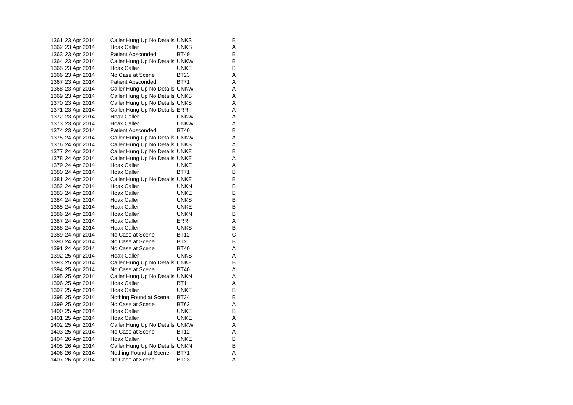| 1361 23 Apr 2014  | Caller Hung Up No Details UNKS |                 | В |
|-------------------|--------------------------------|-----------------|---|
| 1362  23 Apr 2014 | Hoax Caller                    | UNKS            | Α |
| 1363 23 Apr 2014  | Patient Absconded              | <b>BT49</b>     | B |
| 1364 23 Apr 2014  | Caller Hung Up No Details UNKW |                 | В |
| 1365 23 Apr 2014  | Hoax Caller                    | UNKE            | B |
| 1366 23 Apr 2014  | No Case at Scene               | <b>BT23</b>     | Α |
| 1367 23 Apr 2014  | <b>Patient Absconded</b>       | <b>BT71</b>     | Α |
| 1368 23 Apr 2014  | Caller Hung Up No Details UNKW |                 | Α |
| 1369 23 Apr 2014  | Caller Hung Up No Details UNKS |                 | A |
| 1370 23 Apr 2014  | Caller Hung Up No Details UNKS |                 | Α |
| 1371 23 Apr 2014  | Caller Hung Up No Details ERR  |                 | Α |
| 1372 23 Apr 2014  | Hoax Caller                    | <b>UNKW</b>     | Α |
| 1373 23 Apr 2014  | Hoax Caller                    | <b>UNKW</b>     | Α |
| 1374 23 Apr 2014  | <b>Patient Absconded</b>       | <b>BT40</b>     | В |
| 1375 24 Apr 2014  | Caller Hung Up No Details UNKW |                 | Α |
| 1376 24 Apr 2014  | Caller Hung Up No Details UNKS |                 | Α |
| 1377 24 Apr 2014  | Caller Hung Up No Details UNKE |                 | В |
| 1378 24 Apr 2014  | Caller Hung Up No Details UNKE |                 | Α |
| 1379 24 Apr 2014  | Hoax Caller                    | <b>UNKE</b>     | Α |
| 1380 24 Apr 2014  | Hoax Caller                    | <b>BT71</b>     | В |
| 1381 24 Apr 2014  | Caller Hung Up No Details UNKE |                 | В |
| 1382 24 Apr 2014  | Hoax Caller                    | <b>UNKN</b>     | B |
| 1383 24 Apr 2014  | Hoax Caller                    | <b>UNKE</b>     | В |
| 1384 24 Apr 2014  | Hoax Caller                    | <b>UNKS</b>     | В |
| 1385 24 Apr 2014  | Hoax Caller                    | <b>UNKE</b>     | B |
| 1386 24 Apr 2014  | Hoax Caller                    | <b>UNKN</b>     | В |
| 1387 24 Apr 2014  | Hoax Caller                    | ERR             | Α |
| 1388 24 Apr 2014  | Hoax Caller                    | <b>UNKS</b>     | В |
| 1389 24 Apr 2014  | No Case at Scene               | <b>BT12</b>     | С |
| 1390 24 Apr 2014  | No Case at Scene               | BT <sub>2</sub> | B |
| 1391 24 Apr 2014  | No Case at Scene               | <b>BT40</b>     | Α |
| 1392 25 Apr 2014  | Hoax Caller                    | <b>UNKS</b>     | Α |
| 1393 25 Apr 2014  | Caller Hung Up No Details UNKE |                 | В |
| 1394 25 Apr 2014  | No Case at Scene               | <b>BT40</b>     | Α |
| 1395 25 Apr 2014  | Caller Hung Up No Details UNKN |                 | Α |
| 1396 25 Apr 2014  | Hoax Caller                    | BT <sub>1</sub> | Α |
| 1397 25 Apr 2014  | Hoax Caller                    | <b>UNKE</b>     | B |
| 1398 25 Apr 2014  | Nothing Found at Scene         | BT34            | В |
| 1399 25 Apr 2014  | No Case at Scene               | BT62            | Α |
| 1400 25 Apr 2014  | Hoax Caller                    | UNKE            | B |
| 1401 25 Apr 2014  | Hoax Caller                    | <b>UNKE</b>     | Α |
| 1402 25 Apr 2014  | Caller Hung Up No Details UNKW |                 | Α |
| 1403 25 Apr 2014  | No Case at Scene               | BT12            | Α |
| 1404 26 Apr 2014  | Hoax Caller                    | <b>UNKE</b>     | B |
| 1405 26 Apr 2014  | Caller Hung Up No Details UNKN |                 | В |
| 1406 26 Apr 2014  | Nothing Found at Scene         | BT71            | Α |
| 1407 26 Apr 2014  | No Case at Scene               | BT23            | A |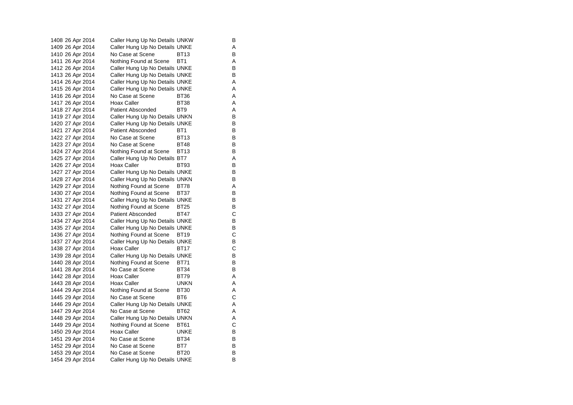1408 26 Apr 2014 Caller Hung Up No Details UNKW B 1409 26 Apr 2014 Caller Hung Up No Details UNKE A 1410 26 Apr 2014 No Case at Scene BT13 B 1411 26 Apr 2014 Nothing Found at Scene BT1 A<br>1412 26 Apr 2014 Caller Hung Up No Details UNKE 1412 26 Apr 2014 Caller Hung Up No Details UNKE 1413 26 Apr 2014 Caller Hung Up No Details UNKE 1414 26 Apr 2014 Caller Hung Up No Details UNKE A 1415 26 Apr 2014 Caller Hung Up No Details UNKE 1416 26 Apr 2014 No Case at Scene BT36 A<br>1417 26 Apr 2014 Hoax Caller BT38 A 1417 26 Apr 2014 Hoax Caller BT38 Hotel BT38 1418 27 Apr 2014 Patient Absconded BT9 A 1419 27 Apr 2014 Caller Hung Up No Details UNKN B<br>1420 27 Apr 2014 Caller Hung Up No Details UNKE Caller Hung Up No Details UNKE 1421 27 Apr 2014 Patient Absconded BT1 B 1422 27 Apr 2014 No Case at Scene BT13 B 1423 27 Apr 2014 No Case at Scene BT48 B 1424 27 Apr 2014 Nothing Found at Scene BT13 1425 27 Apr 2014 Caller Hung Up No Details BT7 A 1426 27 Apr 2014 Hoax Caller BT93 B 1427 27 Apr 2014 Caller Hung Up No Details UNKE B 1428 27 Apr 2014 Caller Hung Up No Details UNKN B 1429 27 Apr 2014 Nothing Found at Scene BT78 A<br>1430 27 Apr 2014 Nothing Found at Scene BT37 B 1430 27 Apr 2014 Nothing Found at Scene BT37 1431 27 Apr 2014 Caller Hung Up No Details UNKE 1432 27 Apr 2014 Nothing Found at Scene BT25 B 1433 27 Apr 2014 Patient Absconded BT47 C 1434 27 Apr 2014 Caller Hung Up No Details UNKE<br>1435 27 Apr 2014 Caller Hung Up No Details UNKE 1435 27 Apr 2014 Caller Hung Up No Details UNKE 1436 27 Apr 2014 Nothing Found at Scene BT19 C 1437 27 Apr 2014 Caller Hung Up No Details UNKE<br>1438 27 Apr 2014 Hoax Caller BT17 C 1438 27 Apr 2014 Hoax Caller BT17 1439 28 Apr 2014 Caller Hung Up No Details UNKE 1440 28 Apr 2014 Nothing Found at Scene BT71 B 1441 28 Apr 2014 No Case at Scene BT34 B 1442 28 Apr 2014 Hoax Caller BT79 A 1443 28 Apr 2014 Hoax Caller **UNKN** A 1444 29 Apr 2014 Nothing Found at Scene BT30 A 1445 29 Apr 2014 No Case at Scene BT6 C 1446 29 Apr 2014 Caller Hung Up No Details UNKE 1447 29 Apr 2014 No Case at Scene BT62 A<br>1448 29 Apr 2014 Caller Hung Up No Details UNKN A Caller Hung Up No Details UNKN A 1449 29 Apr 2014 Nothing Found at Scene BT61 C 1450 29 Apr 2014 Hoax Caller **UNKE** B 1451 29 Apr 2014 No Case at Scene BT34 B 1452 29 Apr 2014 No Case at Scene BT7 B<br>1453 29 Apr 2014 No Case at Scene BT20 B 1453 29 Apr 2014 No Case at Scene BT20 1454 29 Apr 2014 Caller Hung Up No Details UNKE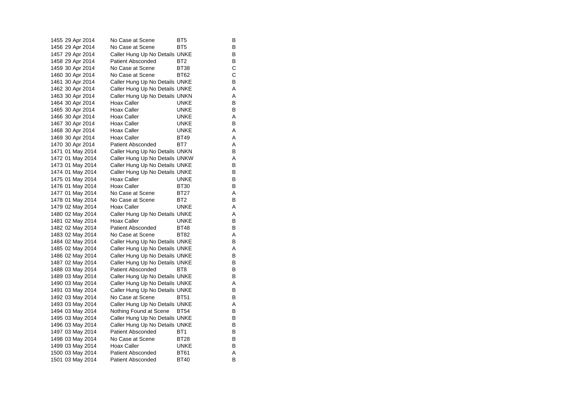| 1455 29 Apr 2014 | No Case at Scene               | BT5             | В |
|------------------|--------------------------------|-----------------|---|
| 1456 29 Apr 2014 | No Case at Scene               | BT5             | В |
| 1457 29 Apr 2014 | Caller Hung Up No Details UNKE |                 | В |
| 1458 29 Apr 2014 | <b>Patient Absconded</b>       | BT <sub>2</sub> | В |
| 1459 30 Apr 2014 | No Case at Scene               | <b>BT38</b>     | C |
| 1460 30 Apr 2014 | No Case at Scene               | <b>BT62</b>     | C |
| 1461 30 Apr 2014 | Caller Hung Up No Details UNKE |                 | В |
| 1462 30 Apr 2014 | Caller Hung Up No Details UNKE |                 | Α |
| 1463 30 Apr 2014 | Caller Hung Up No Details UNKN |                 | Α |
| 1464 30 Apr 2014 | Hoax Caller                    | <b>UNKE</b>     | B |
| 1465 30 Apr 2014 | Hoax Caller                    | <b>UNKE</b>     | B |
| 1466 30 Apr 2014 | Hoax Caller                    | <b>UNKE</b>     | A |
| 1467 30 Apr 2014 | Hoax Caller                    | UNKE            | В |
| 1468 30 Apr 2014 | Hoax Caller                    | UNKE            | A |
| 1469 30 Apr 2014 | <b>Hoax Caller</b>             | <b>BT49</b>     | A |
| 1470 30 Apr 2014 | <b>Patient Absconded</b>       | BT7             | A |
| 1471 01 May 2014 | Caller Hung Up No Details UNKN |                 | в |
| 1472 01 May 2014 | Caller Hung Up No Details UNKW |                 | A |
| 1473 01 May 2014 | Caller Hung Up No Details UNKE |                 | в |
| 1474 01 May 2014 | Caller Hung Up No Details UNKE |                 | В |
| 1475 01 May 2014 | <b>Hoax Caller</b>             | UNKE            | в |
| 1476 01 May 2014 | Hoax Caller                    | <b>BT30</b>     | B |
| 1477 01 May 2014 | No Case at Scene               | <b>BT27</b>     | A |
| 1478 01 May 2014 | No Case at Scene               | BT <sub>2</sub> | В |
| 1479 02 May 2014 | Hoax Caller                    | <b>UNKE</b>     | A |
| 1480 02 May 2014 | Caller Hung Up No Details UNKE |                 | Α |
| 1481 02 May 2014 | <b>Hoax Caller</b>             | UNKE            | в |
| 1482 02 May 2014 | <b>Patient Absconded</b>       | <b>BT48</b>     | В |
| 1483 02 May 2014 | No Case at Scene               | <b>BT82</b>     | A |
| 1484 02 May 2014 | Caller Hung Up No Details UNKE |                 | B |
| 1485 02 May 2014 | Caller Hung Up No Details UNKE |                 | A |
| 1486 02 May 2014 | Caller Hung Up No Details UNKE |                 | в |
| 1487 02 May 2014 | Caller Hung Up No Details UNKE |                 | в |
| 1488 03 May 2014 | Patient Absconded              | BT8             | в |
| 1489 03 May 2014 | Caller Hung Up No Details UNKE |                 | B |
| 1490 03 May 2014 | Caller Hung Up No Details UNKE |                 | A |
| 1491 03 May 2014 | Caller Hung Up No Details UNKE |                 | в |
| 1492 03 May 2014 | No Case at Scene               | <b>BT51</b>     | В |
| 1493 03 May 2014 | Caller Hung Up No Details UNKE |                 | A |
| 1494 03 May 2014 | Nothing Found at Scene         | <b>BT54</b>     | B |
| 1495 03 May 2014 | Caller Hung Up No Details UNKE |                 | в |
| 1496 03 May 2014 | Caller Hung Up No Details UNKE |                 | B |
| 1497 03 May 2014 | <b>Patient Absconded</b>       | BT1             | в |
| 1498 03 May 2014 | No Case at Scene               | <b>BT28</b>     | В |
| 1499 03 May 2014 | Hoax Caller                    | UNKE            | в |
| 1500 03 May 2014 | <b>Patient Absconded</b>       | BT61            | A |
| 1501 03 May 2014 | <b>Patient Absconded</b>       | <b>BT40</b>     | B |
|                  |                                |                 |   |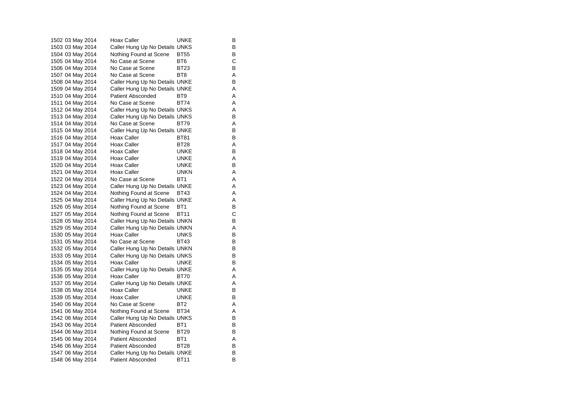| 1502 03 May 2014 | Hoax Caller                    | UNKE            | В |
|------------------|--------------------------------|-----------------|---|
| 1503 03 May 2014 | Caller Hung Up No Details UNKS |                 | B |
| 1504 03 May 2014 | Nothing Found at Scene         | <b>BT55</b>     | В |
| 1505 04 May 2014 | No Case at Scene               | BT6             | С |
| 1506 04 May 2014 | No Case at Scene               | <b>BT23</b>     | B |
| 1507 04 May 2014 | No Case at Scene               | BT <sub>8</sub> | Α |
| 1508 04 May 2014 | Caller Hung Up No Details UNKE |                 | В |
| 1509 04 May 2014 | Caller Hung Up No Details UNKE |                 | Α |
| 1510 04 May 2014 | <b>Patient Absconded</b>       | BT <sub>9</sub> | Α |
| 1511 04 May 2014 | No Case at Scene               | <b>BT74</b>     | Α |
| 1512 04 May 2014 | Caller Hung Up No Details UNKS |                 | A |
| 1513 04 May 2014 | Caller Hung Up No Details UNKS |                 | B |
| 1514 04 May 2014 | No Case at Scene               | BT79            | Α |
| 1515 04 May 2014 | Caller Hung Up No Details UNKE |                 | B |
| 1516 04 May 2014 | Hoax Caller                    | <b>BT81</b>     | В |
| 1517 04 May 2014 | Hoax Caller                    | <b>BT28</b>     | Α |
| 1518 04 May 2014 | Hoax Caller                    | UNKE            | B |
| 1519 04 May 2014 | Hoax Caller                    | <b>UNKE</b>     | Α |
| 1520 04 May 2014 | Hoax Caller                    | <b>UNKE</b>     | В |
| 1521 04 May 2014 | Hoax Caller                    | <b>UNKN</b>     | Α |
| 1522 04 May 2014 | No Case at Scene               | BT <sub>1</sub> | Α |
| 1523 04 May 2014 | Caller Hung Up No Details UNKE |                 | Α |
| 1524 04 May 2014 | Nothing Found at Scene         | <b>BT43</b>     | Α |
| 1525 04 May 2014 | Caller Hung Up No Details UNKE |                 | Α |
| 1526 05 May 2014 | Nothing Found at Scene         | BT <sub>1</sub> | В |
| 1527 05 May 2014 | Nothing Found at Scene         | <b>BT11</b>     | C |
| 1528 05 May 2014 | Caller Hung Up No Details UNKN |                 | В |
| 1529 05 May 2014 | Caller Hung Up No Details UNKN |                 | Α |
| 1530 05 May 2014 | Hoax Caller                    | <b>UNKS</b>     | B |
| 1531 05 May 2014 | No Case at Scene               | <b>BT43</b>     | В |
| 1532 05 May 2014 | Caller Hung Up No Details UNKN |                 | В |
| 1533 05 May 2014 | Caller Hung Up No Details UNKS |                 | B |
| 1534 05 May 2014 | Hoax Caller                    | UNKE            | В |
| 1535 05 May 2014 | Caller Hung Up No Details UNKE |                 | Α |
| 1536 05 May 2014 | Hoax Caller                    | <b>BT70</b>     | Α |
| 1537 05 May 2014 | Caller Hung Up No Details UNKE |                 | Α |
| 1538 05 May 2014 | Hoax Caller                    | UNKE            | B |
| 1539 05 May 2014 | Hoax Caller                    | <b>UNKE</b>     | B |
| 1540 06 May 2014 | No Case at Scene               | BT <sub>2</sub> | Α |
| 1541 06 May 2014 | Nothing Found at Scene         | <b>BT34</b>     | Α |
| 1542 06 May 2014 | Caller Hung Up No Details UNKS |                 | В |
| 1543 06 May 2014 | Patient Absconded              | BT <sub>1</sub> | В |
| 1544 06 May 2014 | Nothing Found at Scene         | <b>BT29</b>     | В |
| 1545 06 May 2014 | <b>Patient Absconded</b>       | BT <sub>1</sub> | Α |
| 1546 06 May 2014 | Patient Absconded              | <b>BT28</b>     | В |
| 1547 06 May 2014 | Caller Hung Up No Details UNKE |                 | В |
| 1548 06 May 2014 | <b>Patient Absconded</b>       | <b>BT11</b>     | B |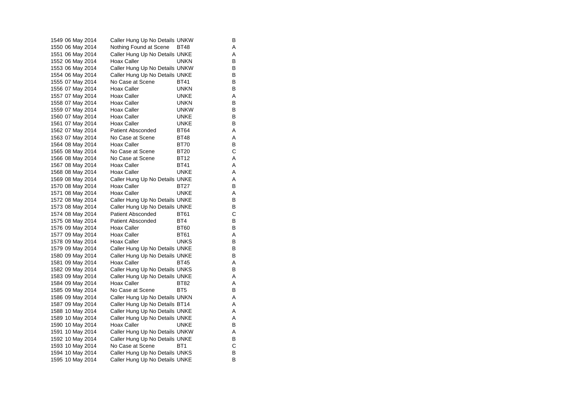| 1549 06 May 2014 | Caller Hung Up No Details UNKW |                 | В |
|------------------|--------------------------------|-----------------|---|
| 1550 06 May 2014 | Nothing Found at Scene         | BT48            | Α |
| 1551 06 May 2014 | Caller Hung Up No Details UNKE |                 | A |
| 1552 06 May 2014 | Hoax Caller                    | <b>UNKN</b>     | В |
| 1553 06 May 2014 | Caller Hung Up No Details UNKW |                 | B |
| 1554 06 May 2014 | Caller Hung Up No Details UNKE |                 | В |
| 1555 07 May 2014 | No Case at Scene               | <b>BT41</b>     | B |
| 1556 07 May 2014 | Hoax Caller                    | <b>UNKN</b>     | В |
| 1557 07 May 2014 | Hoax Caller                    | UNKE            | Α |
| 1558 07 May 2014 | <b>Hoax Caller</b>             | <b>UNKN</b>     | B |
| 1559 07 May 2014 | <b>Hoax Caller</b>             | <b>UNKW</b>     | В |
| 1560 07 May 2014 | Hoax Caller                    | UNKE            | В |
| 1561 07 May 2014 | <b>Hoax Caller</b>             | <b>UNKE</b>     | B |
| 1562 07 May 2014 | <b>Patient Absconded</b>       | <b>BT64</b>     | Α |
| 1563 07 May 2014 | No Case at Scene               | <b>BT48</b>     | A |
| 1564 08 May 2014 | Hoax Caller                    | BT70            | В |
| 1565 08 May 2014 | No Case at Scene               | <b>BT20</b>     | С |
| 1566 08 May 2014 | No Case at Scene               | BT12            | Α |
| 1567 08 May 2014 | Hoax Caller                    | <b>BT41</b>     | Α |
| 1568 08 May 2014 | Hoax Caller                    | <b>UNKE</b>     | A |
| 1569 08 May 2014 | Caller Hung Up No Details UNKE |                 | Α |
| 1570 08 May 2014 | Hoax Caller                    | BT27            | В |
| 1571 08 May 2014 | Hoax Caller                    | <b>UNKE</b>     | Α |
| 1572 08 May 2014 | Caller Hung Up No Details UNKE |                 | B |
| 1573 08 May 2014 | Caller Hung Up No Details UNKE |                 | B |
| 1574 08 May 2014 | <b>Patient Absconded</b>       | BT61            | С |
| 1575 08 May 2014 | <b>Patient Absconded</b>       | BT4             | B |
| 1576 09 May 2014 | Hoax Caller                    | <b>BT60</b>     | В |
| 1577 09 May 2014 | Hoax Caller                    | <b>BT61</b>     | Α |
| 1578 09 May 2014 | <b>Hoax Caller</b>             | <b>UNKS</b>     | B |
| 1579 09 May 2014 | Caller Hung Up No Details UNKE |                 | В |
| 1580 09 May 2014 | Caller Hung Up No Details UNKE |                 | В |
| 1581 09 May 2014 | Hoax Caller                    | <b>BT45</b>     | Α |
| 1582 09 May 2014 | Caller Hung Up No Details UNKS |                 | B |
| 1583 09 May 2014 | Caller Hung Up No Details UNKE |                 | Α |
| 1584 09 May 2014 | <b>Hoax Caller</b>             | BT82            | Α |
| 1585 09 May 2014 | No Case at Scene               | BT <sub>5</sub> | B |
| 1586 09 May 2014 | Caller Hung Up No Details UNKN |                 | Α |
| 1587 09 May 2014 | Caller Hung Up No Details BT14 |                 | Α |
| 1588 10 May 2014 | Caller Hung Up No Details UNKE |                 | Α |
| 1589 10 May 2014 | Caller Hung Up No Details UNKE |                 | Α |
| 1590 10 May 2014 | Hoax Caller                    | UNKE            | В |
| 1591 10 May 2014 | Caller Hung Up No Details UNKW |                 | Α |
| 1592 10 May 2014 | Caller Hung Up No Details UNKE |                 | В |
| 1593 10 May 2014 | No Case at Scene               | BT1             | C |
| 1594 10 May 2014 | Caller Hung Up No Details UNKS |                 | В |
| 1595 10 May 2014 | Caller Hung Up No Details UNKE |                 | В |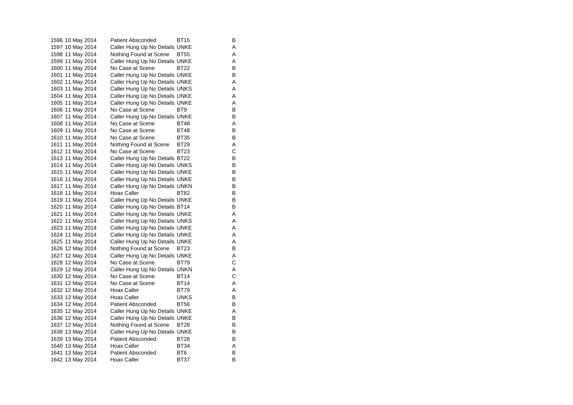1596 10 May 2014 Patient Absconded BT15 B 1597 10 May 2014 Caller Hung Up No Details UNKE A 1598 11 May 2014 Nothing Found at Scene BT55 A 1599 11 May 2014 Caller Hung Up No Details UNKE A 1600 11 May 2014 No Case at Scene BT22 B 1601 11 May 2014 Caller Hung Up No Details UNKE 1602 11 May 2014 Caller Hung Up No Details UNKE 1603 11 May 2014 Caller Hung Up No Details UNKS A 1604 11 May 2014 Caller Hung Up No Details UNKE A 1605 11 May 2014 Caller Hung Up No Details UNKE 1606 11 May 2014 No Case at Scene BT9 BT9 1607 11 May 2014 Caller Hung Up No Details UNKE<br>1608 11 May 2014 No Case at Scene BT48 A 1608 11 May 2014 No Case at Scene BT48 A 1609 11 May 2014 No Case at Scene BT48 B 1610 11 May 2014 No Case at Scene BT35 B 1611 11 May 2014 Nothing Found at Scene BT29 A 1612 11 May 2014 No Case at Scene BT23 C<br>1613 11 May 2014 Caller Hung Up No Details BT22 B 1613 11 May 2014 Caller Hung Up No Details BT22 1614 11 May 2014 Caller Hung Up No Details UNKS B 1615 11 May 2014 Caller Hung Up No Details UNKE 1616 11 May 2014 Caller Hung Up No Details UNKE B 1617 11 May 2014 Caller Hung Up No Details UNKN B<br>1618 11 May 2014 Hoax Caller BT82 B 1618 11 May 2014 Hoax Caller BT82 1619 11 May 2014 Caller Hung Up No Details UNKE B 1620 11 May 2014 Caller Hung Up No Details BT14 B 1621 11 May 2014 Caller Hung Up No Details UNKE A 1622 11 May 2014 Caller Hung Up No Details UNKS A 1623 11 May 2014 Caller Hung Up No Details UNKE A 1624 11 May 2014 Caller Hung Up No Details UNKE A 1625 11 May 2014 Caller Hung Up No Details UNKE A 1626 12 May 2014 Nothing Found at Scene BT23 B 1627 12 May 2014 Caller Hung Up No Details UNKE 1628 12 May 2014 No Case at Scene BT79 C 1629 12 May 2014 Caller Hung Up No Details UNKN A 1630 12 May 2014 No Case at Scene BT14 C<br>1631 12 May 2014 No Case at Scene BT14 A 1631 12 May 2014 1632 12 May 2014 Hoax Caller BT79 A 1633 12 May 2014 Hoax Caller **UNKS** B 1634 12 May 2014 Patient Absconded BT56 B 1635 12 May 2014 Caller Hung Up No Details UNKE<br>1636 12 May 2014 Caller Hung Up No Details UNKE 1636 12 May 2014 Caller Hung Up No Details UNKE 1637 12 May 2014 Nothing Found at Scene BT28 B 1638 13 May 2014 Caller Hung Up No Details UNKE B 1639 13 May 2014 Patient Absconded BT28 B 1640 13 May 2014 Hoax Caller BT34 A 1641 13 May 2014 Patient Absconded BT6 1642 13 May 2014 Hoax Caller BT37 B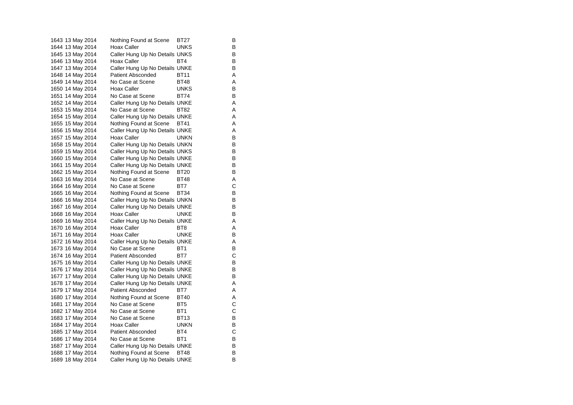| 1643 13 May 2014 | Nothing Found at Scene         | BT27            | В |
|------------------|--------------------------------|-----------------|---|
| 1644 13 May 2014 | Hoax Caller                    | <b>UNKS</b>     | B |
| 1645 13 May 2014 | Caller Hung Up No Details UNKS |                 | В |
| 1646 13 May 2014 | Hoax Caller                    | BT4             | В |
| 1647 13 May 2014 | Caller Hung Up No Details UNKE |                 | B |
| 1648 14 May 2014 | <b>Patient Absconded</b>       | <b>BT11</b>     | Α |
| 1649 14 May 2014 | No Case at Scene               | BT48            | Α |
| 1650 14 May 2014 | <b>Hoax Caller</b>             | <b>UNKS</b>     | В |
| 1651 14 May 2014 | No Case at Scene               | <b>BT74</b>     | В |
| 1652 14 May 2014 | Caller Hung Up No Details UNKE |                 | Α |
| 1653 15 May 2014 | No Case at Scene               | <b>BT82</b>     | A |
| 1654 15 May 2014 | Caller Hung Up No Details UNKE |                 | Α |
| 1655 15 May 2014 | Nothing Found at Scene         | <b>BT41</b>     | Α |
| 1656 15 May 2014 | Caller Hung Up No Details UNKE |                 | Α |
| 1657 15 May 2014 | Hoax Caller                    | <b>UNKN</b>     | В |
| 1658 15 May 2014 | Caller Hung Up No Details UNKN |                 | В |
| 1659 15 May 2014 | Caller Hung Up No Details UNKS |                 | B |
| 1660 15 May 2014 | Caller Hung Up No Details UNKE |                 | В |
| 1661 15 May 2014 | Caller Hung Up No Details UNKE |                 | В |
| 1662 15 May 2014 | Nothing Found at Scene         | <b>BT20</b>     | B |
| 1663 16 May 2014 | No Case at Scene               | <b>BT48</b>     | Α |
| 1664 16 May 2014 | No Case at Scene               | BT7             | С |
| 1665 16 May 2014 | Nothing Found at Scene         | BT34            | В |
| 1666 16 May 2014 | Caller Hung Up No Details UNKN |                 | В |
| 1667 16 May 2014 | Caller Hung Up No Details UNKE |                 | В |
| 1668 16 May 2014 | Hoax Caller                    | <b>UNKE</b>     | В |
| 1669 16 May 2014 | Caller Hung Up No Details UNKE |                 | Α |
| 1670 16 May 2014 | Hoax Caller                    | BT8             | Α |
| 1671 16 May 2014 | Hoax Caller                    | <b>UNKE</b>     | B |
| 1672 16 May 2014 | Caller Hung Up No Details UNKE |                 | Α |
| 1673 16 May 2014 | No Case at Scene               | BT <sub>1</sub> | В |
| 1674 16 May 2014 | <b>Patient Absconded</b>       | BT7             | С |
| 1675 16 May 2014 | Caller Hung Up No Details UNKE |                 | В |
| 1676 17 May 2014 | Caller Hung Up No Details UNKE |                 | В |
| 1677 17 May 2014 | Caller Hung Up No Details UNKE |                 | B |
| 1678 17 May 2014 | Caller Hung Up No Details UNKE |                 | Α |
| 1679 17 May 2014 | Patient Absconded              | BT7             | Α |
| 1680 17 May 2014 | Nothing Found at Scene         | <b>BT40</b>     | Α |
| 1681 17 May 2014 | No Case at Scene               | BT <sub>5</sub> | C |
| 1682 17 May 2014 | No Case at Scene               | BT1             | C |
| 1683 17 May 2014 | No Case at Scene               | <b>BT13</b>     | В |
| 1684 17 May 2014 | Hoax Caller                    | <b>UNKN</b>     | В |
| 1685 17 May 2014 | Patient Absconded              | BT4             | C |
| 1686 17 May 2014 | No Case at Scene               | BT <sub>1</sub> | В |
| 1687 17 May 2014 | Caller Hung Up No Details UNKE |                 | В |
| 1688 17 May 2014 | Nothing Found at Scene         | <b>BT48</b>     | В |
| 1689 18 May 2014 | Caller Hung Up No Details UNKE |                 | B |
|                  |                                |                 |   |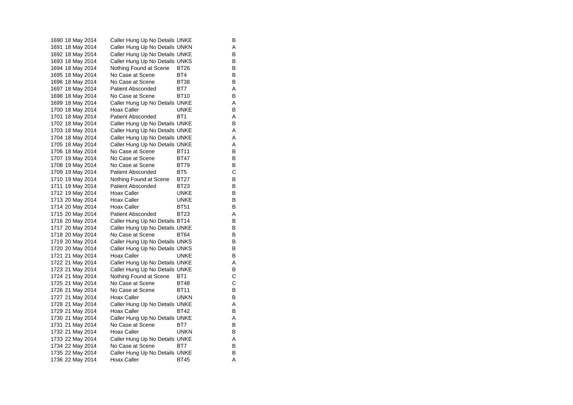1690 18 May 2014 Caller Hung Up No Details UNKE 1691 18 May 2014 Caller Hung Up No Details UNKN A 1692 18 May 2014 Caller Hung Up No Details UNKE 1693 18 May 2014 Caller Hung Up No Details UNKS B<br>1694 18 May 2014 Nothing Found at Scene BT26 B 1694 18 May 2014 Nothing Found at Scene BT26 1695 18 May 2014 No Case at Scene BT4 BT4 1696 18 May 2014 No Case at Scene BT38 B 1697 18 May 2014 Patient Absconded BT7 A 1698 18 May 2014 No Case at Scene BT10 B 1699 18 May 2014 Caller Hung Up No Details UNKE A 1700 18 May 2014 Hoax Caller **Hoax Caller** UNKE B 1701 18 May 2014 Patient Absconded BT1 A 1702 18 May 2014 Caller Hung Up No Details UNKE 1703 18 May 2014 Caller Hung Up No Details UNKE A 1704 18 May 2014 Caller Hung Up No Details UNKE A 1705 18 May 2014 Caller Hung Up No Details UNKE 1706 18 May 2014 No Case at Scene BT11 B<br>1707 19 May 2014 No Case at Scene BT47 B 1707 19 May 2014 No Case at Scene BT47 1708 19 May 2014 No Case at Scene BT79 B 1709 19 May 2014 Patient Absconded BT5 C 1710 19 May 2014 Nothing Found at Scene BT27 B 1711 19 May 2014 Patient Absconded BT23 B<br>1712 19 May 2014 Hoax Caller BUNKE B 1712 19 May 2014 Hoax Caller **Hoax Caller** UNKE 1713 20 May 2014 Hoax Caller CONKE B 1714 20 May 2014 Hoax Caller BT51 B 1715 20 May 2014 Patient Absconded BT23 A 1716 20 May 2014 Caller Hung Up No Details BT14 B<br>1717 20 May 2014 Caller Hung Up No Details UNKE 1717 20 May 2014 Caller Hung Up No Details UNKE 1718 20 May 2014 No Case at Scene BT64 B 1719 20 May 2014 Caller Hung Up No Details UNKS B<br>1720 20 May 2014 Caller Hung Up No Details UNKS 1720 20 May 2014 Caller Hung Up No Details UNKS 1721 21 May 2014 Hoax Caller **UNKE** B 1722 21 May 2014 Caller Hung Up No Details UNKE A 1723 21 May 2014 Caller Hung Up No Details UNKE 1724 21 May 2014 Nothing Found at Scene BT1 C<br>1725 21 May 2014 No Case at Scene BT48 C 1725 21 May 2014 1726 21 May 2014 No Case at Scene BT11 B 1727 21 May 2014 Hoax Caller **UNKN** B 1728 21 May 2014 Caller Hung Up No Details UNKE A 1729 21 May 2014 Hoax Caller BT42 B<br>1730 21 May 2014 Caller Hung Up No Details UNKE Caller Hung Up No Details UNKE A 1731 21 May 2014 No Case at Scene BT7 B 1732 21 May 2014 Hoax Caller **UNKN** B 1733 22 May 2014 Caller Hung Up No Details UNKE A 1734 22 May 2014 No Case at Scene BT7 B<br>1735 22 May 2014 Caller Hung Up No Details UNKE 1735 22 May 2014 Caller Hung Up No Details UNKE 1736 22 May 2014 Hoax Caller BT45 BT45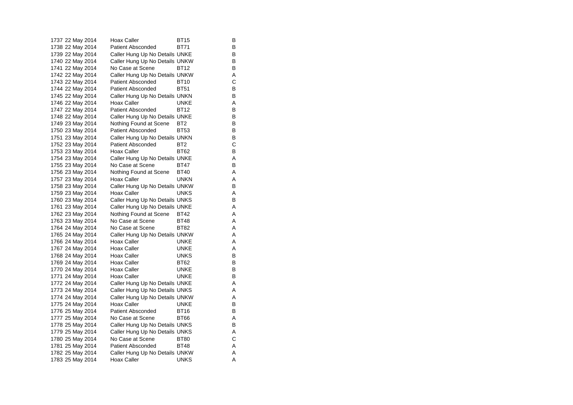| 1737 22 May 2014 | Hoax Caller                    | BT15            | В |
|------------------|--------------------------------|-----------------|---|
| 1738 22 May 2014 | <b>Patient Absconded</b>       | <b>BT71</b>     | B |
| 1739 22 May 2014 | Caller Hung Up No Details UNKE |                 | В |
| 1740 22 May 2014 | Caller Hung Up No Details UNKW |                 | В |
| 1741 22 May 2014 | No Case at Scene               | <b>BT12</b>     | B |
| 1742 22 May 2014 | Caller Hung Up No Details UNKW |                 | Α |
| 1743 22 May 2014 | Patient Absconded              | <b>BT10</b>     | C |
| 1744 22 May 2014 | <b>Patient Absconded</b>       | <b>BT51</b>     | В |
| 1745 22 May 2014 | Caller Hung Up No Details UNKN |                 | В |
| 1746 22 May 2014 | Hoax Caller                    | <b>UNKE</b>     | Α |
| 1747 22 May 2014 | <b>Patient Absconded</b>       | <b>BT12</b>     | В |
| 1748 22 May 2014 | Caller Hung Up No Details UNKE |                 | В |
| 1749 23 May 2014 | Nothing Found at Scene         | BT <sub>2</sub> | В |
| 1750 23 May 2014 | <b>Patient Absconded</b>       | <b>BT53</b>     | В |
| 1751 23 May 2014 | Caller Hung Up No Details UNKN |                 | B |
| 1752 23 May 2014 | Patient Absconded              | BT <sub>2</sub> | С |
| 1753 23 May 2014 | Hoax Caller                    | BT62            | В |
| 1754 23 May 2014 | Caller Hung Up No Details UNKE |                 | Α |
| 1755 23 May 2014 | No Case at Scene               | BT47            | В |
| 1756 23 May 2014 | Nothing Found at Scene         | <b>BT40</b>     | Α |
| 1757 23 May 2014 | Hoax Caller                    | <b>UNKN</b>     | A |
| 1758 23 May 2014 | Caller Hung Up No Details UNKW |                 | В |
| 1759 23 May 2014 | Hoax Caller                    | <b>UNKS</b>     | Α |
| 1760 23 May 2014 | Caller Hung Up No Details UNKS |                 | В |
| 1761 23 May 2014 | Caller Hung Up No Details UNKE |                 | Α |
| 1762 23 May 2014 | Nothing Found at Scene         | <b>BT42</b>     | A |
| 1763 23 May 2014 | No Case at Scene               | <b>BT48</b>     | Α |
| 1764 24 May 2014 | No Case at Scene               | <b>BT82</b>     | A |
| 1765 24 May 2014 | Caller Hung Up No Details UNKW |                 | Α |
| 1766 24 May 2014 | Hoax Caller                    | UNKE            | Α |
| 1767 24 May 2014 | Hoax Caller                    | <b>UNKE</b>     | A |
| 1768 24 May 2014 | Hoax Caller                    | <b>UNKS</b>     | B |
| 1769 24 May 2014 | Hoax Caller                    | BT62            | В |
| 1770 24 May 2014 | Hoax Caller                    | <b>UNKE</b>     | B |
| 1771 24 May 2014 | Hoax Caller                    | UNKE            | В |
| 1772 24 May 2014 | Caller Hung Up No Details UNKE |                 | Α |
| 1773 24 May 2014 | Caller Hung Up No Details UNKS |                 | Α |
| 1774 24 May 2014 | Caller Hung Up No Details UNKW |                 | Α |
| 1775 24 May 2014 | Hoax Caller                    | <b>UNKE</b>     | B |
| 1776 25 May 2014 | <b>Patient Absconded</b>       | <b>BT16</b>     | В |
| 1777 25 May 2014 | No Case at Scene               | <b>BT66</b>     | Α |
| 1778 25 May 2014 | Caller Hung Up No Details UNKS |                 | B |
| 1779 25 May 2014 | Caller Hung Up No Details UNKS |                 | Α |
| 1780 25 May 2014 | No Case at Scene               | <b>BT80</b>     | С |
| 1781 25 May 2014 | Patient Absconded              | <b>BT48</b>     | Α |
| 1782 25 May 2014 | Caller Hung Up No Details UNKW |                 | Α |
| 1783 25 May 2014 | Hoax Caller                    | <b>UNKS</b>     | A |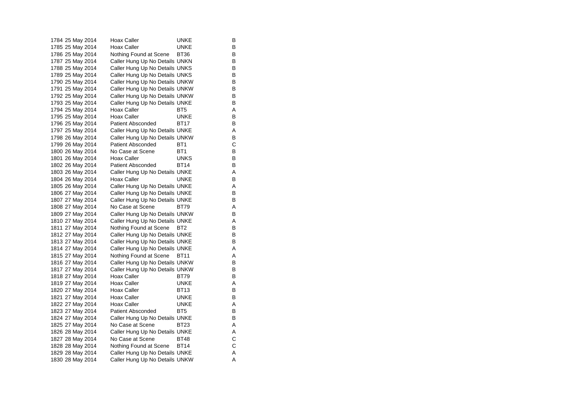| 1784 25 May 2014 | Hoax Caller                    | UNKE            | В |
|------------------|--------------------------------|-----------------|---|
| 1785 25 May 2014 | <b>Hoax Caller</b>             | <b>UNKE</b>     | B |
| 1786 25 May 2014 | Nothing Found at Scene         | <b>BT36</b>     | В |
| 1787 25 May 2014 | Caller Hung Up No Details UNKN |                 | В |
| 1788 25 May 2014 | Caller Hung Up No Details UNKS |                 | B |
| 1789 25 May 2014 | Caller Hung Up No Details UNKS |                 | В |
| 1790 25 May 2014 | Caller Hung Up No Details UNKW |                 | В |
| 1791 25 May 2014 | Caller Hung Up No Details UNKW |                 | В |
| 1792 25 May 2014 | Caller Hung Up No Details UNKW |                 | В |
| 1793 25 May 2014 | Caller Hung Up No Details UNKE |                 | В |
| 1794 25 May 2014 | Hoax Caller                    | BT <sub>5</sub> | Α |
| 1795 25 May 2014 | <b>Hoax Caller</b>             | <b>UNKE</b>     | B |
| 1796 25 May 2014 | Patient Absconded              | BT17            | В |
| 1797 25 May 2014 | Caller Hung Up No Details UNKE |                 | Α |
| 1798 26 May 2014 | Caller Hung Up No Details UNKW |                 | В |
| 1799 26 May 2014 | Patient Absconded              | BT1             | С |
| 1800 26 May 2014 | No Case at Scene               | BT <sub>1</sub> | B |
| 1801 26 May 2014 | Hoax Caller                    | UNKS            | В |
| 1802 26 May 2014 | Patient Absconded              | BT14            | В |
| 1803 26 May 2014 | Caller Hung Up No Details UNKE |                 | Α |
| 1804 26 May 2014 | Hoax Caller                    | UNKE            | В |
| 1805 26 May 2014 | Caller Hung Up No Details UNKE |                 | Α |
| 1806 27 May 2014 | Caller Hung Up No Details UNKE |                 | В |
| 1807 27 May 2014 | Caller Hung Up No Details UNKE |                 | В |
| 1808 27 May 2014 | No Case at Scene               | BT79            | Α |
| 1809 27 May 2014 | Caller Hung Up No Details UNKW |                 | В |
| 1810 27 May 2014 | Caller Hung Up No Details UNKE |                 | Α |
| 1811 27 May 2014 | Nothing Found at Scene         | BT2             | В |
| 1812 27 May 2014 | Caller Hung Up No Details UNKE |                 | B |
| 1813 27 May 2014 | Caller Hung Up No Details UNKE |                 | В |
| 1814 27 May 2014 | Caller Hung Up No Details UNKE |                 | A |
| 1815 27 May 2014 | Nothing Found at Scene         | <b>BT11</b>     | Α |
| 1816 27 May 2014 | Caller Hung Up No Details UNKW |                 | В |
| 1817 27 May 2014 | Caller Hung Up No Details UNKW |                 | В |
| 1818 27 May 2014 | Hoax Caller                    | BT79            | B |
| 1819 27 May 2014 | Hoax Caller                    | <b>UNKE</b>     | Α |
| 1820 27 May 2014 | Hoax Caller                    | BT13            | B |
| 1821 27 May 2014 | Hoax Caller                    | <b>UNKE</b>     | В |
| 1822 27 May 2014 | Hoax Caller                    | <b>UNKE</b>     | Α |
| 1823 27 May 2014 | Patient Absconded              | BT <sub>5</sub> | В |
| 1824 27 May 2014 | Caller Hung Up No Details UNKE |                 | В |
| 1825 27 May 2014 | No Case at Scene               | BT23            | Α |
| 1826 28 May 2014 | Caller Hung Up No Details UNKE |                 | Α |
| 1827 28 May 2014 | No Case at Scene               | <b>BT48</b>     | C |
| 1828 28 May 2014 | Nothing Found at Scene         | <b>BT14</b>     | C |
| 1829 28 May 2014 | Caller Hung Up No Details UNKE |                 | Α |
| 1830 28 May 2014 | Caller Hung Up No Details UNKW |                 | A |
|                  |                                |                 |   |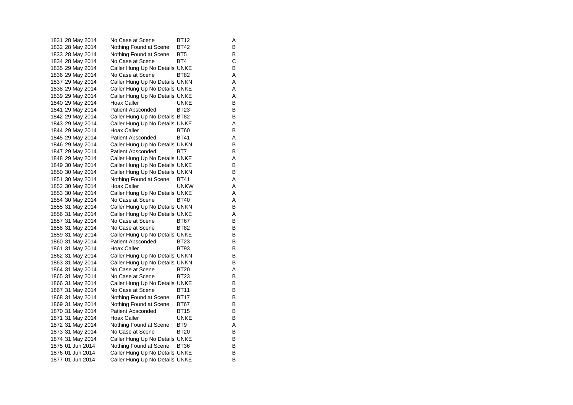1831 28 May 2014 No Case at Scene BT12 A 1832 28 May 2014 Nothing Found at Scene BT42 B 1833 28 May 2014 Nothing Found at Scene BT5 1834 28 May 2014 No Case at Scene BT4 C<br>1835 29 May 2014 Caller Hung Up No Details UNKE B 1835 29 May 2014 Caller Hung Up No Details UNKE 1836 29 May 2014 No Case at Scene BT82 A 1837 29 May 2014 Caller Hung Up No Details UNKN A 1838 29 May 2014 Caller Hung Up No Details UNKE A 1839 29 May 2014 Caller Hung Up No Details UNKE<br>1840 29 May 2014 Hoax Caller BuNKE 1840 29 May 2014 Hoax Caller **Hoax Hoax Caller** UNKE 1841 29 May 2014 Patient Absconded BT23 B 1842 29 May 2014 Caller Hung Up No Details BT82 B 1843 29 May 2014 Caller Hung Up No Details UNKE 1844 29 May 2014 Hoax Caller BT60 B 1845 29 May 2014 Patient Absconded BT41 A 1846 29 May 2014 Caller Hung Up No Details UNKN B 1847 29 May 2014 Patient Absconded BT7 B 1848 29 May 2014 Caller Hung Up No Details UNKE A 1849 30 May 2014 Caller Hung Up No Details UNKE 1850 30 May 2014 Caller Hung Up No Details UNKN B 1851 30 May 2014 Nothing Found at Scene BT41 A 1852 30 May 2014 Hoax Caller CONKW A 1853 30 May 2014 Caller Hung Up No Details UNKE A 1854 30 May 2014 No Case at Scene BT40 A 1855 31 May 2014 Caller Hung Up No Details UNKN B 1856 31 May 2014 Caller Hung Up No Details UNKE A 1857 31 May 2014 No Case at Scene BT67 B<br>1858 31 May 2014 No Case at Scene BT82 B 1858 31 May 2014 No Case at Scene BT82 1859 31 May 2014 Caller Hung Up No Details UNKE 1860 31 May 2014 Patient Absconded BT23 B 1861 31 May 2014 Hoax Caller BT93 B 1862 31 May 2014 Caller Hung Up No Details UNKN B 1863 31 May 2014 Caller Hung Up No Details UNKN B 1864 31 May 2014 No Case at Scene BT20 A 1865 31 May 2014 No Case at Scene BT23 B<br>1866 31 May 2014 Caller Hung Up No Details UNKE B 1866 31 May 2014 Caller Hung Up No Details UNKE 1867 31 May 2014 No Case at Scene BT11 B 1868 31 May 2014 Nothing Found at Scene BT17 B 1869 31 May 2014 Nothing Found at Scene BT67 B 1870 31 May 2014 Patient Absconded BT15 B<br>1871 31 May 2014 Hoax Caller BUNKE B 1871 31 May 2014 1872 31 May 2014 Nothing Found at Scene BT9 A 1873 31 May 2014 No Case at Scene BT20 B 1874 31 May 2014 Caller Hung Up No Details UNKE 1875 01 Jun 2014 Nothing Found at Scene BT36 B<br>1876 01 Jun 2014 Caller Hung Up No Details UNKE 1876 01 Jun 2014 Caller Hung Up No Details UNKE 1877 01 Jun 2014 Caller Hung Up No Details UNKE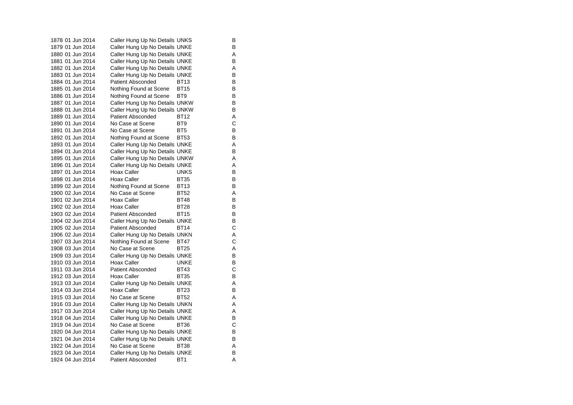| 1878 01 Jun 2014 | Caller Hung Up No Details UNKS |                 | В |
|------------------|--------------------------------|-----------------|---|
| 1879 01 Jun 2014 | Caller Hung Up No Details UNKE |                 | в |
| 1880 01 Jun 2014 | Caller Hung Up No Details UNKE |                 | Α |
| 1881 01 Jun 2014 | Caller Hung Up No Details UNKE |                 | B |
| 1882 01 Jun 2014 | Caller Hung Up No Details UNKE |                 | A |
| 1883 01 Jun 2014 | Caller Hung Up No Details UNKE |                 | B |
| 1884 01 Jun 2014 | <b>Patient Absconded</b>       | BT13            | В |
| 1885 01 Jun 2014 | Nothing Found at Scene         | <b>BT15</b>     | В |
| 1886 01 Jun 2014 | Nothing Found at Scene         | BT9             | B |
| 1887 01 Jun 2014 | Caller Hung Up No Details UNKW |                 | B |
| 1888 01 Jun 2014 | Caller Hung Up No Details UNKW |                 | в |
| 1889 01 Jun 2014 | Patient Absconded              | <b>BT12</b>     | A |
| 1890 01 Jun 2014 | No Case at Scene               | BT <sub>9</sub> | C |
| 1891 01 Jun 2014 | No Case at Scene               | BT5             | В |
| 1892 01 Jun 2014 | Nothing Found at Scene         | <b>BT53</b>     | B |
| 1893 01 Jun 2014 | Caller Hung Up No Details UNKE |                 | Α |
| 1894 01 Jun 2014 | Caller Hung Up No Details UNKE |                 | B |
| 1895 01 Jun 2014 | Caller Hung Up No Details UNKW |                 | A |
| 1896 01 Jun 2014 | Caller Hung Up No Details UNKE |                 | Α |
| 1897 01 Jun 2014 | Hoax Caller                    | <b>UNKS</b>     | в |
| 1898 01 Jun 2014 | Hoax Caller                    | <b>BT35</b>     | В |
| 1899 02 Jun 2014 | Nothing Found at Scene         | <b>BT13</b>     | B |
| 1900 02 Jun 2014 | No Case at Scene               | <b>BT52</b>     | A |
| 1901 02 Jun 2014 | Hoax Caller                    | <b>BT48</b>     | B |
| 1902 02 Jun 2014 | Hoax Caller                    | <b>BT28</b>     | B |
| 1903 02 Jun 2014 | <b>Patient Absconded</b>       | BT15            | В |
| 1904 02 Jun 2014 | Caller Hung Up No Details UNKE |                 | В |
| 1905 02 Jun 2014 | <b>Patient Absconded</b>       | <b>BT14</b>     | C |
| 1906 02 Jun 2014 | Caller Hung Up No Details UNKN |                 | A |
| 1907 03 Jun 2014 | Nothing Found at Scene         | <b>BT47</b>     | C |
| 1908 03 Jun 2014 | No Case at Scene               | BT25            | Α |
| 1909 03 Jun 2014 | Caller Hung Up No Details UNKE |                 | В |
| 1910 03 Jun 2014 | Hoax Caller                    | UNKE            | В |
| 1911 03 Jun 2014 | <b>Patient Absconded</b>       | <b>BT43</b>     | C |
| 1912 03 Jun 2014 | Hoax Caller                    | <b>BT35</b>     | В |
| 1913 03 Jun 2014 | Caller Hung Up No Details UNKE |                 | A |
| 1914 03 Jun 2014 | <b>Hoax Caller</b>             | BT23            | В |
| 1915 03 Jun 2014 | No Case at Scene               | <b>BT52</b>     | Α |
| 1916 03 Jun 2014 | Caller Hung Up No Details UNKN |                 | A |
| 1917 03 Jun 2014 | Caller Hung Up No Details UNKE |                 | Α |
| 1918 04 Jun 2014 | Caller Hung Up No Details UNKE |                 | В |
| 1919 04 Jun 2014 | No Case at Scene               | <b>BT36</b>     | C |
| 1920 04 Jun 2014 | Caller Hung Up No Details UNKE |                 | В |
| 1921 04 Jun 2014 | Caller Hung Up No Details UNKE |                 | В |
| 1922 04 Jun 2014 | No Case at Scene               | BT38            | Α |
| 1923 04 Jun 2014 | Caller Hung Up No Details UNKE |                 | в |
| 1924 04 Jun 2014 | <b>Patient Absconded</b>       | BT <sub>1</sub> | A |
|                  |                                |                 |   |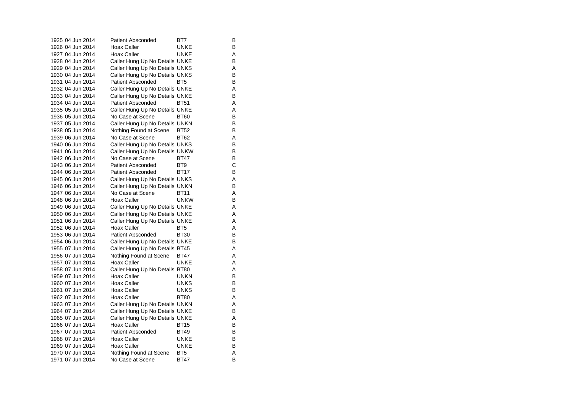| 1925 04 Jun 2014 | <b>Patient Absconded</b>       | BT7             | в |
|------------------|--------------------------------|-----------------|---|
| 1926 04 Jun 2014 | Hoax Caller                    | UNKE            | в |
| 1927 04 Jun 2014 | <b>Hoax Caller</b>             | UNKE            | Α |
| 1928 04 Jun 2014 | Caller Hung Up No Details UNKE |                 | В |
| 1929 04 Jun 2014 | Caller Hung Up No Details UNKS |                 | Α |
| 1930 04 Jun 2014 | Caller Hung Up No Details UNKS |                 | В |
| 1931 04 Jun 2014 | <b>Patient Absconded</b>       | BT <sub>5</sub> | В |
| 1932 04 Jun 2014 | Caller Hung Up No Details UNKE |                 | Α |
| 1933 04 Jun 2014 | Caller Hung Up No Details UNKE |                 | в |
| 1934 04 Jun 2014 | <b>Patient Absconded</b>       | <b>BT51</b>     | Α |
| 1935 05 Jun 2014 | Caller Hung Up No Details UNKE |                 | A |
| 1936 05 Jun 2014 | No Case at Scene               | <b>BT60</b>     | В |
| 1937 05 Jun 2014 | Caller Hung Up No Details UNKN |                 | в |
| 1938 05 Jun 2014 | Nothing Found at Scene         | <b>BT52</b>     | В |
| 1939 06 Jun 2014 | No Case at Scene               | <b>BT62</b>     | A |
| 1940 06 Jun 2014 | Caller Hung Up No Details UNKS |                 | В |
| 1941 06 Jun 2014 | Caller Hung Up No Details UNKW |                 | В |
| 1942 06 Jun 2014 | No Case at Scene               | BT47            | в |
| 1943 06 Jun 2014 | <b>Patient Absconded</b>       | BT <sub>9</sub> | C |
| 1944 06 Jun 2014 | <b>Patient Absconded</b>       | <b>BT17</b>     | В |
| 1945 06 Jun 2014 | Caller Hung Up No Details UNKS |                 | Α |
| 1946 06 Jun 2014 | Caller Hung Up No Details UNKN |                 | В |
| 1947 06 Jun 2014 | No Case at Scene               | <b>BT11</b>     | A |
| 1948 06 Jun 2014 | <b>Hoax Caller</b>             | <b>UNKW</b>     | в |
| 1949 06 Jun 2014 | Caller Hung Up No Details UNKE |                 | Α |
| 1950 06 Jun 2014 | Caller Hung Up No Details UNKE |                 | Α |
| 1951 06 Jun 2014 | Caller Hung Up No Details UNKE |                 | Α |
| 1952 06 Jun 2014 | <b>Hoax Caller</b>             | BT <sub>5</sub> | Α |
| 1953 06 Jun 2014 | <b>Patient Absconded</b>       | <b>BT30</b>     | в |
| 1954 06 Jun 2014 | Caller Hung Up No Details UNKE |                 | в |
| 1955 07 Jun 2014 | Caller Hung Up No Details BT45 |                 | Α |
| 1956 07 Jun 2014 | Nothing Found at Scene         | BT47            | Α |
| 1957 07 Jun 2014 | Hoax Caller                    | UNKE            | Α |
| 1958 07 Jun 2014 | Caller Hung Up No Details BT80 |                 | Α |
| 1959 07 Jun 2014 | Hoax Caller                    | <b>UNKN</b>     | в |
| 1960 07 Jun 2014 | <b>Hoax Caller</b>             | <b>UNKS</b>     | в |
| 1961 07 Jun 2014 | <b>Hoax Caller</b>             | <b>UNKS</b>     | В |
| 1962 07 Jun 2014 | Hoax Caller                    | <b>BT80</b>     | Α |
| 1963 07 Jun 2014 | Caller Hung Up No Details UNKN |                 | Α |
| 1964 07 Jun 2014 | Caller Hung Up No Details UNKE |                 | В |
| 1965 07 Jun 2014 | Caller Hung Up No Details UNKE |                 | Α |
| 1966 07 Jun 2014 | Hoax Caller                    | <b>BT15</b>     | в |
| 1967 07 Jun 2014 | <b>Patient Absconded</b>       | BT49            | В |
| 1968 07 Jun 2014 | Hoax Caller                    | <b>UNKE</b>     | в |
| 1969 07 Jun 2014 | Hoax Caller                    | <b>UNKE</b>     | в |
| 1970 07 Jun 2014 | Nothing Found at Scene         | BT <sub>5</sub> | Α |
| 1971 07 Jun 2014 | No Case at Scene               | <b>BT47</b>     | B |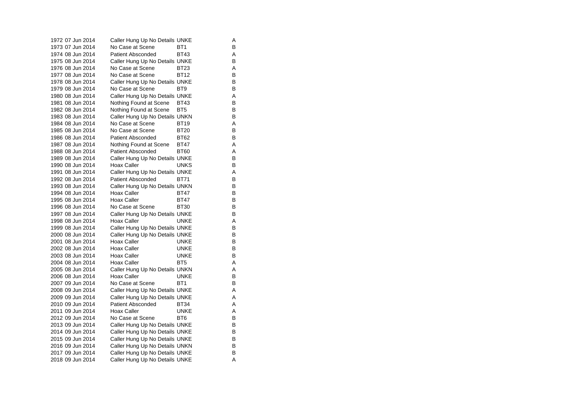| 1972 07 Jun 2014 | Caller Hung Up No Details UNKE |                 | Α                              |
|------------------|--------------------------------|-----------------|--------------------------------|
| 1973 07 Jun 2014 | No Case at Scene               | BT <sub>1</sub> | В                              |
| 1974 08 Jun 2014 | Patient Absconded              | <b>BT43</b>     | Α                              |
| 1975 08 Jun 2014 | Caller Hung Up No Details UNKE |                 | B                              |
| 1976 08 Jun 2014 | No Case at Scene               | <b>BT23</b>     | Α                              |
| 1977 08 Jun 2014 | No Case at Scene               | <b>BT12</b>     | В                              |
| 1978 08 Jun 2014 | Caller Hung Up No Details UNKE |                 | B                              |
| 1979 08 Jun 2014 | No Case at Scene               | BT <sub>9</sub> | B                              |
| 1980 08 Jun 2014 | Caller Hung Up No Details UNKE |                 | Α                              |
| 1981 08 Jun 2014 | Nothing Found at Scene         | <b>BT43</b>     | B                              |
| 1982 08 Jun 2014 | Nothing Found at Scene         | BT <sub>5</sub> | B                              |
| 1983 08 Jun 2014 | Caller Hung Up No Details UNKN |                 | B                              |
| 1984 08 Jun 2014 | No Case at Scene               | <b>BT19</b>     | Α                              |
| 1985 08 Jun 2014 | No Case at Scene               | <b>BT20</b>     | B                              |
| 1986 08 Jun 2014 | <b>Patient Absconded</b>       | <b>BT62</b>     | B                              |
| 1987 08 Jun 2014 | Nothing Found at Scene         | <b>BT47</b>     | Α                              |
| 1988 08 Jun 2014 | <b>Patient Absconded</b>       | <b>BT60</b>     | A                              |
| 1989 08 Jun 2014 | Caller Hung Up No Details UNKE |                 | В                              |
| 1990 08 Jun 2014 | Hoax Caller                    | <b>UNKS</b>     | B                              |
| 1991 08 Jun 2014 | Caller Hung Up No Details UNKE |                 | Α                              |
| 1992 08 Jun 2014 | <b>Patient Absconded</b>       | <b>BT71</b>     | B                              |
| 1993 08 Jun 2014 | Caller Hung Up No Details UNKN |                 | B                              |
| 1994 08 Jun 2014 | Hoax Caller                    | <b>BT47</b>     | В                              |
| 1995 08 Jun 2014 | Hoax Caller                    | <b>BT47</b>     | B                              |
| 1996 08 Jun 2014 | No Case at Scene               | BT30            | В                              |
| 1997 08 Jun 2014 | Caller Hung Up No Details UNKE |                 | B                              |
| 1998 08 Jun 2014 | <b>Hoax Caller</b>             | <b>UNKE</b>     | Α                              |
| 1999 08 Jun 2014 | Caller Hung Up No Details UNKE |                 | B                              |
| 2000 08 Jun 2014 | Caller Hung Up No Details UNKE |                 | B                              |
| 2001 08 Jun 2014 | Hoax Caller                    | <b>UNKE</b>     | B                              |
| 2002 08 Jun 2014 | Hoax Caller                    | UNKE            | B                              |
| 2003 08 Jun 2014 | Hoax Caller                    | UNKE            | B                              |
| 2004 08 Jun 2014 | Hoax Caller                    | BT <sub>5</sub> | Α                              |
| 2005 08 Jun 2014 | Caller Hung Up No Details UNKN |                 | Α                              |
| 2006 08 Jun 2014 | Hoax Caller                    | <b>UNKE</b>     | в                              |
| 2007 09 Jun 2014 | No Case at Scene               | BT <sub>1</sub> | B                              |
| 2008 09 Jun 2014 | Caller Hung Up No Details UNKE |                 | Α                              |
| 2009 09 Jun 2014 | Caller Hung Up No Details UNKE |                 | Α                              |
| 2010 09 Jun 2014 | <b>Patient Absconded</b>       | BT34            | Α                              |
| 2011 09 Jun 2014 | Hoax Caller                    | <b>UNKE</b>     | Α                              |
| 2012 09 Jun 2014 | No Case at Scene               | BT <sub>6</sub> | B                              |
| 2013 09 Jun 2014 | Caller Hung Up No Details UNKE |                 | В                              |
| 2014 09 Jun 2014 | Caller Hung Up No Details UNKE |                 | В                              |
| 2015 09 Jun 2014 | Caller Hung Up No Details UNKE |                 | B                              |
| 2016 09 Jun 2014 | Caller Hung Up No Details UNKN |                 | B                              |
| 2017 09 Jun 2014 | Caller Hung Up No Details UNKE |                 | B                              |
|                  |                                |                 | Α                              |
|                  | 2018 09 Jun 2014               |                 | Caller Hung Up No Details UNKE |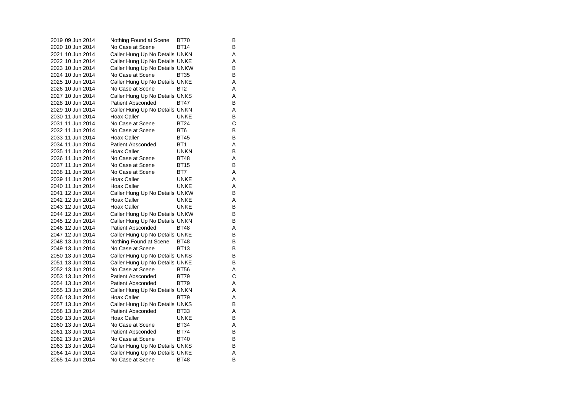| 2019 09 Jun 2014 | Nothing Found at Scene         | <b>BT70</b>     | В |
|------------------|--------------------------------|-----------------|---|
| 2020 10 Jun 2014 | No Case at Scene               | BT14            | В |
| 2021 10 Jun 2014 | Caller Hung Up No Details UNKN |                 | A |
| 2022 10 Jun 2014 | Caller Hung Up No Details UNKE |                 | Α |
| 2023 10 Jun 2014 | Caller Hung Up No Details UNKW |                 | В |
| 2024 10 Jun 2014 | No Case at Scene               | <b>BT35</b>     | В |
| 2025 10 Jun 2014 | Caller Hung Up No Details UNKE |                 | A |
| 2026 10 Jun 2014 | No Case at Scene               | BT <sub>2</sub> | A |
| 2027 10 Jun 2014 | Caller Hung Up No Details UNKS |                 | Α |
| 2028 10 Jun 2014 | <b>Patient Absconded</b>       | <b>BT47</b>     | В |
| 2029 10 Jun 2014 | Caller Hung Up No Details UNKN |                 | A |
| 2030 11 Jun 2014 | <b>Hoax Caller</b>             | <b>UNKE</b>     | В |
| 2031 11 Jun 2014 | No Case at Scene               | <b>BT24</b>     | C |
| 2032 11 Jun 2014 | No Case at Scene               | BT <sub>6</sub> | В |
| 2033 11 Jun 2014 | Hoax Caller                    | <b>BT45</b>     | В |
| 2034 11 Jun 2014 | <b>Patient Absconded</b>       | BT <sub>1</sub> | A |
| 2035 11 Jun 2014 | <b>Hoax Caller</b>             | <b>UNKN</b>     | B |
| 2036 11 Jun 2014 | No Case at Scene               | <b>BT48</b>     | Α |
| 2037 11 Jun 2014 | No Case at Scene               | <b>BT15</b>     | В |
| 2038 11 Jun 2014 | No Case at Scene               | BT7             | Α |
| 2039 11 Jun 2014 | Hoax Caller                    | <b>UNKE</b>     | A |
| 2040 11 Jun 2014 | Hoax Caller                    | UNKE            | Α |
| 2041 12 Jun 2014 | Caller Hung Up No Details UNKW |                 | в |
| 2042 12 Jun 2014 | Hoax Caller                    | <b>UNKE</b>     | A |
| 2043 12 Jun 2014 | Hoax Caller                    | <b>UNKE</b>     | В |
| 2044 12 Jun 2014 | Caller Hung Up No Details UNKW |                 | в |
| 2045 12 Jun 2014 | Caller Hung Up No Details UNKN |                 | B |
| 2046 12 Jun 2014 | <b>Patient Absconded</b>       | <b>BT48</b>     | Α |
| 2047 12 Jun 2014 | Caller Hung Up No Details UNKE |                 | B |
| 2048 13 Jun 2014 | Nothing Found at Scene         | BT48            | В |
| 2049 13 Jun 2014 | No Case at Scene               | <b>BT13</b>     | В |
| 2050 13 Jun 2014 | Caller Hung Up No Details UNKS |                 | В |
| 2051 13 Jun 2014 | Caller Hung Up No Details UNKE |                 | В |
| 2052 13 Jun 2014 | No Case at Scene               | <b>BT56</b>     | A |
| 2053 13 Jun 2014 | <b>Patient Absconded</b>       | <b>BT79</b>     | C |
| 2054 13 Jun 2014 | Patient Absconded              | <b>BT79</b>     | Α |
| 2055 13 Jun 2014 | Caller Hung Up No Details UNKN |                 | A |
| 2056 13 Jun 2014 | <b>Hoax Caller</b>             | BT79            | Α |
| 2057 13 Jun 2014 | Caller Hung Up No Details UNKS |                 | В |
| 2058 13 Jun 2014 | Patient Absconded              | BT33            | Α |
| 2059 13 Jun 2014 | Hoax Caller                    | <b>UNKE</b>     | B |
| 2060 13 Jun 2014 | No Case at Scene               | <b>BT34</b>     | Α |
| 2061 13 Jun 2014 | <b>Patient Absconded</b>       | <b>BT74</b>     | В |
| 2062 13 Jun 2014 | No Case at Scene               | <b>BT40</b>     | B |
| 2063 13 Jun 2014 | Caller Hung Up No Details UNKS |                 | В |
| 2064 14 Jun 2014 | Caller Hung Up No Details UNKE |                 | A |
| 2065 14 Jun 2014 | No Case at Scene               | <b>BT48</b>     | B |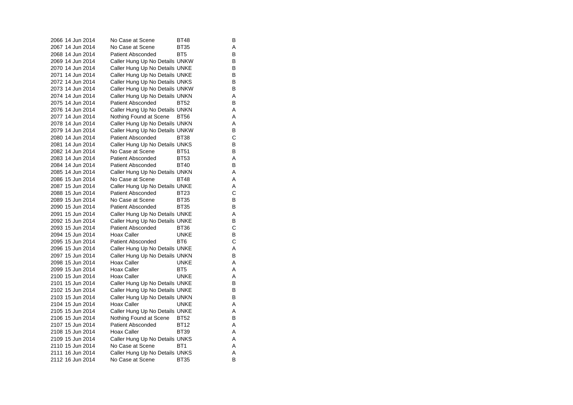| 2066 14 Jun 2014 | No Case at Scene               | BT48            | В |
|------------------|--------------------------------|-----------------|---|
| 2067 14 Jun 2014 | No Case at Scene               | BT35            | A |
| 2068 14 Jun 2014 | <b>Patient Absconded</b>       | BT <sub>5</sub> | в |
| 2069 14 Jun 2014 | Caller Hung Up No Details UNKW |                 | в |
| 2070 14 Jun 2014 | Caller Hung Up No Details UNKE |                 | В |
| 2071 14 Jun 2014 | Caller Hung Up No Details UNKE |                 | В |
| 2072 14 Jun 2014 | Caller Hung Up No Details UNKS |                 | В |
| 2073 14 Jun 2014 | Caller Hung Up No Details UNKW |                 | В |
| 2074 14 Jun 2014 | Caller Hung Up No Details UNKN |                 | Α |
| 2075 14 Jun 2014 | <b>Patient Absconded</b>       | <b>BT52</b>     | В |
| 2076 14 Jun 2014 | Caller Hung Up No Details UNKN |                 | Α |
| 2077 14 Jun 2014 | Nothing Found at Scene         | <b>BT56</b>     | A |
| 2078 14 Jun 2014 | Caller Hung Up No Details UNKN |                 | Α |
| 2079 14 Jun 2014 | Caller Hung Up No Details UNKW |                 | B |
| 2080 14 Jun 2014 | <b>Patient Absconded</b>       | <b>BT38</b>     | C |
| 2081 14 Jun 2014 | Caller Hung Up No Details UNKS |                 | В |
| 2082 14 Jun 2014 | No Case at Scene               | <b>BT51</b>     | В |
| 2083 14 Jun 2014 | Patient Absconded              | <b>BT53</b>     | Α |
| 2084 14 Jun 2014 | <b>Patient Absconded</b>       | <b>BT40</b>     | В |
| 2085 14 Jun 2014 | Caller Hung Up No Details UNKN |                 | Α |
| 2086 15 Jun 2014 | No Case at Scene               | <b>BT48</b>     | A |
| 2087 15 Jun 2014 | Caller Hung Up No Details UNKE |                 | Α |
| 2088 15 Jun 2014 | <b>Patient Absconded</b>       | <b>BT23</b>     | C |
| 2089 15 Jun 2014 | No Case at Scene               | <b>BT35</b>     | B |
| 2090 15 Jun 2014 | <b>Patient Absconded</b>       | <b>BT35</b>     | В |
| 2091 15 Jun 2014 | Caller Hung Up No Details UNKE |                 | Α |
| 2092 15 Jun 2014 | Caller Hung Up No Details UNKE |                 | B |
| 2093 15 Jun 2014 | <b>Patient Absconded</b>       | BT36            | C |
| 2094 15 Jun 2014 | Hoax Caller                    | <b>UNKE</b>     | В |
| 2095 15 Jun 2014 | <b>Patient Absconded</b>       | BT6             | C |
| 2096 15 Jun 2014 | Caller Hung Up No Details UNKE |                 | Α |
| 2097 15 Jun 2014 | Caller Hung Up No Details UNKN |                 | В |
| 2098 15 Jun 2014 | Hoax Caller                    | UNKE            | Α |
| 2099 15 Jun 2014 | Hoax Caller                    | BT <sub>5</sub> | A |
| 2100 15 Jun 2014 | Hoax Caller                    | <b>UNKE</b>     | A |
| 2101 15 Jun 2014 | Caller Hung Up No Details UNKE |                 | B |
| 2102 15 Jun 2014 | Caller Hung Up No Details UNKE |                 | В |
| 2103 15 Jun 2014 | Caller Hung Up No Details UNKN |                 | В |
| 2104 15 Jun 2014 | Hoax Caller                    | UNKE            | Α |
| 2105 15 Jun 2014 | Caller Hung Up No Details UNKE |                 | A |
| 2106 15 Jun 2014 | Nothing Found at Scene         | <b>BT52</b>     | В |
| 2107 15 Jun 2014 | <b>Patient Absconded</b>       | <b>BT12</b>     | Α |
| 2108 15 Jun 2014 | Hoax Caller                    | <b>BT39</b>     | Α |
| 2109 15 Jun 2014 | Caller Hung Up No Details UNKS |                 | Α |
| 2110 15 Jun 2014 | No Case at Scene               | BT <sub>1</sub> | A |
| 2111 16 Jun 2014 | Caller Hung Up No Details UNKS |                 | A |
| 2112 16 Jun 2014 | No Case at Scene               | <b>BT35</b>     | B |
|                  |                                |                 |   |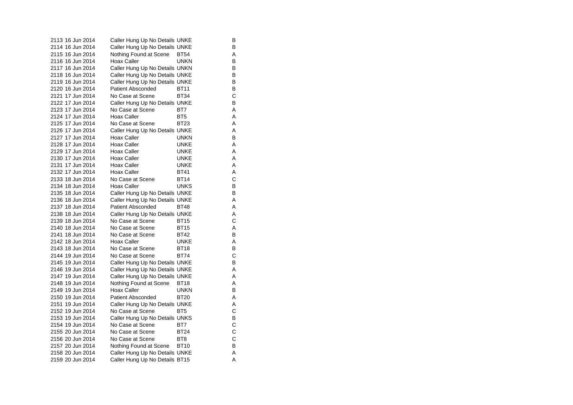2113 16 Jun 2014 Caller Hung Up No Details UNKE 2114 16 Jun 2014 Caller Hung Up No Details UNKE B 2115 16 Jun 2014 Nothing Found at Scene BT54 A 2116 16 Jun 2014 Hoax Caller UNKN 2117 16 Jun 2014 Caller Hung Up No Details UNKN 2118 16 Jun 2014 Caller Hung Up No Details UNKE 2119 16 Jun 2014 Caller Hung Up No Details UNKE B 2120 16 Jun 2014 Patient Absconded BT11 B 2121 17 Jun 2014 No Case at Scene BT34 2122 17 Jun 2014 Caller Hung Up No Details UNKE 2123 17 Jun 2014 No Case at Scene BT7 A 2124 17 Jun 2014 Hoax Caller BT5 A 2125 17 Jun 2014 No Case at Scene BT23 A 2126 17 Jun 2014 Caller Hung Up No Details UNKE 2127 17 Jun 2014 Hoax Caller **UNKN** B 2128 17 Jun 2014 Hoax Caller **UNKE** A 2129 17 Jun 2014 Hoax Caller **UNKE** A 2130 17 Jun 2014 Hoax Caller **Hoax Little UNKE** A 2131 17 Jun 2014 Hoax Caller **Hoax Little UNKE** A 2132 17 Jun 2014 Hoax Caller BT41 A 2133 18 Jun 2014 No Case at Scene BT14 C2134 18 Jun 2014 Hoax Caller **UNKS** B 2135 18 Jun 2014 Caller Hung Up No Details UNKE 2136 18 Jun 2014 Caller Hung Up No Details UNKE 2137 18 Jun 2014 Patient Absconded BT48 A 2138 18 Jun 2014 Caller Hung Up No Details UNKE 2139 18 Jun 2014 No Case at Scene BT15 2140 18 Jun 2014 No Case at Scene BT15 A 2141 18 Jun 2014 No Case at Scene BT42 B 2142 18 Jun 2014 Hoax Caller UNKE 2143 18 Jun 2014 No Case at Scene BT18 BT18 2144 19 Jun 2014 No Case at Scene BT74 2145 19 Jun 2014 Caller Hung Up No Details UNKE B 2146 19 Jun 2014 Caller Hung Up No Details UNKE 2147 19 Jun 2014 Caller Hung Up No Details UNKE<br>2148 19 Jun 2014 Nothing Found at Scene BT18 Nothing Found at Scene BT18 2149 19 Jun 2014 Hoax Caller **UNKN** B 2150 19 Jun 2014 Patient Absconded BT20 2151 19 Jun 2014 Caller Hung Up No Details UNKE 2152 19 Jun 2014 No Case at Scene BT5 2153 19 Jun 2014 Caller Hung Up No Details UNKS 2154 19 Jun 2014 No Case at Scene BT7 C 2155 20 Jun 2014 No Case at Scene BT24 C 2156 20 Jun 2014 No Case at Scene BT8 C 2157 20 Jun 2014 Nothing Found at Scene BT10 B 2158 20 Jun 2014 Caller Hung Up No Details UNKE 2159 20 Jun 2014 Caller Hung Up No Details BT15 A

B<br>B

 $\mathbf C$ 

 $\mathsf{A}$ 

 $\mathbf C$ 

A

 $\frac{C}{B}$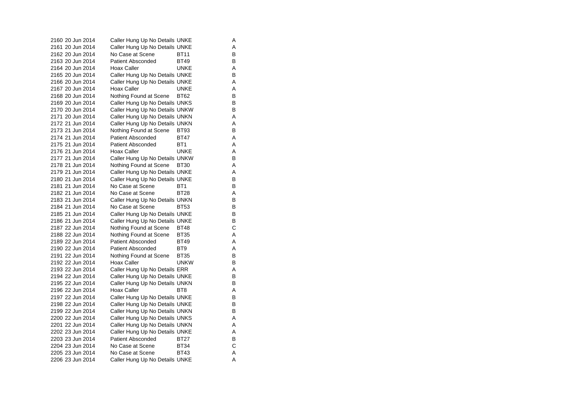2160 20 Jun 2014 Caller Hung Up No Details UNKE 2161 20 Jun 2014 Caller Hung Up No Details UNKE A 2162 20 Jun 2014 No Case at Scene BT11 B 2163 20 Jun 2014 Patient Absconded BT49 2164 20 Jun 2014 Hoax Caller CONKE Hoax New York CA 2165 20 Jun 2014 Caller Hung Up No Details UNKE 2166 20 Jun 2014 Caller Hung Up No Details UNKE A 2167 20 Jun 2014 Hoax Caller **Hoax Caller** UNKE A 2168 20 Jun 2014 Nothing Found at Scene BT62 B<br>2169 20 Jun 2014 Caller Hung Up No Details UNKS 2169 20 Jun 2014 Caller Hung Up No Details UNKS 2170 20 Jun 2014 Caller Hung Up No Details UNKW B 2171 20 Jun 2014 Caller Hung Up No Details UNKN A<br>2172 21 Jun 2014 Caller Hung Up No Details UNKN A Caller Hung Up No Details UNKN A 2173 21 Jun 2014 Nothing Found at Scene BT93 2174 21 Jun 2014 Patient Absconded BT47 A 2175 21 Jun 2014 Patient Absconded BT1 A 2176 21 Jun 2014 Hoax Caller **UNKE** A 2177 21 Jun 2014 Caller Hung Up No Details UNKW B 2178 21 Jun 2014 Nothing Found at Scene BT30 A 2179 21 Jun 2014 Caller Hung Up No Details UNKE A 2180 21 Jun 2014 Caller Hung Up No Details UNKE B 2181 21 Jun 2014 No Case at Scene BT1 BT1 2182 21 Jun 2014 No Case at Scene BT28 A2183 21 Jun 2014 Caller Hung Up No Details UNKN B 2184 21 Jun 2014 No Case at Scene BT53 B 2185 21 Jun 2014 Caller Hung Up No Details UNKE 2186 21 Jun 2014 Caller Hung Up No Details UNKE<br>2187 22 Jun 2014 Nothing Found at Scene BT48 2187 22 Jun 2014 Nothing Found at Scene BT48 2188 22 Jun 2014 Nothing Found at Scene BT35 A 2189 22 Jun 2014 Patient Absconded BT49 2190 22 Jun 2014 Patient Absconded BT9 A 2191 22 Jun 2014 Nothing Found at Scene BT35 B 2192 22 Jun 2014 Hoax Caller CONKW B 2193 22 Jun 2014 Caller Hung Up No Details ERR A 2194 22 Jun 2014 Caller Hung Up No Details UNKE<br>2195 22 Jun 2014 Caller Hung Up No Details UNKN B Caller Hung Up No Details UNKN 2196 22 Jun 2014 Hoax Caller BT8 A 2197 22 Jun 2014 Caller Hung Up No Details UNKE B 2198 22 Jun 2014 Caller Hung Up No Details UNKE 2199 22 Jun 2014 Caller Hung Up No Details UNKN B<br>2200 22 Jun 2014 Caller Hung Up No Details UNKS Caller Hung Up No Details UNKS 2201 22 Jun 2014 Caller Hung Up No Details UNKN A 2202 23 Jun 2014 Caller Hung Up No Details UNKE A 2203 23 Jun 2014 Patient Absconded BT27 B 2204 23 Jun 2014 No Case at Scene BT34 C 2205 23 Jun 2014 No Case at Scene BT43 A 2206 23 Jun 2014 Caller Hung Up No Details UNKE

 $\, {\sf B}$ 

 $\mathsf{A}$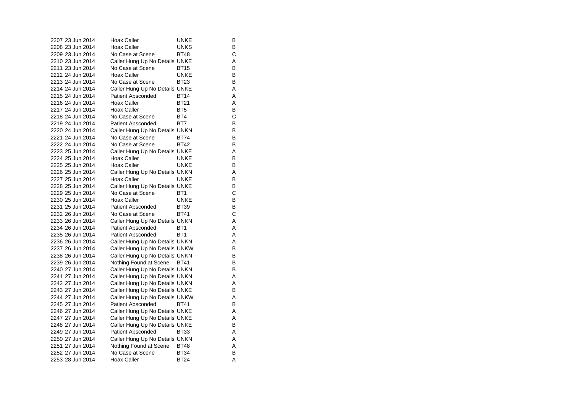| 2207 23 Jun 2014 | Hoax Caller                    | UNKE<br>в            |  |
|------------------|--------------------------------|----------------------|--|
| 2208 23 Jun 2014 | Hoax Caller                    | В<br><b>UNKS</b>     |  |
| 2209 23 Jun 2014 | No Case at Scene               | С<br><b>BT48</b>     |  |
| 2210 23 Jun 2014 | Caller Hung Up No Details UNKE | Α                    |  |
| 2211 23 Jun 2014 | No Case at Scene               | В<br>BT15            |  |
| 2212 24 Jun 2014 | Hoax Caller                    | В<br><b>UNKE</b>     |  |
| 2213 24 Jun 2014 | No Case at Scene               | В<br>BT23            |  |
| 2214 24 Jun 2014 | Caller Hung Up No Details UNKE | Α                    |  |
| 2215 24 Jun 2014 | <b>Patient Absconded</b>       | Α<br><b>BT14</b>     |  |
| 2216 24 Jun 2014 | Hoax Caller                    | <b>BT21</b><br>Α     |  |
| 2217 24 Jun 2014 | Hoax Caller                    | B<br>BT <sub>5</sub> |  |
| 2218 24 Jun 2014 | No Case at Scene               | C<br>BT4             |  |
| 2219 24 Jun 2014 | <b>Patient Absconded</b>       | BT7<br>в             |  |
| 2220 24 Jun 2014 | Caller Hung Up No Details UNKN | В                    |  |
| 2221 24 Jun 2014 | No Case at Scene               | В<br>BT74            |  |
| 2222 24 Jun 2014 | No Case at Scene               | в<br><b>BT42</b>     |  |
| 2223 25 Jun 2014 | Caller Hung Up No Details UNKE | Α                    |  |
| 2224 25 Jun 2014 | Hoax Caller                    | В<br><b>UNKE</b>     |  |
| 2225 25 Jun 2014 | Hoax Caller                    | В<br><b>UNKE</b>     |  |
| 2226 25 Jun 2014 | Caller Hung Up No Details UNKN | Α                    |  |
| 2227 25 Jun 2014 | Hoax Caller                    | B<br><b>UNKE</b>     |  |
| 2228 25 Jun 2014 | Caller Hung Up No Details UNKE | В                    |  |
| 2229 25 Jun 2014 | No Case at Scene               | $\mathsf{C}$<br>BT1  |  |
| 2230 25 Jun 2014 | Hoax Caller                    | <b>UNKE</b><br>В     |  |
| 2231 25 Jun 2014 | <b>Patient Absconded</b>       | В<br><b>BT39</b>     |  |
| 2232 26 Jun 2014 | No Case at Scene               | С<br><b>BT41</b>     |  |
| 2233 26 Jun 2014 | Caller Hung Up No Details UNKN | A                    |  |
| 2234 26 Jun 2014 | <b>Patient Absconded</b>       | A<br>BT <sub>1</sub> |  |
| 2235 26 Jun 2014 | <b>Patient Absconded</b>       | Α<br>BT <sub>1</sub> |  |
| 2236 26 Jun 2014 | Caller Hung Up No Details UNKN | Α                    |  |
| 2237 26 Jun 2014 | Caller Hung Up No Details UNKW | B                    |  |
| 2238 26 Jun 2014 | Caller Hung Up No Details UNKN | В                    |  |
| 2239 26 Jun 2014 | Nothing Found at Scene         | в<br><b>BT41</b>     |  |
| 2240 27 Jun 2014 | Caller Hung Up No Details UNKN | В                    |  |
| 2241 27 Jun 2014 | Caller Hung Up No Details UNKN | A                    |  |
| 2242 27 Jun 2014 | Caller Hung Up No Details UNKN | Α                    |  |
| 2243 27 Jun 2014 | Caller Hung Up No Details UNKE | B                    |  |
| 2244 27 Jun 2014 | Caller Hung Up No Details UNKW | Α                    |  |
| 2245 27 Jun 2014 | <b>Patient Absconded</b>       | В<br><b>BT41</b>     |  |
| 2246 27 Jun 2014 | Caller Hung Up No Details UNKE | A                    |  |
| 2247 27 Jun 2014 | Caller Hung Up No Details UNKE | Α                    |  |
| 2248 27 Jun 2014 | Caller Hung Up No Details UNKE | В                    |  |
| 2249 27 Jun 2014 | <b>Patient Absconded</b>       | Α<br><b>BT33</b>     |  |
| 2250 27 Jun 2014 | Caller Hung Up No Details UNKN | Α                    |  |
| 2251 27 Jun 2014 | Nothing Found at Scene         | A<br><b>BT48</b>     |  |
| 2252 27 Jun 2014 | No Case at Scene               | <b>BT34</b><br>В     |  |
| 2253 28 Jun 2014 | <b>Hoax Caller</b>             | <b>BT24</b><br>A     |  |
|                  |                                |                      |  |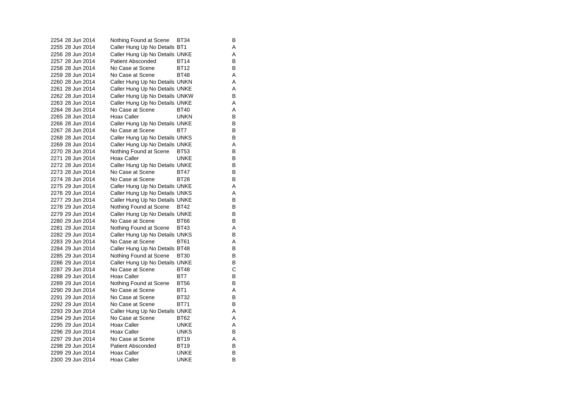2254 28 Jun 2014 Nothing Found at Scene BT34 B 2255 28 Jun 2014 Caller Hung Up No Details BT1 A 2256 28 Jun 2014 Caller Hung Up No Details UNKE 2257 28 Jun 2014 Patient Absconded BT14 2258 28 Jun 2014 No Case at Scene BT12 B2259 28 Jun 2014 No Case at Scene BT48 A 2260 28 Jun 2014 Caller Hung Up No Details UNKN A 2261 28 Jun 2014 Caller Hung Up No Details UNKE 2262 28 Jun 2014 Caller Hung Up No Details UNKW B<br>2263 28 Jun 2014 Caller Hung Up No Details UNKF A Caller Hung Up No Details UNKE A 2264 28 Jun 2014 No Case at Scene BT40 A 2265 28 Jun 2014 Hoax Caller **UNKN** B 2266 28 Jun 2014 Caller Hung Up No Details UNKE 2267 28 Jun 2014 No Case at Scene BT7 B 2268 28 Jun 2014 Caller Hung Up No Details UNKS B 2269 28 Jun 2014 Caller Hung Up No Details UNKE 2270 28 Jun 2014 Nothing Found at Scene BT53 B<br>2271 28 Jun 2014 Hoax Caller UNKE B 2271 28 Jun 2014 Hoax Caller Bunke 2272 28 Jun 2014 Caller Hung Up No Details UNKE 2273 28 Jun 2014 No Case at Scene BT47 B 2274 28 Jun 2014 No Case at Scene BT28 B2275 29 Jun 2014 Caller Hung Up No Details UNKE 2276 29 Jun 2014 Caller Hung Up No Details UNKS A 2277 29 Jun 2014 Caller Hung Up No Details UNKE 2278 29 Jun 2014 Nothing Found at Scene BT42 B 2279 29 Jun 2014 Caller Hung Up No Details UNKE 2280 29 Jun 2014 No Case at Scene BT66 2281 29 Jun 2014 Nothing Found at Scene BT43 A 2282 29 Jun 2014 Caller Hung Up No Details UNKS B 2283 29 Jun 2014 No Case at Scene BT61 2284 29 Jun 2014 Caller Hung Up No Details BT48 B<br>2285 29 Jun 2014 Nothing Found at Scene BT30 B 2285 29 Jun 2014 Nothing Found at Scene BT30 2286 29 Jun 2014 Caller Hung Up No Details UNKE B 2287 29 Jun 2014 No Case at Scene BT48 C 2288 29 Jun 2014 Hoax Caller BT7 2289 29 Jun 2014 Nothing Found at Scene BT56 B 2290 29 Jun 2014 No Case at Scene BT1 BT1 2291 29 Jun 2014 No Case at Scene BT32 2292 29 Jun 2014 No Case at Scene BT71 B 2293 29 Jun 2014 Caller Hung Up No Details UNKE<br>2294 29 Jun 2014 No Case at Scene BT62 A No Case at Scene BT62 A 2295 29 Jun 2014 Hoax Caller **UNKE** A 2296 29 Jun 2014 Hoax Caller **UNKS** B 2297 29 Jun 2014 No Case at Scene BT19 A2298 29 Jun 2014 Patient Absconded BT19 B 2299 29 Jun 2014 Hoax Caller BunkE 2300 29 Jun 2014 Hoax Caller **UNKE** B

 $\frac{B}{B}$ 

B

 $\mathsf{A}$ 

 $\mathsf B$ 

 $\sf B$ 

 $\mathsf B$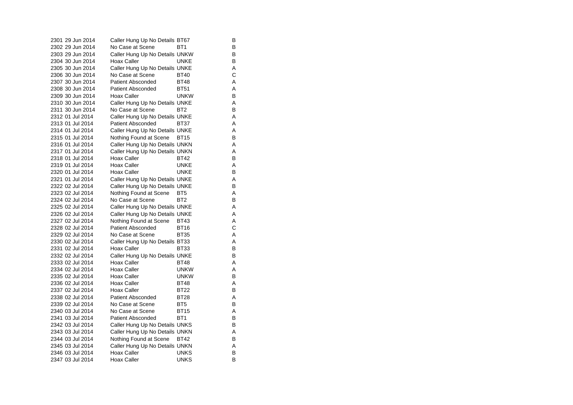| 2301 29 Jun 2014 | Caller Hung Up No Details BT67 |                 | В |
|------------------|--------------------------------|-----------------|---|
| 2302 29 Jun 2014 | No Case at Scene               | BT1             | В |
| 2303 29 Jun 2014 | Caller Hung Up No Details UNKW |                 | В |
| 2304 30 Jun 2014 | Hoax Caller                    | UNKE            | В |
| 2305 30 Jun 2014 | Caller Hung Up No Details UNKE |                 | Α |
| 2306 30 Jun 2014 | No Case at Scene               | <b>BT40</b>     | C |
| 2307 30 Jun 2014 | <b>Patient Absconded</b>       | <b>BT48</b>     | Α |
| 2308 30 Jun 2014 | Patient Absconded              | <b>BT51</b>     | A |
| 2309 30 Jun 2014 | Hoax Caller                    | <b>UNKW</b>     | В |
| 2310 30 Jun 2014 | Caller Hung Up No Details UNKE |                 | A |
| 2311 30 Jun 2014 | No Case at Scene               | BT <sub>2</sub> | В |
| 2312 01 Jul 2014 | Caller Hung Up No Details UNKE |                 | Α |
| 2313 01 Jul 2014 | <b>Patient Absconded</b>       | BT37            | A |
| 2314 01 Jul 2014 | Caller Hung Up No Details UNKE |                 | Α |
| 2315 01 Jul 2014 | Nothing Found at Scene         | BT15            | В |
| 2316 01 Jul 2014 | Caller Hung Up No Details UNKN |                 | A |
| 2317 01 Jul 2014 | Caller Hung Up No Details UNKN |                 | A |
| 2318 01 Jul 2014 | Hoax Caller                    | BT42            | В |
| 2319 01 Jul 2014 | <b>Hoax Caller</b>             | UNKE            | Α |
| 2320 01 Jul 2014 | Hoax Caller                    | <b>UNKE</b>     | В |
| 2321 01 Jul 2014 | Caller Hung Up No Details UNKE |                 | Α |
| 2322 02 Jul 2014 | Caller Hung Up No Details UNKE |                 | в |
| 2323 02 Jul 2014 | Nothing Found at Scene         | BT <sub>5</sub> | Α |
| 2324 02 Jul 2014 | No Case at Scene               | BT <sub>2</sub> | В |
| 2325 02 Jul 2014 | Caller Hung Up No Details UNKE |                 | Α |
| 2326 02 Jul 2014 | Caller Hung Up No Details UNKE |                 | A |
| 2327 02 Jul 2014 | Nothing Found at Scene         | <b>BT43</b>     | A |
| 2328 02 Jul 2014 | Patient Absconded              | BT16            | C |
| 2329 02 Jul 2014 | No Case at Scene               | <b>BT35</b>     | Α |
| 2330 02 Jul 2014 | Caller Hung Up No Details BT33 |                 | A |
| 2331 02 Jul 2014 | <b>Hoax Caller</b>             | BT33            | В |
| 2332 02 Jul 2014 | Caller Hung Up No Details UNKE |                 | в |
| 2333 02 Jul 2014 | Hoax Caller                    | <b>BT48</b>     | A |
| 2334 02 Jul 2014 | Hoax Caller                    | <b>UNKW</b>     | Α |
| 2335 02 Jul 2014 | <b>Hoax Caller</b>             | <b>UNKW</b>     | в |
| 2336 02 Jul 2014 | Hoax Caller                    | <b>BT48</b>     | A |
| 2337 02 Jul 2014 | <b>Hoax Caller</b>             | <b>BT22</b>     | В |
| 2338 02 Jul 2014 | <b>Patient Absconded</b>       | <b>BT28</b>     | Α |
| 2339 02 Jul 2014 | No Case at Scene               | BT <sub>5</sub> | В |
| 2340 03 Jul 2014 | No Case at Scene               | <b>BT15</b>     | A |
| 2341 03 Jul 2014 | <b>Patient Absconded</b>       | BT1             | в |
| 2342 03 Jul 2014 | Caller Hung Up No Details UNKS |                 | в |
| 2343 03 Jul 2014 | Caller Hung Up No Details UNKN |                 | A |
| 2344 03 Jul 2014 | Nothing Found at Scene         | BT42            | В |
| 2345 03 Jul 2014 | Caller Hung Up No Details UNKN |                 | A |
| 2346 03 Jul 2014 | <b>Hoax Caller</b>             | <b>UNKS</b>     | B |
| 2347 03 Jul 2014 | <b>Hoax Caller</b>             | <b>UNKS</b>     | в |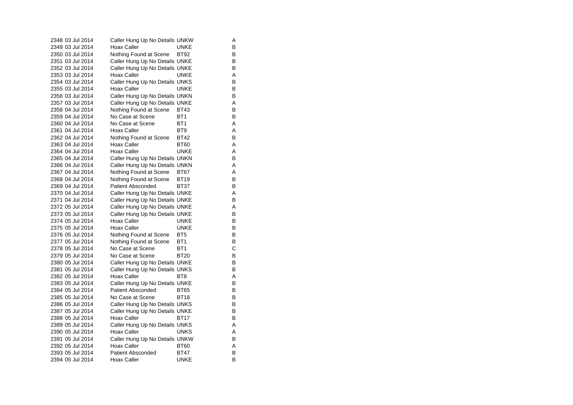| 2348 03 Jul 2014 |  | Caller Hung Up No Details UNKW |                 | Α |
|------------------|--|--------------------------------|-----------------|---|
| 2349 03 Jul 2014 |  | Hoax Caller                    | UNKE            | в |
| 2350 03 Jul 2014 |  | Nothing Found at Scene         | <b>BT92</b>     | В |
| 2351 03 Jul 2014 |  | Caller Hung Up No Details UNKE |                 | В |
| 2352 03 Jul 2014 |  | Caller Hung Up No Details UNKE |                 | В |
| 2353 03 Jul 2014 |  | Hoax Caller                    | <b>UNKE</b>     | Α |
| 2354 03 Jul 2014 |  | Caller Hung Up No Details UNKS |                 | B |
| 2355 03 Jul 2014 |  | Hoax Caller                    | <b>UNKE</b>     | в |
| 2356 03 Jul 2014 |  | Caller Hung Up No Details UNKN |                 | В |
| 2357 03 Jul 2014 |  | Caller Hung Up No Details UNKE |                 | Α |
| 2358 04 Jul 2014 |  | Nothing Found at Scene         | <b>BT43</b>     | В |
| 2359 04 Jul 2014 |  | No Case at Scene               | BT <sub>1</sub> | В |
| 2360 04 Jul 2014 |  | No Case at Scene               | BT <sub>1</sub> | Α |
| 2361 04 Jul 2014 |  | Hoax Caller                    | BT <sub>9</sub> | Α |
| 2362 04 Jul 2014 |  | Nothing Found at Scene         | <b>BT42</b>     | В |
| 2363 04 Jul 2014 |  | Hoax Caller                    | <b>BT60</b>     | Α |
| 2364 04 Jul 2014 |  | Hoax Caller                    | <b>UNKE</b>     | Α |
| 2365 04 Jul 2014 |  | Caller Hung Up No Details UNKN |                 | В |
| 2366 04 Jul 2014 |  | Caller Hung Up No Details UNKN |                 | A |
| 2367 04 Jul 2014 |  | Nothing Found at Scene         | BT67            | Α |
| 2368 04 Jul 2014 |  | Nothing Found at Scene         | <b>BT19</b>     | в |
| 2369 04 Jul 2014 |  | Patient Absconded              | <b>BT37</b>     | В |
| 2370 04 Jul 2014 |  | Caller Hung Up No Details UNKE |                 | Α |
| 2371 04 Jul 2014 |  | Caller Hung Up No Details UNKE |                 | В |
| 2372 05 Jul 2014 |  | Caller Hung Up No Details UNKE |                 | A |
| 2373 05 Jul 2014 |  | Caller Hung Up No Details UNKE |                 | в |
| 2374 05 Jul 2014 |  | Hoax Caller                    | UNKE            | в |
| 2375 05 Jul 2014 |  | Hoax Caller                    | <b>UNKE</b>     | В |
| 2376 05 Jul 2014 |  | Nothing Found at Scene         | BT <sub>5</sub> | В |
| 2377 05 Jul 2014 |  | Nothing Found at Scene         | BT1             | В |
| 2378 05 Jul 2014 |  | No Case at Scene               | BT <sub>1</sub> | C |
| 2379 05 Jul 2014 |  | No Case at Scene               | <b>BT20</b>     | в |
| 2380 05 Jul 2014 |  | Caller Hung Up No Details UNKE |                 | В |
| 2381 05 Jul 2014 |  | Caller Hung Up No Details UNKS |                 | В |
| 2382 05 Jul 2014 |  | Hoax Caller                    | BT8             | Α |
| 2383 05 Jul 2014 |  | Caller Hung Up No Details UNKE |                 | B |
| 2384 05 Jul 2014 |  | <b>Patient Absconded</b>       | <b>BT65</b>     | в |
| 2385 05 Jul 2014 |  | No Case at Scene               | <b>BT18</b>     | в |
| 2386 05 Jul 2014 |  | Caller Hung Up No Details UNKS |                 | B |
| 2387 05 Jul 2014 |  | Caller Hung Up No Details UNKE |                 | В |
| 2388 05 Jul 2014 |  | Hoax Caller                    | BT17            | в |
| 2389 05 Jul 2014 |  | Caller Hung Up No Details UNKS |                 | Α |
| 2390 05 Jul 2014 |  | Hoax Caller                    | UNKS            | Α |
| 2391 05 Jul 2014 |  | Caller Hung Up No Details UNKW |                 | B |
| 2392 05 Jul 2014 |  | Hoax Caller                    | <b>BT60</b>     | A |
| 2393 05 Jul 2014 |  | Patient Absconded              | <b>BT47</b>     | B |
| 2394 05 Jul 2014 |  | Hoax Caller                    | UNKE            | В |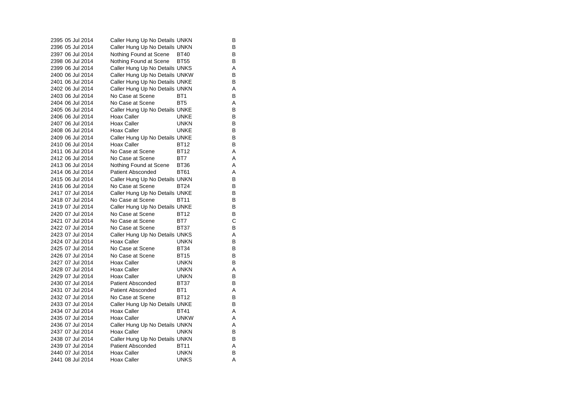| 2395 05 Jul 2014 | Caller Hung Up No Details UNKN |                 | В |
|------------------|--------------------------------|-----------------|---|
| 2396 05 Jul 2014 | Caller Hung Up No Details UNKN |                 | В |
| 2397 06 Jul 2014 | Nothing Found at Scene         | <b>BT40</b>     | в |
| 2398 06 Jul 2014 | Nothing Found at Scene         | <b>BT55</b>     | В |
| 2399 06 Jul 2014 | Caller Hung Up No Details UNKS |                 | A |
| 2400 06 Jul 2014 | Caller Hung Up No Details UNKW |                 | B |
| 2401 06 Jul 2014 | Caller Hung Up No Details UNKE |                 | В |
| 2402 06 Jul 2014 | Caller Hung Up No Details UNKN |                 | A |
| 2403 06 Jul 2014 | No Case at Scene               | BT <sub>1</sub> | B |
| 2404 06 Jul 2014 | No Case at Scene               | BT <sub>5</sub> | A |
| 2405 06 Jul 2014 | Caller Hung Up No Details UNKE |                 | B |
| 2406 06 Jul 2014 | Hoax Caller                    | <b>UNKE</b>     | В |
| 2407 06 Jul 2014 | Hoax Caller                    | <b>UNKN</b>     | В |
| 2408 06 Jul 2014 | Hoax Caller                    | <b>UNKE</b>     | B |
| 2409 06 Jul 2014 | Caller Hung Up No Details UNKE |                 | B |
| 2410 06 Jul 2014 | Hoax Caller                    | <b>BT12</b>     | B |
| 2411 06 Jul 2014 | No Case at Scene               | <b>BT12</b>     | Α |
| 2412 06 Jul 2014 | No Case at Scene               | BT7             | A |
| 2413 06 Jul 2014 | Nothing Found at Scene         | <b>BT36</b>     | Α |
| 2414 06 Jul 2014 | <b>Patient Absconded</b>       | <b>BT61</b>     | A |
| 2415 06 Jul 2014 | Caller Hung Up No Details UNKN |                 | B |
| 2416 06 Jul 2014 | No Case at Scene               | <b>BT24</b>     | В |
| 2417 07 Jul 2014 | Caller Hung Up No Details UNKE |                 | B |
| 2418 07 Jul 2014 | No Case at Scene               | <b>BT11</b>     | B |
| 2419 07 Jul 2014 | Caller Hung Up No Details UNKE |                 | В |
| 2420 07 Jul 2014 | No Case at Scene               | <b>BT12</b>     | B |
| 2421 07 Jul 2014 | No Case at Scene               | BT7             | С |
| 2422 07 Jul 2014 | No Case at Scene               | <b>BT37</b>     | В |
| 2423 07 Jul 2014 | Caller Hung Up No Details UNKS |                 | Α |
| 2424 07 Jul 2014 | Hoax Caller                    | UNKN            | В |
| 2425 07 Jul 2014 | No Case at Scene               | <b>BT34</b>     | B |
| 2426 07 Jul 2014 | No Case at Scene               | <b>BT15</b>     | В |
| 2427 07 Jul 2014 | Hoax Caller                    | <b>UNKN</b>     | В |
| 2428 07 Jul 2014 | Hoax Caller                    | <b>UNKN</b>     | Α |
| 2429 07 Jul 2014 | Hoax Caller                    | <b>UNKN</b>     | B |
| 2430 07 Jul 2014 | <b>Patient Absconded</b>       | BT37            | B |
| 2431 07 Jul 2014 | <b>Patient Absconded</b>       | BT1             | Α |
| 2432 07 Jul 2014 | No Case at Scene               | BT12            | В |
| 2433 07 Jul 2014 | Caller Hung Up No Details UNKE |                 | B |
| 2434 07 Jul 2014 | Hoax Caller                    | <b>BT41</b>     | A |
| 2435 07 Jul 2014 | Hoax Caller                    | <b>UNKW</b>     | Α |
| 2436 07 Jul 2014 | Caller Hung Up No Details UNKN |                 | A |
| 2437 07 Jul 2014 | <b>Hoax Caller</b>             | <b>UNKN</b>     | В |
| 2438 07 Jul 2014 | Caller Hung Up No Details UNKN |                 | в |
| 2439 07 Jul 2014 | <b>Patient Absconded</b>       | <b>BT11</b>     | A |
| 2440 07 Jul 2014 | Hoax Caller                    | unkn            | B |
| 2441 08 Jul 2014 | <b>Hoax Caller</b>             | UNKS            | A |
|                  |                                |                 |   |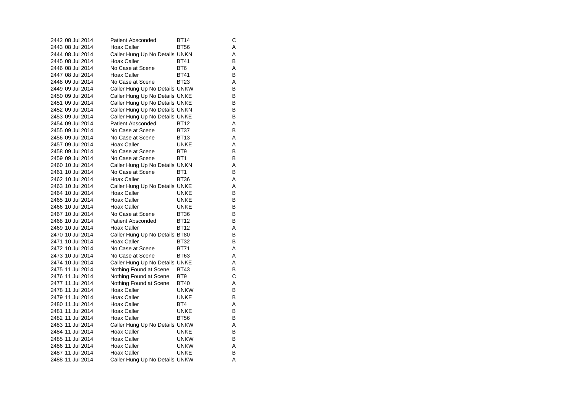| 2442 08 Jul 2014 | <b>Patient Absconded</b>       | BT14            | С |
|------------------|--------------------------------|-----------------|---|
| 2443 08 Jul 2014 | Hoax Caller                    | <b>BT56</b>     | Α |
| 2444 08 Jul 2014 | Caller Hung Up No Details UNKN |                 | A |
| 2445 08 Jul 2014 | Hoax Caller                    | <b>BT41</b>     | B |
| 2446 08 Jul 2014 | No Case at Scene               | BT <sub>6</sub> | A |
| 2447 08 Jul 2014 | <b>Hoax Caller</b>             | <b>BT41</b>     | B |
| 2448 09 Jul 2014 | No Case at Scene               | BT23            | A |
| 2449 09 Jul 2014 | Caller Hung Up No Details UNKW |                 | B |
| 2450 09 Jul 2014 | Caller Hung Up No Details UNKE |                 | B |
| 2451 09 Jul 2014 | Caller Hung Up No Details UNKE |                 | B |
| 2452 09 Jul 2014 | Caller Hung Up No Details UNKN |                 | B |
| 2453 09 Jul 2014 | Caller Hung Up No Details UNKE |                 | B |
| 2454 09 Jul 2014 | <b>Patient Absconded</b>       | <b>BT12</b>     | Α |
| 2455 09 Jul 2014 | No Case at Scene               | <b>BT37</b>     | B |
| 2456 09 Jul 2014 | No Case at Scene               | <b>BT13</b>     | A |
| 2457 09 Jul 2014 | Hoax Caller                    | <b>UNKE</b>     | A |
| 2458 09 Jul 2014 | No Case at Scene               | BT <sub>9</sub> | B |
| 2459 09 Jul 2014 | No Case at Scene               | BT <sub>1</sub> | В |
| 2460 10 Jul 2014 | Caller Hung Up No Details UNKN |                 | Α |
| 2461 10 Jul 2014 | No Case at Scene               | BT <sub>1</sub> | B |
| 2462 10 Jul 2014 | <b>Hoax Caller</b>             | <b>BT36</b>     | Α |
| 2463 10 Jul 2014 | Caller Hung Up No Details UNKE |                 | A |
| 2464 10 Jul 2014 | Hoax Caller                    | <b>UNKE</b>     | B |
| 2465 10 Jul 2014 | Hoax Caller                    | <b>UNKE</b>     | B |
| 2466 10 Jul 2014 | Hoax Caller                    | <b>UNKE</b>     | В |
| 2467 10 Jul 2014 | No Case at Scene               | <b>BT36</b>     | B |
| 2468 10 Jul 2014 | <b>Patient Absconded</b>       | <b>BT12</b>     | B |
| 2469 10 Jul 2014 | Hoax Caller                    | BT12            | Α |
| 2470 10 Jul 2014 | Caller Hung Up No Details BT80 |                 | B |
| 2471 10 Jul 2014 | <b>Hoax Caller</b>             | <b>BT32</b>     | B |
| 2472 10 Jul 2014 | No Case at Scene               | <b>BT71</b>     | Α |
| 2473 10 Jul 2014 | No Case at Scene               | <b>BT63</b>     | A |
| 2474 10 Jul 2014 | Caller Hung Up No Details UNKE |                 | Α |
| 2475 11 Jul 2014 | Nothing Found at Scene         | <b>BT43</b>     | B |
| 2476 11 Jul 2014 | Nothing Found at Scene         | BT <sub>9</sub> | C |
| 2477 11 Jul 2014 | Nothing Found at Scene         | <b>BT40</b>     | Α |
| 2478 11 Jul 2014 | Hoax Caller                    | <b>UNKW</b>     | B |
| 2479 11 Jul 2014 | Hoax Caller                    | <b>UNKE</b>     | B |
| 2480 11 Jul 2014 | Hoax Caller                    | BT4             | Α |
| 2481 11 Jul 2014 | Hoax Caller                    | <b>UNKE</b>     | В |
| 2482 11 Jul 2014 | Hoax Caller                    | <b>BT56</b>     | В |
| 2483 11 Jul 2014 | Caller Hung Up No Details UNKW |                 | A |
| 2484 11 Jul 2014 | <b>Hoax Caller</b>             | <b>UNKE</b>     | В |
| 2485 11 Jul 2014 | Hoax Caller                    | <b>UNKW</b>     | B |
| 2486 11 Jul 2014 | Hoax Caller                    | <b>UNKW</b>     | Α |
| 2487 11 Jul 2014 | Hoax Caller                    | <b>UNKE</b>     | B |
| 2488 11 Jul 2014 | Caller Hung Up No Details UNKW |                 | A |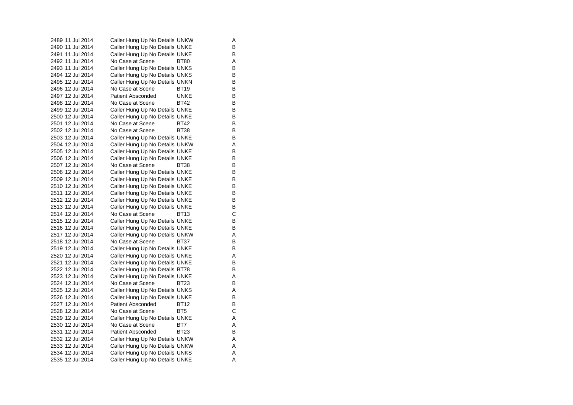2489 11 Jul 2014 Caller Hung Up No Details UNKW A 2490 11 Jul 2014 Caller Hung Up No Details UNKE 2491 11 Jul 2014 Caller Hung Up No Details UNKE 2492 11 Jul 2014 No Case at Scene BT80 A<br>B 2493 11 Jul 2014 Caller Hung Up No Details UNKS 2494 12 Jul 2014 Caller Hung Up No Details UNKS B 2495 12 Jul 2014 Caller Hung Up No Details UNKN B 2496 12 Jul 2014 No Case at Scene BT19 B  $\mathsf{B}$ 2497 12 Jul 2014 Patient Absconded UNKE 2498 12 Jul 2014 No Case at Scene BT42 B 2499 12 Jul 2014 Caller Hung Up No Details UNKE 2500 12 Jul 2014 Caller Hung Up No Details UNKE<br>2501 12 Jul 2014 No Case at Scene BT42 B No Case at Scene 2502 12 Jul 2014 No Case at Scene BT38 B 2503 12 Jul 2014 Caller Hung Up No Details UNKE B 2504 12 Jul 2014 Caller Hung Up No Details UNKW A 2505 12 Jul 2014 Caller Hung Up No Details UNKE<br>2506 12 Jul 2014 Caller Hung Up No Details UNKE 2506 12 Jul 2014 Caller Hung Up No Details UNKE 2507 12 Jul 2014 No Case at Scene BT38 B 2508 12 Jul 2014 Caller Hung Up No Details UNKE 2509 12 Jul 2014 Caller Hung Up No Details UNKE B 2510 12 Jul 2014 Caller Hung Up No Details UNKE<br>2511 12 Jul 2014 Caller Hung Up No Details UNKE 2511 12 Jul 2014 Caller Hung Up No Details UNKE 2512 12 Jul 2014 Caller Hung Up No Details UNKE 2513 12 Jul 2014 Caller Hung Up No Details UNKE 2514 12 Jul 2014 No Case at Scene BT13 C 2515 12 Jul 2014 Caller Hung Up No Details UNKE<br>2516 12 Jul 2014 Caller Hung Up No Details UNKE 2516 12 Jul 2014 Caller Hung Up No Details UNKE 2517 12 Jul 2014 Caller Hung Up No Details UNKW A 2518 12 Jul 2014 No Case at Scene BT37 B 2519 12 Jul 2014 Caller Hung Up No Details UNKE B 2520 12 Jul 2014 Caller Hung Up No Details UNKE 2521 12 Jul 2014 Caller Hung Up No Details UNKE B 2522 12 Jul 2014 Caller Hung Up No Details BT78 B 2523 12 Jul 2014 Caller Hung Up No Details UNKE<br>2524 12 Jul 2014 No Case at Scene BT23 B No Case at Scene BT23 2525 12 Jul 2014 Caller Hung Up No Details UNKS A 2526 12 Jul 2014 Caller Hung Up No Details UNKE B 2527 12 Jul 2014 Patient Absconded BT12 B 2528 12 Jul 2014 No Case at Scene BT5 C 2529 12 Jul 2014 Caller Hung Up No Details UNKE 2530 12 Jul 2014 No Case at Scene BT7 A 2531 12 Jul 2014 Patient Absconded BT23 B 2532 12 Jul 2014 Caller Hung Up No Details UNKW A 2533 12 Jul 2014 Caller Hung Up No Details UNKW A 2534 12 Jul 2014 Caller Hung Up No Details UNKS A 2535 12 Jul 2014 Caller Hung Up No Details UNKE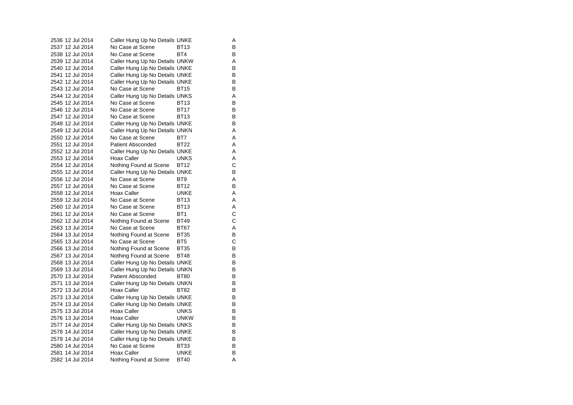| 2536 12 Jul 2014 | Caller Hung Up No Details UNKE |                 | Α |
|------------------|--------------------------------|-----------------|---|
| 2537 12 Jul 2014 | No Case at Scene               | <b>BT13</b>     | В |
| 2538 12 Jul 2014 | No Case at Scene               | BT4             | в |
| 2539 12 Jul 2014 | Caller Hung Up No Details UNKW |                 | A |
| 2540 12 Jul 2014 | Caller Hung Up No Details UNKE |                 | В |
| 2541 12 Jul 2014 | Caller Hung Up No Details UNKE |                 | B |
| 2542 12 Jul 2014 | Caller Hung Up No Details UNKE |                 | В |
| 2543 12 Jul 2014 | No Case at Scene               | <b>BT15</b>     | В |
| 2544 12 Jul 2014 | Caller Hung Up No Details UNKS |                 | A |
| 2545 12 Jul 2014 | No Case at Scene               | BT13            | в |
| 2546 12 Jul 2014 | No Case at Scene               | <b>BT17</b>     | B |
| 2547 12 Jul 2014 | No Case at Scene               | <b>BT13</b>     | В |
| 2548 12 Jul 2014 | Caller Hung Up No Details UNKE |                 | B |
| 2549 12 Jul 2014 | Caller Hung Up No Details UNKN |                 | Α |
| 2550 12 Jul 2014 | No Case at Scene               | BT7             | A |
| 2551 12 Jul 2014 | <b>Patient Absconded</b>       | <b>BT22</b>     | Α |
| 2552 12 Jul 2014 | Caller Hung Up No Details UNKE |                 | Α |
| 2553 12 Jul 2014 | Hoax Caller                    | <b>UNKS</b>     | Α |
| 2554 12 Jul 2014 | Nothing Found at Scene         | <b>BT12</b>     | C |
| 2555 12 Jul 2014 | Caller Hung Up No Details UNKE |                 | В |
| 2556 12 Jul 2014 | No Case at Scene               | BT <sub>9</sub> | A |
| 2557 12 Jul 2014 | No Case at Scene               | BT12            | В |
| 2558 12 Jul 2014 | <b>Hoax Caller</b>             | UNKE            | Α |
| 2559 12 Jul 2014 | No Case at Scene               | <b>BT13</b>     | A |
| 2560 12 Jul 2014 | No Case at Scene               | <b>BT13</b>     | Α |
| 2561 12 Jul 2014 | No Case at Scene               | BT <sub>1</sub> | C |
| 2562 12 Jul 2014 | Nothing Found at Scene         | <b>BT49</b>     | C |
| 2563 13 Jul 2014 | No Case at Scene               | BT67            | Α |
| 2564 13 Jul 2014 | Nothing Found at Scene         | <b>BT35</b>     | В |
| 2565 13 Jul 2014 | No Case at Scene               | BT <sub>5</sub> | C |
| 2566 13 Jul 2014 | Nothing Found at Scene         | <b>BT35</b>     | в |
| 2567 13 Jul 2014 | Nothing Found at Scene         | BT48            | В |
| 2568 13 Jul 2014 | Caller Hung Up No Details UNKE |                 | В |
| 2569 13 Jul 2014 | Caller Hung Up No Details UNKN |                 | в |
| 2570 13 Jul 2014 | <b>Patient Absconded</b>       | <b>BT80</b>     | B |
| 2571 13 Jul 2014 | Caller Hung Up No Details UNKN |                 | в |
| 2572 13 Jul 2014 | Hoax Caller                    | BT82            | в |
| 2573 13 Jul 2014 | Caller Hung Up No Details UNKE |                 | В |
| 2574 13 Jul 2014 | Caller Hung Up No Details UNKE |                 | B |
| 2575 13 Jul 2014 | Hoax Caller                    | <b>UNKS</b>     | B |
| 2576 13 Jul 2014 | Hoax Caller                    | <b>UNKW</b>     | В |
| 2577 14 Jul 2014 | Caller Hung Up No Details UNKS |                 | B |
| 2578 14 Jul 2014 | Caller Hung Up No Details UNKE |                 | в |
| 2579 14 Jul 2014 | Caller Hung Up No Details UNKE |                 | в |
| 2580 14 Jul 2014 | No Case at Scene               | BT33            | в |
| 2581 14 Jul 2014 | Hoax Caller                    | UNKE            | В |
| 2582 14 Jul 2014 | Nothing Found at Scene         | <b>BT40</b>     | A |
|                  |                                |                 |   |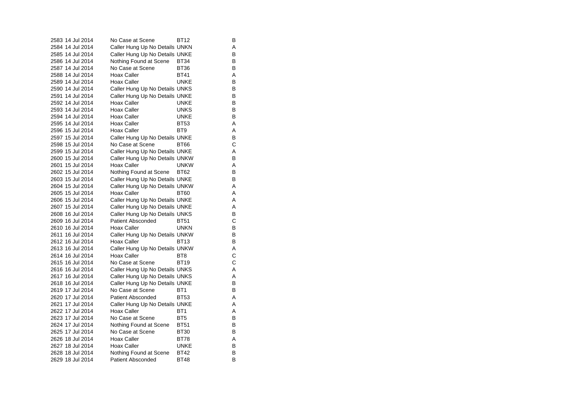| 2583 14 Jul 2014 | No Case at Scene               | BT12            | В |
|------------------|--------------------------------|-----------------|---|
| 2584 14 Jul 2014 | Caller Hung Up No Details UNKN |                 | A |
| 2585 14 Jul 2014 | Caller Hung Up No Details UNKE |                 | В |
| 2586 14 Jul 2014 | Nothing Found at Scene         | <b>BT34</b>     | в |
| 2587 14 Jul 2014 | No Case at Scene               | <b>BT36</b>     | B |
| 2588 14 Jul 2014 | Hoax Caller                    | <b>BT41</b>     | A |
| 2589 14 Jul 2014 | Hoax Caller                    | UNKE            | в |
| 2590 14 Jul 2014 | Caller Hung Up No Details UNKS |                 | B |
| 2591 14 Jul 2014 | Caller Hung Up No Details UNKE |                 | В |
| 2592 14 Jul 2014 | <b>Hoax Caller</b>             | UNKE            | В |
| 2593 14 Jul 2014 | <b>Hoax Caller</b>             | <b>UNKS</b>     | B |
| 2594 14 Jul 2014 | <b>Hoax Caller</b>             | <b>UNKE</b>     | В |
| 2595 14 Jul 2014 | Hoax Caller                    | <b>BT53</b>     | Α |
| 2596 15 Jul 2014 | Hoax Caller                    | BT <sub>9</sub> | A |
| 2597 15 Jul 2014 | Caller Hung Up No Details UNKE |                 | B |
| 2598 15 Jul 2014 | No Case at Scene               | <b>BT66</b>     | С |
| 2599 15 Jul 2014 | Caller Hung Up No Details UNKE |                 | A |
| 2600 15 Jul 2014 | Caller Hung Up No Details UNKW |                 | B |
| 2601 15 Jul 2014 | <b>Hoax Caller</b>             | <b>UNKW</b>     | A |
| 2602 15 Jul 2014 | Nothing Found at Scene         | <b>BT62</b>     | B |
| 2603 15 Jul 2014 | Caller Hung Up No Details UNKE |                 | В |
| 2604 15 Jul 2014 | Caller Hung Up No Details UNKW |                 | A |
| 2605 15 Jul 2014 | Hoax Caller                    | <b>BT60</b>     | A |
| 2606 15 Jul 2014 | Caller Hung Up No Details UNKE |                 | A |
| 2607 15 Jul 2014 | Caller Hung Up No Details UNKE |                 | A |
| 2608 16 Jul 2014 | Caller Hung Up No Details UNKS |                 | B |
| 2609 16 Jul 2014 | <b>Patient Absconded</b>       | <b>BT51</b>     | С |
| 2610 16 Jul 2014 | Hoax Caller                    | <b>UNKN</b>     | B |
| 2611 16 Jul 2014 | Caller Hung Up No Details UNKW |                 | В |
| 2612 16 Jul 2014 | Hoax Caller                    | <b>BT13</b>     | В |
| 2613 16 Jul 2014 | Caller Hung Up No Details UNKW |                 | Α |
| 2614 16 Jul 2014 | <b>Hoax Caller</b>             | BT <sub>8</sub> | C |
| 2615 16 Jul 2014 | No Case at Scene               | <b>BT19</b>     | C |
| 2616 16 Jul 2014 | Caller Hung Up No Details UNKS |                 | Α |
| 2617 16 Jul 2014 | Caller Hung Up No Details UNKS |                 | A |
| 2618 16 Jul 2014 | Caller Hung Up No Details UNKE |                 | B |
| 2619 17 Jul 2014 | No Case at Scene               | BT <sub>1</sub> | В |
| 2620 17 Jul 2014 | Patient Absconded              | <b>BT53</b>     | Α |
| 2621 17 Jul 2014 | Caller Hung Up No Details UNKE |                 | Α |
| 2622 17 Jul 2014 | Hoax Caller                    | BT <sub>1</sub> | A |
| 2623 17 Jul 2014 | No Case at Scene               | BT <sub>5</sub> | B |
| 2624 17 Jul 2014 | Nothing Found at Scene         | <b>BT51</b>     | в |
| 2625 17 Jul 2014 | No Case at Scene               | <b>BT30</b>     | B |
| 2626 18 Jul 2014 | Hoax Caller                    | <b>BT78</b>     | Α |
| 2627 18 Jul 2014 | Hoax Caller                    | <b>UNKE</b>     | В |
| 2628 18 Jul 2014 | Nothing Found at Scene         | <b>BT42</b>     | B |
| 2629 18 Jul 2014 | <b>Patient Absconded</b>       | <b>BT48</b>     | в |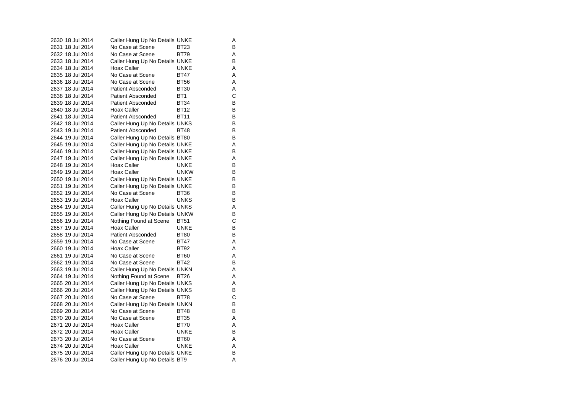| 2630 18 Jul 2014 | Caller Hung Up No Details UNKE |                 | Α |
|------------------|--------------------------------|-----------------|---|
| 2631 18 Jul 2014 | No Case at Scene               | BT23            | В |
| 2632 18 Jul 2014 | No Case at Scene               | <b>BT79</b>     | A |
| 2633 18 Jul 2014 | Caller Hung Up No Details UNKE |                 | B |
| 2634 18 Jul 2014 | Hoax Caller                    | UNKE            | A |
| 2635 18 Jul 2014 | No Case at Scene               | <b>BT47</b>     | A |
| 2636 18 Jul 2014 | No Case at Scene               | <b>BT56</b>     | Α |
| 2637 18 Jul 2014 | <b>Patient Absconded</b>       | <b>BT30</b>     | A |
| 2638 18 Jul 2014 | <b>Patient Absconded</b>       | BT <sub>1</sub> | C |
| 2639 18 Jul 2014 | <b>Patient Absconded</b>       | <b>BT34</b>     | В |
| 2640 18 Jul 2014 | Hoax Caller                    | <b>BT12</b>     | B |
| 2641 18 Jul 2014 | <b>Patient Absconded</b>       | BT11            | В |
| 2642 18 Jul 2014 | Caller Hung Up No Details UNKS |                 | B |
| 2643 19 Jul 2014 | <b>Patient Absconded</b>       | <b>BT48</b>     | В |
| 2644 19 Jul 2014 | Caller Hung Up No Details BT80 |                 | В |
| 2645 19 Jul 2014 | Caller Hung Up No Details UNKE |                 | A |
| 2646 19 Jul 2014 | Caller Hung Up No Details UNKE |                 | В |
| 2647 19 Jul 2014 | Caller Hung Up No Details UNKE |                 | Α |
| 2648 19 Jul 2014 | Hoax Caller                    | UNKE            | B |
| 2649 19 Jul 2014 | Hoax Caller                    | <b>UNKW</b>     | в |
| 2650 19 Jul 2014 | Caller Hung Up No Details UNKE |                 | B |
| 2651 19 Jul 2014 | Caller Hung Up No Details UNKE |                 | В |
| 2652 19 Jul 2014 | No Case at Scene               | <b>BT36</b>     | В |
| 2653 19 Jul 2014 | Hoax Caller                    | <b>UNKS</b>     | В |
| 2654 19 Jul 2014 | Caller Hung Up No Details UNKS |                 | Α |
| 2655 19 Jul 2014 | Caller Hung Up No Details UNKW |                 | B |
| 2656 19 Jul 2014 | Nothing Found at Scene         | <b>BT51</b>     | C |
| 2657 19 Jul 2014 | Hoax Caller                    | UNKE            | В |
| 2658 19 Jul 2014 | <b>Patient Absconded</b>       | <b>BT80</b>     | В |
| 2659 19 Jul 2014 | No Case at Scene               | <b>BT47</b>     | A |
| 2660 19 Jul 2014 | Hoax Caller                    | <b>BT92</b>     | Α |
| 2661 19 Jul 2014 | No Case at Scene               | <b>BT60</b>     | Α |
| 2662 19 Jul 2014 | No Case at Scene               | <b>BT42</b>     | B |
| 2663 19 Jul 2014 | Caller Hung Up No Details UNKN |                 | A |
| 2664 19 Jul 2014 | Nothing Found at Scene         | BT26            | A |
| 2665 20 Jul 2014 | Caller Hung Up No Details UNKS |                 | Α |
| 2666 20 Jul 2014 | Caller Hung Up No Details UNKS |                 | В |
| 2667 20 Jul 2014 | No Case at Scene               | BT78            | C |
| 2668 20 Jul 2014 | Caller Hung Up No Details UNKN |                 | В |
| 2669 20 Jul 2014 | No Case at Scene               | <b>BT48</b>     | В |
| 2670 20 Jul 2014 | No Case at Scene               | <b>BT35</b>     | Α |
| 2671 20 Jul 2014 | Hoax Caller                    | BT70            | Α |
| 2672 20 Jul 2014 | Hoax Caller                    | <b>UNKE</b>     | B |
| 2673 20 Jul 2014 | No Case at Scene               | <b>BT60</b>     | Α |
| 2674 20 Jul 2014 | Hoax Caller                    | UNKE            | A |
| 2675 20 Jul 2014 | Caller Hung Up No Details UNKE |                 | B |
| 2676 20 Jul 2014 | Caller Hung Up No Details BT9  |                 | A |
|                  |                                |                 |   |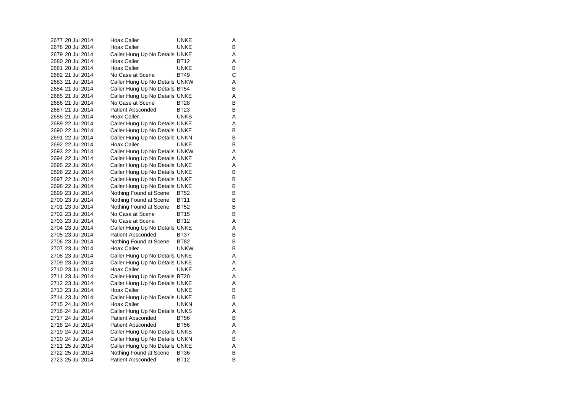| 2677 20 Jul 2014 |  | Hoax Caller                    | UNKE        | Α |
|------------------|--|--------------------------------|-------------|---|
| 2678 20 Jul 2014 |  | <b>Hoax Caller</b>             | <b>UNKE</b> | B |
| 2679 20 Jul 2014 |  | Caller Hung Up No Details UNKE |             | Α |
| 2680 20 Jul 2014 |  | Hoax Caller                    | BT12        | Α |
| 2681 20 Jul 2014 |  | Hoax Caller                    | <b>UNKE</b> | B |
| 2682 21 Jul 2014 |  | No Case at Scene               | <b>BT49</b> | С |
| 2683 21 Jul 2014 |  | Caller Hung Up No Details UNKW |             | Α |
| 2684 21 Jul 2014 |  | Caller Hung Up No Details BT54 |             | B |
| 2685 21 Jul 2014 |  | Caller Hung Up No Details UNKE |             | Α |
| 2686 21 Jul 2014 |  | No Case at Scene               | <b>BT28</b> | B |
| 2687 21 Jul 2014 |  | <b>Patient Absconded</b>       | <b>BT23</b> | В |
| 2688 21 Jul 2014 |  | <b>Hoax Caller</b>             | <b>UNKS</b> | A |
| 2689 22 Jul 2014 |  | Caller Hung Up No Details UNKE |             | Α |
| 2690 22 Jul 2014 |  | Caller Hung Up No Details UNKE |             | В |
| 2691 22 Jul 2014 |  | Caller Hung Up No Details UNKN |             | B |
| 2692 22 Jul 2014 |  | <b>Hoax Caller</b>             | UNKE        | В |
| 2693 22 Jul 2014 |  | Caller Hung Up No Details UNKW |             | A |
| 2694 22 Jul 2014 |  | Caller Hung Up No Details UNKE |             | Α |
| 2695 22 Jul 2014 |  | Caller Hung Up No Details UNKE |             | Α |
| 2696 22 Jul 2014 |  | Caller Hung Up No Details UNKE |             | B |
| 2697 22 Jul 2014 |  | Caller Hung Up No Details UNKE |             | В |
| 2698 22 Jul 2014 |  | Caller Hung Up No Details UNKE |             | B |
| 2699 23 Jul 2014 |  | Nothing Found at Scene         | <b>BT52</b> | B |
| 2700 23 Jul 2014 |  | Nothing Found at Scene         | <b>BT11</b> | В |
| 2701 23 Jul 2014 |  | Nothing Found at Scene         | <b>BT52</b> | B |
| 2702 23 Jul 2014 |  | No Case at Scene               | <b>BT15</b> | В |
| 2703 23 Jul 2014 |  | No Case at Scene               | <b>BT12</b> | A |
| 2704 23 Jul 2014 |  | Caller Hung Up No Details UNKE |             | Α |
| 2705 23 Jul 2014 |  | <b>Patient Absconded</b>       | BT37        | В |
| 2706 23 Jul 2014 |  | Nothing Found at Scene         | <b>BT82</b> | B |
| 2707 23 Jul 2014 |  | Hoax Caller                    | <b>UNKW</b> | В |
| 2708 23 Jul 2014 |  | Caller Hung Up No Details UNKE |             | A |
| 2709 23 Jul 2014 |  | Caller Hung Up No Details UNKE |             | Α |
| 2710 23 Jul 2014 |  | <b>Hoax Caller</b>             | UNKE        | Α |
| 2711 23 Jul 2014 |  | Caller Hung Up No Details BT20 |             | A |
| 2712 23 Jul 2014 |  | Caller Hung Up No Details UNKE |             | Α |
| 2713 23 Jul 2014 |  | <b>Hoax Caller</b>             | <b>UNKE</b> | B |
| 2714 23 Jul 2014 |  | Caller Hung Up No Details UNKE |             | B |
| 2715 24 Jul 2014 |  | Hoax Caller                    | unkn        | Α |
| 2716 24 Jul 2014 |  | Caller Hung Up No Details UNKS |             | A |
| 2717 24 Jul 2014 |  | <b>Patient Absconded</b>       | <b>BT56</b> | В |
| 2718 24 Jul 2014 |  | <b>Patient Absconded</b>       | <b>BT56</b> | A |
| 2719 24 Jul 2014 |  | Caller Hung Up No Details UNKS |             | Α |
| 2720 24 Jul 2014 |  | Caller Hung Up No Details UNKN |             | В |
| 2721 25 Jul 2014 |  | Caller Hung Up No Details UNKE |             | Α |
| 2722 25 Jul 2014 |  | Nothing Found at Scene         | BT36        | В |
| 2723 25 Jul 2014 |  | <b>Patient Absconded</b>       | <b>BT12</b> | B |

 $A$ 

 $\overline{A}$ <br> $\overline{A}$ <br> $\overline{B}$ 

 $\mathsf{B}_{\mathsf{A}}$ 

 $\mathsf{A}$ <br> $\mathsf{B}$ 

A<br>A<br>B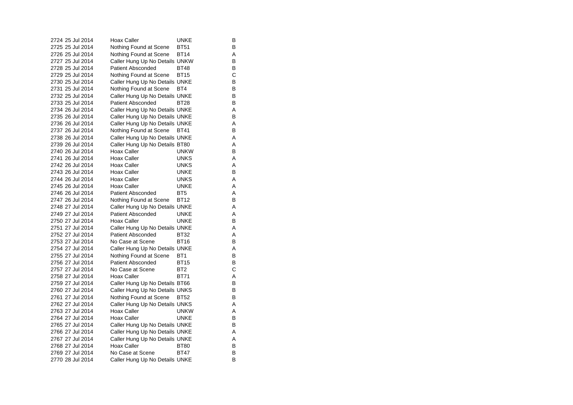| 2724 25 Jul 2014 | <b>Hoax Caller</b>             | <b>UNKE</b>     | В |
|------------------|--------------------------------|-----------------|---|
| 2725 25 Jul 2014 | Nothing Found at Scene         | <b>BT51</b>     | в |
| 2726 25 Jul 2014 | Nothing Found at Scene         | BT14            | Α |
| 2727 25 Jul 2014 | Caller Hung Up No Details UNKW |                 | В |
| 2728 25 Jul 2014 | Patient Absconded              | <b>BT48</b>     | В |
| 2729 25 Jul 2014 | Nothing Found at Scene         | <b>BT15</b>     | С |
| 2730 25 Jul 2014 | Caller Hung Up No Details UNKE |                 | В |
| 2731 25 Jul 2014 | Nothing Found at Scene         | BT4             | В |
| 2732 25 Jul 2014 | Caller Hung Up No Details UNKE |                 | B |
| 2733 25 Jul 2014 | <b>Patient Absconded</b>       | <b>BT28</b>     | в |
| 2734 26 Jul 2014 | Caller Hung Up No Details UNKE |                 | Α |
| 2735 26 Jul 2014 | Caller Hung Up No Details UNKE |                 | B |
| 2736 26 Jul 2014 | Caller Hung Up No Details UNKE |                 | Α |
| 2737 26 Jul 2014 | Nothing Found at Scene         | BT41            | в |
| 2738 26 Jul 2014 | Caller Hung Up No Details UNKE |                 | Α |
| 2739 26 Jul 2014 | Caller Hung Up No Details BT80 |                 | A |
| 2740 26 Jul 2014 | Hoax Caller                    | <b>UNKW</b>     | B |
| 2741 26 Jul 2014 | <b>Hoax Caller</b>             | <b>UNKS</b>     | Α |
| 2742 26 Jul 2014 | <b>Hoax Caller</b>             | UNKS            | Α |
| 2743 26 Jul 2014 | Hoax Caller                    | <b>UNKE</b>     | В |
| 2744 26 Jul 2014 | Hoax Caller                    | <b>UNKS</b>     | Α |
| 2745 26 Jul 2014 | <b>Hoax Caller</b>             | <b>UNKE</b>     | Α |
| 2746 26 Jul 2014 | <b>Patient Absconded</b>       | BT <sub>5</sub> | A |
| 2747 26 Jul 2014 | Nothing Found at Scene         | <b>BT12</b>     | B |
| 2748 27 Jul 2014 | Caller Hung Up No Details UNKE |                 | Α |
| 2749 27 Jul 2014 | <b>Patient Absconded</b>       | UNKE            | Α |
| 2750 27 Jul 2014 | Hoax Caller                    | <b>UNKE</b>     | B |
| 2751 27 Jul 2014 | Caller Hung Up No Details UNKE |                 | A |
| 2752 27 Jul 2014 | <b>Patient Absconded</b>       | <b>BT32</b>     | Α |
| 2753 27 Jul 2014 | No Case at Scene               | <b>BT16</b>     | в |
| 2754 27 Jul 2014 | Caller Hung Up No Details UNKE |                 | A |
| 2755 27 Jul 2014 | Nothing Found at Scene         | BT <sub>1</sub> | В |
| 2756 27 Jul 2014 | <b>Patient Absconded</b>       | <b>BT15</b>     | В |
| 2757 27 Jul 2014 | No Case at Scene               | BT <sub>2</sub> | C |
| 2758 27 Jul 2014 | Hoax Caller                    | <b>BT71</b>     | A |
| 2759 27 Jul 2014 | Caller Hung Up No Details BT66 |                 | B |
| 2760 27 Jul 2014 | Caller Hung Up No Details UNKS |                 | в |
| 2761 27 Jul 2014 | Nothing Found at Scene         | BT52            | В |
| 2762 27 Jul 2014 | Caller Hung Up No Details UNKS |                 | Α |
| 2763 27 Jul 2014 | Hoax Caller                    | <b>UNKW</b>     | Α |
| 2764 27 Jul 2014 | Hoax Caller                    | <b>UNKE</b>     | в |
| 2765 27 Jul 2014 | Caller Hung Up No Details UNKE |                 | В |
| 2766 27 Jul 2014 | Caller Hung Up No Details UNKE |                 | A |
| 2767 27 Jul 2014 | Caller Hung Up No Details UNKE |                 | Α |
| 2768 27 Jul 2014 | Hoax Caller                    | <b>BT80</b>     | В |
| 2769 27 Jul 2014 | No Case at Scene               | <b>BT47</b>     | B |
| 2770 28 Jul 2014 | Caller Hung Up No Details UNKE |                 | B |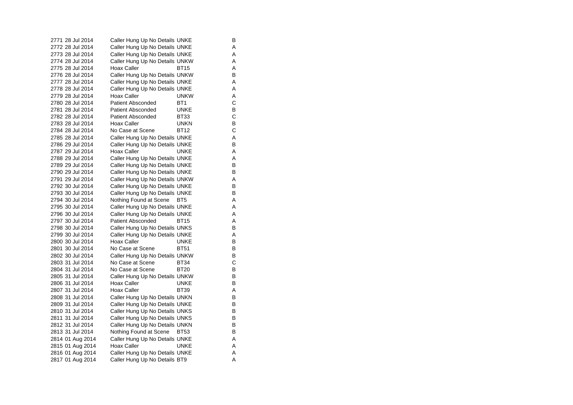|  | 2771 28 Jul 2014 | Caller Hung Up No Details UNKE |                  | В |
|--|------------------|--------------------------------|------------------|---|
|  | 2772 28 Jul 2014 | Caller Hung Up No Details UNKE |                  | Α |
|  | 2773 28 Jul 2014 | Caller Hung Up No Details UNKE |                  | A |
|  | 2774 28 Jul 2014 | Caller Hung Up No Details UNKW |                  | Α |
|  | 2775 28 Jul 2014 | Hoax Caller                    | <b>BT15</b>      | Α |
|  | 2776 28 Jul 2014 | Caller Hung Up No Details UNKW |                  | B |
|  | 2777 28 Jul 2014 | Caller Hung Up No Details UNKE |                  | Α |
|  | 2778 28 Jul 2014 | Caller Hung Up No Details UNKE |                  | Α |
|  | 2779 28 Jul 2014 | Hoax Caller                    | <b>UNKW</b>      | A |
|  | 2780 28 Jul 2014 | Patient Absconded              | BT <sub>1</sub>  | C |
|  | 2781 28 Jul 2014 | Patient Absconded              | <b>UNKE</b>      | В |
|  | 2782 28 Jul 2014 | <b>Patient Absconded</b>       | <b>BT33</b>      | C |
|  | 2783 28 Jul 2014 | Hoax Caller                    | <b>UNKN</b>      | В |
|  | 2784 28 Jul 2014 | No Case at Scene               | BT12             | C |
|  | 2785 28 Jul 2014 | Caller Hung Up No Details UNKE |                  | Α |
|  | 2786 29 Jul 2014 | Caller Hung Up No Details UNKE |                  | B |
|  | 2787 29 Jul 2014 | Hoax Caller                    | <b>UNKE</b>      | Α |
|  | 2788 29 Jul 2014 | Caller Hung Up No Details UNKE |                  | A |
|  | 2789 29 Jul 2014 | Caller Hung Up No Details UNKE |                  | B |
|  | 2790 29 Jul 2014 | Caller Hung Up No Details UNKE |                  | в |
|  | 2791 29 Jul 2014 | Caller Hung Up No Details UNKW |                  | A |
|  | 2792 30 Jul 2014 | Caller Hung Up No Details UNKE |                  | В |
|  | 2793 30 Jul 2014 | Caller Hung Up No Details UNKE |                  | в |
|  | 2794 30 Jul 2014 | Nothing Found at Scene         | BT5              | Α |
|  | 2795 30 Jul 2014 | Caller Hung Up No Details UNKE |                  | Α |
|  | 2796 30 Jul 2014 | Caller Hung Up No Details UNKE |                  | Α |
|  | 2797 30 Jul 2014 | Patient Absconded              | BT <sub>15</sub> | Α |
|  | 2798 30 Jul 2014 | Caller Hung Up No Details UNKS |                  | В |
|  | 2799 30 Jul 2014 | Caller Hung Up No Details UNKE |                  | Α |
|  | 2800 30 Jul 2014 | Hoax Caller                    | UNKE             | В |
|  | 2801 30 Jul 2014 | No Case at Scene               | <b>BT51</b>      | B |
|  | 2802 30 Jul 2014 | Caller Hung Up No Details UNKW |                  | в |
|  | 2803 31 Jul 2014 | No Case at Scene               | <b>BT34</b>      | C |
|  | 2804 31 Jul 2014 | No Case at Scene               | <b>BT20</b>      | В |
|  | 2805 31 Jul 2014 | Caller Hung Up No Details UNKW |                  | В |
|  | 2806 31 Jul 2014 | Hoax Caller                    | <b>UNKE</b>      | В |
|  | 2807 31 Jul 2014 | Hoax Caller                    | <b>BT39</b>      | A |
|  | 2808 31 Jul 2014 | Caller Hung Up No Details UNKN |                  | В |
|  | 2809 31 Jul 2014 | Caller Hung Up No Details UNKE |                  | в |
|  | 2810 31 Jul 2014 | Caller Hung Up No Details UNKS |                  | B |
|  | 2811 31 Jul 2014 | Caller Hung Up No Details UNKS |                  | В |
|  | 2812 31 Jul 2014 | Caller Hung Up No Details UNKN |                  | в |
|  | 2813 31 Jul 2014 | Nothing Found at Scene         | <b>BT53</b>      | В |
|  | 2814 01 Aug 2014 | Caller Hung Up No Details UNKE |                  | Α |
|  | 2815 01 Aug 2014 | Hoax Caller                    | UNKE             | A |
|  | 2816 01 Aug 2014 | Caller Hung Up No Details UNKE |                  | A |
|  | 2817 01 Aug 2014 | Caller Hung Up No Details BT9  |                  | A |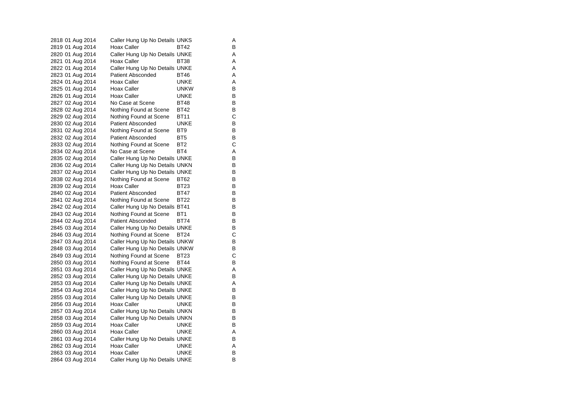| 2818 01 Aug 2014                     | Caller Hung Up No Details UNKS                                   |                 | Α      |
|--------------------------------------|------------------------------------------------------------------|-----------------|--------|
| 2819 01 Aug 2014                     | Hoax Caller                                                      | BT42            | в      |
| 2820 01 Aug 2014                     | Caller Hung Up No Details UNKE                                   |                 | Α      |
| 2821 01 Aug 2014                     | Hoax Caller                                                      | <b>BT38</b>     | A      |
| 2822 01 Aug 2014                     | Caller Hung Up No Details UNKE                                   |                 | A      |
| 2823 01 Aug 2014                     | <b>Patient Absconded</b>                                         | <b>BT46</b>     | Α      |
| 2824 01 Aug 2014                     | Hoax Caller                                                      | UNKE            | Α      |
| 2825 01 Aug 2014                     | Hoax Caller                                                      | <b>UNKW</b>     | в      |
| 2826 01 Aug 2014                     | Hoax Caller                                                      | UNKE            | в      |
| 2827 02 Aug 2014                     | No Case at Scene                                                 | <b>BT48</b>     | В      |
| 2828 02 Aug 2014                     | Nothing Found at Scene                                           | <b>BT42</b>     | В      |
| 2829 02 Aug 2014                     | Nothing Found at Scene                                           | <b>BT11</b>     | C      |
| 2830 02 Aug 2014                     | Patient Absconded                                                | <b>UNKE</b>     | В      |
| 2831 02 Aug 2014                     | Nothing Found at Scene                                           | BT9             | В      |
| 2832 02 Aug 2014                     | Patient Absconded                                                | BT <sub>5</sub> | в      |
| 2833 02 Aug 2014                     | Nothing Found at Scene                                           | BT2             | C      |
| 2834 02 Aug 2014                     | No Case at Scene                                                 | BT4             | A      |
| 2835 02 Aug 2014                     | Caller Hung Up No Details UNKE                                   |                 | В      |
| 2836 02 Aug 2014                     | Caller Hung Up No Details UNKN                                   |                 | В      |
| 2837 02 Aug 2014                     | Caller Hung Up No Details UNKE                                   |                 | В      |
| 2838 02 Aug 2014                     | Nothing Found at Scene                                           | BT62            | В      |
| 2839 02 Aug 2014                     | Hoax Caller                                                      | BT23            | в      |
| 2840 02 Aug 2014                     | <b>Patient Absconded</b>                                         | <b>BT47</b>     | В      |
| 2841 02 Aug 2014                     | Nothing Found at Scene                                           | <b>BT22</b>     | В      |
| 2842 02 Aug 2014                     | Caller Hung Up No Details BT41                                   |                 | В      |
| 2843 02 Aug 2014                     | Nothing Found at Scene                                           | BT1             | В      |
| 2844 02 Aug 2014                     | Patient Absconded                                                | BT74            | в      |
| 2845 03 Aug 2014                     | Caller Hung Up No Details UNKE                                   |                 | в      |
| 2846 03 Aug 2014                     | Nothing Found at Scene                                           | <b>BT24</b>     | C      |
| 2847 03 Aug 2014                     | Caller Hung Up No Details UNKW                                   |                 | В      |
| 2848 03 Aug 2014                     | Caller Hung Up No Details UNKW                                   |                 | В      |
| 2849 03 Aug 2014                     | Nothing Found at Scene                                           | BT23            | С<br>В |
| 2850 03 Aug 2014                     | Nothing Found at Scene                                           | BT44            |        |
| 2851 03 Aug 2014                     | Caller Hung Up No Details UNKE                                   |                 | Α<br>B |
| 2852 03 Aug 2014                     | Caller Hung Up No Details UNKE                                   |                 | Α      |
| 2853 03 Aug 2014                     | Caller Hung Up No Details UNKE<br>Caller Hung Up No Details UNKE |                 | в      |
| 2854 03 Aug 2014<br>2855 03 Aug 2014 | Caller Hung Up No Details UNKE                                   |                 | В      |
| 2856 03 Aug 2014                     | Hoax Caller                                                      | UNKE            | в      |
| 2857 03 Aug 2014                     | Caller Hung Up No Details UNKN                                   |                 | в      |
| 2858 03 Aug 2014                     | Caller Hung Up No Details UNKN                                   |                 | в      |
| 2859 03 Aug 2014                     | <b>Hoax Caller</b>                                               | <b>UNKE</b>     | В      |
| 2860 03 Aug 2014                     | Hoax Caller                                                      | <b>UNKE</b>     | Α      |
| 2861 03 Aug 2014                     | Caller Hung Up No Details UNKE                                   |                 | В      |
| 2862 03 Aug 2014                     | Hoax Caller                                                      | UNKE            | Α      |
| 2863 03 Aug 2014                     | Hoax Caller                                                      | UNKE            | В      |
| 2864 03 Aug 2014                     | Caller Hung Up No Details UNKE                                   |                 | B      |
|                                      |                                                                  |                 |        |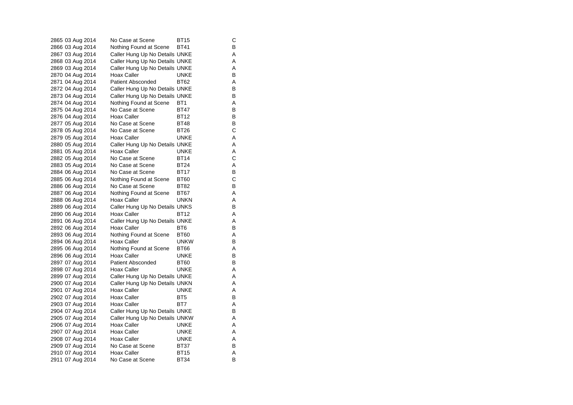| 2865 03 Aug 2014 | No Case at Scene               | BT <sub>15</sub> | С |
|------------------|--------------------------------|------------------|---|
| 2866 03 Aug 2014 | Nothing Found at Scene BT41    |                  | B |
| 2867 03 Aug 2014 | Caller Hung Up No Details UNKE |                  | Α |
| 2868 03 Aug 2014 | Caller Hung Up No Details UNKE |                  | Α |
| 2869 03 Aug 2014 | Caller Hung Up No Details UNKE |                  | Α |
| 2870 04 Aug 2014 | Hoax Caller                    | UNKE             | В |
| 2871 04 Aug 2014 | Patient Absconded              | BT62             | Α |
| 2872 04 Aug 2014 | Caller Hung Up No Details UNKE |                  | В |
| 2873 04 Aug 2014 | Caller Hung Up No Details UNKE |                  | В |
| 2874 04 Aug 2014 | Nothing Found at Scene         | BT <sub>1</sub>  | A |
| 2875 04 Aug 2014 | No Case at Scene               | <b>BT47</b>      | В |
| 2876 04 Aug 2014 | Hoax Caller                    | BT12             | В |
| 2877 05 Aug 2014 | No Case at Scene               | <b>BT48</b>      | В |
| 2878 05 Aug 2014 | No Case at Scene               | <b>BT26</b>      | С |
| 2879 05 Aug 2014 | Hoax Caller                    | <b>UNKE</b>      | Α |
| 2880 05 Aug 2014 | Caller Hung Up No Details UNKE |                  | Α |
| 2881 05 Aug 2014 | Hoax Caller                    | UNKE             | Α |
| 2882 05 Aug 2014 | No Case at Scene               | <b>BT14</b>      | C |
| 2883 05 Aug 2014 | No Case at Scene               | <b>BT24</b>      | Α |
| 2884 06 Aug 2014 | No Case at Scene               | <b>BT17</b>      | В |
| 2885 06 Aug 2014 | Nothing Found at Scene         | <b>BT60</b>      | С |
| 2886 06 Aug 2014 | No Case at Scene               | BT82             | В |
| 2887 06 Aug 2014 | Nothing Found at Scene         | <b>BT67</b>      | A |
| 2888 06 Aug 2014 | Hoax Caller                    | unkn             | Α |
| 2889 06 Aug 2014 | Caller Hung Up No Details UNKS |                  | В |
| 2890 06 Aug 2014 | Hoax Caller                    | BT12             | Α |
| 2891 06 Aug 2014 | Caller Hung Up No Details UNKE |                  | Α |
| 2892 06 Aug 2014 | Hoax Caller                    | BT6              | в |
| 2893 06 Aug 2014 | Nothing Found at Scene         | <b>BT60</b>      | Α |
| 2894 06 Aug 2014 | Hoax Caller                    | <b>UNKW</b>      | В |
| 2895 06 Aug 2014 | Nothing Found at Scene         | <b>BT66</b>      | Α |
| 2896 06 Aug 2014 | Hoax Caller                    | <b>UNKE</b>      | B |
| 2897 07 Aug 2014 | <b>Patient Absconded</b>       | BT60             | В |
| 2898 07 Aug 2014 | Hoax Caller                    | UNKE             | Α |
| 2899 07 Aug 2014 | Caller Hung Up No Details UNKE |                  | Α |
| 2900 07 Aug 2014 | Caller Hung Up No Details UNKN |                  | A |
| 2901 07 Aug 2014 | Hoax Caller                    | UNKE             | Α |
| 2902 07 Aug 2014 | Hoax Caller                    | BT <sub>5</sub>  | В |
| 2903 07 Aug 2014 | Hoax Caller                    | BT7              | Α |
| 2904 07 Aug 2014 | Caller Hung Up No Details UNKE |                  | В |
| 2905 07 Aug 2014 | Caller Hung Up No Details UNKW |                  | Α |
| 2906 07 Aug 2014 | Hoax Caller                    | <b>UNKE</b>      | A |
| 2907 07 Aug 2014 | Hoax Caller                    | UNKE             | Α |
| 2908 07 Aug 2014 | Hoax Caller                    | <b>UNKE</b>      | Α |
| 2909 07 Aug 2014 | No Case at Scene               | <b>BT37</b>      | В |
| 2910 07 Aug 2014 | Hoax Caller                    | <b>BT15</b>      | Α |
| 2911 07 Aug 2014 | No Case at Scene               | <b>BT34</b>      | B |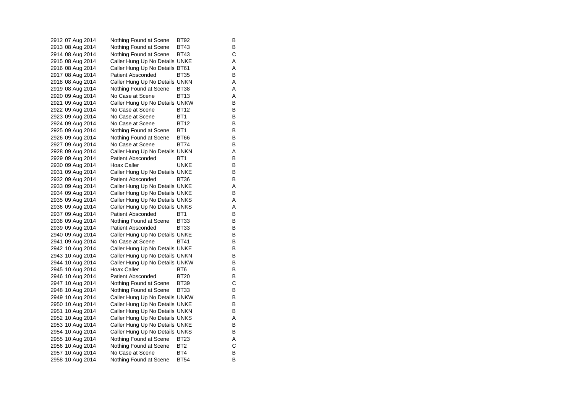2912 07 Aug 2014 Nothing Found at Scene BT92 2913 08 Aug 2014 Nothing Found at Scene BT43 2914 08 Aug 2014 Nothing Found at Scene BT43 C 2915 08 Aug 2014 Caller Hung Up No Details UNKE 2916 08 Aug 2014 Caller Hung Up No Details BT61 A 2917 08 Aug 2014 Patient Absconded BT35 B 2918 08 Aug 2014 Caller Hung Up No Details UNKN A 2919 08 Aug 2014 Nothing Found at Scene BT38 A 2920 09 Aug 2014 No Case at Scene BT13 A<br>2921 09 Aug 2014 Caller Hung Up No Details UNKW B Caller Hung Up No Details UNKW B 2922 09 Aug 2014 No Case at Scene BT12 B 2923 09 Aug 2014 No Case at Scene BT1 B<br>2924 09 Aug 2014 No Case at Scene BT12 B 2924 09 Aug 2014 2925 09 Aug 2014 Nothing Found at Scene BT1 2926 09 Aug 2014 Nothing Found at Scene BT66 B 2927 09 Aug 2014 No Case at Scene BT74 B 2928 09 Aug 2014 Caller Hung Up No Details UNKN A 2929 09 Aug 2014 Patient Absconded BT1 BT1 2930 09 Aug 2014 Hoax Caller **UNKE** B 2931 09 Aug 2014 Caller Hung Up No Details UNKE 2932 09 Aug 2014 Patient Absconded BT36 B 2933 09 Aug 2014 Caller Hung Up No Details UNKE<br>2934 09 Aug 2014 Caller Hung Up No Details UNKE 2934 09 Aug 2014 Caller Hung Up No Details UNKE 2935 09 Aug 2014 Caller Hung Up No Details UNKS A 2936 09 Aug 2014 Caller Hung Up No Details UNKS A 2937 09 Aug 2014 Patient Absconded BT1 BT1 2938 09 Aug 2014 Nothing Found at Scene BT33 B<br>2939 09 Aug 2014 Patient Absconded BT33 B 2939 09 Aug 2014 Patient Absconded BT33 2940 09 Aug 2014 Caller Hung Up No Details UNKE 2941 09 Aug 2014 No Case at Scene BT41 B<br>2942 10 Aug 2014 Caller Hung Up No Details UNKE 2942 10 Aug 2014 Caller Hung Up No Details UNKE 2943 10 Aug 2014 Caller Hung Up No Details UNKN B 2944 10 Aug 2014 Caller Hung Up No Details UNKW B 2945 10 Aug 2014 Hoax Caller BT6 BT6 2946 10 Aug 2014 Patient Absconded BT20 B<br>2947 10 Aug 2014 Nothing Found at Scene BT39 C 2947 10 Aug 2014 Nothing Found at Scene BT39 2948 10 Aug 2014 Nothing Found at Scene BT33 2949 10 Aug 2014 Caller Hung Up No Details UNKW B 2950 10 Aug 2014 Caller Hung Up No Details UNKE 2951 10 Aug 2014 Caller Hung Up No Details UNKN B<br>2952 10 Aug 2014 Caller Hung Up No Details UNKS Caller Hung Up No Details UNKS A 2953 10 Aug 2014 Caller Hung Up No Details UNKE 2954 10 Aug 2014 Caller Hung Up No Details UNKS B 2955 10 Aug 2014 Nothing Found at Scene BT23 A 2956 10 Aug 2014 Nothing Found at Scene BT2 C<br>2957 10 Aug 2014 No Case at Scene BT4 B 2957 10 Aug 2014 No Case at Scene BT4 2958 10 Aug 2014 Nothing Found at Scene BT54 B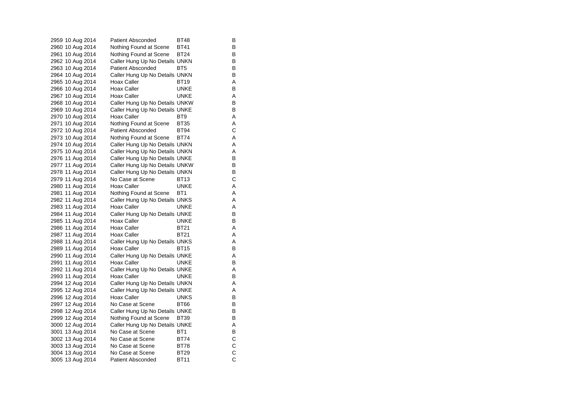| 2959 10 Aug 2014 | Patient Absconded              | BT48            | В |
|------------------|--------------------------------|-----------------|---|
| 2960 10 Aug 2014 | Nothing Found at Scene         | <b>BT41</b>     | B |
| 2961 10 Aug 2014 | Nothing Found at Scene         | BT24            | В |
| 2962 10 Aug 2014 | Caller Hung Up No Details UNKN |                 | в |
| 2963 10 Aug 2014 | <b>Patient Absconded</b>       | BT <sub>5</sub> | B |
| 2964 10 Aug 2014 | Caller Hung Up No Details UNKN |                 | В |
| 2965 10 Aug 2014 | Hoax Caller                    | <b>BT19</b>     | A |
| 2966 10 Aug 2014 | Hoax Caller                    | <b>UNKE</b>     | В |
| 2967 10 Aug 2014 | Hoax Caller                    | UNKE            | Α |
| 2968 10 Aug 2014 | Caller Hung Up No Details UNKW |                 | В |
| 2969 10 Aug 2014 | Caller Hung Up No Details UNKE |                 | В |
| 2970 10 Aug 2014 | Hoax Caller                    | BT <sub>9</sub> | Α |
| 2971 10 Aug 2014 | Nothing Found at Scene         | <b>BT35</b>     | Α |
| 2972 10 Aug 2014 | Patient Absconded              | BT94            | С |
| 2973 10 Aug 2014 | Nothing Found at Scene         | <b>BT74</b>     | Α |
| 2974 10 Aug 2014 | Caller Hung Up No Details UNKN |                 | Α |
| 2975 10 Aug 2014 | Caller Hung Up No Details UNKN |                 | Α |
| 2976 11 Aug 2014 | Caller Hung Up No Details UNKE |                 | В |
| 2977 11 Aug 2014 | Caller Hung Up No Details UNKW |                 | В |
| 2978 11 Aug 2014 | Caller Hung Up No Details UNKN |                 | В |
| 2979 11 Aug 2014 | No Case at Scene               | BT13            | С |
| 2980 11 Aug 2014 | Hoax Caller                    | <b>UNKE</b>     | Α |
| 2981 11 Aug 2014 | Nothing Found at Scene         | BT <sub>1</sub> | Α |
| 2982 11 Aug 2014 | Caller Hung Up No Details UNKS |                 | Α |
| 2983 11 Aug 2014 | Hoax Caller                    | <b>UNKE</b>     | Α |
| 2984 11 Aug 2014 | Caller Hung Up No Details UNKE |                 | В |
| 2985 11 Aug 2014 | Hoax Caller                    | <b>UNKE</b>     | B |
| 2986 11 Aug 2014 | Hoax Caller                    | <b>BT21</b>     | Α |
| 2987 11 Aug 2014 | Hoax Caller                    | <b>BT21</b>     | Α |
| 2988 11 Aug 2014 | Caller Hung Up No Details UNKS |                 | Α |
| 2989 11 Aug 2014 | Hoax Caller                    | BT15            | В |
| 2990 11 Aug 2014 | Caller Hung Up No Details UNKE |                 | Α |
| 2991 11 Aug 2014 | Hoax Caller                    | UNKE            | В |
| 2992 11 Aug 2014 | Caller Hung Up No Details UNKE |                 | Α |
| 2993 11 Aug 2014 | Hoax Caller                    | <b>UNKE</b>     | В |
| 2994 12 Aug 2014 | Caller Hung Up No Details UNKN |                 | Α |
| 2995 12 Aug 2014 | Caller Hung Up No Details UNKE |                 | Α |
| 2996 12 Aug 2014 | <b>Hoax Caller</b>             | <b>UNKS</b>     | В |
| 2997 12 Aug 2014 | No Case at Scene               | BT66            | В |
| 2998 12 Aug 2014 | Caller Hung Up No Details UNKE |                 | В |
| 2999 12 Aug 2014 | Nothing Found at Scene         | BT39            | В |
| 3000 12 Aug 2014 | Caller Hung Up No Details UNKE |                 | Α |
| 3001 13 Aug 2014 | No Case at Scene               | BT <sub>1</sub> | В |
| 3002 13 Aug 2014 | No Case at Scene               | <b>BT74</b>     | С |
| 3003 13 Aug 2014 | No Case at Scene               | <b>BT78</b>     | C |
| 3004 13 Aug 2014 | No Case at Scene               | <b>BT29</b>     | C |
| 3005 13 Aug 2014 | <b>Patient Absconded</b>       | <b>BT11</b>     | Ċ |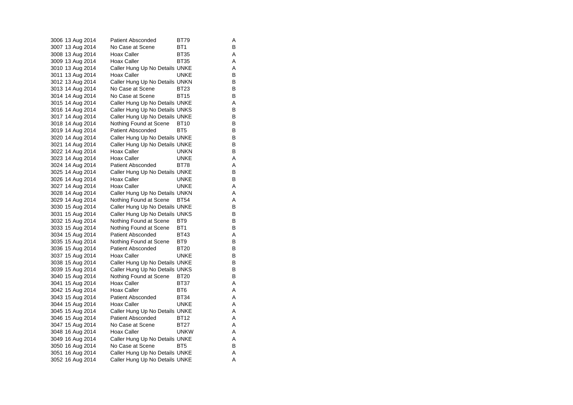| 3006 13 Aug 2014 | Patient Absconded              | BT79            | Α |
|------------------|--------------------------------|-----------------|---|
| 3007 13 Aug 2014 | No Case at Scene               | BT <sub>1</sub> | B |
| 3008 13 Aug 2014 | Hoax Caller                    | <b>BT35</b>     | Α |
| 3009 13 Aug 2014 | Hoax Caller                    | BT35            | Α |
| 3010 13 Aug 2014 | Caller Hung Up No Details UNKE |                 | Α |
| 3011 13 Aug 2014 | Hoax Caller                    | <b>UNKE</b>     | В |
| 3012 13 Aug 2014 | Caller Hung Up No Details UNKN |                 | B |
| 3013 14 Aug 2014 | No Case at Scene               | BT23            | В |
| 3014 14 Aug 2014 | No Case at Scene               | <b>BT15</b>     | B |
| 3015 14 Aug 2014 | Caller Hung Up No Details UNKE |                 | Α |
| 3016 14 Aug 2014 | Caller Hung Up No Details UNKS |                 | В |
| 3017 14 Aug 2014 | Caller Hung Up No Details UNKE |                 | B |
| 3018 14 Aug 2014 | Nothing Found at Scene         | BT10            | В |
| 3019 14 Aug 2014 | Patient Absconded              | BT <sub>5</sub> | В |
| 3020 14 Aug 2014 | Caller Hung Up No Details UNKE |                 | B |
| 3021 14 Aug 2014 | Caller Hung Up No Details UNKE |                 | В |
| 3022 14 Aug 2014 | Hoax Caller                    | UNKN            | В |
| 3023 14 Aug 2014 | Hoax Caller                    | <b>UNKE</b>     | Α |
| 3024 14 Aug 2014 | <b>Patient Absconded</b>       | <b>BT78</b>     | Α |
| 3025 14 Aug 2014 | Caller Hung Up No Details UNKE |                 | В |
| 3026 14 Aug 2014 | Hoax Caller                    | <b>UNKE</b>     | B |
| 3027 14 Aug 2014 | Hoax Caller                    | <b>UNKE</b>     | Α |
| 3028 14 Aug 2014 | Caller Hung Up No Details UNKN |                 | Α |
| 3029 14 Aug 2014 | Nothing Found at Scene         | <b>BT54</b>     | Α |
| 3030 15 Aug 2014 | Caller Hung Up No Details UNKE |                 | B |
| 3031 15 Aug 2014 | Caller Hung Up No Details UNKS |                 | В |
| 3032 15 Aug 2014 | Nothing Found at Scene         | BT <sub>9</sub> | B |
| 3033 15 Aug 2014 | Nothing Found at Scene         | BT1             | В |
| 3034 15 Aug 2014 | <b>Patient Absconded</b>       | <b>BT43</b>     | Α |
| 3035 15 Aug 2014 | Nothing Found at Scene         | BT9             | B |
| 3036 15 Aug 2014 | <b>Patient Absconded</b>       | <b>BT20</b>     | В |
| 3037 15 Aug 2014 | Hoax Caller                    | <b>UNKE</b>     | B |
| 3038 15 Aug 2014 | Caller Hung Up No Details UNKE |                 | в |
| 3039 15 Aug 2014 | Caller Hung Up No Details UNKS |                 | B |
| 3040 15 Aug 2014 | Nothing Found at Scene         | <b>BT20</b>     | B |
| 3041 15 Aug 2014 | Hoax Caller                    | BT37            | Α |
| 3042 15 Aug 2014 | Hoax Caller                    | BT <sub>6</sub> | Α |
| 3043 15 Aug 2014 | Patient Absconded              | BT34            | Α |
| 3044 15 Aug 2014 | Hoax Caller                    | UNKE            | Α |
| 3045 15 Aug 2014 | Caller Hung Up No Details UNKE |                 | Α |
| 3046 15 Aug 2014 | Patient Absconded              | BT12            | Α |
| 3047 15 Aug 2014 | No Case at Scene               | <b>BT27</b>     | Α |
| 3048 16 Aug 2014 | Hoax Caller                    | <b>UNKW</b>     | Α |
| 3049 16 Aug 2014 | Caller Hung Up No Details UNKE |                 | Α |
| 3050 16 Aug 2014 | No Case at Scene               | BT <sub>5</sub> | В |
| 3051 16 Aug 2014 | Caller Hung Up No Details UNKE |                 | Α |
| 3052 16 Aug 2014 | Caller Hung Up No Details UNKE |                 | Α |
|                  |                                |                 |   |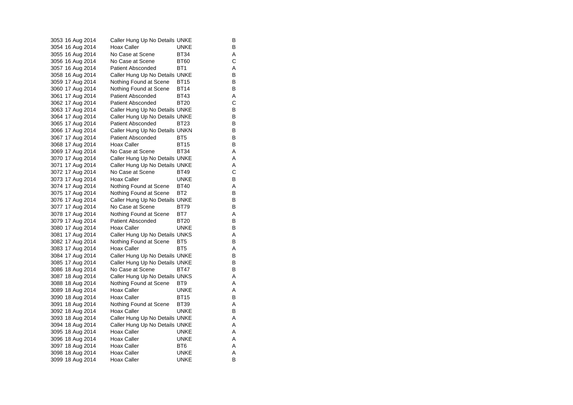| 3053 16 Aug 2014 | Caller Hung Up No Details UNKE |                 | В |
|------------------|--------------------------------|-----------------|---|
| 3054 16 Aug 2014 | Hoax Caller                    | <b>UNKE</b>     | B |
| 3055 16 Aug 2014 | No Case at Scene               | <b>BT34</b>     | Α |
| 3056 16 Aug 2014 | No Case at Scene               | BT60            | С |
| 3057 16 Aug 2014 | <b>Patient Absconded</b>       | BT <sub>1</sub> | A |
| 3058 16 Aug 2014 | Caller Hung Up No Details UNKE |                 | В |
| 3059 17 Aug 2014 | Nothing Found at Scene         | BT15            | В |
| 3060 17 Aug 2014 | Nothing Found at Scene         | <b>BT14</b>     | B |
| 3061 17 Aug 2014 | <b>Patient Absconded</b>       | <b>BT43</b>     | Α |
| 3062 17 Aug 2014 | <b>Patient Absconded</b>       | <b>BT20</b>     | С |
| 3063 17 Aug 2014 | Caller Hung Up No Details UNKE |                 | В |
| 3064 17 Aug 2014 | Caller Hung Up No Details UNKE |                 | В |
| 3065 17 Aug 2014 | Patient Absconded              | BT23            | В |
| 3066 17 Aug 2014 | Caller Hung Up No Details UNKN |                 | В |
| 3067 17 Aug 2014 | <b>Patient Absconded</b>       | BT5             | В |
| 3068 17 Aug 2014 | Hoax Caller                    | <b>BT15</b>     | В |
| 3069 17 Aug 2014 | No Case at Scene               | BT34            | Α |
| 3070 17 Aug 2014 | Caller Hung Up No Details UNKE |                 | Α |
| 3071 17 Aug 2014 | Caller Hung Up No Details UNKE |                 | Α |
| 3072 17 Aug 2014 | No Case at Scene               | <b>BT49</b>     | С |
| 3073 17 Aug 2014 | <b>Hoax Caller</b>             | <b>UNKE</b>     | В |
| 3074 17 Aug 2014 | Nothing Found at Scene         | <b>BT40</b>     | Α |
| 3075 17 Aug 2014 | Nothing Found at Scene         | BT2             | В |
| 3076 17 Aug 2014 | Caller Hung Up No Details UNKE |                 | В |
| 3077 17 Aug 2014 | No Case at Scene               | <b>BT79</b>     | B |
| 3078 17 Aug 2014 | Nothing Found at Scene         | BT7             | Α |
| 3079 17 Aug 2014 | <b>Patient Absconded</b>       | <b>BT20</b>     | B |
| 3080 17 Aug 2014 | Hoax Caller                    | UNKE            | В |
| 3081 17 Aug 2014 | Caller Hung Up No Details UNKS |                 | Α |
| 3082 17 Aug 2014 | Nothing Found at Scene         | BT <sub>5</sub> | B |
| 3083 17 Aug 2014 | Hoax Caller                    | BT <sub>5</sub> | Α |
| 3084 17 Aug 2014 | Caller Hung Up No Details UNKE |                 | В |
| 3085 17 Aug 2014 | Caller Hung Up No Details UNKE |                 | В |
| 3086 18 Aug 2014 | No Case at Scene               | BT47            | В |
| 3087 18 Aug 2014 | Caller Hung Up No Details UNKS |                 | Α |
| 3088 18 Aug 2014 | Nothing Found at Scene         | BT <sub>9</sub> | A |
| 3089 18 Aug 2014 | Hoax Caller                    | UNKE            | Α |
| 3090 18 Aug 2014 | Hoax Caller                    | BT15            | В |
| 3091 18 Aug 2014 | Nothing Found at Scene         | <b>BT39</b>     | Α |
| 3092 18 Aug 2014 | Hoax Caller                    | UNKE            | В |
| 3093 18 Aug 2014 | Caller Hung Up No Details UNKE |                 | Α |
| 3094 18 Aug 2014 | Caller Hung Up No Details UNKE |                 | Α |
| 3095 18 Aug 2014 | <b>Hoax Caller</b>             | UNKE            | Α |
| 3096 18 Aug 2014 | <b>Hoax Caller</b>             | <b>UNKE</b>     | Α |
| 3097 18 Aug 2014 | <b>Hoax Caller</b>             | BT6             | Α |
| 3098 18 Aug 2014 | Hoax Caller                    | UNKE            | Α |
| 3099 18 Aug 2014 | <b>Hoax Caller</b>             | <b>UNKE</b>     | B |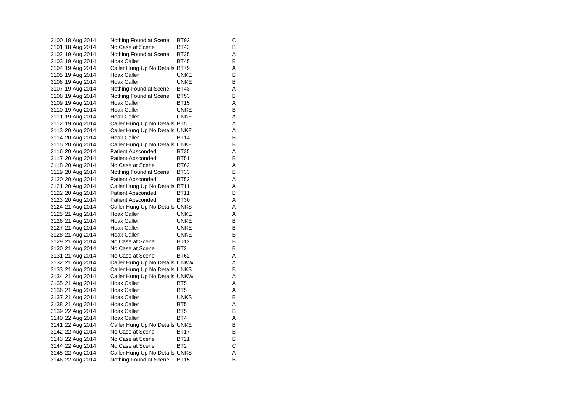| 3100 18 Aug 2014 | Nothing Found at Scene         | <b>BT92</b>     | С |
|------------------|--------------------------------|-----------------|---|
| 3101 18 Aug 2014 | No Case at Scene               | BT43            | В |
| 3102 19 Aug 2014 | Nothing Found at Scene         | <b>BT35</b>     | Α |
| 3103 19 Aug 2014 | Hoax Caller                    | <b>BT45</b>     | В |
| 3104 19 Aug 2014 | Caller Hung Up No Details BT79 |                 | Α |
| 3105 19 Aug 2014 | Hoax Caller                    | <b>UNKE</b>     | В |
| 3106 19 Aug 2014 | Hoax Caller                    | <b>UNKE</b>     | В |
| 3107 19 Aug 2014 | Nothing Found at Scene         | <b>BT43</b>     | Α |
| 3108 19 Aug 2014 | Nothing Found at Scene         | <b>BT53</b>     | B |
| 3109 19 Aug 2014 | Hoax Caller                    | <b>BT15</b>     | Α |
| 3110 19 Aug 2014 | Hoax Caller                    | <b>UNKE</b>     | В |
| 3111 19 Aug 2014 | Hoax Caller                    | UNKE            | Α |
| 3112 19 Aug 2014 | Caller Hung Up No Details BT5  |                 | Α |
| 3113 20 Aug 2014 | Caller Hung Up No Details UNKE |                 | Α |
| 3114 20 Aug 2014 | Hoax Caller                    | <b>BT14</b>     | В |
| 3115 20 Aug 2014 | Caller Hung Up No Details UNKE |                 | В |
| 3116 20 Aug 2014 | Patient Absconded              | <b>BT35</b>     | Α |
| 3117 20 Aug 2014 | Patient Absconded              | <b>BT51</b>     | В |
| 3118 20 Aug 2014 | No Case at Scene               | BT62            | Α |
| 3119 20 Aug 2014 | Nothing Found at Scene         | <b>BT33</b>     | B |
| 3120 20 Aug 2014 | Patient Absconded              | <b>BT52</b>     | Α |
| 3121 20 Aug 2014 | Caller Hung Up No Details BT11 |                 | Α |
| 3122 20 Aug 2014 | Patient Absconded              | <b>BT11</b>     | В |
| 3123 20 Aug 2014 | Patient Absconded              | <b>BT30</b>     | Α |
| 3124 21 Aug 2014 | Caller Hung Up No Details UNKS |                 | Α |
| 3125 21 Aug 2014 | Hoax Caller                    | <b>UNKE</b>     | Α |
| 3126 21 Aug 2014 | Hoax Caller                    | <b>UNKE</b>     | B |
| 3127 21 Aug 2014 | Hoax Caller                    | UNKE            | В |
| 3128 21 Aug 2014 | Hoax Caller                    | <b>UNKE</b>     | В |
| 3129 21 Aug 2014 | No Case at Scene               | <b>BT12</b>     | B |
| 3130 21 Aug 2014 | No Case at Scene               | BT <sub>2</sub> | В |
| 3131 21 Aug 2014 | No Case at Scene               | BT62            | Α |
| 3132 21 Aug 2014 | Caller Hung Up No Details UNKW |                 | Α |
| 3133 21 Aug 2014 | Caller Hung Up No Details UNKS |                 | B |
| 3134 21 Aug 2014 | Caller Hung Up No Details UNKW |                 | Α |
| 3135 21 Aug 2014 | Hoax Caller                    | BT <sub>5</sub> | A |
| 3136 21 Aug 2014 | Hoax Caller                    | BT <sub>5</sub> | A |
| 3137 21 Aug 2014 | Hoax Caller                    | <b>UNKS</b>     | В |
| 3138 21 Aug 2014 | Hoax Caller                    | BT <sub>5</sub> | Α |
| 3139 22 Aug 2014 | Hoax Caller                    | BT <sub>5</sub> | B |
| 3140 22 Aug 2014 | Hoax Caller                    | BT4             | Α |
| 3141 22 Aug 2014 | Caller Hung Up No Details UNKE |                 | В |
| 3142 22 Aug 2014 | No Case at Scene               | <b>BT17</b>     | В |
| 3143 22 Aug 2014 | No Case at Scene               | <b>BT21</b>     | В |
| 3144 22 Aug 2014 | No Case at Scene               | BT <sub>2</sub> | C |
| 3145 22 Aug 2014 | Caller Hung Up No Details UNKS |                 | Α |
| 3146 22 Aug 2014 | Nothing Found at Scene         | <b>BT15</b>     | B |
|                  |                                |                 |   |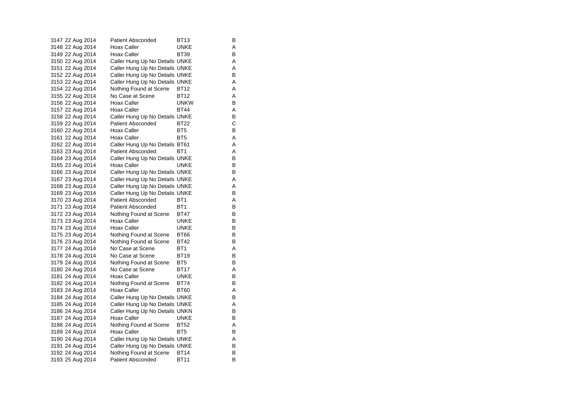| 3147 22 Aug 2014 | Patient Absconded              | BT13            | В |
|------------------|--------------------------------|-----------------|---|
| 3148 22 Aug 2014 | Hoax Caller                    | UNKE            | Α |
| 3149 22 Aug 2014 | Hoax Caller                    | <b>BT39</b>     | В |
| 3150 22 Aug 2014 | Caller Hung Up No Details UNKE |                 | Α |
| 3151 22 Aug 2014 | Caller Hung Up No Details UNKE |                 | Α |
| 3152 22 Aug 2014 | Caller Hung Up No Details UNKE |                 | В |
| 3153 22 Aug 2014 | Caller Hung Up No Details UNKE |                 | Α |
| 3154 22 Aug 2014 | Nothing Found at Scene         | BT12            | Α |
| 3155 22 Aug 2014 | No Case at Scene               | BT12            | Α |
| 3156 22 Aug 2014 | Hoax Caller                    | <b>UNKW</b>     | B |
| 3157 22 Aug 2014 | Hoax Caller                    | BT44            | Α |
| 3158 22 Aug 2014 | Caller Hung Up No Details UNKE |                 | В |
| 3159 22 Aug 2014 | <b>Patient Absconded</b>       | <b>BT22</b>     | C |
| 3160 22 Aug 2014 | Hoax Caller                    | BT <sub>5</sub> | в |
| 3161 22 Aug 2014 | Hoax Caller                    | BT <sub>5</sub> | Α |
| 3162 22 Aug 2014 | Caller Hung Up No Details BT61 |                 | A |
| 3163 23 Aug 2014 | Patient Absconded              | BT1             | Α |
| 3164 23 Aug 2014 | Caller Hung Up No Details UNKE |                 | В |
| 3165 23 Aug 2014 | Hoax Caller                    | UNKE            | В |
| 3166 23 Aug 2014 | Caller Hung Up No Details UNKE |                 | В |
| 3167 23 Aug 2014 | Caller Hung Up No Details UNKE |                 | Α |
| 3168 23 Aug 2014 | Caller Hung Up No Details UNKE |                 | Α |
| 3169 23 Aug 2014 | Caller Hung Up No Details UNKE |                 | В |
| 3170 23 Aug 2014 | <b>Patient Absconded</b>       | BT1             | Α |
| 3171 23 Aug 2014 | <b>Patient Absconded</b>       | BT <sub>1</sub> | В |
| 3172 23 Aug 2014 | Nothing Found at Scene         | <b>BT47</b>     | В |
| 3173 23 Aug 2014 | Hoax Caller                    | UNKE            | B |
| 3174 23 Aug 2014 | Hoax Caller                    | UNKE            | В |
| 3175 23 Aug 2014 | Nothing Found at Scene         | <b>BT66</b>     | В |
| 3176 23 Aug 2014 | Nothing Found at Scene         | <b>BT42</b>     | В |
| 3177 24 Aug 2014 | No Case at Scene               | BT <sub>1</sub> | Α |
| 3178 24 Aug 2014 | No Case at Scene               | <b>BT19</b>     | В |
| 3179 24 Aug 2014 | Nothing Found at Scene         | BT5             | В |
| 3180 24 Aug 2014 | No Case at Scene               | BT17            | Α |
| 3181 24 Aug 2014 | Hoax Caller                    | <b>UNKE</b>     | В |
| 3182 24 Aug 2014 | Nothing Found at Scene         | <b>BT74</b>     | В |
| 3183 24 Aug 2014 | Hoax Caller                    | BT60            | Α |
| 3184 24 Aug 2014 | Caller Hung Up No Details UNKE |                 | В |
| 3185 24 Aug 2014 | Caller Hung Up No Details UNKE |                 | Α |
| 3186 24 Aug 2014 | Caller Hung Up No Details UNKN |                 | В |
| 3187 24 Aug 2014 | Hoax Caller                    | UNKE            | В |
| 3188 24 Aug 2014 | Nothing Found at Scene         | BT52            | Α |
| 3189 24 Aug 2014 | Hoax Caller                    | BT5             | В |
| 3190 24 Aug 2014 | Caller Hung Up No Details UNKE |                 | Α |
| 3191 24 Aug 2014 | Caller Hung Up No Details UNKE |                 | В |
| 3192 24 Aug 2014 | Nothing Found at Scene         | BT14            | В |
| 3193 25 Aug 2014 | <b>Patient Absconded</b>       | <b>BT11</b>     | B |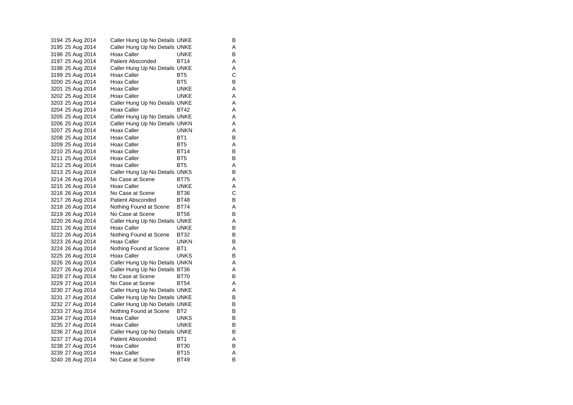| 3194 25 Aug 2014 | Caller Hung Up No Details UNKE |                 | В |
|------------------|--------------------------------|-----------------|---|
| 3195 25 Aug 2014 | Caller Hung Up No Details UNKE |                 | Α |
| 3196 25 Aug 2014 | Hoax Caller                    | UNKE            | B |
| 3197 25 Aug 2014 | Patient Absconded              | BT14            | Α |
| 3198 25 Aug 2014 | Caller Hung Up No Details UNKE |                 | Α |
| 3199 25 Aug 2014 | Hoax Caller                    | BT <sub>5</sub> | С |
| 3200 25 Aug 2014 | Hoax Caller                    | BT <sub>5</sub> | В |
| 3201 25 Aug 2014 | Hoax Caller                    | <b>UNKE</b>     | Α |
| 3202 25 Aug 2014 | Hoax Caller                    | <b>UNKE</b>     | Α |
| 3203 25 Aug 2014 | Caller Hung Up No Details UNKE |                 | A |
| 3204 25 Aug 2014 | Hoax Caller                    | BT42            | Α |
| 3205 25 Aug 2014 | Caller Hung Up No Details UNKE |                 | Α |
| 3206 25 Aug 2014 | Caller Hung Up No Details UNKN |                 | Α |
| 3207 25 Aug 2014 | Hoax Caller                    | UNKN            | Α |
| 3208 25 Aug 2014 | Hoax Caller                    | BT <sub>1</sub> | B |
| 3209 25 Aug 2014 | Hoax Caller                    | BT <sub>5</sub> | Α |
| 3210 25 Aug 2014 | Hoax Caller                    | <b>BT14</b>     | B |
| 3211 25 Aug 2014 | Hoax Caller                    | BT <sub>5</sub> | В |
| 3212 25 Aug 2014 | Hoax Caller                    | BT <sub>5</sub> | Α |
| 3213 25 Aug 2014 | Caller Hung Up No Details UNKS |                 | B |
| 3214 26 Aug 2014 | No Case at Scene               | <b>BT75</b>     | Α |
| 3215 26 Aug 2014 | Hoax Caller                    | <b>UNKE</b>     | Α |
| 3216 26 Aug 2014 | No Case at Scene               | <b>BT36</b>     | C |
| 3217 26 Aug 2014 | <b>Patient Absconded</b>       | <b>BT48</b>     | В |
| 3218 26 Aug 2014 | Nothing Found at Scene         | <b>BT74</b>     | Α |
| 3219 26 Aug 2014 | No Case at Scene               | <b>BT56</b>     | В |
| 3220 26 Aug 2014 | Caller Hung Up No Details UNKE |                 | Α |
| 3221 26 Aug 2014 | Hoax Caller                    | UNKE            | В |
| 3222 26 Aug 2014 | Nothing Found at Scene         | <b>BT32</b>     | B |
| 3223 26 Aug 2014 | Hoax Caller                    | <b>UNKN</b>     | B |
| 3224 26 Aug 2014 | Nothing Found at Scene         | BT <sub>1</sub> | Α |
| 3225 26 Aug 2014 | Hoax Caller                    | <b>UNKS</b>     | B |
| 3226 26 Aug 2014 | Caller Hung Up No Details UNKN |                 | Α |
| 3227 26 Aug 2014 | Caller Hung Up No Details BT36 |                 | Α |
| 3228 27 Aug 2014 | No Case at Scene               | <b>BT70</b>     | B |
| 3229 27 Aug 2014 | No Case at Scene               | <b>BT54</b>     | Α |
| 3230 27 Aug 2014 | Caller Hung Up No Details UNKE |                 | Α |
| 3231 27 Aug 2014 | Caller Hung Up No Details UNKE |                 | В |
| 3232 27 Aug 2014 | Caller Hung Up No Details UNKE |                 | В |
| 3233 27 Aug 2014 | Nothing Found at Scene         | BT2             | В |
| 3234 27 Aug 2014 | Hoax Caller                    | <b>UNKS</b>     | В |
| 3235 27 Aug 2014 | Hoax Caller                    | UNKE            | В |
| 3236 27 Aug 2014 | Caller Hung Up No Details UNKE |                 | В |
| 3237 27 Aug 2014 | <b>Patient Absconded</b>       | BT <sub>1</sub> | Α |
| 3238 27 Aug 2014 | Hoax Caller                    | <b>BT30</b>     | В |
| 3239 27 Aug 2014 | Hoax Caller                    | <b>BT15</b>     | Α |
| 3240 28 Aug 2014 | No Case at Scene               | <b>BT49</b>     | B |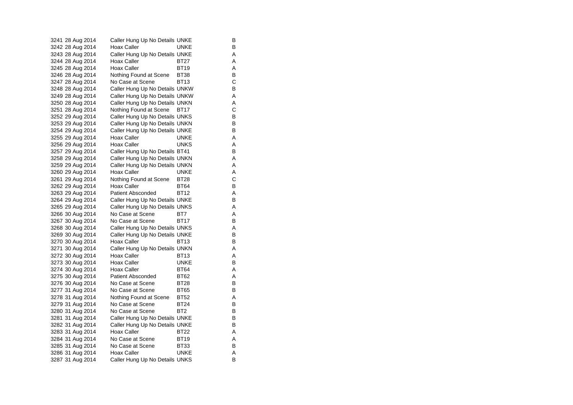| 3241 28 Aug 2014 | Caller Hung Up No Details UNKE |                 | В |
|------------------|--------------------------------|-----------------|---|
| 3242 28 Aug 2014 | Hoax Caller                    | UNKE            | В |
| 3243 28 Aug 2014 | Caller Hung Up No Details UNKE |                 | Α |
| 3244 28 Aug 2014 | Hoax Caller                    | BT27            | Α |
| 3245 28 Aug 2014 | Hoax Caller                    | <b>BT19</b>     | Α |
| 3246 28 Aug 2014 | Nothing Found at Scene         | <b>BT38</b>     | В |
| 3247 28 Aug 2014 | No Case at Scene               | <b>BT13</b>     | С |
| 3248 28 Aug 2014 | Caller Hung Up No Details UNKW |                 | В |
| 3249 28 Aug 2014 | Caller Hung Up No Details UNKW |                 | Α |
| 3250 28 Aug 2014 | Caller Hung Up No Details UNKN |                 | Α |
| 3251 28 Aug 2014 | Nothing Found at Scene         | BT17            | C |
| 3252 29 Aug 2014 | Caller Hung Up No Details UNKS |                 | B |
| 3253 29 Aug 2014 | Caller Hung Up No Details UNKN |                 | В |
| 3254 29 Aug 2014 | Caller Hung Up No Details UNKE |                 | В |
| 3255 29 Aug 2014 | Hoax Caller                    | <b>UNKE</b>     | Α |
| 3256 29 Aug 2014 | Hoax Caller                    | UNKS            | A |
| 3257 29 Aug 2014 | Caller Hung Up No Details BT41 |                 | В |
| 3258 29 Aug 2014 | Caller Hung Up No Details UNKN |                 | Α |
| 3259 29 Aug 2014 | Caller Hung Up No Details UNKN |                 | Α |
| 3260 29 Aug 2014 | Hoax Caller                    | UNKE            | Α |
| 3261 29 Aug 2014 | Nothing Found at Scene         | <b>BT28</b>     | С |
| 3262 29 Aug 2014 | Hoax Caller                    | <b>BT64</b>     | B |
| 3263 29 Aug 2014 | Patient Absconded              | <b>BT12</b>     | Α |
| 3264 29 Aug 2014 | Caller Hung Up No Details UNKE |                 | В |
| 3265 29 Aug 2014 | Caller Hung Up No Details UNKS |                 | Α |
| 3266 30 Aug 2014 | No Case at Scene               | BT7             | Α |
| 3267 30 Aug 2014 | No Case at Scene               | BT17            | B |
| 3268 30 Aug 2014 | Caller Hung Up No Details UNKS |                 | Α |
| 3269 30 Aug 2014 | Caller Hung Up No Details UNKE |                 | В |
| 3270 30 Aug 2014 | Hoax Caller                    | BT13            | В |
| 3271 30 Aug 2014 | Caller Hung Up No Details UNKN |                 | Α |
| 3272 30 Aug 2014 | Hoax Caller                    | <b>BT13</b>     | Α |
| 3273 30 Aug 2014 | Hoax Caller                    | UNKE            | В |
| 3274 30 Aug 2014 | Hoax Caller                    | <b>BT64</b>     | Α |
| 3275 30 Aug 2014 | <b>Patient Absconded</b>       | <b>BT62</b>     | Α |
| 3276 30 Aug 2014 | No Case at Scene               | <b>BT28</b>     | В |
| 3277 31 Aug 2014 | No Case at Scene               | <b>BT65</b>     | B |
| 3278 31 Aug 2014 | Nothing Found at Scene BT52    |                 | Α |
| 3279 31 Aug 2014 | No Case at Scene               | <b>BT24</b>     | В |
| 3280 31 Aug 2014 | No Case at Scene               | BT <sub>2</sub> | B |
| 3281 31 Aug 2014 | Caller Hung Up No Details UNKE |                 | В |
| 3282 31 Aug 2014 | Caller Hung Up No Details UNKE |                 | В |
| 3283 31 Aug 2014 | <b>Hoax Caller</b>             | <b>BT22</b>     | A |
| 3284 31 Aug 2014 | No Case at Scene               | <b>BT19</b>     | Α |
| 3285 31 Aug 2014 | No Case at Scene               | BT33            | В |
| 3286 31 Aug 2014 | Hoax Caller                    | <b>UNKE</b>     | Α |
| 3287 31 Aug 2014 | Caller Hung Up No Details UNKS |                 | B |
|                  |                                |                 |   |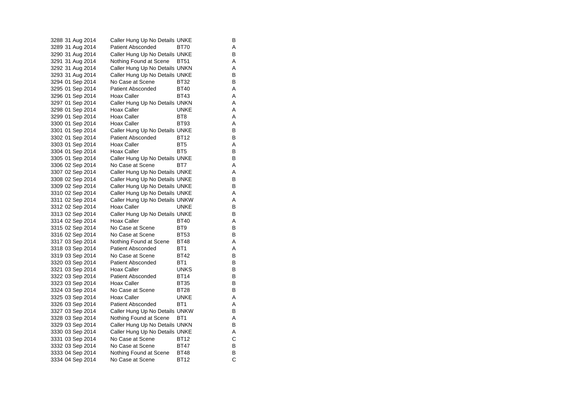|  | 3288 31 Aug 2014 | Caller Hung Up No Details UNKE |                 | В |
|--|------------------|--------------------------------|-----------------|---|
|  | 3289 31 Aug 2014 | <b>Patient Absconded</b>       | BT70            | Α |
|  | 3290 31 Aug 2014 | Caller Hung Up No Details UNKE |                 | В |
|  | 3291 31 Aug 2014 | Nothing Found at Scene         | <b>BT51</b>     | Α |
|  | 3292 31 Aug 2014 | Caller Hung Up No Details UNKN |                 | A |
|  | 3293 31 Aug 2014 | Caller Hung Up No Details UNKE |                 | В |
|  | 3294 01 Sep 2014 | No Case at Scene               | BT32            | В |
|  | 3295 01 Sep 2014 | Patient Absconded              | <b>BT40</b>     | Α |
|  |                  | Hoax Caller                    | <b>BT43</b>     | Α |
|  | 3297 01 Sep 2014 | Caller Hung Up No Details UNKN |                 | Α |
|  | 3298 01 Sep 2014 | Hoax Caller                    | <b>UNKE</b>     | Α |
|  |                  | Hoax Caller                    | BT <sub>8</sub> | Α |
|  | 3300 01 Sep 2014 | Hoax Caller                    | BT93            | Α |
|  | 3301 01 Sep 2014 | Caller Hung Up No Details UNKE |                 | В |
|  | 3302 01 Sep 2014 | <b>Patient Absconded</b>       | <b>BT12</b>     | В |
|  | 3303 01 Sep 2014 | Hoax Caller                    | BT <sub>5</sub> | Α |
|  | 3304 01 Sep 2014 | Hoax Caller                    | BT <sub>5</sub> | В |
|  |                  | Caller Hung Up No Details UNKE |                 | В |
|  | 3306 02 Sep 2014 | No Case at Scene               | BT7             | Α |
|  | 3307 02 Sep 2014 | Caller Hung Up No Details UNKE |                 | Α |
|  | 3308 02 Sep 2014 | Caller Hung Up No Details UNKE |                 | В |
|  | 3309 02 Sep 2014 | Caller Hung Up No Details UNKE |                 | B |
|  | 3310 02 Sep 2014 | Caller Hung Up No Details UNKE |                 | Α |
|  | 3311 02 Sep 2014 | Caller Hung Up No Details UNKW |                 | Α |
|  | 3312 02 Sep 2014 | Hoax Caller                    | <b>UNKE</b>     | B |
|  | 3313 02 Sep 2014 | Caller Hung Up No Details UNKE |                 | В |
|  | 3314 02 Sep 2014 | Hoax Caller                    | <b>BT40</b>     | Α |
|  | 3315 02 Sep 2014 | No Case at Scene               | BT9             | В |
|  | 3316 02 Sep 2014 | No Case at Scene               | <b>BT53</b>     | В |
|  | 3317 03 Sep 2014 | Nothing Found at Scene         | <b>BT48</b>     | Α |
|  | 3318 03 Sep 2014 | Patient Absconded              | BT <sub>1</sub> | Α |
|  | 3319 03 Sep 2014 | No Case at Scene               | BT42            | В |
|  | 3320 03 Sep 2014 | Patient Absconded              | BT <sub>1</sub> | В |
|  | 3321 03 Sep 2014 | Hoax Caller                    | <b>UNKS</b>     | В |
|  | 3322 03 Sep 2014 | Patient Absconded              | BT14            | В |
|  | 3323 03 Sep 2014 | Hoax Caller                    | <b>BT35</b>     | В |
|  | 3324 03 Sep 2014 | No Case at Scene               | BT28            | B |
|  | 3325 03 Sep 2014 | Hoax Caller                    | UNKE            | Α |
|  | 3326 03 Sep 2014 | <b>Patient Absconded</b>       | BT <sub>1</sub> | Α |
|  | 3327 03 Sep 2014 | Caller Hung Up No Details UNKW |                 | В |
|  | 3328 03 Sep 2014 | Nothing Found at Scene         | BT <sub>1</sub> | Α |
|  | 3329 03 Sep 2014 | Caller Hung Up No Details UNKN |                 | B |
|  | 3330 03 Sep 2014 | Caller Hung Up No Details UNKE |                 | Α |
|  | 3331 03 Sep 2014 | No Case at Scene               | <b>BT12</b>     | С |
|  | 3332 03 Sep 2014 | No Case at Scene               | <b>BT47</b>     | В |
|  | 3333 04 Sep 2014 | Nothing Found at Scene         | <b>BT48</b>     | В |
|  | 3334 04 Sep 2014 | No Case at Scene               | <b>BT12</b>     | Ć |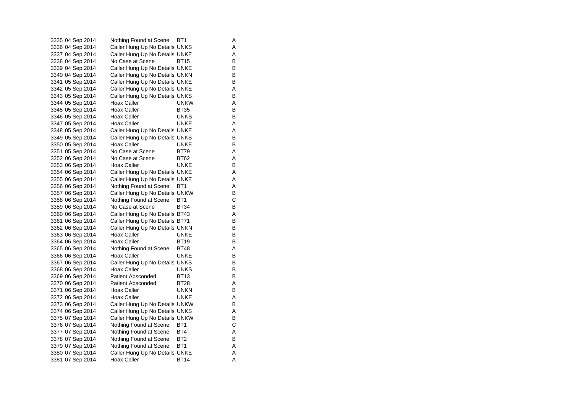3335 04 Sep 2014 Nothing Found at Scene BT1 A<br>3336 04 Sep 2014 Caller Hung Up No Details UNKS A Caller Hung Up No Details UNKS A 3337 04 Sep 2014 Caller Hung Up No Details UNKE 3338 04 Sep 2014 No Case at Scene BT15 B 3339 04 Sep 2014 Caller Hung Up No Details UNKE B 3340 04 Sep 2014 Caller Hung Up No Details UNKN B 3341 05 Sep 2014 Caller Hung Up No Details UNKE B 3342 05 Sep 2014 Caller Hung Up No Details UNKE 3343 05 Sep 2014 Caller Hung Up No Details UNKS B<br>3344 05 Sep 2014 Hoax Caller BunkW 3344 05 Sep 2014 Hoax Caller **Hoax UNKW** A 3345 05 Sep 2014 Hoax Caller BT35 B 3346 05 Sep 2014 Hoax Caller **UNKS** B 3347 05 Sep 2014 Hoax Caller **UNKE** A 3348 05 Sep 2014 Caller Hung Up No Details UNKE A 3349 05 Sep 2014 Caller Hung Up No Details UNKS B 3350 05 Sep 2014 Hoax Caller **Hoax Caller** UNKE B 3351 05 Sep 2014 No Case at Scene BT79 A 3352 06 Sep 2014 No Case at Scene BT62 A 3353 06 Sep 2014 Hoax Caller **UNKE** B 3354 06 Sep 2014 Caller Hung Up No Details UNKE A 3355 06 Sep 2014 Caller Hung Up No Details UNKE A 3356 06 Sep 2014 Nothing Found at Scene BT1 4 A<br>3357 06 Sep 2014 Caller Hung Up No Details UNKW 3357 06 Sep 2014 Caller Hung Up No Details UNKW 3358 06 Sep 2014 Nothing Found at Scene BT1 C 3359 06 Sep 2014 No Case at Scene BT34 B 3360 06 Sep 2014 Caller Hung Up No Details BT43 A 3361 06 Sep 2014 Caller Hung Up No Details BT71 B<br>3362 06 Sep 2014 Caller Hung Up No Details UNKN B 3362 06 Sep 2014 Caller Hung Up No Details UNKN 3363 06 Sep 2014 Hoax Caller **UNKE** B 3364 06 Sep 2014 Hoax Caller BT19 B 3365 06 Sep 2014 Nothing Found at Scene BT48 A 3366 06 Sep 2014 Hoax Caller **UNKE** B 3367 06 Sep 2014 Caller Hung Up No Details UNKS B 3368 06 Sep 2014 Hoax Caller CONKS B 3369 06 Sep 2014 Patient Absconded BT13 B 3370 06 Sep 2014 Patient Absconded BT28 A 3371 06 Sep 2014 Hoax Caller **UNKN** B 3372 06 Sep 2014 Hoax Caller **UNKE** A 3373 06 Sep 2014 Caller Hung Up No Details UNKW B 3374 06 Sep 2014 Caller Hung Up No Details UNKS<br>3375 07 Sep 2014 Caller Hung Up No Details UNKW B Caller Hung Up No Details UNKW 3376 07 Sep 2014 Nothing Found at Scene BT1 C 3377 07 Sep 2014 Nothing Found at Scene BT4 A 3378 07 Sep 2014 Nothing Found at Scene BT2 B 3379 07 Sep 2014 Nothing Found at Scene BT1 A 3380 07 Sep 2014 Caller Hung Up No Details UNKE A 3381 07 Sep 2014 Hoax Caller BT14 A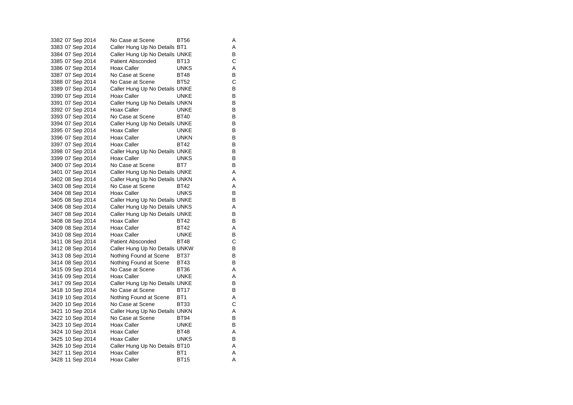| 3382 07 Sep 2014 | No Case at Scene               | BT56        | Α |
|------------------|--------------------------------|-------------|---|
| 3383 07 Sep 2014 | Caller Hung Up No Details BT1  |             | A |
| 3384 07 Sep 2014 | Caller Hung Up No Details UNKE |             | В |
| 3385 07 Sep 2014 | Patient Absconded              | BT13        | С |
| 3386 07 Sep 2014 | Hoax Caller                    | <b>UNKS</b> | Α |
| 3387 07 Sep 2014 | No Case at Scene               | <b>BT48</b> | В |
| 3388 07 Sep 2014 | No Case at Scene               | <b>BT52</b> | Ċ |
| 3389 07 Sep 2014 | Caller Hung Up No Details UNKE |             | В |
| 3390 07 Sep 2014 | Hoax Caller                    | UNKE        | В |
| 3391 07 Sep 2014 | Caller Hung Up No Details UNKN |             | B |
| 3392 07 Sep 2014 | Hoax Caller                    | <b>UNKE</b> | В |
| 3393 07 Sep 2014 | No Case at Scene               | <b>BT40</b> | B |
| 3394 07 Sep 2014 | Caller Hung Up No Details UNKE |             | В |
| 3395 07 Sep 2014 | Hoax Caller                    | UNKE        | В |
| 3396 07 Sep 2014 | Hoax Caller                    | <b>UNKN</b> | B |
| 3397 07 Sep 2014 | Hoax Caller                    | <b>BT42</b> | В |
| 3398 07 Sep 2014 | Caller Hung Up No Details UNKE |             | В |
| 3399 07 Sep 2014 | <b>Hoax Caller</b>             | <b>UNKS</b> | В |
| 3400 07 Sep 2014 | No Case at Scene               | BT7         | B |
| 3401 07 Sep 2014 | Caller Hung Up No Details UNKE |             | Α |
| 3402 08 Sep 2014 | Caller Hung Up No Details UNKN |             | Α |
| 3403 08 Sep 2014 | No Case at Scene               | BT42        | Α |
| 3404 08 Sep 2014 | Hoax Caller                    | <b>UNKS</b> | В |
| 3405 08 Sep 2014 | Caller Hung Up No Details UNKE |             | B |
| 3406 08 Sep 2014 | Caller Hung Up No Details UNKS |             | Α |
| 3407 08 Sep 2014 | Caller Hung Up No Details UNKE |             | В |
| 3408 08 Sep 2014 | Hoax Caller                    | <b>BT42</b> | В |
| 3409 08 Sep 2014 | Hoax Caller                    | <b>BT42</b> | Α |
| 3410 08 Sep 2014 | Hoax Caller                    | UNKE        | B |
| 3411 08 Sep 2014 | <b>Patient Absconded</b>       | <b>BT48</b> | C |
| 3412 08 Sep 2014 | Caller Hung Up No Details UNKW |             | B |
| 3413 08 Sep 2014 | Nothing Found at Scene         | BT37        | В |
| 3414 08 Sep 2014 | Nothing Found at Scene         | BT43        | В |
| 3415 09 Sep 2014 | No Case at Scene               | BT36        | Α |
| 3416 09 Sep 2014 | Hoax Caller                    | <b>UNKE</b> | Α |
| 3417 09 Sep 2014 | Caller Hung Up No Details UNKE |             | B |
| 3418 10 Sep 2014 | No Case at Scene               | <b>BT17</b> | B |
| 3419 10 Sep 2014 | Nothing Found at Scene         | BT1         | Α |
| 3420 10 Sep 2014 | No Case at Scene               | <b>BT33</b> | С |
| 3421 10 Sep 2014 | Caller Hung Up No Details UNKN |             | Α |
| 3422 10 Sep 2014 | No Case at Scene               | <b>BT94</b> | в |
| 3423 10 Sep 2014 | Hoax Caller                    | <b>UNKE</b> | В |
| 3424 10 Sep 2014 | Hoax Caller                    | BT48        | Α |
| 3425 10 Sep 2014 | Hoax Caller                    | <b>UNKS</b> | B |
| 3426 10 Sep 2014 | Caller Hung Up No Details BT10 |             | Α |
| 3427 11 Sep 2014 | Hoax Caller                    | BT1         | Α |
| 3428 11 Sep 2014 | <b>Hoax Caller</b>             | <b>BT15</b> | A |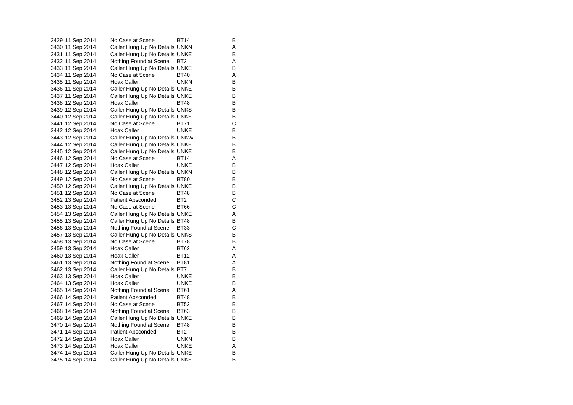3429 11 Sep 2014 No Case at Scene BT14 B 3430 11 Sep 2014 Caller Hung Up No Details UNKN A 3431 11 Sep 2014 Caller Hung Up No Details UNKE 3432 11 Sep 2014 Nothing Found at Scene BT2 A<br>3433 11 Sep 2014 Caller Hung Up No Details UNKE Caller Hung Up No Details UNKE 3434 11 Sep 2014 No Case at Scene BT40 A 3435 11 Sep 2014 Hoax Caller **UNKN** B 3436 11 Sep 2014 Caller Hung Up No Details UNKE<br>3437 11 Sep 2014 Caller Hung Up No Details UNKE 3437 11 Sep 2014 Caller Hung Up No Details UNKE<br>3438 12 Sep 2014 Hoax Caller BT48 BT48 3438 12 Sep 2014 3439 12 Sep 2014 Caller Hung Up No Details UNKS B 3440 12 Sep 2014 Caller Hung Up No Details UNKE<br>3441 12 Sep 2014 No Case at Scene BT71 C 3441 12 Sep 2014 No Case at Scene BT71 3442 12 Sep 2014 Hoax Caller **UNKE** B 3443 12 Sep 2014 Caller Hung Up No Details UNKW B 3444 12 Sep 2014 Caller Hung Up No Details UNKE 3445 12 Sep 2014 Caller Hung Up No Details UNKE<br>3446 12 Sep 2014 No Case at Scene BT14 A 3446 12 Sep 2014 No Case at Scene BT14 A 3447 12 Sep 2014 Hoax Caller **UNKE** B 3448 12 Sep 2014 Caller Hung Up No Details UNKN B 3449 12 Sep 2014 No Case at Scene BT80 B 3450 12 Sep 2014 Caller Hung Up No Details UNKE<br>3451 12 Sep 2014 No Case at Scene BT48 B 3451 12 Sep 2014 No Case at Scene BT48 3452 13 Sep 2014 Patient Absconded BT2 C 3453 13 Sep 2014 No Case at Scene BT66 C 3454 13 Sep 2014 Caller Hung Up No Details UNKE A 3455 13 Sep 2014 Caller Hung Up No Details BT48 B<br>3456 13 Sep 2014 Nothing Found at Scene BT33 C 3456 13 Sep 2014 Nothing Found at Scene BT33 3457 13 Sep 2014 Caller Hung Up No Details UNKS B 3458 13 Sep 2014 No Case at Scene BT78 B 3459 13 Sep 2014 Hoax Caller BT62 A 3460 13 Sep 2014 Hoax Caller BT12 A 3461 13 Sep 2014 Nothing Found at Scene BT81 A 3462 13 Sep 2014 Caller Hung Up No Details BT7 B 3463 13 Sep 2014 Hoax Caller **UNKE** B 3464 13 Sep 2014 Hoax Caller **UNKE** B 3465 14 Sep 2014 Nothing Found at Scene BT61 A 3466 14 Sep 2014 Patient Absconded BT48 B 3467 14 Sep 2014 No Case at Scene BT52 B 3468 14 Sep 2014 Nothing Found at Scene BT63 B<br>3469 14 Sep 2014 Caller Hung Up No Details UNKE Caller Hung Up No Details UNKE 3470 14 Sep 2014 Nothing Found at Scene BT48 B 3471 14 Sep 2014 Patient Absconded BT2 B 3472 14 Sep 2014 Hoax Caller **UNKN** B 3473 14 Sep 2014 Hoax Caller UNKE UNKE<br>3474 14 Sep 2014 Caller Hung Up No Details UNKE B 3474 14 Sep 2014 Caller Hung Up No Details UNKE 3475 14 Sep 2014 Caller Hung Up No Details UNKE B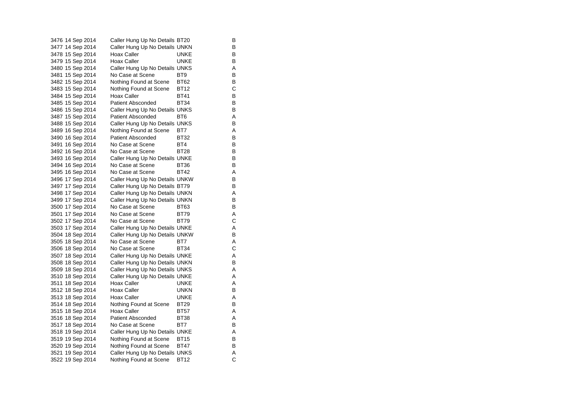3476 14 Sep 2014 Caller Hung Up No Details BT20 B<br>3477 14 Sep 2014 Caller Hung Up No Details UNKN B Caller Hung Up No Details UNKN B 3478 15 Sep 2014 Hoax Caller CONKE UNKE 3479 15 Sep 2014 Hoax Caller **UNKE** B 3480 15 Sep 2014 Caller Hung Up No Details UNKS A 3481 15 Sep 2014 No Case at Scene BT9 BT9 3482 15 Sep 2014 Nothing Found at Scene BT62 B 3483 15 Sep 2014 Nothing Found at Scene BT12 C<br>3484 15 Sep 2014 Hoax Caller BT41 B 3484 15 Sep 2014 Hoax Caller BT41 B<br>3485 15 Sep 2014 Patient Absconded BT34 B 3485 15 Sep 2014 3486 15 Sep 2014 Caller Hung Up No Details UNKS B 3487 15 Sep 2014 Patient Absconded BT6 A 3488 15 Sep 2014 Caller Hung Up No Details UNKS B 3489 16 Sep 2014 Nothing Found at Scene BT7 A 3490 16 Sep 2014 Patient Absconded BT32 B 3491 16 Sep 2014 No Case at Scene BT4 B 3492 16 Sep 2014 No Case at Scene BT28 B 3493 16 Sep 2014 Caller Hung Up No Details UNKE 3494 16 Sep 2014 No Case at Scene BT36 B 3495 16 Sep 2014 No Case at Scene BT42 A 3496 17 Sep 2014 Caller Hung Up No Details UNKW B 3497 17 Sep 2014 Caller Hung Up No Details BT79 B 3498 17 Sep 2014 Caller Hung Up No Details UNKN A 3499 17 Sep 2014 Caller Hung Up No Details UNKN B 3500 17 Sep 2014 No Case at Scene BT63 B 3501 17 Sep 2014 No Case at Scene BT79 A 3502 17 Sep 2014 No Case at Scene BT79 C 3503 17 Sep 2014 Caller Hung Up No Details UNKE A 3504 18 Sep 2014 Caller Hung Up No Details UNKW B 3505 18 Sep 2014 No Case at Scene BT7 A 3506 18 Sep 2014 No Case at Scene BT34 C 3507 18 Sep 2014 Caller Hung Up No Details UNKE A 3508 18 Sep 2014 Caller Hung Up No Details UNKN B 3509 18 Sep 2014 Caller Hung Up No Details UNKS A 3510 18 Sep 2014 Caller Hung Up No Details UNKE<br>3511 18 Sep 2014 Hoax Caller Borge LUNKE 3511 18 Sep 2014 Hoax Caller **Hoax Caller** UNKE 3512 18 Sep 2014 Hoax Caller **UNKN** B 3513 18 Sep 2014 Hoax Caller **UNKE** A 3514 18 Sep 2014 Nothing Found at Scene BT29 B 3515 18 Sep 2014 Hoax Caller BT57 A<br>3516 18 Sep 2014 Patient Absconded BT38 A 3516 18 Sep 2014 Patient Absconded BT38 A 3517 18 Sep 2014 No Case at Scene BT7 B 3518 19 Sep 2014 Caller Hung Up No Details UNKE A 3519 19 Sep 2014 Nothing Found at Scene BT15 B 3520 19 Sep 2014 Nothing Found at Scene BT47 B 3521 19 Sep 2014 Caller Hung Up No Details UNKS A 3522 19 Sep 2014 Nothing Found at Scene BT12 C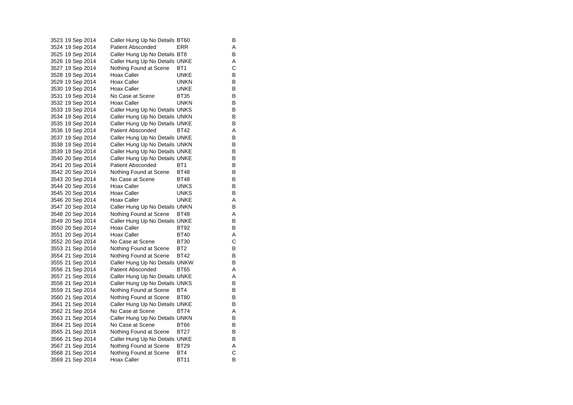| 3523 19 Sep 2014 |  | Caller Hung Up No Details BT60 |                 | В |
|------------------|--|--------------------------------|-----------------|---|
| 3524 19 Sep 2014 |  | <b>Patient Absconded</b>       | <b>ERR</b>      | Α |
| 3525 19 Sep 2014 |  | Caller Hung Up No Details BT8  |                 | B |
| 3526 19 Sep 2014 |  | Caller Hung Up No Details UNKE |                 | Α |
| 3527 19 Sep 2014 |  | Nothing Found at Scene         | BT <sub>1</sub> | Ċ |
| 3528 19 Sep 2014 |  | <b>Hoax Caller</b>             | UNKE            | В |
| 3529 19 Sep 2014 |  | <b>Hoax Caller</b>             | UNKN            | В |
| 3530 19 Sep 2014 |  | <b>Hoax Caller</b>             | <b>UNKE</b>     | В |
| 3531 19 Sep 2014 |  | No Case at Scene               | BT35            | В |
| 3532 19 Sep 2014 |  | <b>Hoax Caller</b>             | UNKN            | В |
| 3533 19 Sep 2014 |  | Caller Hung Up No Details UNKS |                 | В |
| 3534 19 Sep 2014 |  | Caller Hung Up No Details UNKN |                 | В |
| 3535 19 Sep 2014 |  | Caller Hung Up No Details UNKE |                 | B |
| 3536 19 Sep 2014 |  | <b>Patient Absconded</b>       | BT42            | Α |
| 3537 19 Sep 2014 |  | Caller Hung Up No Details UNKE |                 | В |
| 3538 19 Sep 2014 |  | Caller Hung Up No Details UNKN |                 | В |
| 3539 19 Sep 2014 |  | Caller Hung Up No Details UNKE |                 | В |
| 3540 20 Sep 2014 |  | Caller Hung Up No Details UNKE |                 | В |
| 3541 20 Sep 2014 |  | <b>Patient Absconded</b>       | BT <sub>1</sub> | B |
| 3542 20 Sep 2014 |  | Nothing Found at Scene         | <b>BT48</b>     | В |
| 3543 20 Sep 2014 |  | No Case at Scene               | BT48            | В |
| 3544 20 Sep 2014 |  | Hoax Caller                    | <b>UNKS</b>     | B |
| 3545 20 Sep 2014 |  | Hoax Caller                    | <b>UNKS</b>     | В |
| 3546 20 Sep 2014 |  | Hoax Caller                    | UNKE            | Α |
| 3547 20 Sep 2014 |  | Caller Hung Up No Details UNKN |                 | B |
| 3548 20 Sep 2014 |  | Nothing Found at Scene         | BT48            | Α |
| 3549 20 Sep 2014 |  | Caller Hung Up No Details UNKE |                 | B |
| 3550 20 Sep 2014 |  | Hoax Caller                    | BT92            | В |
| 3551 20 Sep 2014 |  | <b>Hoax Caller</b>             | <b>BT40</b>     | Α |
| 3552 20 Sep 2014 |  | No Case at Scene               | <b>BT30</b>     | C |
| 3553 21 Sep 2014 |  | Nothing Found at Scene         | BT <sub>2</sub> | В |
| 3554 21 Sep 2014 |  | Nothing Found at Scene         | BT42            | В |
| 3555 21 Sep 2014 |  | Caller Hung Up No Details UNKW |                 | В |
| 3556 21 Sep 2014 |  | <b>Patient Absconded</b>       | BT65            | Α |
| 3557 21 Sep 2014 |  | Caller Hung Up No Details UNKE |                 | Α |
| 3558 21 Sep 2014 |  | Caller Hung Up No Details UNKS |                 | В |
| 3559 21 Sep 2014 |  | Nothing Found at Scene         | BT4             | В |
| 3560 21 Sep 2014 |  | Nothing Found at Scene         | BT80            | В |
| 3561 21 Sep 2014 |  | Caller Hung Up No Details UNKE |                 | B |
| 3562 21 Sep 2014 |  | No Case at Scene               | BT74            | Α |
| 3563 21 Sep 2014 |  | Caller Hung Up No Details UNKN |                 | В |
| 3564 21 Sep 2014 |  | No Case at Scene               | BT66            | В |
| 3565 21 Sep 2014 |  | Nothing Found at Scene         | BT27            | В |
| 3566 21 Sep 2014 |  | Caller Hung Up No Details UNKE |                 | B |
| 3567 21 Sep 2014 |  | Nothing Found at Scene         | <b>BT29</b>     | Α |
| 3568 21 Sep 2014 |  | Nothing Found at Scene         | BT4             | С |
| 3569 21 Sep 2014 |  | Hoax Caller                    | BT11            | B |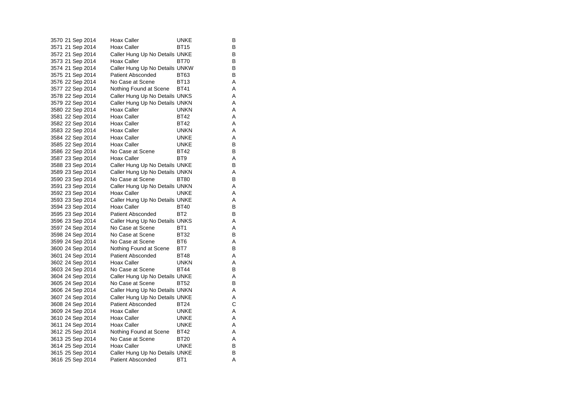| 3570 21 Sep 2014 | Hoax Caller                    | UNKE            | В |
|------------------|--------------------------------|-----------------|---|
| 3571 21 Sep 2014 | Hoax Caller                    | <b>BT15</b>     | B |
| 3572 21 Sep 2014 | Caller Hung Up No Details UNKE |                 | В |
| 3573 21 Sep 2014 | Hoax Caller                    | BT70            | В |
| 3574 21 Sep 2014 | Caller Hung Up No Details UNKW |                 | B |
| 3575 21 Sep 2014 | Patient Absconded              | BT63            | В |
| 3576 22 Sep 2014 | No Case at Scene               | <b>BT13</b>     | Α |
| 3577 22 Sep 2014 | Nothing Found at Scene         | <b>BT41</b>     | Α |
| 3578 22 Sep 2014 | Caller Hung Up No Details UNKS |                 | Α |
| 3579 22 Sep 2014 | Caller Hung Up No Details UNKN |                 | Α |
| 3580 22 Sep 2014 | Hoax Caller                    | <b>UNKN</b>     | Α |
| 3581 22 Sep 2014 | Hoax Caller                    | <b>BT42</b>     | Α |
| 3582 22 Sep 2014 | Hoax Caller                    | <b>BT42</b>     | Α |
| 3583 22 Sep 2014 | Hoax Caller                    | <b>UNKN</b>     | Α |
| 3584 22 Sep 2014 | Hoax Caller                    | <b>UNKE</b>     | A |
| 3585 22 Sep 2014 | Hoax Caller                    | <b>UNKE</b>     | В |
| 3586 22 Sep 2014 | No Case at Scene               | BT42            | В |
| 3587 23 Sep 2014 | Hoax Caller                    | BT <sub>9</sub> | Α |
| 3588 23 Sep 2014 | Caller Hung Up No Details UNKE |                 | В |
| 3589 23 Sep 2014 | Caller Hung Up No Details UNKN |                 | Α |
| 3590 23 Sep 2014 | No Case at Scene               | <b>BT80</b>     | В |
| 3591 23 Sep 2014 | Caller Hung Up No Details UNKN |                 | Α |
| 3592 23 Sep 2014 | Hoax Caller                    | <b>UNKE</b>     | Α |
| 3593 23 Sep 2014 | Caller Hung Up No Details UNKE |                 | Α |
| 3594 23 Sep 2014 | Hoax Caller                    | <b>BT40</b>     | В |
| 3595 23 Sep 2014 | <b>Patient Absconded</b>       | BT <sub>2</sub> | В |
| 3596 23 Sep 2014 | Caller Hung Up No Details UNKS |                 | Α |
| 3597 24 Sep 2014 | No Case at Scene               | BT <sub>1</sub> | Α |
| 3598 24 Sep 2014 | No Case at Scene               | <b>BT32</b>     | В |
| 3599 24 Sep 2014 | No Case at Scene               | BT <sub>6</sub> | Α |
| 3600 24 Sep 2014 | Nothing Found at Scene BT7     |                 | B |
| 3601 24 Sep 2014 | Patient Absconded              | <b>BT48</b>     | Α |
| 3602 24 Sep 2014 | Hoax Caller                    | UNKN            | Α |
| 3603 24 Sep 2014 | No Case at Scene               | <b>BT44</b>     | B |
| 3604 24 Sep 2014 | Caller Hung Up No Details UNKE |                 | Α |
| 3605 24 Sep 2014 | No Case at Scene               | <b>BT52</b>     | B |
| 3606 24 Sep 2014 | Caller Hung Up No Details UNKN |                 | Α |
| 3607 24 Sep 2014 | Caller Hung Up No Details UNKE |                 | Α |
| 3608 24 Sep 2014 | Patient Absconded              | <b>BT24</b>     | С |
| 3609 24 Sep 2014 | Hoax Caller                    | <b>UNKE</b>     | Α |
| 3610 24 Sep 2014 | Hoax Caller                    | UNKE            | A |
| 3611 24 Sep 2014 | Hoax Caller                    | <b>UNKE</b>     | A |
| 3612 25 Sep 2014 | Nothing Found at Scene         | BT42            | Α |
| 3613 25 Sep 2014 | No Case at Scene               | <b>BT20</b>     | Α |
| 3614 25 Sep 2014 | Hoax Caller                    | <b>UNKE</b>     | В |
| 3615 25 Sep 2014 | Caller Hung Up No Details UNKE |                 | В |
| 3616 25 Sep 2014 | <b>Patient Absconded</b>       | BT1             | A |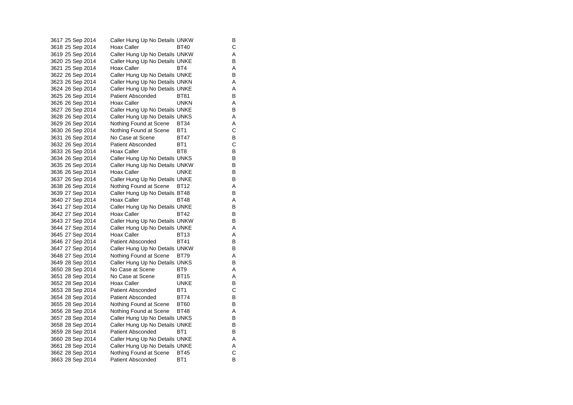3617 25 Sep 2014 Caller Hung Up No Details UNKW B 3618 25 Sep 2014 Hoax Caller BT40<br>3619 25 Sep 2014 Caller Hung Up No Details UNKV Caller Hung Up No Details UNKW A 3620 25 Sep 2014 Caller Hung Up No Details UNKE<br>3621 25 Sep 2014 Hoax Caller BT4 BT4 3621 25 Sep 2014 Hoax Caller BT4 BT4 A 3622 26 Sep 2014 Caller Hung Up No Details UNKE 3623 26 Sep 2014 Caller Hung Up No Details UNKN A 3624 26 Sep 2014 Caller Hung Up No Details UNKE 3625 26 Sep 2014 Patient Absconded BT81 B<br>3626 26 Sep 2014 Hoax Caller BUNKN A 3626 26 Sep 2014 Hoax Caller **UNKN** A 3627 26 Sep 2014 Caller Hung Up No Details UNKE 3628 26 Sep 2014 Caller Hung Up No Details UNKS<br>3629 26 Sep 2014 Nothing Found at Scene BT34 A Nothing Found at Scene BT34 A 3630 26 Sep 2014 Nothing Found at Scene BT1 C 3631 26 Sep 2014 No Case at Scene BT47 B 3632 26 Sep 2014 Patient Absconded BT1 C 3633 26 Sep 2014 Hoax Caller BT8 BT8 3634 26 Sep 2014 Caller Hung Up No Details UNKS B 3635 26 Sep 2014 Caller Hung Up No Details UNKW B 3636 26 Sep 2014 Hoax Caller **UNKE** B 3637 26 Sep 2014 Caller Hung Up No Details UNKE B 3638 26 Sep 2014 Nothing Found at Scene BT12 A<br>3639 27 Sep 2014 Caller Hung Up No Details BT48 B 3639 27 Sep 2014 Caller Hung Up No Details BT48 3640 27 Sep 2014 Hoax Caller BT48 A 3641 27 Sep 2014 Caller Hung Up No Details UNKE B 3642 27 Sep 2014 Hoax Caller BT42 B 3643 27 Sep 2014 Caller Hung Up No Details UNKW B 3644 27 Sep 2014 Caller Hung Up No Details UNKE 3645 27 Sep 2014 Hoax Caller BT13 A 3646 27 Sep 2014 Patient Absconded BT41 B 3647 27 Sep 2014 Caller Hung Up No Details UNKW B 3648 27 Sep 2014 Nothing Found at Scene BT79 A 3649 28 Sep 2014 Caller Hung Up No Details UNKS B 3650 28 Sep 2014 No Case at Scene BT9 A 3651 28 Sep 2014 No Case at Scene BT15 A 3652 28 Sep 2014 Hoax Caller **UNKE** B 3653 28 Sep 2014 Patient Absconded BT1 C<br>3654 28 Sep 2014 Patient Absconded BT74 B 3654 28 Sep 2014 Patient Absconded BT74 3655 28 Sep 2014 Nothing Found at Scene BT60 B 3656 28 Sep 2014 Nothing Found at Scene BT48 A<br>3657 28 Sep 2014 Caller Hung Up No Details UNKS B Caller Hung Up No Details UNKS 3658 28 Sep 2014 Caller Hung Up No Details UNKE B 3659 28 Sep 2014 Patient Absconded BT1 BT1 3660 28 Sep 2014 Caller Hung Up No Details UNKE A 3661 28 Sep 2014 Caller Hung Up No Details UNKE<br>3662 28 Sep 2014 Nothing Found at Scene BT45 C 3662 28 Sep 2014 Nothing Found at Scene 3663 28 Sep 2014 Patient Absconded BT1 B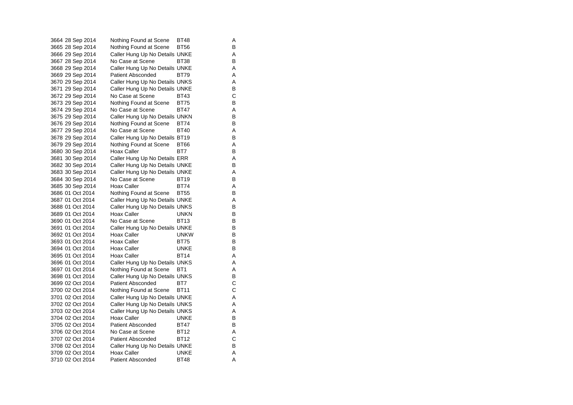3664 28 Sep 2014 Nothing Found at Scene BT48 A<br>3665 28 Sep 2014 Nothing Found at Scene BT56 B Nothing Found at Scene BT56 B 3666 29 Sep 2014 Caller Hung Up No Details UNKE 3667 28 Sep 2014 No Case at Scene BT38 B 3668 29 Sep 2014 Caller Hung Up No Details UNKE A 3669 29 Sep 2014 Patient Absconded BT79 A 3670 29 Sep 2014 Caller Hung Up No Details UNKS A 3671 29 Sep 2014 Caller Hung Up No Details UNKE<br>3672 29 Sep 2014 No Case at Scene BT43 C 3672 29 Sep 2014 No Case at Scene BT43 C<br>3673 29 Sep 2014 Nothing Found at Scene BT75 B Nothing Found at Scene 3674 29 Sep 2014 No Case at Scene BT47 A 3675 29 Sep 2014 Caller Hung Up No Details UNKN B<br>3676 29 Sep 2014 Nothing Found at Scene BT74 B Nothing Found at Scene BT74 3677 29 Sep 2014 No Case at Scene BT40 A 3678 29 Sep 2014 Caller Hung Up No Details BT19 B 3679 29 Sep 2014 Nothing Found at Scene BT66 A 3680 30 Sep 2014 Hoax Caller BT7 B 3681 30 Sep 2014 Caller Hung Up No Details ERR A 3682 30 Sep 2014 Caller Hung Up No Details UNKE B 3683 30 Sep 2014 Caller Hung Up No Details UNKE 3684 30 Sep 2014 No Case at Scene BT19 B 3685 30 Sep 2014 Hoax Caller BT74 A 3686 01 Oct 2014 Nothing Found at Scene BT55 3687 01 Oct 2014 Caller Hung Up No Details UNKE A 3688 01 Oct 2014 Caller Hung Up No Details UNKS B 3689 01 Oct 2014 Hoax Caller **Hoax Caller** UNKN B 3690 01 Oct 2014 No Case at Scene BT13 3691 01 Oct 2014 Caller Hung Up No Details UNKE 3692 01 Oct 2014 Hoax Caller UNKW B 3693 01 Oct 2014 Hoax Caller BT75 B 3694 01 Oct 2014 Hoax Caller UNKE B 3695 01 Oct 2014 Hoax Caller BT14 3696 01 Oct 2014 Caller Hung Up No Details UNKS A 3697 01 Oct 2014 Nothing Found at Scene BT1 A 3698 01 Oct 2014 Caller Hung Up No Details UNKS B<br>3699 02 Oct 2014 Patient Absconded BT7 C 3699 02 Oct 2014 Patient Absconded 3700 02 Oct 2014 Nothing Found at Scene BT11 C 3701 02 Oct 2014 Caller Hung Up No Details UNKE A 3702 02 Oct 2014 Caller Hung Up No Details UNKS A 3703 02 Oct 2014 Caller Hung Up No Details UNKS<br>3704 02 Oct 2014 Hoax Caller UNKE UNKE 3704 02 Oct 2014 3705 02 Oct 2014 Patient Absconded BT47 B 3706 02 Oct 2014 No Case at Scene BT12 A 3707 02 Oct 2014 Patient Absconded BT12 C 3708 02 Oct 2014 Caller Hung Up No Details UNKE B 3709 02 Oct 2014 Hoax Caller UNKE A 3710 02 Oct 2014 Patient Absconded BT48 A

B<br>B

 $\mathsf{A}$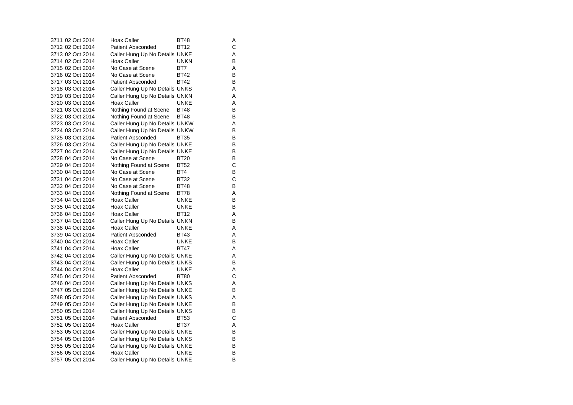| 3711 02 Oct 2014 | <b>Hoax Caller</b>             | BT48        | Α |
|------------------|--------------------------------|-------------|---|
| 3712 02 Oct 2014 | Patient Absconded              | <b>BT12</b> | Ċ |
| 3713 02 Oct 2014 | Caller Hung Up No Details UNKE |             | A |
| 3714 02 Oct 2014 | Hoax Caller                    | <b>UNKN</b> | B |
| 3715 02 Oct 2014 | No Case at Scene               | BT7         | Α |
| 3716 02 Oct 2014 | No Case at Scene               | <b>BT42</b> | В |
| 3717 03 Oct 2014 | <b>Patient Absconded</b>       | <b>BT42</b> | B |
| 3718 03 Oct 2014 | Caller Hung Up No Details UNKS |             | Α |
| 3719 03 Oct 2014 | Caller Hung Up No Details UNKN |             | Α |
| 3720 03 Oct 2014 | Hoax Caller                    | <b>UNKE</b> | Α |
| 3721 03 Oct 2014 | Nothing Found at Scene         | <b>BT48</b> | В |
| 3722 03 Oct 2014 | Nothing Found at Scene         | <b>BT48</b> | B |
| 3723 03 Oct 2014 | Caller Hung Up No Details UNKW |             | A |
| 3724 03 Oct 2014 | Caller Hung Up No Details UNKW |             | B |
| 3725 03 Oct 2014 | <b>Patient Absconded</b>       | <b>BT35</b> | B |
| 3726 03 Oct 2014 | Caller Hung Up No Details UNKE |             | В |
| 3727 04 Oct 2014 | Caller Hung Up No Details UNKE |             | B |
| 3728 04 Oct 2014 | No Case at Scene               | BT20        | В |
| 3729 04 Oct 2014 | Nothing Found at Scene         | <b>BT52</b> | С |
| 3730 04 Oct 2014 | No Case at Scene               | BT4         | В |
| 3731 04 Oct 2014 | No Case at Scene               | <b>BT32</b> | С |
| 3732 04 Oct 2014 | No Case at Scene               | <b>BT48</b> | B |
| 3733 04 Oct 2014 | Nothing Found at Scene         | BT78        | A |
| 3734 04 Oct 2014 | Hoax Caller                    | <b>UNKE</b> | В |
| 3735 04 Oct 2014 | Hoax Caller                    | UNKE        | В |
| 3736 04 Oct 2014 | Hoax Caller                    | BT12        | Α |
| 3737 04 Oct 2014 | Caller Hung Up No Details UNKN |             | B |
| 3738 04 Oct 2014 | <b>Hoax Caller</b>             | <b>UNKE</b> | Α |
| 3739 04 Oct 2014 | Patient Absconded              | <b>BT43</b> | Α |
| 3740 04 Oct 2014 | Hoax Caller                    | UNKE        | B |
| 3741 04 Oct 2014 | Hoax Caller                    | BT47        | Α |
| 3742 04 Oct 2014 | Caller Hung Up No Details UNKE |             | Α |
| 3743 04 Oct 2014 | Caller Hung Up No Details UNKS |             | В |
| 3744 04 Oct 2014 | Hoax Caller                    | UNKE        | Α |
| 3745 04 Oct 2014 | <b>Patient Absconded</b>       | <b>BT80</b> | C |
| 3746 04 Oct 2014 | Caller Hung Up No Details UNKS |             | Α |
| 3747 05 Oct 2014 | Caller Hung Up No Details UNKE |             | B |
| 3748 05 Oct 2014 | Caller Hung Up No Details UNKS |             | A |
| 3749 05 Oct 2014 | Caller Hung Up No Details UNKE |             | В |
| 3750 05 Oct 2014 | Caller Hung Up No Details UNKS |             | В |
| 3751 05 Oct 2014 | <b>Patient Absconded</b>       | BT53        | С |
| 3752 05 Oct 2014 | Hoax Caller                    | <b>BT37</b> | Α |
| 3753 05 Oct 2014 | Caller Hung Up No Details UNKE |             | В |
| 3754 05 Oct 2014 | Caller Hung Up No Details UNKS |             | В |
| 3755 05 Oct 2014 | Caller Hung Up No Details UNKE |             | В |
| 3756 05 Oct 2014 | Hoax Caller                    | UNKE        | В |
| 3757 05 Oct 2014 | Caller Hung Up No Details UNKE |             | B |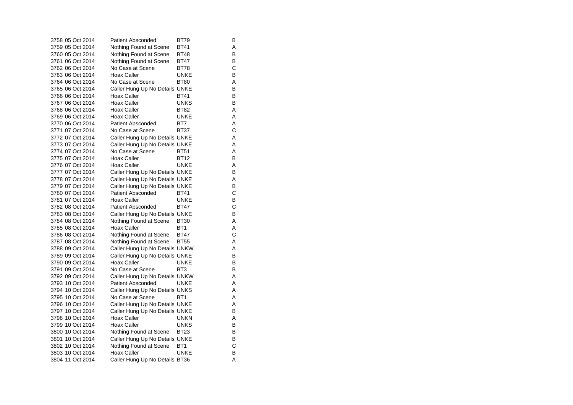| 3758 05 Oct 2014 | <b>Patient Absconded</b>       | BT79            | в |
|------------------|--------------------------------|-----------------|---|
| 3759 05 Oct 2014 | Nothing Found at Scene         | <b>BT41</b>     | Α |
| 3760 05 Oct 2014 | Nothing Found at Scene         | BT48            | в |
| 3761 06 Oct 2014 | Nothing Found at Scene         | BT47            | в |
| 3762 06 Oct 2014 | No Case at Scene               | <b>BT78</b>     | С |
| 3763 06 Oct 2014 | Hoax Caller                    | <b>UNKE</b>     | В |
| 3764 06 Oct 2014 | No Case at Scene               | <b>BT80</b>     | Α |
| 3765 06 Oct 2014 | Caller Hung Up No Details UNKE |                 | В |
| 3766 06 Oct 2014 | Hoax Caller                    | <b>BT41</b>     | в |
| 3767 06 Oct 2014 | <b>Hoax Caller</b>             | <b>UNKS</b>     | В |
| 3768 06 Oct 2014 | Hoax Caller                    | <b>BT82</b>     | Α |
| 3769 06 Oct 2014 | Hoax Caller                    | <b>UNKE</b>     | Α |
| 3770 06 Oct 2014 | <b>Patient Absconded</b>       | BT7             | Α |
| 3771 07 Oct 2014 | No Case at Scene               | <b>BT37</b>     | С |
| 3772 07 Oct 2014 | Caller Hung Up No Details UNKE |                 | Α |
| 3773 07 Oct 2014 | Caller Hung Up No Details UNKE |                 | Α |
| 3774 07 Oct 2014 | No Case at Scene               | <b>BT51</b>     | Α |
| 3775 07 Oct 2014 | Hoax Caller                    | <b>BT12</b>     | В |
| 3776 07 Oct 2014 | Hoax Caller                    | <b>UNKE</b>     | Α |
| 3777 07 Oct 2014 | Caller Hung Up No Details UNKE |                 | в |
| 3778 07 Oct 2014 | Caller Hung Up No Details UNKE |                 | Α |
| 3779 07 Oct 2014 | Caller Hung Up No Details UNKE |                 | В |
| 3780 07 Oct 2014 | <b>Patient Absconded</b>       | <b>BT41</b>     | C |
| 3781 07 Oct 2014 | Hoax Caller                    | <b>UNKE</b>     | В |
| 3782 08 Oct 2014 | <b>Patient Absconded</b>       | <b>BT47</b>     | С |
| 3783 08 Oct 2014 | Caller Hung Up No Details UNKE |                 | B |
| 3784 08 Oct 2014 | Nothing Found at Scene         | BT30            | Α |
| 3785 08 Oct 2014 | Hoax Caller                    | BT <sub>1</sub> | Α |
| 3786 08 Oct 2014 | Nothing Found at Scene         | <b>BT47</b>     | C |
| 3787 08 Oct 2014 | Nothing Found at Scene         | <b>BT55</b>     | Α |
| 3788 09 Oct 2014 | Caller Hung Up No Details UNKW |                 | A |
| 3789 09 Oct 2014 | Caller Hung Up No Details UNKE |                 | В |
| 3790 09 Oct 2014 | <b>Hoax Caller</b>             | UNKE            | в |
| 3791 09 Oct 2014 | No Case at Scene               | BT <sub>3</sub> | В |
| 3792 09 Oct 2014 | Caller Hung Up No Details UNKW |                 | Α |
| 3793 10 Oct 2014 | Patient Absconded              | <b>UNKE</b>     | A |
| 3794 10 Oct 2014 | Caller Hung Up No Details UNKS |                 | Α |
| 3795 10 Oct 2014 | No Case at Scene               | BT <sub>1</sub> | Α |
| 3796 10 Oct 2014 | Caller Hung Up No Details UNKE |                 | A |
| 3797 10 Oct 2014 | Caller Hung Up No Details UNKE |                 | в |
| 3798 10 Oct 2014 | <b>Hoax Caller</b>             | <b>UNKN</b>     | Α |
| 3799 10 Oct 2014 | <b>Hoax Caller</b>             | <b>UNKS</b>     | в |
| 3800 10 Oct 2014 | Nothing Found at Scene         | BT23            | в |
| 3801 10 Oct 2014 | Caller Hung Up No Details UNKE |                 | В |
| 3802 10 Oct 2014 | Nothing Found at Scene         | BT <sub>1</sub> | С |
| 3803 10 Oct 2014 | Hoax Caller                    | <b>UNKE</b>     | В |
| 3804 11 Oct 2014 | Caller Hung Up No Details BT36 |                 | A |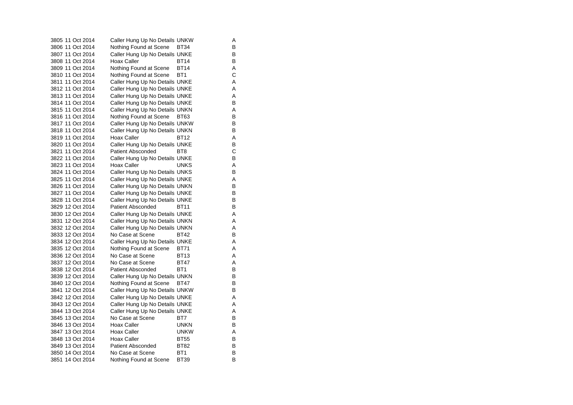3805 11 Oct 2014 Caller Hung Up No Details UNKW A 3806 11 Oct 2014 Nothing Found at Scene BT34 B 3807 11 Oct 2014 Caller Hung Up No Details UNKE 3808 11 Oct 2014 Hoax Caller BT14 B 3809 11 Oct 2014 Nothing Found at Scene BT14 A 3810 11 Oct 2014 Nothing Found at Scene BT1 C 3811 11 Oct 2014 Caller Hung Up No Details UNKE A 3812 11 Oct 2014 Caller Hung Up No Details UNKE 3813 11 Oct 2014 Caller Hung Up No Details UNKE<br>3814 11 Oct 2014 Caller Hung Up No Details UNKE 3814 11 Oct 2014 Caller Hung Up No Details UNKE 3815 11 Oct 2014 Caller Hung Up No Details UNKN A 3816 11 Oct 2014 Nothing Found at Scene BT63 B<br>3817 11 Oct 2014 Caller Hung Up No Details UNKW B 3817 11 Oct 2014 Caller Hung Up No Details UNKW 3818 11 Oct 2014 Caller Hung Up No Details UNKN B 3819 11 Oct 2014 Hoax Caller BT12 A 3820 11 Oct 2014 Caller Hung Up No Details UNKE B 3821 11 Oct 2014 Patient Absconded BT8  $\frac{C}{B}$ 3822 11 Oct 2014 Caller Hung Up No Details UNKE 3823 11 Oct 2014 Hoax Caller UNKS A 3824 11 Oct 2014 Caller Hung Up No Details UNKS B 3825 11 Oct 2014 Caller Hung Up No Details UNKE 3826 11 Oct 2014 Caller Hung Up No Details UNKN B<br>3827 11 Oct 2014 Caller Hung Up No Details UNKE 3827 11 Oct 2014 Caller Hung Up No Details UNKE 3828 11 Oct 2014 Caller Hung Up No Details UNKE B 3829 12 Oct 2014 Patient Absconded BT11 B 3830 12 Oct 2014 Caller Hung Up No Details UNKE 3831 12 Oct 2014 Caller Hung Up No Details UNKN A 3832 12 Oct 2014 Caller Hung Up No Details UNKN A 3833 12 Oct 2014 No Case at Scene BT42 B 3834 12 Oct 2014 Caller Hung Up No Details UNKE 3835 12 Oct 2014 Nothing Found at Scene BT71 A 3836 12 Oct 2014 No Case at Scene BT13  $\mathsf{A}$ 3837 12 Oct 2014 No Case at Scene BT47 A 3838 12 Oct 2014 Patient Absconded BT1 B 3839 12 Oct 2014 Caller Hung Up No Details UNKN B<br>3840 12 Oct 2014 Nothing Found at Scene BT47 B 3840 12 Oct 2014 Nothing Found at Scene BT47 3841 12 Oct 2014 Caller Hung Up No Details UNKW B 3842 12 Oct 2014 Caller Hung Up No Details UNKE A 3843 12 Oct 2014 Caller Hung Up No Details UNKE 3844 13 Oct 2014 Caller Hung Up No Details UNKE<br>3845 13 Oct 2014 No Case at Scene BT7 B No Case at Scene BT7 3846 13 Oct 2014 Hoax Caller UNKN B 3847 13 Oct 2014 Hoax Caller **UNKW** A 3848 13 Oct 2014 Hoax Caller BT55 B 3849 13 Oct 2014 Patient Absconded BT82 B 3850 14 Oct 2014 No Case at Scene BT1 B 3851 14 Oct 2014 Nothing Found at Scene BT39 B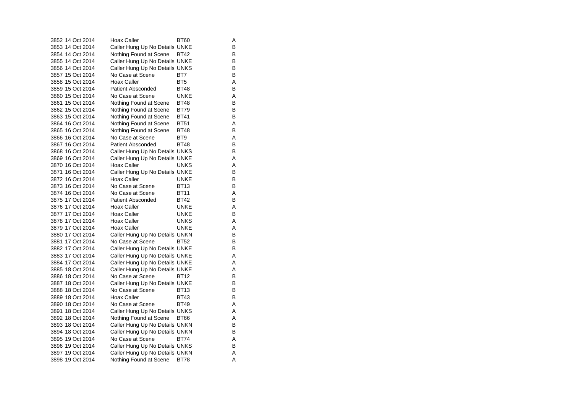| 3852 14 Oct 2014 | Hoax Caller                    | BT60            | Α |
|------------------|--------------------------------|-----------------|---|
| 3853 14 Oct 2014 | Caller Hung Up No Details UNKE |                 | В |
| 3854 14 Oct 2014 | Nothing Found at Scene         | BT42            | в |
| 3855 14 Oct 2014 | Caller Hung Up No Details UNKE |                 | в |
| 3856 14 Oct 2014 | Caller Hung Up No Details UNKS |                 | B |
| 3857 15 Oct 2014 | No Case at Scene               | BT7             | B |
| 3858 15 Oct 2014 | Hoax Caller                    | BT <sub>5</sub> | Α |
| 3859 15 Oct 2014 | <b>Patient Absconded</b>       | <b>BT48</b>     | B |
| 3860 15 Oct 2014 | No Case at Scene               | <b>UNKE</b>     | A |
| 3861 15 Oct 2014 | Nothing Found at Scene         | <b>BT48</b>     | в |
| 3862 15 Oct 2014 | Nothing Found at Scene         | <b>BT79</b>     | B |
| 3863 15 Oct 2014 | Nothing Found at Scene         | <b>BT41</b>     | B |
| 3864 16 Oct 2014 | Nothing Found at Scene         | <b>BT51</b>     | Α |
| 3865 16 Oct 2014 | Nothing Found at Scene         | <b>BT48</b>     | B |
| 3866 16 Oct 2014 | No Case at Scene               | BT <sub>9</sub> | Α |
| 3867 16 Oct 2014 | <b>Patient Absconded</b>       | <b>BT48</b>     | B |
| 3868 16 Oct 2014 | Caller Hung Up No Details UNKS |                 | В |
| 3869 16 Oct 2014 | Caller Hung Up No Details UNKE |                 | Α |
| 3870 16 Oct 2014 | Hoax Caller                    | UNKS            | A |
| 3871 16 Oct 2014 | Caller Hung Up No Details UNKE |                 | B |
| 3872 16 Oct 2014 | Hoax Caller                    | <b>UNKE</b>     | B |
| 3873 16 Oct 2014 | No Case at Scene               | <b>BT13</b>     | В |
| 3874 16 Oct 2014 | No Case at Scene               | <b>BT11</b>     | A |
| 3875 17 Oct 2014 | <b>Patient Absconded</b>       | <b>BT42</b>     | В |
| 3876 17 Oct 2014 | Hoax Caller                    | UNKE            | Α |
| 3877 17 Oct 2014 | Hoax Caller                    | <b>UNKE</b>     | B |
| 3878 17 Oct 2014 | Hoax Caller                    | <b>UNKS</b>     | A |
| 3879 17 Oct 2014 | <b>Hoax Caller</b>             | <b>UNKE</b>     | Α |
| 3880 17 Oct 2014 | Caller Hung Up No Details UNKN |                 | B |
| 3881 17 Oct 2014 | No Case at Scene               | <b>BT52</b>     | В |
| 3882 17 Oct 2014 | Caller Hung Up No Details UNKE |                 | в |
| 3883 17 Oct 2014 | Caller Hung Up No Details UNKE |                 | A |
| 3884 17 Oct 2014 | Caller Hung Up No Details UNKE |                 | Α |
| 3885 18 Oct 2014 | Caller Hung Up No Details UNKE |                 | A |
| 3886 18 Oct 2014 | No Case at Scene               | BT12            | B |
| 3887 18 Oct 2014 | Caller Hung Up No Details UNKE |                 | в |
| 3888 18 Oct 2014 | No Case at Scene               | <b>BT13</b>     | В |
| 3889 18 Oct 2014 | <b>Hoax Caller</b>             | <b>BT43</b>     | B |
| 3890 18 Oct 2014 | No Case at Scene               | <b>BT49</b>     | Α |
| 3891 18 Oct 2014 | Caller Hung Up No Details UNKS |                 | A |
| 3892 18 Oct 2014 | Nothing Found at Scene         | <b>BT66</b>     | Α |
| 3893 18 Oct 2014 | Caller Hung Up No Details UNKN |                 | в |
| 3894 18 Oct 2014 | Caller Hung Up No Details UNKN |                 | B |
| 3895 19 Oct 2014 | No Case at Scene               | <b>BT74</b>     | A |
| 3896 19 Oct 2014 | Caller Hung Up No Details UNKS |                 | В |
| 3897 19 Oct 2014 | Caller Hung Up No Details UNKN |                 | A |
| 3898 19 Oct 2014 | Nothing Found at Scene         | <b>BT78</b>     | A |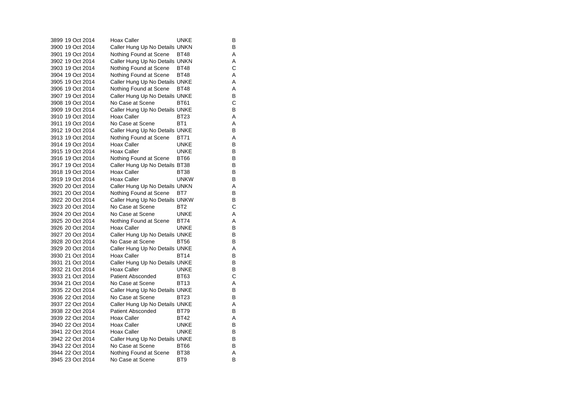3899 19 Oct 2014 Hoax Caller **Hoax Caller** UNKE B 3900 19 Oct 2014 Caller Hung Up No Details UNKN 3901 19 Oct 2014 Nothing Found at Scene BT48 A 3902 19 Oct 2014 Caller Hung Up No Details UNKN A<br>3903 19 Oct 2014 Nothing Found at Scene BT48 3903 19 Oct 2014 Nothing Found at Scene BT48 3904 19 Oct 2014 Nothing Found at Scene BT48 A 3905 19 Oct 2014 Caller Hung Up No Details UNKE A 3906 19 Oct 2014 Nothing Found at Scene BT48 A<br>3907 19 Oct 2014 Caller Hung Up No Details UNKE 3907 19 Oct 2014 Caller Hung Up No Details UNKE<br>3908 19 Oct 2014 No Case at Scene BT61 C 3908 19 Oct 2014 No Case at Scene 3909 19 Oct 2014 Caller Hung Up No Details UNKE B 3910 19 Oct 2014 Hoax Caller BT23 A 3911 19 Oct 2014 No Case at Scene BT1 A 3912 19 Oct 2014 Caller Hung Up No Details UNKE B 3913 19 Oct 2014 Nothing Found at Scene BT71 A 3914 19 Oct 2014 Hoax Caller UNKE B 3915 19 Oct 2014 Hoax Caller **UNKE** B 3916 19 Oct 2014 Nothing Found at Scene BT66 B 3917 19 Oct 2014 Caller Hung Up No Details BT38 B 3918 19 Oct 2014 Hoax Caller BT38 B 3919 19 Oct 2014 Hoax Caller UNKW B3920 20 Oct 2014 Caller Hung Up No Details UNKN A<br>3921 20 Oct 2014 Nothing Found at Scene BT7 B Nothing Found at Scene BT7 3922 20 Oct 2014 Caller Hung Up No Details UNKW B 3923 20 Oct 2014 No Case at Scene BT2 C 3924 20 Oct 2014 No Case at Scene UNKE A3925 20 Oct 2014 Nothing Found at Scene BT74 A<br>3926 20 Oct 2014 Hoax Caller UNKE B 3926 20 Oct 2014 Hoax Caller 3927 20 Oct 2014 Caller Hung Up No Details UNKE 3928 20 Oct 2014 No Case at Scene BT56 3929 20 Oct 2014 Caller Hung Up No Details UNKE 3930 21 Oct 2014 Hoax Caller BT14 3931 21 Oct 2014 Caller Hung Up No Details UNKE B 3932 21 Oct 2014 Hoax Caller **UNKE** B 3933 21 Oct 2014 Patient Absconded BT63 3934 21 Oct 2014 No Case at Scene BT13 A3935 22 Oct 2014 Caller Hung Up No Details UNKE B 3936 22 Oct 2014 No Case at Scene BT23 3937 22 Oct 2014 Caller Hung Up No Details UNKE 3938 22 Oct 2014 Patient Absconded BT79 B 3939 22 Oct 2014 Hoax Caller BT42 A 3940 22 Oct 2014 Hoax Caller UNKE B 3941 22 Oct 2014 Hoax Caller **UNKE** B 3942 22 Oct 2014 Caller Hung Up No Details UNKE B 3943 22 Oct 2014 No Case at Scene BT66 BT66 3944 22 Oct 2014 Nothing Found at Scene BT38 A 3945 23 Oct 2014 No Case at Scene BT9 BT9

 $\mathsf{B}$ 

 $\, {\sf B}$ 

 $\, {\sf B}$ 

 $\rm C$ <br>A

 $\, {\sf B}$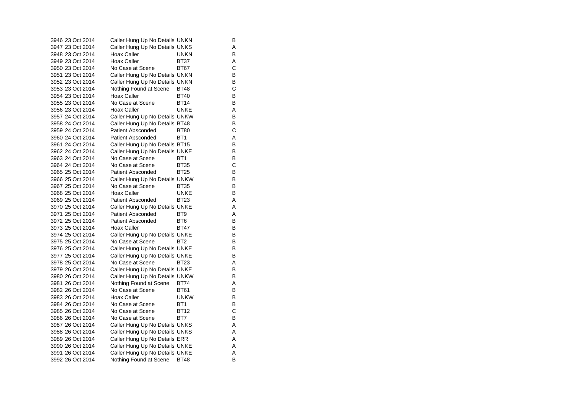| 3946 23 Oct 2014 | Caller Hung Up No Details UNKN |                 | В |
|------------------|--------------------------------|-----------------|---|
| 3947 23 Oct 2014 | Caller Hung Up No Details UNKS |                 | A |
| 3948 23 Oct 2014 | Hoax Caller                    | <b>UNKN</b>     | B |
| 3949 23 Oct 2014 | <b>Hoax Caller</b>             | <b>BT37</b>     | Α |
| 3950 23 Oct 2014 | No Case at Scene               | <b>BT67</b>     | Ċ |
| 3951 23 Oct 2014 | Caller Hung Up No Details UNKN |                 | B |
| 3952 23 Oct 2014 | Caller Hung Up No Details UNKN |                 | В |
| 3953 23 Oct 2014 | Nothing Found at Scene         | <b>BT48</b>     | С |
| 3954 23 Oct 2014 | Hoax Caller                    | <b>BT40</b>     | В |
| 3955 23 Oct 2014 | No Case at Scene               | <b>BT14</b>     | В |
| 3956 23 Oct 2014 | Hoax Caller                    | <b>UNKE</b>     | Α |
| 3957 24 Oct 2014 | Caller Hung Up No Details UNKW |                 | B |
| 3958 24 Oct 2014 | Caller Hung Up No Details BT48 |                 | В |
| 3959 24 Oct 2014 | <b>Patient Absconded</b>       | <b>BT80</b>     | С |
| 3960 24 Oct 2014 | <b>Patient Absconded</b>       | BT <sub>1</sub> | Α |
| 3961 24 Oct 2014 | Caller Hung Up No Details BT15 |                 | B |
| 3962 24 Oct 2014 | Caller Hung Up No Details UNKE |                 | B |
| 3963 24 Oct 2014 | No Case at Scene               | BT1             | В |
| 3964 24 Oct 2014 | No Case at Scene               | <b>BT35</b>     | С |
| 3965 25 Oct 2014 | <b>Patient Absconded</b>       | <b>BT25</b>     | B |
| 3966 25 Oct 2014 | Caller Hung Up No Details UNKW |                 | В |
| 3967 25 Oct 2014 | No Case at Scene               | <b>BT35</b>     | B |
| 3968 25 Oct 2014 | Hoax Caller                    | <b>UNKE</b>     | B |
| 3969 25 Oct 2014 | <b>Patient Absconded</b>       | BT23            | Α |
| 3970 25 Oct 2014 | Caller Hung Up No Details UNKE |                 | A |
| 3971 25 Oct 2014 | Patient Absconded              | BT9             | Α |
| 3972 25 Oct 2014 | <b>Patient Absconded</b>       | BT <sub>6</sub> | B |
| 3973 25 Oct 2014 | Hoax Caller                    | <b>BT47</b>     | В |
| 3974 25 Oct 2014 | Caller Hung Up No Details UNKE |                 | В |
| 3975 25 Oct 2014 | No Case at Scene               | BT <sub>2</sub> | B |
| 3976 25 Oct 2014 | Caller Hung Up No Details UNKE |                 | В |
| 3977 25 Oct 2014 | Caller Hung Up No Details UNKE |                 | B |
| 3978 25 Oct 2014 | No Case at Scene               | <b>BT23</b>     | Α |
| 3979 26 Oct 2014 | Caller Hung Up No Details UNKE |                 | B |
| 3980 26 Oct 2014 | Caller Hung Up No Details UNKW |                 | В |
| 3981 26 Oct 2014 | Nothing Found at Scene         | <b>BT74</b>     | Α |
| 3982 26 Oct 2014 | No Case at Scene               | BT61            | B |
| 3983 26 Oct 2014 | Hoax Caller                    | <b>UNKW</b>     | в |
| 3984 26 Oct 2014 | No Case at Scene               | BT <sub>1</sub> | B |
| 3985 26 Oct 2014 | No Case at Scene               | <b>BT12</b>     | С |
| 3986 26 Oct 2014 | No Case at Scene               | BT7             | B |
| 3987 26 Oct 2014 | Caller Hung Up No Details UNKS |                 | Α |
| 3988 26 Oct 2014 | Caller Hung Up No Details UNKS |                 | Α |
| 3989 26 Oct 2014 | Caller Hung Up No Details ERR  |                 | A |
| 3990 26 Oct 2014 | Caller Hung Up No Details UNKE |                 | Α |
| 3991 26 Oct 2014 | Caller Hung Up No Details UNKE |                 | Α |
| 3992 26 Oct 2014 | Nothing Found at Scene         | <b>BT48</b>     | B |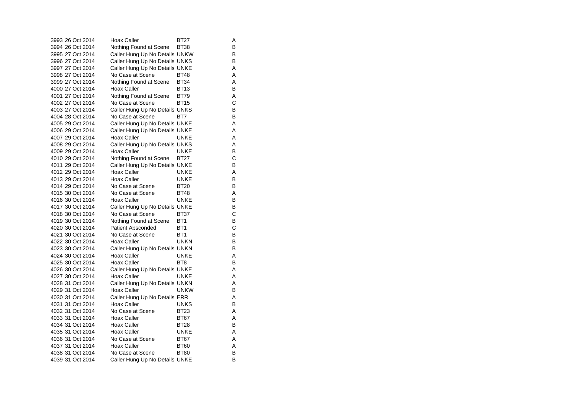|  | 3993 26 Oct 2014 | <b>Hoax Caller</b>             | BT27            | Α |
|--|------------------|--------------------------------|-----------------|---|
|  | 3994 26 Oct 2014 | Nothing Found at Scene         | BT38            | В |
|  | 3995 27 Oct 2014 | Caller Hung Up No Details UNKW |                 | В |
|  | 3996 27 Oct 2014 | Caller Hung Up No Details UNKS |                 | в |
|  | 3997 27 Oct 2014 | Caller Hung Up No Details UNKE |                 | A |
|  | 3998 27 Oct 2014 | No Case at Scene               | <b>BT48</b>     | A |
|  | 3999 27 Oct 2014 | Nothing Found at Scene         | <b>BT34</b>     | Α |
|  | 4000 27 Oct 2014 | Hoax Caller                    | <b>BT13</b>     | В |
|  | 4001 27 Oct 2014 | Nothing Found at Scene         | <b>BT79</b>     | Α |
|  | 4002 27 Oct 2014 | No Case at Scene               | <b>BT15</b>     | C |
|  | 4003 27 Oct 2014 | Caller Hung Up No Details UNKS |                 | В |
|  | 4004 28 Oct 2014 | No Case at Scene               | BT7             | В |
|  | 4005 29 Oct 2014 | Caller Hung Up No Details UNKE |                 | Α |
|  | 4006 29 Oct 2014 | Caller Hung Up No Details UNKE |                 | Α |
|  | 4007 29 Oct 2014 | Hoax Caller                    | <b>UNKE</b>     | A |
|  | 4008 29 Oct 2014 | Caller Hung Up No Details UNKS |                 | Α |
|  | 4009 29 Oct 2014 | <b>Hoax Caller</b>             | <b>UNKE</b>     | в |
|  | 4010 29 Oct 2014 | Nothing Found at Scene         | <b>BT27</b>     | C |
|  | 4011 29 Oct 2014 | Caller Hung Up No Details UNKE |                 | В |
|  | 4012 29 Oct 2014 | Hoax Caller                    | <b>UNKE</b>     | Α |
|  | 4013 29 Oct 2014 | Hoax Caller                    | <b>UNKE</b>     | B |
|  | 4014 29 Oct 2014 | No Case at Scene               | <b>BT20</b>     | В |
|  | 4015 30 Oct 2014 | No Case at Scene               | <b>BT48</b>     | A |
|  | 4016 30 Oct 2014 | Hoax Caller                    | <b>UNKE</b>     | В |
|  | 4017 30 Oct 2014 | Caller Hung Up No Details UNKE |                 | В |
|  | 4018 30 Oct 2014 | No Case at Scene               | BT37            | C |
|  | 4019 30 Oct 2014 | Nothing Found at Scene         | BT1             | B |
|  | 4020 30 Oct 2014 | Patient Absconded              | BT <sub>1</sub> | C |
|  | 4021 30 Oct 2014 | No Case at Scene               | BT <sub>1</sub> | B |
|  | 4022 30 Oct 2014 | Hoax Caller                    | <b>UNKN</b>     | в |
|  | 4023 30 Oct 2014 | Caller Hung Up No Details UNKN |                 | B |
|  | 4024 30 Oct 2014 | <b>Hoax Caller</b>             | <b>UNKE</b>     | Α |
|  | 4025 30 Oct 2014 | <b>Hoax Caller</b>             | BT8             | в |
|  | 4026 30 Oct 2014 | Caller Hung Up No Details UNKE |                 | A |
|  | 4027 30 Oct 2014 | <b>Hoax Caller</b>             | <b>UNKE</b>     | Α |
|  | 4028 31 Oct 2014 | Caller Hung Up No Details UNKN |                 | Α |
|  | 4029 31 Oct 2014 | <b>Hoax Caller</b>             | <b>UNKW</b>     | В |
|  | 4030 31 Oct 2014 | Caller Hung Up No Details ERR  |                 | Α |
|  | 4031 31 Oct 2014 | Hoax Caller                    | <b>UNKS</b>     | В |
|  | 4032 31 Oct 2014 | No Case at Scene               | <b>BT23</b>     | A |
|  | 4033 31 Oct 2014 | Hoax Caller                    | <b>BT67</b>     | Α |
|  | 4034 31 Oct 2014 | Hoax Caller                    | <b>BT28</b>     | В |
|  | 4035 31 Oct 2014 | Hoax Caller                    | <b>UNKE</b>     | A |
|  | 4036 31 Oct 2014 | No Case at Scene               | <b>BT67</b>     | A |
|  | 4037 31 Oct 2014 | <b>Hoax Caller</b>             | <b>BT60</b>     | A |
|  | 4038 31 Oct 2014 | No Case at Scene               | <b>BT80</b>     | B |
|  | 4039 31 Oct 2014 | Caller Hung Up No Details UNKE |                 | B |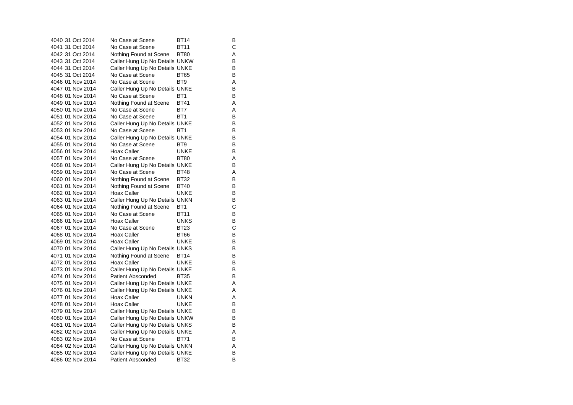4040 31 Oct 2014 No Case at Scene BT14 B 4041 31 Oct 2014 No Case at Scene BT11 4042 31 Oct 2014 Nothing Found at Scene BT80 A 4043 31 Oct 2014 Caller Hung Up No Details UNKW B<br>4044 31 Oct 2014 Caller Hung Up No Details UNKE 4044 31 Oct 2014 Caller Hung Up No Details UNKE 4045 31 Oct 2014 No Case at Scene BT65 B 4046 01 Nov 2014 No Case at Scene BT9 A 4047 01 Nov 2014 Caller Hung Up No Details UNKE B 4048 01 Nov 2014 No Case at Scene BT1 BT1 4049 01 Nov 2014 Nothing Found at Scene BT41 A 4050 01 Nov 2014 No Case at Scene BT7 A 4051 01 Nov 2014 No Case at Scene BT1 BT1 4052 01 Nov 2014 Caller Hung Up No Details UNKE B 4053 01 Nov 2014 No Case at Scene BT1 BT1 4054 01 Nov 2014 Caller Hung Up No Details UNKE B 4055 01 Nov 2014 No Case at Scene BT9 BT9 4056 01 Nov 2014 Hoax Caller **UNKE** B 4057 01 Nov 2014 No Case at Scene BT80 A 4058 01 Nov 2014 Caller Hung Up No Details UNKE B 4059 01 Nov 2014 No Case at Scene BT48 A 4060 01 Nov 2014 Nothing Found at Scene BT32 B 4061 01 Nov 2014 Nothing Found at Scene BT40 B<br>4062 01 Nov 2014 Hoax Caller BUNKE B 4062 01 Nov 2014 Hoax Caller UNKE 4063 01 Nov 2014 Caller Hung Up No Details UNKN B 4064 01 Nov 2014 Nothing Found at Scene BT1 C 4065 01 Nov 2014 No Case at Scene BT11 B 4066 01 Nov 2014 Hoax Caller **Hoax Hoax Hoax** Block 4067 01 Nov 2014 No Case at Scene BT23 4068 01 Nov 2014 Hoax Caller BT66 BT66 4069 01 Nov 2014 Hoax Caller UNKE 4070 01 Nov 2014 Caller Hung Up No Details UNKS B<br>4071 01 Nov 2014 Nothing Found at Scene BT14 B 4071 01 Nov 2014 Nothing Found at Scene BT14 4072 01 Nov 2014 Hoax Caller **Hoax Hoax Caller** 4073 01 Nov 2014 Caller Hung Up No Details UNKE B 4074 01 Nov 2014 Patient Absconded BT35 B 4075 01 Nov 2014 Caller Hung Up No Details UNKE A 4076 01 Nov 2014 Caller Hung Up No Details UNKE A 4077 01 Nov 2014 Hoax Caller UNKN 4078 01 Nov 2014 Hoax Caller **UNKE** B 4079 01 Nov 2014 Caller Hung Up No Details UNKE<br>4080 01 Nov 2014 Caller Hung Up No Details UNKW B Caller Hung Up No Details UNKW 4081 01 Nov 2014 Caller Hung Up No Details UNKS B 4082 02 Nov 2014 Caller Hung Up No Details UNKE 4083 02 Nov 2014 No Case at Scene BT71 B 4084 02 Nov 2014 Caller Hung Up No Details UNKN A<br>4085 02 Nov 2014 Caller Hung Up No Details UNKE 4085 02 Nov 2014 Caller Hung Up No Details UNKE 4086 02 Nov 2014 Patient Absconded BT32 B

 $\mathbf{C}$ 

 $_{\rm C}^{\rm B}$ 

 $\, {\bf B}$ 

A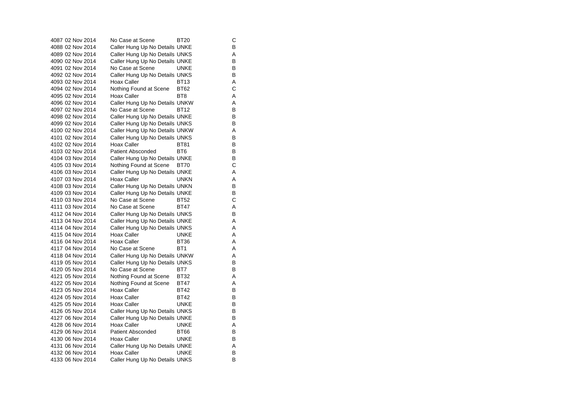4087 02 Nov 2014 No Case at Scene BT20 C 4088 02 Nov 2014 Caller Hung Up No Details UNKE 4089 02 Nov 2014 Caller Hung Up No Details UNKS A 4090 02 Nov 2014 Caller Hung Up No Details UNKE<br>4091 02 Nov 2014 No Case at Scene UNKE 4091 02 Nov 2014 No Case at Scene UNKE 4092 02 Nov 2014 Caller Hung Up No Details UNKS B 4093 02 Nov 2014 Hoax Caller BT13 A4094 02 Nov 2014 Nothing Found at Scene BT62 C 4095 02 Nov 2014 Hoax Caller BT8 A 4096 02 Nov 2014 Caller Hung Up No Details UNKW A 4097 02 Nov 2014 No Case at Scene BT12 B 4098 02 Nov 2014 Caller Hung Up No Details UNKE<br>4099 02 Nov 2014 Caller Hung Up No Details UNKS B 4099 02 Nov 2014 Caller Hung Up No Details UNKS 4100 02 Nov 2014 Caller Hung Up No Details UNKW A 4101 02 Nov 2014 Caller Hung Up No Details UNKS B 4102 02 Nov 2014 Hoax Caller BT81 BT81 B 4103 02 Nov 2014 Patient Absconded BT6 BT6 4104 03 Nov 2014 Caller Hung Up No Details UNKE B 4105 03 Nov 2014 Nothing Found at Scene BT70 C 4106 03 Nov 2014 Caller Hung Up No Details UNKE 4107 03 Nov 2014 Hoax Caller **Hoax UNKN** A 4108 03 Nov 2014 Caller Hung Up No Details UNKN B<br>4109 03 Nov 2014 Caller Hung Up No Details UNKE 4109 03 Nov 2014 Caller Hung Up No Details UNKE 4110 03 Nov 2014 No Case at Scene BT52 C 4111 03 Nov 2014 No Case at Scene BT47 A 4112 04 Nov 2014 Caller Hung Up No Details UNKS B 4113 04 Nov 2014 Caller Hung Up No Details UNKE A 4114 04 Nov 2014 Caller Hung Up No Details UNKS A 4115 04 Nov 2014 Hoax Caller **UNKE** A 4116 04 Nov 2014 Hoax Caller BT36 4117 04 Nov 2014 No Case at Scene BT1 A4118 04 Nov 2014 Caller Hung Up No Details UNKW A 4119 05 Nov 2014 Caller Hung Up No Details UNKS B 4120 05 Nov 2014 No Case at Scene BT7 BT7 4121 05 Nov 2014 Nothing Found at Scene BT32 A<br>4122 05 Nov 2014 Nothing Found at Scene BT47 A 4122 05 Nov 2014 Nothing Found at Scene BT47 4123 05 Nov 2014 Hoax Caller BT42 B 4124 05 Nov 2014 Hoax Caller BT42 4125 05 Nov 2014 Hoax Caller CONKE B 4126 05 Nov 2014 Caller Hung Up No Details UNKS B<br>4127 06 Nov 2014 Caller Hung Up No Details UNKE Caller Hung Up No Details UNKE 4128 06 Nov 2014 Hoax Caller UNKE UNKE A 4129 06 Nov 2014 Patient Absconded BT66 B 4130 06 Nov 2014 Hoax Caller UNKE B 4131 06 Nov 2014 Caller Hung Up No Details UNKE<br>4132 06 Nov 2014 Hoax Caller UNKE UNKE 4132 06 Nov 2014 Hoax Caller UNKE 4133 06 Nov 2014 Caller Hung Up No Details UNKS B

 $\mathsf{B}$ 

 $\mathsf{A}$ 

 $\, {\sf B}$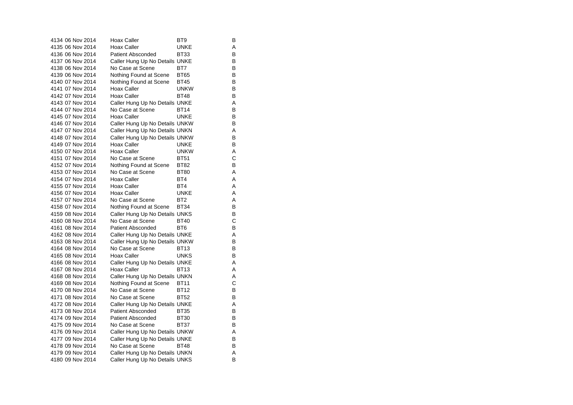| 4134 06 Nov 2014 | Hoax Caller                    | BT9             | В |
|------------------|--------------------------------|-----------------|---|
| 4135 06 Nov 2014 | <b>Hoax Caller</b>             | UNKE            | Α |
| 4136 06 Nov 2014 | Patient Absconded              | BT33            | В |
| 4137 06 Nov 2014 | Caller Hung Up No Details UNKE |                 | В |
| 4138 06 Nov 2014 | No Case at Scene               | BT7             | В |
| 4139 06 Nov 2014 | Nothing Found at Scene         | <b>BT65</b>     | в |
| 4140 07 Nov 2014 | Nothing Found at Scene         | <b>BT45</b>     | в |
| 4141 07 Nov 2014 | Hoax Caller                    | <b>UNKW</b>     | В |
| 4142 07 Nov 2014 | Hoax Caller                    | <b>BT48</b>     | В |
| 4143 07 Nov 2014 | Caller Hung Up No Details UNKE |                 | Α |
| 4144 07 Nov 2014 | No Case at Scene               | <b>BT14</b>     | в |
| 4145 07 Nov 2014 | Hoax Caller                    | <b>UNKE</b>     | В |
| 4146 07 Nov 2014 | Caller Hung Up No Details UNKW |                 | в |
| 4147 07 Nov 2014 | Caller Hung Up No Details UNKN |                 | Α |
| 4148 07 Nov 2014 | Caller Hung Up No Details UNKW |                 | в |
| 4149 07 Nov 2014 | Hoax Caller                    | <b>UNKE</b>     | В |
| 4150 07 Nov 2014 | Hoax Caller                    | <b>UNKW</b>     | Α |
| 4151 07 Nov 2014 | No Case at Scene               | <b>BT51</b>     | С |
| 4152 07 Nov 2014 | Nothing Found at Scene         | <b>BT82</b>     | В |
| 4153 07 Nov 2014 | No Case at Scene               | <b>BT80</b>     | Α |
| 4154 07 Nov 2014 | Hoax Caller                    | BT4             | Α |
| 4155 07 Nov 2014 | Hoax Caller                    | BT4             | Α |
| 4156 07 Nov 2014 | Hoax Caller                    | <b>UNKE</b>     | Α |
| 4157 07 Nov 2014 | No Case at Scene               | BT <sub>2</sub> | Α |
| 4158 07 Nov 2014 | Nothing Found at Scene         | <b>BT34</b>     | В |
| 4159 08 Nov 2014 | Caller Hung Up No Details UNKS |                 | В |
| 4160 08 Nov 2014 | No Case at Scene               | <b>BT40</b>     | С |
| 4161 08 Nov 2014 | Patient Absconded              | BT6             | в |
| 4162 08 Nov 2014 | Caller Hung Up No Details UNKE |                 | A |
| 4163 08 Nov 2014 | Caller Hung Up No Details UNKW |                 | в |
| 4164 08 Nov 2014 | No Case at Scene               | <b>BT13</b>     | В |
| 4165 08 Nov 2014 | Hoax Caller                    | UNKS            | В |
| 4166 08 Nov 2014 | Caller Hung Up No Details UNKE |                 | Α |
| 4167 08 Nov 2014 | Hoax Caller                    | <b>BT13</b>     | Α |
| 4168 08 Nov 2014 | Caller Hung Up No Details UNKN |                 | Α |
| 4169 08 Nov 2014 | Nothing Found at Scene         | <b>BT11</b>     | C |
| 4170 08 Nov 2014 | No Case at Scene               | <b>BT12</b>     | В |
| 4171 08 Nov 2014 | No Case at Scene               | <b>BT52</b>     | В |
| 4172 08 Nov 2014 | Caller Hung Up No Details UNKE |                 | Α |
| 4173 08 Nov 2014 | <b>Patient Absconded</b>       | <b>BT35</b>     | в |
| 4174 09 Nov 2014 | <b>Patient Absconded</b>       | <b>BT30</b>     | В |
| 4175 09 Nov 2014 | No Case at Scene               | <b>BT37</b>     | в |
| 4176 09 Nov 2014 | Caller Hung Up No Details UNKW |                 | Α |
| 4177 09 Nov 2014 | Caller Hung Up No Details UNKE |                 | в |
| 4178 09 Nov 2014 | No Case at Scene               | <b>BT48</b>     | В |
| 4179 09 Nov 2014 | Caller Hung Up No Details UNKN |                 | A |
| 4180 09 Nov 2014 | Caller Hung Up No Details UNKS |                 | в |
|                  |                                |                 |   |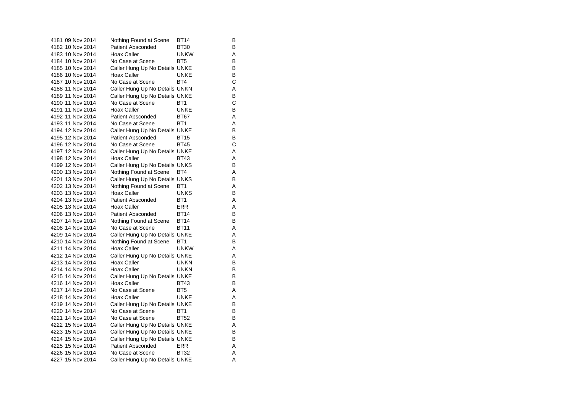| 4181 09 Nov 2014 | Nothing Found at Scene         | <b>BT14</b>     | В |
|------------------|--------------------------------|-----------------|---|
| 4182 10 Nov 2014 | <b>Patient Absconded</b>       | BT30            | в |
| 4183 10 Nov 2014 | Hoax Caller                    | <b>UNKW</b>     | Α |
| 4184 10 Nov 2014 | No Case at Scene               | BT <sub>5</sub> | В |
| 4185 10 Nov 2014 | Caller Hung Up No Details UNKE |                 | B |
| 4186 10 Nov 2014 | Hoax Caller                    | <b>UNKE</b>     | В |
| 4187 10 Nov 2014 | No Case at Scene               | BT4             | С |
| 4188 11 Nov 2014 | Caller Hung Up No Details UNKN |                 | Α |
| 4189 11 Nov 2014 | Caller Hung Up No Details UNKE |                 | B |
| 4190 11 Nov 2014 | No Case at Scene               | BT <sub>1</sub> | C |
| 4191 11 Nov 2014 | Hoax Caller                    | <b>UNKE</b>     | B |
| 4192 11 Nov 2014 | <b>Patient Absconded</b>       | <b>BT67</b>     | Α |
| 4193 11 Nov 2014 | No Case at Scene               | BT <sub>1</sub> | Α |
| 4194 12 Nov 2014 | Caller Hung Up No Details UNKE |                 | B |
| 4195 12 Nov 2014 | <b>Patient Absconded</b>       | <b>BT15</b>     | В |
| 4196 12 Nov 2014 | No Case at Scene               | <b>BT45</b>     | C |
| 4197 12 Nov 2014 | Caller Hung Up No Details UNKE |                 | Α |
| 4198 12 Nov 2014 | Hoax Caller                    | <b>BT43</b>     | A |
| 4199 12 Nov 2014 | Caller Hung Up No Details UNKS |                 | В |
| 4200 13 Nov 2014 | Nothing Found at Scene         | BT4             | A |
| 4201 13 Nov 2014 | Caller Hung Up No Details UNKS |                 | B |
| 4202 13 Nov 2014 | Nothing Found at Scene         | BT <sub>1</sub> | Α |
| 4203 13 Nov 2014 | Hoax Caller                    | <b>UNKS</b>     | В |
| 4204 13 Nov 2014 | <b>Patient Absconded</b>       | BT <sub>1</sub> | Α |
| 4205 13 Nov 2014 | Hoax Caller                    | <b>ERR</b>      | Α |
| 4206 13 Nov 2014 | Patient Absconded              | <b>BT14</b>     | B |
| 4207 14 Nov 2014 | Nothing Found at Scene         | <b>BT14</b>     | В |
| 4208 14 Nov 2014 | No Case at Scene               | <b>BT11</b>     | Α |
| 4209 14 Nov 2014 | Caller Hung Up No Details UNKE |                 | A |
| 4210 14 Nov 2014 | Nothing Found at Scene         | BT <sub>1</sub> | В |
| 4211 14 Nov 2014 | Hoax Caller                    | <b>UNKW</b>     | Α |
| 4212 14 Nov 2014 | Caller Hung Up No Details UNKE |                 | A |
| 4213 14 Nov 2014 | Hoax Caller                    | <b>UNKN</b>     | В |
| 4214 14 Nov 2014 | Hoax Caller                    | <b>UNKN</b>     | В |
| 4215 14 Nov 2014 | Caller Hung Up No Details UNKE |                 | В |
| 4216 14 Nov 2014 | Hoax Caller                    | <b>BT43</b>     | В |
| 4217 14 Nov 2014 | No Case at Scene               | BT <sub>5</sub> | Α |
| 4218 14 Nov 2014 | Hoax Caller                    | <b>UNKE</b>     | A |
| 4219 14 Nov 2014 | Caller Hung Up No Details UNKE |                 | B |
| 4220 14 Nov 2014 | No Case at Scene               | BT <sub>1</sub> | в |
| 4221 14 Nov 2014 | No Case at Scene               | <b>BT52</b>     | В |
| 4222 15 Nov 2014 | Caller Hung Up No Details UNKE |                 | Α |
| 4223 15 Nov 2014 | Caller Hung Up No Details UNKE |                 | в |
| 4224 15 Nov 2014 | Caller Hung Up No Details UNKE |                 | В |
| 4225 15 Nov 2014 | <b>Patient Absconded</b>       | ERR             | Α |
| 4226 15 Nov 2014 | No Case at Scene               | <b>BT32</b>     | Α |
| 4227 15 Nov 2014 | Caller Hung Up No Details UNKE |                 | A |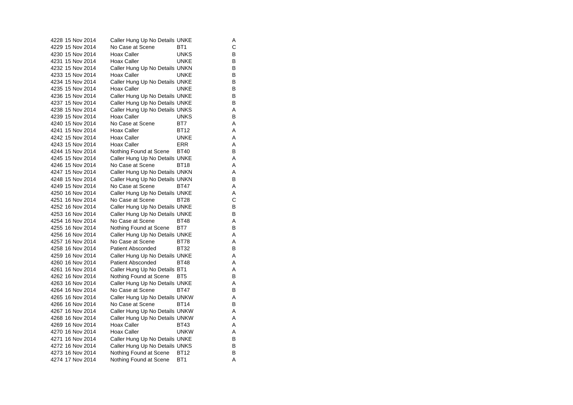| 4228 15 Nov 2014 | Caller Hung Up No Details UNKE |                 | Α |
|------------------|--------------------------------|-----------------|---|
| 4229 15 Nov 2014 | No Case at Scene               | BT <sub>1</sub> | C |
| 4230 15 Nov 2014 | <b>Hoax Caller</b>             | <b>UNKS</b>     | В |
| 4231 15 Nov 2014 | <b>Hoax Caller</b>             | UNKE            | В |
| 4232 15 Nov 2014 | Caller Hung Up No Details UNKN |                 | B |
| 4233 15 Nov 2014 | Hoax Caller                    | <b>UNKE</b>     | B |
| 4234 15 Nov 2014 | Caller Hung Up No Details UNKE |                 | В |
| 4235 15 Nov 2014 | Hoax Caller                    | <b>UNKE</b>     | В |
| 4236 15 Nov 2014 | Caller Hung Up No Details UNKE |                 | В |
| 4237 15 Nov 2014 | Caller Hung Up No Details UNKE |                 | B |
| 4238 15 Nov 2014 | Caller Hung Up No Details UNKS |                 | Α |
| 4239 15 Nov 2014 | <b>Hoax Caller</b>             | <b>UNKS</b>     | В |
| 4240 15 Nov 2014 | No Case at Scene               | BT7             | Α |
| 4241 15 Nov 2014 | Hoax Caller                    | <b>BT12</b>     | Α |
| 4242 15 Nov 2014 | Hoax Caller                    | UNKE            | Α |
| 4243 15 Nov 2014 | Hoax Caller                    | ERR             | Α |
| 4244 15 Nov 2014 | Nothing Found at Scene         | <b>BT40</b>     | B |
| 4245 15 Nov 2014 | Caller Hung Up No Details UNKE |                 | Α |
| 4246 15 Nov 2014 | No Case at Scene               | BT18            | Α |
| 4247 15 Nov 2014 | Caller Hung Up No Details UNKN |                 | A |
| 4248 15 Nov 2014 | Caller Hung Up No Details UNKN |                 | В |
| 4249 15 Nov 2014 | No Case at Scene               | BT47            | Α |
| 4250 16 Nov 2014 | Caller Hung Up No Details UNKE |                 | Α |
| 4251 16 Nov 2014 | No Case at Scene               | BT28            | С |
| 4252 16 Nov 2014 | Caller Hung Up No Details UNKE |                 | В |
| 4253 16 Nov 2014 | Caller Hung Up No Details UNKE |                 | В |
| 4254 16 Nov 2014 | No Case at Scene               | BT48            | Α |
| 4255 16 Nov 2014 | Nothing Found at Scene         | BT7             | В |
| 4256 16 Nov 2014 | Caller Hung Up No Details UNKE |                 | Α |
| 4257 16 Nov 2014 | No Case at Scene               | <b>BT78</b>     | Α |
| 4258 16 Nov 2014 | <b>Patient Absconded</b>       | <b>BT32</b>     | В |
| 4259 16 Nov 2014 | Caller Hung Up No Details UNKE |                 | Α |
| 4260 16 Nov 2014 | <b>Patient Absconded</b>       | <b>BT48</b>     | A |
| 4261 16 Nov 2014 | Caller Hung Up No Details BT1  |                 | Α |
| 4262 16 Nov 2014 | Nothing Found at Scene         | BT <sub>5</sub> | B |
| 4263 16 Nov 2014 | Caller Hung Up No Details UNKE |                 | Α |
| 4264 16 Nov 2014 | No Case at Scene               | BT47            | В |
| 4265 16 Nov 2014 | Caller Hung Up No Details UNKW |                 | Α |
| 4266 16 Nov 2014 | No Case at Scene               | <b>BT14</b>     | B |
| 4267 16 Nov 2014 | Caller Hung Up No Details UNKW |                 | Α |
| 4268 16 Nov 2014 | Caller Hung Up No Details UNKW |                 | A |
| 4269 16 Nov 2014 | Hoax Caller                    | BT43            | Α |
| 4270 16 Nov 2014 | Hoax Caller                    | UNKW            | Α |
| 4271 16 Nov 2014 | Caller Hung Up No Details UNKE |                 | В |
| 4272 16 Nov 2014 | Caller Hung Up No Details UNKS |                 | B |
| 4273 16 Nov 2014 | Nothing Found at Scene         | BT12            | В |
| 4274 17 Nov 2014 | Nothing Found at Scene         | BT1             | A |

 $\mathsf A$ 

 $\sf A$ 

A<br>B<br>A<br>A<br>A

 $\mathsf A$ 

 $\mathsf{A}$ <br> $\mathsf{B}$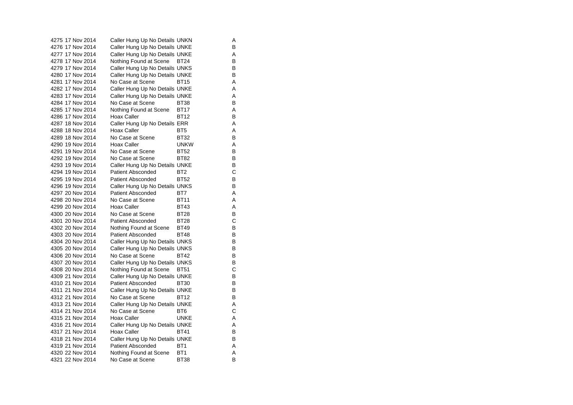4275 17 Nov 2014 Caller Hung Up No Details UNKN A 4276 17 Nov 2014 Caller Hung Up No Details UNKE B 4277 17 Nov 2014 Caller Hung Up No Details UNKE A 4278 17 Nov 2014 Nothing Found at Scene BT24 B<br>4279 17 Nov 2014 Caller Hung Up No Details UNKS B 4279 17 Nov 2014 Caller Hung Up No Details UNKS 4280 17 Nov 2014 Caller Hung Up No Details UNKE 4281 17 Nov 2014 No Case at Scene BT15 A 4282 17 Nov 2014 Caller Hung Up No Details UNKE A 4283 17 Nov 2014 Caller Hung Up No Details UNKE<br>4284 17 Nov 2014 No Case at Scene BT38 B 4284 17 Nov 2014 No Case at Scene BT38 4285 17 Nov 2014 Nothing Found at Scene BT17 A 4286 17 Nov 2014 Hoax Caller BT12 B 4287 18 Nov 2014 Caller Hung Up No Details ERR A 4288 18 Nov 2014 Hoax Caller BT5 BT5 A 4289 18 Nov 2014 No Case at Scene BT32 B 4290 19 Nov 2014 Hoax Caller Carried UNKW A 4291 19 Nov 2014 No Case at Scene BT52 B 4292 19 Nov 2014 No Case at Scene BT82 B 4293 19 Nov 2014 Caller Hung Up No Details UNKE B 4294 19 Nov 2014 Patient Absconded BT2 C 4295 19 Nov 2014 Patient Absconded BT52 B4296 19 Nov 2014 Caller Hung Up No Details UNKS B<br>4297 20 Nov 2014 Patient Absconded BT7 A 4297 20 Nov 2014 Patient Absconded BT7 A 4298 20 Nov 2014 No Case at Scene BT11 A 4299 20 Nov 2014 Hoax Caller BT43 A 4300 20 Nov 2014 No Case at Scene BT28 B 4301 20 Nov 2014 Patient Absconded BT28 4302 20 Nov 2014 Nothing Found at Scene BT49 4303 20 Nov 2014 Patient Absconded BT48 B 4304 20 Nov 2014 Caller Hung Up No Details UNKS B<br>4305 20 Nov 2014 Caller Hung Up No Details UNKS B 4305 20 Nov 2014 Caller Hung Up No Details UNKS 4306 20 Nov 2014 No Case at Scene BT42 4307 20 Nov 2014 Caller Hung Up No Details UNKS B 4308 20 Nov 2014 Nothing Found at Scene BT51 C 4309 21 Nov 2014 Caller Hung Up No Details UNKE<br>4310 21 Nov 2014 Patient Absconded BT30 B 4310 21 Nov 2014 Patient Absconded BT30 4311 21 Nov 2014 Caller Hung Up No Details UNKE B 4312 21 Nov 2014 No Case at Scene BT12 4313 21 Nov 2014 Caller Hung Up No Details UNKE A 4314 21 Nov 2014 No Case at Scene BT6 C 4315 21 Nov 2014 Hoax Caller **UNKE** A 4316 21 Nov 2014 Caller Hung Up No Details UNKE A 4317 21 Nov 2014 Hoax Caller BT41 BT41 4318 21 Nov 2014 Caller Hung Up No Details UNKE B 4319 21 Nov 2014 Patient Absconded BT1 A 4320 22 Nov 2014 Nothing Found at Scene BT1 A 4321 22 Nov 2014 No Case at Scene BT38 B

 $_{\rm B}^{\rm C}$ 

B

 $\sf B$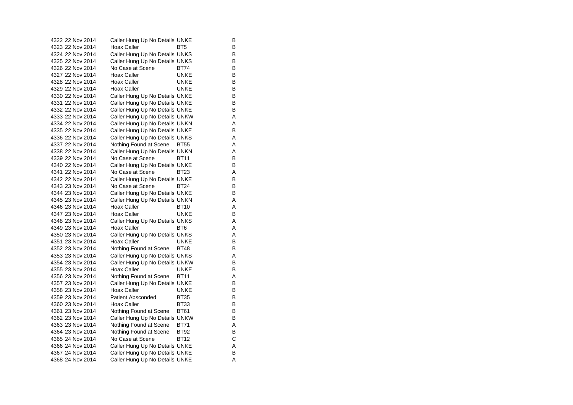| 4322 22 Nov 2014 | Caller Hung Up No Details UNKE |             | В |
|------------------|--------------------------------|-------------|---|
| 4323 22 Nov 2014 | Hoax Caller                    | BT5         | в |
| 4324 22 Nov 2014 | Caller Hung Up No Details UNKS |             | В |
| 4325 22 Nov 2014 | Caller Hung Up No Details UNKS |             | В |
| 4326 22 Nov 2014 | No Case at Scene               | BT74        | B |
| 4327 22 Nov 2014 | Hoax Caller                    | <b>UNKE</b> | B |
| 4328 22 Nov 2014 | Hoax Caller                    | UNKE        | В |
| 4329 22 Nov 2014 | Hoax Caller                    | UNKE        | В |
| 4330 22 Nov 2014 | Caller Hung Up No Details UNKE |             | В |
| 4331 22 Nov 2014 | Caller Hung Up No Details UNKE |             | B |
| 4332 22 Nov 2014 | Caller Hung Up No Details UNKE |             | В |
| 4333 22 Nov 2014 | Caller Hung Up No Details UNKW |             | Α |
| 4334 22 Nov 2014 | Caller Hung Up No Details UNKN |             | Α |
| 4335 22 Nov 2014 | Caller Hung Up No Details UNKE |             | B |
| 4336 22 Nov 2014 | Caller Hung Up No Details UNKS |             | Α |
| 4337 22 Nov 2014 | Nothing Found at Scene         | BT55        | Α |
| 4338 22 Nov 2014 | Caller Hung Up No Details UNKN |             | Α |
| 4339 22 Nov 2014 | No Case at Scene               | <b>BT11</b> | В |
| 4340 22 Nov 2014 | Caller Hung Up No Details UNKE |             | В |
| 4341 22 Nov 2014 | No Case at Scene               | <b>BT23</b> | Α |
| 4342 22 Nov 2014 | Caller Hung Up No Details UNKE |             | В |
| 4343 23 Nov 2014 | No Case at Scene               | BT24        | В |
| 4344 23 Nov 2014 | Caller Hung Up No Details UNKE |             | В |
| 4345 23 Nov 2014 | Caller Hung Up No Details UNKN |             | Α |
| 4346 23 Nov 2014 | Hoax Caller                    | BT10        | Α |
| 4347 23 Nov 2014 | Hoax Caller                    | <b>UNKE</b> | B |
| 4348 23 Nov 2014 | Caller Hung Up No Details UNKS |             | Α |
| 4349 23 Nov 2014 | Hoax Caller                    | BT6         | Α |
| 4350 23 Nov 2014 | Caller Hung Up No Details UNKS |             | Α |
| 4351 23 Nov 2014 | Hoax Caller                    | UNKE        | В |
| 4352 23 Nov 2014 | Nothing Found at Scene         | <b>BT48</b> | В |
| 4353 23 Nov 2014 | Caller Hung Up No Details UNKS |             | A |
| 4354 23 Nov 2014 | Caller Hung Up No Details UNKW |             | В |
| 4355 23 Nov 2014 | Hoax Caller                    | UNKE        | В |
| 4356 23 Nov 2014 | Nothing Found at Scene         | <b>BT11</b> | Α |
| 4357 23 Nov 2014 | Caller Hung Up No Details UNKE |             | В |
| 4358 23 Nov 2014 | Hoax Caller                    | UNKE        | В |
| 4359 23 Nov 2014 | <b>Patient Absconded</b>       | BT35        | В |
| 4360 23 Nov 2014 | <b>Hoax Caller</b>             | BT33        | В |
| 4361 23 Nov 2014 | Nothing Found at Scene         | BT61        | В |
| 4362 23 Nov 2014 | Caller Hung Up No Details UNKW |             | В |
| 4363 23 Nov 2014 | Nothing Found at Scene         | BT71        | Α |
| 4364 23 Nov 2014 | Nothing Found at Scene         | BT92        | В |
| 4365 24 Nov 2014 | No Case at Scene               | <b>BT12</b> | С |
| 4366 24 Nov 2014 | Caller Hung Up No Details UNKE |             | Α |
| 4367 24 Nov 2014 | Caller Hung Up No Details UNKE |             | В |
| 4368 24 Nov 2014 | Caller Hung Up No Details UNKE |             | A |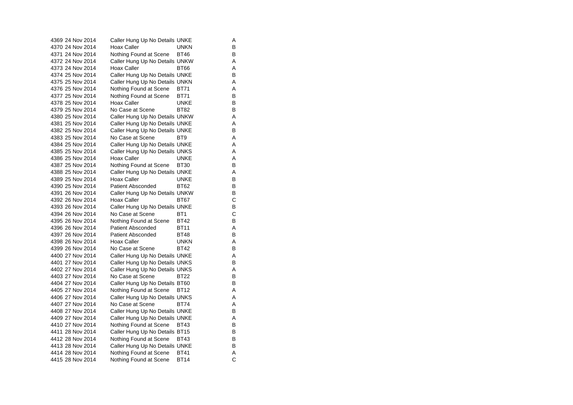4369 24 Nov 2014 Caller Hung Up No Details UNKE A 4370 24 Nov 2014 Hoax Caller UNKN B 4371 24 Nov 2014 Nothing Found at Scene BT46 B 4372 24 Nov 2014 Caller Hung Up No Details UNKW A 4373 24 Nov 2014 Hoax Caller BT66 A 4374 25 Nov 2014 Caller Hung Up No Details UNKE B 4375 25 Nov 2014 Caller Hung Up No Details UNKN A 4376 25 Nov 2014 Nothing Found at Scene BT71 A 4377 25 Nov 2014 Nothing Found at Scene BT71 B<br>4378 25 Nov 2014 Hoax Caller BUNKE 4378 25 Nov 2014 4379 25 Nov 2014 No Case at Scene BT82 B 4380 25 Nov 2014 Caller Hung Up No Details UNKW A 4381 25 Nov 2014 Caller Hung Up No Details UNKE 4382 25 Nov 2014 Caller Hung Up No Details UNKE B 4383 25 Nov 2014 No Case at Scene BT9 A 4384 25 Nov 2014 Caller Hung Up No Details UNKE A 4385 25 Nov 2014 Caller Hung Up No Details UNKS A 4386 25 Nov 2014 Hoax Caller UNKE A4387 25 Nov 2014 Nothing Found at Scene BT30 B 4388 25 Nov 2014 Caller Hung Up No Details UNKE A 4389 25 Nov 2014 Hoax Caller CONCE UNKE B 4390 25 Nov 2014 Patient Absconded BT62 B 4391 26 Nov 2014 Caller Hung Up No Details UNKW B 4392 26 Nov 2014 Hoax Caller BT67 C 4393 26 Nov 2014 Caller Hung Up No Details UNKE 4394 26 Nov 2014 No Case at Scene BT1 C 4395 26 Nov 2014 Nothing Found at Scene BT42 B<br>4396 26 Nov 2014 Patient Absconded BT11 A 4396 26 Nov 2014 Patient Absconded BT11 A 4397 26 Nov 2014 Patient Absconded BT48 B 4398 26 Nov 2014 Hoax Caller CONKN 4399 26 Nov 2014 No Case at Scene BT42 B4400 27 Nov 2014 Caller Hung Up No Details UNKE A 4401 27 Nov 2014 Caller Hung Up No Details UNKS B 4402 27 Nov 2014 Caller Hung Up No Details UNKS A 4403 27 Nov 2014 No Case at Scene BT22 B 4404 27 Nov 2014 Caller Hung Up No Details BT60 B 4405 27 Nov 2014 Nothing Found at Scene BT12 A 4406 27 Nov 2014 Caller Hung Up No Details UNKS A 4407 27 Nov 2014 No Case at Scene BT74 A 4408 27 Nov 2014 Caller Hung Up No Details UNKE<br>4409 27 Nov 2014 Caller Hung Up No Details UNKE Caller Hung Up No Details UNKE 4410 27 Nov 2014 Nothing Found at Scene BT43 B 4411 28 Nov 2014 Caller Hung Up No Details BT15 B 4412 28 Nov 2014 Nothing Found at Scene BT43 B 4413 28 Nov 2014 Caller Hung Up No Details UNKE B 4414 28 Nov 2014 Nothing Found at Scene BT41 A 4415 28 Nov 2014 Nothing Found at Scene BT14 C

 $\mathsf{A}$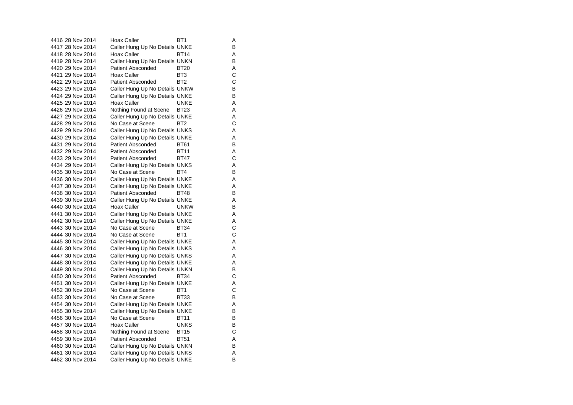4416 28 Nov 2014 Hoax Caller BT1 4417 28 Nov 2014 Caller Hung Up No Details UNKE B 4418 28 Nov 2014 Hoax Caller BT14 A4419 28 Nov 2014 Caller Hung Up No Details UNKN B 4420 29 Nov 2014 Patient Absconded BT20 A 4421 29 Nov 2014 Hoax Caller BT3 C 4422 29 Nov 2014 Patient Absconded BT2 4423 29 Nov 2014 Caller Hung Up No Details UNKW B<br>4424 29 Nov 2014 Caller Hung Up No Details UNKE 4424 29 Nov 2014 Caller Hung Up No Details UNKE<br>4425 29 Nov 2014 Hoax Caller 4425 29 Nov 2014 Hoax Caller UNKE A4426 29 Nov 2014 Nothing Found at Scene BT23 A 4427 29 Nov 2014 Caller Hung Up No Details UNKE<br>4428 29 Nov 2014 No Case at Scene BT2 C 4428 29 Nov 2014 No Case at Scene BT2 4429 29 Nov 2014 Caller Hung Up No Details UNKS A 4430 29 Nov 2014 Caller Hung Up No Details UNKE A 4431 29 Nov 2014 Patient Absconded BT61 B 4432 29 Nov 2014 Patient Absconded BT11 4433 29 Nov 2014 Patient Absconded BT47 C4434 29 Nov 2014 Caller Hung Up No Details UNKS A 4435 30 Nov 2014 No Case at Scene BT4 BT4 4436 30 Nov 2014 Caller Hung Up No Details UNKE A 4437 30 Nov 2014 Caller Hung Up No Details UNKE<br>4438 30 Nov 2014 Patient Absconded BT48 B 4438 30 Nov 2014 Patient Absconded BT48 4439 30 Nov 2014 Caller Hung Up No Details UNKE A 4440 30 Nov 2014 Hoax Caller UNKW B 4441 30 Nov 2014 Caller Hung Up No Details UNKE A 4442 30 Nov 2014 Caller Hung Up No Details UNKE<br>4443 30 Nov 2014 No Case at Scene BT34 C 4443 30 Nov 2014 No Case at Scene BT34 4444 30 Nov 2014 No Case at Scene BT1 C 4445 30 Nov 2014 Caller Hung Up No Details UNKE A 4446 30 Nov 2014 Caller Hung Up No Details UNKS A 4447 30 Nov 2014 Caller Hung Up No Details UNKS A 4448 30 Nov 2014 Caller Hung Up No Details UNKE A 4449 30 Nov 2014 Caller Hung Up No Details UNKN B 4450 30 Nov 2014 Patient Absconded BT34 4451 30 Nov 2014 Caller Hung Up No Details UNKE 4452 30 Nov 2014 No Case at Scene BT1 C 4453 30 Nov 2014 No Case at Scene BT33 4454 30 Nov 2014 Caller Hung Up No Details UNKE A 4455 30 Nov 2014 Caller Hung Up No Details UNKE<br>4456 30 Nov 2014 No Case at Scene BT11 B No Case at Scene BT11 4457 30 Nov 2014 Hoax Caller UNKS B 4458 30 Nov 2014 Nothing Found at Scene BT15 C 4459 30 Nov 2014 Patient Absconded BT51 A4460 30 Nov 2014 Caller Hung Up No Details UNKN B 4461 30 Nov 2014 Caller Hung Up No Details UNKS A 4462 30 Nov 2014 Caller Hung Up No Details UNKE B

 $\overline{A}$ 

 $\mathbf C$ 

 $\mathsf{A}$ 

 $\rm C$ <br>A

 $\, {\bf B}$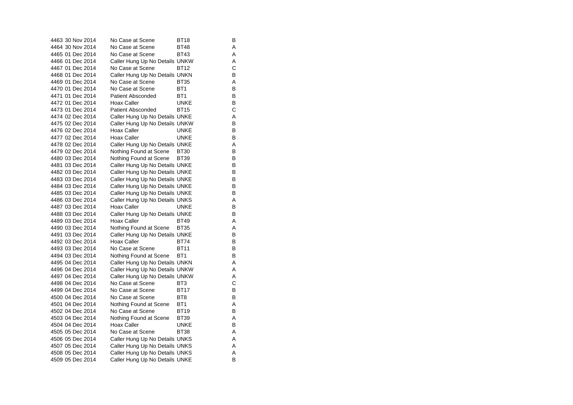| 4463 30 Nov 2014 | No Case at Scene               | BT18            | в |
|------------------|--------------------------------|-----------------|---|
| 4464 30 Nov 2014 | No Case at Scene               | <b>BT48</b>     | A |
| 4465 01 Dec 2014 | No Case at Scene               | <b>BT43</b>     | Α |
| 4466 01 Dec 2014 | Caller Hung Up No Details UNKW |                 | Α |
| 4467 01 Dec 2014 | No Case at Scene               | <b>BT12</b>     | C |
| 4468 01 Dec 2014 | Caller Hung Up No Details UNKN |                 | В |
| 4469 01 Dec 2014 | No Case at Scene               | <b>BT35</b>     | A |
| 4470 01 Dec 2014 | No Case at Scene               | BT <sub>1</sub> | В |
| 4471 01 Dec 2014 | <b>Patient Absconded</b>       | BT <sub>1</sub> | в |
| 4472 01 Dec 2014 | Hoax Caller                    | <b>UNKE</b>     | В |
| 4473 01 Dec 2014 | <b>Patient Absconded</b>       | <b>BT15</b>     | С |
| 4474 02 Dec 2014 | Caller Hung Up No Details UNKE |                 | Α |
| 4475 02 Dec 2014 | Caller Hung Up No Details UNKW |                 | В |
| 4476 02 Dec 2014 | Hoax Caller                    | UNKE            | в |
| 4477 02 Dec 2014 | Hoax Caller                    | <b>UNKE</b>     | В |
| 4478 02 Dec 2014 | Caller Hung Up No Details UNKE |                 | Α |
| 4479 02 Dec 2014 | Nothing Found at Scene         | <b>BT30</b>     | в |
| 4480 03 Dec 2014 | Nothing Found at Scene         | <b>BT39</b>     | В |
| 4481 03 Dec 2014 | Caller Hung Up No Details UNKE |                 | В |
| 4482 03 Dec 2014 | Caller Hung Up No Details UNKE |                 | В |
| 4483 03 Dec 2014 | Caller Hung Up No Details UNKE |                 | В |
| 4484 03 Dec 2014 | Caller Hung Up No Details UNKE |                 | в |
| 4485 03 Dec 2014 | Caller Hung Up No Details UNKE |                 | В |
| 4486 03 Dec 2014 | Caller Hung Up No Details UNKS |                 | Α |
| 4487 03 Dec 2014 | Hoax Caller                    | UNKE            | в |
| 4488 03 Dec 2014 | Caller Hung Up No Details UNKE |                 | В |
| 4489 03 Dec 2014 | Hoax Caller                    | <b>BT49</b>     | Α |
| 4490 03 Dec 2014 | Nothing Found at Scene         | <b>BT35</b>     | A |
| 4491 03 Dec 2014 | Caller Hung Up No Details UNKE |                 | В |
| 4492 03 Dec 2014 | Hoax Caller                    | <b>BT74</b>     | в |
| 4493 03 Dec 2014 | No Case at Scene               | <b>BT11</b>     | В |
| 4494 03 Dec 2014 | Nothing Found at Scene         | BT <sub>1</sub> | В |
| 4495 04 Dec 2014 | Caller Hung Up No Details UNKN |                 | A |
| 4496 04 Dec 2014 | Caller Hung Up No Details UNKW |                 | Α |
| 4497 04 Dec 2014 | Caller Hung Up No Details UNKW |                 | Α |
| 4498 04 Dec 2014 | No Case at Scene               | BT <sub>3</sub> | C |
| 4499 04 Dec 2014 | No Case at Scene               | <b>BT17</b>     | В |
| 4500 04 Dec 2014 | No Case at Scene               | BT8             | В |
| 4501 04 Dec 2014 | Nothing Found at Scene         | BT <sub>1</sub> | Α |
| 4502 04 Dec 2014 | No Case at Scene               | BT19            | в |
| 4503 04 Dec 2014 | Nothing Found at Scene         | <b>BT39</b>     | Α |
| 4504 04 Dec 2014 | Hoax Caller                    | <b>UNKE</b>     | В |
| 4505 05 Dec 2014 | No Case at Scene               | BT38            | Α |
| 4506 05 Dec 2014 | Caller Hung Up No Details UNKS |                 | A |
| 4507 05 Dec 2014 | Caller Hung Up No Details UNKS |                 | Α |
| 4508 05 Dec 2014 | Caller Hung Up No Details UNKS |                 | Α |
| 4509 05 Dec 2014 | Caller Hung Up No Details UNKE |                 | B |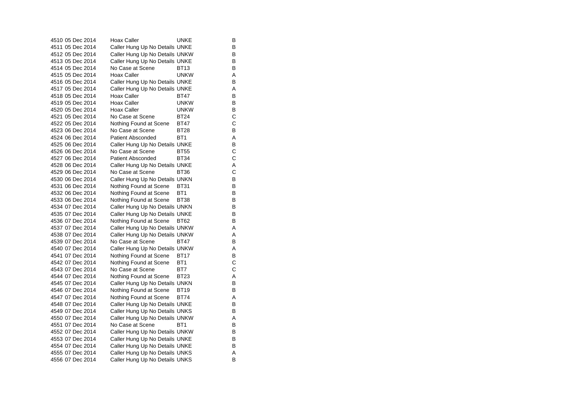| 4510 05 Dec 2014 | Hoax Caller                    | UNKE            | В |
|------------------|--------------------------------|-----------------|---|
| 4511 05 Dec 2014 | Caller Hung Up No Details UNKE |                 | B |
| 4512 05 Dec 2014 | Caller Hung Up No Details UNKW |                 | В |
| 4513 05 Dec 2014 | Caller Hung Up No Details UNKE |                 | В |
| 4514 05 Dec 2014 | No Case at Scene               | BT13            | B |
| 4515 05 Dec 2014 | <b>Hoax Caller</b>             | unkw            | Α |
| 4516 05 Dec 2014 | Caller Hung Up No Details UNKE |                 | B |
| 4517 05 Dec 2014 | Caller Hung Up No Details UNKE |                 | A |
| 4518 05 Dec 2014 | Hoax Caller                    | BT47            | В |
| 4519 05 Dec 2014 | Hoax Caller                    | unkw            | B |
| 4520 05 Dec 2014 | Hoax Caller                    | unkw            | В |
| 4521 05 Dec 2014 | No Case at Scene               | BT24            | C |
| 4522 05 Dec 2014 | Nothing Found at Scene         | <b>BT47</b>     | C |
| 4523 06 Dec 2014 | No Case at Scene               | <b>BT28</b>     | В |
| 4524 06 Dec 2014 | <b>Patient Absconded</b>       | BT <sub>1</sub> | Α |
| 4525 06 Dec 2014 | Caller Hung Up No Details UNKE |                 | B |
| 4526 06 Dec 2014 | No Case at Scene               | <b>BT55</b>     | С |
| 4527 06 Dec 2014 | <b>Patient Absconded</b>       | <b>BT34</b>     | C |
| 4528 06 Dec 2014 | Caller Hung Up No Details UNKE |                 | Α |
| 4529 06 Dec 2014 | No Case at Scene               | BT36            | C |
| 4530 06 Dec 2014 | Caller Hung Up No Details UNKN |                 | В |
| 4531 06 Dec 2014 | Nothing Found at Scene         | BT31            | B |
| 4532 06 Dec 2014 | Nothing Found at Scene         | BT <sub>1</sub> | B |
| 4533 06 Dec 2014 | Nothing Found at Scene         | BT38            | В |
| 4534 07 Dec 2014 | Caller Hung Up No Details UNKN |                 | В |
| 4535 07 Dec 2014 | Caller Hung Up No Details UNKE |                 | В |
| 4536 07 Dec 2014 | Nothing Found at Scene         | BT62            | B |
| 4537 07 Dec 2014 | Caller Hung Up No Details UNKW |                 | Α |
| 4538 07 Dec 2014 | Caller Hung Up No Details UNKW |                 | Α |
| 4539 07 Dec 2014 | No Case at Scene               | BT47            | B |
| 4540 07 Dec 2014 | Caller Hung Up No Details UNKW |                 | Α |
| 4541 07 Dec 2014 | Nothing Found at Scene         | <b>BT17</b>     | B |
| 4542 07 Dec 2014 | Nothing Found at Scene         | BT1             | C |
| 4543 07 Dec 2014 | No Case at Scene               | BT7             | C |
| 4544 07 Dec 2014 | Nothing Found at Scene         | <b>BT23</b>     | Α |
| 4545 07 Dec 2014 | Caller Hung Up No Details UNKN |                 | B |
| 4546 07 Dec 2014 | Nothing Found at Scene         | <b>BT19</b>     | B |
| 4547 07 Dec 2014 | Nothing Found at Scene         | BT74            | Α |
| 4548 07 Dec 2014 | Caller Hung Up No Details UNKE |                 | B |
| 4549 07 Dec 2014 | Caller Hung Up No Details UNKS |                 | B |
| 4550 07 Dec 2014 | Caller Hung Up No Details UNKW |                 | A |
| 4551 07 Dec 2014 | No Case at Scene               | BT <sub>1</sub> | B |
| 4552 07 Dec 2014 | Caller Hung Up No Details UNKW |                 | В |
| 4553 07 Dec 2014 | Caller Hung Up No Details UNKE |                 | B |
| 4554 07 Dec 2014 | Caller Hung Up No Details UNKE |                 | B |
| 4555 07 Dec 2014 | Caller Hung Up No Details UNKS |                 | Α |
| 4556 07 Dec 2014 | Caller Hung Up No Details UNKS |                 | B |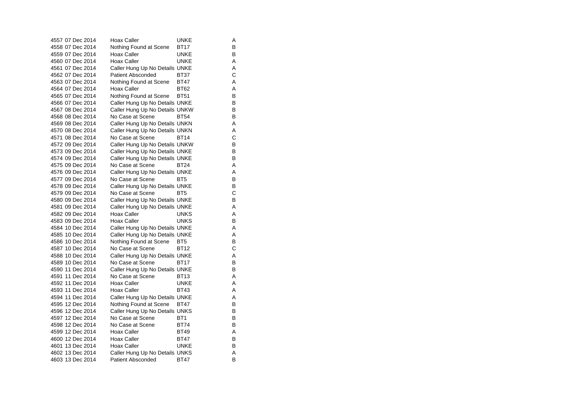|  | 4557 07 Dec 2014 | <b>Hoax Caller</b>             | UNKE            | Α |
|--|------------------|--------------------------------|-----------------|---|
|  | 4558 07 Dec 2014 | Nothing Found at Scene         | BT17            | B |
|  | 4559 07 Dec 2014 | Hoax Caller                    | UNKE            | В |
|  | 4560 07 Dec 2014 | Hoax Caller                    | <b>UNKE</b>     | Α |
|  | 4561 07 Dec 2014 | Caller Hung Up No Details UNKE |                 | Α |
|  | 4562 07 Dec 2014 | <b>Patient Absconded</b>       | BT37            | C |
|  | 4563 07 Dec 2014 | Nothing Found at Scene         | BT47            | Α |
|  | 4564 07 Dec 2014 | Hoax Caller                    | <b>BT62</b>     | Α |
|  | 4565 07 Dec 2014 | Nothing Found at Scene         | <b>BT51</b>     | В |
|  | 4566 07 Dec 2014 | Caller Hung Up No Details UNKE |                 | В |
|  | 4567 08 Dec 2014 | Caller Hung Up No Details UNKW |                 | В |
|  | 4568 08 Dec 2014 | No Case at Scene               | <b>BT54</b>     | B |
|  | 4569 08 Dec 2014 | Caller Hung Up No Details UNKN |                 | A |
|  | 4570 08 Dec 2014 | Caller Hung Up No Details UNKN |                 | Α |
|  | 4571 08 Dec 2014 | No Case at Scene               | <b>BT14</b>     | C |
|  | 4572 09 Dec 2014 | Caller Hung Up No Details UNKW |                 | B |
|  | 4573 09 Dec 2014 | Caller Hung Up No Details UNKE |                 | B |
|  | 4574 09 Dec 2014 | Caller Hung Up No Details UNKE |                 | В |
|  | 4575 09 Dec 2014 | No Case at Scene               | <b>BT24</b>     | Α |
|  | 4576 09 Dec 2014 | Caller Hung Up No Details UNKE |                 | Α |
|  | 4577 09 Dec 2014 | No Case at Scene               | BT5             | В |
|  | 4578 09 Dec 2014 | Caller Hung Up No Details UNKE |                 | B |
|  | 4579 09 Dec 2014 | No Case at Scene               | BT <sub>5</sub> | C |
|  | 4580 09 Dec 2014 | Caller Hung Up No Details UNKE |                 | B |
|  | 4581 09 Dec 2014 | Caller Hung Up No Details UNKE |                 | A |
|  | 4582 09 Dec 2014 | Hoax Caller                    | UNKS            | Α |
|  | 4583 09 Dec 2014 | Hoax Caller                    | UNKS            | B |
|  | 4584 10 Dec 2014 | Caller Hung Up No Details UNKE |                 | Α |
|  | 4585 10 Dec 2014 | Caller Hung Up No Details UNKE |                 | Α |
|  | 4586 10 Dec 2014 | Nothing Found at Scene         | BT <sub>5</sub> | B |
|  | 4587 10 Dec 2014 | No Case at Scene               | <b>BT12</b>     | C |
|  | 4588 10 Dec 2014 | Caller Hung Up No Details UNKE |                 | Α |
|  | 4589 10 Dec 2014 | No Case at Scene               | <b>BT17</b>     | В |
|  | 4590 11 Dec 2014 | Caller Hung Up No Details UNKE |                 | В |
|  | 4591 11 Dec 2014 | No Case at Scene               | BT13            | Α |
|  | 4592 11 Dec 2014 | Hoax Caller                    | <b>UNKE</b>     | A |
|  | 4593 11 Dec 2014 | <b>Hoax Caller</b>             | <b>BT43</b>     | Α |
|  | 4594 11 Dec 2014 | Caller Hung Up No Details UNKE |                 | Α |
|  | 4595 12 Dec 2014 | Nothing Found at Scene         | BT47            | В |
|  | 4596 12 Dec 2014 | Caller Hung Up No Details UNKS |                 | В |
|  | 4597 12 Dec 2014 | No Case at Scene               | BT <sub>1</sub> | В |
|  | 4598 12 Dec 2014 | No Case at Scene               | <b>BT74</b>     | B |
|  | 4599 12 Dec 2014 | Hoax Caller                    | BT49            | Α |
|  | 4600 12 Dec 2014 | Hoax Caller                    | <b>BT47</b>     | B |
|  | 4601 13 Dec 2014 | Hoax Caller                    | <b>UNKE</b>     | B |
|  | 4602 13 Dec 2014 | Caller Hung Up No Details UNKS |                 | Α |
|  | 4603 13 Dec 2014 | <b>Patient Absconded</b>       | <b>BT47</b>     | B |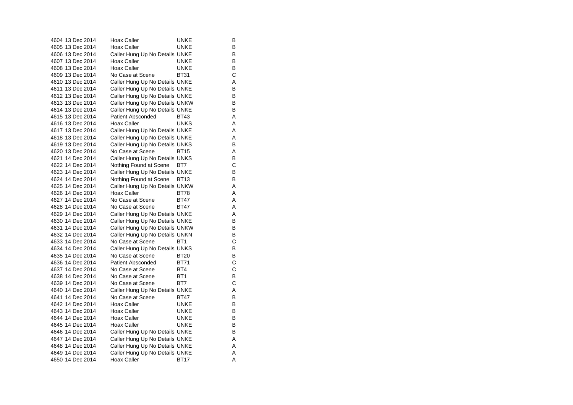| 4604 13 Dec 2014 | Hoax Caller                    | UNKE            | в |
|------------------|--------------------------------|-----------------|---|
| 4605 13 Dec 2014 | <b>Hoax Caller</b>             | <b>UNKE</b>     | В |
| 4606 13 Dec 2014 | Caller Hung Up No Details UNKE |                 | в |
| 4607 13 Dec 2014 | Hoax Caller                    | <b>UNKE</b>     | В |
| 4608 13 Dec 2014 | Hoax Caller                    | <b>UNKE</b>     | в |
| 4609 13 Dec 2014 | No Case at Scene               | <b>BT31</b>     | C |
| 4610 13 Dec 2014 | Caller Hung Up No Details UNKE |                 | Α |
| 4611 13 Dec 2014 | Caller Hung Up No Details UNKE |                 | в |
| 4612 13 Dec 2014 | Caller Hung Up No Details UNKE |                 | В |
| 4613 13 Dec 2014 | Caller Hung Up No Details UNKW |                 | в |
| 4614 13 Dec 2014 | Caller Hung Up No Details UNKE |                 | В |
| 4615 13 Dec 2014 | Patient Absconded              | BT43            | Α |
| 4616 13 Dec 2014 | Hoax Caller                    | <b>UNKS</b>     | Α |
| 4617 13 Dec 2014 | Caller Hung Up No Details UNKE |                 | Α |
| 4618 13 Dec 2014 | Caller Hung Up No Details UNKE |                 | Α |
| 4619 13 Dec 2014 | Caller Hung Up No Details UNKS |                 | В |
| 4620 13 Dec 2014 | No Case at Scene               | <b>BT15</b>     | А |
| 4621 14 Dec 2014 | Caller Hung Up No Details UNKS |                 | В |
| 4622 14 Dec 2014 | Nothing Found at Scene         | BT7             | С |
| 4623 14 Dec 2014 | Caller Hung Up No Details UNKE |                 | В |
| 4624 14 Dec 2014 | Nothing Found at Scene BT13    |                 | В |
| 4625 14 Dec 2014 | Caller Hung Up No Details UNKW |                 | Α |
| 4626 14 Dec 2014 | Hoax Caller                    | <b>BT78</b>     | Α |
| 4627 14 Dec 2014 | No Case at Scene               | <b>BT47</b>     | A |
| 4628 14 Dec 2014 | No Case at Scene               | <b>BT47</b>     | Α |
| 4629 14 Dec 2014 | Caller Hung Up No Details UNKE |                 | Α |
| 4630 14 Dec 2014 | Caller Hung Up No Details UNKE |                 | В |
| 4631 14 Dec 2014 | Caller Hung Up No Details UNKW |                 | В |
| 4632 14 Dec 2014 | Caller Hung Up No Details UNKN |                 | В |
| 4633 14 Dec 2014 | No Case at Scene               | BT <sub>1</sub> | С |
| 4634 14 Dec 2014 | Caller Hung Up No Details UNKS |                 | B |
| 4635 14 Dec 2014 | No Case at Scene               | <b>BT20</b>     | В |
| 4636 14 Dec 2014 | Patient Absconded              | <b>BT71</b>     | C |
| 4637 14 Dec 2014 | No Case at Scene               | BT4             | C |
| 4638 14 Dec 2014 | No Case at Scene               | BT <sub>1</sub> | В |
| 4639 14 Dec 2014 | No Case at Scene               | BT7             | C |
| 4640 14 Dec 2014 | Caller Hung Up No Details UNKE |                 | А |
| 4641 14 Dec 2014 | No Case at Scene               | <b>BT47</b>     | В |
| 4642 14 Dec 2014 | Hoax Caller                    | <b>UNKE</b>     | в |
| 4643 14 Dec 2014 | Hoax Caller                    | UNKE            | В |
| 4644 14 Dec 2014 | Hoax Caller                    | <b>UNKE</b>     | В |
| 4645 14 Dec 2014 | Hoax Caller                    | UNKE            | в |
| 4646 14 Dec 2014 | Caller Hung Up No Details UNKE |                 | В |
| 4647 14 Dec 2014 | Caller Hung Up No Details UNKE |                 | Α |
| 4648 14 Dec 2014 | Caller Hung Up No Details UNKE |                 | Α |
| 4649 14 Dec 2014 | Caller Hung Up No Details UNKE |                 | Α |
| 4650 14 Dec 2014 | Hoax Caller                    | BT17            | Α |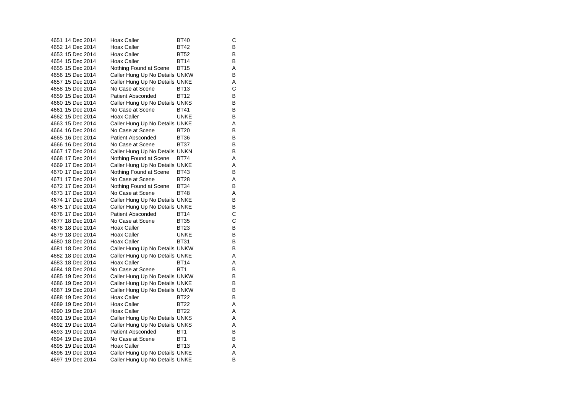| 4651 14 Dec 2014 | Hoax Caller                    | BT40            | С |
|------------------|--------------------------------|-----------------|---|
| 4652 14 Dec 2014 | <b>Hoax Caller</b>             | <b>BT42</b>     | В |
| 4653 15 Dec 2014 | Hoax Caller                    | <b>BT52</b>     | в |
| 4654 15 Dec 2014 | <b>Hoax Caller</b>             | <b>BT14</b>     | в |
| 4655 15 Dec 2014 | Nothing Found at Scene         | <b>BT15</b>     | Α |
| 4656 15 Dec 2014 | Caller Hung Up No Details UNKW |                 | В |
| 4657 15 Dec 2014 | Caller Hung Up No Details UNKE |                 | Α |
| 4658 15 Dec 2014 | No Case at Scene               | BT13            | C |
| 4659 15 Dec 2014 | <b>Patient Absconded</b>       | <b>BT12</b>     | В |
| 4660 15 Dec 2014 | Caller Hung Up No Details UNKS |                 | в |
| 4661 15 Dec 2014 | No Case at Scene               | <b>BT41</b>     | в |
| 4662 15 Dec 2014 | Hoax Caller                    | <b>UNKE</b>     | В |
| 4663 15 Dec 2014 | Caller Hung Up No Details UNKE |                 | Α |
| 4664 16 Dec 2014 | No Case at Scene               | BT20            | в |
| 4665 16 Dec 2014 | <b>Patient Absconded</b>       | <b>BT36</b>     | в |
| 4666 16 Dec 2014 | No Case at Scene               | <b>BT37</b>     | В |
| 4667 17 Dec 2014 | Caller Hung Up No Details UNKN |                 | в |
| 4668 17 Dec 2014 | Nothing Found at Scene         | <b>BT74</b>     | A |
| 4669 17 Dec 2014 | Caller Hung Up No Details UNKE |                 | Α |
| 4670 17 Dec 2014 | Nothing Found at Scene         | BT43            | в |
| 4671 17 Dec 2014 | No Case at Scene               | <b>BT28</b>     | Α |
| 4672 17 Dec 2014 | Nothing Found at Scene         | <b>BT34</b>     | В |
| 4673 17 Dec 2014 | No Case at Scene               | BT48            | Α |
| 4674 17 Dec 2014 | Caller Hung Up No Details UNKE |                 | В |
| 4675 17 Dec 2014 | Caller Hung Up No Details UNKE |                 | В |
| 4676 17 Dec 2014 | <b>Patient Absconded</b>       | <b>BT14</b>     | С |
| 4677 18 Dec 2014 | No Case at Scene               | <b>BT35</b>     | C |
| 4678 18 Dec 2014 | Hoax Caller                    | BT23            | В |
| 4679 18 Dec 2014 | <b>Hoax Caller</b>             | <b>UNKE</b>     | в |
| 4680 18 Dec 2014 | <b>Hoax Caller</b>             | <b>BT31</b>     | В |
| 4681 18 Dec 2014 | Caller Hung Up No Details UNKW |                 | В |
| 4682 18 Dec 2014 | Caller Hung Up No Details UNKE |                 | A |
| 4683 18 Dec 2014 | Hoax Caller                    | BT14            | Α |
| 4684 18 Dec 2014 | No Case at Scene               | BT <sub>1</sub> | В |
| 4685 19 Dec 2014 | Caller Hung Up No Details UNKW |                 | в |
| 4686 19 Dec 2014 | Caller Hung Up No Details UNKE |                 | в |
| 4687 19 Dec 2014 | Caller Hung Up No Details UNKW |                 | В |
| 4688 19 Dec 2014 | Hoax Caller                    | BT22            | В |
| 4689 19 Dec 2014 | <b>Hoax Caller</b>             | <b>BT22</b>     | Α |
| 4690 19 Dec 2014 | Hoax Caller                    | <b>BT22</b>     | A |
| 4691 19 Dec 2014 | Caller Hung Up No Details UNKS |                 | Α |
| 4692 19 Dec 2014 | Caller Hung Up No Details UNKS |                 | Α |
| 4693 19 Dec 2014 | <b>Patient Absconded</b>       | BT <sub>1</sub> | В |
| 4694 19 Dec 2014 | No Case at Scene               | BT <sub>1</sub> | В |
| 4695 19 Dec 2014 | Hoax Caller                    | <b>BT13</b>     | A |
| 4696 19 Dec 2014 | Caller Hung Up No Details UNKE |                 | A |
| 4697 19 Dec 2014 | Caller Hung Up No Details UNKE |                 | B |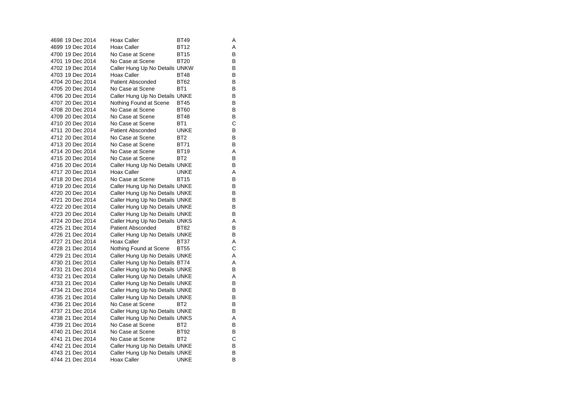| 4698 19 Dec 2014 | Hoax Caller                    | BT49            | Α |
|------------------|--------------------------------|-----------------|---|
| 4699 19 Dec 2014 | Hoax Caller                    | <b>BT12</b>     | Α |
| 4700 19 Dec 2014 | No Case at Scene               | <b>BT15</b>     | В |
| 4701 19 Dec 2014 | No Case at Scene               | BT20            | В |
| 4702 19 Dec 2014 | Caller Hung Up No Details UNKW |                 | B |
| 4703 19 Dec 2014 | Hoax Caller                    | <b>BT48</b>     | В |
| 4704 20 Dec 2014 | <b>Patient Absconded</b>       | BT62            | B |
| 4705 20 Dec 2014 | No Case at Scene               | BT <sub>1</sub> | B |
| 4706 20 Dec 2014 | Caller Hung Up No Details UNKE |                 | В |
| 4707 20 Dec 2014 | Nothing Found at Scene         | <b>BT45</b>     | B |
| 4708 20 Dec 2014 | No Case at Scene               | <b>BT60</b>     | В |
| 4709 20 Dec 2014 | No Case at Scene               | <b>BT48</b>     | В |
| 4710 20 Dec 2014 | No Case at Scene               | BT <sub>1</sub> | C |
| 4711 20 Dec 2014 | <b>Patient Absconded</b>       | <b>UNKE</b>     | В |
| 4712 20 Dec 2014 | No Case at Scene               | BT <sub>2</sub> | B |
| 4713 20 Dec 2014 | No Case at Scene               | <b>BT71</b>     | В |
| 4714 20 Dec 2014 | No Case at Scene               | BT19            | Α |
| 4715 20 Dec 2014 | No Case at Scene               | BT <sub>2</sub> | В |
| 4716 20 Dec 2014 | Caller Hung Up No Details UNKE |                 | В |
| 4717 20 Dec 2014 | Hoax Caller                    | UNKE            | Α |
| 4718 20 Dec 2014 | No Case at Scene               | <b>BT15</b>     | B |
| 4719 20 Dec 2014 | Caller Hung Up No Details UNKE |                 | B |
| 4720 20 Dec 2014 | Caller Hung Up No Details UNKE |                 | В |
| 4721 20 Dec 2014 | Caller Hung Up No Details UNKE |                 | В |
| 4722 20 Dec 2014 | Caller Hung Up No Details UNKE |                 | В |
| 4723 20 Dec 2014 | Caller Hung Up No Details UNKE |                 | В |
| 4724 20 Dec 2014 | Caller Hung Up No Details UNKS |                 | Α |
| 4725 21 Dec 2014 | Patient Absconded              | BT82            | В |
| 4726 21 Dec 2014 | Caller Hung Up No Details UNKE |                 | В |
| 4727 21 Dec 2014 | Hoax Caller                    | BT37            | Α |
| 4728 21 Dec 2014 | Nothing Found at Scene         | <b>BT55</b>     | C |
| 4729 21 Dec 2014 | Caller Hung Up No Details UNKE |                 | Α |
| 4730 21 Dec 2014 | Caller Hung Up No Details BT74 |                 | A |
| 4731 21 Dec 2014 | Caller Hung Up No Details UNKE |                 | B |
| 4732 21 Dec 2014 | Caller Hung Up No Details UNKE |                 | A |
| 4733 21 Dec 2014 | Caller Hung Up No Details UNKE |                 | В |
| 4734 21 Dec 2014 | Caller Hung Up No Details UNKE |                 | B |
| 4735 21 Dec 2014 | Caller Hung Up No Details UNKE |                 | В |
| 4736 21 Dec 2014 | No Case at Scene               | BT <sub>2</sub> | B |
| 4737 21 Dec 2014 | Caller Hung Up No Details UNKE |                 | В |
| 4738 21 Dec 2014 | Caller Hung Up No Details UNKS |                 | Α |
| 4739 21 Dec 2014 | No Case at Scene               | BT <sub>2</sub> | B |
| 4740 21 Dec 2014 | No Case at Scene               | BT92            | В |
| 4741 21 Dec 2014 | No Case at Scene               | BT <sub>2</sub> | С |
| 4742 21 Dec 2014 | Caller Hung Up No Details UNKE |                 | В |
| 4743 21 Dec 2014 | Caller Hung Up No Details UNKE |                 | В |
| 4744 21 Dec 2014 | Hoax Caller                    | UNKE            | B |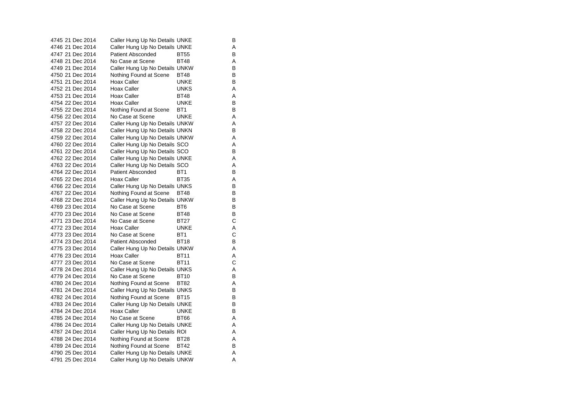| 4745 21 Dec 2014 | Caller Hung Up No Details UNKE |                 | В |
|------------------|--------------------------------|-----------------|---|
| 4746 21 Dec 2014 | Caller Hung Up No Details UNKE |                 | A |
| 4747 21 Dec 2014 | <b>Patient Absconded</b>       | <b>BT55</b>     | в |
| 4748 21 Dec 2014 | No Case at Scene               | <b>BT48</b>     | Α |
| 4749 21 Dec 2014 | Caller Hung Up No Details UNKW |                 | В |
| 4750 21 Dec 2014 | Nothing Found at Scene         | <b>BT48</b>     | В |
| 4751 21 Dec 2014 | Hoax Caller                    | UNKE            | в |
| 4752 21 Dec 2014 | Hoax Caller                    | <b>UNKS</b>     | A |
| 4753 21 Dec 2014 | Hoax Caller                    | <b>BT48</b>     | Α |
| 4754 22 Dec 2014 | Hoax Caller                    | <b>UNKE</b>     | в |
| 4755 22 Dec 2014 | Nothing Found at Scene         | BT <sub>1</sub> | В |
| 4756 22 Dec 2014 | No Case at Scene               | <b>UNKE</b>     | Α |
| 4757 22 Dec 2014 | Caller Hung Up No Details UNKW |                 | A |
| 4758 22 Dec 2014 | Caller Hung Up No Details UNKN |                 | В |
| 4759 22 Dec 2014 | Caller Hung Up No Details UNKW |                 | Α |
| 4760 22 Dec 2014 | Caller Hung Up No Details SCO  |                 | A |
| 4761 22 Dec 2014 | Caller Hung Up No Details SCO  |                 | В |
| 4762 22 Dec 2014 | Caller Hung Up No Details UNKE |                 | Α |
| 4763 22 Dec 2014 | Caller Hung Up No Details SCO  |                 | Α |
| 4764 22 Dec 2014 | <b>Patient Absconded</b>       | BT <sub>1</sub> | В |
| 4765 22 Dec 2014 | Hoax Caller                    | <b>BT35</b>     | Α |
| 4766 22 Dec 2014 | Caller Hung Up No Details UNKS |                 | В |
| 4767 22 Dec 2014 | Nothing Found at Scene         | <b>BT48</b>     | в |
| 4768 22 Dec 2014 | Caller Hung Up No Details UNKW |                 | в |
| 4769 23 Dec 2014 | No Case at Scene               | BT <sub>6</sub> | в |
| 4770 23 Dec 2014 | No Case at Scene               | <b>BT48</b>     | В |
| 4771 23 Dec 2014 | No Case at Scene               | <b>BT27</b>     | C |
| 4772 23 Dec 2014 | Hoax Caller                    | <b>UNKE</b>     | Α |
| 4773 23 Dec 2014 | No Case at Scene               | BT <sub>1</sub> | С |
| 4774 23 Dec 2014 | <b>Patient Absconded</b>       | <b>BT18</b>     | В |
| 4775 23 Dec 2014 | Caller Hung Up No Details UNKW |                 | Α |
| 4776 23 Dec 2014 | Hoax Caller                    | BT11            | Α |
| 4777 23 Dec 2014 | No Case at Scene               | <b>BT11</b>     | C |
| 4778 24 Dec 2014 | Caller Hung Up No Details UNKS |                 | Α |
| 4779 24 Dec 2014 | No Case at Scene               | BT10            | в |
| 4780 24 Dec 2014 | Nothing Found at Scene         | <b>BT82</b>     | Α |
| 4781 24 Dec 2014 | Caller Hung Up No Details UNKS |                 | в |
| 4782 24 Dec 2014 | Nothing Found at Scene         | <b>BT15</b>     | В |
| 4783 24 Dec 2014 | Caller Hung Up No Details UNKE |                 | В |
| 4784 24 Dec 2014 | Hoax Caller                    | UNKE            | в |
| 4785 24 Dec 2014 | No Case at Scene               | <b>BT66</b>     | Α |
| 4786 24 Dec 2014 | Caller Hung Up No Details UNKE |                 | Α |
| 4787 24 Dec 2014 | Caller Hung Up No Details ROI  |                 | Α |
| 4788 24 Dec 2014 | Nothing Found at Scene         | <b>BT28</b>     | A |
| 4789 24 Dec 2014 | Nothing Found at Scene         | <b>BT42</b>     | в |
| 4790 25 Dec 2014 | Caller Hung Up No Details UNKE |                 | Α |
| 4791 25 Dec 2014 | Caller Hung Up No Details UNKW |                 | A |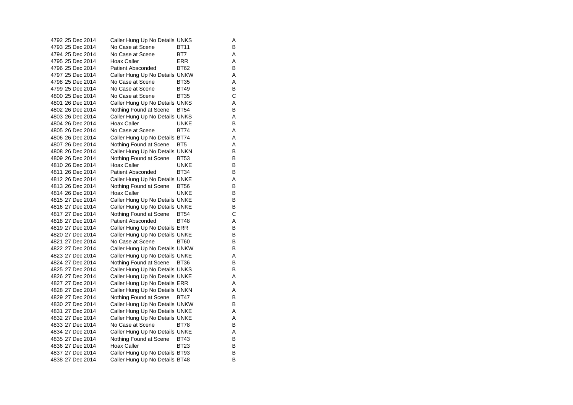| 4792 25 Dec 2014 | Caller Hung Up No Details UNKS |                 | Α |
|------------------|--------------------------------|-----------------|---|
| 4793 25 Dec 2014 | No Case at Scene               | <b>BT11</b>     | В |
| 4794 25 Dec 2014 | No Case at Scene               | BT7             | Α |
| 4795 25 Dec 2014 | Hoax Caller                    | ERR             | Α |
| 4796 25 Dec 2014 | <b>Patient Absconded</b>       | <b>BT62</b>     | В |
| 4797 25 Dec 2014 | Caller Hung Up No Details UNKW |                 | Α |
| 4798 25 Dec 2014 | No Case at Scene               | <b>BT35</b>     | A |
| 4799 25 Dec 2014 | No Case at Scene               | <b>BT49</b>     | в |
| 4800 25 Dec 2014 | No Case at Scene               | BT35            | C |
| 4801 26 Dec 2014 | Caller Hung Up No Details UNKS |                 | Α |
| 4802 26 Dec 2014 | Nothing Found at Scene         | <b>BT54</b>     | В |
| 4803 26 Dec 2014 | Caller Hung Up No Details UNKS |                 | Α |
| 4804 26 Dec 2014 | <b>Hoax Caller</b>             | <b>UNKE</b>     | В |
| 4805 26 Dec 2014 | No Case at Scene               | <b>BT74</b>     | Α |
| 4806 26 Dec 2014 | Caller Hung Up No Details BT74 |                 | Α |
| 4807 26 Dec 2014 | Nothing Found at Scene         | BT <sub>5</sub> | Α |
| 4808 26 Dec 2014 | Caller Hung Up No Details UNKN |                 | в |
| 4809 26 Dec 2014 | Nothing Found at Scene         | <b>BT53</b>     | В |
| 4810 26 Dec 2014 | Hoax Caller                    | <b>UNKE</b>     | В |
| 4811 26 Dec 2014 | <b>Patient Absconded</b>       | BT34            | В |
| 4812 26 Dec 2014 | Caller Hung Up No Details UNKE |                 | Α |
| 4813 26 Dec 2014 | Nothing Found at Scene         | <b>BT56</b>     | в |
| 4814 26 Dec 2014 | <b>Hoax Caller</b>             | <b>UNKE</b>     | В |
| 4815 27 Dec 2014 | Caller Hung Up No Details UNKE |                 | В |
| 4816 27 Dec 2014 | Caller Hung Up No Details UNKE |                 | в |
| 4817 27 Dec 2014 | Nothing Found at Scene         | <b>BT54</b>     | C |
| 4818 27 Dec 2014 | Patient Absconded              | <b>BT48</b>     | Α |
| 4819 27 Dec 2014 | Caller Hung Up No Details ERR  |                 | В |
| 4820 27 Dec 2014 | Caller Hung Up No Details UNKE |                 | В |
| 4821 27 Dec 2014 | No Case at Scene               | <b>BT60</b>     | в |
| 4822 27 Dec 2014 | Caller Hung Up No Details UNKW |                 | В |
| 4823 27 Dec 2014 | Caller Hung Up No Details UNKE |                 | Α |
| 4824 27 Dec 2014 | Nothing Found at Scene         | <b>BT36</b>     | В |
| 4825 27 Dec 2014 | Caller Hung Up No Details UNKS |                 | В |
| 4826 27 Dec 2014 | Caller Hung Up No Details UNKE |                 | Α |
| 4827 27 Dec 2014 | Caller Hung Up No Details ERR  |                 | Α |
| 4828 27 Dec 2014 | Caller Hung Up No Details UNKN |                 | Α |
| 4829 27 Dec 2014 | Nothing Found at Scene         | <b>BT47</b>     | в |
| 4830 27 Dec 2014 | Caller Hung Up No Details UNKW |                 | В |
| 4831 27 Dec 2014 | Caller Hung Up No Details UNKE |                 | Α |
| 4832 27 Dec 2014 | Caller Hung Up No Details UNKE |                 | Α |
| 4833 27 Dec 2014 | No Case at Scene               | <b>BT78</b>     | В |
| 4834 27 Dec 2014 | Caller Hung Up No Details UNKE |                 | Α |
| 4835 27 Dec 2014 | Nothing Found at Scene         | <b>BT43</b>     | В |
| 4836 27 Dec 2014 | Hoax Caller                    | <b>BT23</b>     | в |
| 4837 27 Dec 2014 | Caller Hung Up No Details BT93 |                 | в |
| 4838 27 Dec 2014 | Caller Hung Up No Details BT48 |                 | B |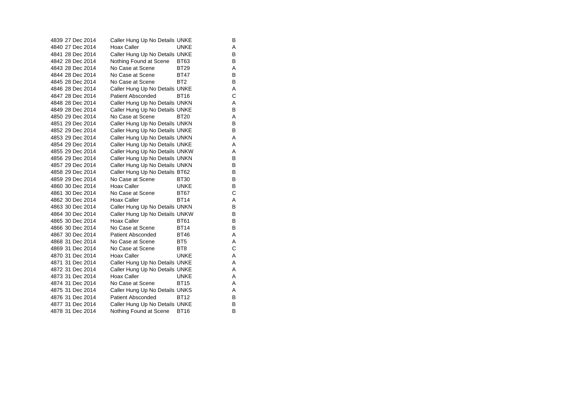| 4839 27 Dec 2014 | Caller Hung Up No Details UNKE |                 | B |
|------------------|--------------------------------|-----------------|---|
| 4840 27 Dec 2014 | <b>Hoax Caller</b>             | <b>UNKE</b>     | A |
| 4841 28 Dec 2014 | Caller Hung Up No Details UNKE |                 | B |
| 4842 28 Dec 2014 | Nothing Found at Scene         | BT63            | B |
| 4843 28 Dec 2014 | No Case at Scene               | <b>BT29</b>     | A |
| 4844 28 Dec 2014 | No Case at Scene               | BT47            | B |
| 4845 28 Dec 2014 | No Case at Scene               | BT <sub>2</sub> | B |
| 4846 28 Dec 2014 | Caller Hung Up No Details UNKE |                 | A |
| 4847 28 Dec 2014 | <b>Patient Absconded</b>       | <b>BT16</b>     | C |
| 4848 28 Dec 2014 | Caller Hung Up No Details UNKN |                 | A |
| 4849 28 Dec 2014 | Caller Hung Up No Details UNKE |                 | B |
| 4850 29 Dec 2014 | No Case at Scene               | BT20            | Α |
| 4851 29 Dec 2014 | Caller Hung Up No Details UNKN |                 | B |
| 4852 29 Dec 2014 | Caller Hung Up No Details UNKE |                 | B |
| 4853 29 Dec 2014 | Caller Hung Up No Details UNKN |                 | A |
| 4854 29 Dec 2014 | Caller Hung Up No Details UNKE |                 | A |
| 4855 29 Dec 2014 | Caller Hung Up No Details UNKW |                 | Α |
| 4856 29 Dec 2014 | Caller Hung Up No Details UNKN |                 | B |
| 4857 29 Dec 2014 | Caller Hung Up No Details UNKN |                 | B |
| 4858 29 Dec 2014 | Caller Hung Up No Details BT62 |                 | B |
| 4859 29 Dec 2014 | No Case at Scene               | <b>BT30</b>     | B |
| 4860 30 Dec 2014 | Hoax Caller                    | <b>UNKE</b>     | B |
| 4861 30 Dec 2014 | No Case at Scene               | <b>BT67</b>     | C |
| 4862 30 Dec 2014 | Hoax Caller                    | <b>BT14</b>     | A |
| 4863 30 Dec 2014 | Caller Hung Up No Details UNKN |                 | В |
| 4864 30 Dec 2014 | Caller Hung Up No Details UNKW |                 | B |
| 4865 30 Dec 2014 | <b>Hoax Caller</b>             | <b>BT61</b>     | B |
| 4866 30 Dec 2014 | No Case at Scene               | <b>BT14</b>     | B |
| 4867 30 Dec 2014 | <b>Patient Absconded</b>       | <b>BT46</b>     | A |
| 4868 31 Dec 2014 | No Case at Scene               | BT5             | A |
| 4869 31 Dec 2014 | No Case at Scene               | BT <sub>8</sub> | C |
| 4870 31 Dec 2014 | Hoax Caller                    | <b>UNKE</b>     | A |
| 4871 31 Dec 2014 | Caller Hung Up No Details UNKE |                 | A |
| 4872 31 Dec 2014 | Caller Hung Up No Details UNKE |                 | A |
| 4873 31 Dec 2014 | <b>Hoax Caller</b>             | <b>UNKE</b>     | A |
| 4874 31 Dec 2014 | No Case at Scene               | <b>BT15</b>     | A |
| 4875 31 Dec 2014 | Caller Hung Up No Details UNKS |                 | A |
| 4876 31 Dec 2014 | <b>Patient Absconded</b>       | <b>BT12</b>     | B |
| 4877 31 Dec 2014 | Caller Hung Up No Details UNKE |                 | B |
| 4878 31 Dec 2014 | Nothing Found at Scene         | <b>BT16</b>     | B |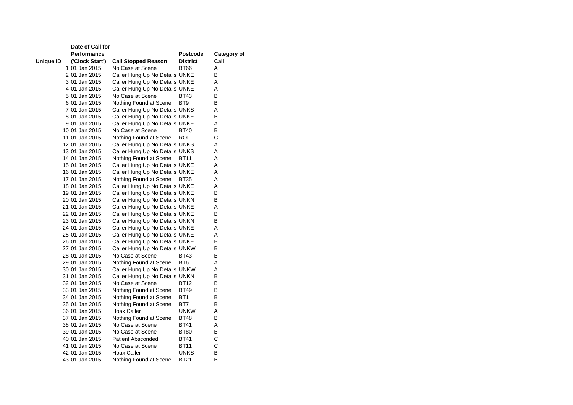|           | Date of Call for |                                |                 |             |
|-----------|------------------|--------------------------------|-----------------|-------------|
|           | Performance      |                                | <b>Postcode</b> | Category of |
| Unique ID | ('Clock Start')  | <b>Call Stopped Reason</b>     | <b>District</b> | Call        |
|           | 1 01 Jan 2015    | No Case at Scene               | BT66            | A           |
|           | 2 01 Jan 2015    | Caller Hung Up No Details UNKE |                 | В           |
|           | 3 01 Jan 2015    | Caller Hung Up No Details UNKE |                 | A           |
|           | 4 01 Jan 2015    | Caller Hung Up No Details UNKE |                 | A           |
|           | 5 01 Jan 2015    | No Case at Scene               | BT43            | в           |
|           | 6 01 Jan 2015    | Nothing Found at Scene         | BT <sub>9</sub> | B           |
|           | 7 01 Jan 2015    | Caller Hung Up No Details UNKS |                 | A           |
|           | 8 01 Jan 2015    | Caller Hung Up No Details UNKE |                 | В           |
|           | 9 01 Jan 2015    | Caller Hung Up No Details UNKE |                 | A           |
|           | 10 01 Jan 2015   | No Case at Scene               | BT40            | В           |
|           | 11 01 Jan 2015   | Nothing Found at Scene         | ROI             | С           |
|           | 12 01 Jan 2015   | Caller Hung Up No Details UNKS |                 | Α           |
|           | 13 01 Jan 2015   | Caller Hung Up No Details UNKS |                 | A           |
|           | 14 01 Jan 2015   | Nothing Found at Scene         | BT11            | Α           |
|           | 15 01 Jan 2015   | Caller Hung Up No Details UNKE |                 | A           |
|           | 16 01 Jan 2015   | Caller Hung Up No Details UNKE |                 | A           |
|           | 17 01 Jan 2015   | Nothing Found at Scene         | BT35            | Α           |
|           | 18 01 Jan 2015   | Caller Hung Up No Details UNKE |                 | Α           |
|           | 19 01 Jan 2015   | Caller Hung Up No Details UNKE |                 | В           |
|           | 20 01 Jan 2015   | Caller Hung Up No Details UNKN |                 | B           |
|           | 21 01 Jan 2015   | Caller Hung Up No Details UNKE |                 | Α           |
|           | 22 01 Jan 2015   | Caller Hung Up No Details UNKE |                 | В           |
|           | 23 01 Jan 2015   | Caller Hung Up No Details UNKN |                 | в           |
|           | 24 01 Jan 2015   | Caller Hung Up No Details UNKE |                 | A           |
|           | 25 01 Jan 2015   | Caller Hung Up No Details UNKE |                 | A           |
|           | 26 01 Jan 2015   | Caller Hung Up No Details UNKE |                 | B           |
|           | 27 01 Jan 2015   | Caller Hung Up No Details UNKW |                 | В           |
|           | 28 01 Jan 2015   | No Case at Scene               | <b>BT43</b>     | B           |
|           | 29 01 Jan 2015   | Nothing Found at Scene         | BT6             | Α           |
|           | 30 01 Jan 2015   | Caller Hung Up No Details UNKW |                 | A           |
|           | 31 01 Jan 2015   | Caller Hung Up No Details UNKN |                 | B           |
|           | 32 01 Jan 2015   | No Case at Scene               | <b>BT12</b>     | B           |
|           | 33 01 Jan 2015   | Nothing Found at Scene         | <b>BT49</b>     | В           |
|           | 34 01 Jan 2015   | Nothing Found at Scene         | BT1             | в           |
|           | 35 01 Jan 2015   | Nothing Found at Scene         | BT7             | в           |
|           | 36 01 Jan 2015   | Hoax Caller                    | <b>UNKW</b>     | A           |
|           | 37 01 Jan 2015   | Nothing Found at Scene         | <b>BT48</b>     | в           |
|           | 38 01 Jan 2015   | No Case at Scene               | BT41            | A           |
|           | 39 01 Jan 2015   | No Case at Scene               | <b>BT80</b>     | В           |
|           | 40 01 Jan 2015   | <b>Patient Absconded</b>       | BT41            | С           |
|           | 41 01 Jan 2015   | No Case at Scene               | BT11            | C           |
|           | 42 01 Jan 2015   | Hoax Caller                    | UNKS            | В           |
|           | 43 01 Jan 2015   | Nothing Found at Scene         | <b>BT21</b>     | B           |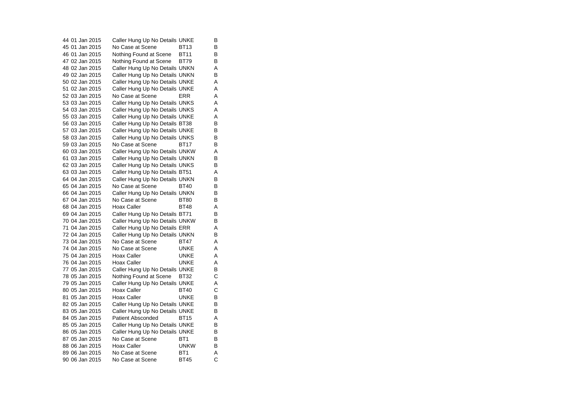44 01 Jan 2015 Caller Hung Up No Details UNKE B 45 01 Jan 2015 No Case at Scene BT13 B 46 01 Jan 2015 Nothing Found at Scene BT11 B 47 02 Jan 2015 Nothing Found at Scene BT79 B 48 02 Jan 2015 Caller Hung Up No Details UNKN A 49 02 Jan 2015 Caller Hung Up No Details UNKN B 50 02 Jan 2015 Caller Hung Up No Details UNKE A 51 02 Jan 2015 Caller Hung Up No Details UNKE A 52 03 Jan 2015 No Case at Scene ERR A 53 03 Jan 2015 Caller Hung Up No Details UNKS A 54 03 Jan 2015 Caller Hung Up No Details UNKS A 55 03 Jan 2015 Caller Hung Up No Details UNKE A 56 03 Jan 2015 Caller Hung Up No Details BT38 B 57 03 Jan 2015 Caller Hung Up No Details UNKE B 58 03 Jan 2015 Caller Hung Up No Details UNKS B 59 03 Jan 2015 No Case at Scene BT17 B 60 03 Jan 2015 Caller Hung Up No Details UNKW A 61 03 Jan 2015 Caller Hung Up No Details UNKN B 62 03 Jan 2015 Caller Hung Up No Details UNKS B 63 03 Jan 2015 Caller Hung Up No Details BT51 A 64 04 Jan 2015 Caller Hung Up No Details UNKN B 65 04 Jan 2015 No Case at Scene BT40 B 66 04 Jan 2015 Caller Hung Up No Details UNKN B 67 04 Jan 2015 No Case at Scene BT80 B 68 04 Jan 2015 Hoax Caller BT48 A 69 04 Jan 2015 Caller Hung Up No Details BT71 B 70 04 Jan 2015 Caller Hung Up No Details UNKW B 71 04 Jan 2015 Caller Hung Up No Details ERR A 72 04 Jan 2015 Caller Hung Up No Details UNKN B 73 04 Jan 2015 No Case at Scene BT47 A 74 04 Jan 2015 No Case at Scene UNKE A75 04 Jan 2015 Hoax Caller UNKE A 76 04 Jan 2015 Hoax Caller UNKE A 77 05 Jan 2015 Caller Hung Up No Details UNKE B 78 05 Jan 2015 Nothing Found at Scene BT32 C 79 05 Jan 2015 Caller Hung Up No Details UNKE 80 05 Jan 2015 Hoax Caller BT40 C 81 05 Jan 2015 Hoax Caller UNKE  $\sf B$ 82 05 Jan 2015 Caller Hung Up No Details UNKE B 83 05 Jan 2015 Caller Hung Up No Details UNKE B 84 05 Jan 2015 Patient Absconded BT15 A 85 05 Jan 2015 Caller Hung Up No Details UNKE B 86 05 Jan 2015 Caller Hung Up No Details UNKE B 87 05 Jan 2015 No Case at Scene BT1 B 88 06 Jan 2015 Hoax Caller UNKW B 89 06 Jan 2015 No Case at Scene BT1 A 90 06 Jan 2015 No Case at Scene BT45 C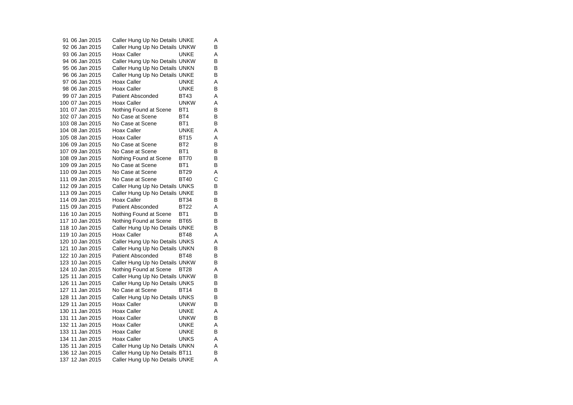91 06 Jan 2015 Caller Hung Up No Details UNKE A 92 06 Jan 2015 Caller Hung Up No Details UNKW B 93 06 Jan 2015 Hoax Caller UNKE A 94 06 Jan 2015 Caller Hung Up No Details UNKW B<br>95 06 Jan 2015 Caller Hung Up No Details UNKN B 95 06 Jan 2015 Caller Hung Up No Details UNKN 96 06 Jan 2015 Caller Hung Up No Details UNKE B 97 06 Jan 2015 Hoax Caller UNKE A 98 06 Jan 2015 Hoax Caller UNKE B 99 07 Jan 2015 Patient Absconded BT43 A 100 07 Jan 2015 Hoax Caller UNKW A 101 07 Jan 2015 Nothing Found at Scene BT1 B 102 07 Jan 2015 No Case at Scene BT4 B 103 08 Jan 2015 No Case at Scene BT1 B 104 08 Jan 2015 Hoax Caller UNKE A 105 08 Jan 2015 Hoax Caller BT15 A 106 09 Jan 2015 No Case at Scene BT2 B 107 09 Jan 2015 No Case at Scene BT1 B 108 09 Jan 2015 Mothing Found at Scene BT70 B 109 09 Jan 2015 No Case at Scene BT1 B 110 09 Jan 2015 No Case at Scene BT29 A 111 09 Jan 2015 No Case at Scene BT40 C 112 09 Jan 2015 Caller Hung Up No Details UNKS B<br>113 09 Jan 2015 Caller Hung Up No Details UNKE B 113 09 Jan 2015 Caller Hung Up No Details UNKE 114 09 Jan 2015 Hoax Caller BT34 B 115 09 Jan 2015 Patient Absconded BT22 A 116 10 Jan 2015 Nothing Found at Scene BT1 B 117 10 Jan 2015 Nothing Found at Scene BT65 B<br>118 10 Jan 2015 Caller Hung Up No Details UNKE B 118 10 Jan 2015 Caller Hung Up No Details UNKE 119 10 Jan 2015 Hoax Caller BT48 A 120 10 Jan 2015 Caller Hung Up No Details UNKS A<br>121 10 Jan 2015 Caller Hung Up No Details UNKN B 121 10 Jan 2015 Caller Hung Up No Details UNKN 122 10 Jan 2015 Patient Absconded BT48  $\overline{B}$ 123 10 Jan 2015 Caller Hung Up No Details UNKW B 124 10 Jan 2015 Nothing Found at Scene BT28 A 125 11 Jan 2015 Caller Hung Up No Details UNKW B<br>126 11 Jan 2015 Caller Hung Up No Details UNKS B 126 11 Jan 2015 Caller Hung Up No Details UNKS 127 11 Jan 2015 No Case at Scene BT14 B 128 11 Jan 2015 Caller Hung Up No Details UNKS B 129 11 Jan 2015 Hoax Caller UNKW B 130 11 Jan 2015 Hoax Caller **UNKE** A<br>B 131 11 Jan 2015 Hoax Caller UNKW 132 11 Jan 2015 Hoax Caller **UNKE** A 133 11 Jan 2015 Hoax Caller UNKE B 134 11 Jan 2015 Hoax Caller **UNKS** A 135 11 Jan 2015 Caller Hung Up No Details UNKN A 136 12 Jan 2015 Caller Hung Up No Details BT11 B 137 12 Jan 2015 Caller Hung Up No Details UNKE A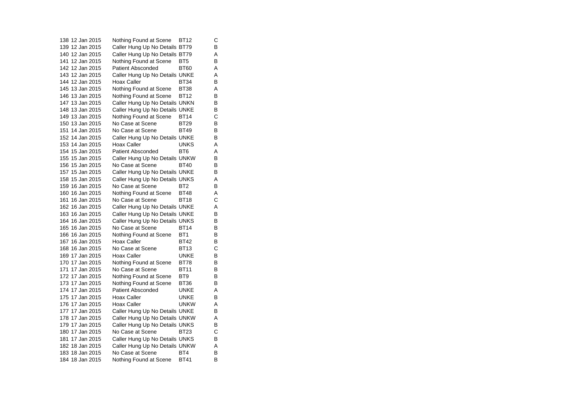138 12 Jan 2015 Nothing Found at Scene BT12 C 139 12 Jan 2015 Caller Hung Up No Details BT79 B 140 12 Jan 2015 Caller Hung Up No Details BT79 A 141 12 Jan 2015 Nothing Found at Scene BT5 B 142 12 Jan 2015 Patient Absconded BT60 A 143 12 Jan 2015 Caller Hung Up No Details UNKE A 144 12 Jan 2015 Hoax Caller BT34  $\overline{B}$ 145 13 Jan 2015 Nothing Found at Scene BT38 A 146 13 Jan 2015 Nothing Found at Scene BT12 B<br>147 13 Jan 2015 Caller Hung Up No Details UNKN B 147 13 Jan 2015 Caller Hung Up No Details UNKN 148 13 Jan 2015 Caller Hung Up No Details UNKE B 149 13 Jan 2015 Nothing Found at Scene BT14 C<br>150 13 Jan 2015 No Case at Scene BT29 B 150 13 Jan 2015 No Case at Scene BT29 151 14 Jan 2015 No Case at Scene BT49  $\overline{B}$ 152 14 Jan 2015 Caller Hung Up No Details UNKE B 153 14 Jan 2015 Hoax Caller UNKS A 154 15 Jan 2015 Patient Absconded BT6 A 155 15 Jan 2015 Caller Hung Up No Details UNKW B 156 15 Jan 2015 No Case at Scene BT40 B 157 15 Jan 2015 Caller Hung Up No Details UNKE B 158 15 Jan 2015 Caller Hung Up No Details UNKS A 159 16 Jan 2015 No Case at Scene BT2 B 160 16 Jan 2015 Nothing Found at Scene BT48 A 161 16 Jan 2015 No Case at Scene BT18 C 162 16 Jan 2015 Caller Hung Up No Details UNKE A 163 16 Jan 2015 Caller Hung Up No Details UNKE B 164 16 Jan 2015 Caller Hung Up No Details UNKS B<br>165 16 Jan 2015 No Case at Scene BT14 B 165 16 Jan 2015 No Case at Scene BT14 166 16 Jan 2015 Nothing Found at Scene BT1 B 167 16 Jan 2015 Hoax Caller BT42  $\overline{B}$ 168 16 Jan 2015 No Case at Scene BT13 C 169 17 Jan 2015 Hoax Caller **Hoax Caller** UNKE  $\overline{B}$ 170 17 Jan 2015 Nothing Found at Scene BT78 B 171 17 Jan 2015 No Case at Scene BT11 B 172 17 Jan 2015 Nothing Found at Scene BT9 B<br>173 17 Jan 2015 Nothing Found at Scene BT36 B 173 17 Jan 2015 Nothing Found at Scene BT36 174 17 Jan 2015 Patient Absconded UNKE A175 17 Jan 2015 Hoax Caller UNKE B 176 17 Jan 2015 Hoax Caller UNKW A 177 17 Jan 2015 Caller Hung Up No Details UNKE B 178 17 Jan 2015 Caller Hung Up No Details UNKW A 179 17 Jan 2015 Caller Hung Up No Details UNKS B 180 17 Jan 2015 No Case at Scene BT23 C 181 17 Jan 2015 Caller Hung Up No Details UNKS B 182 18 Jan 2015 Caller Hung Up No Details UNKW A 183 18 Jan 2015 No Case at Scene BT4 B 184 18 Jan 2015 Nothing Found at Scene BT41 B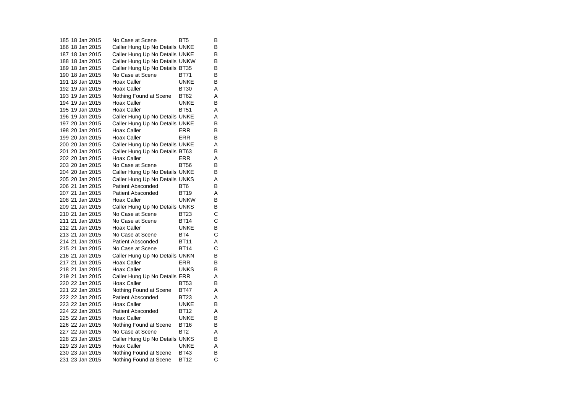185 18 Jan 2015 No Case at Scene BT5  $\overline{B}$ 186 18 Jan 2015 Caller Hung Up No Details UNKE B 187 18 Jan 2015 Caller Hung Up No Details UNKE B 188 18 Jan 2015 Caller Hung Up No Details UNKW B<br>189 18 Jan 2015 Caller Hung Up No Details BT35 B 189 18 Jan 2015 Caller Hung Up No Details BT35 190 18 Jan 2015 No Case at Scene BT71 B 191 18 Jan 2015 Hoax Caller **Hoax Caller** UNKE  $\overline{B}$ 192 19 Jan 2015 Hoax Caller BT30 A 193 19 Jan 2015 Nothing Found at Scene BT62 A<br>194 19 Jan 2015 Hoax Caller BUNKE B 194 19 Jan 2015 Hoax Caller 195 19 Jan 2015 Hoax Caller BT51 A 196 19 Jan 2015 Caller Hung Up No Details UNKE A 197 20 Jan 2015 Caller Hung Up No Details UNKE B 198 20 Jan 2015 Hoax Caller ERR B 199 20 Jan 2015 Hoax Caller ERR B 200 20 Jan 2015 Caller Hung Up No Details UNKE A 201 20 Jan 2015 Caller Hung Up No Details BT63 B 202 20 Jan 2015 Hoax Caller ERR A 203 20 Jan 2015 No Case at Scene BT56 B 204 20 Jan 2015 Caller Hung Up No Details UNKE B 205 20 Jan 2015 Caller Hung Up No Details UNKS A 206 21 Jan 2015 Patient Absconded BT6 B 207 21 Jan 2015 Patient Absconded BT19 A 208 21 Jan 2015 Hoax Caller UNKW B 209 21 Jan 2015 Caller Hung Up No Details UNKS B<br>210 21 Jan 2015 No Case at Scene BT23 C 210 21 Jan 2015 No Case at Scene BT23 211 21 Jan 2015 No Case at Scene BT14  $\frac{C}{B}$ 212 21 Jan 2015 Hoax Caller **UNKE**  $\mathbf{C}$ 213 21 Jan 2015 No Case at Scene BT4 214 21 Jan 2015 Patient Absconded BT11 A 215 21 Jan 2015 No Case at Scene BT14 C 216 21 Jan 2015 Caller Hung Up No Details UNKN B 217 21 Jan 2015 Hoax Caller FRR  $\sf B$ 218 21 Jan 2015 Hoax Caller UNKS B 219 21 Jan 2015 Caller Hung Up No Details ERR A<br>220 22 Jan 2015 Hoax Caller BT53 B 220 22 Jan 2015 Hoax Caller 221 22 Jan 2015 Nothing Found at Scene BT47 A 222 22 Jan 2015 Patient Absconded BT23 A 223 22 Jan 2015 Hoax Caller UNKE B 224 22 Jan 2015 Patient Absconded BT12 A<br>B 225 22 Jan 2015 Hoax Caller Bunk E 226 22 Jan 2015 Nothing Found at Scene BT16 B 227 22 Jan 2015 No Case at Scene BT2 A 228 23 Jan 2015 Caller Hung Up No Details UNKS B 229 23 Jan 2015 Hoax Caller UNKE A 230 23 Jan 2015 Nothing Found at Scene BT43 B 231 23 Jan 2015 Nothing Found at Scene BT12 C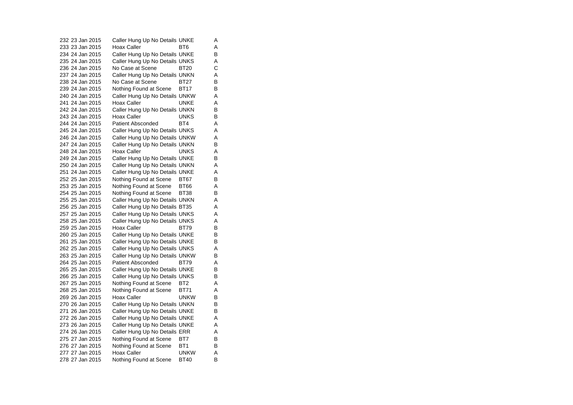232 23 Jan 2015 Caller Hung Up No Details UNKE A 233 23 Jan 2015 Hoax Caller BT6 A 234 24 Jan 2015 Caller Hung Up No Details UNKE B 235 24 Jan 2015 Caller Hung Up No Details UNKS A<br>236 24 Jan 2015 No Case at Scene BT20 C 236 24 Jan 2015 No Case at Scene BT20 237 24 Jan 2015 Caller Hung Up No Details UNKN A 238 24 Jan 2015 No Case at Scene BT27 B 239 24 Jan 2015 Nothing Found at Scene BT17 B 240 24 Jan 2015 Caller Hung Up No Details UNKW A 241 24 Jan 2015 Hoax Caller UNKE A 242 24 Jan 2015 Caller Hung Up No Details UNKN B 243 24 Jan 2015 Hoax Caller UNKS B 244 24 Jan 2015 Patient Absconded BT4 A 245 24 Jan 2015 Caller Hung Up No Details UNKS A 246 24 Jan 2015 Caller Hung Up No Details UNKW A 247 24 Jan 2015 Caller Hung Up No Details UNKN B 248 24 Jan 2015 Hoax Caller UNKS A 249 24 Jan 2015 Caller Hung Up No Details UNKE B 250 24 Jan 2015 Caller Hung Up No Details UNKN A 251 24 Jan 2015 Caller Hung Up No Details UNKE A 252 25 Jan 2015 Nothing Found at Scene BT67 B 253 25 Jan 2015 Nothing Found at Scene BT66 A 254 25 Jan 2015 Nothing Found at Scene BT38 B 255 25 Jan 2015 Caller Hung Up No Details UNKN A 256 25 Jan 2015 Caller Hung Up No Details BT35 A 257 25 Jan 2015 Caller Hung Up No Details UNKS A 258 25 Jan 2015 Caller Hung Up No Details UNKS A<br>259 25 Jan 2015 Hoax Caller BT79 B 259 25 Jan 2015 Hoax Caller BT79 260 25 Jan 2015 Caller Hung Up No Details UNKE B 261 25 Jan 2015 Caller Hung Up No Details UNKE B 262 25 Jan 2015 Caller Hung Up No Details UNKS A 263 25 Jan 2015 Caller Hung Up No Details UNKW B 264 25 Jan 2015 Patient Absconded BT79 A 265 25 Jan 2015 Caller Hung Up No Details UNKE B 266 25 Jan 2015 Caller Hung Up No Details UNKS B<br>267 25 Jan 2015 Nothing Found at Scene BT2 A 267 25 Jan 2015 Nothing Found at Scene BT2 268 25 Jan 2015 Nothing Found at Scene BT71 A 269 26 Jan 2015 Hoax Caller UNKW  $\sf B$ 270 26 Jan 2015 Caller Hung Up No Details UNKN B 271 26 Jan 2015 Caller Hung Up No Details UNKE B 272 26 Jan 2015 Caller Hung Up No Details UNKE A 273 26 Jan 2015 Caller Hung Up No Details UNKE A 274 26 Jan 2015 Caller Hung Up No Details ERR A 275 27 Jan 2015 Nothing Found at Scene BT7 B 276 27 Jan 2015 Nothing Found at Scene BT1 B 277 27 Jan 2015 Hoax Caller UNKW A 278 27 Jan 2015 Nothing Found at Scene BT40 B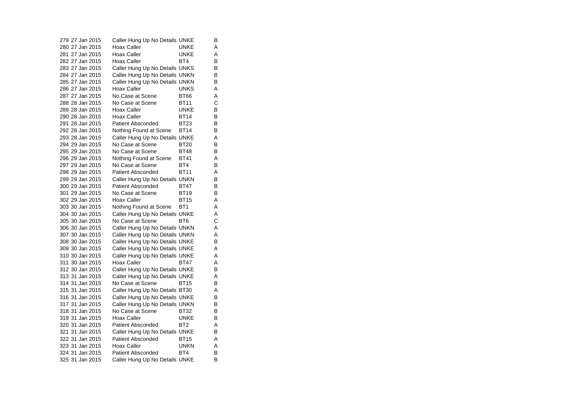279 27 Jan 2015 Caller Hung Up No Details UNKE B 280 27 Jan 2015 Hoax Caller CONNE A 281 27 Jan 2015 Hoax Caller UNKE A 282 27 Jan 2015 Hoax Caller BT4 B<br>B 283 27 Jan 2015 Caller Hung Up No Details UNKS 284 27 Jan 2015 Caller Hung Up No Details UNKN B 285 27 Jan 2015 Caller Hung Up No Details UNKN B 286 27 Jan 2015 Hoax Caller UNKS A 287 27 Jan 2015 No Case at Scene BT66 A<br>C 288 28 Jan 2015 No Case at Scene BT11 C289 28 Jan 2015 Hoax Caller UNKE B 290 28 Jan 2015 Hoax Caller BT14 B 291 28 Jan 2015 Patient Absconded BT23 B 292 28 Jan 2015 Nothing Found at Scene BT14 B 293 28 Jan 2015 Caller Hung Up No Details UNKE A 294 29 Jan 2015 No Case at Scene BT20 B 295 29 Jan 2015 No Case at Scene BT48 B 296 29 Jan 2015 Nothing Found at Scene BT41 A 297 29 Jan 2015 No Case at Scene BT4 B 298 29 Jan 2015 Patient Absconded BT11 A 299 29 Jan 2015 Caller Hung Up No Details UNKN B 300 29 Jan 2015 Patient Absconded BT47 B 301 29 Jan 2015 No Case at Scene BT19 B 302 29 Jan 2015 Hoax Caller BT15 A 303 30 Jan 2015 Nothing Found at Scene BT1 A 304 30 Jan 2015 Caller Hung Up No Details UNKE A 305 30 Jan 2015 No Case at Scene BT6  $\mathbf C$ 306 30 Jan 2015 Caller Hung Up No Details UNKN A 307 30 Jan 2015 Caller Hung Up No Details UNKN A 308 30 Jan 2015 Caller Hung Up No Details UNKE B 309 30 Jan 2015 Caller Hung Up No Details UNKE A 310 30 Jan 2015 Caller Hung Up No Details UNKE A 311 30 Jan 2015 Hoax Caller BT47 A 312 30 Jan 2015 Caller Hung Up No Details UNKE B 313 31 Jan 2015 Caller Hung Up No Details UNKE<br>314 31 Jan 2015 No Case at Scene BT15 B 314 31 Jan 2015 No Case at Scene BT15 315 31 Jan 2015 Caller Hung Up No Details BT30 A 316 31 Jan 2015 Caller Hung Up No Details UNKE B 317 31 Jan 2015 Caller Hung Up No Details UNKN B 318 31 Jan 2015 No Case at Scene BT32 B $\frac{B}{B}$ 319 31 Jan 2015 Hoax Caller Bunk E 320 31 Jan 2015 Patient Absconded BT2 A321 31 Jan 2015 Caller Hung Up No Details UNKE B 322 31 Jan 2015 Patient Absconded BT15 A 323 31 Jan 2015 Hoax Caller **Hoax Hoax Hoat** A<br>B 324 31 Jan 2015 Patient Absconded BT4 325 31 Jan 2015 Caller Hung Up No Details UNKE B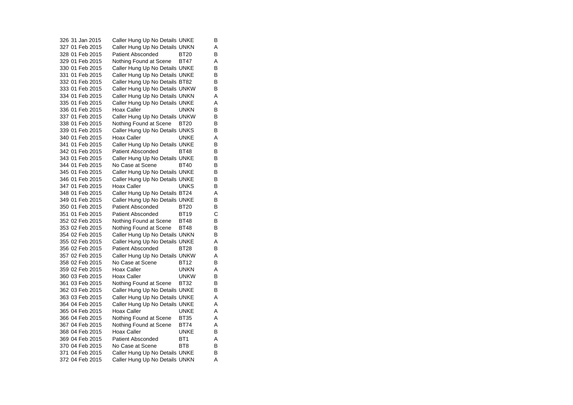326 31 Jan 2015 Caller Hung Up No Details UNKE B 327 01 Feb 2015 Caller Hung Up No Details UNKN A 328 01 Feb 2015 Patient Absconded BT20 B 329 01 Feb 2015 Nothing Found at Scene BT47 A 330 01 Feb 2015 Caller Hung Up No Details UNKE B 331 01 Feb 2015 Caller Hung Up No Details UNKE B 332 01 Feb 2015 Caller Hung Up No Details BT82 B 333 01 Feb 2015 Caller Hung Up No Details UNKW B 334 01 Feb 2015 Caller Hung Up No Details UNKN A 335 01 Feb 2015 Caller Hung Up No Details UNKE A 336 01 Feb 2015 Hoax Caller UNKN B 337 01 Feb 2015 Caller Hung Up No Details UNKW B<br>338 01 Feb 2015 Nothing Found at Scene BT20 B Nothing Found at Scene BT20 339 01 Feb 2015 Caller Hung Up No Details UNKS B 340 01 Feb 2015 Hoax Caller UNKE  $\overline{A}$ 341 01 Feb 2015 Caller Hung Up No Details UNKE B 342 01 Feb 2015 Patient Absconded BT48 B 343 01 Feb 2015 Caller Hung Up No Details UNKE B 344 01 Feb 2015 No Case at Scene BT40 B 345 01 Feb 2015 Caller Hung Up No Details UNKE B 346 01 Feb 2015 Caller Hung Up No Details UNKE B 347 01 Feb 2015 Hoax Caller UNKS B 348 01 Feb 2015 Caller Hung Up No Details BT24 A 349 01 Feb 2015 Caller Hung Up No Details UNKE B 350 01 Feb 2015 Patient Absconded BT20 B 351 01 Feb 2015 Patient Absconded BT19 C 352 02 Feb 2015 Nothing Found at Scene BT48 B<br>353 02 Feb 2015 Nothing Found at Scene BT48 B 353 02 Feb 2015 Nothing Found at Scene BT48 354 02 Feb 2015 Caller Hung Up No Details UNKN B 355 02 Feb 2015 Caller Hung Up No Details UNKE A 356 02 Feb 2015 Patient Absconded BT28 357 02 Feb 2015 Caller Hung Up No Details UNKW A 358 02 Feb 2015 No Case at Scene BT12 B $\sf B$ 359 02 Feb 2015 Hoax Caller **UNKN** A 360 03 Feb 2015 Hoax Caller CONKW B 361 03 Feb 2015 Nothing Found at Scene BT32 B 362 03 Feb 2015 Caller Hung Up No Details UNKE B 363 03 Feb 2015 Caller Hung Up No Details UNKE A 364 04 Feb 2015 Caller Hung Up No Details UNKE A 365 04 Feb 2015 Hoax Caller CONNE A 366 04 Feb 2015 Nothing Found at Scene BT35 A 367 04 Feb 2015 Nothing Found at Scene BT74 A 368 04 Feb 2015 Hoax Caller UNKE B 369 04 Feb 2015 Patient Absconded BT1 A 370 04 Feb 2015 No Case at Scene BT8 BT8 371 04 Feb 2015 Caller Hung Up No Details UNKE B 372 04 Feb 2015 Caller Hung Up No Details UNKN A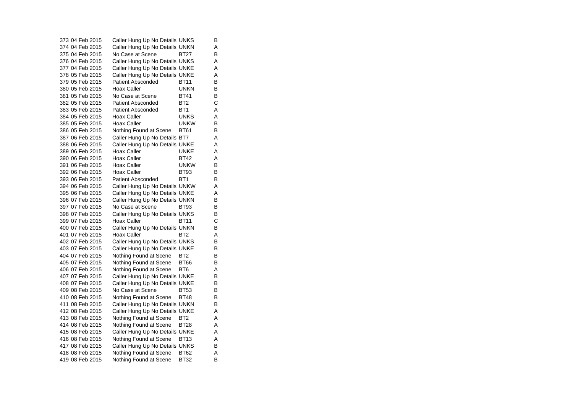373 04 Feb 2015 Caller Hung Up No Details UNKS B 374 04 Feb 2015 Caller Hung Up No Details UNKN A 375 04 Feb 2015 No Case at Scene BT27 B 376 04 Feb 2015 Caller Hung Up No Details UNKS A 377 04 Feb 2015 Caller Hung Up No Details UNKE A 378 05 Feb 2015 Caller Hung Up No Details UNKE A 379 05 Feb 2015 Patient Absconded BT11  $\overline{B}$ 380 05 Feb 2015 Hoax Caller **UNKN** B  $\overline{B}$ 381 05 Feb 2015 No Case at Scene BT41 382 05 Feb 2015 Patient Absconded BT2 C383 05 Feb 2015 Patient Absconded BT1 A 384 05 Feb 2015 Hoax Caller UNKS A 385 05 Feb 2015 Hoax Caller CONCOMERCIAL UNKW B 386 05 Feb 2015 Nothing Found at Scene BT61 B 387 06 Feb 2015 Caller Hung Up No Details BT7 A 388 06 Feb 2015 Caller Hung Up No Details UNKE A 389 06 Feb 2015 Hoax Caller CONNE A 390 06 Feb 2015 Hoax Caller BT42 A 391 06 Feb 2015 Hoax Caller **UNKW** B 392 06 Feb 2015 Hoax Caller BT93 B 393 06 Feb 2015 Patient Absconded BT1 B 394 06 Feb 2015 Caller Hung Up No Details UNKW A 395 06 Feb 2015 Caller Hung Up No Details UNKE A 396 07 Feb 2015 Caller Hung Up No Details UNKN B 397 07 Feb 2015 No Case at Scene BT93 B 398 07 Feb 2015 Caller Hung Up No Details UNKS B 399 07 Feb 2015 Hoax Caller GNU BT11  $\frac{C}{B}$ 400 07 Feb 2015 Caller Hung Up No Details UNKN 401 07 Feb 2015 Hoax Caller BT2 A 402 07 Feb 2015 Caller Hung Up No Details UNKS B<br>403 07 Feb 2015 Caller Hung Up No Details UNKE B 403 07 Feb 2015 Caller Hung Up No Details UNKE 404 07 Feb 2015 Nothing Found at Scene BT2 B 405 07 Feb 2015 Nothing Found at Scene BT66 B 406 07 Feb 2015 Nothing Found at Scene BT6 A 407 07 Feb 2015 Caller Hung Up No Details UNKE B<br>408 07 Feb 2015 Caller Hung Up No Details UNKE B 408 07 Feb 2015 Caller Hung Up No Details UNKE 409 08 Feb 2015 No Case at Scene BT53 B 410 08 Feb 2015 Nothing Found at Scene BT48 B 411 08 Feb 2015 Caller Hung Up No Details UNKN B 412 08 Feb 2015 Caller Hung Up No Details UNKE<br>413 08 Feb 2015 Nothing Found at Scene BT2 A Nothing Found at Scene BT2 A 414 08 Feb 2015 Nothing Found at Scene BT28 A 415 08 Feb 2015 Caller Hung Up No Details UNKE A 416 08 Feb 2015 Nothing Found at Scene BT13 A 417 08 Feb 2015 Caller Hung Up No Details UNKS B 418 08 Feb 2015 Nothing Found at Scene BT62 A 419 08 Feb 2015 Nothing Found at Scene BT32 B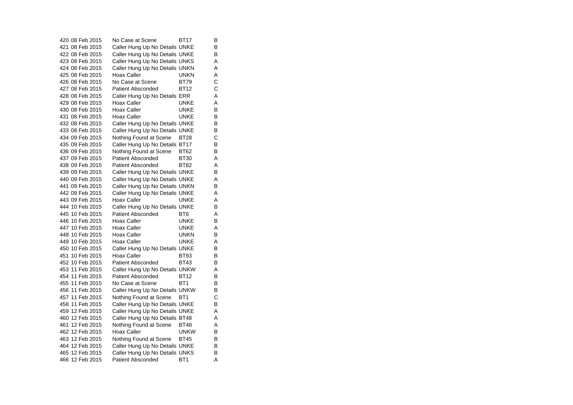420 08 Feb 2015 No Case at Scene BT17 B 421 08 Feb 2015 Caller Hung Up No Details UNKE B 422 08 Feb 2015 Caller Hung Up No Details UNKE B 423 08 Feb 2015 Caller Hung Up No Details UNKS A 424 08 Feb 2015 Caller Hung Up No Details UNKN A 425 08 Feb 2015 Hoax Caller UNKN A 426 08 Feb 2015 No Case at Scene BT79  $\mathbf C$ 427 08 Feb 2015 Patient Absconded BT12 C 428 08 Feb 2015 Caller Hung Up No Details ERR A 429 08 Feb 2015 Hoax Caller UNKE A430 08 Feb 2015 Hoax Caller UNKE B 431 08 Feb 2015 Hoax Caller CONNE B 432 08 Feb 2015 Caller Hung Up No Details UNKE B 433 08 Feb 2015 Caller Hung Up No Details UNKE B 434 09 Feb 2015 Nothing Found at Scene BT28 C 435 09 Feb 2015 Caller Hung Up No Details BT17 B 436 09 Feb 2015 Nothing Found at Scene BT62 B 437 09 Feb 2015 Patient Absconded BT30 A 438 09 Feb 2015 Patient Absconded BT82  $\overline{A}$ 439 09 Feb 2015 Caller Hung Up No Details UNKE B 440 09 Feb 2015 Caller Hung Up No Details UNKE A 441 09 Feb 2015 Caller Hung Up No Details UNKN B 442 09 Feb 2015 Caller Hung Up No Details UNKE A 443 09 Feb 2015 Hoax Caller CONNE A 444 10 Feb 2015 Caller Hung Up No Details UNKE B 445 10 Feb 2015 Patient Absconded BT6 A 446 10 Feb 2015 Hoax Caller **Hoax Caller** UNKE  $\sf B$ 447 10 Feb 2015 Hoax Caller UNKE A 448 10 Feb 2015 Hoax Caller UNKN B 449 10 Feb 2015 Hoax Caller UNKE A 450 10 Feb 2015 Caller Hung Up No Details UNKE B 451 10 Feb 2015 Hoax Caller BT93  $\overline{B}$ 452 10 Feb 2015 Patient Absconded BT43  $\sf B$ 453 11 Feb 2015 Caller Hung Up No Details UNKW A 454 11 Feb 2015 Patient Absconded BT12 B 455 11 Feb 2015 No Case at Scene BT1 B 456 11 Feb 2015 Caller Hung Up No Details UNKW B<br>457 11 Feb 2015 Nothing Found at Scene BT1 C 457 11 Feb 2015 Nothing Found at Scene BT1 458 11 Feb 2015 Caller Hung Up No Details UNKE B 459 12 Feb 2015 Caller Hung Up No Details UNKE A Caller Hung Up No Details BT48 A 461 12 Feb 2015 Nothing Found at Scene BT48 A 462 12 Feb 2015 Hoax Caller UNKW B 463 12 Feb 2015 Nothing Found at Scene BT45 B 464 12 Feb 2015 Caller Hung Up No Details UNKE B<br>465 12 Feb 2015 Caller Hung Up No Details UNKS B 465 12 Feb 2015 Caller Hung Up No Details UNKS 466 12 Feb 2015 Patient Absconded BT1 A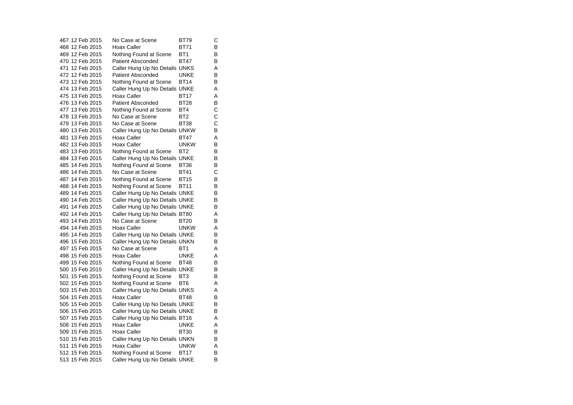467 12 Feb 2015 No Case at Scene BT79 C 468 12 Feb 2015 Hoax Caller BT71 B 469 12 Feb 2015 Nothing Found at Scene BT1 B 470 12 Feb 2015 Patient Absconded BT47  $\overline{B}$ 471 12 Feb 2015 Caller Hung Up No Details UNKS A 472 12 Feb 2015 Patient Absconded UNKE B473 12 Feb 2015 Nothing Found at Scene BT14 B 474 13 Feb 2015 Caller Hung Up No Details UNKE A 475 13 Feb 2015 Hoax Caller BT17 A 476 13 Feb 2015 Patient Absconded BT28 B 477 13 Feb 2015 Nothing Found at Scene BT4 C<br>478 13 Feb 2015 No Case at Scene BT2 C 478 13 Feb 2015 No Case at Scene BT2 479 13 Feb 2015 No Case at Scene BT38 C 480 13 Feb 2015 Caller Hung Up No Details UNKW B 481 13 Feb 2015 Hoax Caller BT47  $\overline{A}$ 482 13 Feb 2015 Hoax Caller UNKW B 483 13 Feb 2015 Nothing Found at Scene BT2 B<br>484 13 Feb 2015 Caller Hung Up No Details UNKE B 484 13 Feb 2015 Caller Hung Up No Details UNKE 485 14 Feb 2015 Nothing Found at Scene BT36 B 486 14 Feb 2015 No Case at Scene BT41 C 487 14 Feb 2015 Nothing Found at Scene BT15 B 488 14 Feb 2015 Nothing Found at Scene BT11 B<br>489 14 Feb 2015 Caller Hung Up No Details UNKE B 489 14 Feb 2015 Caller Hung Up No Details UNKE 490 14 Feb 2015 Caller Hung Up No Details UNKE B 491 14 Feb 2015 Caller Hung Up No Details UNKE B 492 14 Feb 2015 Caller Hung Up No Details BT80 A 493 14 Feb 2015 No Case at Scene BT20  $\sf B$ 494 14 Feb 2015 Hoax Caller **UNKW** A 495 14 Feb 2015 Caller Hung Up No Details UNKE B 496 15 Feb 2015 Caller Hung Up No Details UNKN B 497 15 Feb 2015 No Case at Scene BT1 A 498 15 Feb 2015 Hoax Caller CONNE A 499 15 Feb 2015 Nothing Found at Scene BT48 B 500 15 Feb 2015 Caller Hung Up No Details UNKE B 501 15 Feb 2015 Nothing Found at Scene BT3 B<br>502 15 Feb 2015 Nothing Found at Scene BT6 A 502 15 Feb 2015 Nothing Found at Scene BT6 503 15 Feb 2015 Caller Hung Up No Details UNKS A 504 15 Feb 2015 Hoax Caller BT48 B 505 15 Feb 2015 Caller Hung Up No Details UNKE B 506 15 Feb 2015 Caller Hung Up No Details UNKE B<br>507 15 Feb 2015 Caller Hung Up No Details BT16 A Caller Hung Up No Details BT16 A 508 15 Feb 2015 Hoax Caller CONNE A 509 15 Feb 2015 Hoax Caller BT30 B 510 15 Feb 2015 Caller Hung Up No Details UNKN B 511 15 Feb 2015 Hoax Caller UNKW A 512 15 Feb 2015 Nothing Found at Scene BT17 B 513 15 Feb 2015 Caller Hung Up No Details UNKE B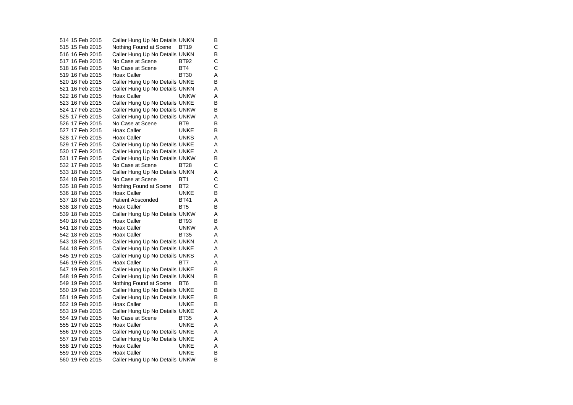514 15 Feb 2015 Caller Hung Up No Details UNKN B<br>515 15 Feb 2015 Nothing Found at Scene BT19 C 515 15 Feb 2015 Nothing Found at Scene BT19 516 16 Feb 2015 Caller Hung Up No Details UNKN B 517 16 Feb 2015 No Case at Scene BT92  $\frac{c}{c}$ 518 16 Feb 2015 No Case at Scene BT4 519 16 Feb 2015 Hoax Caller BT30 A 520 16 Feb 2015 Caller Hung Up No Details UNKE B 521 16 Feb 2015 Caller Hung Up No Details UNKN A 522 16 Feb 2015 Hoax Caller Carrier UNKW A<br>B 523 16 Feb 2015 Caller Hung Up No Details UNKE 524 17 Feb 2015 Caller Hung Up No Details UNKW B 525 17 Feb 2015 Caller Hung Up No Details UNKW A<br>526 17 Feb 2015 No Case at Scene BT9 B No Case at Scene BT9 527 17 Feb 2015 Hoax Caller UNKE B 528 17 Feb 2015 Hoax Caller **UNKS** A 529 17 Feb 2015 Caller Hung Up No Details UNKE A 530 17 Feb 2015 Caller Hung Up No Details UNKE A 531 17 Feb 2015 Caller Hung Up No Details UNKW B<br>532 17 Feb 2015 No Case at Scene BT28 C 532 17 Feb 2015 No Case at Scene BT28 533 18 Feb 2015 Caller Hung Up No Details UNKN A 534 18 Feb 2015 No Case at Scene BT1 C 535 18 Feb 2015 Nothing Found at Scene BT2 C<br>536 18 Feb 2015 Hoax Caller C UNKE B 536 18 Feb 2015 Hoax Caller UNKE 537 18 Feb 2015 Patient Absconded BT41 A 538 18 Feb 2015 Hoax Caller BT5 BT5 539 18 Feb 2015 Caller Hung Up No Details UNKW A 540 18 Feb 2015 Hoax Caller BT93  $\sf B$ 541 18 Feb 2015 Hoax Caller UNKW A 542 18 Feb 2015 Hoax Caller BT35 A 543 18 Feb 2015 Caller Hung Up No Details UNKN A 544 18 Feb 2015 Caller Hung Up No Details UNKE A 545 19 Feb 2015 Caller Hung Up No Details UNKS A 546 19 Feb 2015 Hoax Caller BT7 A 547 19 Feb 2015 Caller Hung Up No Details UNKE B 548 19 Feb 2015 Caller Hung Up No Details UNKN B<br>549 19 Feb 2015 Nothing Found at Scene BT6 B 549 19 Feb 2015 Nothing Found at Scene BT6 550 19 Feb 2015 Caller Hung Up No Details UNKE B<br>551 19 Feb 2015 Caller Hung Up No Details UNKE B 551 19 Feb 2015 Caller Hung Up No Details UNKE 552 19 Feb 2015 Hoax Caller UNKE B 553 19 Feb 2015 Caller Hung Up No Details UNKE A<br>554 19 Feb 2015 No Case at Scene BT35 A No Case at Scene BT35 A 555 19 Feb 2015 Hoax Caller UNKE A 556 19 Feb 2015 Caller Hung Up No Details UNKE A 557 19 Feb 2015 Caller Hung Up No Details UNKE A 558 19 Feb 2015 Hoax Caller UNKE A 559 19 Feb 2015 Hoax Caller UNKE B 560 19 Feb 2015 Caller Hung Up No Details UNKW B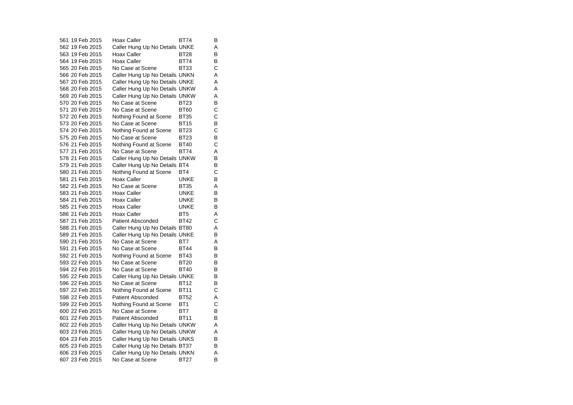561 19 Feb 2015 Hoax Caller BT74  $\overline{B}$ 562 19 Feb 2015 Caller Hung Up No Details UNKE A 563 19 Feb 2015 Hoax Caller BT28 B 564 19 Feb 2015 Hoax Caller BT74  $\frac{B}{C}$ 565 20 Feb 2015 No Case at Scene BT33 C566 20 Feb 2015 Caller Hung Up No Details UNKN A 567 20 Feb 2015 Caller Hung Up No Details UNKE A 568 20 Feb 2015 Caller Hung Up No Details UNKW A 569 20 Feb 2015 Caller Hung Up No Details UNKW A<br>570 20 Feb 2015 No Case at Scene BT23 B 570 20 Feb 2015 No Case at Scene BT23  $\mathbf{C}$ 571 20 Feb 2015 No Case at Scene BT60 C $\mathbf{C}$ 572 20 Feb 2015 Nothing Found at Scene BT35 C 573 20 Feb 2015 No Case at Scene BT15 574 20 Feb 2015 Nothing Found at Scene BT23 C 575 20 Feb 2015 No Case at Scene BT23 B 576 21 Feb 2015 Nothing Found at Scene BT40 C 577 21 Feb 2015 No Case at Scene BT74 A 578 21 Feb 2015 Caller Hung Up No Details UNKW B 579 21 Feb 2015 Caller Hung Up No Details BT4 B 580 21 Feb 2015 Nothing Found at Scene BT4 C 581 21 Feb 2015 Hoax Caller UNKE B 582 21 Feb 2015 No Case at Scene BT35 A 583 21 Feb 2015 Hoax Caller UNKE B 584 21 Feb 2015 Hoax Caller UNKE B 585 21 Feb 2015 Hoax Caller UNKE B 586 21 Feb 2015 Hoax Caller BT5 A 587 21 Feb 2015 Patient Absconded BT42 C 588 21 Feb 2015 Caller Hung Up No Details BT80 A 589 21 Feb 2015 Caller Hung Up No Details UNKE B 590 21 Feb 2015 No Case at Scene BT7 A 591 21 Feb 2015 No Case at Scene BT44 B  $\overline{B}$ 592 21 Feb 2015 Nothing Found at Scene BT43 593 22 Feb 2015 No Case at Scene BT20 B $\sf B$ 594 22 Feb 2015 No Case at Scene BT40 B 595 22 Feb 2015 Caller Hung Up No Details UNKE B<br>596 22 Feb 2015 No Case at Scene BT12 B 596 22 Feb 2015 No Case at Scene BT12 597 22 Feb 2015 Nothing Found at Scene BT11 C 598 22 Feb 2015 Patient Absconded BT52 A 599 22 Feb 2015 Nothing Found at Scene BT1 C 600 22 Feb 2015 No Case at Scene BT7 B 601 22 Feb 2015 Patient Absconded BT11 B 602 22 Feb 2015 Caller Hung Up No Details UNKW A 603 23 Feb 2015 Caller Hung Up No Details UNKW A 604 23 Feb 2015 Caller Hung Up No Details UNKS B 605 23 Feb 2015 Caller Hung Up No Details BT37 B 606 23 Feb 2015 Caller Hung Up No Details UNKN A 607 23 Feb 2015 No Case at Scene BT27 B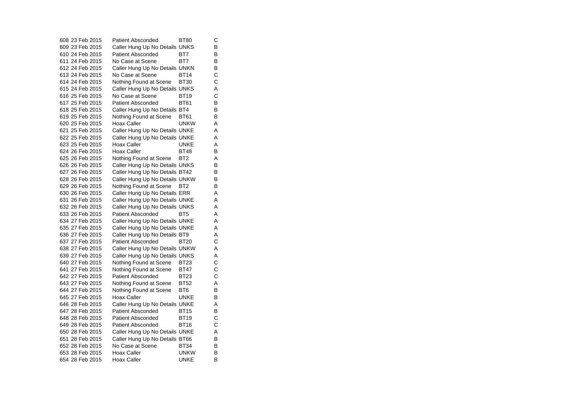608 23 Feb 2015 Patient Absconded BT80 C 609 23 Feb 2015 Caller Hung Up No Details UNKS B 610 24 Feb 2015 Patient Absconded BT7 B 611 24 Feb 2015 No Case at Scene BT7 B<br>B 612 24 Feb 2015 Caller Hung Up No Details UNKN B 613 24 Feb 2015 No Case at Scene BT14 C  $\mathbf C$ 614 24 Feb 2015 Nothing Found at Scene BT30 C 615 24 Feb 2015 Caller Hung Up No Details UNKS A 616 25 Feb 2015 No Case at Scene BT19  $\overline{B}$ 617 25 Feb 2015 Patient Absconded BT61 618 25 Feb 2015 Caller Hung Up No Details BT4 B 619 25 Feb 2015 Nothing Found at Scene BT61 B<br>620 25 Feb 2015 Hoax Caller BR UNKW A 620 25 Feb 2015 Hoax Caller UNKW A621 25 Feb 2015 Caller Hung Up No Details UNKE A 622 25 Feb 2015 Caller Hung Up No Details UNKE A 623 25 Feb 2015 Hoax Caller UNKE A624 26 Feb 2015 Hoax Caller BT48 B 625 26 Feb 2015 Nothing Found at Scene BT2 A 626 26 Feb 2015 Caller Hung Up No Details UNKS B 627 26 Feb 2015 Caller Hung Up No Details BT42 B 628 26 Feb 2015 Caller Hung Up No Details UNKW B 629 26 Feb 2015 Nothing Found at Scene BT2 B 630 26 Feb 2015 Caller Hung Up No Details ERR A 631 26 Feb 2015 Caller Hung Up No Details UNKE A 632 26 Feb 2015 Caller Hung Up No Details UNKS A 633 26 Feb 2015 Patient Absconded BT5 A 634 27 Feb 2015 Caller Hung Up No Details UNKE A 635 27 Feb 2015 Caller Hung Up No Details UNKE A 636 27 Feb 2015 Caller Hung Up No Details BT9 A 637 27 Feb 2015 Patient Absconded BT20  $\mathbf C$ 638 27 Feb 2015 Caller Hung Up No Details UNKW A 639 27 Feb 2015 Caller Hung Up No Details UNKS A 640 27 Feb 2015 Nothing Found at Scene BT23 C 641 27 Feb 2015 Nothing Found at Scene BT47 C 642 27 Feb 2015 Patient Absconded BT23 C $\frac{C}{A}$ 643 27 Feb 2015 Nothing Found at Scene BT52 A 644 27 Feb 2015 Nothing Found at Scene BT6 B 645 27 Feb 2015 Hoax Caller CONNE B 646 28 Feb 2015 Caller Hung Up No Details UNKE A 647 28 Feb 2015 Patient Absconded BT15 B 648 28 Feb 2015 Patient Absconded BT19 C649 28 Feb 2015 Patient Absconded BT16 C 650 28 Feb 2015 Caller Hung Up No Details UNKE A 651 28 Feb 2015 Caller Hung Up No Details BT66 B 652 28 Feb 2015 No Case at Scene BT34 B 653 28 Feb 2015 Hoax Caller UNKW B654 28 Feb 2015 Hoax Caller UNKE B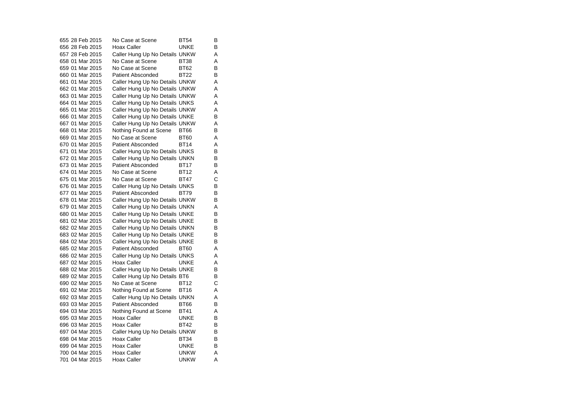655 28 Feb 2015 No Case at Scene BT54  $\overline{B}$ 656 28 Feb 2015 Hoax Caller UNKE B657 28 Feb 2015 Caller Hung Up No Details UNKW A 658 01 Mar 2015 No Case at Scene BT38 A 659 01 Mar 2015 No Case at Scene BT62 B 660 01 Mar 2015 Patient Absconded BT22 B 661 01 Mar 2015 Caller Hung Up No Details UNKW A 662 01 Mar 2015 Caller Hung Up No Details UNKW A 663 01 Mar 2015 Caller Hung Up No Details UNKW A 664 01 Mar 2015 Caller Hung Up No Details UNKS A 665 01 Mar 2015 Caller Hung Up No Details UNKW A 666 01 Mar 2015 Caller Hung Up No Details UNKE B 667 01 Mar 2015 Caller Hung Up No Details UNKW A 668 01 Mar 2015 Nothing Found at Scene BT66 B 669 01 Mar 2015 No Case at Scene BT60  $\overline{A}$ 670 01 Mar 2015 Patient Absconded BT14 A 671 01 Mar 2015 Caller Hung Up No Details UNKS B<br>672 01 Mar 2015 Caller Hung Up No Details UNKN B 672 01 Mar 2015 Caller Hung Up No Details UNKN 673 01 Mar 2015 Patient Absconded BT17 B 674 01 Mar 2015 No Case at Scene BT12 A 675 01 Mar 2015 No Case at Scene BT47 C 676 01 Mar 2015 Caller Hung Up No Details UNKS B<br>677 01 Mar 2015 Patient Absconded BT79 B 677 01 Mar 2015 Patient Absconded BT79 678 01 Mar 2015 Caller Hung Up No Details UNKW B 679 01 Mar 2015 Caller Hung Up No Details UNKN A 680 01 Mar 2015 Caller Hung Up No Details UNKE B 681 02 Mar 2015 Caller Hung Up No Details UNKE B<br>682 02 Mar 2015 Caller Hung Up No Details UNKN B 682 02 Mar 2015 Caller Hung Up No Details UNKN 683 02 Mar 2015 Caller Hung Up No Details UNKE B 684 02 Mar 2015 Caller Hung Up No Details UNKE B Patient Absconded BT60 A 686 02 Mar 2015 Caller Hung Up No Details UNKS A 687 02 Mar 2015 Hoax Caller UNKE A 688 02 Mar 2015 Caller Hung Up No Details UNKE B 689 02 Mar 2015 Caller Hung Up No Details BT6 B<br>690 02 Mar 2015 No Case at Scene BT12 C 690 02 Mar 2015 No Case at Scene BT12 691 02 Mar 2015 Nothing Found at Scene BT16 A 692 03 Mar 2015 Caller Hung Up No Details UNKN A 693 03 Mar 2015 Patient Absconded BT66 B 694 03 Mar 2015 Nothing Found at Scene BT41 A 695 03 Mar 2015 Hoax Caller UNKE B696 03 Mar 2015 Hoax Caller BT42 B 697 04 Mar 2015 Caller Hung Up No Details UNKW B 698 04 Mar 2015 Hoax Caller BT34 B 699 04 Mar 2015 Hoax Caller UNKE B 700 04 Mar 2015 Hoax Caller UNKW A 701 04 Mar 2015 Hoax Caller UNKW A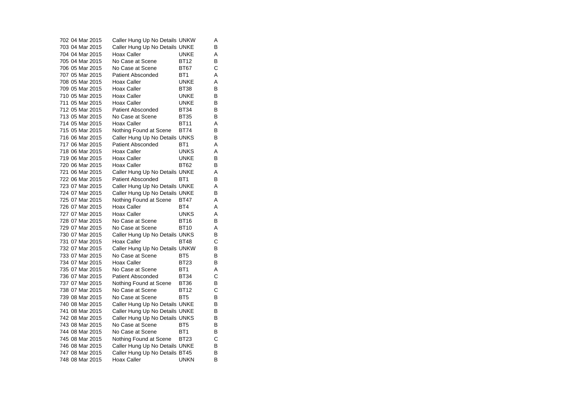| 702 04 Mar 2015 | Caller Hung Up No Details UNKW |                 | Α |
|-----------------|--------------------------------|-----------------|---|
| 703 04 Mar 2015 | Caller Hung Up No Details UNKE |                 | в |
| 704 04 Mar 2015 | Hoax Caller                    | UNKE            | A |
| 705 04 Mar 2015 | No Case at Scene               | BT12            | B |
| 706 05 Mar 2015 | No Case at Scene               | <b>BT67</b>     | Ć |
| 707 05 Mar 2015 | <b>Patient Absconded</b>       | BT <sub>1</sub> | Α |
| 708 05 Mar 2015 | Hoax Caller                    | <b>UNKE</b>     | A |
| 709 05 Mar 2015 | Hoax Caller                    | BT38            | В |
| 710 05 Mar 2015 | Hoax Caller                    | <b>UNKE</b>     | В |
| 711 05 Mar 2015 | Hoax Caller                    | <b>UNKE</b>     | в |
| 712 05 Mar 2015 | <b>Patient Absconded</b>       | BT34            | В |
| 713 05 Mar 2015 | No Case at Scene               | <b>BT35</b>     | в |
| 714 05 Mar 2015 | Hoax Caller                    | <b>BT11</b>     | Α |
| 715 05 Mar 2015 | Nothing Found at Scene         | <b>BT74</b>     | В |
| 716 06 Mar 2015 | Caller Hung Up No Details UNKS |                 | в |
| 717 06 Mar 2015 | Patient Absconded              | BT1             | A |
| 718 06 Mar 2015 | Hoax Caller                    | <b>UNKS</b>     | A |
| 719 06 Mar 2015 | <b>Hoax Caller</b>             | UNKE            | В |
| 720 06 Mar 2015 | Hoax Caller                    | <b>BT62</b>     | в |
| 721 06 Mar 2015 | Caller Hung Up No Details UNKE |                 | Α |
| 722 06 Mar 2015 | <b>Patient Absconded</b>       | BT <sub>1</sub> | B |
| 723 07 Mar 2015 | Caller Hung Up No Details UNKE |                 | A |
| 724 07 Mar 2015 | Caller Hung Up No Details UNKE |                 | В |
| 725 07 Mar 2015 | Nothing Found at Scene         | <b>BT47</b>     | Α |
| 726 07 Mar 2015 | Hoax Caller                    | BT4             | Α |
| 727 07 Mar 2015 | Hoax Caller                    | <b>UNKS</b>     | A |
| 728 07 Mar 2015 | No Case at Scene               | <b>BT16</b>     | В |
| 729 07 Mar 2015 | No Case at Scene               | <b>BT10</b>     | A |
| 730 07 Mar 2015 | Caller Hung Up No Details UNKS |                 | B |
| 731 07 Mar 2015 | Hoax Caller                    | <b>BT48</b>     | С |
| 732 07 Mar 2015 | Caller Hung Up No Details UNKW |                 | B |
| 733 07 Mar 2015 | No Case at Scene               | BT <sub>5</sub> | В |
| 734 07 Mar 2015 | Hoax Caller                    | <b>BT23</b>     | B |
| 735 07 Mar 2015 | No Case at Scene               | BT <sub>1</sub> | Α |
| 736 07 Mar 2015 | <b>Patient Absconded</b>       | BT34            | C |
| 737 07 Mar 2015 | Nothing Found at Scene         | <b>BT36</b>     | B |
| 738 07 Mar 2015 | No Case at Scene               | <b>BT12</b>     | С |
| 739 08 Mar 2015 | No Case at Scene               | BT <sub>5</sub> | В |
| 740 08 Mar 2015 | Caller Hung Up No Details UNKE |                 | в |
| 741 08 Mar 2015 | Caller Hung Up No Details UNKE |                 | B |
| 742 08 Mar 2015 | Caller Hung Up No Details UNKS |                 | В |
| 743 08 Mar 2015 | No Case at Scene               | BT <sub>5</sub> | В |
| 744 08 Mar 2015 | No Case at Scene               | BT <sub>1</sub> | В |
| 745 08 Mar 2015 | Nothing Found at Scene         | <b>BT23</b>     | С |
| 746 08 Mar 2015 | Caller Hung Up No Details UNKE |                 | B |
| 747 08 Mar 2015 | Caller Hung Up No Details BT45 |                 | B |
| 748 08 Mar 2015 | Hoax Caller                    | UNKN            | B |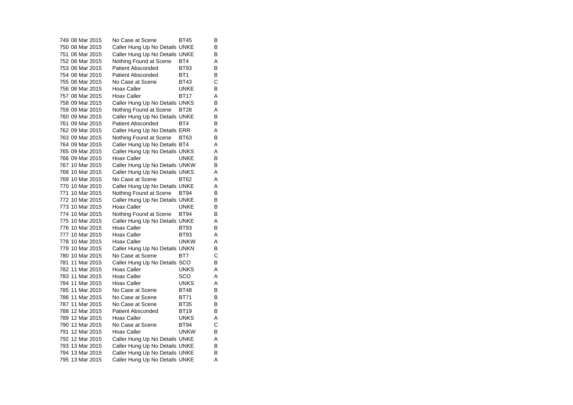749 08 Mar 2015 No Case at Scene BT45 B $\overline{B}$ 750 08 Mar 2015 Caller Hung Up No Details UNKE B 751 08 Mar 2015 Caller Hung Up No Details UNKE B 752 08 Mar 2015 Nothing Found at Scene BT4 A 753 08 Mar 2015 Patient Absconded BT93 B 754 08 Mar 2015 Patient Absconded BT1 B 755 08 Mar 2015 No Case at Scene BT43  $\mathbf C$ 756 08 Mar 2015 Hoax Caller UNKE B 757 08 Mar 2015 Hoax Caller BT17  $\frac{A}{B}$ 758 09 Mar 2015 Caller Hung Up No Details UNKS 759 09 Mar 2015 Nothing Found at Scene BT28 A 760 09 Mar 2015 Caller Hung Up No Details UNKE B<br>761 09 Mar 2015 Patient Absconded BT4 B 761 09 Mar 2015 Patient Absconded BT4 762 09 Mar 2015 Caller Hung Up No Details ERR A 763 09 Mar 2015 Nothing Found at Scene BT63 B 764 09 Mar 2015 Caller Hung Up No Details BT4 A 765 09 Mar 2015 Caller Hung Up No Details UNKS A 766 09 Mar 2015 Hoax Caller UNKE B 767 10 Mar 2015 Caller Hung Up No Details UNKW B 768 10 Mar 2015 Caller Hung Up No Details UNKS A 769 10 Mar 2015 No Case at Scene BT62 A 770 10 Mar 2015 Caller Hung Up No Details UNKE<br>771 10 Mar 2015 Nothing Found at Scene BT94 B 771 10 Mar 2015 Nothing Found at Scene BT94 772 10 Mar 2015 Caller Hung Up No Details UNKE B 773 10 Mar 2015 Hoax Caller UNKE B 774 10 Mar 2015 Nothing Found at Scene BT94 B 775 10 Mar 2015 Caller Hung Up No Details UNKE A 776 10 Mar 2015 Hoax Caller BT93 777 10 Mar 2015 Hoax Caller BT93 A 778 10 Mar 2015 Hoax Caller UNKW A 779 10 Mar 2015 Caller Hung Up No Details UNKN B<br>780 10 Mar 2015 No Case at Scene BT7 C 780 10 Mar 2015 No Case at Scene BT7 781 11 Mar 2015 Caller Hung Up No Details SCO B 782 11 Mar 2015 Hoax Caller UNKS A 783 11 Mar 2015 Hoax Caller SCO A 784 11 Mar 2015 Hoax Caller UNKS A 785 11 Mar 2015 No Case at Scene BT48 B 786 11 Mar 2015 No Case at Scene BT71 B 787 11 Mar 2015 No Case at Scene BT35 B 788 12 Mar 2015 Patient Absconded BT19 B 789 12 Mar 2015 Hoax Caller UNKS A 790 12 Mar 2015 No Case at Scene BT94 C 791 12 Mar 2015 Hoax Caller UNKW B 792 12 Mar 2015 Caller Hung Up No Details UNKE A 793 13 Mar 2015 Caller Hung Up No Details UNKE B<br>794 13 Mar 2015 Caller Hung Up No Details UNKE B 794 13 Mar 2015 Caller Hung Up No Details UNKE 795 13 Mar 2015 Caller Hung Up No Details UNKE A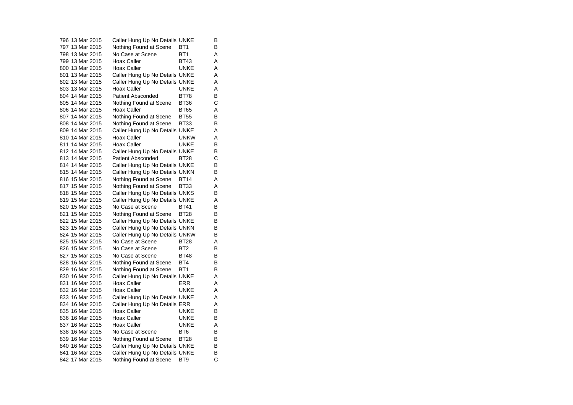796 13 Mar 2015 Caller Hung Up No Details UNKE B 797 13 Mar 2015 Nothing Found at Scene BT1 B 798 13 Mar 2015 No Case at Scene BT1 A 799 13 Mar 2015 Hoax Caller BT43 A 800 13 Mar 2015 Hoax Caller UNKE A 801 13 Mar 2015 Caller Hung Up No Details UNKE A 802 13 Mar 2015 Caller Hung Up No Details UNKE A 803 13 Mar 2015 Hoax Caller UNKE A 804 14 Mar 2015 Patient Absconded BT78 B 805 14 Mar 2015 Nothing Found at Scene BT36 C 806 14 Mar 2015 Hoax Caller BT65 A 807 14 Mar 2015 Nothing Found at Scene BT55 B 808 14 Mar 2015 Nothing Found at Scene BT33 809 14 Mar 2015 Caller Hung Up No Details UNKE A 810 14 Mar 2015 Hoax Caller UNKW A 811 14 Mar 2015 Hoax Caller UNKE B 812 14 Mar 2015 Caller Hung Up No Details UNKE B<br>813 14 Mar 2015 Patient Absconded BT28 C 813 14 Mar 2015 Patient Absconded BT28 814 14 Mar 2015 Caller Hung Up No Details UNKE B 815 14 Mar 2015 Caller Hung Up No Details UNKN B 816 15 Mar 2015 Nothing Found at Scene BT14 A 817 15 Mar 2015 Mothing Found at Scene BT33 A 818 15 Mar 2015 Caller Hung Up No Details UNKS B 819 15 Mar 2015 Caller Hung Up No Details UNKE A 820 15 Mar 2015 No Case at Scene BT41 B 821 15 Mar 2015 Mothing Found at Scene BT28 B 822 15 Mar 2015 Caller Hung Up No Details UNKE B<br>823 15 Mar 2015 Caller Hung Up No Details UNKN B 823 15 Mar 2015 Caller Hung Up No Details UNKN 824 15 Mar 2015 Caller Hung Up No Details UNKW B 825 15 Mar 2015 No Case at Scene BT28 A 826 15 Mar 2015 No Case at Scene BT2 B827 15 Mar 2015 No Case at Scene BT48  $\overline{B}$ 828 16 Mar 2015 Nothing Found at Scene BT4 B 829 16 Mar 2015 Mothing Found at Scene BT1 B 830 16 Mar 2015 Caller Hung Up No Details UNKE A 831 16 Mar 2015 Hoax Caller General BRR A 832 16 Mar 2015 Hoax Caller UNKE A 833 16 Mar 2015 Caller Hung Up No Details UNKE A 834 16 Mar 2015 Caller Hung Up No Details ERR A 835 16 Mar 2015 Hoax Caller UNKE B 836 16 Mar 2015 Hoax Caller UNKE B 837 16 Mar 2015 Hoax Caller UNKE A 838 16 Mar 2015 No Case at Scene BT6 B 839 16 Mar 2015 Mothing Found at Scene BT28 B 840 16 Mar 2015 Caller Hung Up No Details UNKE B<br>841 16 Mar 2015 Caller Hung Up No Details UNKE B 841 16 Mar 2015 Caller Hung Up No Details UNKE 842 17 Mar 2015 Nothing Found at Scene BT9 C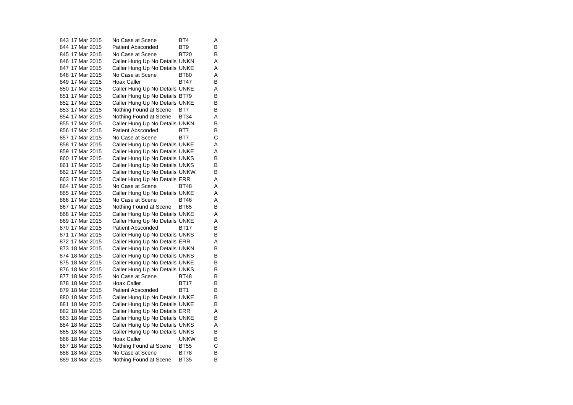843 17 Mar 2015 No Case at Scene BT4  $\overline{A}$ 844 17 Mar 2015 Patient Absconded BT9 B 845 17 Mar 2015 No Case at Scene BT20 B 846 17 Mar 2015 Caller Hung Up No Details UNKN A 847 17 Mar 2015 Caller Hung Up No Details UNKE A 848 17 Mar 2015 No Case at Scene BT80 A 849 17 Mar 2015 Hoax Caller BT47  $\overline{B}$ 850 17 Mar 2015 Caller Hung Up No Details UNKE A 851 17 Mar 2015 Caller Hung Up No Details BT79 B<br>852 17 Mar 2015 Caller Hung Up No Details UNKF B 852 17 Mar 2015 Caller Hung Up No Details UNKE 853 17 Mar 2015 Mothing Found at Scene BT7 B 854 17 Mar 2015 Nothing Found at Scene BT34 A 855 17 Mar 2015 Caller Hung Up No Details UNKN B 856 17 Mar 2015 Patient Absconded BT7 B 857 17 Mar 2015 No Case at Scene BT7 C 858 17 Mar 2015 Caller Hung Up No Details UNKE A 859 17 Mar 2015 Caller Hung Up No Details UNKE A 860 17 Mar 2015 Caller Hung Up No Details UNKS B 861 17 Mar 2015 Caller Hung Up No Details UNKS B 862 17 Mar 2015 Caller Hung Up No Details UNKW B 863 17 Mar 2015 Caller Hung Up No Details ERR A 864 17 Mar 2015 No Case at Scene BT48 A 865 17 Mar 2015 Caller Hung Up No Details UNKE A 866 17 Mar 2015 No Case at Scene BT46 A 867 17 Mar 2015 Nothing Found at Scene BT65 B 868 17 Mar 2015 Caller Hung Up No Details UNKE A 869 17 Mar 2015 Caller Hung Up No Details UNKE A 870 17 Mar 2015 Patient Absconded BT17 B 871 17 Mar 2015 Caller Hung Up No Details UNKS B 872 17 Mar 2015 Caller Hung Up No Details ERR A 873 18 Mar 2015 Caller Hung Up No Details UNKN B 874 18 Mar 2015 Caller Hung Up No Details UNKS B 875 18 Mar 2015 Caller Hung Up No Details UNKE B 876 18 Mar 2015 Caller Hung Up No Details UNKS B 877 18 Mar 2015 No Case at Scene BT48  $\overline{B}$ 878 18 Mar 2015 Hoax Caller BT17 B 879 18 Mar 2015 Patient Absconded BT1 B 880 18 Mar 2015 Caller Hung Up No Details UNKE B 881 18 Mar 2015 Caller Hung Up No Details UNKE B 882 18 Mar 2015 Caller Hung Up No Details ERR A 883 18 Mar 2015 Caller Hung Up No Details UNKE B 884 18 Mar 2015 Caller Hung Up No Details UNKS A 885 18 Mar 2015 Caller Hung Up No Details UNKS B 886 18 Mar 2015 Hoax Caller UNKW B 887 18 Mar 2015 Nothing Found at Scene BT55 C 888 18 Mar 2015 No Case at Scene BT78 B 889 18 Mar 2015 Nothing Found at Scene BT35 B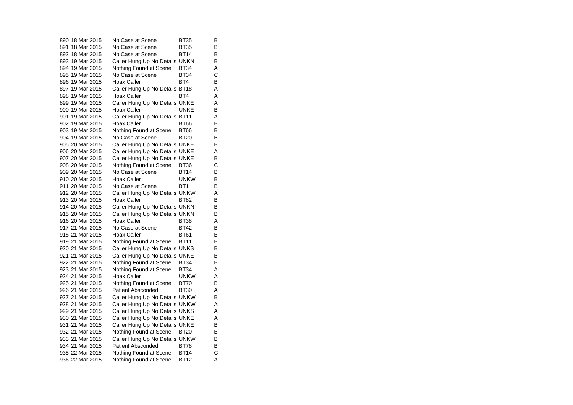890 18 Mar 2015 No Case at Scene BT35  $\overline{B}$ 891 18 Mar 2015 No Case at Scene BT35 B 892 18 Mar 2015 No Case at Scene BT14 B 893 19 Mar 2015 Caller Hung Up No Details UNKN B 894 19 Mar 2015 Nothing Found at Scene BT34 A 895 19 Mar 2015 No Case at Scene BT34 C 896 19 Mar 2015 Hoax Caller BT4  $\overline{B}$ 897 19 Mar 2015 Caller Hung Up No Details BT18 A 898 19 Mar 2015 Hoax Caller BT4 A 899 19 Mar 2015 Caller Hung Up No Details UNKE A 900 19 Mar 2015 Hoax Caller UNKE B 901 19 Mar 2015 Caller Hung Up No Details BT11 A 902 19 Mar 2015 Hoax Caller BT66 B 903 19 Mar 2015 Nothing Found at Scene BT66 B 904 19 Mar 2015 No Case at Scene BT20 B 905 20 Mar 2015 Caller Hung Up No Details UNKE B 906 20 Mar 2015 Caller Hung Up No Details UNKE A 907 20 Mar 2015 Caller Hung Up No Details UNKE B 908 20 Mar 2015 Nothing Found at Scene BT36 C 909 20 Mar 2015 No Case at Scene BT14 B 910 20 Mar 2015 Hoax Caller UNKW B 911 20 Mar 2015 No Case at Scene BT1 B 912 20 Mar 2015 Caller Hung Up No Details UNKW A 913 20 Mar 2015 Hoax Caller BT82 B 914 20 Mar 2015 Caller Hung Up No Details UNKN B 915 20 Mar 2015 Caller Hung Up No Details UNKN B 916 20 Mar 2015 Hoax Caller BT38 A<br>B 917 21 Mar 2015 No Case at Scene BT42 918 21 Mar 2015 Hoax Caller BT61 B919 21 Mar 2015 Nothing Found at Scene BT11 B<br>920 21 Mar 2015 Caller Hung Up No Details UNKS B 920 21 Mar 2015 Caller Hung Up No Details UNKS 921 21 Mar 2015 Caller Hung Up No Details UNKE B 922 21 Mar 2015 Nothing Found at Scene BT34 B 923 21 Mar 2015 Nothing Found at Scene BT34 A 924 21 Mar 2015 Hoax Caller UNKW A 925 21 Mar 2015 Nothing Found at Scene BT70 B 926 21 Mar 2015 Patient Absconded BT30 A 927 21 Mar 2015 Caller Hung Up No Details UNKW B 928 21 Mar 2015 Caller Hung Up No Details UNKW A 929 21 Mar 2015 Caller Hung Up No Details UNKS A 930 21 Mar 2015 Caller Hung Up No Details UNKE A 931 21 Mar 2015 Caller Hung Up No Details UNKE B 932 21 Mar 2015 Nothing Found at Scene BT20 B 933 21 Mar 2015 Caller Hung Up No Details UNKW B 934 21 Mar 2015 Patient Absconded BT78 B 935 22 Mar 2015 Nothing Found at Scene BT14 C 936 22 Mar 2015 Nothing Found at Scene BT12 A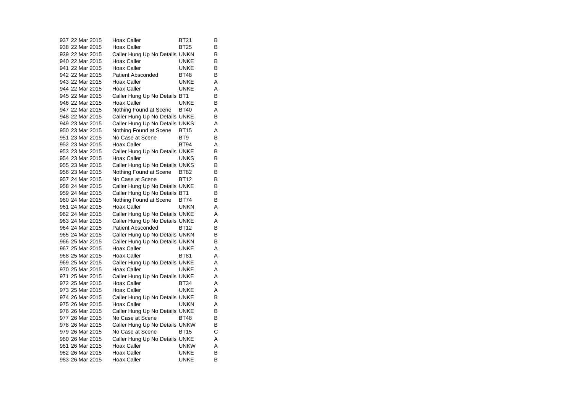937 22 Mar 2015 Hoax Caller BT21  $\overline{B}$ 938 22 Mar 2015 Hoax Caller BT25 B 939 22 Mar 2015 Caller Hung Up No Details UNKN B 940 22 Mar 2015 Hoax Caller UNKE B<br>B 941 22 Mar 2015 Hoax Caller UNKE 942 22 Mar 2015 Patient Absconded BT48 B 943 22 Mar 2015 Hoax Caller UNKE A 944 22 Mar 2015 Hoax Caller UNKE A 945 22 Mar 2015 Caller Hung Up No Details BT1 B<br>946 22 Mar 2015 Hoax Caller BUNKE B 946 22 Mar 2015 Hoax Caller UNKE B947 22 Mar 2015 Nothing Found at Scene BT40 A 948 22 Mar 2015 Caller Hung Up No Details UNKE B 949 23 Mar 2015 Caller Hung Up No Details UNKS A 950 23 Mar 2015 Nothing Found at Scene BT15 A 951 23 Mar 2015 No Case at Scene BT9 B 952 23 Mar 2015 Hoax Caller BT94 A 953 23 Mar 2015 Caller Hung Up No Details UNKE B 954 23 Mar 2015 Hoax Caller UNKS 955 23 Mar 2015 Caller Hung Up No Details UNKS B 956 23 Mar 2015 Mothing Found at Scene BT82 B 957 24 Mar 2015 No Case at Scene BT12 B 958 24 Mar 2015 Caller Hung Up No Details UNKE B<br>959 24 Mar 2015 Caller Hung Up No Details BT1 B 959 24 Mar 2015 Caller Hung Up No Details BT1 960 24 Mar 2015 Mothing Found at Scene BT74 B 961 24 Mar 2015 Hoax Caller UNKN  $\overline{A}$ 962 24 Mar 2015 Caller Hung Up No Details UNKE A 963 24 Mar 2015 Caller Hung Up No Details UNKE A 964 24 Mar 2015 Patient Absconded BT12 965 24 Mar 2015 Caller Hung Up No Details UNKN B 966 25 Mar 2015 Caller Hung Up No Details UNKN B 967 25 Mar 2015 Hoax Caller UNKE A 968 25 Mar 2015 Hoax Caller BT81 A 969 25 Mar 2015 Caller Hung Up No Details UNKE A 970 25 Mar 2015 Hoax Caller UNKE A 971 25 Mar 2015 Caller Hung Up No Details UNKE A 972 25 Mar 2015 Hoax Caller BT34 973 25 Mar 2015 Hoax Caller UNKE A 974 26 Mar 2015 Caller Hung Up No Details UNKE B 975 26 Mar 2015 Hoax Caller UNKN A 976 26 Mar 2015 Caller Hung Up No Details UNKE B 977 26 Mar 2015 No Case at Scene 978 26 Mar 2015 Caller Hung Up No Details UNKW B 979 26 Mar 2015 No Case at Scene BT15 C 980 26 Mar 2015 Caller Hung Up No Details UNKE A 981 26 Mar 2015 Hoax Caller UNKW A<br>B 982 26 Mar 2015 Hoax Caller UNKE 983 26 Mar 2015 Hoax Caller UNKE B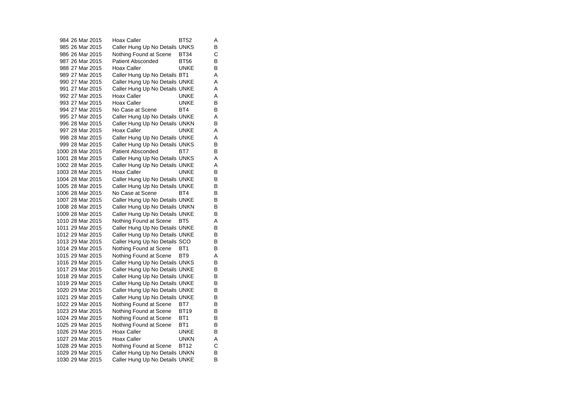984 26 Mar 2015 Hoax Caller BT52 A $\overline{A}$ 985 26 Mar 2015 Caller Hung Up No Details UNKS B 986 26 Mar 2015 Nothing Found at Scene BT34 C 987 26 Mar 2015 Patient Absconded BT56  $\frac{B}{B}$ 988 27 Mar 2015 Hoax Caller UNKE 989 27 Mar 2015 Caller Hung Up No Details BT1 A 990 27 Mar 2015 Caller Hung Up No Details UNKE A 991 27 Mar 2015 Caller Hung Up No Details UNKE A 992 27 Mar 2015 Hoax Caller UNKE A<br>B 993 27 Mar 2015 Hoax Caller UNKE 994 27 Mar 2015 No Case at Scene BT4 B 995 27 Mar 2015 Caller Hung Up No Details UNKE A 996 28 Mar 2015 Caller Hung Up No Details UNKN B 997 28 Mar 2015 Hoax Caller UNKE A 998 28 Mar 2015 Caller Hung Up No Details UNKE A 999 28 Mar 2015 Caller Hung Up No Details UNKS B 1000 28 Mar 2015 Patient Absconded BT7 B 1001 28 Mar 2015 Caller Hung Up No Details UNKS A 1002 28 Mar 2015 Caller Hung Up No Details UNKE A 1003 28 Mar 2015 Hoax Caller UNKE B 1004 28 Mar 2015 Caller Hung Up No Details UNKE B 1005 28 Mar 2015 Caller Hung Up No Details UNKE B<br>1006 28 Mar 2015 No Case at Scene BT4 B 1006 28 Mar 2015 No Case at Scene BT4 1007 28 Mar 2015 Caller Hung Up No Details UNKE B 1008 28 Mar 2015 Caller Hung Up No Details UNKN B 1009 28 Mar 2015 Caller Hung Up No Details UNKE B 1010 28 Mar 2015 Nothing Found at Scene BT5 A 1011 29 Mar 2015 Caller Hung Up No Details UNKE B 1012 29 Mar 2015 Caller Hung Up No Details UNKE B 1013 29 Mar 2015 Caller Hung Up No Details SCO B<br>1014 29 Mar 2015 Nothing Found at Scene BT1 B 1014 29 Mar 2015 Nothing Found at Scene BT1 1015 29 Mar 2015 Nothing Found at Scene BT9 A 1016 29 Mar 2015 Caller Hung Up No Details UNKS B 1017 29 Mar 2015 Caller Hung Up No Details UNKE B 1018 29 Mar 2015 Caller Hung Up No Details UNKE B<br>1019 29 Mar 2015 Caller Hung Up No Details UNKE B 1019 29 Mar 2015 Caller Hung Up No Details UNKE 1020 29 Mar 2015 Caller Hung Up No Details UNKE B 1021 29 Mar 2015 Caller Hung Up No Details UNKE B 1022 29 Mar 2015 Nothing Found at Scene BT7 B 1023 29 Mar 2015 Nothing Found at Scene BT19 B<br>1024 29 Mar 2015 Nothing Found at Scene BT1 B Nothing Found at Scene BT1 1025 29 Mar 2015 Nothing Found at Scene BT1 B 1026 29 Mar 2015 Hoax Caller UNKE B 1027 29 Mar 2015 Hoax Caller UNKN A 1028 29 Mar 2015 Nothing Found at Scene BT12 C<br>1029 29 Mar 2015 Caller Hung Up No Details UNKN B 1029 29 Mar 2015 Caller Hung Up No Details UNKN 1030 29 Mar 2015 Caller Hung Up No Details UNKE B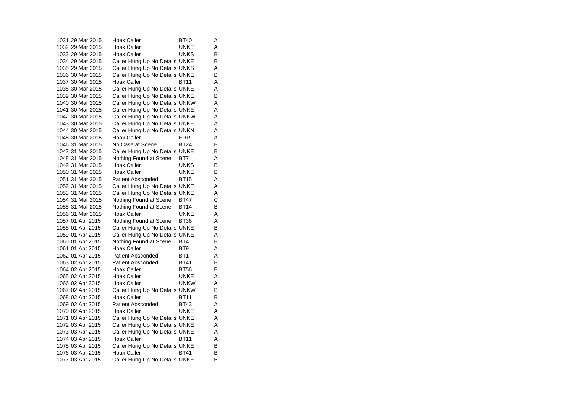1031 29 Mar 2015 Hoax Caller BT40  $\overline{A}$ 1032 29 Mar 2015 Hoax Caller UNKE A 1033 29 Mar 2015 Hoax Caller UNKS B 1034 29 Mar 2015 Caller Hung Up No Details UNKE B 1035 29 Mar 2015 Caller Hung Up No Details UNKS A 1036 30 Mar 2015 Caller Hung Up No Details UNKE B 1037 30 Mar 2015 Hoax Caller BT11 A 1038 30 Mar 2015 Caller Hung Up No Details UNKE A 1039 30 Mar 2015 Caller Hung Up No Details UNKE B 1040 30 Mar 2015 Caller Hung Up No Details UNKW A 1041 30 Mar 2015 Caller Hung Up No Details UNKE A 1042 30 Mar 2015 Caller Hung Up No Details UNKW A 1043 30 Mar 2015 Caller Hung Up No Details UNKE A 1044 30 Mar 2015 Caller Hung Up No Details UNKN A 1045 30 Mar 2015 Hoax Caller Gasset ERR A 1046 31 Mar 2015 No Case at Scene BT24 B 1047 31 Mar 2015 Caller Hung Up No Details UNKE B 1048 31 Mar 2015 Nothing Found at Scene BT7 A 1049 31 Mar 2015 Hoax Caller UNKS B 1050 31 Mar 2015 Hoax Caller UNKE B 1051 31 Mar 2015 Patient Absconded BT15 A 1052 31 Mar 2015 Caller Hung Up No Details UNKE A 1053 31 Mar 2015 Caller Hung Up No Details UNKE A 1054 31 Mar 2015 Nothing Found at Scene BT47 C 1055 31 Mar 2015 Mothing Found at Scene BT14 B 1056 31 Mar 2015 Hoax Caller UNKE A 1057 01 Apr 2015 Nothing Found at Scene BT36 A 1058 01 Apr 2015 Caller Hung Up No Details UNKE B 1059 01 Apr 2015 Caller Hung Up No Details UNKE A 1060 01 Apr 2015 Nothing Found at Scene BT4 B 1061 01 Apr 2015 Hoax Caller BT9 A 1062 01 Apr 2015 Patient Absconded BT1 A 1063 02 Apr 2015 Patient Absconded BT41 B 1064 02 Apr 2015 Hoax Caller BT56 B 1065 02 Apr 2015 Hoax Caller UNKE A 1066 02 Apr 2015 Hoax Caller UNKW A 1067 02 Apr 2015 Caller Hung Up No Details UNKW B 1068 02 Apr 2015 Hoax Caller BT11 B 1069 02 Apr 2015 Patient Absconded BT43 A 1070 02 Apr 2015 Hoax Caller UNKE A<br>1071 03 Apr 2015 Caller Hung Up No Details UNKE A Caller Hung Up No Details UNKE A 1072 03 Apr 2015 Caller Hung Up No Details UNKE A 1073 03 Apr 2015 Caller Hung Up No Details UNKE A 1074 03 Apr 2015 Hoax Caller BT11 A 1075 03 Apr 2015 Caller Hung Up No Details UNKE B<br>1076 03 Apr 2015 Hoax Caller BT41 B 1076 03 Apr 2015 Hoax Caller BT41 1077 03 Apr 2015 Caller Hung Up No Details UNKE B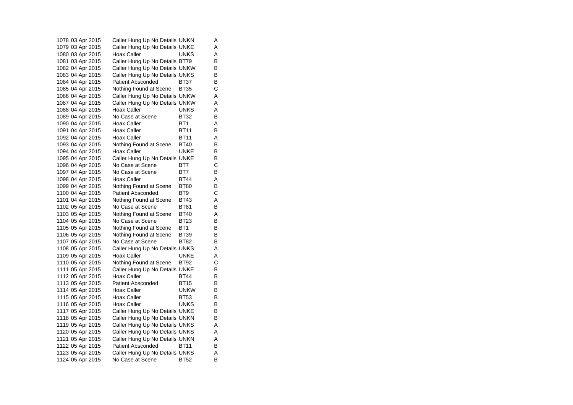1078 03 Apr 2015 Caller Hung Up No Details UNKN A 1079 03 Apr 2015 Caller Hung Up No Details UNKE A 1080 03 Apr 2015 Hoax Caller UNKS A 1081 03 Apr 2015 Caller Hung Up No Details BT79 B 1082 04 Apr 2015 Caller Hung Up No Details UNKW 1083 04 Apr 2015 Caller Hung Up No Details UNKS B 1084 04 Apr 2015 Patient Absconded BT37 B 1085 04 Apr 2015 Nothing Found at Scene BT35 C 1086 04 Apr 2015 Caller Hung Up No Details UNKW A 1087 04 Apr 2015 Caller Hung Up No Details UNKW A 1088 04 Apr 2015 Hoax Caller UNKS A 1089 04 Apr 2015 No Case at Scene BT32 B 1090 04 Apr 2015 Hoax Caller BT1 A 1091 04 Apr 2015 Hoax Caller BT11 B 1092 04 Apr 2015 Hoax Caller BT11 A 1093 04 Apr 2015 Nothing Found at Scene BT40 B 1094 04 Apr 2015 Hoax Caller UNKE B 1095 04 Apr 2015 Caller Hung Up No Details UNKE B 1096 04 Apr 2015 No Case at Scene BT7 C 1097 04 Apr 2015 No Case at Scene BT7 B 1098 04 Apr 2015 Hoax Caller BT44 A 1099 04 Apr 2015 Nothing Found at Scene BT80 B<br>1100 04 Apr 2015 Patient Absconded BT9 C 1100 04 Apr 2015 Patient Absconded BT9 1101 04 Apr 2015 Nothing Found at Scene BT43 A 1102 05 Apr 2015 No Case at Scene BT81 B 1103 05 Apr 2015 Nothing Found at Scene BT40 A 1104 05 Apr 2015 No Case at Scene BT23 B<br>1105 05 Apr 2015 Nothing Found at Scene BT1 B 1105 05 Apr 2015 Nothing Found at Scene BT1 1106 05 Apr 2015 Nothing Found at Scene BT39 B 1107 05 Apr 2015 No Case at Scene BT82 B 1108 05 Apr 2015 Caller Hung Up No Details UNKS A 1109 05 Apr 2015 Hoax Caller UNKE A 1110 05 Apr 2015 Nothing Found at Scene BT92 C 1111 05 Apr 2015 Caller Hung Up No Details UNKE B 1112 05 Apr 2015 Hoax Caller BT44 B 1113 05 Apr 2015 Patient Absconded BT15 B 1114 05 Apr 2015 Hoax Caller UNKW B 1115 05 Apr 2015 Hoax Caller BT53 B 1116 05 Apr 2015 Hoax Caller UNKS B 1117 05 Apr 2015 Caller Hung Up No Details UNKE B<br>1118 05 Apr 2015 Caller Hung Up No Details UNKN B Caller Hung Up No Details UNKN 1119 05 Apr 2015 Caller Hung Up No Details UNKS A 1120 05 Apr 2015 Caller Hung Up No Details UNKS A 1121 05 Apr 2015 Caller Hung Up No Details UNKN A 1122 05 Apr 2015 Patient Absconded BT11 B 1123 05 Apr 2015 Caller Hung Up No Details UNKS A 1124 05 Apr 2015 No Case at Scene BT52 B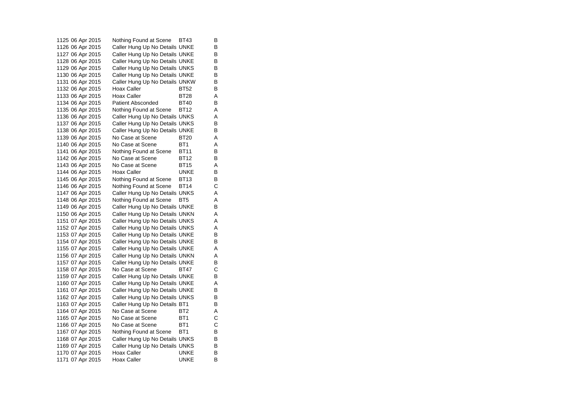1125 06 Apr 2015 Nothing Found at Scene BT43 B 1126 06 Apr 2015 Caller Hung Up No Details UNKE B 1127 06 Apr 2015 Caller Hung Up No Details UNKE B 1128 06 Apr 2015 Caller Hung Up No Details UNKE B<br>1129 06 Apr 2015 Caller Hung Up No Details UNKS B 1129 06 Apr 2015 Caller Hung Up No Details UNKS 1130 06 Apr 2015 Caller Hung Up No Details UNKE B 1131 06 Apr 2015 Caller Hung Up No Details UNKW B 1132 06 Apr 2015 Hoax Caller BT52 B 1133 06 Apr 2015 Hoax Caller BT28 A<br>1134 06 Apr 2015 Patient Absconded BT40 B 1134 06 Apr 2015 Patient Absconded BT40 1135 06 Apr 2015 Nothing Found at Scene BT12 A 1136 06 Apr 2015 Caller Hung Up No Details UNKS A 1137 06 Apr 2015 Caller Hung Up No Details UNKS B 1138 06 Apr 2015 Caller Hung Up No Details UNKE B 1139 06 Apr 2015 No Case at Scene BT20 A 1140 06 Apr 2015 No Case at Scene BT1 A 1141 06 Apr 2015 Nothing Found at Scene BT11 B 1142 06 Apr 2015 No Case at Scene BT12 B 1143 06 Apr 2015 No Case at Scene BT15 A 1144 06 Apr 2015 Hoax Caller UNKE B 1145 06 Apr 2015 Mothing Found at Scene BT13 B 1146 06 Apr 2015 Nothing Found at Scene BT14 C 1147 06 Apr 2015 Caller Hung Up No Details UNKS A 1148 06 Apr 2015 Nothing Found at Scene BT5 A 1149 06 Apr 2015 Caller Hung Up No Details UNKE B 1150 06 Apr 2015 Caller Hung Up No Details UNKN A 1151 07 Apr 2015 Caller Hung Up No Details UNKS A 1152 07 Apr 2015 Caller Hung Up No Details UNKS A 1153 07 Apr 2015 Caller Hung Up No Details UNKE B 1154 07 Apr 2015 Caller Hung Up No Details UNKE B 1155 07 Apr 2015 Caller Hung Up No Details UNKE A 1156 07 Apr 2015 Caller Hung Up No Details UNKN A 1157 07 Apr 2015 Caller Hung Up No Details UNKE B 1158 07 Apr 2015 No Case at Scene BT47 C 1159 07 Apr 2015 Caller Hung Up No Details UNKE B 1160 07 Apr 2015 Caller Hung Up No Details UNKE A 1161 07 Apr 2015 Caller Hung Up No Details UNKE B 1162 07 Apr 2015 Caller Hung Up No Details UNKS B 1163 07 Apr 2015 Caller Hung Up No Details BT1 1164 07 Apr 2015 No Case at Scene BT2 A<br>1165 07 Apr 2015 No Case at Scene BT1 C 1165 07 Apr 2015 No Case at Scene BT1 1166 07 Apr 2015 No Case at Scene BT1 C 1167 07 Apr 2015 Nothing Found at Scene BT1 B 1168 07 Apr 2015 Caller Hung Up No Details UNKS B 1169 07 Apr 2015 Caller Hung Up No Details UNKS B<br>1170 07 Apr 2015 Hoax Caller UNKE B 1170 07 Apr 2015 Hoax Caller UNKE 1171 07 Apr 2015 Hoax Caller UNKE B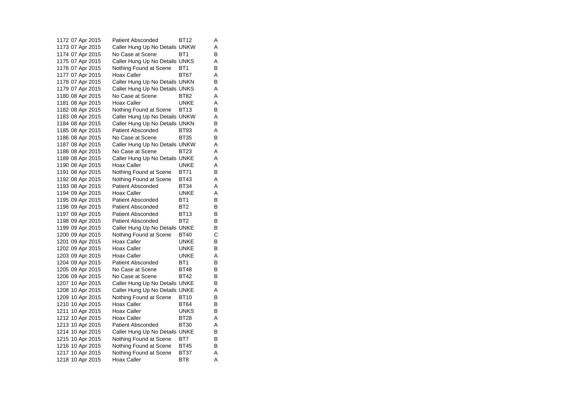1172 07 Apr 2015 Patient Absconded BT12 A 1173 07 Apr 2015 Caller Hung Up No Details UNKW A 1174 07 Apr 2015 No Case at Scene BT1 B 1175 07 Apr 2015 Caller Hung Up No Details UNKS A 1176 07 Apr 2015 Nothing Found at Scene BT1 B 1177 07 Apr 2015 Hoax Caller BT67 A 1178 07 Apr 2015 Caller Hung Up No Details UNKN B 1179 07 Apr 2015 Caller Hung Up No Details UNKS A 1180 08 Apr 2015 No Case at Scene BT82 A<br>1181 08 Apr 2015 Hoax Caller BUNKE A 1181 08 Apr 2015 Hoax Caller UNKE A 1182 08 Apr 2015 Nothing Found at Scene BT13 B 1183 08 Apr 2015 Caller Hung Up No Details UNKW A 1184 08 Apr 2015 Caller Hung Up No Details UNKN B 1185 08 Apr 2015 Patient Absconded BT93 A 1186 08 Apr 2015 No Case at Scene BT35 B 1187 08 Apr 2015 Caller Hung Up No Details UNKW A 1188 08 Apr 2015 No Case at Scene BT23 A 1189 08 Apr 2015 Caller Hung Up No Details UNKE A 1190 08 Apr 2015 Hoax Caller UNKE A 1191 08 Apr 2015 Nothing Found at Scene BT71 B 1192 08 Apr 2015 Nothing Found at Scene BT43 A 1193 08 Apr 2015 Patient Absconded BT34 A 1194 09 Apr 2015 Hoax Caller UNKE A 1195 09 Apr 2015 Patient Absconded BT1 B 1196 09 Apr 2015 Patient Absconded BT2 B 1197 09 Apr 2015 Patient Absconded BT13 B 1198 09 Apr 2015 Patient Absconded BT2 B<br>1199 09 Apr 2015 Caller Hung Up No Details UNKE B 1199 09 Apr 2015 Caller Hung Up No Details UNKE 1200 09 Apr 2015 Nothing Found at Scene BT40 C 1201 09 Apr 2015 Hoax Caller UNKE B 1202 09 Apr 2015 Hoax Caller UNKE B 1203 09 Apr 2015 Hoax Caller UNKE A 1204 09 Apr 2015 Patient Absconded BT1 B 1205 09 Apr 2015 No Case at Scene BT48 B 1206 09 Apr 2015 No Case at Scene BT42 B 1207 10 Apr 2015 Caller Hung Up No Details UNKE B 1208 10 Apr 2015 Caller Hung Up No Details UNKE A 1209 10 Apr 2015 Nothing Found at Scene BT10 B 1210 10 Apr 2015 Hoax Caller BT64 B 1211 10 Apr 2015 Hoax Caller UNKS B<br>1212 10 Apr 2015 Hoax Caller BT28 A 1212 10 Apr 2015 Hoax Caller BT28 A 1213 10 Apr 2015 Patient Absconded BT30 A 1214 10 Apr 2015 Caller Hung Up No Details UNKE B 1215 10 Apr 2015 Nothing Found at Scene BT7 B 1216 10 Apr 2015 Nothing Found at Scene BT45 B 1217 10 Apr 2015 Nothing Found at Scene BT37 A 1218 10 Apr 2015 Hoax Caller BT8 A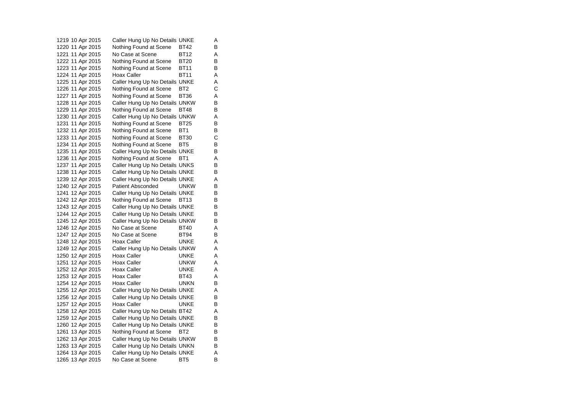1219 10 Apr 2015 Caller Hung Up No Details UNKE A 1220 11 Apr 2015 Nothing Found at Scene BT42 B 1221 11 Apr 2015 No Case at Scene BT12 A 1222 11 Apr 2015 Nothing Found at Scene BT20 B 1223 11 Apr 2015 Nothing Found at Scene BT11 B 1224 11 Apr 2015 Hoax Caller BT11 A 1225 11 Apr 2015 Caller Hung Up No Details UNKE A 1226 11 Apr 2015 Nothing Found at Scene BT2 C 1227 11 Apr 2015 Nothing Found at Scene BT36 A 1228 11 Apr 2015 Caller Hung Up No Details UNKW B 1229 11 Apr 2015 Nothing Found at Scene BT48 B 1230 11 Apr 2015 Caller Hung Up No Details UNKW A<br>1231 11 Apr 2015 Nothing Found at Scene BT25 B Nothing Found at Scene BT25 B 1232 11 Apr 2015 Nothing Found at Scene BT1 B 1233 11 Apr 2015 Nothing Found at Scene BT30 C 1234 11 Apr 2015 Nothing Found at Scene BT5 B 1235 11 Apr 2015 Caller Hung Up No Details UNKE B 1236 11 Apr 2015 Nothing Found at Scene BT1 A 1237 11 Apr 2015 Caller Hung Up No Details UNKS B 1238 11 Apr 2015 Caller Hung Up No Details UNKE B 1239 12 Apr 2015 Caller Hung Up No Details UNKE A 1240 12 Apr 2015 Patient Absconded UNKW B 1241 12 Apr 2015 Caller Hung Up No Details UNKE B 1242 12 Apr 2015 Nothing Found at Scene BT13 B 1243 12 Apr 2015 Caller Hung Up No Details UNKE B 1244 12 Apr 2015 Caller Hung Up No Details UNKE B 1245 12 Apr 2015 Caller Hung Up No Details UNKW B 1246 12 Apr 2015 No Case at Scene BT40 A 1247 12 Apr 2015 No Case at Scene BT94 B 1248 12 Apr 2015 Hoax Caller UNKE A 1249 12 Apr 2015 Caller Hung Up No Details UNKW A 1250 12 Apr 2015 Hoax Caller UNKE A 1251 12 Apr 2015 Hoax Caller UNKW A 1252 12 Apr 2015 Hoax Caller UNKE A 1253 12 Apr 2015 Hoax Caller BT43 A 1254 12 Apr 2015 Hoax Caller UNKN B 1255 12 Apr 2015 Caller Hung Up No Details UNKE A 1256 12 Apr 2015 Caller Hung Up No Details UNKE B 1257 12 Apr 2015 Hoax Caller UNKE B 1258 12 Apr 2015 Caller Hung Up No Details BT42 A<br>1259 12 Apr 2015 Caller Hung Up No Details UNKE B Caller Hung Up No Details UNKE B 1260 12 Apr 2015 Caller Hung Up No Details UNKE B 1261 13 Apr 2015 Nothing Found at Scene BT2 B 1262 13 Apr 2015 Caller Hung Up No Details UNKW B 1263 13 Apr 2015 Caller Hung Up No Details UNKN B 1264 13 Apr 2015 Caller Hung Up No Details UNKE A 1265 13 Apr 2015 No Case at Scene BT5 B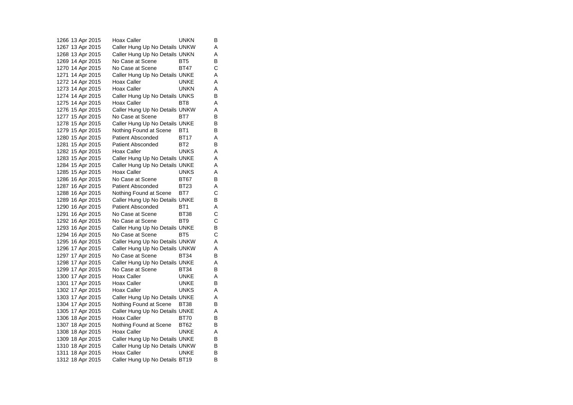1266 13 Apr 2015 Hoax Caller UNKN B 1267 13 Apr 2015 Caller Hung Up No Details UNKW A 1268 13 Apr 2015 Caller Hung Up No Details UNKN A 1269 14 Apr 2015 No Case at Scene BT5 B 1270 14 Apr 2015 No Case at Scene BT47 C 1271 14 Apr 2015 Caller Hung Up No Details UNKE A 1272 14 Apr 2015 Hoax Caller UNKE A 1273 14 Apr 2015 Hoax Caller UNKN A 1274 14 Apr 2015 Caller Hung Up No Details UNKS B 1275 14 Apr 2015 Hoax Caller BT8 A 1276 15 Apr 2015 Caller Hung Up No Details UNKW A 1277 15 Apr 2015 No Case at Scene BT7 B 1278 15 Apr 2015 Caller Hung Up No Details UNKE B 1279 15 Apr 2015 Nothing Found at Scene BT1 B 1280 15 Apr 2015 Patient Absconded BT17 A 1281 15 Apr 2015 Patient Absconded BT2 B 1282 15 Apr 2015 Hoax Caller UNKS A 1283 15 Apr 2015 Caller Hung Up No Details UNKE A 1284 15 Apr 2015 Caller Hung Up No Details UNKE A 1285 15 Apr 2015 Hoax Caller UNKS A 1286 16 Apr 2015 No Case at Scene BT67 B 1287 16 Apr 2015 Patient Absconded BT23 A<br>1288 16 Apr 2015 Nothing Found at Scene BT7 C 1288 16 Apr 2015 Nothing Found at Scene BT7 1289 16 Apr 2015 Caller Hung Up No Details UNKE B 1290 16 Apr 2015 Patient Absconded BT1 A 1291 16 Apr 2015 No Case at Scene BT38 C 1292 16 Apr 2015 No Case at Scene BT9 C<br>1293 16 Apr 2015 Caller Hung Up No Details UNKE B 1293 16 Apr 2015 Caller Hung Up No Details UNKE 1294 16 Apr 2015 No Case at Scene BT5 C 1295 16 Apr 2015 Caller Hung Up No Details UNKW A 1296 17 Apr 2015 Caller Hung Up No Details UNKW A 1297 17 Apr 2015 No Case at Scene BT34 B 1298 17 Apr 2015 Caller Hung Up No Details UNKE A 1299 17 Apr 2015 No Case at Scene BT34 B 1300 17 Apr 2015 Hoax Caller UNKE A 1301 17 Apr 2015 Hoax Caller UNKE B 1302 17 Apr 2015 Hoax Caller UNKS A 1303 17 Apr 2015 Caller Hung Up No Details UNKE A 1304 17 Apr 2015 Nothing Found at Scene BT38 B 1305 17 Apr 2015 Caller Hung Up No Details UNKE<br>1306 18 Apr 2015 Hoax Caller BT70 B 1306 18 Apr 2015 Hoax Caller BT70 B 1307 18 Apr 2015 Nothing Found at Scene BT62 B 1308 18 Apr 2015 Hoax Caller UNKE A 1309 18 Apr 2015 Caller Hung Up No Details UNKE B 1310 18 Apr 2015 Caller Hung Up No Details UNKW B<br>1311 18 Apr 2015 Hoax Caller UNKE B 1311 18 Apr 2015 Hoax Caller UNKE 1312 18 Apr 2015 Caller Hung Up No Details BT19 B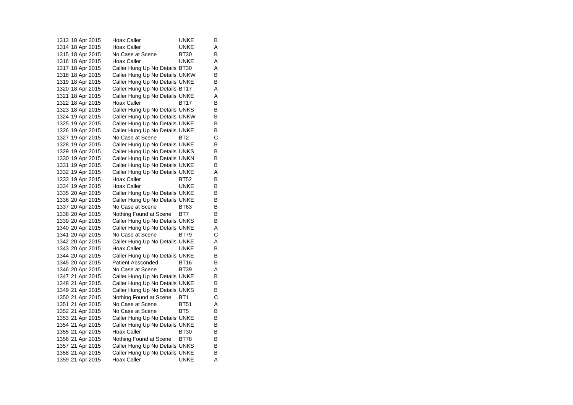1313 18 Apr 2015 Hoax Caller UNKE B 1314 18 Apr 2015 Hoax Caller UNKE A 1315 18 Apr 2015 No Case at Scene BT30 B 1316 18 Apr 2015 Hoax Caller UNKE A 1317 18 Apr 2015 Caller Hung Up No Details BT30 A 1318 18 Apr 2015 Caller Hung Up No Details UNKW B 1319 18 Apr 2015 Caller Hung Up No Details UNKE B 1320 18 Apr 2015 Caller Hung Up No Details BT17 A 1321 18 Apr 2015 Caller Hung Up No Details UNKE A<br>1322 18 Apr 2015 Hoax Caller BT17 B 1322 18 Apr 2015 Hoax Caller BT17 1323 18 Apr 2015 Caller Hung Up No Details UNKS B 1324 19 Apr 2015 Caller Hung Up No Details UNKW B<br>1325 19 Apr 2015 Caller Hung Up No Details UNKE B Caller Hung Up No Details UNKE 1326 19 Apr 2015 Caller Hung Up No Details UNKE B 1327 19 Apr 2015 No Case at Scene BT2 C 1328 19 Apr 2015 Caller Hung Up No Details UNKE B 1329 19 Apr 2015 Caller Hung Up No Details UNKS B 1330 19 Apr 2015 Caller Hung Up No Details UNKN B 1331 19 Apr 2015 Caller Hung Up No Details UNKE B 1332 19 Apr 2015 Caller Hung Up No Details UNKE A 1333 19 Apr 2015 Hoax Caller BT52 B 1334 19 Apr 2015 Hoax Caller UNKE B<br>1335 20 Apr 2015 Caller Hung Up No Details UNKE B 1335 20 Apr 2015 Caller Hung Up No Details UNKE 1336 20 Apr 2015 Caller Hung Up No Details UNKE B 1337 20 Apr 2015 No Case at Scene BT63 B 1338 20 Apr 2015 Nothing Found at Scene BT7 B 1339 20 Apr 2015 Caller Hung Up No Details UNKS B 1340 20 Apr 2015 Caller Hung Up No Details UNKE A 1341 20 Apr 2015 No Case at Scene BT79 C 1342 20 Apr 2015 Caller Hung Up No Details UNKE A 1343 20 Apr 2015 Hoax Caller UNKE B 1344 20 Apr 2015 Caller Hung Up No Details UNKE B 1345 20 Apr 2015 Patient Absconded BT16 B 1346 20 Apr 2015 No Case at Scene BT39 A 1347 21 Apr 2015 Caller Hung Up No Details UNKE B<br>1348 21 Apr 2015 Caller Hung Up No Details UNKE B 1348 21 Apr 2015 Caller Hung Up No Details UNKE 1349 21 Apr 2015 Caller Hung Up No Details UNKS B<br>1350 21 Apr 2015 Nothing Found at Scene BT1 C 1350 21 Apr 2015 Nothing Found at Scene BT1 1351 21 Apr 2015 No Case at Scene BT51 A 1352 21 Apr 2015 No Case at Scene BT5 B<br>1353 21 Apr 2015 Caller Hung Up No Details UNKE B 1353 21 Apr 2015 Caller Hung Up No Details UNKE 1354 21 Apr 2015 Caller Hung Up No Details UNKE B 1355 21 Apr 2015 Hoax Caller BT30 B 1356 21 Apr 2015 Nothing Found at Scene BT78 B 1357 21 Apr 2015 Caller Hung Up No Details UNKS B<br>1358 21 Apr 2015 Caller Hung Up No Details UNKE B 1358 21 Apr 2015 Caller Hung Up No Details UNKE 1359 21 Apr 2015 Hoax Caller UNKE A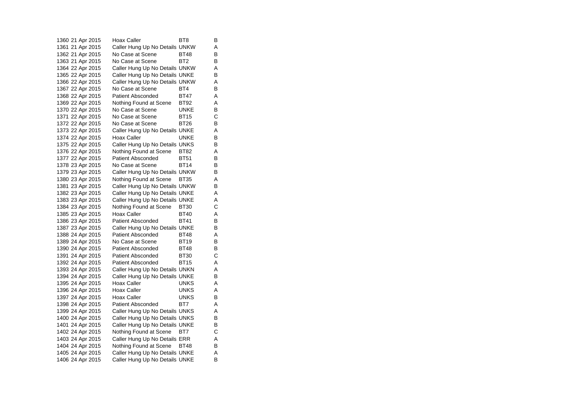1360 21 Apr 2015 Hoax Caller BT8 BT8 1361 21 Apr 2015 Caller Hung Up No Details UNKW A 1362 21 Apr 2015 No Case at Scene BT48 B 1363 21 Apr 2015 No Case at Scene BT2 B 1364 22 Apr 2015 Caller Hung Up No Details UNKW A 1365 22 Apr 2015 Caller Hung Up No Details UNKE B 1366 22 Apr 2015 Caller Hung Up No Details UNKW A 1367 22 Apr 2015 No Case at Scene BT4 B 1368 22 Apr 2015 Patient Absconded BT47 A<br>1369 22 Apr 2015 Nothing Found at Scene BT92 A 1369 22 Apr 2015 Nothing Found at Scene BT92 A 1370 22 Apr 2015 No Case at Scene UNKE B 1371 22 Apr 2015 No Case at Scene BT15 C 1372 22 Apr 2015 No Case at Scene BT26 B 1373 22 Apr 2015 Caller Hung Up No Details UNKE A 1374 22 Apr 2015 Hoax Caller UNKE B 1375 22 Apr 2015 Caller Hung Up No Details UNKS B 1376 22 Apr 2015 Nothing Found at Scene BT82 A 1377 22 Apr 2015 Patient Absconded BT51 B 1378 23 Apr 2015 No Case at Scene BT14 B 1379 23 Apr 2015 Caller Hung Up No Details UNKW B 1380 23 Apr 2015 Nothing Found at Scene BT35 A 1381 23 Apr 2015 Caller Hung Up No Details UNKW B 1382 23 Apr 2015 Caller Hung Up No Details UNKE A 1383 23 Apr 2015 Caller Hung Up No Details UNKE A 1384 23 Apr 2015 Nothing Found at Scene BT30 C 1385 23 Apr 2015 Hoax Caller BT40 A 1386 23 Apr 2015 Patient Absconded BT41 B<br>1387 23 Apr 2015 Caller Hung Up No Details UNKE B 1387 23 Apr 2015 Caller Hung Up No Details UNKE 1388 24 Apr 2015 Patient Absconded BT48 A 1389 24 Apr 2015 No Case at Scene BT19 B 1390 24 Apr 2015 Patient Absconded BT48 B<br>1391 24 Apr 2015 Patient Absconded BT30 C 1391 24 Apr 2015 Patient Absconded BT30 1392 24 Apr 2015 Patient Absconded BT15 A 1393 24 Apr 2015 Caller Hung Up No Details UNKN A 1394 24 Apr 2015 Caller Hung Up No Details UNKE B 1395 24 Apr 2015 Hoax Caller UNKS A 1396 24 Apr 2015 Hoax Caller UNKS A 1397 24 Apr 2015 Hoax Caller UNKS B 1398 24 Apr 2015 Patient Absconded BT7 A 1399 24 Apr 2015 Caller Hung Up No Details UNKS A 1400 24 Apr 2015 Caller Hung Up No Details UNKS B 1401 24 Apr 2015 Caller Hung Up No Details UNKE B 1402 24 Apr 2015 Nothing Found at Scene BT7 C 1403 24 Apr 2015 Caller Hung Up No Details ERR A 1404 24 Apr 2015 Nothing Found at Scene BT48 B 1405 24 Apr 2015 Caller Hung Up No Details UNKE A 1406 24 Apr 2015 Caller Hung Up No Details UNKE B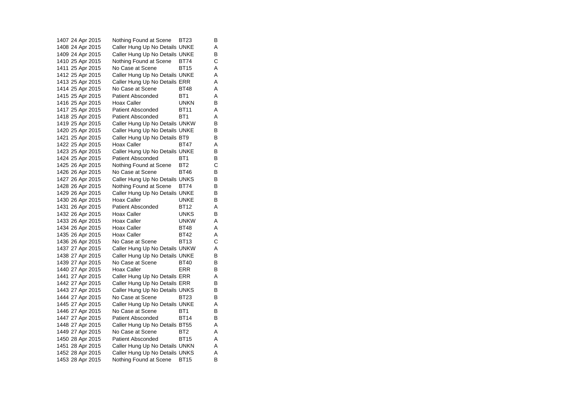1407 24 Apr 2015 Nothing Found at Scene BT23 B 1408 24 Apr 2015 Caller Hung Up No Details UNKE A 1409 24 Apr 2015 Caller Hung Up No Details UNKE B 1410 25 Apr 2015 Nothing Found at Scene BT74 C 1411 25 Apr 2015 No Case at Scene BT15 A 1412 25 Apr 2015 Caller Hung Up No Details UNKE A 1413 25 Apr 2015 Caller Hung Up No Details ERR A 1414 25 Apr 2015 No Case at Scene BT48 A 1415 25 Apr 2015 Patient Absconded BT1 A 1416 25 Apr 2015 Hoax Caller UNKN B 1417 25 Apr 2015 Patient Absconded BT11 A 1418 25 Apr 2015 Patient Absconded BT1 A 1419 25 Apr 2015 Caller Hung Up No Details UNKW B 1420 25 Apr 2015 Caller Hung Up No Details UNKE B 1421 25 Apr 2015 Caller Hung Up No Details BT9 B 1422 25 Apr 2015 Hoax Caller BT47 A 1423 25 Apr 2015 Caller Hung Up No Details UNKE B 1424 25 Apr 2015 Patient Absconded BT1 B 1425 26 Apr 2015 Nothing Found at Scene BT2 C 1426 26 Apr 2015 No Case at Scene BT46 B 1427 26 Apr 2015 Caller Hung Up No Details UNKS B 1428 26 Apr 2015 Nothing Found at Scene BT74 B 1429 26 Apr 2015 Caller Hung Up No Details UNKE B 1430 26 Apr 2015 Hoax Caller UNKE B 1431 26 Apr 2015 Patient Absconded BT12 A 1432 26 Apr 2015 Hoax Caller UNKS B 1433 26 Apr 2015 Hoax Caller UNKW A 1434 26 Apr 2015 Hoax Caller BT48 A 1435 26 Apr 2015 Hoax Caller BT42 A 1436 26 Apr 2015 No Case at Scene BT13 C 1437 27 Apr 2015 Caller Hung Up No Details UNKW A 1438 27 Apr 2015 Caller Hung Up No Details UNKE B 1439 27 Apr 2015 No Case at Scene BT40 B 1440 27 Apr 2015 Hoax Caller ERR B 1441 27 Apr 2015 Caller Hung Up No Details ERR A<br>1442 27 Apr 2015 Caller Hung Up No Details ERR B 1442 27 Apr 2015 Caller Hung Up No Details ERR 1443 27 Apr 2015 Caller Hung Up No Details UNKS B 1444 27 Apr 2015 No Case at Scene BT23 B 1445 27 Apr 2015 Caller Hung Up No Details UNKE A 1446 27 Apr 2015 No Case at Scene BT1 B<br>1447 27 Apr 2015 Patient Absconded BT14 B 1447 27 Apr 2015 1448 27 Apr 2015 Caller Hung Up No Details BT55 A 1449 27 Apr 2015 No Case at Scene BT2 A 1450 28 Apr 2015 Patient Absconded BT15 A 1451 28 Apr 2015 Caller Hung Up No Details UNKN A 1452 28 Apr 2015 Caller Hung Up No Details UNKS A 1453 28 Apr 2015 Nothing Found at Scene BT15 B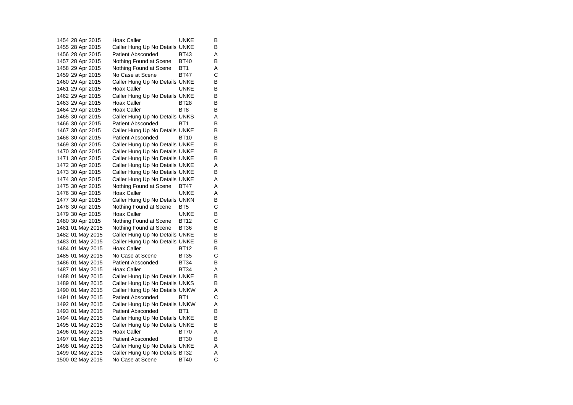1454 28 Apr 2015 Hoax Caller UNKE B 1455 28 Apr 2015 Caller Hung Up No Details UNKE B 1456 28 Apr 2015 Patient Absconded BT43 A 1457 28 Apr 2015 Nothing Found at Scene BT40 B 1458 29 Apr 2015 Nothing Found at Scene BT1 A 1459 29 Apr 2015 No Case at Scene BT47 C 1460 29 Apr 2015 Caller Hung Up No Details UNKE B 1461 29 Apr 2015 Hoax Caller UNKE B 1462 29 Apr 2015 Caller Hung Up No Details UNKE B<br>1463 29 Apr 2015 Hoax Caller BT28 B 1463 29 Apr 2015 Hoax Caller 1464 29 Apr 2015 Hoax Caller BT8 BT8 1465 30 Apr 2015 Caller Hung Up No Details UNKS A 1466 30 Apr 2015 Patient Absconded BT1 B 1467 30 Apr 2015 Caller Hung Up No Details UNKE B 1468 30 Apr 2015 Patient Absconded BT10 B 1469 30 Apr 2015 Caller Hung Up No Details UNKE B 1470 30 Apr 2015 Caller Hung Up No Details UNKE B 1471 30 Apr 2015 Caller Hung Up No Details UNKE B 1472 30 Apr 2015 Caller Hung Up No Details UNKE A 1473 30 Apr 2015 Caller Hung Up No Details UNKE B 1474 30 Apr 2015 Caller Hung Up No Details UNKE A 1475 30 Apr 2015 Nothing Found at Scene BT47 A 1476 30 Apr 2015 Hoax Caller UNKE A 1477 30 Apr 2015 Caller Hung Up No Details UNKN B 1478 30 Apr 2015 Nothing Found at Scene BT5 C 1479 30 Apr 2015 Hoax Caller UNKE B 1480 30 Apr 2015 Nothing Found at Scene BT12 C<br>1481 01 May 2015 Nothing Found at Scene BT36 B 1481 01 May 2015 Nothing Found at Scene BT36 1482 01 May 2015 Caller Hung Up No Details UNKE B 1483 01 May 2015 Caller Hung Up No Details UNKE B<br>1484 01 May 2015 Hoax Caller BT12 B 1484 01 May 2015 Hoax Caller BT12 B<br>1485 01 May 2015 No Case at Scene BT35 C 1485 01 May 2015 No Case at Scene BT35 1486 01 May 2015 Patient Absconded BT34 B 1487 01 May 2015 Hoax Caller BT34 A 1488 01 May 2015 Caller Hung Up No Details UNKE B<br>1489 01 May 2015 Caller Hung Up No Details UNKS B 1489 01 May 2015 Caller Hung Up No Details UNKS 1490 01 May 2015 Caller Hung Up No Details UNKW A 1491 01 May 2015 Patient Absconded BT1 C 1492 01 May 2015 Caller Hung Up No Details UNKW A 1493 01 May 2015 Patient Absconded BT1 B<br>1494 01 May 2015 Caller Hung Up No Details UNKE B Caller Hung Up No Details UNKE 1495 01 May 2015 Caller Hung Up No Details UNKE B 1496 01 May 2015 Hoax Caller BT70 A 1497 01 May 2015 Patient Absconded BT30 B 1498 01 May 2015 Caller Hung Up No Details UNKE A 1499 02 May 2015 Caller Hung Up No Details BT32 A 1500 02 May 2015 No Case at Scene BT40 C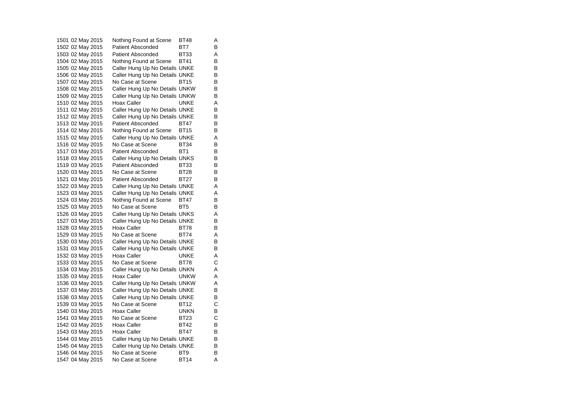1501 02 May 2015 Nothing Found at Scene BT48 A 1502 02 May 2015 Patient Absconded BT7 B 1503 02 May 2015 Patient Absconded BT33 A 1504 02 May 2015 Nothing Found at Scene BT41 B 1505 02 May 2015 Caller Hung Up No Details UNKE B 1506 02 May 2015 Caller Hung Up No Details UNKE B 1507 02 May 2015 No Case at Scene BT15 B 1508 02 May 2015 Caller Hung Up No Details UNKW B 1509 02 May 2015 Caller Hung Up No Details UNKW B 1510 02 May 2015 Hoax Caller UNKE A 1511 02 May 2015 Caller Hung Up No Details UNKE B 1512 02 May 2015 Caller Hung Up No Details UNKE B<br>1513 02 May 2015 Patient Absconded BT47 B 1513 02 May 2015 Patient Absconded BT47 1514 02 May 2015 Nothing Found at Scene BT15 B 1515 02 May 2015 Caller Hung Up No Details UNKE A 1516 02 May 2015 No Case at Scene BT34 B 1517 03 May 2015 Patient Absconded BT1 B<br>1518 03 May 2015 Caller Hung Up No Details UNKS B 1518 03 May 2015 Caller Hung Up No Details UNKS 1519 03 May 2015 Patient Absconded BT33 B 1520 03 May 2015 No Case at Scene BT28 B 1521 03 May 2015 Patient Absconded BT27 B 1522 03 May 2015 Caller Hung Up No Details UNKE A 1523 03 May 2015 Caller Hung Up No Details UNKE A 1524 03 May 2015 Nothing Found at Scene BT47 B 1525 03 May 2015 No Case at Scene BT5 B 1526 03 May 2015 Caller Hung Up No Details UNKS A 1527 03 May 2015 Caller Hung Up No Details UNKE B<br>1528 03 May 2015 Hoax Caller BT78 B 1528 03 May 2015 Hoax Caller BT78 1529 03 May 2015 No Case at Scene BT74 A 1530 03 May 2015 Caller Hung Up No Details UNKE B<br>1531 03 May 2015 Caller Hung Up No Details UNKE B 1531 03 May 2015 Caller Hung Up No Details UNKE 1532 03 May 2015 Hoax Caller CONNE A 1533 03 May 2015 No Case at Scene BT78 C 1534 03 May 2015 Caller Hung Up No Details UNKN A 1535 03 May 2015 Hoax Caller UNKW A 1536 03 May 2015 Caller Hung Up No Details UNKW A 1537 03 May 2015 Caller Hung Up No Details UNKE B 1538 03 May 2015 Caller Hung Up No Details UNKE B<br>1539 03 May 2015 No Case at Scene BT12 C 1539 03 May 2015 No Case at Scene BT12 1540 03 May 2015 Hoax Caller UNKN B<br>1541 03 May 2015 No Case at Scene BT23 C 1541 03 May 2015 1542 03 May 2015 Hoax Caller BT42 B 1543 03 May 2015 Hoax Caller BT47 B 1544 03 May 2015 Caller Hung Up No Details UNKE B 1545 04 May 2015 Caller Hung Up No Details UNKE B<br>1546 04 May 2015 No Case at Scene BT9 B 1546 04 May 2015 No Case at Scene BT9 1547 04 May 2015 No Case at Scene BT14 A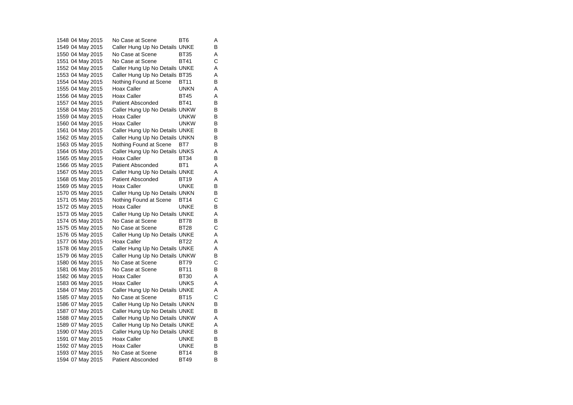1548 04 May 2015 No Case at Scene BT6 A 1549 04 May 2015 Caller Hung Up No Details UNKE B 1550 04 May 2015 No Case at Scene BT35 A 1551 04 May 2015 No Case at Scene BT41 C 1552 04 May 2015 Caller Hung Up No Details UNKE A 1553 04 May 2015 Caller Hung Up No Details BT35 A 1554 04 May 2015 Nothing Found at Scene BT11 B 1555 04 May 2015 Hoax Caller UNKN A 1556 04 May 2015 Hoax Caller BT45 A<br>1557 04 May 2015 Patient Absconded BT41 B 1557 04 May 2015 Patient Absconded BT41 1558 04 May 2015 Caller Hung Up No Details UNKW B 1559 04 May 2015 Hoax Caller UNKW B 1560 04 May 2015 Hoax Caller UNKW B 1561 04 May 2015 Caller Hung Up No Details UNKE B 1562 05 May 2015 Caller Hung Up No Details UNKN B 1563 05 May 2015 Nothing Found at Scene BT7 B 1564 05 May 2015 Caller Hung Up No Details UNKS A 1565 05 May 2015 Hoax Caller BT34 B 1566 05 May 2015 Patient Absconded BT1 A 1567 05 May 2015 Caller Hung Up No Details UNKE A 1568 05 May 2015 Patient Absconded BT19 A 1569 05 May 2015 Hoax Caller **Canada Hoat Caller** UNKE B<br>1570 05 May 2015 Caller Hung Up No Details UNKN B 1570 05 May 2015 Caller Hung Up No Details UNKN 1571 05 May 2015 Nothing Found at Scene BT14 C 1572 05 May 2015 Hoax Caller UNKE B 1573 05 May 2015 Caller Hung Up No Details UNKE A 1574 05 May 2015 No Case at Scene BT78 B 1575 05 May 2015 No Case at Scene BT28 1576 05 May 2015 Caller Hung Up No Details UNKE A 1577 06 May 2015 Hoax Caller BT22 A 1578 06 May 2015 Caller Hung Up No Details UNKE A 1579 06 May 2015 Caller Hung Up No Details UNKW B 1580 06 May 2015 No Case at Scene BT79 C 1581 06 May 2015 No Case at Scene BT11 B 1582 06 May 2015 Hoax Caller BT30 A<br>1583 06 May 2015 Hoax Caller BT30 A 1583 06 May 2015 Hoax Caller UNKS A 1584 07 May 2015 Caller Hung Up No Details UNKE A 1585 07 May 2015 No Case at Scene BT15 C 1586 07 May 2015 Caller Hung Up No Details UNKN B 1587 07 May 2015 Caller Hung Up No Details UNKE B<br>1588 07 May 2015 Caller Hung Up No Details UNKW A Caller Hung Up No Details UNKW A 1589 07 May 2015 Caller Hung Up No Details UNKE A 1590 07 May 2015 Caller Hung Up No Details UNKE B 1591 07 May 2015 Hoax Caller UNKE B 1592 07 May 2015 Hoax Caller UNKE B<br>1593 07 May 2015 No Case at Scene BT14 B 1593 07 May 2015 No Case at Scene BT14 1594 07 May 2015 Patient Absconded BT49 B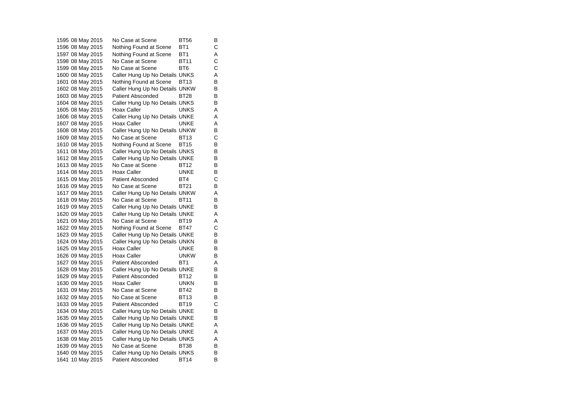1595 08 May 2015 No Case at Scene BT56 B 1596 08 May 2015 Nothing Found at Scene BT1 C<br>1597 08 May 2015 Nothing Found at Scene BT1 A Nothing Found at Scene BT1 A 1598 08 May 2015 No Case at Scene BT11 C<br>1599 08 May 2015 No Case at Scene BT6 C 1599 08 May 2015 No Case at Scene BT6 1600 08 May 2015 Caller Hung Up No Details UNKS A 1601 08 May 2015 Nothing Found at Scene BT13 B 1602 08 May 2015 Caller Hung Up No Details UNKW B 1603 08 May 2015 Patient Absconded BT28 B<br>1604 08 May 2015 Caller Hung Up No Details UNKS B Caller Hung Up No Details UNKS 1605 08 May 2015 Hoax Caller UNKS A 1606 08 May 2015 Caller Hung Up No Details UNKE A<br>1607 08 May 2015 Hoax Caller BunkE A 1607 08 May 2015 Hoax Caller **WALKE** A 1608 08 May 2015 Caller Hung Up No Details UNKW B 1609 08 May 2015 No Case at Scene BT13 C 1610 08 May 2015 Nothing Found at Scene BT15 B 1611 08 May 2015 Caller Hung Up No Details UNKS B<br>1612 08 May 2015 Caller Hung Up No Details UNKE B 1612 08 May 2015 Caller Hung Up No Details UNKE 1613 08 May 2015 No Case at Scene BT12 B 1614 08 May 2015 Hoax Caller UNKE B 1615 09 May 2015 Patient Absconded BT4 C 1616 09 May 2015 No Case at Scene BT21 B 1617 09 May 2015 Caller Hung Up No Details UNKW A 1618 09 May 2015 No Case at Scene BT11 B 1619 09 May 2015 Caller Hung Up No Details UNKE B 1620 09 May 2015 Caller Hung Up No Details UNKE A 1621 09 May 2015 No Case at Scene BT19 A<br>1622 09 May 2015 Nothing Found at Scene BT47 C 1622 09 May 2015 Nothing Found at Scene 1623 09 May 2015 Caller Hung Up No Details UNKE B 1624 09 May 2015 Caller Hung Up No Details UNKN B<br>1625 09 May 2015 Hoax Caller UNKE B 1625 09 May 2015 Hoax Caller UNKE 1626 09 May 2015 Hoax Caller UNKW B 1627 09 May 2015 Patient Absconded BT1 A 1628 09 May 2015 Caller Hung Up No Details UNKE B 1629 09 May 2015 Patient Absconded BT12 B<br>1630 09 May 2015 Hoax Caller CONKN B 1630 09 May 2015 Hoax Caller 1631 09 May 2015 No Case at Scene BT42 B 1632 09 May 2015 No Case at Scene BT13 B 1633 09 May 2015 Patient Absconded BT19 C 1634 09 May 2015 Caller Hung Up No Details UNKE B<br>1635 09 May 2015 Caller Hung Up No Details UNKE B Caller Hung Up No Details UNKE 1636 09 May 2015 Caller Hung Up No Details UNKE A 1637 09 May 2015 Caller Hung Up No Details UNKE A 1638 09 May 2015 Caller Hung Up No Details UNKS A 1639 09 May 2015 No Case at Scene BT38 B<br>1640 09 May 2015 Caller Hung Up No Details UNKS B 1640 09 May 2015 Caller Hung Up No Details UNKS 1641 10 May 2015 Patient Absconded BT14 B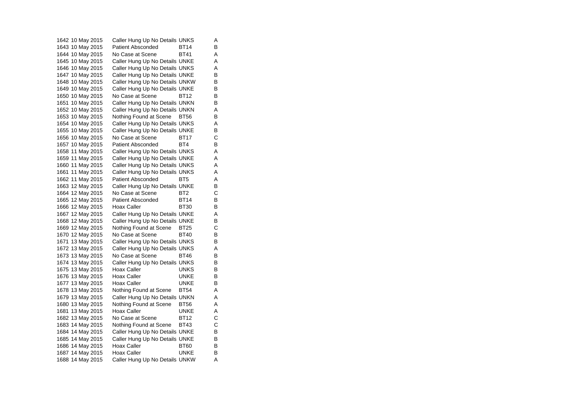1642 10 May 2015 Caller Hung Up No Details UNKS A 1643 10 May 2015 Patient Absconded BT14 B 1644 10 May 2015 No Case at Scene BT41 A 1645 10 May 2015 Caller Hung Up No Details UNKE A 1646 10 May 2015 Caller Hung Up No Details UNKS A 1647 10 May 2015 Caller Hung Up No Details UNKE B 1648 10 May 2015 Caller Hung Up No Details UNKW B 1649 10 May 2015 Caller Hung Up No Details UNKE B 1650 10 May 2015 No Case at Scene BT12 B<br>1651 10 May 2015 Caller Hung Up No Details UNKN B Caller Hung Up No Details UNKN 1652 10 May 2015 Caller Hung Up No Details UNKN A 1653 10 May 2015 Nothing Found at Scene BT56 B<br>1654 10 May 2015 Caller Hung Up No Details UNKS A Caller Hung Up No Details UNKS A 1655 10 May 2015 Caller Hung Up No Details UNKE B 1656 10 May 2015 No Case at Scene BT17 C 1657 10 May 2015 Patient Absconded BT4 B 1658 11 May 2015 Caller Hung Up No Details UNKS A 1659 11 May 2015 Caller Hung Up No Details UNKE A 1660 11 May 2015 Caller Hung Up No Details UNKS A 1661 11 May 2015 Caller Hung Up No Details UNKS A 1662 11 May 2015 Patient Absconded BT5 A 1663 12 May 2015 Caller Hung Up No Details UNKE B<br>1664 12 May 2015 No Case at Scene BT2 C 1664 12 May 2015 No Case at Scene BT2 1665 12 May 2015 Patient Absconded BT14 B 1666 12 May 2015 Hoax Caller BT30 B 1667 12 May 2015 Caller Hung Up No Details UNKE A 1668 12 May 2015 Caller Hung Up No Details UNKE B<br>1669 12 May 2015 Nothing Found at Scene BT25 C 1669 12 May 2015 Nothing Found at Scene BT25 1670 12 May 2015 No Case at Scene BT40 B 1671 13 May 2015 Caller Hung Up No Details UNKS B<br>1672 13 May 2015 Caller Hung Up No Details UNKS A Caller Hung Up No Details UNKS A 1673 13 May 2015 No Case at Scene BT46 B 1674 13 May 2015 Caller Hung Up No Details UNKS B 1675 13 May 2015 Hoax Caller **UNKS** B 1676 13 May 2015 Hoax Caller CONKE B<br>1677 13 May 2015 Hoax Caller CONKE B 1677 13 May 2015 Hoax Caller 1678 13 May 2015 Nothing Found at Scene BT54 A 1679 13 May 2015 Caller Hung Up No Details UNKN A 1680 13 May 2015 Nothing Found at Scene BT56 A 1681 13 May 2015 Hoax Caller UNKE A<br>1682 13 May 2015 No Case at Scene BT12 C 1682 13 May 2015 1683 14 May 2015 Nothing Found at Scene BT43 C 1684 14 May 2015 Caller Hung Up No Details UNKE B 1685 14 May 2015 Caller Hung Up No Details UNKE B 1686 14 May 2015 Hoax Caller BT60 B<br>1687 14 May 2015 Hoax Caller BUNKE B 1687 14 May 2015 Hoax Caller **UNKE** 1688 14 May 2015 Caller Hung Up No Details UNKW A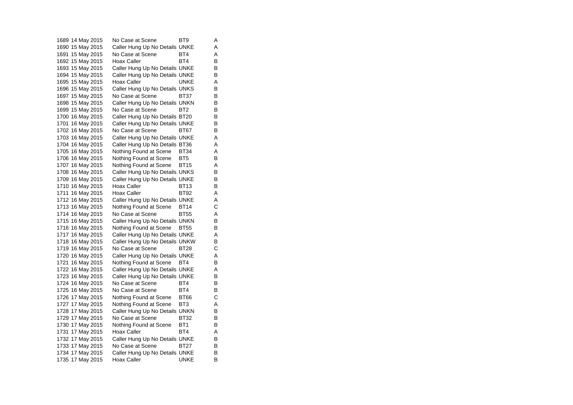1689 14 May 2015 No Case at Scene BT9 A 1690 15 May 2015 Caller Hung Up No Details UNKE A 1691 15 May 2015 No Case at Scene BT4 A 1692 15 May 2015 Hoax Caller BT4 BT4 1693 15 May 2015 Caller Hung Up No Details UNKE B 1694 15 May 2015 Caller Hung Up No Details UNKE B 1695 15 May 2015 Hoax Caller CONNE A 1696 15 May 2015 Caller Hung Up No Details UNKS B 1697 15 May 2015 No Case at Scene BT37 B<br>1698 15 May 2015 Caller Hung Up No Details UNKN B 1698 15 May 2015 Caller Hung Up No Details UNKN 1699 15 May 2015 No Case at Scene BT2 B 1700 16 May 2015 Caller Hung Up No Details BT20 B<br>1701 16 May 2015 Caller Hung Up No Details UNKE B Caller Hung Up No Details UNKE B 1702 16 May 2015 No Case at Scene BT67 B 1703 16 May 2015 Caller Hung Up No Details UNKE A 1704 16 May 2015 Caller Hung Up No Details BT36 A 1705 16 May 2015 Nothing Found at Scene BT34 A 1706 16 May 2015 Nothing Found at Scene BT5 B 1707 16 May 2015 Nothing Found at Scene BT15 A 1708 16 May 2015 Caller Hung Up No Details UNKS B 1709 16 May 2015 Caller Hung Up No Details UNKE B 1710 16 May 2015 Hoax Caller BT13 B 1711 16 May 2015 Hoax Caller BT92 A 1712 16 May 2015 Caller Hung Up No Details UNKE A 1713 16 May 2015 Nothing Found at Scene BT14 C 1714 16 May 2015 No Case at Scene BT55 A 1715 16 May 2015 Caller Hung Up No Details UNKN B 1716 16 May 2015 Nothing Found at Scene BT55 B 1717 16 May 2015 Caller Hung Up No Details UNKE A 1718 16 May 2015 Caller Hung Up No Details UNKW B<br>1719 16 May 2015 No Case at Scene BT28 C 1719 16 May 2015 No Case at Scene BT28 1720 16 May 2015 Caller Hung Up No Details UNKE A 1721 16 May 2015 Nothing Found at Scene BT4 B 1722 16 May 2015 Caller Hung Up No Details UNKE A 1723 16 May 2015 Caller Hung Up No Details UNKE B<br>1724 16 May 2015 No Case at Scene BT4 B 1724 16 May 2015 No Case at Scene BT4 1725 16 May 2015 No Case at Scene BT4 B 1726 17 May 2015 Nothing Found at Scene BT66 C 1727 17 May 2015 Nothing Found at Scene BT3 A 1728 17 May 2015 Caller Hung Up No Details UNKN B<br>1729 17 May 2015 No Case at Scene BT32 B No Case at Scene BT32 1730 17 May 2015 Nothing Found at Scene BT1 B 1731 17 May 2015 Hoax Caller BT4 A 1732 17 May 2015 Caller Hung Up No Details UNKE B 1733 17 May 2015 No Case at Scene BT27 B<br>1734 17 May 2015 Caller Hung Up No Details UNKE B 1734 17 May 2015 Caller Hung Up No Details UNKE 1735 17 May 2015 Hoax Caller **UNKE** B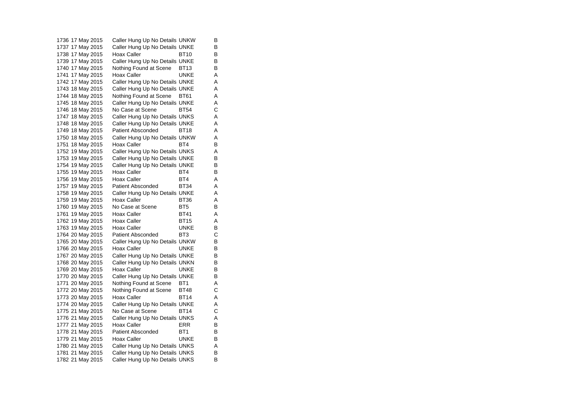1736 17 May 2015 Caller Hung Up No Details UNKW B 1737 17 May 2015 Caller Hung Up No Details UNKE B 1738 17 May 2015 Hoax Caller BT10 B 1739 17 May 2015 Caller Hung Up No Details UNKE B<br>1740 17 May 2015 Nothing Found at Scene BT13 B 1740 17 May 2015 Nothing Found at Scene BT13 1741 17 May 2015 Hoax Caller CONNE A 1742 17 May 2015 Caller Hung Up No Details UNKE A 1743 18 May 2015 Caller Hung Up No Details UNKE A 1744 18 May 2015 Nothing Found at Scene BT61 A<br>1745 18 May 2015 Caller Hung Up No Details UNKE A Caller Hung Up No Details UNKE A 1746 18 May 2015 No Case at Scene BT54 C 1747 18 May 2015 Caller Hung Up No Details UNKS A<br>1748 18 May 2015 Caller Hung Up No Details UNKE A Caller Hung Up No Details UNKE A 1749 18 May 2015 Patient Absconded BT18 A 1750 18 May 2015 Caller Hung Up No Details UNKW A 1751 18 May 2015 Hoax Caller BT4 BT4 1752 19 May 2015 Caller Hung Up No Details UNKS A 1753 19 May 2015 Caller Hung Up No Details UNKE B 1754 19 May 2015 Caller Hung Up No Details UNKE B 1755 19 May 2015 Hoax Caller **BT4** B 1756 19 May 2015 Hoax Caller **BT4** A 1757 19 May 2015 Patient Absconded BT34 A 1758 19 May 2015 Caller Hung Up No Details UNKE A 1759 19 May 2015 Hoax Caller BT36 A 1760 19 May 2015 No Case at Scene BT5 B 1761 19 May 2015 Hoax Caller **BT41** A 1762 19 May 2015 Hoax Caller BT15 A 1763 19 May 2015 Hoax Caller CONNE 1764 20 May 2015 Patient Absconded BT3 C 1765 20 May 2015 Caller Hung Up No Details UNKW B<br>1766 20 May 2015 Hoax Caller UNKE B 1766 20 May 2015 Hoax Caller **UNKE** 1767 20 May 2015 Caller Hung Up No Details UNKE B 1768 20 May 2015 Caller Hung Up No Details UNKN B 1769 20 May 2015 Hoax Caller CONNE B 1770 20 May 2015 Caller Hung Up No Details UNKE B 1771 20 May 2015 Nothing Found at Scene BT1 A 1772 20 May 2015 Nothing Found at Scene BT48 C 1773 20 May 2015 Hoax Caller BT14 A 1774 20 May 2015 Caller Hung Up No Details UNKE A 1775 21 May 2015 No Case at Scene BT14 C<br>1776 21 May 2015 Caller Hung Up No Details UNKS A Caller Hung Up No Details UNKS A 1777 21 May 2015 Hoax Caller FRR B 1778 21 May 2015 Patient Absconded BT1 B 1779 21 May 2015 Hoax Caller CONNE B 1780 21 May 2015 Caller Hung Up No Details UNKS A 1781 21 May 2015 Caller Hung Up No Details UNKS B 1782 21 May 2015 Caller Hung Up No Details UNKS B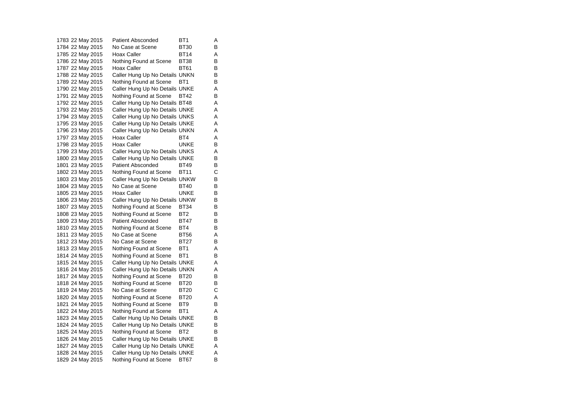1783 22 May 2015 Patient Absconded BT1 A 1784 22 May 2015 No Case at Scene BT30 B 1785 22 May 2015 Hoax Caller BT14 A 1786 22 May 2015 Nothing Found at Scene BT38 B<br>1787 22 May 2015 Hoax Caller BT61 B 1787 22 May 2015 Hoax Caller BT61 1788 22 May 2015 Caller Hung Up No Details UNKN B 1789 22 May 2015 Nothing Found at Scene BT1 B 1790 22 May 2015 Caller Hung Up No Details UNKE A 1791 22 May 2015 Nothing Found at Scene BT42 B<br>1792 22 May 2015 Caller Hung Up No Details BT48 A Caller Hung Up No Details BT48 A 1793 22 May 2015 Caller Hung Up No Details UNKE A 1794 23 May 2015 Caller Hung Up No Details UNKS A<br>1795 23 May 2015 Caller Hung Up No Details UNKE A Caller Hung Up No Details UNKE A 1796 23 May 2015 Caller Hung Up No Details UNKN A 1797 23 May 2015 Hoax Caller BT4 BT4 1798 23 May 2015 Hoax Caller CONCE B 1799 23 May 2015 Caller Hung Up No Details UNKS A 1800 23 May 2015 Caller Hung Up No Details UNKE B 1801 23 May 2015 Patient Absconded BT49 B 1802 23 May 2015 Nothing Found at Scene BT11 C 1803 23 May 2015 Caller Hung Up No Details UNKW B 1804 23 May 2015 No Case at Scene BT40 B 1805 23 May 2015 Hoax Caller Carries UNKE B 1806 23 May 2015 Caller Hung Up No Details UNKW B 1807 23 May 2015 Nothing Found at Scene BT34 B 1808 23 May 2015 Nothing Found at Scene BT2 B 1809 23 May 2015 Patient Absconded BT47 B<br>1810 23 May 2015 Nothing Found at Scene BT4 B 1810 23 May 2015 Nothing Found at Scene BT4 1811 23 May 2015 No Case at Scene BT56 A 1812 23 May 2015 No Case at Scene BT27 B 1813 23 May 2015 Nothing Found at Scene BT1 A 1814 24 May 2015 Nothing Found at Scene BT1 B 1815 24 May 2015 Caller Hung Up No Details UNKE A 1816 24 May 2015 Caller Hung Up No Details UNKN A 1817 24 May 2015 Nothing Found at Scene BT20 B<br>1818 24 May 2015 Nothing Found at Scene BT20 B 1818 24 May 2015 Nothing Found at Scene BT20 1819 24 May 2015 No Case at Scene BT20 C 1820 24 May 2015 Nothing Found at Scene BT20 A 1821 24 May 2015 Nothing Found at Scene BT9 B 1822 24 May 2015 Nothing Found at Scene BT1 A<br>1823 24 May 2015 Caller Hung Up No Details UNKE B Caller Hung Up No Details UNKE B 1824 24 May 2015 Caller Hung Up No Details UNKE B 1825 24 May 2015 Nothing Found at Scene BT2 B 1826 24 May 2015 Caller Hung Up No Details UNKE B 1827 24 May 2015 Caller Hung Up No Details UNKE A 1828 24 May 2015 Caller Hung Up No Details UNKE A 1829 24 May 2015 Nothing Found at Scene BT67 B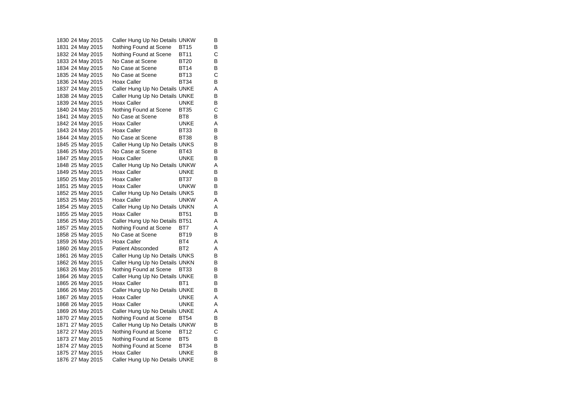1830 24 May 2015 Caller Hung Up No Details UNKW B 1831 24 May 2015 Nothing Found at Scene BT15 B<br>1832 24 May 2015 Nothing Found at Scene BT11 C 1832 24 May 2015 Nothing Found at Scene BT11 1833 24 May 2015 No Case at Scene BT20 B 1834 24 May 2015 No Case at Scene BT14 1835 24 May 2015 No Case at Scene BT13 C 1836 24 May 2015 Hoax Caller BT34 B 1837 24 May 2015 Caller Hung Up No Details UNKE A 1838 24 May 2015 Caller Hung Up No Details UNKE B<br>1839 24 May 2015 Hoax Caller BuNKE B 1839 24 May 2015 Hoax Caller **Hoax Caller** UNKE 1840 24 May 2015 Nothing Found at Scene BT35 C 1841 24 May 2015 No Case at Scene BT8 B 1842 24 May 2015 Hoax Caller **UNKE** A 1843 24 May 2015 Hoax Caller BT33 B 1844 24 May 2015 No Case at Scene BT38 B 1845 25 May 2015 Caller Hung Up No Details UNKS B 1846 25 May 2015 No Case at Scene BT43 B<br>1847 25 May 2015 Hoax Caller CONKE B 1847 25 May 2015 Hoax Caller UNKE 1848 25 May 2015 Caller Hung Up No Details UNKW A 1849 25 May 2015 Hoax Caller Carries UNKE B 1850 25 May 2015 Hoax Caller BT37 B 1851 25 May 2015 Hoax Caller **UNKW B**<br>1852 25 May 2015 Caller Hung Up No Details UNKS B 1852 25 May 2015 Caller Hung Up No Details UNKS 1853 25 May 2015 Hoax Caller UNKW A 1854 25 May 2015 Caller Hung Up No Details UNKN A 1855 25 May 2015 Hoax Caller BT51 B 1856 25 May 2015 Caller Hung Up No Details BT51 A 1857 25 May 2015 Nothing Found at Scene BT7 A 1858 25 May 2015 No Case at Scene BT19 B 1859 26 May 2015 Hoax Caller BT4 A 1860 26 May 2015 Patient Absconded BT2 A 1861 26 May 2015 Caller Hung Up No Details UNKS B 1862 26 May 2015 Caller Hung Up No Details UNKN B 1863 26 May 2015 Nothing Found at Scene BT33 B 1864 26 May 2015 Caller Hung Up No Details UNKE B<br>1865 26 May 2015 Hoax Caller BT1 B 1865 26 May 2015 Hoax Caller 1866 26 May 2015 Caller Hung Up No Details UNKE B 1867 26 May 2015 Hoax Caller CONNE A 1868 26 May 2015 Hoax Caller CONNE A 1869 26 May 2015 Caller Hung Up No Details UNKE<br>1870 27 May 2015 Nothing Found at Scene BT54 B Nothing Found at Scene BT54 B 1871 27 May 2015 Caller Hung Up No Details UNKW B 1872 27 May 2015 Nothing Found at Scene BT12 C 1873 27 May 2015 Nothing Found at Scene BT5 B 1874 27 May 2015 Nothing Found at Scene BT34 B<br>1875 27 May 2015 Hoax Caller UNKE B 1875 27 May 2015 Hoax Caller **UNKE** 1876 27 May 2015 Caller Hung Up No Details UNKE B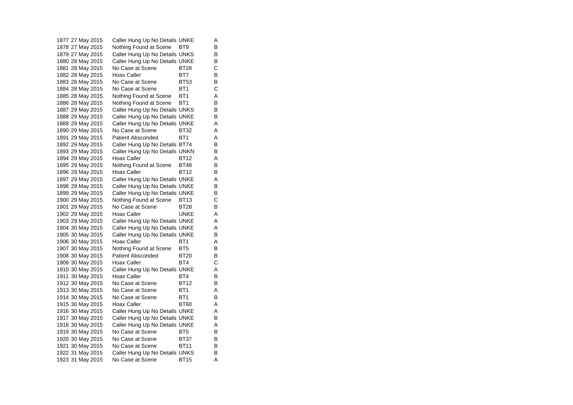1877 27 May 2015 Caller Hung Up No Details UNKE A 1878 27 May 2015 Mothing Found at Scene BT9 B 1879 27 May 2015 Caller Hung Up No Details UNKS B 1880 28 May 2015 Caller Hung Up No Details UNKE B<br>1881 28 May 2015 No Case at Scene BT28 C 1881 28 May 2015 No Case at Scene BT28 1882 28 May 2015 Hoax Caller BT7 B 1883 28 May 2015 No Case at Scene BT53 B 1884 28 May 2015 No Case at Scene BT1 C 1885 28 May 2015 Nothing Found at Scene BT1 A<br>1886 28 May 2015 Nothing Found at Scene BT1 B 1886 28 May 2015 Nothing Found at Scene BT1 1887 29 May 2015 Caller Hung Up No Details UNKS B 1888 29 May 2015 Caller Hung Up No Details UNKE B<br>1889 29 May 2015 Caller Hung Up No Details UNKE A Caller Hung Up No Details UNKE A 1890 29 May 2015 No Case at Scene BT32 A 1891 29 May 2015 Patient Absconded BT1 A 1892 29 May 2015 Caller Hung Up No Details BT74 B 1893 29 May 2015 Caller Hung Up No Details UNKN B 1894 29 May 2015 Hoax Caller BT12 A 1895 29 May 2015 Nothing Found at Scene BT48 B 1896 29 May 2015 Hoax Caller BT12 B 1897 29 May 2015 Caller Hung Up No Details UNKE A 1898 29 May 2015 Caller Hung Up No Details UNKE B 1899 29 May 2015 Caller Hung Up No Details UNKE B 1900 29 May 2015 Nothing Found at Scene BT13 C 1901 29 May 2015 No Case at Scene BT28 B 1902 29 May 2015 Hoax Caller CONNE A 1903 29 May 2015 Caller Hung Up No Details UNKE A 1904 30 May 2015 Caller Hung Up No Details UNKE A 1905 30 May 2015 Caller Hung Up No Details UNKE B 1906 30 May 2015 Hoax Caller BT1 A 1907 30 May 2015 Nothing Found at Scene BT5 B 1908 30 May 2015 Patient Absconded BT20 B 1909 30 May 2015 Hoax Caller BT4 C 1910 30 May 2015 Caller Hung Up No Details UNKE A 1911 30 May 2015 Hoax Caller BT4 B<br>1912 30 May 2015 No Case at Scene BT12 B 1912 30 May 2015 1913 30 May 2015 No Case at Scene BT1 A 1914 30 May 2015 No Case at Scene BT1 B 1915 30 May 2015 Hoax Caller BT60 A 1916 30 May 2015 Caller Hung Up No Details UNKE<br>1917 30 May 2015 Caller Hung Up No Details UNKE B Caller Hung Up No Details UNKE B 1918 30 May 2015 Caller Hung Up No Details UNKE A 1919 30 May 2015 No Case at Scene BT5 B 1920 30 May 2015 No Case at Scene BT37 B 1921 30 May 2015 No Case at Scene BT11 B<br>1922 31 May 2015 Caller Hung Up No Details UNKS B 1922 31 May 2015 Caller Hung Up No Details UNKS 1923 31 May 2015 No Case at Scene BT15 A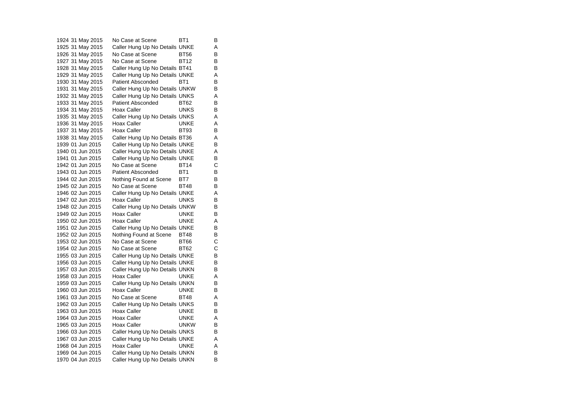1924 31 May 2015 No Case at Scene BT1 B 1925 31 May 2015 Caller Hung Up No Details UNKE A 1926 31 May 2015 No Case at Scene BT56 B 1927 31 May 2015 No Case at Scene BT12 B<br>1928 31 May 2015 Caller Hung Up No Details BT41 B 1928 31 May 2015 Caller Hung Up No Details BT41 1929 31 May 2015 Caller Hung Up No Details UNKE A 1930 31 May 2015 Patient Absconded BT1 B 1931 31 May 2015 Caller Hung Up No Details UNKW B 1932 31 May 2015 Caller Hung Up No Details UNKS A 1933 31 May 2015 Patient Absconded BT62 1934 31 May 2015 Hoax Caller **UNKS** B 1935 31 May 2015 Caller Hung Up No Details UNKS A 1936 31 May 2015 Hoax Caller CONCL UNKE A 1937 31 May 2015 Hoax Caller BT93 B 1938 31 May 2015 Caller Hung Up No Details BT36 A 1939 01 Jun 2015 Caller Hung Up No Details UNKE B 1940 01 Jun 2015 Caller Hung Up No Details UNKE A 1941 01 Jun 2015 Caller Hung Up No Details UNKE B 1942 01 Jun 2015 No Case at Scene BT14 C 1943 01 Jun 2015 Patient Absconded BT1 B 1944 02 Jun 2015 Nothing Found at Scene BT7 B 1945 02 Jun 2015 No Case at Scene BT48 B 1946 02 Jun 2015 Caller Hung Up No Details UNKE A 1947 02 Jun 2015 Hoax Caller UNKS B 1948 02 Jun 2015 Caller Hung Up No Details UNKW B 1949 02 Jun 2015 Hoax Caller **Hoax Caller** UNKE B 1950 02 Jun 2015 Hoax Caller UNKE A 1951 02 Jun 2015 Caller Hung Up No Details UNKE B 1952 02 Jun 2015 Nothing Found at Scene BT48 B 1953 02 Jun 2015 No Case at Scene BT66 C $\mathbf C$ 1954 02 Jun 2015 No Case at Scene BT62 C 1955 03 Jun 2015 Caller Hung Up No Details UNKE B 1956 03 Jun 2015 Caller Hung Up No Details UNKE B 1957 03 Jun 2015 Caller Hung Up No Details UNKN B 1958 03 Jun 2015 Hoax Caller UNKE A 1959 03 Jun 2015 Caller Hung Up No Details UNKN B 1960 03 Jun 2015 Hoax Caller UNKE B 1961 03 Jun 2015 No Case at Scene BT48 AA 1962 03 Jun 2015 Caller Hung Up No Details UNKS B 1963 03 Jun 2015 Hoax Caller UNKE  $\overline{B}$ 1964 03 Jun 2015 Hoax Caller UNKE A 1965 03 Jun 2015 Hoax Caller UNKW B 1966 03 Jun 2015 Caller Hung Up No Details UNKS B 1967 03 Jun 2015 Caller Hung Up No Details UNKE A 1968 04 Jun 2015 Hoax Caller Carries UNKE A<br>B 1969 04 Jun 2015 Caller Hung Up No Details UNKN 1970 04 Jun 2015 Caller Hung Up No Details UNKN B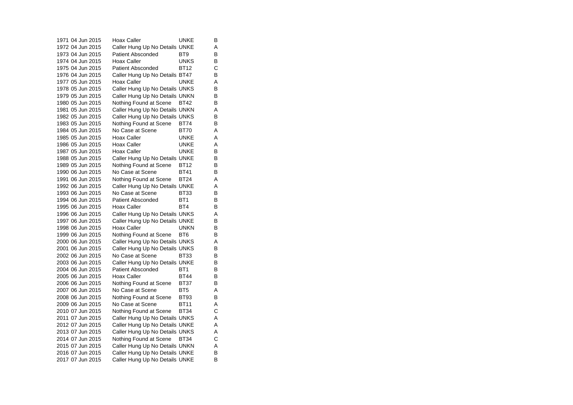1971 04 Jun 2015 Hoax Caller UNKE  $\overline{B}$ 1972 04 Jun 2015 Caller Hung Up No Details UNKE A 1973 04 Jun 2015 Patient Absconded BT9 B 1974 04 Jun 2015 Hoax Caller UNKS  $\frac{B}{C}$ 1975 04 Jun 2015 Patient Absconded BT12 1976 04 Jun 2015 Caller Hung Up No Details BT47 B 1977 05 Jun 2015 Hoax Caller **Hoax Hoax Caller** UNKE A 1978 05 Jun 2015 Caller Hung Up No Details UNKS B 1979 05 Jun 2015 Caller Hung Up No Details UNKN B<br>1980 05 Jun 2015 Nothing Found at Scene BT42 B 1980 05 Jun 2015 Nothing Found at Scene BT42 1981 05 Jun 2015 Caller Hung Up No Details UNKN A 1982 05 Jun 2015 Caller Hung Up No Details UNKS B<br>1983 05 Jun 2015 Nothing Found at Scene BT74 B 1983 05 Jun 2015 Nothing Found at Scene BT74 1984 05 Jun 2015 No Case at Scene BT70 A $\overline{A}$ 1985 05 Jun 2015 Hoax Caller UNKE  $\overline{A}$ 1986 05 Jun 2015 Hoax Caller UNKE A 1987 05 Jun 2015 Hoax Caller UNKE B 1988 05 Jun 2015 Caller Hung Up No Details UNKE B 1989 05 Jun 2015 Nothing Found at Scene BT12 B 1990 06 Jun 2015 No Case at Scene BT41 B 1991 06 Jun 2015 Nothing Found at Scene BT24 A 1992 06 Jun 2015 Caller Hung Up No Details UNKE A 1993 06 Jun 2015 No Case at Scene BT33 B 1994 06 Jun 2015 Patient Absconded BT1 B 1995 06 Jun 2015 Hoax Caller BT4 BT4 1996 06 Jun 2015 Caller Hung Up No Details UNKS A 1997 06 Jun 2015 Caller Hung Up No Details UNKE B<br>1998 06 Jun 2015 Hoax Caller CONKN B 1998 06 Jun 2015 Hoax Caller UNKN 1999 06 Jun 2015 Nothing Found at Scene BT6 B 2000 06 Jun 2015 Caller Hung Up No Details UNKS A<br>2001 06 Jun 2015 Caller Hung Up No Details UNKS B 2001 06 Jun 2015 Caller Hung Up No Details UNKS 2002 06 Jun 2015 No Case at Scene BT33 B $\overline{B}$ 2003 06 Jun 2015 Caller Hung Up No Details UNKE B 2004 06 Jun 2015 Patient Absconded BT1 B 2005 06 Jun 2015 Hoax Caller BT44  $\overline{B}$ 2006 06 Jun 2015 Nothing Found at Scene BT37 B 2007 06 Jun 2015 No Case at Scene BT5 A 2008 06 Jun 2015 Nothing Found at Scene BT93 B 2009 06 Jun 2015 No Case at Scene BT11 A 2010 07 Jun 2015 Nothing Found at Scene BT34 C<br>2011 07 Jun 2015 Caller Hung Up No Details UNKS A Caller Hung Up No Details UNKS A 2012 07 Jun 2015 Caller Hung Up No Details UNKE A 2013 07 Jun 2015 Caller Hung Up No Details UNKS A 2014 07 Jun 2015 Nothing Found at Scene BT34 C 2015 07 Jun 2015 Caller Hung Up No Details UNKN A<br>2016 07 Jun 2015 Caller Hung Up No Details UNKE B 2016 07 Jun 2015 Caller Hung Up No Details UNKE 2017 07 Jun 2015 Caller Hung Up No Details UNKE B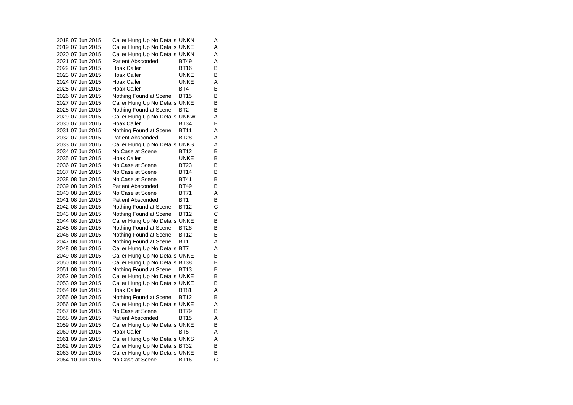2018 07 Jun 2015 Caller Hung Up No Details UNKN A 2019 07 Jun 2015 Caller Hung Up No Details UNKE A 2020 07 Jun 2015 Caller Hung Up No Details UNKN A 2021 07 Jun 2015 Patient Absconded BT49 A<br>B 2022 07 Jun 2015 Hoax Caller BT16 2023 07 Jun 2015 Hoax Caller UNKE B 2024 07 Jun 2015 Hoax Caller CONNE A 2025 07 Jun 2015 Hoax Caller BT4 BT4 2026 07 Jun 2015 Nothing Found at Scene BT15 B<br>2027 07 Jun 2015 Caller Hung Up No Details UNKF B 2027 07 Jun 2015 Caller Hung Up No Details UNKE 2028 07 Jun 2015 Nothing Found at Scene BT2 B 2029 07 Jun 2015 Caller Hung Up No Details UNKW A 2030 07 Jun 2015 Hoax Caller BT34 B 2031 07 Jun 2015 Nothing Found at Scene BT11 A 2032 07 Jun 2015 Patient Absconded BT28 A 2033 07 Jun 2015 Caller Hung Up No Details UNKS A 2034 07 Jun 2015 No Case at Scene BT12 B 2035 07 Jun 2015 Hoax Caller UNKE B 2036 07 Jun 2015 No Case at Scene BT23 B2037 07 Jun 2015 No Case at Scene BT14 B 2038 08 Jun 2015 No Case at Scene BT41 B 2039 08 Jun 2015 Patient Absconded BT49 B 2040 08 Jun 2015 No Case at Scene BT71 A2041 08 Jun 2015 Patient Absconded BT1 B 2042 08 Jun 2015 Nothing Found at Scene BT12 C 2043 08 Jun 2015 Nothing Found at Scene BT12 C 2044 08 Jun 2015 Caller Hung Up No Details UNKE B<br>2045 08 Jun 2015 Nothing Found at Scene BT28 B 2045 08 Jun 2015 Nothing Found at Scene BT28 2046 08 Jun 2015 Nothing Found at Scene BT12 B 2047 08 Jun 2015 Nothing Found at Scene BT1 A 2048 08 Jun 2015 Caller Hung Up No Details BT7 A 2049 08 Jun 2015 Caller Hung Up No Details UNKE B 2050 08 Jun 2015 Caller Hung Up No Details BT38 B 2051 08 Jun 2015 Nothing Found at Scene BT13 B 2052 09 Jun 2015 Caller Hung Up No Details UNKE B<br>2053 09 Jun 2015 Caller Hung Up No Details UNKE B 2053 09 Jun 2015 Caller Hung Up No Details UNKE 2054 09 Jun 2015 Hoax Caller BT81 A 2055 09 Jun 2015 Nothing Found at Scene BT12 B 2056 09 Jun 2015 Caller Hung Up No Details UNKE A 2057 09 Jun 2015 No Case at Scene BT79 B 2058 09 Jun 2015 Patient Absconded BT15 A 2059 09 Jun 2015 Caller Hung Up No Details UNKE B 2060 09 Jun 2015 Hoax Caller BT5 A 2061 09 Jun 2015 Caller Hung Up No Details UNKS A 2062 09 Jun 2015 Caller Hung Up No Details BT32 B<br>2063 09 Jun 2015 Caller Hung Up No Details UNKE B 2063 09 Jun 2015 Caller Hung Up No Details UNKE B<br>2064 10 Jun 2015 No Case at Scene BT16 C 2064 10 Jun 2015 No Case at Scene BT16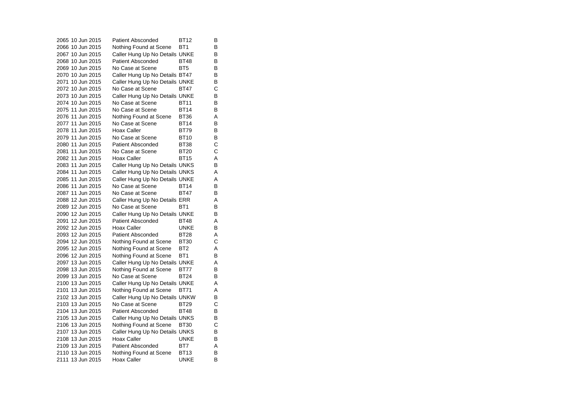2065 10 Jun 2015 Patient Absconded BT12  $\overline{B}$ 2066 10 Jun 2015 Nothing Found at Scene BT1 B 2067 10 Jun 2015 Caller Hung Up No Details UNKE B 2068 10 Jun 2015 Patient Absconded BT48 B<br>B 2069 10 Jun 2015 No Case at Scene BT5 2070 10 Jun 2015 Caller Hung Up No Details BT47 B 2071 10 Jun 2015 Caller Hung Up No Details UNKE B 2072 10 Jun 2015 No Case at Scene BT47 C 2073 10 Jun 2015 Caller Hung Up No Details UNKE B<br>2074 10 Jun 2015 No Case at Scene BT11 B 2074 10 Jun 2015 No Case at Scene BT11 2075 11 Jun 2015 No Case at Scene BT14 B 2076 11 Jun 2015 Nothing Found at Scene BT36 A 2077 11 Jun 2015 No Case at Scene BT14 B 2078 11 Jun 2015 Hoax Caller BT79  $\overline{B}$ 2079 11 Jun 2015 No Case at Scene BT10 B 2080 11 Jun 2015 Patient Absconded BT38 C2081 11 Jun 2015 No Case at Scene BT20 C 2082 11 Jun 2015 Hoax Caller BT15 A 2083 11 Jun 2015 Caller Hung Up No Details UNKS B 2084 11 Jun 2015 Caller Hung Up No Details UNKS A 2085 11 Jun 2015 Caller Hung Up No Details UNKE A 2086 11 Jun 2015 No Case at Scene BT14 B 2087 11 Jun 2015 No Case at Scene BT47 B 2088 12 Jun 2015 Caller Hung Up No Details ERR A 2089 12 Jun 2015 No Case at Scene BT1 B 2090 12 Jun 2015 Caller Hung Up No Details UNKE B 2091 12 Jun 2015 Patient Absconded BT48 A 2092 12 Jun 2015 Hoax Caller UNKE B 2093 12 Jun 2015 Patient Absconded BT28 A2094 12 Jun 2015 Nothing Found at Scene BT30 C 2095 12 Jun 2015 Nothing Found at Scene BT2 A 2096 12 Jun 2015 Nothing Found at Scene BT1 B 2097 13 Jun 2015 Caller Hung Up No Details UNKE A 2098 13 Jun 2015 Nothing Found at Scene BT77 B 2099 13 Jun 2015 No Case at Scene BT24  $\overline{B}$ 2100 13 Jun 2015 Caller Hung Up No Details UNKE A 2101 13 Jun 2015 Nothing Found at Scene BT71 A 2102 13 Jun 2015 Caller Hung Up No Details UNKW B 2103 13 Jun 2015 No Case at Scene BT29 C 2104 13 Jun 2015 Patient Absconded BT48 B 2105 13 Jun 2015 Caller Hung Up No Details UNKS B 2106 13 Jun 2015 Nothing Found at Scene BT30 C 2107 13 Jun 2015 Caller Hung Up No Details UNKS B 2108 13 Jun 2015 Hoax Caller Carries UNKE B 2109 13 Jun 2015 Patient Absconded BT7 A 2110 13 Jun 2015 Nothing Found at Scene BT13 B 2111 13 Jun 2015 Hoax Caller UNKE B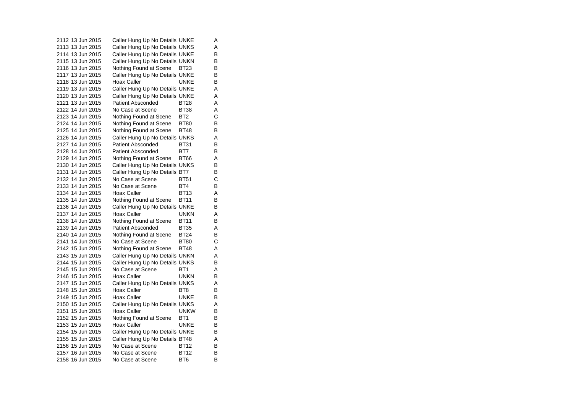2112 13 Jun 2015 Caller Hung Up No Details UNKE A 2113 13 Jun 2015 Caller Hung Up No Details UNKS A 2114 13 Jun 2015 Caller Hung Up No Details UNKE B 2115 13 Jun 2015 Caller Hung Up No Details UNKN B<br>2116 13 Jun 2015 Nothing Found at Scene BT23 B 2116 13 Jun 2015 Nothing Found at Scene BT23 2117 13 Jun 2015 Caller Hung Up No Details UNKE B 2118 13 Jun 2015 Hoax Caller UNKE  $\overline{B}$ 2119 13 Jun 2015 Caller Hung Up No Details UNKE A 2120 13 Jun 2015 Caller Hung Up No Details UNKE A 2121 13 Jun 2015 Patient Absconded BT28 A2122 14 Jun 2015 No Case at Scene BT38 A 2123 14 Jun 2015 Nothing Found at Scene BT2 C<br>2124 14 Jun 2015 Nothing Found at Scene BT80 B Nothing Found at Scene BT80 B 2125 14 Jun 2015 Nothing Found at Scene BT48 B 2126 14 Jun 2015 Caller Hung Up No Details UNKS A 2127 14 Jun 2015 Patient Absconded BT31 B 2128 14 Jun 2015 Patient Absconded BT7 B 2129 14 Jun 2015 Nothing Found at Scene BT66 A 2130 14 Jun 2015 Caller Hung Up No Details UNKS B 2131 14 Jun 2015 Caller Hung Up No Details BT7 B 2132 14 Jun 2015 No Case at Scene BT51 C 2133 14 Jun 2015 No Case at Scene BT4 B 2134 14 Jun 2015 Hoax Caller BT13 A 2135 14 Jun 2015 Nothing Found at Scene BT11 B 2136 14 Jun 2015 Caller Hung Up No Details UNKE B 2137 14 Jun 2015 Hoax Caller UNKN A 2138 14 Jun 2015 Nothing Found at Scene BT11 B 2139 14 Jun 2015 Patient Absconded BT35 A 2140 14 Jun 2015 Nothing Found at Scene BT24 B 2141 14 Jun 2015 No Case at Scene BT80  $\mathbf C$ 2142 15 Jun 2015 Nothing Found at Scene BT48 A 2143 15 Jun 2015 Caller Hung Up No Details UNKN A 2144 15 Jun 2015 Caller Hung Up No Details UNKS B 2145 15 Jun 2015 No Case at Scene BT1 A 2146 15 Jun 2015 Hoax Caller UNKN  $\overline{B}$ 2147 15 Jun 2015 Caller Hung Up No Details UNKS A 2148 15 Jun 2015 Hoax Caller BT8 BT8 2149 15 Jun 2015 Hoax Caller UNKE  $\sf B$ 2150 15 Jun 2015 Caller Hung Up No Details UNKS A 2151 15 Jun 2015 Hoax Caller UNKW B 2152 15 Jun 2015 Nothing Found at Scene BT1 B 2153 15 Jun 2015 Hoax Caller UNKE B 2154 15 Jun 2015 Caller Hung Up No Details UNKE B 2155 15 Jun 2015 Caller Hung Up No Details BT48 A 2156 15 Jun 2015 No Case at Scene BT12 B 2157 16 Jun 2015 No Case at Scene BT12 B 2158 16 Jun 2015 No Case at Scene BT6 BT6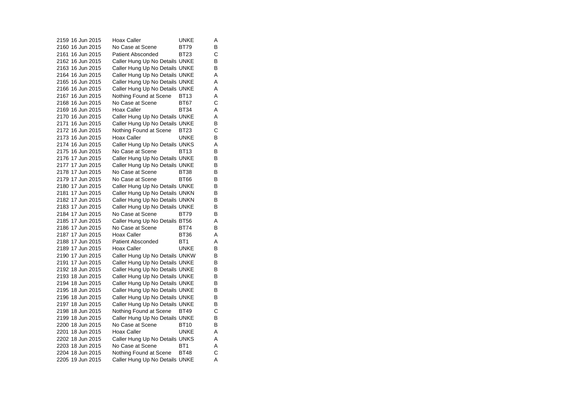2159 16 Jun 2015 Hoax Caller **Hoax Caller** UNKE  $\overline{A}$ 2160 16 Jun 2015 No Case at Scene BT79 B 2161 16 Jun 2015 Patient Absconded BT23 C 2162 16 Jun 2015 Caller Hung Up No Details UNKE B<br>2163 16 Jun 2015 Caller Hung Up No Details UNKE B 2163 16 Jun 2015 Caller Hung Up No Details UNKE 2164 16 Jun 2015 Caller Hung Up No Details UNKE A 2165 16 Jun 2015 Caller Hung Up No Details UNKE A 2166 16 Jun 2015 Caller Hung Up No Details UNKE A 2167 16 Jun 2015 Nothing Found at Scene BT13 A<br>2168 16 Jun 2015 No Case at Scene BT67 C 2168 16 Jun 2015 No Case at Scene BT67 2169 16 Jun 2015 Hoax Caller BT34 A 2170 16 Jun 2015 Caller Hung Up No Details UNKE A 2171 16 Jun 2015 Caller Hung Up No Details UNKE B 2172 16 Jun 2015 Nothing Found at Scene BT23 C 2173 16 Jun 2015 Hoax Caller UNKE B 2174 16 Jun 2015 Caller Hung Up No Details UNKS A 2175 16 Jun 2015 No Case at Scene BT13 B 2176 17 Jun 2015 Caller Hung Up No Details UNKE B 2177 17 Jun 2015 Caller Hung Up No Details UNKE B 2178 17 Jun 2015 No Case at Scene BT38 B 2179 17 Jun 2015 No Case at Scene BT66 B 2180 17 Jun 2015 Caller Hung Up No Details UNKE B<br>2181 17 Jun 2015 Caller Hung Up No Details UNKN B 2181 17 Jun 2015 Caller Hung Up No Details UNKN 2182 17 Jun 2015 Caller Hung Up No Details UNKN B 2183 17 Jun 2015 Caller Hung Up No Details UNKE B 2184 17 Jun 2015 No Case at Scene BT79 B 2185 17 Jun 2015 Caller Hung Up No Details BT56 A 2186 17 Jun 2015 No Case at Scene BT74 B 2187 17 Jun 2015 Hoax Caller BT36 A 2188 17 Jun 2015 Patient Absconded BT1 A 2189 17 Jun 2015 Hoax Caller CONNE B 2190 17 Jun 2015 Caller Hung Up No Details UNKW B 2191 17 Jun 2015 Caller Hung Up No Details UNKE B 2192 18 Jun 2015 Caller Hung Up No Details UNKE B 2193 18 Jun 2015 Caller Hung Up No Details UNKE B<br>2194 18 Jun 2015 Caller Hung Up No Details UNKE B 2194 18 Jun 2015 Caller Hung Up No Details UNKE 2195 18 Jun 2015 Caller Hung Up No Details UNKE B 2196 18 Jun 2015 Caller Hung Up No Details UNKE B 2197 18 Jun 2015 Caller Hung Up No Details UNKE B 2198 18 Jun 2015 Nothing Found at Scene BT49 C<br>2199 18 Jun 2015 Caller Hung Up No Details UNKE B Caller Hung Up No Details UNKE 2200 18 Jun 2015 No Case at Scene BT10 B 2201 18 Jun 2015 Hoax Caller UNKE A 2202 18 Jun 2015 Caller Hung Up No Details UNKS A 2203 18 Jun 2015 No Case at Scene BT1 A 2204 18 Jun 2015 Nothing Found at Scene BT48 C 2205 19 Jun 2015 Caller Hung Up No Details UNKE A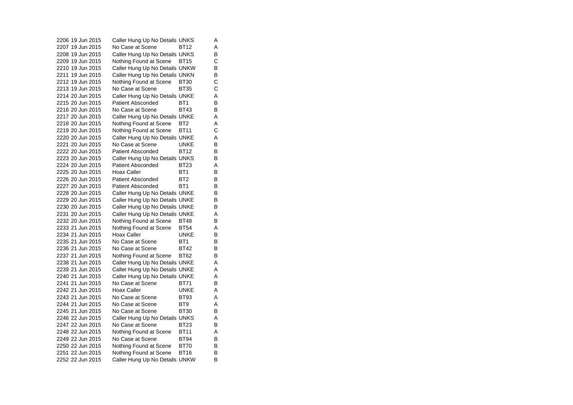2206 19 Jun 2015 Caller Hung Up No Details UNKS A 2207 19 Jun 2015 No Case at Scene BT12 A 2208 19 Jun 2015 Caller Hung Up No Details UNKS B 2209 19 Jun 2015 Nothing Found at Scene BT15 C<br>2210 19 Jun 2015 Caller Hung Up No Details UNKW B 2210 19 Jun 2015 Caller Hung Up No Details UNKW 2211 19 Jun 2015 Caller Hung Up No Details UNKN B<br>2212 19 Jun 2015 Nothing Found at Scene BT30 C 2212 19 Jun 2015 Nothing Found at Scene BT30 2213 19 Jun 2015 No Case at Scene BT35 C 2214 20 Jun 2015 Caller Hung Up No Details UNKE<br>2215 20 Jun 2015 Patient Absconded BT1 B Patient Absconded 2216 20 Jun 2015 No Case at Scene BT43 B 2217 20 Jun 2015 Caller Hung Up No Details UNKE<br>2218 20 Jun 2015 Nothing Found at Scene BT2 A Nothing Found at Scene BT2 A 2219 20 Jun 2015 Nothing Found at Scene BT11 C 2220 20 Jun 2015 Caller Hung Up No Details UNKE A 2221 20 Jun 2015 No Case at Scene UNKE B 2222 20 Jun 2015 Patient Absconded BT12 B 2223 20 Jun 2015 Caller Hung Up No Details UNKS B 2224 20 Jun 2015 Patient Absconded BT23  $\overline{A}$ 2225 20 Jun 2015 Hoax Caller BT1 BT1 2226 20 Jun 2015 Patient Absconded BT2 B 2227 20 Jun 2015 Patient Absconded BT1 B 2228 20 Jun 2015 Caller Hung Up No Details UNKE B 2229 20 Jun 2015 Caller Hung Up No Details UNKE B 2230 20 Jun 2015 Caller Hung Up No Details UNKE B 2231 20 Jun 2015 Caller Hung Up No Details UNKE A 2232 20 Jun 2015 Nothing Found at Scene BT48 B 2233 21 Jun 2015 Nothing Found at Scene BT54 A 2234 21 Jun 2015 Hoax Caller UNKE B 2235 21 Jun 2015 No Case at Scene BT1  $\overline{B}$ 2236 21 Jun 2015 No Case at Scene BT42 B 2237 21 Jun 2015 Nothing Found at Scene BT62 B 2238 21 Jun 2015 Caller Hung Up No Details UNKE A 2239 21 Jun 2015 Caller Hung Up No Details UNKE A 2240 21 Jun 2015 Caller Hung Up No Details UNKE<br>2241 21 Jun 2015 No Case at Scene BT71 B 2241 21 Jun 2015 2242 21 Jun 2015 Hoax Caller CONNE A 2243 21 Jun 2015 No Case at Scene BT93 AA 2244 21 Jun 2015 No Case at Scene BT9 A 2245 21 Jun 2015 No Case at Scene BT30 B 2246 22 Jun 2015 Caller Hung Up No Details UNKS A 2247 22 Jun 2015 No Case at Scene BT23 B 2248 22 Jun 2015 Nothing Found at Scene BT11 A 2249 22 Jun 2015 No Case at Scene BT94 B 2250 22 Jun 2015 Nothing Found at Scene BT70 B<br>2251 22 Jun 2015 Nothing Found at Scene BT16 B 2251 22 Jun 2015 Nothing Found at Scene BT16 2252 22 Jun 2015 Caller Hung Up No Details UNKW B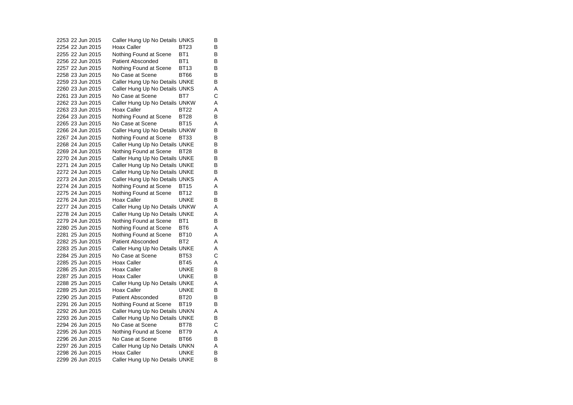2253 22 Jun 2015 Caller Hung Up No Details UNKS B 2254 22 Jun 2015 Hoax Caller BT23 B 2255 22 Jun 2015 Nothing Found at Scene BT1 B 2256 22 Jun 2015 Patient Absconded BT1 B<br>B 2257 22 Jun 2015 Nothing Found at Scene BT13 2258 23 Jun 2015 No Case at Scene BT66 B 2259 23 Jun 2015 Caller Hung Up No Details UNKE B 2260 23 Jun 2015 Caller Hung Up No Details UNKS A 2261 23 Jun 2015 No Case at Scene BT7  $\mathbf C$ 2262 23 Jun 2015 Caller Hung Up No Details UNKW A 2263 23 Jun 2015 Hoax Caller BT22 A 2264 23 Jun 2015 Nothing Found at Scene BT28 B 2265 23 Jun 2015 No Case at Scene BT15 A 2266 24 Jun 2015 Caller Hung Up No Details UNKW B 2267 24 Jun 2015 Nothing Found at Scene BT33 B 2268 24 Jun 2015 Caller Hung Up No Details UNKE B 2269 24 Jun 2015 Nothing Found at Scene BT28 B<br>2270 24 Jun 2015 Caller Hung Up No Details UNKE B 2270 24 Jun 2015 Caller Hung Up No Details UNKE 2271 24 Jun 2015 Caller Hung Up No Details UNKE B 2272 24 Jun 2015 Caller Hung Up No Details UNKE B 2273 24 Jun 2015 Caller Hung Up No Details UNKS A 2274 24 Jun 2015 Nothing Found at Scene BT15 A 2275 24 Jun 2015 Nothing Found at Scene BT12 B 2276 24 Jun 2015 Hoax Caller UNKE B 2277 24 Jun 2015 Caller Hung Up No Details UNKW A 2278 24 Jun 2015 Caller Hung Up No Details UNKE A 2279 24 Jun 2015 Nothing Found at Scene BT1 B 2280 25 Jun 2015 Nothing Found at Scene BT6 A 2281 25 Jun 2015 Nothing Found at Scene BT10 A 2282 25 Jun 2015 Patient Absconded BT2 A 2283 25 Jun 2015 Caller Hung Up No Details UNKE A 2284 25 Jun 2015 No Case at Scene BT53 C 2285 25 Jun 2015 Hoax Caller BT45 A 2286 25 Jun 2015 Hoax Caller UNKE B 2287 25 Jun 2015 Hoax Caller **Hoax Caller** UNKE  $\overline{B}$ 2288 25 Jun 2015 Caller Hung Up No Details UNKE A 2289 25 Jun 2015 Hoax Caller CONNE B 2290 25 Jun 2015 Patient Absconded BT20 B 2291 26 Jun 2015 Nothing Found at Scene BT19 B 2292 26 Jun 2015 Caller Hung Up No Details UNKN A<br>2293 26 Jun 2015 Caller Hung Up No Details UNKE B Caller Hung Up No Details UNKE B 2294 26 Jun 2015 No Case at Scene BT78 C 2295 26 Jun 2015 Nothing Found at Scene BT79 A 2296 26 Jun 2015 No Case at Scene BT66 B 2297 26 Jun 2015 Caller Hung Up No Details UNKN A 2298 26 Jun 2015 Hoax Caller UNKE B 2299 26 Jun 2015 Caller Hung Up No Details UNKE B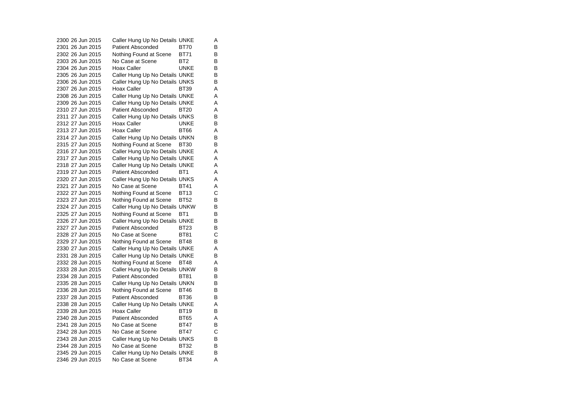2300 26 Jun 2015 Caller Hung Up No Details UNKE A 2301 26 Jun 2015 Patient Absconded BT70 B 2302 26 Jun 2015 Nothing Found at Scene BT71 B 2303 26 Jun 2015 No Case at Scene BT2 BB<br>B 2304 26 Jun 2015 Hoax Caller **Hoax College COVID-**2305 26 Jun 2015 Caller Hung Up No Details UNKE B 2306 26 Jun 2015 Caller Hung Up No Details UNKS B 2307 26 Jun 2015 Hoax Caller BT39 A 2308 26 Jun 2015 Caller Hung Up No Details UNKE A 2309 26 Jun 2015 Caller Hung Up No Details UNKE A 2310 27 Jun 2015 Patient Absconded BT20 A 2311 27 Jun 2015 Caller Hung Up No Details UNKS B<br>2312 27 Jun 2015 Hoax Caller UNKE B 2312 27 Jun 2015 Hoax Caller 2313 27 Jun 2015 Hoax Caller BT66 A 2314 27 Jun 2015 Caller Hung Up No Details UNKN B 2315 27 Jun 2015 Nothing Found at Scene BT30 B 2316 27 Jun 2015 Caller Hung Up No Details UNKE A 2317 27 Jun 2015 Caller Hung Up No Details UNKE A 2318 27 Jun 2015 Caller Hung Up No Details UNKE A 2319 27 Jun 2015 Patient Absconded BT1 A 2320 27 Jun 2015 Caller Hung Up No Details UNKS A 2321 27 Jun 2015 No Case at Scene BT41 A 2322 27 Jun 2015 Nothing Found at Scene BT13 C 2323 27 Jun 2015 Nothing Found at Scene BT52 B 2324 27 Jun 2015 Caller Hung Up No Details UNKW B 2325 27 Jun 2015 Nothing Found at Scene BT1 2326 27 Jun 2015 Caller Hung Up No Details UNKE B<br>2327 27 Jun 2015 Patient Absconded BT23 B 2327 27 Jun 2015 Patient Absconded BT23  $\mathbf{C}$ 2328 27 Jun 2015 No Case at Scene BT81 2329 27 Jun 2015 Nothing Found at Scene BT48 B 2330 27 Jun 2015 Caller Hung Up No Details UNKE A 2331 28 Jun 2015 Caller Hung Up No Details UNKE B 2332 28 Jun 2015 Nothing Found at Scene BT48 A 2333 28 Jun 2015 Caller Hung Up No Details UNKW B 2334 28 Jun 2015 Patient Absconded BT81  $\overline{B}$ 2335 28 Jun 2015 Caller Hung Up No Details UNKN B 2336 28 Jun 2015 Nothing Found at Scene BT46 B 2337 28 Jun 2015 Patient Absconded BT36  $\sf B$ 2338 28 Jun 2015 Caller Hung Up No Details UNKE A 2339 28 Jun 2015 Hoax Caller BT19 B 2340 28 Jun 2015 Patient Absconded BT65 A 2341 28 Jun 2015 No Case at Scene BT47 B 2342 28 Jun 2015 No Case at Scene BT47 C 2343 28 Jun 2015 Caller Hung Up No Details UNKS B 2344 28 Jun 2015 No Case at Scene BT32 B 2345 29 Jun 2015 Caller Hung Up No Details UNKE B 2346 29 Jun 2015 No Case at Scene BT34 A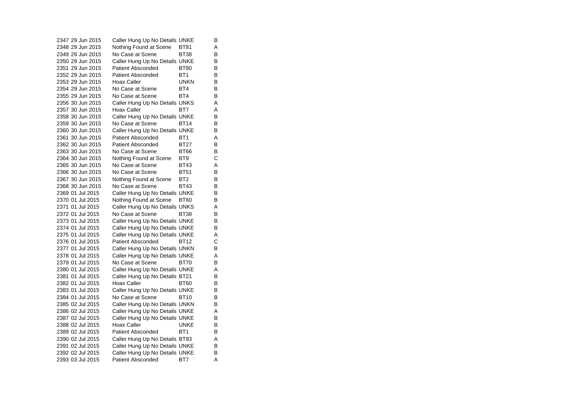2347 29 Jun 2015 Caller Hung Up No Details UNKE B 2348 29 Jun 2015 Nothing Found at Scene BT81 A 2349 29 Jun 2015 No Case at Scene BT38 B 2350 29 Jun 2015 Caller Hung Up No Details UNKE B<br>2351 29 Jun 2015 Patient Absconded BT80 B 2351 29 Jun 2015 Patient Absconded BT80 2352 29 Jun 2015 Patient Absconded BT1 B 2353 29 Jun 2015 Hoax Caller UNKN  $\overline{B}$ 2354 29 Jun 2015 No Case at Scene BT4 B 2355 29 Jun 2015 No Case at Scene BT4  $\overline{B}$ 2356 30 Jun 2015 Caller Hung Up No Details UNKS A 2357 30 Jun 2015 Hoax Caller BT7 A 2358 30 Jun 2015 Caller Hung Up No Details UNKE B<br>2359 30 Jun 2015 No Case at Scene BT14 B 2359 30 Jun 2015 No Case at Scene BT14 B2360 30 Jun 2015 Caller Hung Up No Details UNKE B 2361 30 Jun 2015 Patient Absconded BT1  $\overline{A}$ 2362 30 Jun 2015 Patient Absconded BT27 B 2363 30 Jun 2015 No Case at Scene BT66 B 2364 30 Jun 2015 Nothing Found at Scene BT9 C 2365 30 Jun 2015 No Case at Scene BT43 A $\overline{A}$ 2366 30 Jun 2015 No Case at Scene BT51 B 2367 30 Jun 2015 Nothing Found at Scene BT2 B 2368 30 Jun 2015 No Case at Scene BT43 B 2369 01 Jul 2015 Caller Hung Up No Details UNKE B 2370 01 Jul 2015 Nothing Found at Scene BT60 B 2371 01 Jul 2015 Caller Hung Up No Details UNKS A 2372 01 Jul 2015 No Case at Scene BT38 B 2373 01 Jul 2015 Caller Hung Up No Details UNKE B<br>2374 01 Jul 2015 Caller Hung Up No Details UNKE B 2374 01 Jul 2015 Caller Hung Up No Details UNKE 2375 01 Jul 2015 Caller Hung Up No Details UNKE A 2376 01 Jul 2015 Patient Absconded BT12  $\mathbf C$ 2377 01 Jul 2015 Caller Hung Up No Details UNKN B 2378 01 Jul 2015 Caller Hung Up No Details UNKE A 2379 01 Jul 2015 No Case at Scene BT70 B $\sf B$ 2380 01 Jul 2015 Caller Hung Up No Details UNKE A 2381 01 Jul 2015 Caller Hung Up No Details BT21 B<br>2382 01 Jul 2015 Hoax Caller BT60 B 2382 01 Jul 2015 Hoax Caller BT60 2383 01 Jul 2015 Caller Hung Up No Details UNKE B 2384 01 Jul 2015 No Case at Scene BT10 B $\sf B$ 2385 02 Jul 2015 Caller Hung Up No Details UNKN B 2386 02 Jul 2015 Caller Hung Up No Details UNKE<br>2387 02 Jul 2015 Caller Hung Up No Details UNKE B Caller Hung Up No Details UNKE 2388 02 Jul 2015 Hoax Caller UNKE B 2389 02 Jul 2015 Patient Absconded BT1 B 2390 02 Jul 2015 Caller Hung Up No Details BT93 A 2391 02 Jul 2015 Caller Hung Up No Details UNKE B<br>2392 02 Jul 2015 Caller Hung Up No Details UNKE B 2392 02 Jul 2015 Caller Hung Up No Details UNKE 2393 03 Jul 2015 Patient Absconded BT7 A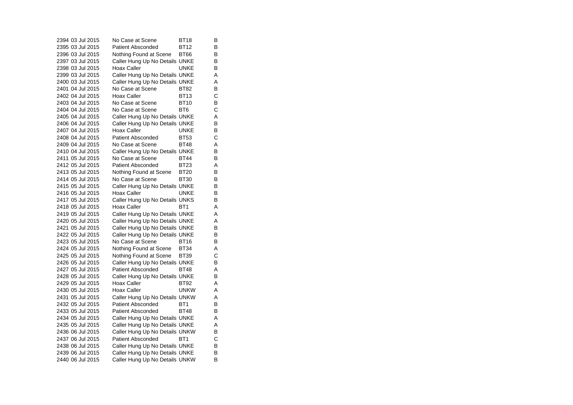2394 03 Jul 2015 No Case at Scene BT18  $\overline{B}$ 2395 03 Jul 2015 Patient Absconded BT12 B 2396 03 Jul 2015 Nothing Found at Scene BT66 B 2397 03 Jul 2015 Caller Hung Up No Details UNKE B<br>2398 03 Jul 2015 Hoax Caller CONKE B 2398 03 Jul 2015 Hoax Caller HOOD HOOD HOOD HOOD HOOD HOOD HOOD HOOD HOOD HOO 2399 03 Jul 2015 Caller Hung Up No Details UNKE A 2400 03 Jul 2015 Caller Hung Up No Details UNKE A 2401 04 Jul 2015 No Case at Scene BT82 B 2402 04 Jul 2015 Hoax Caller BT13 2403 04 Jul 2015 No Case at Scene BT10 B 2404 04 Jul 2015 No Case at Scene BT6 C 2405 04 Jul 2015 Caller Hung Up No Details UNKE A 2406 04 Jul 2015 Caller Hung Up No Details UNKE B 2407 04 Jul 2015 Hoax Caller Bunke  $\overline{B}$ 2408 04 Jul 2015 Patient Absconded BT53  $\mathbf C$ 2409 04 Jul 2015 No Case at Scene BT48 A2410 04 Jul 2015 Caller Hung Up No Details UNKE B<br>2411 05 Jul 2015 No Case at Scene BT44 B 2411 05 Jul 2015 No Case at Scene BT44 2412 05 Jul 2015 Patient Absconded BT23  $\overline{A}$ 2413 05 Jul 2015 Nothing Found at Scene BT20 B 2414 05 Jul 2015 No Case at Scene BT30 B 2415 05 Jul 2015 Caller Hung Up No Details UNKE B<br>2416 05 Jul 2015 Hoax Caller UNKE B 2416 05 Jul 2015 Hoax Caller BunkE 2417 05 Jul 2015 Caller Hung Up No Details UNKS B 2418 05 Jul 2015 Hoax Caller BT1  $\overline{A}$ 2419 05 Jul 2015 Caller Hung Up No Details UNKE A 2420 05 Jul 2015 Caller Hung Up No Details UNKE<br>2421 05 Jul 2015 Caller Hung Up No Details UNKE B 2421 05 Jul 2015 Caller Hung Up No Details UNKE 2422 05 Jul 2015 Caller Hung Up No Details UNKE B 2423 05 Jul 2015 No Case at Scene BT16  $\overline{B}$ 2424 05 Jul 2015 Nothing Found at Scene BT34 A 2425 05 Jul 2015 Nothing Found at Scene BT39 C 2426 05 Jul 2015 Caller Hung Up No Details UNKE B 2427 05 Jul 2015 Patient Absconded BT48 A 2428 05 Jul 2015 Caller Hung Up No Details UNKE B<br>2429 05 Jul 2015 Hoax Caller BT92 A 2429 05 Jul 2015 Hoax Caller BT92 2430 05 Jul 2015 Hoax Caller UNKW A2431 05 Jul 2015 Caller Hung Up No Details UNKW A 2432 05 Jul 2015 Patient Absconded BT1 B 2433 05 Jul 2015 Patient Absconded BT48 B 2434 05 Jul 2015 Caller Hung Up No Details UNKE A 2435 05 Jul 2015 Caller Hung Up No Details UNKE A 2436 06 Jul 2015 Caller Hung Up No Details UNKW B 2437 06 Jul 2015 Patient Absconded BT1 C 2438 06 Jul 2015 Caller Hung Up No Details UNKE B<br>2439 06 Jul 2015 Caller Hung Up No Details UNKE B 2439 06 Jul 2015 Caller Hung Up No Details UNKE 2440 06 Jul 2015 Caller Hung Up No Details UNKW B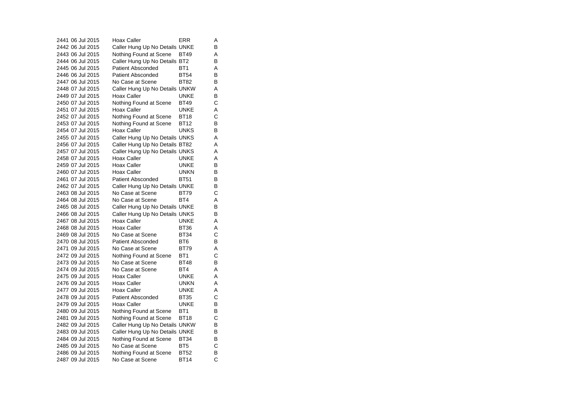2441 06 Jul 2015 Hoax Caller ERR  $\overline{A}$ 2442 06 Jul 2015 Caller Hung Up No Details UNKE B 2443 06 Jul 2015 Nothing Found at Scene BT49 A 2444 06 Jul 2015 Caller Hung Up No Details BT2 B 2445 06 Jul 2015 Patient Absconded BT1 A 2446 06 Jul 2015 Patient Absconded BT54 B 2447 06 Jul 2015 No Case at Scene BT82  $\overline{B}$ 2448 07 Jul 2015 Caller Hung Up No Details UNKW A 2449 07 Jul 2015 Hoax Caller Bunk E  $\frac{B}{C}$ 2450 07 Jul 2015 Nothing Found at Scene BT49 2451 07 Jul 2015 Hoax Caller UNKE A 2452 07 Jul 2015 Nothing Found at Scene BT18 C<br>2453 07 Jul 2015 Nothing Found at Scene BT12 B 2453 07 Jul 2015 Nothing Found at Scene 2454 07 Jul 2015 Hoax Caller UNKS B 2455 07 Jul 2015 Caller Hung Up No Details UNKS A 2456 07 Jul 2015 Caller Hung Up No Details BT82 A 2457 07 Jul 2015 Caller Hung Up No Details UNKS A 2458 07 Jul 2015 Hoax Caller UNKE A 2459 07 Jul 2015 Hoax Caller UNKE B 2460 07 Jul 2015 Hoax Caller UNKN B 2461 07 Jul 2015 Patient Absconded BT51 B 2462 07 Jul 2015 Caller Hung Up No Details UNKE B<br>2463 08 Jul 2015 No Case at Scene BT79 C 2463 08 Jul 2015 No Case at Scene BT79 2464 08 Jul 2015 No Case at Scene BT4 A 2465 08 Jul 2015 Caller Hung Up No Details UNKE B 2466 08 Jul 2015 Caller Hung Up No Details UNKS B 2467 08 Jul 2015 Hoax Caller UNKE A 2468 08 Jul 2015 Hoax Caller BT36 A 2469 08 Jul 2015 No Case at Scene BT34 C2470 08 Jul 2015 Patient Absconded BT6  $\overline{B}$ 2471 09 Jul 2015 No Case at Scene BT79 A  $\mathbf C$ 2472 09 Jul 2015 Nothing Found at Scene BT1 2473 09 Jul 2015 No Case at Scene BT48 B $\sf B$ 2474 09 Jul 2015 No Case at Scene BT4 A 2475 09 Jul 2015 Hoax Caller CONNE A 2476 09 Jul 2015 Hoax Caller UNKN A 2477 09 Jul 2015 Hoax Caller UNKE A 2478 09 Jul 2015 Patient Absconded BT35 2479 09 Jul 2015 Hoax Caller UNKE B 2480 09 Jul 2015 Nothing Found at Scene BT1 B<br>2481 09 Jul 2015 Nothing Found at Scene BT18 C Nothing Found at Scene BT18 2482 09 Jul 2015 Caller Hung Up No Details UNKW B 2483 09 Jul 2015 Caller Hung Up No Details UNKE B 2484 09 Jul 2015 Nothing Found at Scene BT34 B<br>2485 09 Jul 2015 No Case at Scene BT5 C 2485 09 Jul 2015 No Case at Scene BT5  $\overline{B}$ 2486 09 Jul 2015 Nothing Found at Scene BT52 B<br>2487 09 Jul 2015 No Case at Scene BT14 C 2487 09 Jul 2015 No Case at Scene BT14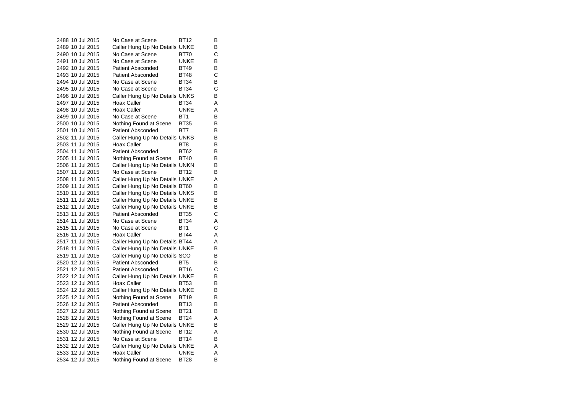2488 10 Jul 2015 No Case at Scene BT12  $\overline{B}$ 2489 10 Jul 2015 Caller Hung Up No Details UNKE B 2490 10 Jul 2015 No Case at Scene BT70 C 2491 10 Jul 2015 No Case at Scene UNKE B<br>B 2492 10 Jul 2015 Patient Absconded BT49 2493 10 Jul 2015 Patient Absconded BT48 C 2494 10 Jul 2015 No Case at Scene BT34  $\overline{B}$ 2495 10 Jul 2015 No Case at Scene BT34 C 2496 10 Jul 2015 Caller Hung Up No Details UNKS B<br>2497 10 Jul 2015 Hoax Caller BT34 A 2497 10 Jul 2015 Hoax Caller BT34 A 2498 10 Jul 2015 Hoax Caller UNKE A 2499 10 Jul 2015 No Case at Scene BT1 B 2500 10 Jul 2015 Nothing Found at Scene BT35 B 2501 10 Jul 2015 Patient Absconded BT7  $\overline{B}$ 2502 11 Jul 2015 Caller Hung Up No Details UNKS B 2503 11 Jul 2015 Hoax Caller BT8 B 2504 11 Jul 2015 Patient Absconded BT62 B 2505 11 Jul 2015 Nothing Found at Scene BT40 B 2506 11 Jul 2015 Caller Hung Up No Details UNKN B 2507 11 Jul 2015 No Case at Scene BT12 B 2508 11 Jul 2015 Caller Hung Up No Details UNKE A 2509 11 Jul 2015 Caller Hung Up No Details BT60 B<br>2510 11 Jul 2015 Caller Hung Up No Details UNKS B 2510 11 Jul 2015 Caller Hung Up No Details UNKS 2511 11 Jul 2015 Caller Hung Up No Details UNKE B 2512 11 Jul 2015 Caller Hung Up No Details UNKE B 2513 11 Jul 2015 Patient Absconded BT35 C 2514 11 Jul 2015 No Case at Scene BT34  $A$ <sub>C</sub> 2515 11 Jul 2015 No Case at Scene BT1 2516 11 Jul 2015 Hoax Caller BT44 A 2517 11 Jul 2015 Caller Hung Up No Details BT44 A 2518 11 Jul 2015 Caller Hung Up No Details UNKE B 2519 11 Jul 2015 Caller Hung Up No Details SCO B 2520 12 Jul 2015 Patient Absconded BT5  $\sf B$ 2521 12 Jul 2015 Patient Absconded BT16 C 2522 12 Jul 2015 Caller Hung Up No Details UNKE B<br>2523 12 Jul 2015 Hoax Caller BT53 B 2523 12 Jul 2015 Hoax Caller BT53 2524 12 Jul 2015 Caller Hung Up No Details UNKE B 2525 12 Jul 2015 Nothing Found at Scene BT19 B 2526 12 Jul 2015 Patient Absconded BT13 B 2527 12 Jul 2015 Nothing Found at Scene BT21 B<br>2528 12 Jul 2015 Nothing Found at Scene BT24 A Nothing Found at Scene BT24 A 2529 12 Jul 2015 Caller Hung Up No Details UNKE B 2530 12 Jul 2015 Nothing Found at Scene BT12 A 2531 12 Jul 2015 No Case at Scene BT14 B 2532 12 Jul 2015 Caller Hung Up No Details UNKE A 2533 12 Jul 2015 Hoax Caller UNKE A 2534 12 Jul 2015 Nothing Found at Scene BT28 B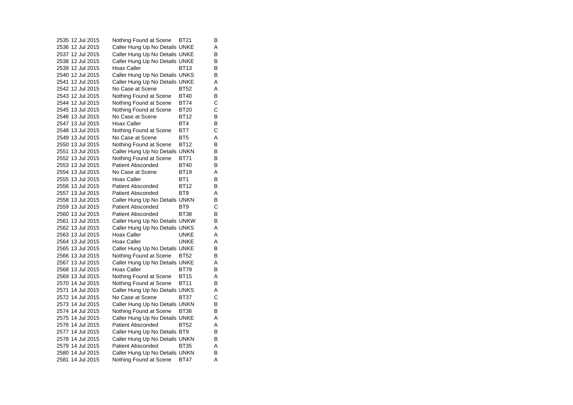2535 12 Jul 2015 Nothing Found at Scene BT21 B 2536 12 Jul 2015 Caller Hung Up No Details UNKE A 2537 12 Jul 2015 Caller Hung Up No Details UNKE B 2538 12 Jul 2015 Caller Hung Up No Details UNKE B<br>2539 12 Jul 2015 Hoax Caller BT13 B 2539 12 Jul 2015 Hoax Caller BT13 2540 12 Jul 2015 Caller Hung Up No Details UNKS B 2541 12 Jul 2015 Caller Hung Up No Details UNKE A 2542 12 Jul 2015 No Case at Scene BT52 A 2543 12 Jul 2015 Nothing Found at Scene BT40 B<br>2544 12 Jul 2015 Nothing Found at Scene BT74 C Nothing Found at Scene BT74 2545 13 Jul 2015 Nothing Found at Scene BT20 C 2546 13 Jul 2015 No Case at Scene BT12  $\overline{B}$ 2547 13 Jul 2015 Hoax Caller BT4 B 2548 13 Jul 2015 Nothing Found at Scene BT7 C 2549 13 Jul 2015 No Case at Scene BT5 A 2550 13 Jul 2015 Nothing Found at Scene BT12 B 2551 13 Jul 2015 Caller Hung Up No Details UNKN B<br>2552 13 Jul 2015 Nothing Found at Scene BT71 B 2552 13 Jul 2015 Nothing Found at Scene BT71 2553 13 Jul 2015 Patient Absconded BT40 B 2554 13 Jul 2015 No Case at Scene BT19 A 2555 13 Jul 2015 Hoax Caller BT1 B 2556 13 Jul 2015 Patient Absconded BT12 B 2557 13 Jul 2015 Patient Absconded BT9 A 2558 13 Jul 2015 Caller Hung Up No Details UNKN B 2559 13 Jul 2015 Patient Absconded BT9 C2560 13 Jul 2015 Patient Absconded BT38 B 2561 13 Jul 2015 Caller Hung Up No Details UNKW B 2562 13 Jul 2015 Caller Hung Up No Details UNKS A 2563 13 Jul 2015 Hoax Caller UNKE A 2564 13 Jul 2015 Hoax Caller UNKE A 2565 13 Jul 2015 Caller Hung Up No Details UNKE B 2566 13 Jul 2015 Nothing Found at Scene BT52 B 2567 13 Jul 2015 Caller Hung Up No Details UNKE A 2568 13 Jul 2015 Hoax Caller BT79 B 2569 13 Jul 2015 Nothing Found at Scene BT15 A<br>2570 14 Jul 2015 Nothing Found at Scene BT11 B 2570 14 Jul 2015 Nothing Found at Scene BT11 2571 14 Jul 2015 Caller Hung Up No Details UNKS A 2572 14 Jul 2015 No Case at Scene BT37  $\mathsf{C}$ 2573 14 Jul 2015 Caller Hung Up No Details UNKN B 2574 14 Jul 2015 Nothing Found at Scene BT36 B<br>2575 14 Jul 2015 Caller Hung Up No Details UNKE A Caller Hung Up No Details UNKE A 2576 14 Jul 2015 Patient Absconded BT52 A2577 14 Jul 2015 Caller Hung Up No Details BT9 B 2578 14 Jul 2015 Caller Hung Up No Details UNKN B 2579 14 Jul 2015 Patient Absconded BT35 A 2580 14 Jul 2015 Caller Hung Up No Details UNKN B 2581 14 Jul 2015 Nothing Found at Scene BT47 A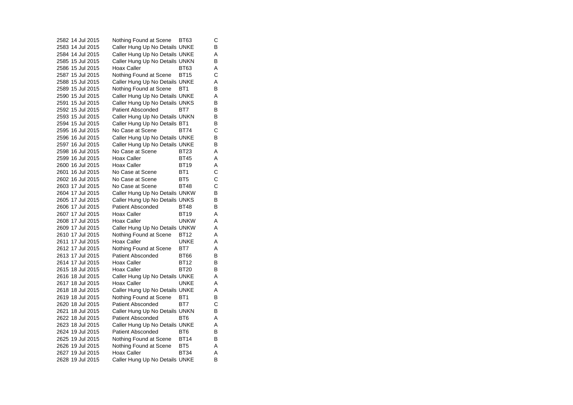2582 14 Jul 2015 Nothing Found at Scene BT63 C 2583 14 Jul 2015 Caller Hung Up No Details UNKE B 2584 14 Jul 2015 Caller Hung Up No Details UNKE A 2585 15 Jul 2015 Caller Hung Up No Details UNKN B 2586 15 Jul 2015 Hoax Caller BT63 A 2587 15 Jul 2015 Nothing Found at Scene BT15 C 2588 15 Jul 2015 Caller Hung Up No Details UNKE A 2589 15 Jul 2015 Nothing Found at Scene BT1 B 2590 15 Jul 2015 Caller Hung Up No Details UNKE A Caller Hung Up No Details UNKS 2592 15 Jul 2015 Patient Absconded BT7 B 2593 15 Jul 2015 Caller Hung Up No Details UNKN B<br>2594 15 Jul 2015 Caller Hung Up No Details BT1 B Caller Hung Up No Details BT1 2595 16 Jul 2015 No Case at Scene BT74 C2596 16 Jul 2015 Caller Hung Up No Details UNKE B 2597 16 Jul 2015 Caller Hung Up No Details UNKE B 2598 16 Jul 2015 No Case at Scene BT23 AA 2599 16 Jul 2015 Hoax Caller BT45 A 2600 16 Jul 2015 Hoax Caller BT19  $\overline{A}$ 2601 16 Jul 2015 No Case at Scene BT1 C 2602 16 Jul 2015 No Case at Scene BT5 C2603 17 Jul 2015 No Case at Scene BT48 C2604 17 Jul 2015 Caller Hung Up No Details UNKW B 2605 17 Jul 2015 Caller Hung Up No Details UNKS B 2606 17 Jul 2015 Patient Absconded BT48 B 2607 17 Jul 2015 Hoax Caller BT19 A 2608 17 Jul 2015 Hoax Caller UNKW A 2609 17 Jul 2015 Caller Hung Up No Details UNKW A 2610 17 Jul 2015 Nothing Found at Scene BT12 A 2611 17 Jul 2015 Hoax Caller UNKE A 2612 17 Jul 2015 Nothing Found at Scene BT7 A 2613 17 Jul 2015 Patient Absconded BT66  $\overline{B}$ 2614 17 Jul 2015 Hoax Caller BT12  $\sf B$ 2615 18 Jul 2015 Hoax Caller BT20 B 2616 18 Jul 2015 Caller Hung Up No Details UNKE A 2617 18 Jul 2015 Hoax Caller UNKE A 2618 18 Jul 2015 Caller Hung Up No Details UNKE A 2619 18 Jul 2015 Nothing Found at Scene BT1 B 2620 18 Jul 2015 Patient Absconded BT7 C 2621 18 Jul 2015 Caller Hung Up No Details UNKN B<br>2622 18 Jul 2015 Patient Absconded BT6 A Patient Absconded BT6 A 2623 18 Jul 2015 Caller Hung Up No Details UNKE A 2624 19 Jul 2015 Patient Absconded BT6 B 2625 19 Jul 2015 Nothing Found at Scene BT14 B 2626 19 Jul 2015 Nothing Found at Scene BT5 A 2627 19 Jul 2015 Hoax Caller BT34 A 2628 19 Jul 2015 Caller Hung Up No Details UNKE B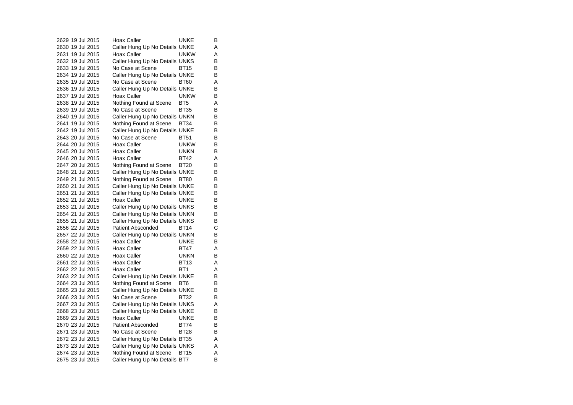2629 19 Jul 2015 Hoax Caller BunkE  $\overline{B}$ 2630 19 Jul 2015 Caller Hung Up No Details UNKE A 2631 19 Jul 2015 Hoax Caller UNKW A 2632 19 Jul 2015 Caller Hung Up No Details UNKS B<br>2633 19 Jul 2015 No Case at Scene BT15 B 2633 19 Jul 2015 No Case at Scene BT15 2634 19 Jul 2015 Caller Hung Up No Details UNKE B 2635 19 Jul 2015 No Case at Scene BT60 A 2636 19 Jul 2015 Caller Hung Up No Details UNKE B 2637 19 Jul 2015 Hoax Caller UNKW  $\overline{B}$ 2638 19 Jul 2015 Nothing Found at Scene BT5 A 2639 19 Jul 2015 No Case at Scene BT35 B 2640 19 Jul 2015 Caller Hung Up No Details UNKN B<br>2641 19 Jul 2015 Nothing Found at Scene BT34 B Nothing Found at Scene BT34 2642 19 Jul 2015 Caller Hung Up No Details UNKE B 2643 20 Jul 2015 No Case at Scene BT51 B 2644 20 Jul 2015 Hoax Caller UNKW B 2645 20 Jul 2015 Hoax Caller UNKN B 2646 20 Jul 2015 Hoax Caller BT42 A 2647 20 Jul 2015 Nothing Found at Scene BT20 B 2648 21 Jul 2015 Caller Hung Up No Details UNKE B 2649 21 Jul 2015 Nothing Found at Scene BT80 B 2650 21 Jul 2015 Caller Hung Up No Details UNKE B<br>2651 21 Jul 2015 Caller Hung Up No Details UNKE B 2651 21 Jul 2015 Caller Hung Up No Details UNKE 2652 21 Jul 2015 Hoax Caller UNKE B 2653 21 Jul 2015 Caller Hung Up No Details UNKS B 2654 21 Jul 2015 Caller Hung Up No Details UNKN B 2655 21 Jul 2015 Caller Hung Up No Details UNKS B<br>2656 22 Jul 2015 Patient Absconded BT14 C 2656 22 Jul 2015 Patient Absconded BT14 2657 22 Jul 2015 Caller Hung Up No Details UNKN B 2658 22 Jul 2015 Hoax Caller UNKE  $\overline{B}$ 2659 22 Jul 2015 Hoax Caller BT47 A 2660 22 Jul 2015 Hoax Caller **UNKN**  $\overline{B}$ 2661 22 Jul 2015 Hoax Caller BT13 A 2662 22 Jul 2015 Hoax Caller BT1 A 2663 22 Jul 2015 Caller Hung Up No Details UNKE B<br>2664 23 Jul 2015 Nothing Found at Scene BT6 B 2664 23 Jul 2015 Nothing Found at Scene BT6 2665 23 Jul 2015 Caller Hung Up No Details UNKE B 2666 23 Jul 2015 No Case at Scene BT32 B $\sf B$ 2667 23 Jul 2015 Caller Hung Up No Details UNKS A 2668 23 Jul 2015 Caller Hung Up No Details UNKE B<br>2669 23 Jul 2015 Hoax Caller BUNKE B 2669 23 Jul 2015 2670 23 Jul 2015 Patient Absconded BT74 B 2671 23 Jul 2015 No Case at Scene BT28 B 2672 23 Jul 2015 Caller Hung Up No Details BT35 A 2673 23 Jul 2015 Caller Hung Up No Details UNKS A 2674 23 Jul 2015 Nothing Found at Scene BT15 A 2675 23 Jul 2015 Caller Hung Up No Details BT7 B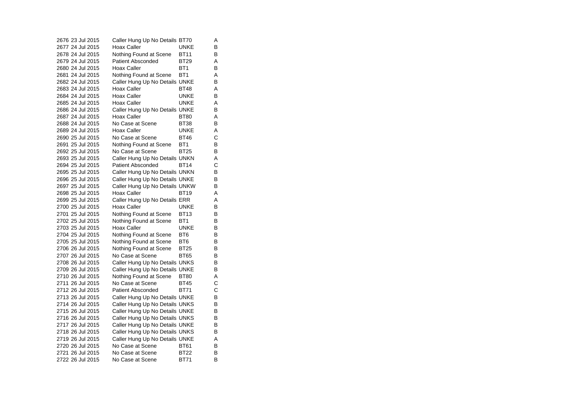|  | 2676 23 Jul 2015 | Caller Hung Up No Details BT70 |                 | Α |
|--|------------------|--------------------------------|-----------------|---|
|  | 2677 24 Jul 2015 | Hoax Caller                    | UNKE            | B |
|  | 2678 24 Jul 2015 | Nothing Found at Scene         | <b>BT11</b>     | в |
|  | 2679 24 Jul 2015 | <b>Patient Absconded</b>       | BT29            | Α |
|  | 2680 24 Jul 2015 | Hoax Caller                    | BT <sub>1</sub> | B |
|  | 2681 24 Jul 2015 | Nothing Found at Scene         | BT <sub>1</sub> | A |
|  | 2682 24 Jul 2015 | Caller Hung Up No Details UNKE |                 | В |
|  | 2683 24 Jul 2015 | Hoax Caller                    | <b>BT48</b>     | A |
|  | 2684 24 Jul 2015 | <b>Hoax Caller</b>             | UNKE            | В |
|  | 2685 24 Jul 2015 | <b>Hoax Caller</b>             | <b>UNKE</b>     | A |
|  | 2686 24 Jul 2015 | Caller Hung Up No Details UNKE |                 | В |
|  | 2687 24 Jul 2015 | <b>Hoax Caller</b>             | <b>BT80</b>     | A |
|  | 2688 24 Jul 2015 | No Case at Scene               | <b>BT38</b>     | В |
|  | 2689 24 Jul 2015 | Hoax Caller                    | UNKE            | Α |
|  | 2690 25 Jul 2015 | No Case at Scene               | BT46            | C |
|  | 2691 25 Jul 2015 | Nothing Found at Scene         | BT <sub>1</sub> | В |
|  | 2692 25 Jul 2015 | No Case at Scene               | <b>BT25</b>     | В |
|  | 2693 25 Jul 2015 | Caller Hung Up No Details UNKN |                 | A |
|  | 2694 25 Jul 2015 | <b>Patient Absconded</b>       | <b>BT14</b>     | С |
|  | 2695 25 Jul 2015 | Caller Hung Up No Details UNKN |                 | В |
|  | 2696 25 Jul 2015 | Caller Hung Up No Details UNKE |                 | B |
|  | 2697 25 Jul 2015 | Caller Hung Up No Details UNKW |                 | В |
|  | 2698 25 Jul 2015 | Hoax Caller                    | <b>BT19</b>     | A |
|  | 2699 25 Jul 2015 | Caller Hung Up No Details ERR  |                 | A |
|  | 2700 25 Jul 2015 | Hoax Caller                    | UNKE            | в |
|  | 2701 25 Jul 2015 | Nothing Found at Scene         | <b>BT13</b>     | B |
|  | 2702 25 Jul 2015 | Nothing Found at Scene         | BT1             | В |
|  | 2703 25 Jul 2015 | Hoax Caller                    | UNKE            | В |
|  | 2704 25 Jul 2015 | Nothing Found at Scene         | BT <sub>6</sub> | В |
|  | 2705 25 Jul 2015 | Nothing Found at Scene         | BT6             | В |
|  | 2706 26 Jul 2015 | Nothing Found at Scene         | <b>BT25</b>     | B |
|  | 2707 26 Jul 2015 | No Case at Scene               | <b>BT65</b>     | В |
|  | 2708 26 Jul 2015 | Caller Hung Up No Details UNKS |                 | в |
|  | 2709 26 Jul 2015 | Caller Hung Up No Details UNKE |                 | В |
|  | 2710 26 Jul 2015 | Nothing Found at Scene         | <b>BT80</b>     | A |
|  | 2711 26 Jul 2015 | No Case at Scene               | <b>BT45</b>     | C |
|  | 2712 26 Jul 2015 | <b>Patient Absconded</b>       | <b>BT71</b>     | С |
|  | 2713 26 Jul 2015 | Caller Hung Up No Details UNKE |                 | В |
|  | 2714 26 Jul 2015 | Caller Hung Up No Details UNKS |                 | в |
|  | 2715 26 Jul 2015 | Caller Hung Up No Details UNKE |                 | В |
|  | 2716 26 Jul 2015 | Caller Hung Up No Details UNKS |                 | В |
|  | 2717 26 Jul 2015 | Caller Hung Up No Details UNKE |                 | В |
|  | 2718 26 Jul 2015 | Caller Hung Up No Details UNKS |                 | в |
|  | 2719 26 Jul 2015 | Caller Hung Up No Details UNKE |                 | Α |
|  | 2720 26 Jul 2015 | No Case at Scene               | <b>BT61</b>     | В |
|  | 2721 26 Jul 2015 | No Case at Scene               | <b>BT22</b>     | B |
|  | 2722 26 Jul 2015 | No Case at Scene               | <b>BT71</b>     | B |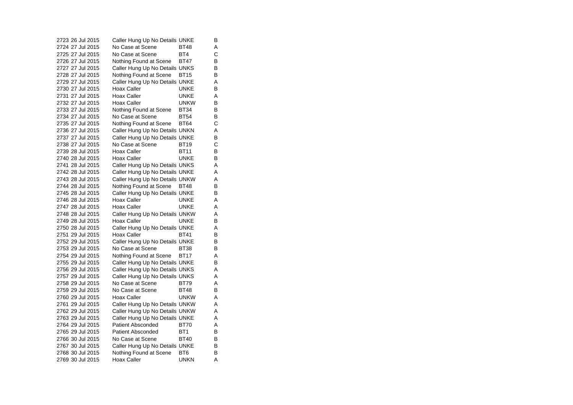2723 26 Jul 2015 Caller Hung Up No Details UNKE B 2724 27 Jul 2015 No Case at Scene BT48 A 2725 27 Jul 2015 No Case at Scene BT4 C 2726 27 Jul 2015 Nothing Found at Scene BT47 B<br>2727 27 Jul 2015 Caller Hung Up No Details UNKS B 2727 27 Jul 2015 Caller Hung Up No Details UNKS 2728 27 Jul 2015 Nothing Found at Scene BT15 B 2729 27 Jul 2015 Caller Hung Up No Details UNKE A 2730 27 Jul 2015 Hoax Caller UNKE B 2731 27 Jul 2015 Hoax Caller UNKE A<br>B 2732 27 Jul 2015 Hoax Caller UNKW 2733 27 Jul 2015 Nothing Found at Scene BT34 B 2734 27 Jul 2015 No Case at Scene BT54 B 2735 27 Jul 2015 Nothing Found at Scene BT64 C 2736 27 Jul 2015 Caller Hung Up No Details UNKN A 2737 27 Jul 2015 Caller Hung Up No Details UNKE B 2738 27 Jul 2015 No Case at Scene BT19 C 2739 28 Jul 2015 Hoax Caller BT11 B 2740 28 Jul 2015 Hoax Caller UNKE B 2741 28 Jul 2015 Caller Hung Up No Details UNKS A 2742 28 Jul 2015 Caller Hung Up No Details UNKE A 2743 28 Jul 2015 Caller Hung Up No Details UNKW A 2744 28 Jul 2015 Nothing Found at Scene BT48 B<br>2745 28 Jul 2015 Caller Hung Up No Details UNKE B 2745 28 Jul 2015 Caller Hung Up No Details UNKE 2746 28 Jul 2015 Hoax Caller UNKE A 2747 28 Jul 2015 Hoax Caller CONNE  $\overline{A}$ 2748 28 Jul 2015 Caller Hung Up No Details UNKW A 2749 28 Jul 2015 Hoax Caller **UNKE**  $\sf B$ 2750 28 Jul 2015 Caller Hung Up No Details UNKE A 2751 29 Jul 2015 Hoax Caller BT41 B 2752 29 Jul 2015 Caller Hung Up No Details UNKE B<br>2753 29 Jul 2015 No Case at Scene BT38 B 2753 29 Jul 2015 No Case at Scene BT38 2754 29 Jul 2015 Nothing Found at Scene BT17 A 2755 29 Jul 2015 Caller Hung Up No Details UNKE B 2756 29 Jul 2015 Caller Hung Up No Details UNKS A 2757 29 Jul 2015 Caller Hung Up No Details UNKS A<br>2758 29 Jul 2015 No Case at Scene BT79 A 2758 29 Jul 2015 No Case at Scene BT79 2759 29 Jul 2015 No Case at Scene BT48 B 2760 29 Jul 2015 Hoax Caller **Hoax Hoax Hoax** A 2761 29 Jul 2015 Caller Hung Up No Details UNKW A 2762 29 Jul 2015 Caller Hung Up No Details UNKW A<br>2763 29 Jul 2015 Caller Hung Up No Details UNKE A Caller Hung Up No Details UNKE A 2764 29 Jul 2015 Patient Absconded BT70 A 2765 29 Jul 2015 Patient Absconded BT1 B 2766 30 Jul 2015 No Case at Scene BT40 B 2767 30 Jul 2015 Caller Hung Up No Details UNKE B<br>2768 30 Jul 2015 Nothing Found at Scene BT6 B 2768 30 Jul 2015 Nothing Found at Scene BT6 2769 30 Jul 2015 Hoax Caller UNKN A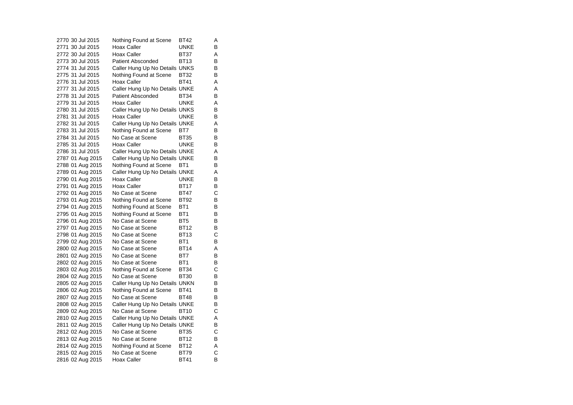2770 30 Jul 2015 Nothing Found at Scene BT42 A 2771 30 Jul 2015 Hoax Caller CONNE B 2772 30 Jul 2015 Hoax Caller BT37 A 2773 30 Jul 2015 Patient Absconded BT13 B<br>B 2774 31 Jul 2015 Caller Hung Up No Details UNKS 2775 31 Jul 2015 Nothing Found at Scene BT32 B 2776 31 Jul 2015 Hoax Caller BT41 A 2777 31 Jul 2015 Caller Hung Up No Details UNKE A 2778 31 Jul 2015 Patient Absconded BT34  $\overline{B}$ 2779 31 Jul 2015 Hoax Caller UNKE A 2780 31 Jul 2015 Caller Hung Up No Details UNKS B 2781 31 Jul 2015 Hoax Caller BunkE  $\overline{B}$ 2782 31 Jul 2015 Caller Hung Up No Details UNKE A 2783 31 Jul 2015 Nothing Found at Scene BT7 B 2784 31 Jul 2015 No Case at Scene BT35 B 2785 31 Jul 2015 Hoax Caller UNKE B 2786 31 Jul 2015 Caller Hung Up No Details UNKE A 2787 01 Aug 2015 Caller Hung Up No Details UNKE B 2788 01 Aug 2015 Nothing Found at Scene BT1 B 2789 01 Aug 2015 Caller Hung Up No Details UNKE A 2790 01 Aug 2015 Hoax Caller CONNE 2791 01 Aug 2015 Hoax Caller BT17 B<br>2792 01 Aug 2015 No Case at Scene BT47 C 2792 01 Aug 2015 No Case at Scene BT47 2793 01 Aug 2015 Nothing Found at Scene BT92 B 2794 01 Aug 2015 Nothing Found at Scene BT1 B 2795 01 Aug 2015 Nothing Found at Scene BT1 B 2796 01 Aug 2015 No Case at Scene BT5 B<br>2797 01 Aug 2015 No Case at Scene BT12 B 2797 01 Aug 2015 No Case at Scene BT12 2798 01 Aug 2015 No Case at Scene BT13 C 2799 02 Aug 2015 No Case at Scene BT1 B 2800 02 Aug 2015 No Case at Scene BT14 A 2801 02 Aug 2015 No Case at Scene BT7 B 2802 02 Aug 2015 No Case at Scene BT1 B 2803 02 Aug 2015 Nothing Found at Scene BT34 C 2804 02 Aug 2015 No Case at Scene BT30 B<br>2805 02 Aug 2015 Caller Hung Up No Details UNKN B Caller Hung Up No Details UNKN 2806 02 Aug 2015 Nothing Found at Scene BT41 B 2807 02 Aug 2015 No Case at Scene BT48 B 2808 02 Aug 2015 Caller Hung Up No Details UNKE B 2809 02 Aug 2015 No Case at Scene BT10 C<br>
2810 02 Aug 2015 Caller Hung Up No Details UNKE A Caller Hung Up No Details UNKE A 2811 02 Aug 2015 Caller Hung Up No Details UNKE B 2812 02 Aug 2015 No Case at Scene BT35 C 2813 02 Aug 2015 No Case at Scene BT12 B 2814 02 Aug 2015 Nothing Found at Scene BT12 A<br>2815 02 Aug 2015 No Case at Scene BT79 C 2815 02 Aug 2015 No Case at Scene BT79 C 2816 02 Aug 2015 Hoax Caller BT41 B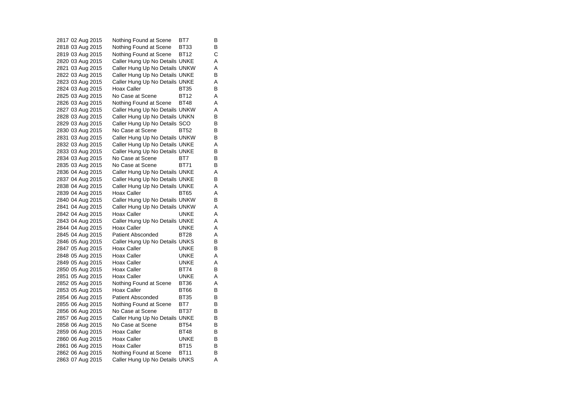2817 02 Aug 2015 Nothing Found at Scene BT7 B 2818 03 Aug 2015 Nothing Found at Scene BT33 B 2819 03 Aug 2015 Nothing Found at Scene BT12 C 2820 03 Aug 2015 Caller Hung Up No Details UNKE A Caller Hung Up No Details UNKW A 2822 03 Aug 2015 Caller Hung Up No Details UNKE B 2823 03 Aug 2015 Caller Hung Up No Details UNKE A 2824 03 Aug 2015 Hoax Caller BT35 B 2825 03 Aug 2015 No Case at Scene BT12 A Nothing Found at Scene BT48 A 2827 03 Aug 2015 Caller Hung Up No Details UNKW A 2828 03 Aug 2015 Caller Hung Up No Details UNKN B<br>2829 03 Aug 2015 Caller Hung Up No Details SCO B Caller Hung Up No Details SCO 2830 03 Aug 2015 No Case at Scene BT52 B 2831 03 Aug 2015 Caller Hung Up No Details UNKW B 2832 03 Aug 2015 Caller Hung Up No Details UNKE A 2833 03 Aug 2015 Caller Hung Up No Details UNKE B<br>2834 03 Aug 2015 No Case at Scene BT7 B 2834 03 Aug 2015 No Case at Scene BT7 2835 03 Aug 2015 No Case at Scene BT71 B 2836 04 Aug 2015 Caller Hung Up No Details UNKE A 2837 04 Aug 2015 Caller Hung Up No Details UNKE B 2838 04 Aug 2015 Caller Hung Up No Details UNKE A 2839 04 Aug 2015 Hoax Caller BT65 A 2840 04 Aug 2015 Caller Hung Up No Details UNKW B 2841 04 Aug 2015 Caller Hung Up No Details UNKW A 2842 04 Aug 2015 Hoax Caller CONNE A 2843 04 Aug 2015 Caller Hung Up No Details UNKE A 2844 04 Aug 2015 Hoax Caller CONNE A 2845 04 Aug 2015 Patient Absconded BT28 A 2846 05 Aug 2015 Caller Hung Up No Details UNKS B<br>2847 05 Aug 2015 Hoax Caller BuNKE B 2847 05 Aug 2015 Hoax Caller **Hoax College Hoax** 2848 05 Aug 2015 Hoax Caller **UNKE** A 2849 05 Aug 2015 Hoax Caller CONNE A 2850 05 Aug 2015 Hoax Caller BT74 B 2851 05 Aug 2015 Hoax Caller Board UNKE A<br>2852 05 Aug 2015 Nothing Found at Scene BT36 A Nothing Found at Scene BT36 A 2853 05 Aug 2015 Hoax Caller BT66 B 2854 06 Aug 2015 Patient Absconded BT35 B 2855 06 Aug 2015 Nothing Found at Scene BT7 B 2856 06 Aug 2015 No Case at Scene BT37 B<br>2857 06 Aug 2015 Caller Hung Up No Details UNKE B Caller Hung Up No Details UNKE 2858 06 Aug 2015 No Case at Scene BT54 B 2859 06 Aug 2015 Hoax Caller BT48 B 2860 06 Aug 2015 Hoax Caller CONNE B 2861 06 Aug 2015 Hoax Caller BT15 B<br>2862 06 Aug 2015 Nothing Found at Scene BT11 B 2862 06 Aug 2015 Nothing Found at Scene BT11 2863 07 Aug 2015 Caller Hung Up No Details UNKS A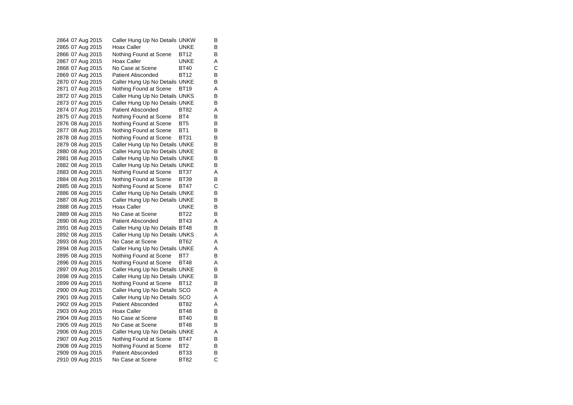2864 07 Aug 2015 Caller Hung Up No Details UNKW B 2865 07 Aug 2015 Hoax Caller CONNE 2866 07 Aug 2015 Nothing Found at Scene BT12 B 2867 07 Aug 2015 Hoax Caller CONKE A<br>2868 07 Aug 2015 No Case at Scene BT40 C 2868 07 Aug 2015 No Case at Scene BT40 C 2869 07 Aug 2015 Patient Absconded BT12 B 2870 07 Aug 2015 Caller Hung Up No Details UNKE B 2871 07 Aug 2015 Nothing Found at Scene BT19 A 2872 07 Aug 2015 Caller Hung Up No Details UNKS B<br>2873 07 Aug 2015 Caller Hung Up No Details UNKF B 2873 07 Aug 2015 Caller Hung Up No Details UNKE 2874 07 Aug 2015 Patient Absconded BT82 A 2875 07 Aug 2015 Nothing Found at Scene BT4 B<br>2876 08 Aug 2015 Nothing Found at Scene BT5 B Nothing Found at Scene BT5 B 2877 08 Aug 2015 Nothing Found at Scene BT1 B 2878 08 Aug 2015 Nothing Found at Scene BT31 B 2879 08 Aug 2015 Caller Hung Up No Details UNKE B 2880 08 Aug 2015 Caller Hung Up No Details UNKE B 2881 08 Aug 2015 Caller Hung Up No Details UNKE B 2882 08 Aug 2015 Caller Hung Up No Details UNKE B 2883 08 Aug 2015 Nothing Found at Scene BT37 A 2884 08 Aug 2015 Nothing Found at Scene BT39 B 2885 08 Aug 2015 Nothing Found at Scene BT47 C 2886 08 Aug 2015 Caller Hung Up No Details UNKE B 2887 08 Aug 2015 Caller Hung Up No Details UNKE B 2888 08 Aug 2015 Hoax Caller UNKE B 2889 08 Aug 2015 No Case at Scene BT22 B 2890 08 Aug 2015 Patient Absconded BT43 A 2891 08 Aug 2015 Caller Hung Up No Details BT48 B 2892 08 Aug 2015 Caller Hung Up No Details UNKS A 2893 08 Aug 2015 No Case at Scene BT62 A 2894 08 Aug 2015 Caller Hung Up No Details UNKE A 2895 08 Aug 2015 Nothing Found at Scene BT7 B 2896 09 Aug 2015 Nothing Found at Scene BT48 A 2897 09 Aug 2015 Caller Hung Up No Details UNKE B 2898 09 Aug 2015 Caller Hung Up No Details UNKE B<br>2899 09 Aug 2015 Nothing Found at Scene BT12 B Nothing Found at Scene BT12 2900 09 Aug 2015 Caller Hung Up No Details SCO A 2901 09 Aug 2015 Caller Hung Up No Details SCO A 2902 09 Aug 2015 Patient Absconded BT82 A 2903 09 Aug 2015 Hoax Caller BT48 B<br>2904 09 Aug 2015 No Case at Scene BT40 B 2904 09 Aug 2015 2905 09 Aug 2015 No Case at Scene BT48 B 2906 09 Aug 2015 Caller Hung Up No Details UNKE A 2907 09 Aug 2015 Nothing Found at Scene BT47 B 2908 09 Aug 2015 Nothing Found at Scene BT2 B<br>2909 09 Aug 2015 Patient Absconded BT33 B 2909 09 Aug 2015 Patient Absconded BT33 B<br>2910 09 Aug 2015 No Case at Scene BT82 C 2910 09 Aug 2015 No Case at Scene BT82 C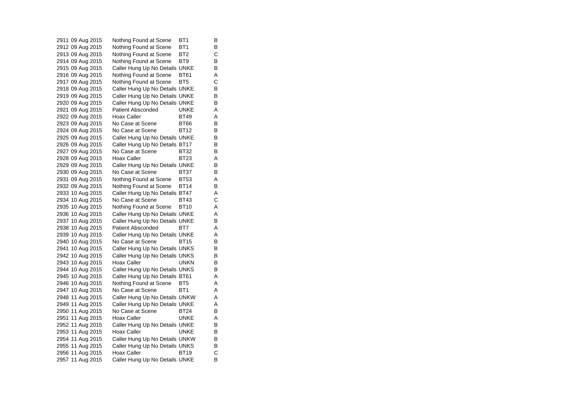2911 09 Aug 2015 Nothing Found at Scene BT1 B 2912 09 Aug 2015 Nothing Found at Scene BT1 B 2913 09 Aug 2015 Nothing Found at Scene BT2 C 2914 09 Aug 2015 Nothing Found at Scene BT9 B<br>2915 09 Aug 2015 Caller Hung Up No Details UNKE B Caller Hung Up No Details UNKE 2916 09 Aug 2015 Nothing Found at Scene BT61 A 2917 09 Aug 2015 Nothing Found at Scene BT5 C 2918 09 Aug 2015 Caller Hung Up No Details UNKE B<br>2919 09 Aug 2015 Caller Hung Up No Details UNKE B 2919 09 Aug 2015 Caller Hung Up No Details UNKE B<br>2920 09 Aug 2015 Caller Hung Up No Details UNKE B Caller Hung Up No Details UNKE 2921 09 Aug 2015 Patient Absconded UNKE A 2922 09 Aug 2015 Hoax Caller BT49 A<br>2923 09 Aug 2015 No Case at Scene BT66 B 2923 09 Aug 2015 No Case at Scene BT66 B 2924 09 Aug 2015 No Case at Scene BT12 B 2925 09 Aug 2015 Caller Hung Up No Details UNKE B 2926 09 Aug 2015 Caller Hung Up No Details BT17 B 2927 09 Aug 2015 No Case at Scene BT32 B 2928 09 Aug 2015 Hoax Caller BT23 A 2929 09 Aug 2015 Caller Hung Up No Details UNKE B 2930 09 Aug 2015 No Case at Scene BT37 B 2931 09 Aug 2015 Nothing Found at Scene BT53 A 2932 09 Aug 2015 Nothing Found at Scene BT14 B 2933 10 Aug 2015 Caller Hung Up No Details BT47 A 2934 10 Aug 2015 No Case at Scene BT43 C 2935 10 Aug 2015 Nothing Found at Scene BT10 A 2936 10 Aug 2015 Caller Hung Up No Details UNKE A 2937 10 Aug 2015 Caller Hung Up No Details UNKE B<br>2938 10 Aug 2015 Patient Absconded BT7 A Patient Absconded BT7 A 2939 10 Aug 2015 Caller Hung Up No Details UNKE A 2940 10 Aug 2015 No Case at Scene BT15 B<br>2941 10 Aug 2015 Caller Hung Up No Details UNKS B Caller Hung Up No Details UNKS 2942 10 Aug 2015 Caller Hung Up No Details UNKS B 2943 10 Aug 2015 Hoax Caller UNKN B 2944 10 Aug 2015 Caller Hung Up No Details UNKS B 2945 10 Aug 2015 Caller Hung Up No Details BT61 A<br>2946 10 Aug 2015 Nothing Found at Scene BT5 A Nothing Found at Scene BT5 A 2947 10 Aug 2015 No Case at Scene BT1 A 2948 11 Aug 2015 Caller Hung Up No Details UNKW A 2949 11 Aug 2015 Caller Hung Up No Details UNKE A 2950 11 Aug 2015 No Case at Scene BT24 B<br>2951 11 Aug 2015 Hoax Caller UNKE A 2951 11 Aug 2015 Hoax Caller **UNKE** A 2952 11 Aug 2015 Caller Hung Up No Details UNKE B 2953 11 Aug 2015 Hoax Caller UNKE B 2954 11 Aug 2015 Caller Hung Up No Details UNKW B 2955 11 Aug 2015 Caller Hung Up No Details UNKS B<br>2956 11 Aug 2015 Hoax Caller BT19 C 2956 11 Aug 2015 Hoax Caller BT19 2957 11 Aug 2015 Caller Hung Up No Details UNKE B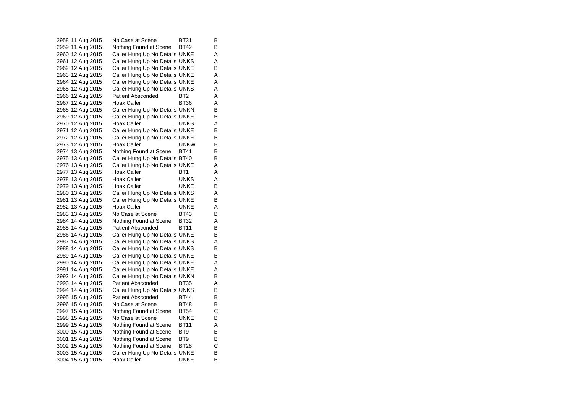2958 11 Aug 2015 No Case at Scene BT31 B 2959 11 Aug 2015 Nothing Found at Scene BT42 B 2960 12 Aug 2015 Caller Hung Up No Details UNKE A 2961 12 Aug 2015 Caller Hung Up No Details UNKS A 2962 12 Aug 2015 Caller Hung Up No Details UNKE B 2963 12 Aug 2015 Caller Hung Up No Details UNKE A 2964 12 Aug 2015 Caller Hung Up No Details UNKE A 2965 12 Aug 2015 Caller Hung Up No Details UNKS A 2966 12 Aug 2015 Patient Absconded BT2 A<br>2967 12 Aug 2015 Hoax Caller BT36 A 2967 12 Aug 2015 Hoax Caller BT36 A 2968 12 Aug 2015 Caller Hung Up No Details UNKN B 2969 12 Aug 2015 Caller Hung Up No Details UNKE B<br>2970 12 Aug 2015 Hoax Caller UNKS A 2970 12 Aug 2015 Hoax Caller **Hoax Caller** UNKS A 2971 12 Aug 2015 Caller Hung Up No Details UNKE B 2972 12 Aug 2015 Caller Hung Up No Details UNKE B 2973 12 Aug 2015 Hoax Caller **UNKW** B 2974 13 Aug 2015 Nothing Found at Scene BT41 B<br>2975 13 Aug 2015 Caller Hung Up No Details BT40 B 2975 13 Aug 2015 Caller Hung Up No Details BT40 2976 13 Aug 2015 Caller Hung Up No Details UNKE A 2977 13 Aug 2015 Hoax Caller BT1 BT1 2978 13 Aug 2015 Hoax Caller **UNKS** A 2979 13 Aug 2015 Hoax Caller UNKE B 2980 13 Aug 2015 Caller Hung Up No Details UNKS A 2981 13 Aug 2015 Caller Hung Up No Details UNKE B 2982 13 Aug 2015 Hoax Caller **UNKE** A 2983 13 Aug 2015 No Case at Scene BT43 B 2984 14 Aug 2015 Nothing Found at Scene BT32 A 2985 14 Aug 2015 Patient Absconded BT11 B 2986 14 Aug 2015 Caller Hung Up No Details UNKE B 2987 14 Aug 2015 Caller Hung Up No Details UNKS A 2988 14 Aug 2015 Caller Hung Up No Details UNKS B 2989 14 Aug 2015 Caller Hung Up No Details UNKE B 2990 14 Aug 2015 Caller Hung Up No Details UNKE A 2991 14 Aug 2015 Caller Hung Up No Details UNKE A 2992 14 Aug 2015 Caller Hung Up No Details UNKN B<br>2993 14 Aug 2015 Patient Absconded BT35 A Patient Absconded BT35 2994 14 Aug 2015 Caller Hung Up No Details UNKS B 2995 15 Aug 2015 Patient Absconded BT44 B 2996 15 Aug 2015 No Case at Scene BT48 B 2997 15 Aug 2015 Nothing Found at Scene BT54 C<br>2998 15 Aug 2015 No Case at Scene UNKE B 2998 15 Aug 2015 2999 15 Aug 2015 Nothing Found at Scene BT11 A 3000 15 Aug 2015 Nothing Found at Scene BT9 B 3001 15 Aug 2015 Nothing Found at Scene BT9 B 3002 15 Aug 2015 Nothing Found at Scene BT28 C<br>3003 15 Aug 2015 Caller Hung Up No Details UNKE B 3003 15 Aug 2015 Caller Hung Up No Details UNKE 3004 15 Aug 2015 Hoax Caller UNKE B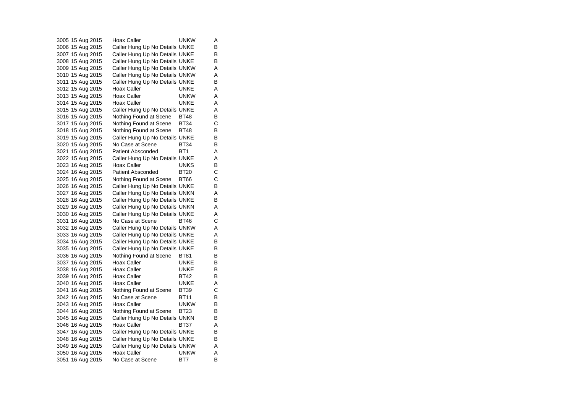3005 15 Aug 2015 Hoax Caller UNKW A 3006 15 Aug 2015 Caller Hung Up No Details UNKE B 3007 15 Aug 2015 Caller Hung Up No Details UNKE B 3008 15 Aug 2015 Caller Hung Up No Details UNKE B 3009 15 Aug 2015 Caller Hung Up No Details UNKW A 3010 15 Aug 2015 Caller Hung Up No Details UNKW A 3011 15 Aug 2015 Caller Hung Up No Details UNKE B 3012 15 Aug 2015 Hoax Caller **Hoax Caller** UNKE A 3013 15 Aug 2015 Hoax Caller UNKW A 3014 15 Aug 2015 Hoax Caller UNKE A 3015 15 Aug 2015 Caller Hung Up No Details UNKE A 3016 15 Aug 2015 Nothing Found at Scene BT48 B<br>3017 15 Aug 2015 Nothing Found at Scene BT34 C Nothing Found at Scene BT34 3018 15 Aug 2015 Nothing Found at Scene BT48 B 3019 15 Aug 2015 Caller Hung Up No Details UNKE B 3020 15 Aug 2015 No Case at Scene BT34 B 3021 15 Aug 2015 Patient Absconded BT1 A 3022 15 Aug 2015 Caller Hung Up No Details UNKE A 3023 16 Aug 2015 Hoax Caller **UNKS** B 3024 16 Aug 2015 Patient Absconded BT20 C 3025 16 Aug 2015 Nothing Found at Scene BT66 C 3026 16 Aug 2015 Caller Hung Up No Details UNKE B 3027 16 Aug 2015 Caller Hung Up No Details UNKN A 3028 16 Aug 2015 Caller Hung Up No Details UNKE B 3029 16 Aug 2015 Caller Hung Up No Details UNKN A 3030 16 Aug 2015 Caller Hung Up No Details UNKE A 3031 16 Aug 2015 No Case at Scene BT46 C<br>3032 16 Aug 2015 Caller Hung Up No Details UNKW A Caller Hung Up No Details UNKW A 3033 16 Aug 2015 Caller Hung Up No Details UNKE A 3034 16 Aug 2015 Caller Hung Up No Details UNKE B<br>3035 16 Aug 2015 Caller Hung Up No Details UNKE B Caller Hung Up No Details UNKE 3036 16 Aug 2015 Nothing Found at Scene BT81 B 3037 16 Aug 2015 Hoax Caller UNKE B 3038 16 Aug 2015 Hoax Caller CONNE B 3039 16 Aug 2015 Hoax Caller BT42 B<br>3040 16 Aug 2015 Hoax Caller BT42 B 3040 16 Aug 2015 Hoax Caller 3041 16 Aug 2015 Nothing Found at Scene BT39 C 3042 16 Aug 2015 No Case at Scene BT11 B 3043 16 Aug 2015 Hoax Caller **UNKW** B 3044 16 Aug 2015 Nothing Found at Scene BT23 B<br>3045 16 Aug 2015 Caller Hung Up No Details UNKN B Caller Hung Up No Details UNKN 3046 16 Aug 2015 Hoax Caller BT37 A 3047 16 Aug 2015 Caller Hung Up No Details UNKE B 3048 16 Aug 2015 Caller Hung Up No Details UNKE B 3049 16 Aug 2015 Caller Hung Up No Details UNKW A 3050 16 Aug 2015 Hoax Caller UNKW A 3051 16 Aug 2015 No Case at Scene BT7 B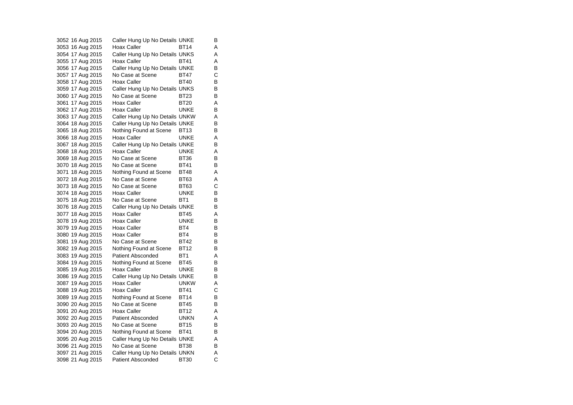| 3052 16 Aug 2015 |  | Caller Hung Up No Details UNKE |                 | В |
|------------------|--|--------------------------------|-----------------|---|
| 3053 16 Aug 2015 |  | <b>Hoax Caller</b>             | <b>BT14</b>     | Α |
| 3054 17 Aug 2015 |  | Caller Hung Up No Details UNKS |                 | Α |
| 3055 17 Aug 2015 |  | Hoax Caller                    | <b>BT41</b>     | Α |
| 3056 17 Aug 2015 |  | Caller Hung Up No Details UNKE |                 | В |
| 3057 17 Aug 2015 |  | No Case at Scene               | <b>BT47</b>     | С |
| 3058 17 Aug 2015 |  | Hoax Caller                    | <b>BT40</b>     | В |
| 3059 17 Aug 2015 |  | Caller Hung Up No Details UNKS |                 | В |
| 3060 17 Aug 2015 |  | No Case at Scene               | <b>BT23</b>     | В |
| 3061 17 Aug 2015 |  | Hoax Caller                    | <b>BT20</b>     | Α |
| 3062 17 Aug 2015 |  | <b>Hoax Caller</b>             | <b>UNKE</b>     | В |
| 3063 17 Aug 2015 |  | Caller Hung Up No Details UNKW |                 | Α |
| 3064 18 Aug 2015 |  | Caller Hung Up No Details UNKE |                 | В |
| 3065 18 Aug 2015 |  | Nothing Found at Scene         | <b>BT13</b>     | B |
| 3066 18 Aug 2015 |  | <b>Hoax Caller</b>             | <b>UNKE</b>     | Α |
| 3067 18 Aug 2015 |  | Caller Hung Up No Details UNKE |                 | B |
| 3068 18 Aug 2015 |  | <b>Hoax Caller</b>             | <b>UNKE</b>     | Α |
| 3069 18 Aug 2015 |  | No Case at Scene               | <b>BT36</b>     | В |
| 3070 18 Aug 2015 |  | No Case at Scene               | <b>BT41</b>     | B |
| 3071 18 Aug 2015 |  | Nothing Found at Scene         | <b>BT48</b>     | Α |
| 3072 18 Aug 2015 |  | No Case at Scene               | <b>BT63</b>     | Α |
| 3073 18 Aug 2015 |  | No Case at Scene               | <b>BT63</b>     | С |
| 3074 18 Aug 2015 |  | <b>Hoax Caller</b>             | <b>UNKE</b>     | В |
| 3075 18 Aug 2015 |  | No Case at Scene               | BT <sub>1</sub> | В |
| 3076 18 Aug 2015 |  | Caller Hung Up No Details UNKE |                 | В |
| 3077 18 Aug 2015 |  | Hoax Caller                    | <b>BT45</b>     | Α |
| 3078 19 Aug 2015 |  | <b>Hoax Caller</b>             | <b>UNKE</b>     | В |
| 3079 19 Aug 2015 |  | <b>Hoax Caller</b>             | BT4             | В |
| 3080 19 Aug 2015 |  | <b>Hoax Caller</b>             | BT4             | В |
| 3081 19 Aug 2015 |  | No Case at Scene               | <b>BT42</b>     | В |
| 3082 19 Aug 2015 |  | Nothing Found at Scene         | <b>BT12</b>     | В |
| 3083 19 Aug 2015 |  | Patient Absconded              | BT1             | A |
| 3084 19 Aug 2015 |  | Nothing Found at Scene         | BT45            | В |
| 3085 19 Aug 2015 |  | Hoax Caller                    | <b>UNKE</b>     | В |
| 3086 19 Aug 2015 |  | Caller Hung Up No Details UNKE |                 | В |
| 3087 19 Aug 2015 |  | <b>Hoax Caller</b>             | <b>UNKW</b>     | Α |
| 3088 19 Aug 2015 |  | <b>Hoax Caller</b>             | <b>BT41</b>     | С |
| 3089 19 Aug 2015 |  | Nothing Found at Scene         | <b>BT14</b>     | B |
| 3090 20 Aug 2015 |  | No Case at Scene               | <b>BT45</b>     | В |
| 3091 20 Aug 2015 |  | Hoax Caller                    | <b>BT12</b>     | Α |
| 3092 20 Aug 2015 |  | Patient Absconded              | <b>UNKN</b>     | Α |
| 3093 20 Aug 2015 |  | No Case at Scene               | <b>BT15</b>     | В |
| 3094 20 Aug 2015 |  | Nothing Found at Scene         | <b>BT41</b>     | В |
| 3095 20 Aug 2015 |  | Caller Hung Up No Details UNKE |                 | Α |
| 3096 21 Aug 2015 |  | No Case at Scene               | <b>BT38</b>     | В |
| 3097 21 Aug 2015 |  | Caller Hung Up No Details UNKN |                 | Α |
| 3098 21 Aug 2015 |  | <b>Patient Absconded</b>       | <b>BT30</b>     | С |
|                  |  |                                |                 |   |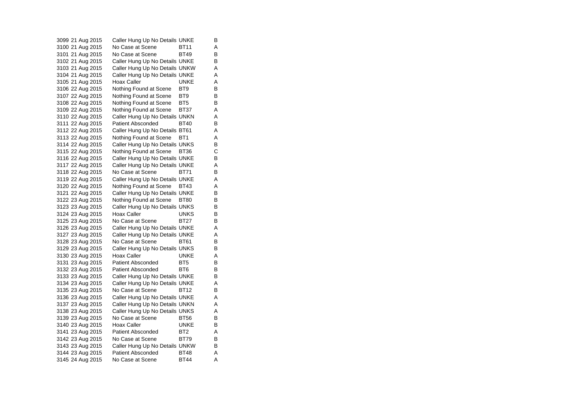3099 21 Aug 2015 Caller Hung Up No Details UNKE B 3100 21 Aug 2015 No Case at Scene BT11 A 3101 21 Aug 2015 No Case at Scene BT49 B 3102 21 Aug 2015 Caller Hung Up No Details UNKE B 3103 21 Aug 2015 Caller Hung Up No Details UNKW A 3104 21 Aug 2015 Caller Hung Up No Details UNKE A 3105 21 Aug 2015 Hoax Caller CONNE A 3106 22 Aug 2015 Nothing Found at Scene BT9 B 3107 22 Aug 2015 Nothing Found at Scene BT9 B<br>3108 22 Aug 2015 Nothing Found at Scene BT5 B Nothing Found at Scene BT5 3109 22 Aug 2015 Nothing Found at Scene BT37 A 3110 22 Aug 2015 Caller Hung Up No Details UNKN A<br>3111 22 Aug 2015 Patient Absconded BT40 B Patient Absconded BT40 B 3112 22 Aug 2015 Caller Hung Up No Details BT61 A 3113 22 Aug 2015 Nothing Found at Scene BT1 A 3114 22 Aug 2015 Caller Hung Up No Details UNKS B 3115 22 Aug 2015 Nothing Found at Scene BT36 C 3116 22 Aug 2015 Caller Hung Up No Details UNKE B 3117 22 Aug 2015 Caller Hung Up No Details UNKE A 3118 22 Aug 2015 No Case at Scene BT71 B 3119 22 Aug 2015 Caller Hung Up No Details UNKE A 3120 22 Aug 2015 Nothing Found at Scene BT43 A 3121 22 Aug 2015 Caller Hung Up No Details UNKE B 3122 23 Aug 2015 Nothing Found at Scene BT80 B 3123 23 Aug 2015 Caller Hung Up No Details UNKS B 3124 23 Aug 2015 Hoax Caller **UNKS** B 3125 23 Aug 2015 No Case at Scene BT27 B 3126 23 Aug 2015 Caller Hung Up No Details UNKE A 3127 23 Aug 2015 Caller Hung Up No Details UNKE A 3128 23 Aug 2015 No Case at Scene BT61 B<br>3129 23 Aug 2015 Caller Hung Up No Details UNKS B 3129 23 Aug 2015 Caller Hung Up No Details UNKS 3130 23 Aug 2015 Hoax Caller **UNKE** A 3131 23 Aug 2015 Patient Absconded BT5 B 3132 23 Aug 2015 Patient Absconded BT6 B 3133 23 Aug 2015 Caller Hung Up No Details UNKE B<br>3134 23 Aug 2015 Caller Hung Up No Details UNKE A Caller Hung Up No Details UNKE A 3135 23 Aug 2015 No Case at Scene BT12 B 3136 23 Aug 2015 Caller Hung Up No Details UNKE A 3137 23 Aug 2015 Caller Hung Up No Details UNKN A 3138 23 Aug 2015 Caller Hung Up No Details UNKS A<br>3139 23 Aug 2015 No Case at Scene BT56 B 3139 23 Aug 2015 No Case at Scene BT56 B 3140 23 Aug 2015 Hoax Caller UNKE B 3141 23 Aug 2015 Patient Absconded BT2 A 3142 23 Aug 2015 No Case at Scene BT79 B 3143 23 Aug 2015 Caller Hung Up No Details UNKW B 3144 23 Aug 2015 Patient Absconded BT48 A 3145 24 Aug 2015 No Case at Scene BT44 A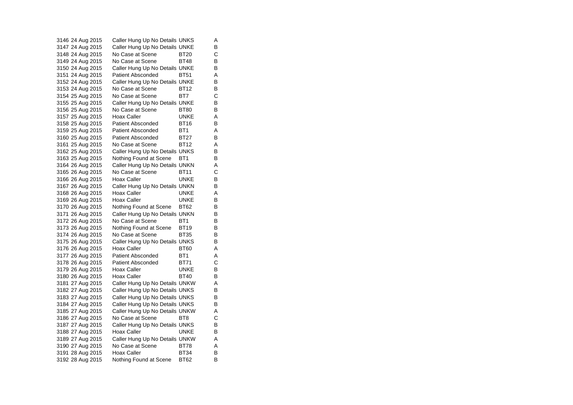3146 24 Aug 2015 Caller Hung Up No Details UNKS A 3147 24 Aug 2015 Caller Hung Up No Details UNKE B 3148 24 Aug 2015 No Case at Scene BT20 C 3149 24 Aug 2015 No Case at Scene BT48 B<br>3150 24 Aug 2015 Caller Hung Up No Details UNKE B 3150 24 Aug 2015 Caller Hung Up No Details UNKE 3151 24 Aug 2015 Patient Absconded BT51 A 3152 24 Aug 2015 Caller Hung Up No Details UNKE B 3153 24 Aug 2015 No Case at Scene BT12 B 3154 25 Aug 2015 No Case at Scene BT7 C<br>3155 25 Aug 2015 Caller Hung Up No Details UNKE B Caller Hung Up No Details UNKE 3156 25 Aug 2015 No Case at Scene BT80 B 3157 25 Aug 2015 Hoax Caller CONNE A<br>3158 25 Aug 2015 Patient Absconded BT16 B Patient Absconded BT16 B 3159 25 Aug 2015 Patient Absconded BT1 A 3160 25 Aug 2015 Patient Absconded BT27 B 3161 25 Aug 2015 No Case at Scene BT12 A 3162 25 Aug 2015 Caller Hung Up No Details UNKS B 3163 25 Aug 2015 Nothing Found at Scene BT1 B 3164 26 Aug 2015 Caller Hung Up No Details UNKN A 3165 26 Aug 2015 No Case at Scene BT11 C 3166 26 Aug 2015 Hoax Caller CONNE B 3167 26 Aug 2015 Caller Hung Up No Details UNKN B 3168 26 Aug 2015 Hoax Caller CONNE 3169 26 Aug 2015 Hoax Caller CONNE B 3170 26 Aug 2015 Nothing Found at Scene BT62 B 3171 26 Aug 2015 Caller Hung Up No Details UNKN B 3172 26 Aug 2015 No Case at Scene BT1 B<br>3173 26 Aug 2015 Nothing Found at Scene BT19 B 3173 26 Aug 2015 Nothing Found at Scene BT19 3174 26 Aug 2015 No Case at Scene BT35 B 3175 26 Aug 2015 Caller Hung Up No Details UNKS B 3176 26 Aug 2015 Hoax Caller BT60 A 3177 26 Aug 2015 Patient Absconded BT1 A 3178 26 Aug 2015 Patient Absconded BT71 C 3179 26 Aug 2015 Hoax Caller CONNE B 3180 26 Aug 2015 Hoax Caller BT40 B 3181 27 Aug 2015 Caller Hung Up No Details UNKW A 3182 27 Aug 2015 Caller Hung Up No Details UNKS B 3183 27 Aug 2015 Caller Hung Up No Details UNKS B 3184 27 Aug 2015 Caller Hung Up No Details UNKS B 3185 27 Aug 2015 Caller Hung Up No Details UNKW A<br>3186 27 Aug 2015 No Case at Scene BT8 C 3186 27 Aug 2015 No Case at Scene BT8 3187 27 Aug 2015 Caller Hung Up No Details UNKS B 3188 27 Aug 2015 Hoax Caller CONNE 3189 27 Aug 2015 Caller Hung Up No Details UNKW A 3190 27 Aug 2015 No Case at Scene BT78 A 3191 28 Aug 2015 Hoax Caller BT34 3192 28 Aug 2015 Nothing Found at Scene BT62 B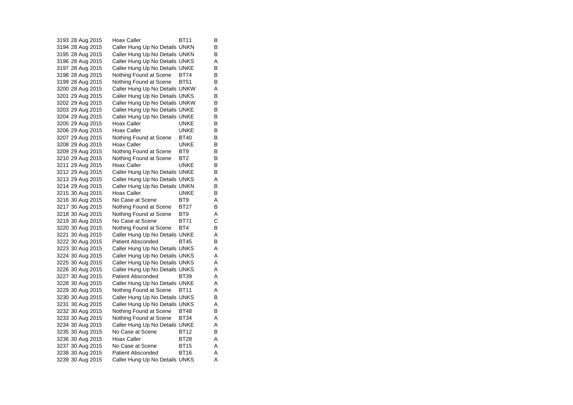3193 28 Aug 2015 Hoax Caller BT11 B 3194 28 Aug 2015 Caller Hung Up No Details UNKN B 3195 28 Aug 2015 Caller Hung Up No Details UNKN B 3196 28 Aug 2015 Caller Hung Up No Details UNKS A 3197 28 Aug 2015 Caller Hung Up No Details UNKE B 3198 28 Aug 2015 Nothing Found at Scene BT74 B 3199 28 Aug 2015 Nothing Found at Scene BT51 B 3200 28 Aug 2015 Caller Hung Up No Details UNKW A 3201 29 Aug 2015 Caller Hung Up No Details UNKS B<br>3202 29 Aug 2015 Caller Hung Up No Details UNKW B Caller Hung Up No Details UNKW 3203 29 Aug 2015 Caller Hung Up No Details UNKE B 3204 29 Aug 2015 Caller Hung Up No Details UNKE B 3205 29 Aug 2015 Hoax Caller **Hoax Caller** UNKE 3206 29 Aug 2015 Hoax Caller CONNE B 3207 29 Aug 2015 Nothing Found at Scene BT40 B 3208 29 Aug 2015 Hoax Caller UNKE B 3209 29 Aug 2015 Nothing Found at Scene BT9 B<br>3210 29 Aug 2015 Nothing Found at Scene BT2 B 3210 29 Aug 2015 Nothing Found at Scene BT2 3211 29 Aug 2015 Hoax Caller CONNE B 3212 29 Aug 2015 Caller Hung Up No Details UNKE B 3213 29 Aug 2015 Caller Hung Up No Details UNKS A 3214 29 Aug 2015 Caller Hung Up No Details UNKN B 3215 30 Aug 2015 Hoax Caller CONNE 3216 30 Aug 2015 No Case at Scene BT9 A 3217 30 Aug 2015 Nothing Found at Scene BT27 B 3218 30 Aug 2015 Nothing Found at Scene BT9 A 3219 30 Aug 2015 No Case at Scene BT71 C<br>3220 30 Aug 2015 Nothing Found at Scene BT4 B 3220 30 Aug 2015 Nothing Found at Scene BT4 3221 30 Aug 2015 Caller Hung Up No Details UNKE A 3222 30 Aug 2015 Patient Absconded BT45 B<br>3223 30 Aug 2015 Caller Hung Up No Details UNKS A Caller Hung Up No Details UNKS A 3224 30 Aug 2015 Caller Hung Up No Details UNKS A 3225 30 Aug 2015 Caller Hung Up No Details UNKS A 3226 30 Aug 2015 Caller Hung Up No Details UNKS A 3227 30 Aug 2015 Patient Absconded BT39 A<br>3228 30 Aug 2015 Caller Hung Up No Details UNKE A Caller Hung Up No Details UNKE A 3229 30 Aug 2015 Nothing Found at Scene BT11 A 3230 30 Aug 2015 Caller Hung Up No Details UNKS B 3231 30 Aug 2015 Caller Hung Up No Details UNKS A 3232 30 Aug 2015 Nothing Found at Scene BT48 B<br>3233 30 Aug 2015 Nothing Found at Scene BT34 A Nothing Found at Scene BT34 A 3234 30 Aug 2015 Caller Hung Up No Details UNKE A 3235 30 Aug 2015 No Case at Scene BT12 B 3236 30 Aug 2015 Hoax Caller BT28 A 3237 30 Aug 2015 No Case at Scene BT15 A<br>3238 30 Aug 2015 Patient Absconded BT16 A 3238 30 Aug 2015 Patient Absconded BT16 A 3239 30 Aug 2015 Caller Hung Up No Details UNKS A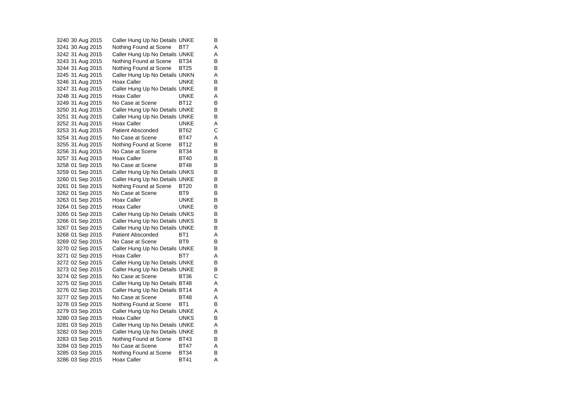3240 30 Aug 2015 Caller Hung Up No Details UNKE B 3241 30 Aug 2015 Nothing Found at Scene BT7 A 3242 31 Aug 2015 Caller Hung Up No Details UNKE A 3243 31 Aug 2015 Nothing Found at Scene BT34 B<br>3244 31 Aug 2015 Nothing Found at Scene BT25 B 3244 31 Aug 2015 Nothing Found at Scene BT25 3245 31 Aug 2015 Caller Hung Up No Details UNKN A 3246 31 Aug 2015 Hoax Caller UNKE B 3247 31 Aug 2015 Caller Hung Up No Details UNKE B 3248 31 Aug 2015 Hoax Caller UNKE A<br>3249 31 Aug 2015 No Case at Scene BT12 B 3249 31 Aug 2015 3250 31 Aug 2015 Caller Hung Up No Details UNKE B 3251 31 Aug 2015 Caller Hung Up No Details UNKE B 3252 31 Aug 2015 Hoax Caller **Hoax Caller** UNKE A 3253 31 Aug 2015 Patient Absconded BT62 C 3254 31 Aug 2015 No Case at Scene BT47 A 3255 31 Aug 2015 Nothing Found at Scene BT12 B 3256 31 Aug 2015 No Case at Scene BT34 B 3257 31 Aug 2015 Hoax Caller BT40 3258 01 Sep 2015 No Case at Scene BT48 B 3259 01 Sep 2015 Caller Hung Up No Details UNKS B 3260 01 Sep 2015 Caller Hung Up No Details UNKE B 3261 01 Sep 2015 Nothing Found at Scene BT20 B<br>3262 01 Sep 2015 No Case at Scene BT9 B 3262 01 Sep 2015 No Case at Scene BT9 B 3263 01 Sep 2015 Hoax Caller CONNE B 3264 01 Sep 2015 Hoax Caller UNKE B 3265 01 Sep 2015 Caller Hung Up No Details UNKS B 3266 01 Sep 2015 Caller Hung Up No Details UNKS B<br>3267 01 Sep 2015 Caller Hung Up No Details UNKE B 3267 01 Sep 2015 Caller Hung Up No Details UNKE 3268 01 Sep 2015 Patient Absconded BT1 A 3269 02 Sep 2015 No Case at Scene BT9 BT9 3270 02 Sep 2015 Caller Hung Up No Details UNKE B 3271 02 Sep 2015 Hoax Caller BT7 A 3272 02 Sep 2015 Caller Hung Up No Details UNKE B 3273 02 Sep 2015 Caller Hung Up No Details UNKE B 3274 02 Sep 2015 No Case at Scene BT36 C 3275 02 Sep 2015 Caller Hung Up No Details BT48 A 3276 02 Sep 2015 Caller Hung Up No Details BT14 A 3277 02 Sep 2015 No Case at Scene BT48 A 3278 03 Sep 2015 Nothing Found at Scene BT1 B 3279 03 Sep 2015 Caller Hung Up No Details UNKE A<br>3280 03 Sep 2015 Hoax Caller CONKS B 3280 03 Sep 2015 Hoax Caller **Hoax Caller** UNKS B 3281 03 Sep 2015 Caller Hung Up No Details UNKE A 3282 03 Sep 2015 Caller Hung Up No Details UNKE B 3283 03 Sep 2015 Nothing Found at Scene BT43 B 3284 03 Sep 2015 No Case at Scene BT47 A 3285 03 Sep 2015 Nothing Found at Scene BT34 B 3286 03 Sep 2015 Hoax Caller BT41 A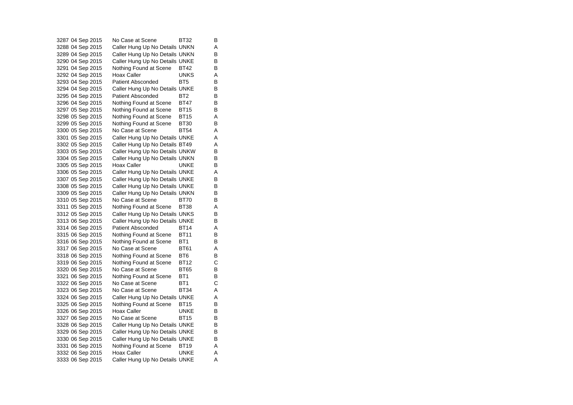3287 04 Sep 2015 No Case at Scene BT32 B 3288 04 Sep 2015 Caller Hung Up No Details UNKN A 3289 04 Sep 2015 Caller Hung Up No Details UNKN B 3290 04 Sep 2015 Caller Hung Up No Details UNKE B<br>3291 04 Sep 2015 Nothing Found at Scene BT42 B 3291 04 Sep 2015 Nothing Found at Scene BT42 3292 04 Sep 2015 Hoax Caller **UNKS** A 3293 04 Sep 2015 Patient Absconded BT5 B 3294 04 Sep 2015 Caller Hung Up No Details UNKE B 3295 04 Sep 2015 Patient Absconded BT2 B<br>3296 04 Sep 2015 Nothing Found at Scene BT47 B Nothing Found at Scene BT47 3297 05 Sep 2015 Nothing Found at Scene BT15 B 3298 05 Sep 2015 Nothing Found at Scene BT15 A<br>3299 05 Sep 2015 Nothing Found at Scene BT30 B Nothing Found at Scene BT30 B 3300 05 Sep 2015 No Case at Scene BT54 A 3301 05 Sep 2015 Caller Hung Up No Details UNKE A 3302 05 Sep 2015 Caller Hung Up No Details BT49 A 3303 05 Sep 2015 Caller Hung Up No Details UNKW B<br>3304 05 Sep 2015 Caller Hung Up No Details UNKN B 3304 05 Sep 2015 Caller Hung Up No Details UNKN 3305 05 Sep 2015 Hoax Caller CONNE B 3306 05 Sep 2015 Caller Hung Up No Details UNKE A 3307 05 Sep 2015 Caller Hung Up No Details UNKE B 3308 05 Sep 2015 Caller Hung Up No Details UNKE B 3309 05 Sep 2015 Caller Hung Up No Details UNKN B 3310 05 Sep 2015 No Case at Scene BT70 B 3311 05 Sep 2015 Nothing Found at Scene BT38 A 3312 05 Sep 2015 Caller Hung Up No Details UNKS B 3313 06 Sep 2015 Caller Hung Up No Details UNKE B 3314 06 Sep 2015 Patient Absconded BT14 A 3315 06 Sep 2015 Nothing Found at Scene BT11 B 3316 06 Sep 2015 Nothing Found at Scene BT1 B 3317 06 Sep 2015 No Case at Scene BT61 A 3318 06 Sep 2015 Nothing Found at Scene BT6 B 3319 06 Sep 2015 Nothing Found at Scene BT12 C 3320 06 Sep 2015 No Case at Scene BT65 B 3321 06 Sep 2015 Nothing Found at Scene BT1 B<br>3322 06 Sep 2015 No Case at Scene BT1 C 3322 06 Sep 2015 No Case at Scene BT1 C 3323 06 Sep 2015 No Case at Scene BT34 A 3324 06 Sep 2015 Caller Hung Up No Details UNKE A 3325 06 Sep 2015 Nothing Found at Scene BT15 B 3326 06 Sep 2015 Hoax Caller UNKE B<br>3327 06 Sep 2015 No Case at Scene BT15 B 3327 06 Sep 2015 3328 06 Sep 2015 Caller Hung Up No Details UNKE B 3329 06 Sep 2015 Caller Hung Up No Details UNKE B 3330 06 Sep 2015 Caller Hung Up No Details UNKE B 3331 06 Sep 2015 Nothing Found at Scene BT19 A 3332 06 Sep 2015 Hoax Caller CONNE Hoax N 3333 06 Sep 2015 Caller Hung Up No Details UNKE A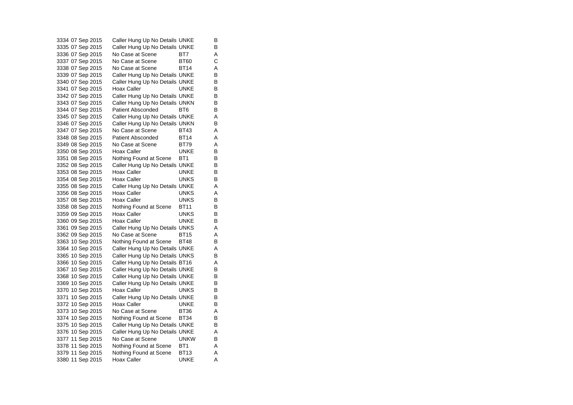3334 07 Sep 2015 Caller Hung Up No Details UNKE B 3335 07 Sep 2015 Caller Hung Up No Details UNKE B 3336 07 Sep 2015 No Case at Scene BT7 A 3337 07 Sep 2015 No Case at Scene BT60 C 3338 07 Sep 2015 No Case at Scene BT14 A 3339 07 Sep 2015 Caller Hung Up No Details UNKE B 3340 07 Sep 2015 Caller Hung Up No Details UNKE B 3341 07 Sep 2015 Hoax Caller CONCLEYE B 3342 07 Sep 2015 Caller Hung Up No Details UNKE B<br>3343 07 Sep 2015 Caller Hung Up No Details UNKN B Caller Hung Up No Details UNKN 3344 07 Sep 2015 Patient Absconded BT6 B 3345 07 Sep 2015 Caller Hung Up No Details UNKE<br>3346 07 Sep 2015 Caller Hung Up No Details UNKN B Caller Hung Up No Details UNKN B 3347 07 Sep 2015 No Case at Scene BT43 A 3348 08 Sep 2015 Patient Absconded BT14 A 3349 08 Sep 2015 No Case at Scene BT79 A 3350 08 Sep 2015 Hoax Caller UNKE B 3351 08 Sep 2015 Nothing Found at Scene BT1 B 3352 08 Sep 2015 Caller Hung Up No Details UNKE B 3353 08 Sep 2015 Hoax Caller Carries UNKE B 3354 08 Sep 2015 Hoax Caller UNKS B 3355 08 Sep 2015 Caller Hung Up No Details UNKE A 3356 08 Sep 2015 Hoax Caller UNKS A 3357 08 Sep 2015 Hoax Caller UNKS B 3358 08 Sep 2015 Nothing Found at Scene BT11 B 3359 09 Sep 2015 Hoax Caller **UNKS** B 3360 09 Sep 2015 Hoax Caller UNKE B 3361 09 Sep 2015 Caller Hung Up No Details UNKS A 3362 09 Sep 2015 No Case at Scene BT15 A 3363 10 Sep 2015 Nothing Found at Scene BT48 B<br>3364 10 Sep 2015 Caller Hung Up No Details UNKE A Caller Hung Up No Details UNKE A 3365 10 Sep 2015 Caller Hung Up No Details UNKS B 3366 10 Sep 2015 Caller Hung Up No Details BT16 A 3367 10 Sep 2015 Caller Hung Up No Details UNKE B 3368 10 Sep 2015 Caller Hung Up No Details UNKE B<br>3369 10 Sep 2015 Caller Hung Up No Details UNKE B Caller Hung Up No Details UNKE 3370 10 Sep 2015 Hoax Caller UNKS B 3371 10 Sep 2015 Caller Hung Up No Details UNKE B 3372 10 Sep 2015 Hoax Caller **UNKE** B 3373 10 Sep 2015 No Case at Scene BT36 A<br>3374 10 Sep 2015 Nothing Found at Scene BT34 B Nothing Found at Scene BT34 B 3375 10 Sep 2015 Caller Hung Up No Details UNKE B 3376 10 Sep 2015 Caller Hung Up No Details UNKE A 3377 11 Sep 2015 No Case at Scene UNKW B 3378 11 Sep 2015 Nothing Found at Scene BT1 A 3379 11 Sep 2015 Nothing Found at Scene BT13 A 3380 11 Sep 2015 Hoax Caller **UNKE** A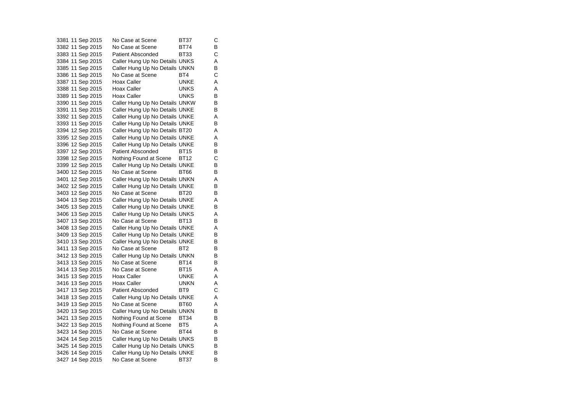| 3381 11 Sep 2015 | No Case at Scene               | BT37            | С |
|------------------|--------------------------------|-----------------|---|
| 3382 11 Sep 2015 | No Case at Scene               | BT74            | В |
| 3383 11 Sep 2015 | <b>Patient Absconded</b>       | BT33            | С |
| 3384 11 Sep 2015 | Caller Hung Up No Details UNKS |                 | Α |
| 3385 11 Sep 2015 | Caller Hung Up No Details UNKN |                 | В |
| 3386 11 Sep 2015 | No Case at Scene               | BT4             | С |
| 3387 11 Sep 2015 | Hoax Caller                    | <b>UNKE</b>     | A |
| 3388 11 Sep 2015 | Hoax Caller                    | <b>UNKS</b>     | Α |
|                  | Hoax Caller                    | <b>UNKS</b>     | В |
| 3390 11 Sep 2015 | Caller Hung Up No Details UNKW |                 | В |
| 3391 11 Sep 2015 | Caller Hung Up No Details UNKE |                 | В |
| 3392 11 Sep 2015 | Caller Hung Up No Details UNKE |                 | A |
| 3393 11 Sep 2015 | Caller Hung Up No Details UNKE |                 | В |
| 3394 12 Sep 2015 | Caller Hung Up No Details BT20 |                 | Α |
| 3395 12 Sep 2015 | Caller Hung Up No Details UNKE |                 | Α |
| 3396 12 Sep 2015 | Caller Hung Up No Details UNKE |                 | В |
| 3397 12 Sep 2015 | <b>Patient Absconded</b>       | <b>BT15</b>     | В |
| 3398 12 Sep 2015 | Nothing Found at Scene BT12    |                 | С |
| 3399 12 Sep 2015 | Caller Hung Up No Details UNKE |                 | В |
| 3400 12 Sep 2015 | No Case at Scene               | <b>BT66</b>     | В |
| 3401 12 Sep 2015 | Caller Hung Up No Details UNKN |                 | Α |
| 3402 12 Sep 2015 | Caller Hung Up No Details UNKE |                 | В |
| 3403 12 Sep 2015 | No Case at Scene               | <b>BT20</b>     | В |
| 3404 13 Sep 2015 | Caller Hung Up No Details UNKE |                 | Α |
| 3405 13 Sep 2015 | Caller Hung Up No Details UNKE |                 | В |
| 3406 13 Sep 2015 | Caller Hung Up No Details UNKS |                 | Α |
| 3407 13 Sep 2015 | No Case at Scene               | <b>BT13</b>     | В |
| 3408 13 Sep 2015 | Caller Hung Up No Details UNKE |                 | Α |
| 3409 13 Sep 2015 | Caller Hung Up No Details UNKE |                 | В |
| 3410 13 Sep 2015 | Caller Hung Up No Details UNKE |                 | В |
| 3411 13 Sep 2015 | No Case at Scene               | BT <sub>2</sub> | В |
| 3412 13 Sep 2015 | Caller Hung Up No Details UNKN |                 | В |
| 3413 13 Sep 2015 | No Case at Scene               | <b>BT14</b>     | В |
| 3414 13 Sep 2015 | No Case at Scene               | <b>BT15</b>     | Α |
| 3415 13 Sep 2015 | Hoax Caller                    | <b>UNKE</b>     | Α |
| 3416 13 Sep 2015 | <b>Hoax Caller</b>             | <b>UNKN</b>     | Α |
| 3417 13 Sep 2015 | <b>Patient Absconded</b>       | BT9             | С |
| 3418 13 Sep 2015 | Caller Hung Up No Details UNKE |                 | Α |
| 3419 13 Sep 2015 | No Case at Scene               | <b>BT60</b>     | Α |
| 3420 13 Sep 2015 | Caller Hung Up No Details UNKN |                 | В |
| 3421 13 Sep 2015 | Nothing Found at Scene         | <b>BT34</b>     | В |
| 3422 13 Sep 2015 | Nothing Found at Scene         | BT <sub>5</sub> | Α |
| 3423 14 Sep 2015 | No Case at Scene               | <b>BT44</b>     | В |
| 3424 14 Sep 2015 | Caller Hung Up No Details UNKS |                 | В |
| 3425 14 Sep 2015 | Caller Hung Up No Details UNKS |                 | В |
| 3426 14 Sep 2015 | Caller Hung Up No Details UNKE |                 | В |
| 3427 14 Sep 2015 | No Case at Scene               | <b>BT37</b>     | B |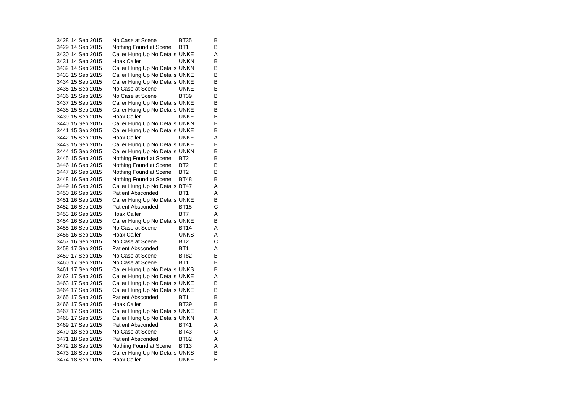3428 14 Sep 2015 No Case at Scene BT35 B 3429 14 Sep 2015 Nothing Found at Scene BT1 B 3430 14 Sep 2015 Caller Hung Up No Details UNKE A 3431 14 Sep 2015 Hoax Caller **UNKN** B 3432 14 Sep 2015 Caller Hung Up No Details UNKN B 3433 15 Sep 2015 Caller Hung Up No Details UNKE B 3434 15 Sep 2015 Caller Hung Up No Details UNKE B 3435 15 Sep 2015 No Case at Scene UNKE B<br>3436 15 Sep 2015 No Case at Scene BT39 B 3436 15 Sep 2015 No Case at Scene BT39 B Caller Hung Up No Details UNKE 3438 15 Sep 2015 Caller Hung Up No Details UNKE B 3439 15 Sep 2015 Hoax Caller **UNKE** B 3440 15 Sep 2015 Caller Hung Up No Details UNKN B 3441 15 Sep 2015 Caller Hung Up No Details UNKE B 3442 15 Sep 2015 Hoax Caller CONNE A 3443 15 Sep 2015 Caller Hung Up No Details UNKE B 3444 15 Sep 2015 Caller Hung Up No Details UNKN B<br>3445 15 Sep 2015 Nothing Found at Scene BT2 B 3445 15 Sep 2015 Nothing Found at Scene BT2 3446 16 Sep 2015 Nothing Found at Scene BT2 B 3447 16 Sep 2015 Nothing Found at Scene BT2 B 3448 16 Sep 2015 Nothing Found at Scene BT48 B 3449 16 Sep 2015 Caller Hung Up No Details BT47 A 3450 16 Sep 2015 Patient Absconded BT1 A 3451 16 Sep 2015 Caller Hung Up No Details UNKE B 3452 16 Sep 2015 Patient Absconded BT15 C 3453 16 Sep 2015 Hoax Caller BT7 A 3454 16 Sep 2015 Caller Hung Up No Details UNKE B 3455 16 Sep 2015 No Case at Scene BT14 A 3456 16 Sep 2015 Hoax Caller UNKS A 3457 16 Sep 2015 No Case at Scene BT2 C 3458 17 Sep 2015 Patient Absconded BT1 A 3459 17 Sep 2015 No Case at Scene BT82 B 3460 17 Sep 2015 No Case at Scene BT1 B 3461 17 Sep 2015 Caller Hung Up No Details UNKS B 3462 17 Sep 2015 Caller Hung Up No Details UNKE<br>3463 17 Sep 2015 Caller Hung Up No Details UNKE B Caller Hung Up No Details UNKE 3464 17 Sep 2015 Caller Hung Up No Details UNKE B 3465 17 Sep 2015 Patient Absconded BT1 B 3466 17 Sep 2015 Hoax Caller BT39 B 3467 17 Sep 2015 Caller Hung Up No Details UNKE B<br>3468 17 Sep 2015 Caller Hung Up No Details UNKN A Caller Hung Up No Details UNKN A 3469 17 Sep 2015 Patient Absconded BT41 A 3470 18 Sep 2015 No Case at Scene BT43 C 3471 18 Sep 2015 Patient Absconded BT82 A 3472 18 Sep 2015 Nothing Found at Scene BT13 A 3473 18 Sep 2015 Caller Hung Up No Details UNKS B 3474 18 Sep 2015 Hoax Caller UNKE B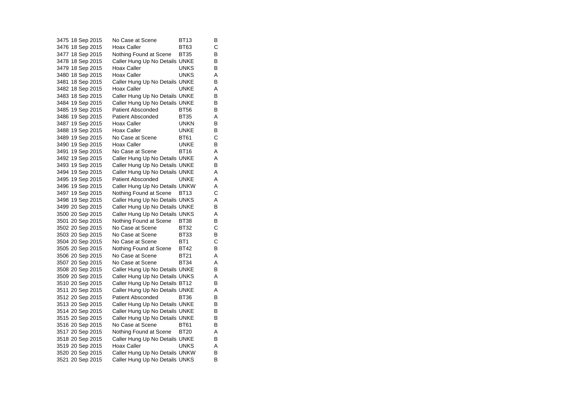|  | 3475 18 Sep 2015 | No Case at Scene               | BT13        | В |
|--|------------------|--------------------------------|-------------|---|
|  | 3476 18 Sep 2015 | Hoax Caller                    | <b>BT63</b> | С |
|  | 3477 18 Sep 2015 | Nothing Found at Scene         | BT35        | В |
|  | 3478 18 Sep 2015 | Caller Hung Up No Details UNKE |             | В |
|  | 3479 18 Sep 2015 | Hoax Caller                    | UNKS        | В |
|  | 3480 18 Sep 2015 | <b>Hoax Caller</b>             | <b>UNKS</b> | Α |
|  | 3481 18 Sep 2015 | Caller Hung Up No Details UNKE |             | В |
|  | 3482 18 Sep 2015 | Hoax Caller                    | <b>UNKE</b> | Α |
|  | 3483 18 Sep 2015 | Caller Hung Up No Details UNKE |             | В |
|  | 3484 19 Sep 2015 | Caller Hung Up No Details UNKE |             | В |
|  | 3485 19 Sep 2015 | <b>Patient Absconded</b>       | <b>BT56</b> | В |
|  | 3486 19 Sep 2015 | <b>Patient Absconded</b>       | <b>BT35</b> | Α |
|  | 3487 19 Sep 2015 | <b>Hoax Caller</b>             | <b>UNKN</b> | В |
|  | 3488 19 Sep 2015 | Hoax Caller                    | <b>UNKE</b> | В |
|  | 3489 19 Sep 2015 | No Case at Scene               | <b>BT61</b> | С |
|  | 3490 19 Sep 2015 | <b>Hoax Caller</b>             | <b>UNKE</b> | В |
|  | 3491 19 Sep 2015 | No Case at Scene               | <b>BT16</b> | Α |
|  | 3492 19 Sep 2015 | Caller Hung Up No Details UNKE |             | Α |
|  | 3493 19 Sep 2015 | Caller Hung Up No Details UNKE |             | В |
|  | 3494 19 Sep 2015 | Caller Hung Up No Details UNKE |             | Α |
|  | 3495 19 Sep 2015 | <b>Patient Absconded</b>       | UNKE        | Α |
|  | 3496 19 Sep 2015 | Caller Hung Up No Details UNKW |             | Α |
|  | 3497 19 Sep 2015 | Nothing Found at Scene         | BT13        | С |
|  | 3498 19 Sep 2015 | Caller Hung Up No Details UNKS |             | Α |
|  | 3499 20 Sep 2015 | Caller Hung Up No Details UNKE |             | В |
|  | 3500 20 Sep 2015 | Caller Hung Up No Details UNKS |             | Α |
|  | 3501 20 Sep 2015 | Nothing Found at Scene         | <b>BT38</b> | В |
|  | 3502 20 Sep 2015 | No Case at Scene               | <b>BT32</b> | С |
|  | 3503 20 Sep 2015 | No Case at Scene               | <b>BT33</b> | В |
|  | 3504 20 Sep 2015 | No Case at Scene               | BT1         | С |
|  | 3505 20 Sep 2015 | Nothing Found at Scene         | <b>BT42</b> | В |
|  | 3506 20 Sep 2015 | No Case at Scene               | <b>BT21</b> | Α |
|  | 3507 20 Sep 2015 | No Case at Scene               | BT34        | Α |
|  | 3508 20 Sep 2015 | Caller Hung Up No Details UNKE |             | В |
|  | 3509 20 Sep 2015 | Caller Hung Up No Details UNKS |             | Α |
|  | 3510 20 Sep 2015 | Caller Hung Up No Details BT12 |             | В |
|  | 3511 20 Sep 2015 | Caller Hung Up No Details UNKE |             | Α |
|  | 3512 20 Sep 2015 | <b>Patient Absconded</b>       | <b>BT36</b> | в |
|  | 3513 20 Sep 2015 | Caller Hung Up No Details UNKE |             | В |
|  | 3514 20 Sep 2015 | Caller Hung Up No Details UNKE |             | В |
|  | 3515 20 Sep 2015 | Caller Hung Up No Details UNKE |             | В |
|  | 3516 20 Sep 2015 | No Case at Scene               | <b>BT61</b> | В |
|  | 3517 20 Sep 2015 | Nothing Found at Scene         | <b>BT20</b> | Α |
|  | 3518 20 Sep 2015 | Caller Hung Up No Details UNKE |             | В |
|  | 3519 20 Sep 2015 | Hoax Caller                    | <b>UNKS</b> | Α |
|  | 3520 20 Sep 2015 | Caller Hung Up No Details UNKW |             | В |
|  | 3521 20 Sep 2015 | Caller Hung Up No Details UNKS |             | В |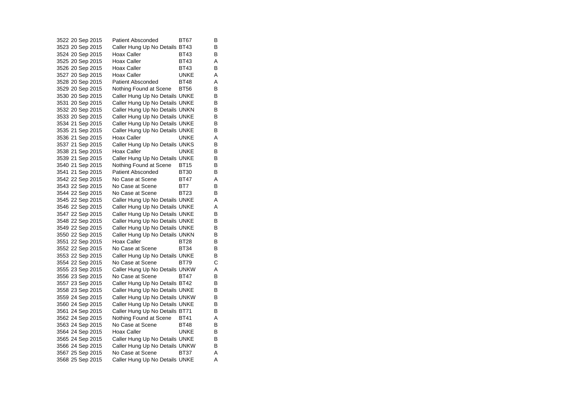3522 20 Sep 2015 Patient Absconded BT67 B 3523 20 Sep 2015 Caller Hung Up No Details BT43 B 3524 20 Sep 2015 Hoax Caller BT43 B 3525 20 Sep 2015 Hoax Caller BT43 A 3526 20 Sep 2015 Hoax Caller BT43 B 3527 20 Sep 2015 Hoax Caller UNKE A 3528 20 Sep 2015 Patient Absconded BT48 A 3529 20 Sep 2015 Nothing Found at Scene BT56 B 3530 20 Sep 2015 Caller Hung Up No Details UNKE B<br>3531 20 Sep 2015 Caller Hung Up No Details UNKE B Caller Hung Up No Details UNKE 3532 20 Sep 2015 Caller Hung Up No Details UNKN B 3533 20 Sep 2015 Caller Hung Up No Details UNKE B<br>3534 21 Sep 2015 Caller Hung Up No Details UNKE B Caller Hung Up No Details UNKE 3535 21 Sep 2015 Caller Hung Up No Details UNKE B 3536 21 Sep 2015 Hoax Caller CONNE A 3537 21 Sep 2015 Caller Hung Up No Details UNKS B 3538 21 Sep 2015 Hoax Caller CONNE B 3539 21 Sep 2015 Caller Hung Up No Details UNKE B 3540 21 Sep 2015 Nothing Found at Scene BT15 B 3541 21 Sep 2015 Patient Absconded BT30 B 3542 22 Sep 2015 No Case at Scene BT47 A 3543 22 Sep 2015 No Case at Scene BT7 B 3544 22 Sep 2015 No Case at Scene BT23 B 3545 22 Sep 2015 Caller Hung Up No Details UNKE A 3546 22 Sep 2015 Caller Hung Up No Details UNKE A 3547 22 Sep 2015 Caller Hung Up No Details UNKE B 3548 22 Sep 2015 Caller Hung Up No Details UNKE B<br>3549 22 Sep 2015 Caller Hung Up No Details UNKE B 3549 22 Sep 2015 Caller Hung Up No Details UNKE 3550 22 Sep 2015 Caller Hung Up No Details UNKN B 3551 22 Sep 2015 Hoax Caller BT28 B 3552 22 Sep 2015 No Case at Scene BT34 B 3553 22 Sep 2015 Caller Hung Up No Details UNKE B 3554 22 Sep 2015 No Case at Scene BT79 C 3555 23 Sep 2015 Caller Hung Up No Details UNKW A 3556 23 Sep 2015 No Case at Scene BT47 B 3557 23 Sep 2015 Caller Hung Up No Details BT42 B 3558 23 Sep 2015 Caller Hung Up No Details UNKE B 3559 24 Sep 2015 Caller Hung Up No Details UNKW B 3560 24 Sep 2015 Caller Hung Up No Details UNKE B 3561 24 Sep 2015 Caller Hung Up No Details BT71 B<br>3562 24 Sep 2015 Nothing Found at Scene BT41 A Nothing Found at Scene BT41 A 3563 24 Sep 2015 No Case at Scene BT48 B 3564 24 Sep 2015 Hoax Caller **UNKE** B 3565 24 Sep 2015 Caller Hung Up No Details UNKE B 3566 24 Sep 2015 Caller Hung Up No Details UNKW B 3567 25 Sep 2015 No Case at Scene BT37 A 3568 25 Sep 2015 Caller Hung Up No Details UNKE A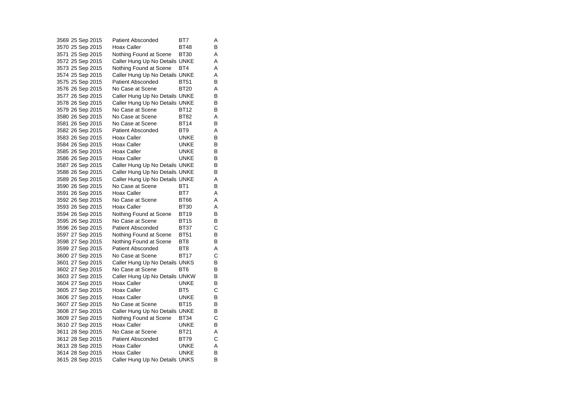|  | 3569 25 Sep 2015 | Patient Absconded              | BT7             | Α |
|--|------------------|--------------------------------|-----------------|---|
|  | 3570 25 Sep 2015 | Hoax Caller                    | <b>BT48</b>     | В |
|  | 3571 25 Sep 2015 | Nothing Found at Scene         | <b>BT30</b>     | Α |
|  | 3572 25 Sep 2015 | Caller Hung Up No Details UNKE |                 | Α |
|  | 3573 25 Sep 2015 | Nothing Found at Scene         | BT4             | A |
|  | 3574 25 Sep 2015 | Caller Hung Up No Details UNKE |                 | Α |
|  | 3575 25 Sep 2015 | <b>Patient Absconded</b>       | <b>BT51</b>     | В |
|  | 3576 26 Sep 2015 | No Case at Scene               | <b>BT20</b>     | Α |
|  | 3577 26 Sep 2015 | Caller Hung Up No Details UNKE |                 | B |
|  | 3578 26 Sep 2015 | Caller Hung Up No Details UNKE |                 | В |
|  | 3579 26 Sep 2015 | No Case at Scene               | <b>BT12</b>     | в |
|  | 3580 26 Sep 2015 | No Case at Scene               | <b>BT82</b>     | A |
|  | 3581 26 Sep 2015 | No Case at Scene               | <b>BT14</b>     | В |
|  | 3582 26 Sep 2015 | <b>Patient Absconded</b>       | BT9             | Α |
|  | 3583 26 Sep 2015 | Hoax Caller                    | <b>UNKE</b>     | В |
|  | 3584 26 Sep 2015 | <b>Hoax Caller</b>             | <b>UNKE</b>     | в |
|  | 3585 26 Sep 2015 | Hoax Caller                    | <b>UNKE</b>     | В |
|  | 3586 26 Sep 2015 | <b>Hoax Caller</b>             | <b>UNKE</b>     | В |
|  | 3587 26 Sep 2015 | Caller Hung Up No Details UNKE |                 | в |
|  | 3588 26 Sep 2015 | Caller Hung Up No Details UNKE |                 | В |
|  | 3589 26 Sep 2015 | Caller Hung Up No Details UNKE |                 | Α |
|  | 3590 26 Sep 2015 | No Case at Scene               | BT <sub>1</sub> | в |
|  | 3591 26 Sep 2015 | Hoax Caller                    | BT7             | Α |
|  | 3592 26 Sep 2015 | No Case at Scene               | <b>BT66</b>     | А |
|  | 3593 26 Sep 2015 | Hoax Caller                    | <b>BT30</b>     | Α |
|  | 3594 26 Sep 2015 | Nothing Found at Scene         | <b>BT19</b>     | в |
|  | 3595 26 Sep 2015 | No Case at Scene               | <b>BT15</b>     | В |
|  | 3596 26 Sep 2015 | <b>Patient Absconded</b>       | <b>BT37</b>     | С |
|  | 3597 27 Sep 2015 | Nothing Found at Scene         | <b>BT51</b>     | в |
|  | 3598 27 Sep 2015 | Nothing Found at Scene         | BT <sub>8</sub> | В |
|  | 3599 27 Sep 2015 | <b>Patient Absconded</b>       | BT8             | Α |
|  | 3600 27 Sep 2015 | No Case at Scene               | <b>BT17</b>     | С |
|  | 3601 27 Sep 2015 | Caller Hung Up No Details UNKS |                 | В |
|  | 3602 27 Sep 2015 | No Case at Scene               | BT6             | в |
|  | 3603 27 Sep 2015 | Caller Hung Up No Details UNKW |                 | В |
|  | 3604 27 Sep 2015 | Hoax Caller                    | <b>UNKE</b>     | В |
|  | 3605 27 Sep 2015 | Hoax Caller                    | BT <sub>5</sub> | Ć |
|  | 3606 27 Sep 2015 | <b>Hoax Caller</b>             | <b>UNKE</b>     | В |
|  | 3607 27 Sep 2015 | No Case at Scene               | <b>BT15</b>     | в |
|  | 3608 27 Sep 2015 | Caller Hung Up No Details UNKE |                 | В |
|  | 3609 27 Sep 2015 | Nothing Found at Scene         | <b>BT34</b>     | С |
|  | 3610 27 Sep 2015 | Hoax Caller                    | <b>UNKE</b>     | В |
|  | 3611 28 Sep 2015 | No Case at Scene               | <b>BT21</b>     | Α |
|  | 3612 28 Sep 2015 | <b>Patient Absconded</b>       | BT79            | С |
|  | 3613 28 Sep 2015 | Hoax Caller                    | UNKE            | Α |
|  | 3614 28 Sep 2015 | Hoax Caller                    | <b>UNKE</b>     | B |
|  | 3615 28 Sep 2015 | Caller Hung Up No Details UNKS |                 | B |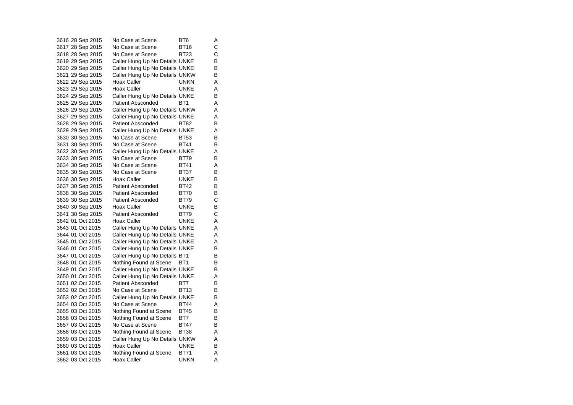|  | 3616 28 Sep 2015 | No Case at Scene               | BT6             | Α |
|--|------------------|--------------------------------|-----------------|---|
|  | 3617 28 Sep 2015 | No Case at Scene               | <b>BT16</b>     | С |
|  | 3618 28 Sep 2015 | No Case at Scene               | BT23            | С |
|  | 3619 29 Sep 2015 | Caller Hung Up No Details UNKE |                 | В |
|  | 3620 29 Sep 2015 | Caller Hung Up No Details UNKE |                 | В |
|  | 3621 29 Sep 2015 | Caller Hung Up No Details UNKW |                 | B |
|  | 3622 29 Sep 2015 | Hoax Caller                    | <b>UNKN</b>     | Α |
|  | 3623 29 Sep 2015 | Hoax Caller                    | <b>UNKE</b>     | A |
|  | 3624 29 Sep 2015 | Caller Hung Up No Details UNKE |                 | В |
|  | 3625 29 Sep 2015 | <b>Patient Absconded</b>       | BT <sub>1</sub> | Α |
|  | 3626 29 Sep 2015 | Caller Hung Up No Details UNKW |                 | Α |
|  | 3627 29 Sep 2015 | Caller Hung Up No Details UNKE |                 | Α |
|  | 3628 29 Sep 2015 | <b>Patient Absconded</b>       | <b>BT82</b>     | В |
|  | 3629 29 Sep 2015 | Caller Hung Up No Details UNKE |                 | Α |
|  | 3630 30 Sep 2015 | No Case at Scene               | <b>BT53</b>     | B |
|  | 3631 30 Sep 2015 | No Case at Scene               | <b>BT41</b>     | В |
|  | 3632 30 Sep 2015 | Caller Hung Up No Details UNKE |                 | A |
|  | 3633 30 Sep 2015 | No Case at Scene               | <b>BT79</b>     | В |
|  | 3634 30 Sep 2015 | No Case at Scene               | <b>BT41</b>     | A |
|  | 3635 30 Sep 2015 | No Case at Scene               | <b>BT37</b>     | В |
|  | 3636 30 Sep 2015 | Hoax Caller                    | <b>UNKE</b>     | в |
|  | 3637 30 Sep 2015 | <b>Patient Absconded</b>       | <b>BT42</b>     | В |
|  | 3638 30 Sep 2015 | <b>Patient Absconded</b>       | BT70            | в |
|  | 3639 30 Sep 2015 | <b>Patient Absconded</b>       | BT79            | С |
|  | 3640 30 Sep 2015 | Hoax Caller                    | UNKE            | В |
|  | 3641 30 Sep 2015 | <b>Patient Absconded</b>       | <b>BT79</b>     | C |
|  | 3642 01 Oct 2015 | Hoax Caller                    | UNKE            | Α |
|  | 3643 01 Oct 2015 | Caller Hung Up No Details UNKE |                 | Α |
|  | 3644 01 Oct 2015 | Caller Hung Up No Details UNKE |                 | Α |
|  | 3645 01 Oct 2015 | Caller Hung Up No Details UNKE |                 | A |
|  | 3646 01 Oct 2015 | Caller Hung Up No Details UNKE |                 | В |
|  | 3647 01 Oct 2015 | Caller Hung Up No Details BT1  |                 | B |
|  | 3648 01 Oct 2015 | Nothing Found at Scene         | BT1             | В |
|  | 3649 01 Oct 2015 | Caller Hung Up No Details UNKE |                 | в |
|  | 3650 01 Oct 2015 | Caller Hung Up No Details UNKE |                 | A |
|  | 3651 02 Oct 2015 | <b>Patient Absconded</b>       | BT7             | В |
|  | 3652 02 Oct 2015 | No Case at Scene               | <b>BT13</b>     | В |
|  | 3653 02 Oct 2015 | Caller Hung Up No Details UNKE |                 | В |
|  | 3654 03 Oct 2015 | No Case at Scene               | <b>BT44</b>     | Α |
|  | 3655 03 Oct 2015 | Nothing Found at Scene         | BT45            | В |
|  | 3656 03 Oct 2015 | Nothing Found at Scene         | BT7             | В |
|  | 3657 03 Oct 2015 | No Case at Scene               | <b>BT47</b>     | В |
|  | 3658 03 Oct 2015 | Nothing Found at Scene         | <b>BT38</b>     | A |
|  | 3659 03 Oct 2015 | Caller Hung Up No Details UNKW |                 | Α |
|  | 3660 03 Oct 2015 | Hoax Caller                    | <b>UNKE</b>     | B |
|  | 3661 03 Oct 2015 | Nothing Found at Scene         | BT71            | Α |
|  | 3662 03 Oct 2015 | Hoax Caller                    | <b>UNKN</b>     | Α |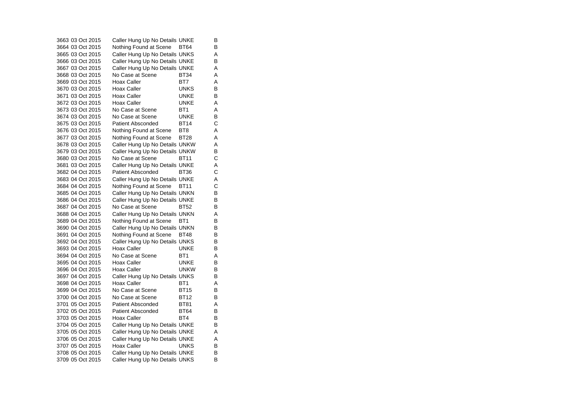3663 03 Oct 2015 Caller Hung Up No Details UNKE B 3664 03 Oct 2015 Nothing Found at Scene BT64 B 3665 03 Oct 2015 Caller Hung Up No Details UNKS A 3666 03 Oct 2015 Caller Hung Up No Details UNKE B 3667 03 Oct 2015 Caller Hung Up No Details UNKE A 3668 03 Oct 2015 No Case at Scene BT34 A 3669 03 Oct 2015 Hoax Caller BT7 A 3670 03 Oct 2015 Hoax Caller UNKS B 3671 03 Oct 2015 Hoax Caller UNKE B 3672 03 Oct 2015 Hoax Caller UNKE A3673 03 Oct 2015 No Case at Scene BT1 A3674 03 Oct 2015 No Case at Scene UNKE B3675 03 Oct 2015 Patient Absconded BT14 C3676 03 Oct 2015 Nothing Found at Scene BT8 A 3677 03 Oct 2015 Nothing Found at Scene BT28 A 3678 03 Oct 2015 Caller Hung Up No Details UNKW A 3679 03 Oct 2015 Caller Hung Up No Details UNKW B<br>3680 03 Oct 2015 No Case at Scene BT11 C 3680 03 Oct 2015 No Case at Scene BT11 C3681 03 Oct 2015 Caller Hung Up No Details UNKE A 3682 04 Oct 2015 Patient Absconded BT36 C3683 04 Oct 2015 Caller Hung Up No Details UNKE A 3684 04 Oct 2015 Nothing Found at Scene BT11 C<br>3685 04 Oct 2015 Caller Hung Up No Details UNKN B 3685 04 Oct 2015 Caller Hung Up No Details UNKN 3686 04 Oct 2015 Caller Hung Up No Details UNKE B 3687 04 Oct 2015 No Case at Scene BT52 B 3688 04 Oct 2015 Caller Hung Up No Details UNKN A 3689 04 Oct 2015 Nothing Found at Scene BT1 B<br>3690 04 Oct 2015 Caller Hung Up No Details UNKN B 3690 04 Oct 2015 Caller Hung Up No Details UNKN 3691 04 Oct 2015 Nothing Found at Scene BT48 B 3692 04 Oct 2015 Caller Hung Up No Details UNKS B<br>3693 04 Oct 2015 Hoax Caller UNKE B 3693 04 Oct 2015 Hoax Caller UNKE 3694 04 Oct 2015 No Case at Scene BT1 AA 3695 04 Oct 2015 Hoax Caller **UNKE** B 3696 04 Oct 2015 Hoax Caller UNKW B 3697 04 Oct 2015 Caller Hung Up No Details UNKS B<br>3698 04 Oct 2015 Hoax Caller BT1 BT1 A 3698 04 Oct 2015 Hoax Caller BT1 3699 04 Oct 2015 No Case at Scene BT15 B3700 04 Oct 2015 No Case at Scene BT12 B 3701 05 Oct 2015 Patient Absconded BT81 A 3702 05 Oct 2015 Patient Absconded BT64 B 3703 05 Oct 2015 Hoax Caller BT4 B 3704 05 Oct 2015 Caller Hung Up No Details UNKE B 3705 05 Oct 2015 Caller Hung Up No Details UNKE A 3706 05 Oct 2015 Caller Hung Up No Details UNKE A 3707 05 Oct 2015 Hoax Caller UNKS B 3708 05 Oct 2015 Caller Hung Up No Details UNKE B 3709 05 Oct 2015 Caller Hung Up No Details UNKS B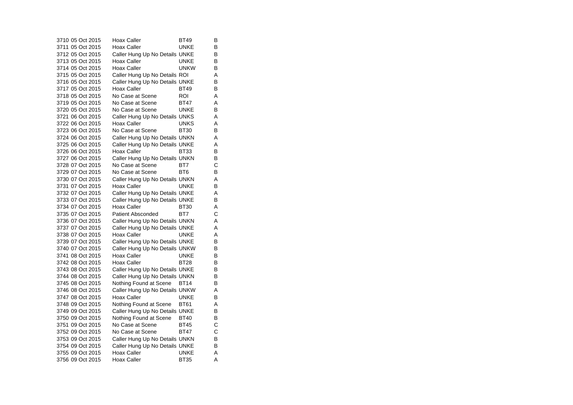3710 05 Oct 2015 Hoax Caller BT49  $\overline{B}$ 3711 05 Oct 2015 Hoax Caller UNKE B 3712 05 Oct 2015 Caller Hung Up No Details UNKE B 3713 05 Oct 2015 Hoax Caller UNKE  $\frac{B}{B}$ 3714 05 Oct 2015 Hoax Caller UNKW 3715 05 Oct 2015 Caller Hung Up No Details ROI A 3716 05 Oct 2015 Caller Hung Up No Details UNKE B 3717 05 Oct 2015 Hoax Caller BT49 B 3718 05 Oct 2015 No Case at Scene ROI A 3719 05 Oct 2015 No Case at Scene BT47 A 3720 05 Oct 2015 No Case at Scene UNKE B 3721 06 Oct 2015 Caller Hung Up No Details UNKS A<br>3722 06 Oct 2015 Hoax Caller CONNES A 3722 06 Oct 2015 Hoax Caller UNKS A 3723 06 Oct 2015 No Case at Scene BT30 B 3724 06 Oct 2015 Caller Hung Up No Details UNKN A 3725 06 Oct 2015 Caller Hung Up No Details UNKE A 3726 06 Oct 2015 Hoax Caller BT33 B 3727 06 Oct 2015 Caller Hung Up No Details UNKN B 3728 07 Oct 2015 No Case at Scene BT7 C 3729 07 Oct 2015 No Case at Scene BT6 BT6 3730 07 Oct 2015 Caller Hung Up No Details UNKN A 3731 07 Oct 2015 Hoax Caller UNKE B 3732 07 Oct 2015 Caller Hung Up No Details UNKE A 3733 07 Oct 2015 Caller Hung Up No Details UNKE B 3734 07 Oct 2015 Hoax Caller BT30 A 3735 07 Oct 2015 Patient Absconded BT7 C 3736 07 Oct 2015 Caller Hung Up No Details UNKN A 3737 07 Oct 2015 Caller Hung Up No Details UNKE A 3738 07 Oct 2015 Hoax Caller UNKE A 3739 07 Oct 2015 Caller Hung Up No Details UNKE B<br>3740 07 Oct 2015 Caller Hung Up No Details UNKW B 3740 07 Oct 2015 Caller Hung Up No Details UNKW 3741 08 Oct 2015 Hoax Caller UNKE  $\overline{B}$ 3742 08 Oct 2015 Hoax Caller BT28  $\sf B$ 3743 08 Oct 2015 Caller Hung Up No Details UNKE B 3744 08 Oct 2015 Caller Hung Up No Details UNKN B<br>3745 08 Oct 2015 Nothing Found at Scene BT14 B 3745 08 Oct 2015 Nothing Found at Scene BT14 3746 08 Oct 2015 Caller Hung Up No Details UNKW A 3747 08 Oct 2015 Hoax Caller UNKE B 3748 09 Oct 2015 Nothing Found at Scene BT61 A 3749 09 Oct 2015 Caller Hung Up No Details UNKE B<br>3750 09 Oct 2015 Nothing Found at Scene BT40 B Nothing Found at Scene BT40 3751 09 Oct 2015 No Case at Scene BT45 C 3752 09 Oct 2015 No Case at Scene BT47 C 3753 09 Oct 2015 Caller Hung Up No Details UNKN B 3754 09 Oct 2015 Caller Hung Up No Details UNKE B 3755 09 Oct 2015 Hoax Caller UNKE A 3756 09 Oct 2015 Hoax Caller BT35 A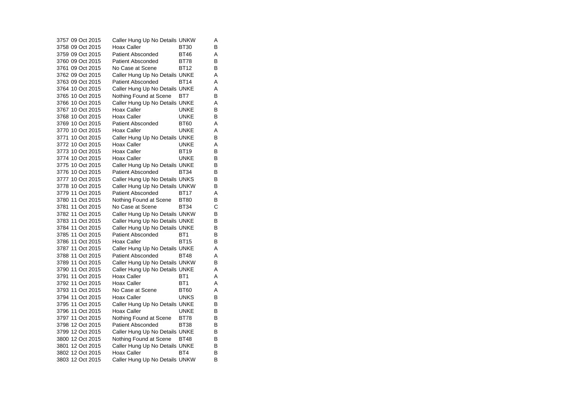3757 09 Oct 2015 Caller Hung Up No Details UNKW A 3758 09 Oct 2015 Hoax Caller BT30 B 3759 09 Oct 2015 Patient Absconded BT46 A 3760 09 Oct 2015 Patient Absconded BT78  $\frac{B}{B}$ 3761 09 Oct 2015 No Case at Scene BT12 B3762 09 Oct 2015 Caller Hung Up No Details UNKE A 3763 09 Oct 2015 Patient Absconded BT14 A 3764 10 Oct 2015 Caller Hung Up No Details UNKE A 3765 10 Oct 2015 Nothing Found at Scene BT7 B 3766 10 Oct 2015 Caller Hung Up No Details UNKE A 3767 10 Oct 2015 Hoax Caller UNKE B 3768 10 Oct 2015 Hoax Caller UNKE B 3769 10 Oct 2015 Patient Absconded BT60 A 3770 10 Oct 2015 Hoax Caller UNKE A 3771 10 Oct 2015 Caller Hung Up No Details UNKE B 3772 10 Oct 2015 Hoax Caller UNKE A 3773 10 Oct 2015 Hoax Caller BT19 B 3774 10 Oct 2015 Hoax Caller UNKE B 3775 10 Oct 2015 Caller Hung Up No Details UNKE B 3776 10 Oct 2015 Patient Absconded BT34 B 3777 10 Oct 2015 Caller Hung Up No Details UNKS B 3778 10 Oct 2015 Caller Hung Up No Details UNKW B 3779 11 Oct 2015 Patient Absconded BT17 A 3780 11 Oct 2015 Nothing Found at Scene BT80 B 3781 11 Oct 2015 No Case at Scene BT34 C 3782 11 Oct 2015 Caller Hung Up No Details UNKW B 3783 11 Oct 2015 Caller Hung Up No Details UNKE B<br>3784 11 Oct 2015 Caller Hung Up No Details UNKE B 3784 11 Oct 2015 Caller Hung Up No Details UNKE 3785 11 Oct 2015 Patient Absconded BT1 B 3786 11 Oct 2015 Hoax Caller BT15  $\overline{B}$ 3787 11 Oct 2015 Caller Hung Up No Details UNKE A 3788 11 Oct 2015 Patient Absconded BT48 A 3789 11 Oct 2015 Caller Hung Up No Details UNKW B 3790 11 Oct 2015 Caller Hung Up No Details UNKE A 3791 11 Oct 2015 Hoax Caller BT1 A 3792 11 Oct 2015 Hoax Caller BT1 A 3793 11 Oct 2015 No Case at Scene BT60 A 3794 11 Oct 2015 Hoax Caller UNKS B 3795 11 Oct 2015 Caller Hung Up No Details UNKE B 3796 11 Oct 2015 Hoax Caller UNKE B 3797 11 Oct 2015 Nothing Found at Scene BT78 B 3798 12 Oct 2015 Patient Absconded BT38 B 3799 12 Oct 2015 Caller Hung Up No Details UNKE B 3800 12 Oct 2015 Nothing Found at Scene BT48 B 3801 12 Oct 2015 Caller Hung Up No Details UNKE B<br>3802 12 Oct 2015 Hoax Caller BT4 B 3802 12 Oct 2015 Hoax Caller BT4 3803 12 Oct 2015 Caller Hung Up No Details UNKW B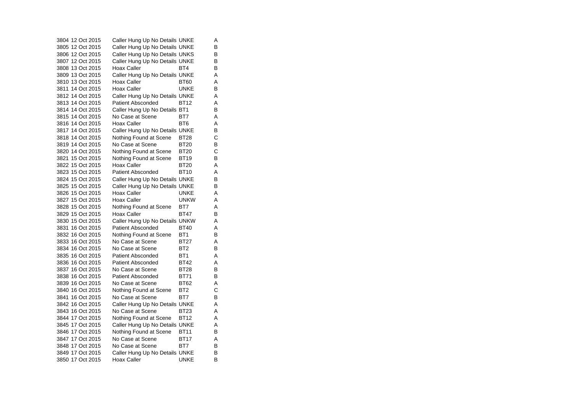3804 12 Oct 2015 Caller Hung Up No Details UNKE A 3805 12 Oct 2015 Caller Hung Up No Details UNKE B 3806 12 Oct 2015 Caller Hung Up No Details UNKS B 3807 12 Oct 2015 Caller Hung Up No Details UNKE B<br>3808 13 Oct 2015 Hoax Caller BT4 B 3808 13 Oct 2015 Hoax Caller BT4 3809 13 Oct 2015 Caller Hung Up No Details UNKE A 3810 13 Oct 2015 Hoax Caller BT60 A 3811 14 Oct 2015 Hoax Caller UNKE B 3812 14 Oct 2015 Caller Hung Up No Details UNKE A 3813 14 Oct 2015 Patient Absconded BT12 A3814 14 Oct 2015 Caller Hung Up No Details BT1 B 3815 14 Oct 2015 No Case at Scene BT7 A 3816 14 Oct 2015 Hoax Caller BT6 A 3817 14 Oct 2015 Caller Hung Up No Details UNKE B 3818 14 Oct 2015 Nothing Found at Scene BT28 C 3819 14 Oct 2015 No Case at Scene BT20 B 3820 14 Oct 2015 Nothing Found at Scene BT20 C 3821 15 Oct 2015 Nothing Found at Scene BT19 B 3822 15 Oct 2015 Hoax Caller BT20  $\overline{A}$ 3823 15 Oct 2015 Patient Absconded BT10 A 3824 15 Oct 2015 Caller Hung Up No Details UNKE B 3825 15 Oct 2015 Caller Hung Up No Details UNKE B 3826 15 Oct 2015 Hoax Caller UNKE A 3827 15 Oct 2015 Hoax Caller UNKW A 3828 15 Oct 2015 Nothing Found at Scene BT7 A 3829 15 Oct 2015 Hoax Caller BT47 B 3830 15 Oct 2015 Caller Hung Up No Details UNKW A 3831 16 Oct 2015 Patient Absconded BT40 A 3832 16 Oct 2015 Nothing Found at Scene BT1 B 3833 16 Oct 2015 No Case at Scene BT27 AA 3834 16 Oct 2015 No Case at Scene BT2 B 3835 16 Oct 2015 Patient Absconded BT1 A 3836 16 Oct 2015 Patient Absconded BT42 A 3837 16 Oct 2015 No Case at Scene BT28 B 3838 16 Oct 2015 Patient Absconded BT71  $\overline{B}$ 3839 16 Oct 2015 No Case at Scene BT62 A3840 16 Oct 2015 Nothing Found at Scene BT2 C 3841 16 Oct 2015 No Case at Scene BT7 B 3842 16 Oct 2015 Caller Hung Up No Details UNKE A 3843 16 Oct 2015 No Case at Scene BT23 A3844 17 Oct 2015 Nothing Found at Scene BT12 A 3845 17 Oct 2015 Caller Hung Up No Details UNKE A 3846 17 Oct 2015 Nothing Found at Scene BT11 B 3847 17 Oct 2015 No Case at Scene BT17 A 3848 17 Oct 2015 No Case at Scene BT7 B 3849 17 Oct 2015 Caller Hung Up No Details UNKE B 3850 17 Oct 2015 Hoax Caller UNKE B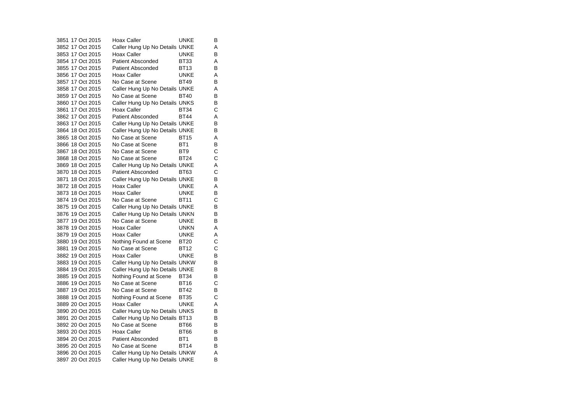3851 17 Oct 2015 Hoax Caller UNKE B 3852 17 Oct 2015 Caller Hung Up No Details UNKE A 3853 17 Oct 2015 Hoax Caller UNKE B 3854 17 Oct 2015 Patient Absconded BT33 AA<br>B 3855 17 Oct 2015 Patient Absconded BT13 3856 17 Oct 2015 Hoax Caller UNKE A 3857 17 Oct 2015 No Case at Scene BT49  $\overline{B}$ 3858 17 Oct 2015 Caller Hung Up No Details UNKE A 3859 17 Oct 2015 No Case at Scene BT40 B 3860 17 Oct 2015 Caller Hung Up No Details UNKS B 3861 17 Oct 2015 Hoax Caller BT34 C 3862 17 Oct 2015 Patient Absconded BT44 A 3863 17 Oct 2015 Caller Hung Up No Details UNKE B 3864 18 Oct 2015 Caller Hung Up No Details UNKE B 3865 18 Oct 2015 No Case at Scene BT15 A $\overline{A}$ 3866 18 Oct 2015 No Case at Scene BT1 B  $\mathbf{C}$ 3867 18 Oct 2015 No Case at Scene BT9 3868 18 Oct 2015 No Case at Scene BT24 C3869 18 Oct 2015 Caller Hung Up No Details UNKE A 3870 18 Oct 2015 Patient Absconded BT63 C 3871 18 Oct 2015 Caller Hung Up No Details UNKE 3872 18 Oct 2015 Hoax Caller UNKE A 3873 18 Oct 2015 Hoax Caller UNKE B  $\mathbf{C}$ 3874 19 Oct 2015 No Case at Scene BT11 3875 19 Oct 2015 Caller Hung Up No Details UNKE B 3876 19 Oct 2015 Caller Hung Up No Details UNKN B 3877 19 Oct 2015 No Case at Scene UNKE  $\overline{B}$ 3878 19 Oct 2015 Hoax Caller UNKN A 3879 19 Oct 2015 Hoax Caller UNKE A 3880 19 Oct 2015 Nothing Found at Scene BT20 C<br>3881 19 Oct 2015 No Case at Scene BT12 C 3881 19 Oct 2015 No Case at Scene BT12 C3882 19 Oct 2015 Hoax Caller UNKE  $\overline{B}$ 3883 19 Oct 2015 Caller Hung Up No Details UNKW B 3884 19 Oct 2015 Caller Hung Up No Details UNKE B 3885 19 Oct 2015 Nothing Found at Scene BT34 B<br>3886 19 Oct 2015 No Case at Scene BT16 C 3886 19 Oct 2015 No Case at Scene BT16 3887 19 Oct 2015 No Case at Scene BT42 B  $\mathbf C$ 3888 19 Oct 2015 Nothing Found at Scene BT35 3889 20 Oct 2015 Hoax Caller UNKE A 3890 20 Oct 2015 Caller Hung Up No Details UNKS B<br>3891 20 Oct 2015 Caller Hung Up No Details BT13 B Caller Hung Up No Details BT13 3892 20 Oct 2015 No Case at Scene BT66 B3893 20 Oct 2015 Hoax Caller BT66 B 3894 20 Oct 2015 Patient Absconded BT1 B 3895 20 Oct 2015 No Case at Scene BT14 B 3896 20 Oct 2015 Caller Hung Up No Details UNKW A 3897 20 Oct 2015 Caller Hung Up No Details UNKE B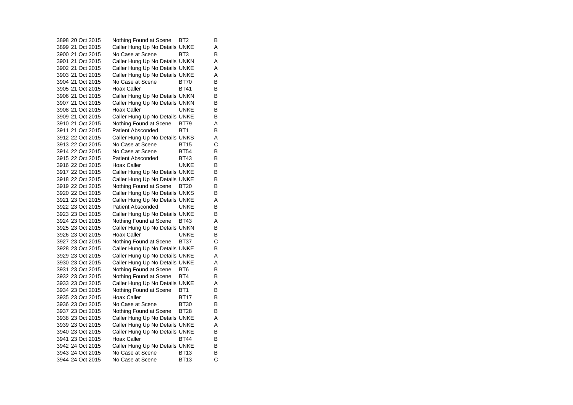3898 20 Oct 2015 Nothing Found at Scene BT2 B 3899 21 Oct 2015 Caller Hung Up No Details UNKE A 3900 21 Oct 2015 No Case at Scene BT3 B 3901 21 Oct 2015 Caller Hung Up No Details UNKN A 3902 21 Oct 2015 Caller Hung Up No Details UNKE A 3903 21 Oct 2015 Caller Hung Up No Details UNKE A 3904 21 Oct 2015 No Case at Scene BT70 B $\overline{B}$ 3905 21 Oct 2015 Hoax Caller BT41 B 3906 21 Oct 2015 Caller Hung Up No Details UNKN B<br>3907 21 Oct 2015 Caller Hung Up No Details UNKN B 3907 21 Oct 2015 Caller Hung Up No Details UNKN 3908 21 Oct 2015 Hoax Caller UNKE B 3909 21 Oct 2015 Caller Hung Up No Details UNKE B 3910 21 Oct 2015 Nothing Found at Scene BT79 A 3911 21 Oct 2015 Patient Absconded BT1 B 3912 22 Oct 2015 Caller Hung Up No Details UNKS A 3913 22 Oct 2015 No Case at Scene BT15 C3914 22 Oct 2015 No Case at Scene BT54 B 3915 22 Oct 2015 Patient Absconded BT43 B 3916 22 Oct 2015 Hoax Caller UNKE B 3917 22 Oct 2015 Caller Hung Up No Details UNKE B 3918 22 Oct 2015 Caller Hung Up No Details UNKE B 3919 22 Oct 2015 Nothing Found at Scene BT20 B<br>3920 22 Oct 2015 Caller Hung Up No Details UNKS B 3920 22 Oct 2015 Caller Hung Up No Details UNKS 3921 23 Oct 2015 Caller Hung Up No Details UNKE A 3922 23 Oct 2015 Patient Absconded UNKE B3923 23 Oct 2015 Caller Hung Up No Details UNKE B 3924 23 Oct 2015 Nothing Found at Scene BT43 A 3925 23 Oct 2015 Caller Hung Up No Details UNKN B 3926 23 Oct 2015 Hoax Caller UNKE B 3927 23 Oct 2015 Nothing Found at Scene BT37 C<br>3928 23 Oct 2015 Caller Hung Up No Details UNKE B 3928 23 Oct 2015 Caller Hung Up No Details UNKE 3929 23 Oct 2015 Caller Hung Up No Details UNKE A 3930 23 Oct 2015 Caller Hung Up No Details UNKE A 3931 23 Oct 2015 Nothing Found at Scene BT6 B 3932 23 Oct 2015 Nothing Found at Scene BT4 B<br>3933 23 Oct 2015 Caller Hung Up No Details UNKE A 3933 23 Oct 2015 Caller Hung Up No Details UNKE 3934 23 Oct 2015 Nothing Found at Scene BT1 B 3935 23 Oct 2015 Hoax Caller BT17 B 3936 23 Oct 2015 No Case at Scene BT30 B3937 23 Oct 2015 Nothing Found at Scene BT28 B<br>3938 23 Oct 2015 Caller Hung Up No Details UNKE A Caller Hung Up No Details UNKE A 3939 23 Oct 2015 Caller Hung Up No Details UNKE A 3940 23 Oct 2015 Caller Hung Up No Details UNKE B 3941 23 Oct 2015 Hoax Caller BT44 B 3942 24 Oct 2015 Caller Hung Up No Details UNKE B<br>3943 24 Oct 2015 No Case at Scene BT13 B 3943 24 Oct 2015 No Case at Scene BT13 B $\mathbf{C}$ 3944 24 Oct 2015 No Case at Scene BT13 C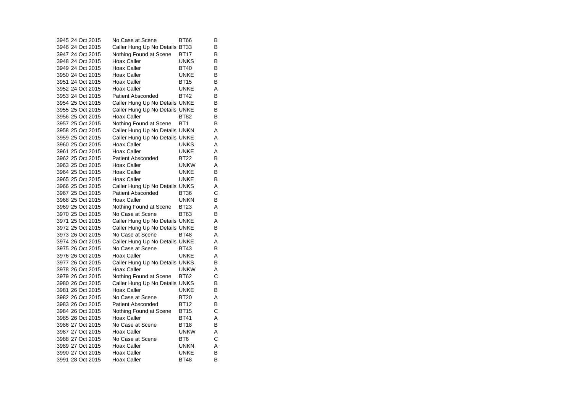|  | 3945 24 Oct 2015 | No Case at Scene               | BT66            | в |
|--|------------------|--------------------------------|-----------------|---|
|  | 3946 24 Oct 2015 | Caller Hung Up No Details BT33 |                 | в |
|  | 3947 24 Oct 2015 | Nothing Found at Scene         | BT17            | в |
|  | 3948 24 Oct 2015 | Hoax Caller                    | UNKS            | B |
|  | 3949 24 Oct 2015 | Hoax Caller                    | <b>BT40</b>     | В |
|  | 3950 24 Oct 2015 | Hoax Caller                    | <b>UNKE</b>     | B |
|  | 3951 24 Oct 2015 | Hoax Caller                    | BT15            | B |
|  | 3952 24 Oct 2015 | Hoax Caller                    | UNKE            | А |
|  | 3953 24 Oct 2015 | Patient Absconded              | BT42            | B |
|  | 3954 25 Oct 2015 | Caller Hung Up No Details UNKE |                 | В |
|  | 3955 25 Oct 2015 | Caller Hung Up No Details UNKE |                 | B |
|  | 3956 25 Oct 2015 | Hoax Caller                    | BT82            | В |
|  | 3957 25 Oct 2015 | Nothing Found at Scene         | BT <sub>1</sub> | B |
|  | 3958 25 Oct 2015 | Caller Hung Up No Details UNKN |                 | A |
|  | 3959 25 Oct 2015 | Caller Hung Up No Details UNKE |                 | А |
|  | 3960 25 Oct 2015 | Hoax Caller                    | UNKS            | A |
|  | 3961 25 Oct 2015 | Hoax Caller                    | UNKE            | Α |
|  | 3962 25 Oct 2015 | <b>Patient Absconded</b>       | <b>BT22</b>     | B |
|  | 3963 25 Oct 2015 | Hoax Caller                    | unkw            | A |
|  | 3964 25 Oct 2015 | Hoax Caller                    | UNKE            | B |
|  | 3965 25 Oct 2015 | Hoax Caller                    | UNKE            | В |
|  | 3966 25 Oct 2015 | Caller Hung Up No Details UNKS |                 | A |
|  | 3967 25 Oct 2015 | Patient Absconded              | BT36            | С |
|  | 3968 25 Oct 2015 | Hoax Caller                    | unkn            | в |
|  | 3969 25 Oct 2015 | Nothing Found at Scene         | BT23            | A |
|  | 3970 25 Oct 2015 | No Case at Scene               | <b>BT63</b>     | B |
|  | 3971 25 Oct 2015 | Caller Hung Up No Details UNKE |                 | A |
|  | 3972 25 Oct 2015 | Caller Hung Up No Details UNKE |                 | В |
|  | 3973 26 Oct 2015 | No Case at Scene               | <b>BT48</b>     | A |
|  | 3974 26 Oct 2015 | Caller Hung Up No Details UNKE |                 | A |
|  | 3975 26 Oct 2015 | No Case at Scene               | <b>BT43</b>     | B |
|  | 3976 26 Oct 2015 | Hoax Caller                    | UNKE            | A |
|  | 3977 26 Oct 2015 | Caller Hung Up No Details UNKS |                 | в |
|  | 3978 26 Oct 2015 | Hoax Caller                    | UNKW            | A |
|  | 3979 26 Oct 2015 | Nothing Found at Scene         | <b>BT62</b>     | С |
|  | 3980 26 Oct 2015 | Caller Hung Up No Details UNKS |                 | B |
|  | 3981 26 Oct 2015 | Hoax Caller                    | UNKE            | В |
|  | 3982 26 Oct 2015 | No Case at Scene               | <b>BT20</b>     | A |
|  | 3983 26 Oct 2015 | <b>Patient Absconded</b>       | BT12            | В |
|  | 3984 26 Oct 2015 | Nothing Found at Scene         | <b>BT15</b>     | Ć |
|  | 3985 26 Oct 2015 | Hoax Caller                    | BT41            | A |
|  | 3986 27 Oct 2015 | No Case at Scene               | BT18            | В |
|  | 3987 27 Oct 2015 | Hoax Caller                    | <b>UNKW</b>     | A |
|  | 3988 27 Oct 2015 | No Case at Scene               | BT6             | С |
|  | 3989 27 Oct 2015 | Hoax Caller                    | unkn            | A |
|  | 3990 27 Oct 2015 | Hoax Caller                    | UNKE            | B |
|  | 3991 28 Oct 2015 | Hoax Caller                    | <b>BT48</b>     | B |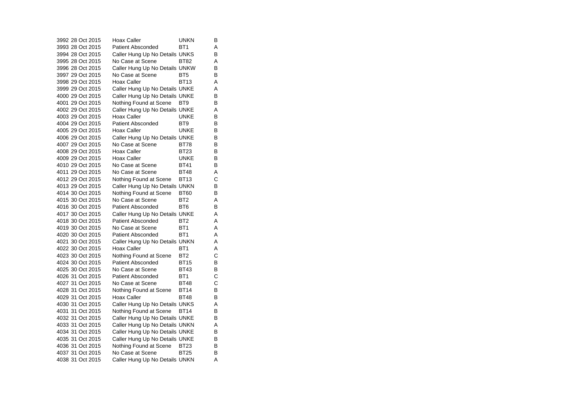3992 28 Oct 2015 Hoax Caller HOOD HOOD HOOD HOOD HOOD HOOD HOOD HOOD HOOD HOO  $\overline{B}$ 3993 28 Oct 2015 Patient Absconded BT1 A3994 28 Oct 2015 Caller Hung Up No Details UNKS B 3995 28 Oct 2015 No Case at Scene BT82 AA 3996 28 Oct 2015 Caller Hung Up No Details UNKW B 3997 29 Oct 2015 No Case at Scene BT5 B 3998 29 Oct 2015 Hoax Caller BT13 A 3999 29 Oct 2015 Caller Hung Up No Details UNKE A 4000 29 Oct 2015 Caller Hung Up No Details UNKE B<br>4001 29 Oct 2015 Nothing Found at Scene BT9 B 4001 29 Oct 2015 Nothing Found at Scene BT9 4002 29 Oct 2015 Caller Hung Up No Details UNKE A 4003 29 Oct 2015 Hoax Caller UNKE B 4004 29 Oct 2015 Patient Absconded BT9 B 4005 29 Oct 2015 Hoax Caller UNKE B 4006 29 Oct 2015 Caller Hung Up No Details UNKE B 4007 29 Oct 2015 No Case at Scene BT78 B 4008 29 Oct 2015 Hoax Caller BT23 B 4009 29 Oct 2015 Hoax Caller UNKE B 4010 29 Oct 2015 No Case at Scene BT41 B 4011 29 Oct 2015 No Case at Scene BT48 A 4012 29 Oct 2015 Nothing Found at Scene BT13 C 4013 29 Oct 2015 Caller Hung Up No Details UNKN B<br>4014 30 Oct 2015 Nothing Found at Scene BT60 B 4014 30 Oct 2015 Nothing Found at Scene BT60 4015 30 Oct 2015 No Case at Scene BT2 A4016 30 Oct 2015 Patient Absconded BT6 B 4017 30 Oct 2015 Caller Hung Up No Details UNKE A 4018 30 Oct 2015 Patient Absconded BT2 A 4019 30 Oct 2015 No Case at Scene BT1 A 4020 30 Oct 2015 Patient Absconded BT1 A4021 30 Oct 2015 Caller Hung Up No Details UNKN A 4022 30 Oct 2015 Hoax Caller BT1 A  $\mathbf C$ 4023 30 Oct 2015 Nothing Found at Scene BT2 4024 30 Oct 2015 Patient Absconded BT15  $\sf B$ 4025 30 Oct 2015 No Case at Scene BT43 B4026 31 Oct 2015 Patient Absconded BT1 4027 31 Oct 2015 No Case at Scene BT48 C 4028 31 Oct 2015 Nothing Found at Scene BT14 B 4029 31 Oct 2015 Hoax Caller BT48  $\sf B$ 4030 31 Oct 2015 Caller Hung Up No Details UNKS A 4031 31 Oct 2015 Nothing Found at Scene BT14 B<br>4032 31 Oct 2015 Caller Hung Up No Details UNKE B Caller Hung Up No Details UNKE 4033 31 Oct 2015 Caller Hung Up No Details UNKN A 4034 31 Oct 2015 Caller Hung Up No Details UNKE B 4035 31 Oct 2015 Caller Hung Up No Details UNKE B 4036 31 Oct 2015 Nothing Found at Scene BT23 B<br>4037 31 Oct 2015 No Case at Scene BT25 B 4037 31 Oct 2015 No Case at Scene BT25 4038 31 Oct 2015 Caller Hung Up No Details UNKN A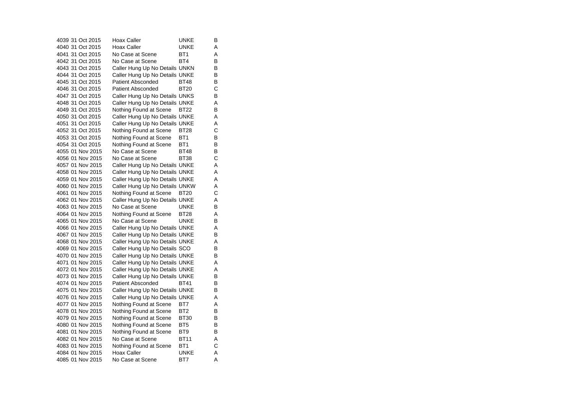4039 31 Oct 2015 Hoax Caller UNKE B 4040 31 Oct 2015 Hoax Caller UNKE A 4041 31 Oct 2015 No Case at Scene BT1 A 4042 31 Oct 2015 No Case at Scene BT4 B<br>B 4043 31 Oct 2015 Caller Hung Up No Details UNKN 4044 31 Oct 2015 Caller Hung Up No Details UNKE B 4045 31 Oct 2015 Patient Absconded BT48  $\overline{B}$ 4046 31 Oct 2015 Patient Absconded BT20 C4047 31 Oct 2015 Caller Hung Up No Details UNKS B 4048 31 Oct 2015 Caller Hung Up No Details UNKE A 4049 31 Oct 2015 Nothing Found at Scene BT22 B 4050 31 Oct 2015 Caller Hung Up No Details UNKE A Caller Hung Up No Details UNKE A 4052 31 Oct 2015 Nothing Found at Scene BT28 C 4053 31 Oct 2015 Nothing Found at Scene BT1 B 4054 31 Oct 2015 Nothing Found at Scene BT1 B 4055 01 Nov 2015 No Case at Scene BT48 B 4056 01 Nov 2015 No Case at Scene BT38 C 4057 01 Nov 2015 Caller Hung Up No Details UNKE A 4058 01 Nov 2015 Caller Hung Up No Details UNKE A 4059 01 Nov 2015 Caller Hung Up No Details UNKE A 4060 01 Nov 2015 Caller Hung Up No Details UNKW A 4061 01 Nov 2015 Nothing Found at Scene BT20 4062 01 Nov 2015 Caller Hung Up No Details UNKE A 4063 01 Nov 2015 No Case at Scene UNKE B4064 01 Nov 2015 Nothing Found at Scene BT28 A 4065 01 Nov 2015 No Case at Scene UNKE  $\sf B$ 4066 01 Nov 2015 Caller Hung Up No Details UNKE A 4067 01 Nov 2015 Caller Hung Up No Details UNKE B 4068 01 Nov 2015 Caller Hung Up No Details UNKE A 4069 01 Nov 2015 Caller Hung Up No Details SCO B 4070 01 Nov 2015 Caller Hung Up No Details UNKE B 4071 01 Nov 2015 Caller Hung Up No Details UNKE A 4072 01 Nov 2015 Caller Hung Up No Details UNKE A 4073 01 Nov 2015 Caller Hung Up No Details UNKE B<br>4074 01 Nov 2015 Patient Absconded BT41 B 4074 01 Nov 2015 Patient Absconded BT41 4075 01 Nov 2015 Caller Hung Up No Details UNKE B 4076 01 Nov 2015 Caller Hung Up No Details UNKE A 4077 01 Nov 2015 Nothing Found at Scene BT7 A 4078 01 Nov 2015 Nothing Found at Scene BT2 B<br>4079 01 Nov 2015 Nothing Found at Scene BT30 B 4079 01 Nov 2015 Nothing Found at Scene BT30 4080 01 Nov 2015 Nothing Found at Scene BT5 B 4081 01 Nov 2015 Nothing Found at Scene BT9 B 4082 01 Nov 2015 No Case at Scene BT11 A4083 01 Nov 2015 Nothing Found at Scene BT1 C 4084 01 Nov 2015 Hoax Caller Carries UNKE A 4085 01 Nov 2015 No Case at Scene BT7 A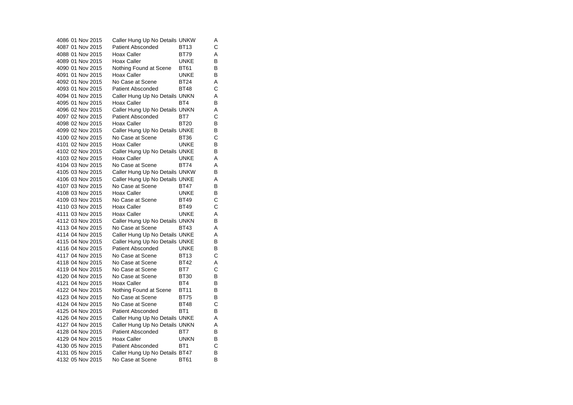| 4086 01 Nov 2015 | Caller Hung Up No Details UNKW |                 | Α |
|------------------|--------------------------------|-----------------|---|
| 4087 01 Nov 2015 | <b>Patient Absconded</b>       | <b>BT13</b>     | C |
| 4088 01 Nov 2015 | Hoax Caller                    | <b>BT79</b>     | Α |
| 4089 01 Nov 2015 | Hoax Caller                    | UNKE            | в |
| 4090 01 Nov 2015 | Nothing Found at Scene         | <b>BT61</b>     | B |
| 4091 01 Nov 2015 | Hoax Caller                    | UNKE            | в |
| 4092 01 Nov 2015 | No Case at Scene               | <b>BT24</b>     | Α |
| 4093 01 Nov 2015 | <b>Patient Absconded</b>       | BT48            | С |
| 4094 01 Nov 2015 | Caller Hung Up No Details UNKN |                 | Α |
| 4095 01 Nov 2015 | Hoax Caller                    | BT4             | B |
| 4096 02 Nov 2015 | Caller Hung Up No Details UNKN |                 | Α |
| 4097 02 Nov 2015 | <b>Patient Absconded</b>       | BT7             | C |
| 4098 02 Nov 2015 | Hoax Caller                    | <b>BT20</b>     | в |
| 4099 02 Nov 2015 | Caller Hung Up No Details UNKE |                 | в |
| 4100 02 Nov 2015 | No Case at Scene               | BT36            | C |
| 4101 02 Nov 2015 | Hoax Caller                    | UNKE            | в |
| 4102 02 Nov 2015 | Caller Hung Up No Details UNKE |                 | в |
| 4103 02 Nov 2015 | Hoax Caller                    | UNKE            | A |
| 4104 03 Nov 2015 | No Case at Scene               | BT74            | A |
| 4105 03 Nov 2015 | Caller Hung Up No Details UNKW |                 | в |
| 4106 03 Nov 2015 | Caller Hung Up No Details UNKE |                 | Α |
| 4107 03 Nov 2015 | No Case at Scene               | BT47            | в |
| 4108 03 Nov 2015 | Hoax Caller                    | <b>UNKE</b>     | в |
| 4109 03 Nov 2015 | No Case at Scene               | <b>BT49</b>     | С |
| 4110 03 Nov 2015 | Hoax Caller                    | <b>BT49</b>     | C |
| 4111 03 Nov 2015 | Hoax Caller                    | UNKE            | Α |
| 4112 03 Nov 2015 | Caller Hung Up No Details UNKN |                 | в |
| 4113 04 Nov 2015 | No Case at Scene               | <b>BT43</b>     | A |
| 4114 04 Nov 2015 | Caller Hung Up No Details UNKE |                 | Α |
| 4115 04 Nov 2015 | Caller Hung Up No Details UNKE |                 | в |
| 4116 04 Nov 2015 | <b>Patient Absconded</b>       | UNKE            | В |
| 4117 04 Nov 2015 | No Case at Scene               | <b>BT13</b>     | C |
| 4118 04 Nov 2015 | No Case at Scene               | <b>BT42</b>     | Α |
| 4119 04 Nov 2015 | No Case at Scene               | BT7             | С |
| 4120 04 Nov 2015 | No Case at Scene               | <b>BT30</b>     | B |
| 4121 04 Nov 2015 | Hoax Caller                    | BT4             | в |
| 4122 04 Nov 2015 | Nothing Found at Scene         | <b>BT11</b>     | в |
| 4123 04 Nov 2015 | No Case at Scene               | <b>BT75</b>     | в |
| 4124 04 Nov 2015 | No Case at Scene               | <b>BT48</b>     | С |
| 4125 04 Nov 2015 | <b>Patient Absconded</b>       | BT <sub>1</sub> | B |
| 4126 04 Nov 2015 | Caller Hung Up No Details UNKE |                 | Α |
| 4127 04 Nov 2015 | Caller Hung Up No Details UNKN |                 | A |
| 4128 04 Nov 2015 | <b>Patient Absconded</b>       | BT7             | в |
| 4129 04 Nov 2015 | <b>Hoax Caller</b>             | <b>UNKN</b>     | в |
| 4130 05 Nov 2015 | <b>Patient Absconded</b>       | BT <sub>1</sub> | C |
| 4131 05 Nov 2015 | Caller Hung Up No Details BT47 |                 | В |
| 4132 05 Nov 2015 | No Case at Scene               | BT61            | B |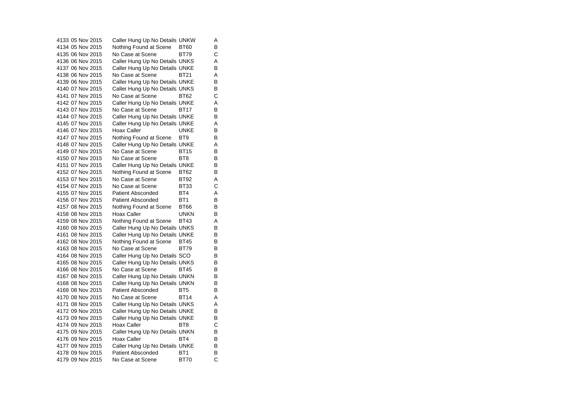4133 05 Nov 2015 Caller Hung Up No Details UNKW A 4134 05 Nov 2015 Mothing Found at Scene BT60 B 4135 06 Nov 2015 No Case at Scene BT79 C 4136 06 Nov 2015 Caller Hung Up No Details UNKS A 4137 06 Nov 2015 Caller Hung Up No Details UNKE B 4138 06 Nov 2015 No Case at Scene BT21 A 4139 06 Nov 2015 Caller Hung Up No Details UNKE B 4140 07 Nov 2015 Caller Hung Up No Details UNKS B 4141 07 Nov 2015 No Case at Scene BT62 C $\mathbf C$ 4142 07 Nov 2015 Caller Hung Up No Details UNKE A 4143 07 Nov 2015 No Case at Scene BT17 B 4144 07 Nov 2015 Caller Hung Up No Details UNKE B 4145 07 Nov 2015 Caller Hung Up No Details UNKE A 4146 07 Nov 2015 Hoax Caller CONNE B 4147 07 Nov 2015 Nothing Found at Scene BT9 B 4148 07 Nov 2015 Caller Hung Up No Details UNKE A 4149 07 Nov 2015 No Case at Scene BT15 B 4150 07 Nov 2015 No Case at Scene BT8 BT8 4151 07 Nov 2015 Caller Hung Up No Details UNKE B 4152 07 Nov 2015 Mothing Found at Scene BT62 B 4153 07 Nov 2015 No Case at Scene BT92 A 4154 07 Nov 2015 No Case at Scene BT33 C4155 07 Nov 2015 Patient Absconded BT4 A 4156 07 Nov 2015 Patient Absconded BT1 B 4157 08 Nov 2015 Nothing Found at Scene BT66 B 4158 08 Nov 2015 Hoax Caller UNKN B 4159 08 Nov 2015 Nothing Found at Scene BT43 A 4160 08 Nov 2015 Caller Hung Up No Details UNKS B 4161 08 Nov 2015 Caller Hung Up No Details UNKE B 4162 08 Nov 2015 Nothing Found at Scene BT45 B<br>4163 08 Nov 2015 No Case at Scene BT79 B 4163 08 Nov 2015 No Case at Scene BT79 B4164 08 Nov 2015 Caller Hung Up No Details SCO B 4165 08 Nov 2015 Caller Hung Up No Details UNKS B 4166 08 Nov 2015 No Case at Scene BT45 B 4167 08 Nov 2015 Caller Hung Up No Details UNKN B<br>4168 08 Nov 2015 Caller Hung Up No Details UNKN B 4168 08 Nov 2015 Caller Hung Up No Details UNKN 4169 08 Nov 2015 Patient Absconded BT5 B 4170 08 Nov 2015 No Case at Scene BT14 A 4171 08 Nov 2015 Caller Hung Up No Details UNKS A 4172 09 Nov 2015 Caller Hung Up No Details UNKE B<br>4173 09 Nov 2015 Caller Hung Up No Details UNKE B 4173 09 Nov 2015 Caller Hung Up No Details UNKE 4174 09 Nov 2015 Hoax Caller BT8 C 4175 09 Nov 2015 Caller Hung Up No Details UNKN B 4176 09 Nov 2015 Hoax Caller BT4 B 4177 09 Nov 2015 Caller Hung Up No Details UNKE B<br>4178 09 Nov 2015 Patient Absconded BT1 B 4178 09 Nov 2015 Patient Absconded BT1  $\mathbf{C}$ 4179 09 Nov 2015 No Case at Scene BT70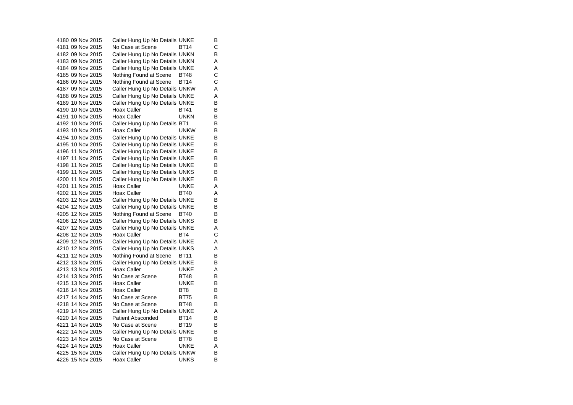4180 09 Nov 2015 Caller Hung Up No Details UNKE B 4181 09 Nov 2015 No Case at Scene BT14 C 4182 09 Nov 2015 Caller Hung Up No Details UNKN B 4183 09 Nov 2015 Caller Hung Up No Details UNKN A 4184 09 Nov 2015 Caller Hung Up No Details UNKE A 4185 09 Nov 2015 Nothing Found at Scene BT48 C 4186 09 Nov 2015 Nothing Found at Scene BT14 C 4187 09 Nov 2015 Caller Hung Up No Details UNKW A 4188 09 Nov 2015 Caller Hung Up No Details UNKE<br>4189 10 Nov 2015 Caller Hung Up No Details UNKE 4189 10 Nov 2015 Caller Hung Up No Details UNKE 4190 10 Nov 2015 Hoax Caller BT41 B 4191 10 Nov 2015 Hoax Caller UNKN  $\overline{B}$ 4192 10 Nov 2015 Caller Hung Up No Details BT1 B 4193 10 Nov 2015 Hoax Caller UNKW  $\overline{B}$ 4194 10 Nov 2015 Caller Hung Up No Details UNKE B 4195 10 Nov 2015 Caller Hung Up No Details UNKE B 4196 11 Nov 2015 Caller Hung Up No Details UNKE B<br>4197 11 Nov 2015 Caller Hung Up No Details UNKE B 4197 11 Nov 2015 Caller Hung Up No Details UNKE 4198 11 Nov 2015 Caller Hung Up No Details UNKE B 4199 11 Nov 2015 Caller Hung Up No Details UNKS B 4200 11 Nov 2015 Caller Hung Up No Details UNKE B 4201 11 Nov 2015 Hoax Caller Carries UNKE A 4202 11 Nov 2015 Hoax Caller BT40 A 4203 12 Nov 2015 Caller Hung Up No Details UNKE B 4204 12 Nov 2015 Caller Hung Up No Details UNKE B 4205 12 Nov 2015 Nothing Found at Scene BT40 B 4206 12 Nov 2015 Caller Hung Up No Details UNKS B 4207 12 Nov 2015 Caller Hung Up No Details UNKE A 4208 12 Nov 2015 Hoax Caller BT4 C 4209 12 Nov 2015 Caller Hung Up No Details UNKE A 4210 12 Nov 2015 Caller Hung Up No Details UNKS A 4211 12 Nov 2015 Nothing Found at Scene BT11 B 4212 13 Nov 2015 Caller Hung Up No Details UNKE B 4213 13 Nov 2015 Hoax Caller **UNKE** A 4214 13 Nov 2015 No Case at Scene BT48  $\overline{B}$ 4215 13 Nov 2015 Hoax Caller UNKE B 4216 14 Nov 2015 Hoax Caller BT8 BT8 4217 14 Nov 2015 No Case at Scene BT75  $\sf B$ 4218 14 Nov 2015 No Case at Scene BT48 B 4219 14 Nov 2015 Caller Hung Up No Details UNKE<br>4220 14 Nov 2015 Patient Absconded BT14 B Patient Absconded BT14 B 4221 14 Nov 2015 No Case at Scene BT19 B 4222 14 Nov 2015 Caller Hung Up No Details UNKE B 4223 14 Nov 2015 No Case at Scene BT78 B 4224 14 Nov 2015 Hoax Caller UNKE A<br>B 4225 15 Nov 2015 Caller Hung Up No Details UNKW 4226 15 Nov 2015 Hoax Caller UNKS B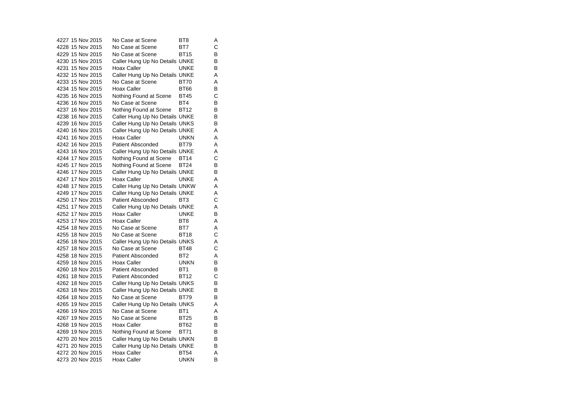|  | 4227 15 Nov 2015 | No Case at Scene               | BT8             | Α |
|--|------------------|--------------------------------|-----------------|---|
|  | 4228 15 Nov 2015 | No Case at Scene               | BT7             | C |
|  | 4229 15 Nov 2015 | No Case at Scene               | <b>BT15</b>     | В |
|  | 4230 15 Nov 2015 | Caller Hung Up No Details UNKE |                 | В |
|  | 4231 15 Nov 2015 | Hoax Caller                    | <b>UNKE</b>     | B |
|  | 4232 15 Nov 2015 | Caller Hung Up No Details UNKE |                 | Α |
|  | 4233 15 Nov 2015 | No Case at Scene               | <b>BT70</b>     | A |
|  | 4234 15 Nov 2015 | Hoax Caller                    | <b>BT66</b>     | В |
|  | 4235 16 Nov 2015 | Nothing Found at Scene         | <b>BT45</b>     | С |
|  | 4236 16 Nov 2015 | No Case at Scene               | BT4             | В |
|  | 4237 16 Nov 2015 | Nothing Found at Scene         | <b>BT12</b>     | В |
|  | 4238 16 Nov 2015 | Caller Hung Up No Details UNKE |                 | В |
|  | 4239 16 Nov 2015 | Caller Hung Up No Details UNKS |                 | В |
|  | 4240 16 Nov 2015 | Caller Hung Up No Details UNKE |                 | Α |
|  | 4241 16 Nov 2015 | Hoax Caller                    | <b>UNKN</b>     | A |
|  | 4242 16 Nov 2015 | <b>Patient Absconded</b>       | <b>BT79</b>     | A |
|  | 4243 16 Nov 2015 | Caller Hung Up No Details UNKE |                 | Α |
|  | 4244 17 Nov 2015 | Nothing Found at Scene         | <b>BT14</b>     | С |
|  | 4245 17 Nov 2015 | Nothing Found at Scene         | <b>BT24</b>     | В |
|  | 4246 17 Nov 2015 | Caller Hung Up No Details UNKE |                 | В |
|  | 4247 17 Nov 2015 | Hoax Caller                    | UNKE            | Α |
|  | 4248 17 Nov 2015 | Caller Hung Up No Details UNKW |                 | A |
|  | 4249 17 Nov 2015 | Caller Hung Up No Details UNKE |                 | Α |
|  | 4250 17 Nov 2015 | <b>Patient Absconded</b>       | BT3             | С |
|  | 4251 17 Nov 2015 | Caller Hung Up No Details UNKE |                 | Α |
|  | 4252 17 Nov 2015 | Hoax Caller                    | UNKE            | В |
|  | 4253 17 Nov 2015 | Hoax Caller                    | BT <sub>8</sub> | Α |
|  | 4254 18 Nov 2015 | No Case at Scene               | BT7             | Α |
|  | 4255 18 Nov 2015 | No Case at Scene               | <b>BT18</b>     | С |
|  | 4256 18 Nov 2015 | Caller Hung Up No Details UNKS |                 | Α |
|  | 4257 18 Nov 2015 | No Case at Scene               | <b>BT48</b>     | С |
|  | 4258 18 Nov 2015 | <b>Patient Absconded</b>       | BT <sub>2</sub> | Α |
|  | 4259 18 Nov 2015 | Hoax Caller                    | <b>UNKN</b>     | В |
|  | 4260 18 Nov 2015 | Patient Absconded              | BT <sub>1</sub> | В |
|  | 4261 18 Nov 2015 | <b>Patient Absconded</b>       | <b>BT12</b>     | С |
|  | 4262 18 Nov 2015 | Caller Hung Up No Details UNKS |                 | В |
|  | 4263 18 Nov 2015 | Caller Hung Up No Details UNKE |                 | В |
|  | 4264 18 Nov 2015 | No Case at Scene               | <b>BT79</b>     | В |
|  | 4265 19 Nov 2015 | Caller Hung Up No Details UNKS |                 | Α |
|  | 4266 19 Nov 2015 | No Case at Scene               | BT <sub>1</sub> | A |
|  | 4267 19 Nov 2015 | No Case at Scene               | <b>BT25</b>     | В |
|  | 4268 19 Nov 2015 | <b>Hoax Caller</b>             | <b>BT62</b>     | В |
|  | 4269 19 Nov 2015 | Nothing Found at Scene         | <b>BT71</b>     | В |
|  | 4270 20 Nov 2015 | Caller Hung Up No Details UNKN |                 | В |
|  | 4271 20 Nov 2015 | Caller Hung Up No Details UNKE |                 | B |
|  | 4272 20 Nov 2015 | Hoax Caller                    | <b>BT54</b>     | Α |
|  | 4273 20 Nov 2015 | Hoax Caller                    | <b>UNKN</b>     | B |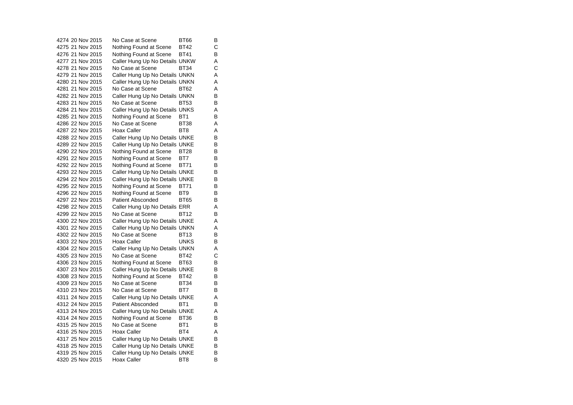4274 20 Nov 2015 No Case at Scene BT66 B $\overline{B}$ 4275 21 Nov 2015 Nothing Found at Scene BT42 C 4276 21 Nov 2015 Nothing Found at Scene BT41 B 4277 21 Nov 2015 Caller Hung Up No Details UNKW A<br>4278 21 Nov 2015 No Case at Scene BT34 C 4278 21 Nov 2015 No Case at Scene BT34 C4279 21 Nov 2015 Caller Hung Up No Details UNKN A 4280 21 Nov 2015 Caller Hung Up No Details UNKN A 4281 21 Nov 2015 No Case at Scene BT62 A4282 21 Nov 2015 Caller Hung Up No Details UNKN B<br>4283 21 Nov 2015 No Case at Scene BT53 B 4283 21 Nov 2015 No Case at Scene BT53 4284 21 Nov 2015 Caller Hung Up No Details UNKS A 4285 21 Nov 2015 Nothing Found at Scene BT1 B<br>4286 22 Nov 2015 No Case at Scene BT38 A 4286 22 Nov 2015 No Case at Scene BT38 A 4287 22 Nov 2015 Hoax Caller BT8 A 4288 22 Nov 2015 Caller Hung Up No Details UNKE B 4289 22 Nov 2015 Caller Hung Up No Details UNKE B 4290 22 Nov 2015 Nothing Found at Scene BT28 B<br>4291 22 Nov 2015 Nothing Found at Scene BT7 B 4291 22 Nov 2015 Nothing Found at Scene BT7 4292 22 Nov 2015 Mothing Found at Scene BT71 B 4293 22 Nov 2015 Caller Hung Up No Details UNKE B 4294 22 Nov 2015 Caller Hung Up No Details UNKE B 4295 22 Nov 2015 Nothing Found at Scene BT71 B<br>4296 22 Nov 2015 Nothing Found at Scene BT9 B 4296 22 Nov 2015 Nothing Found at Scene BT9 4297 22 Nov 2015 Patient Absconded BT65 B 4298 22 Nov 2015 Caller Hung Up No Details ERR A 4299 22 Nov 2015 No Case at Scene BT12 B 4300 22 Nov 2015 Caller Hung Up No Details UNKE A 4301 22 Nov 2015 Caller Hung Up No Details UNKN A 4302 22 Nov 2015 No Case at Scene BT13 B 4303 22 Nov 2015 Hoax Caller UNKS  $\overline{B}$ 4304 22 Nov 2015 Caller Hung Up No Details UNKN A 4305 23 Nov 2015 No Case at Scene BT42 C4306 23 Nov 2015 Nothing Found at Scene BT63 B 4307 23 Nov 2015 Caller Hung Up No Details UNKE B 4308 23 Nov 2015 Nothing Found at Scene BT42 B<br>4309 23 Nov 2015 No Case at Scene BT34 B 4309 23 Nov 2015 4310 23 Nov 2015 No Case at Scene BT7 B 4311 24 Nov 2015 Caller Hung Up No Details UNKE A 4312 24 Nov 2015 Patient Absconded BT1 B 4313 24 Nov 2015 Caller Hung Up No Details UNKE A Nothing Found at Scene BT36 4315 25 Nov 2015 No Case at Scene BT1 B 4316 25 Nov 2015 Hoax Caller BT4 A 4317 25 Nov 2015 Caller Hung Up No Details UNKE B 4318 25 Nov 2015 Caller Hung Up No Details UNKE B<br>4319 25 Nov 2015 Caller Hung Up No Details UNKE B 4319 25 Nov 2015 Caller Hung Up No Details UNKE 4320 25 Nov 2015 Hoax Caller BT8 BT8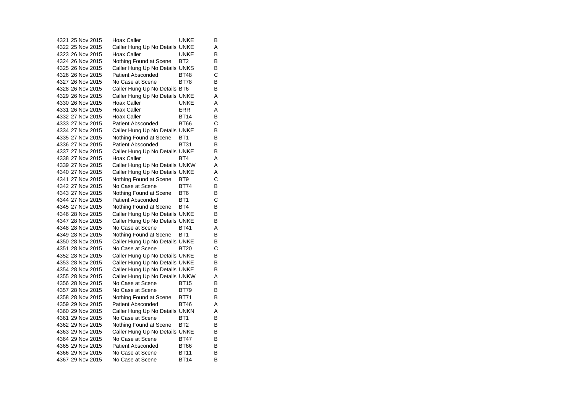4321 25 Nov 2015 Hoax Caller UNKE  $\overline{B}$ 4322 25 Nov 2015 Caller Hung Up No Details UNKE A 4323 26 Nov 2015 Hoax Caller UNKE B 4324 26 Nov 2015 Nothing Found at Scene BT2 B<br>4325 26 Nov 2015 Caller Hung Up No Details UNKS B 4325 26 Nov 2015 Caller Hung Up No Details UNKS 4326 26 Nov 2015 Patient Absconded BT48 C 4327 26 Nov 2015 No Case at Scene BT78  $\overline{B}$ 4328 26 Nov 2015 Caller Hung Up No Details BT6 B 4329 26 Nov 2015 Caller Hung Up No Details UNKE A 4330 26 Nov 2015 Hoax Caller UNKE A4331 26 Nov 2015 Hoax Caller ERR A 4332 27 Nov 2015 Hoax Caller BT14  $\overline{B}$ 4333 27 Nov 2015 Patient Absconded BT66 C 4334 27 Nov 2015 Caller Hung Up No Details UNKE B 4335 27 Nov 2015 Mothing Found at Scene BT1 B 4336 27 Nov 2015 Patient Absconded BT31 B 4337 27 Nov 2015 Caller Hung Up No Details UNKE B 4338 27 Nov 2015 Hoax Caller BT4 A 4339 27 Nov 2015 Caller Hung Up No Details UNKW A 4340 27 Nov 2015 Caller Hung Up No Details UNKE A 4341 27 Nov 2015 Nothing Found at Scene BT9 C 4342 27 Nov 2015 No Case at Scene BT74 B 4343 27 Nov 2015 Nothing Found at Scene BT6 B<br>4344 27 Nov 2015 Patient Absconded BT1 C 4344 27 Nov 2015 Patient Absconded BT1 4345 27 Nov 2015 Nothing Found at Scene BT4 B 4346 28 Nov 2015 Caller Hung Up No Details UNKE B 4347 28 Nov 2015 Caller Hung Up No Details UNKE B 4348 28 Nov 2015 No Case at Scene BT41 A 4349 28 Nov 2015 Mothing Found at Scene BT1 B 4350 28 Nov 2015 Caller Hung Up No Details UNKE B<br>4351 28 Nov 2015 No Case at Scene BT20 C 4351 28 Nov 2015 No Case at Scene BT20 C4352 28 Nov 2015 Caller Hung Up No Details UNKE B 4353 28 Nov 2015 Caller Hung Up No Details UNKE B 4354 28 Nov 2015 Caller Hung Up No Details UNKE B 4355 28 Nov 2015 Caller Hung Up No Details UNKW A<br>4356 28 Nov 2015 No Case at Scene BT15 B 4356 28 Nov 2015 No Case at Scene BT15 B4357 28 Nov 2015 No Case at Scene BT79 B 4358 28 Nov 2015 Nothing Found at Scene BT71 B 4359 29 Nov 2015 Patient Absconded BT46 A 4360 29 Nov 2015 Caller Hung Up No Details UNKN A<br>4361 29 Nov 2015 No Case at Scene BT1 B 4361 29 Nov 2015 No Case at Scene BT1 4362 29 Nov 2015 Nothing Found at Scene BT2 B 4363 29 Nov 2015 Caller Hung Up No Details UNKE B 4364 29 Nov 2015 No Case at Scene BT47 B 4365 29 Nov 2015 Patient Absconded BT66 B 4366 29 Nov 2015 No Case at Scene BT11 B 4367 29 Nov 2015 No Case at Scene BT14 B